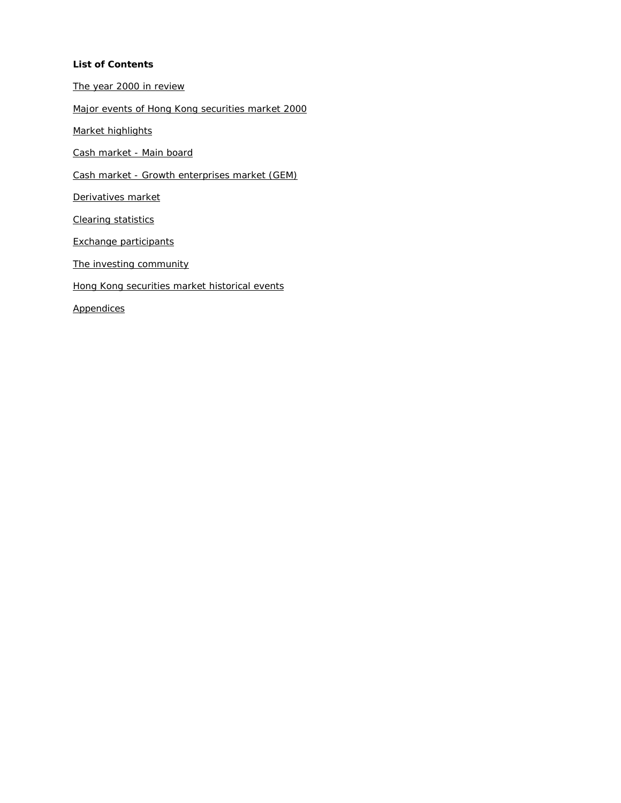#### **List of Contents**

The year 2000 in review

Major events of Hong Kong securities market 2000

Market highlights

Cash market - Main board

Cash market - Growth enterprises market (GEM)

Derivatives market

Clearing statistics

Exchange participants

The investing community

Hong Kong securities market historical events

Appendices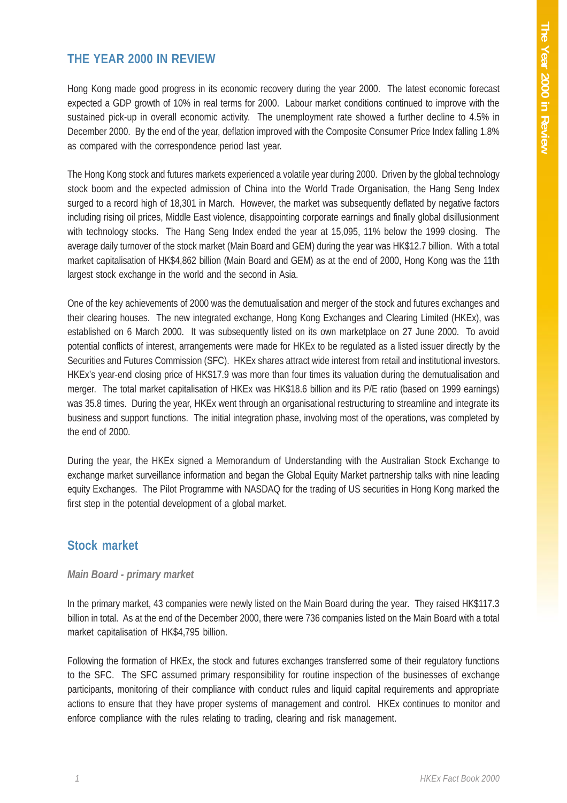#### **THE YEAR 2000 IN REVIEW**

Hong Kong made good progress in its economic recovery during the year 2000. The latest economic forecast expected a GDP growth of 10% in real terms for 2000. Labour market conditions continued to improve with the sustained pick-up in overall economic activity. The unemployment rate showed a further decline to 4.5% in December 2000. By the end of the year, deflation improved with the Composite Consumer Price Index falling 1.8% as compared with the correspondence period last year.

The Hong Kong stock and futures markets experienced a volatile year during 2000. Driven by the global technology stock boom and the expected admission of China into the World Trade Organisation, the Hang Seng Index surged to a record high of 18,301 in March. However, the market was subsequently deflated by negative factors including rising oil prices, Middle East violence, disappointing corporate earnings and finally global disillusionment with technology stocks. The Hang Seng Index ended the year at 15,095, 11% below the 1999 closing. The average daily turnover of the stock market (Main Board and GEM) during the year was HK\$12.7 billion. With a total market capitalisation of HK\$4,862 billion (Main Board and GEM) as at the end of 2000, Hong Kong was the 11th largest stock exchange in the world and the second in Asia.

One of the key achievements of 2000 was the demutualisation and merger of the stock and futures exchanges and their clearing houses. The new integrated exchange, Hong Kong Exchanges and Clearing Limited (HKEx), was established on 6 March 2000. It was subsequently listed on its own marketplace on 27 June 2000. To avoid potential conflicts of interest, arrangements were made for HKEx to be regulated as a listed issuer directly by the Securities and Futures Commission (SFC). HKEx shares attract wide interest from retail and institutional investors. HKEx's year-end closing price of HK\$17.9 was more than four times its valuation during the demutualisation and merger. The total market capitalisation of HKEx was HK\$18.6 billion and its P/E ratio (based on 1999 earnings) was 35.8 times. During the year, HKEx went through an organisational restructuring to streamline and integrate its business and support functions. The initial integration phase, involving most of the operations, was completed by the end of 2000.

During the year, the HKEx signed a Memorandum of Understanding with the Australian Stock Exchange to exchange market surveillance information and began the Global Equity Market partnership talks with nine leading equity Exchanges. The Pilot Programme with NASDAQ for the trading of US securities in Hong Kong marked the first step in the potential development of a global market.

#### **Stock market**

#### *Main Board - primary market*

In the primary market, 43 companies were newly listed on the Main Board during the year. They raised HK\$117.3 billion in total. As at the end of the December 2000, there were 736 companies listed on the Main Board with a total market capitalisation of HK\$4,795 billion.

Following the formation of HKEx, the stock and futures exchanges transferred some of their regulatory functions to the SFC. The SFC assumed primary responsibility for routine inspection of the businesses of exchange participants, monitoring of their compliance with conduct rules and liquid capital requirements and appropriate actions to ensure that they have proper systems of management and control. HKEx continues to monitor and enforce compliance with the rules relating to trading, clearing and risk management.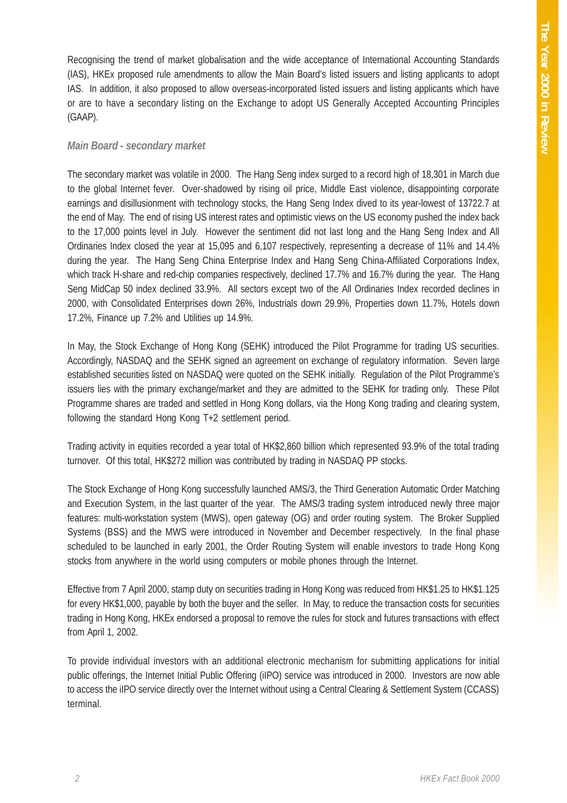Recognising the trend of market globalisation and the wide acceptance of International Accounting Standards (IAS), HKEx proposed rule amendments to allow the Main Board's listed issuers and listing applicants to adopt IAS. In addition, it also proposed to allow overseas-incorporated listed issuers and listing applicants which have or are to have a secondary listing on the Exchange to adopt US Generally Accepted Accounting Principles (GAAP).

#### *Main Board - secondary market*

The secondary market was volatile in 2000. The Hang Seng index surged to a record high of 18,301 in March due to the global Internet fever. Over-shadowed by rising oil price, Middle East violence, disappointing corporate earnings and disillusionment with technology stocks, the Hang Seng Index dived to its year-lowest of 13722.7 at the end of May. The end of rising US interest rates and optimistic views on the US economy pushed the index back to the 17,000 points level in July. However the sentiment did not last long and the Hang Seng Index and All Ordinaries Index closed the year at 15,095 and 6,107 respectively, representing a decrease of 11% and 14.4% during the year. The Hang Seng China Enterprise Index and Hang Seng China-Affiliated Corporations Index, which track H-share and red-chip companies respectively, declined 17.7% and 16.7% during the year. The Hang Seng MidCap 50 index declined 33.9%. All sectors except two of the All Ordinaries Index recorded declines in 2000, with Consolidated Enterprises down 26%, Industrials down 29.9%, Properties down 11.7%, Hotels down 17.2%, Finance up 7.2% and Utilities up 14.9%.

In May, the Stock Exchange of Hong Kong (SEHK) introduced the Pilot Programme for trading US securities. Accordingly, NASDAQ and the SEHK signed an agreement on exchange of regulatory information. Seven large established securities listed on NASDAQ were quoted on the SEHK initially. Regulation of the Pilot Programme's issuers lies with the primary exchange/market and they are admitted to the SEHK for trading only. These Pilot Programme shares are traded and settled in Hong Kong dollars, via the Hong Kong trading and clearing system, following the standard Hong Kong T+2 settlement period.

Trading activity in equities recorded a year total of HK\$2,860 billion which represented 93.9% of the total trading turnover. Of this total, HK\$272 million was contributed by trading in NASDAQ PP stocks.

The Stock Exchange of Hong Kong successfully launched AMS/3, the Third Generation Automatic Order Matching and Execution System, in the last quarter of the year. The AMS/3 trading system introduced newly three major features: multi-workstation system (MWS), open gateway (OG) and order routing system. The Broker Supplied Systems (BSS) and the MWS were introduced in November and December respectively. In the final phase scheduled to be launched in early 2001, the Order Routing System will enable investors to trade Hong Kong stocks from anywhere in the world using computers or mobile phones through the Internet.

Effective from 7 April 2000, stamp duty on securities trading in Hong Kong was reduced from HK\$1.25 to HK\$1.125 for every HK\$1,000, payable by both the buyer and the seller. In May, to reduce the transaction costs for securities trading in Hong Kong, HKEx endorsed a proposal to remove the rules for stock and futures transactions with effect from April 1, 2002.

To provide individual investors with an additional electronic mechanism for submitting applications for initial public offerings, the Internet Initial Public Offering (iIPO) service was introduced in 2000. Investors are now able to access the iIPO service directly over the Internet without using a Central Clearing & Settlement System (CCASS) terminal.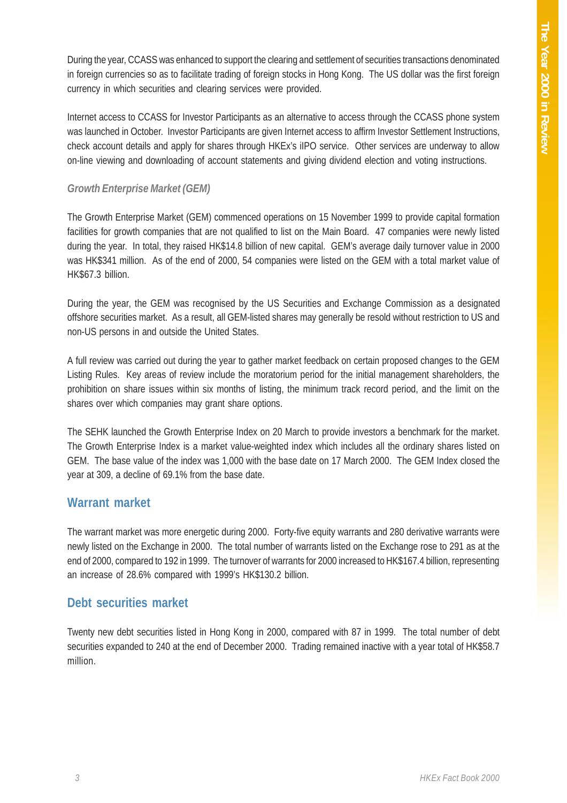During the year, CCASS was enhanced to support the clearing and settlement of securities transactions denominated in foreign currencies so as to facilitate trading of foreign stocks in Hong Kong. The US dollar was the first foreign currency in which securities and clearing services were provided.

Internet access to CCASS for Investor Participants as an alternative to access through the CCASS phone system was launched in October. Investor Participants are given Internet access to affirm Investor Settlement Instructions, check account details and apply for shares through HKEx's iIPO service. Other services are underway to allow on-line viewing and downloading of account statements and giving dividend election and voting instructions.

#### *Growth Enterprise Market (GEM)*

The Growth Enterprise Market (GEM) commenced operations on 15 November 1999 to provide capital formation facilities for growth companies that are not qualified to list on the Main Board. 47 companies were newly listed during the year. In total, they raised HK\$14.8 billion of new capital. GEM's average daily turnover value in 2000 was HK\$341 million. As of the end of 2000, 54 companies were listed on the GEM with a total market value of HK\$67.3 billion.

During the year, the GEM was recognised by the US Securities and Exchange Commission as a designated offshore securities market. As a result, all GEM-listed shares may generally be resold without restriction to US and non-US persons in and outside the United States.

A full review was carried out during the year to gather market feedback on certain proposed changes to the GEM Listing Rules. Key areas of review include the moratorium period for the initial management shareholders, the prohibition on share issues within six months of listing, the minimum track record period, and the limit on the shares over which companies may grant share options.

The SEHK launched the Growth Enterprise Index on 20 March to provide investors a benchmark for the market. The Growth Enterprise Index is a market value-weighted index which includes all the ordinary shares listed on GEM. The base value of the index was 1,000 with the base date on 17 March 2000. The GEM Index closed the year at 309, a decline of 69.1% from the base date.

#### **Warrant market**

The warrant market was more energetic during 2000. Forty-five equity warrants and 280 derivative warrants were newly listed on the Exchange in 2000. The total number of warrants listed on the Exchange rose to 291 as at the end of 2000, compared to 192 in 1999. The turnover of warrants for 2000 increased to HK\$167.4 billion, representing an increase of 28.6% compared with 1999's HK\$130.2 billion.

#### **Debt securities market**

Twenty new debt securities listed in Hong Kong in 2000, compared with 87 in 1999. The total number of debt securities expanded to 240 at the end of December 2000. Trading remained inactive with a year total of HK\$58.7 million.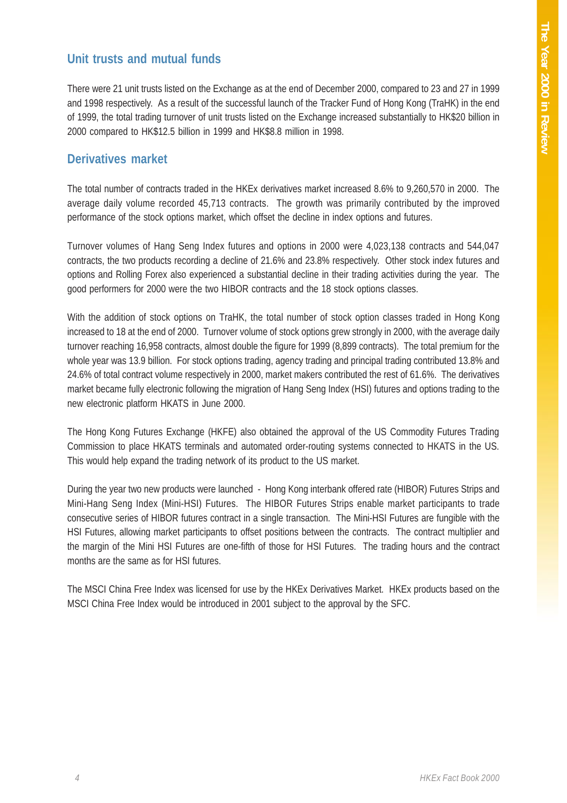#### **Unit trusts and mutual funds**

There were 21 unit trusts listed on the Exchange as at the end of December 2000, compared to 23 and 27 in 1999 and 1998 respectively. As a result of the successful launch of the Tracker Fund of Hong Kong (TraHK) in the end of 1999, the total trading turnover of unit trusts listed on the Exchange increased substantially to HK\$20 billion in 2000 compared to HK\$12.5 billion in 1999 and HK\$8.8 million in 1998.

#### **Derivatives market**

The total number of contracts traded in the HKEx derivatives market increased 8.6% to 9,260,570 in 2000. The average daily volume recorded 45,713 contracts. The growth was primarily contributed by the improved performance of the stock options market, which offset the decline in index options and futures.

Turnover volumes of Hang Seng Index futures and options in 2000 were 4,023,138 contracts and 544,047 contracts, the two products recording a decline of 21.6% and 23.8% respectively. Other stock index futures and options and Rolling Forex also experienced a substantial decline in their trading activities during the year. The good performers for 2000 were the two HIBOR contracts and the 18 stock options classes.

With the addition of stock options on TraHK, the total number of stock option classes traded in Hong Kong increased to 18 at the end of 2000. Turnover volume of stock options grew strongly in 2000, with the average daily turnover reaching 16,958 contracts, almost double the figure for 1999 (8,899 contracts). The total premium for the whole year was 13.9 billion. For stock options trading, agency trading and principal trading contributed 13.8% and 24.6% of total contract volume respectively in 2000, market makers contributed the rest of 61.6%. The derivatives market became fully electronic following the migration of Hang Seng Index (HSI) futures and options trading to the new electronic platform HKATS in June 2000.

The Hong Kong Futures Exchange (HKFE) also obtained the approval of the US Commodity Futures Trading Commission to place HKATS terminals and automated order-routing systems connected to HKATS in the US. This would help expand the trading network of its product to the US market.

During the year two new products were launched - Hong Kong interbank offered rate (HIBOR) Futures Strips and Mini-Hang Seng Index (Mini-HSI) Futures. The HIBOR Futures Strips enable market participants to trade consecutive series of HIBOR futures contract in a single transaction. The Mini-HSI Futures are fungible with the HSI Futures, allowing market participants to offset positions between the contracts. The contract multiplier and the margin of the Mini HSI Futures are one-fifth of those for HSI Futures. The trading hours and the contract months are the same as for HSI futures.

The MSCI China Free Index was licensed for use by the HKEx Derivatives Market. HKEx products based on the MSCI China Free Index would be introduced in 2001 subject to the approval by the SFC.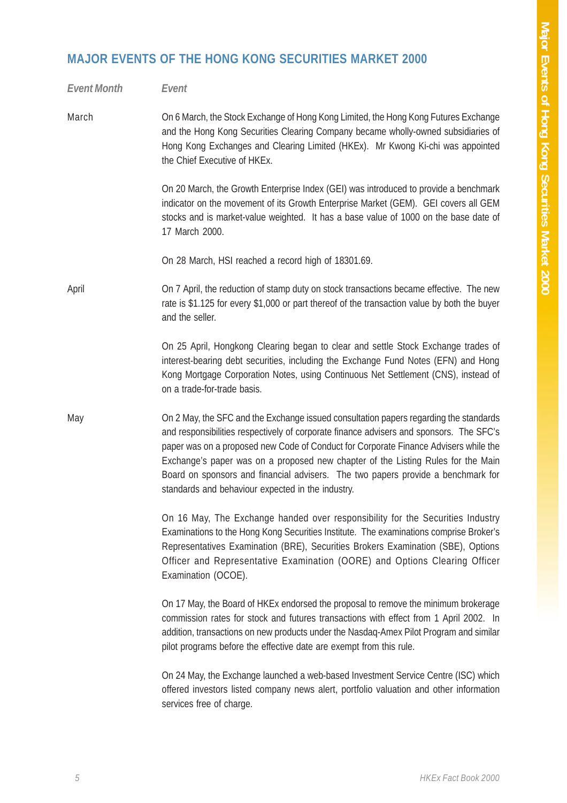# **MAJOR EVENTS OF THE HONG KONG SECURITIES MARKET 2000**

| <b>Event Month</b> | Event                                                                                                                                                                                                                                                                                                                                                                                                                                                                                                 |
|--------------------|-------------------------------------------------------------------------------------------------------------------------------------------------------------------------------------------------------------------------------------------------------------------------------------------------------------------------------------------------------------------------------------------------------------------------------------------------------------------------------------------------------|
| March              | On 6 March, the Stock Exchange of Hong Kong Limited, the Hong Kong Futures Exchange<br>and the Hong Kong Securities Clearing Company became wholly-owned subsidiaries of<br>Hong Kong Exchanges and Clearing Limited (HKEx). Mr Kwong Ki-chi was appointed<br>the Chief Executive of HKEx.                                                                                                                                                                                                            |
|                    | On 20 March, the Growth Enterprise Index (GEI) was introduced to provide a benchmark<br>indicator on the movement of its Growth Enterprise Market (GEM). GEI covers all GEM<br>stocks and is market-value weighted. It has a base value of 1000 on the base date of<br>17 March 2000.                                                                                                                                                                                                                 |
|                    | On 28 March, HSI reached a record high of 18301.69.                                                                                                                                                                                                                                                                                                                                                                                                                                                   |
| April              | On 7 April, the reduction of stamp duty on stock transactions became effective. The new<br>rate is \$1.125 for every \$1,000 or part thereof of the transaction value by both the buyer<br>and the seller.                                                                                                                                                                                                                                                                                            |
|                    | On 25 April, Hongkong Clearing began to clear and settle Stock Exchange trades of<br>interest-bearing debt securities, including the Exchange Fund Notes (EFN) and Hong<br>Kong Mortgage Corporation Notes, using Continuous Net Settlement (CNS), instead of<br>on a trade-for-trade basis.                                                                                                                                                                                                          |
| May                | On 2 May, the SFC and the Exchange issued consultation papers regarding the standards<br>and responsibilities respectively of corporate finance advisers and sponsors. The SFC's<br>paper was on a proposed new Code of Conduct for Corporate Finance Advisers while the<br>Exchange's paper was on a proposed new chapter of the Listing Rules for the Main<br>Board on sponsors and financial advisers. The two papers provide a benchmark for<br>standards and behaviour expected in the industry. |
|                    | On 16 May, The Exchange handed over responsibility for the Securities Industry<br>Examinations to the Hong Kong Securities Institute. The examinations comprise Broker's<br>Representatives Examination (BRE), Securities Brokers Examination (SBE), Options<br>Officer and Representative Examination (OORE) and Options Clearing Officer<br>Examination (OCOE).                                                                                                                                     |
|                    | On 17 May, the Board of HKEx endorsed the proposal to remove the minimum brokerage<br>commission rates for stock and futures transactions with effect from 1 April 2002. In<br>addition, transactions on new products under the Nasdaq-Amex Pilot Program and similar<br>pilot programs before the effective date are exempt from this rule.                                                                                                                                                          |
|                    | On 24 May, the Exchange launched a web-based Investment Service Centre (ISC) which<br>offered investors listed company news alert, portfolio valuation and other information<br>services free of charge.                                                                                                                                                                                                                                                                                              |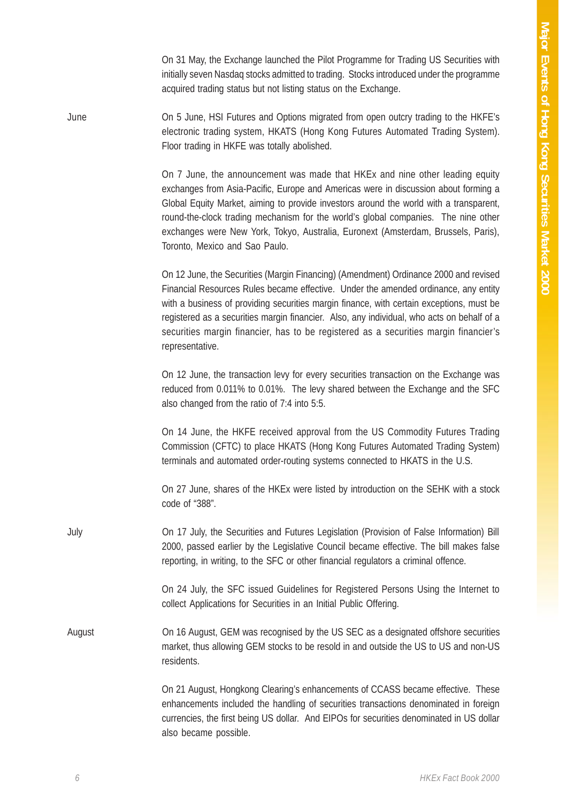On 31 May, the Exchange launched the Pilot Programme for Trading US Securities with initially seven Nasdaq stocks admitted to trading. Stocks introduced under the programme acquired trading status but not listing status on the Exchange.

June On 5 June, HSI Futures and Options migrated from open outcry trading to the HKFE's electronic trading system, HKATS (Hong Kong Futures Automated Trading System). Floor trading in HKFE was totally abolished.

> On 7 June, the announcement was made that HKEx and nine other leading equity exchanges from Asia-Pacific, Europe and Americas were in discussion about forming a Global Equity Market, aiming to provide investors around the world with a transparent, round-the-clock trading mechanism for the world's global companies. The nine other exchanges were New York, Tokyo, Australia, Euronext (Amsterdam, Brussels, Paris), Toronto, Mexico and Sao Paulo.

> On 12 June, the Securities (Margin Financing) (Amendment) Ordinance 2000 and revised Financial Resources Rules became effective. Under the amended ordinance, any entity with a business of providing securities margin finance, with certain exceptions, must be registered as a securities margin financier. Also, any individual, who acts on behalf of a securities margin financier, has to be registered as a securities margin financier's representative.

> On 12 June, the transaction levy for every securities transaction on the Exchange was reduced from 0.011% to 0.01%. The levy shared between the Exchange and the SFC also changed from the ratio of 7:4 into 5:5.

> On 14 June, the HKFE received approval from the US Commodity Futures Trading Commission (CFTC) to place HKATS (Hong Kong Futures Automated Trading System) terminals and automated order-routing systems connected to HKATS in the U.S.

> On 27 June, shares of the HKEx were listed by introduction on the SEHK with a stock code of "388".

July On 17 July, the Securities and Futures Legislation (Provision of False Information) Bill 2000, passed earlier by the Legislative Council became effective. The bill makes false reporting, in writing, to the SFC or other financial regulators a criminal offence.

> On 24 July, the SFC issued Guidelines for Registered Persons Using the Internet to collect Applications for Securities in an Initial Public Offering.

August On 16 August, GEM was recognised by the US SEC as a designated offshore securities market, thus allowing GEM stocks to be resold in and outside the US to US and non-US residents.

> On 21 August, Hongkong Clearing's enhancements of CCASS became effective. These enhancements included the handling of securities transactions denominated in foreign currencies, the first being US dollar. And EIPOs for securities denominated in US dollar also became possible.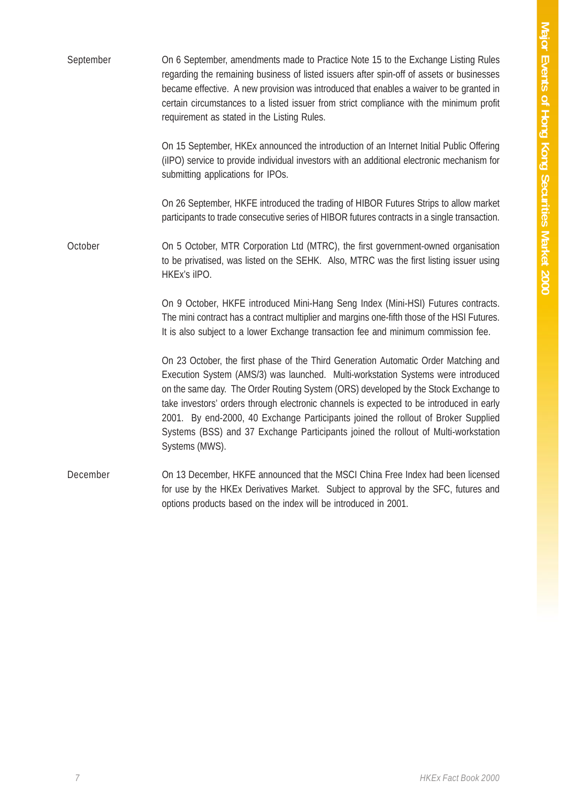| September | On 6 September, amendments made to Practice Note 15 to the Exchange Listing Rules<br>regarding the remaining business of listed issuers after spin-off of assets or businesses<br>became effective. A new provision was introduced that enables a waiver to be granted in<br>certain circumstances to a listed issuer from strict compliance with the minimum profit<br>requirement as stated in the Listing Rules.                                                                                                                                    |
|-----------|--------------------------------------------------------------------------------------------------------------------------------------------------------------------------------------------------------------------------------------------------------------------------------------------------------------------------------------------------------------------------------------------------------------------------------------------------------------------------------------------------------------------------------------------------------|
|           | On 15 September, HKEx announced the introduction of an Internet Initial Public Offering<br>(iIPO) service to provide individual investors with an additional electronic mechanism for<br>submitting applications for IPOs.                                                                                                                                                                                                                                                                                                                             |
|           | On 26 September, HKFE introduced the trading of HIBOR Futures Strips to allow market<br>participants to trade consecutive series of HIBOR futures contracts in a single transaction.                                                                                                                                                                                                                                                                                                                                                                   |
| October   | On 5 October, MTR Corporation Ltd (MTRC), the first government-owned organisation<br>to be privatised, was listed on the SEHK. Also, MTRC was the first listing issuer using<br>HKEx's iIPO.                                                                                                                                                                                                                                                                                                                                                           |
|           | On 9 October, HKFE introduced Mini-Hang Seng Index (Mini-HSI) Futures contracts.<br>The mini contract has a contract multiplier and margins one-fifth those of the HSI Futures.<br>It is also subject to a lower Exchange transaction fee and minimum commission fee.                                                                                                                                                                                                                                                                                  |
|           | On 23 October, the first phase of the Third Generation Automatic Order Matching and<br>Execution System (AMS/3) was launched. Multi-workstation Systems were introduced<br>on the same day. The Order Routing System (ORS) developed by the Stock Exchange to<br>take investors' orders through electronic channels is expected to be introduced in early<br>2001. By end-2000, 40 Exchange Participants joined the rollout of Broker Supplied<br>Systems (BSS) and 37 Exchange Participants joined the rollout of Multi-workstation<br>Systems (MWS). |
| December  | On 13 December, HKFE announced that the MSCI China Free Index had been licensed<br>for use by the HKEx Derivatives Market. Subject to approval by the SFC, futures and<br>options products based on the index will be introduced in 2001.                                                                                                                                                                                                                                                                                                              |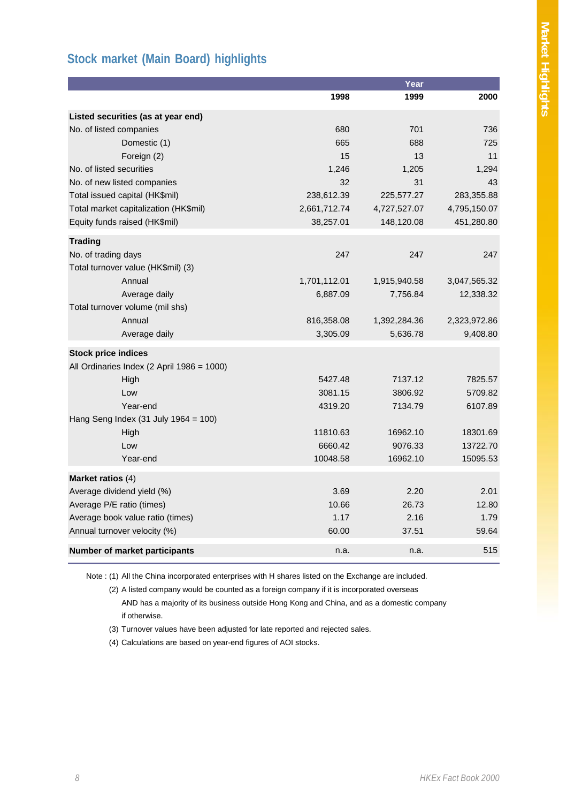## **Stock market (Main Board) highlights**

|                                                                                                                                                 |                                | Year         |              |
|-------------------------------------------------------------------------------------------------------------------------------------------------|--------------------------------|--------------|--------------|
|                                                                                                                                                 | 1998                           | 1999         | 2000         |
| Listed securities (as at year end)                                                                                                              |                                |              |              |
| No. of listed companies                                                                                                                         | 680                            | 701          | 736          |
| Domestic (1)                                                                                                                                    | 665                            | 688          | 725          |
| Foreign (2)                                                                                                                                     | 15                             | 13           | 11           |
| No. of listed securities                                                                                                                        | 1,246                          | 1,205        | 1,294        |
| No. of new listed companies                                                                                                                     | 32                             | 31           | 43           |
| Total issued capital (HK\$mil)                                                                                                                  | 238,612.39                     | 225,577.27   | 283,355.88   |
| Total market capitalization (HK\$mil)                                                                                                           | 2,661,712.74                   | 4,727,527.07 | 4,795,150.07 |
| Equity funds raised (HK\$mil)                                                                                                                   | 38,257.01                      | 148,120.08   | 451,280.80   |
| <b>Trading</b>                                                                                                                                  |                                |              |              |
| No. of trading days                                                                                                                             | 247                            | 247          | 247          |
| Total turnover value (HK\$mil) (3)                                                                                                              |                                |              |              |
| Annual                                                                                                                                          | 1,701,112.01                   | 1,915,940.58 | 3,047,565.32 |
| Average daily                                                                                                                                   | 6,887.09                       | 7,756.84     | 12,338.32    |
|                                                                                                                                                 |                                |              |              |
|                                                                                                                                                 | 816,358.08                     | 1,392,284.36 | 2,323,972.86 |
| Average daily                                                                                                                                   |                                | 5,636.78     | 9,408.80     |
| <b>Stock price indices</b>                                                                                                                      |                                |              |              |
|                                                                                                                                                 |                                |              |              |
|                                                                                                                                                 |                                |              | 7825.57      |
| Low                                                                                                                                             |                                | 3806.92      | 5709.82      |
| Year-end                                                                                                                                        | 4319.20                        | 7134.79      | 6107.89      |
|                                                                                                                                                 |                                |              |              |
|                                                                                                                                                 | 11810.63                       | 16962.10     | 18301.69     |
| Low                                                                                                                                             | 6660.42                        | 9076.33      | 13722.70     |
| Year-end                                                                                                                                        | 10048.58                       | 16962.10     | 15095.53     |
| Market ratios (4)                                                                                                                               |                                |              |              |
| Average dividend yield (%)                                                                                                                      | 3.69                           | 2.20         | 2.01         |
| Average P/E ratio (times)                                                                                                                       | 10.66                          | 26.73        | 12.80        |
| Average book value ratio (times)                                                                                                                | 1.17                           | 2.16         | 1.79         |
| Annual turnover velocity (%)                                                                                                                    | 60.00                          | 37.51        | 59.64        |
| Number of market participants                                                                                                                   | n.a.                           | n.a.         | 515          |
| Total turnover volume (mil shs)<br>Annual<br>All Ordinaries Index (2 April 1986 = 1000)<br>High<br>Hang Seng Index (31 July 1964 = 100)<br>High | 3,305.09<br>5427.48<br>3081.15 | 7137.12      |              |

Note : (1) All the China incorporated enterprises with H shares listed on the Exchange are included.

(2) A listed company would be counted as a foreign company if it is incorporated overseas AND has a majority of its business outside Hong Kong and China, and as a domestic company if otherwise.

(3) Turnover values have been adjusted for late reported and rejected sales.

(4) Calculations are based on year-end figures of AOI stocks.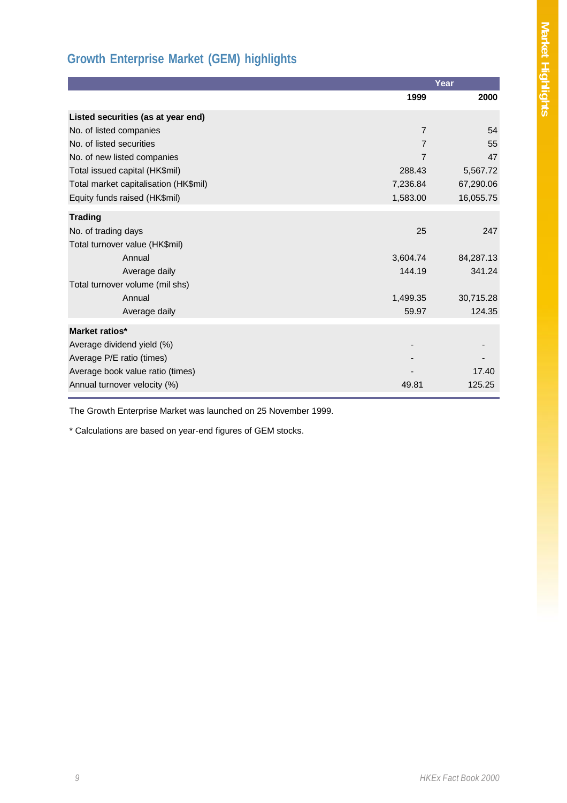# **Growth Enterprise Market (GEM) highlights**

|                                       |          | Year      |
|---------------------------------------|----------|-----------|
|                                       | 1999     | 2000      |
| Listed securities (as at year end)    |          |           |
| No. of listed companies               | 7        | 54        |
| No. of listed securities              | 7        | 55        |
| No. of new listed companies           | 7        | 47        |
| Total issued capital (HK\$mil)        | 288.43   | 5,567.72  |
| Total market capitalisation (HK\$mil) | 7,236.84 | 67,290.06 |
| Equity funds raised (HK\$mil)         | 1,583.00 | 16,055.75 |
| <b>Trading</b>                        |          |           |
| No. of trading days                   | 25       | 247       |
| Total turnover value (HK\$mil)        |          |           |
| Annual                                | 3,604.74 | 84,287.13 |
| Average daily                         | 144.19   | 341.24    |
| Total turnover volume (mil shs)       |          |           |
| Annual                                | 1,499.35 | 30,715.28 |
| Average daily                         | 59.97    | 124.35    |
| Market ratios*                        |          |           |
| Average dividend yield (%)            |          |           |
| Average P/E ratio (times)             |          |           |
| Average book value ratio (times)      |          | 17.40     |
| Annual turnover velocity (%)          | 49.81    | 125.25    |
|                                       |          |           |

The Growth Enterprise Market was launched on 25 November 1999.

\* Calculations are based on year-end figures of GEM stocks.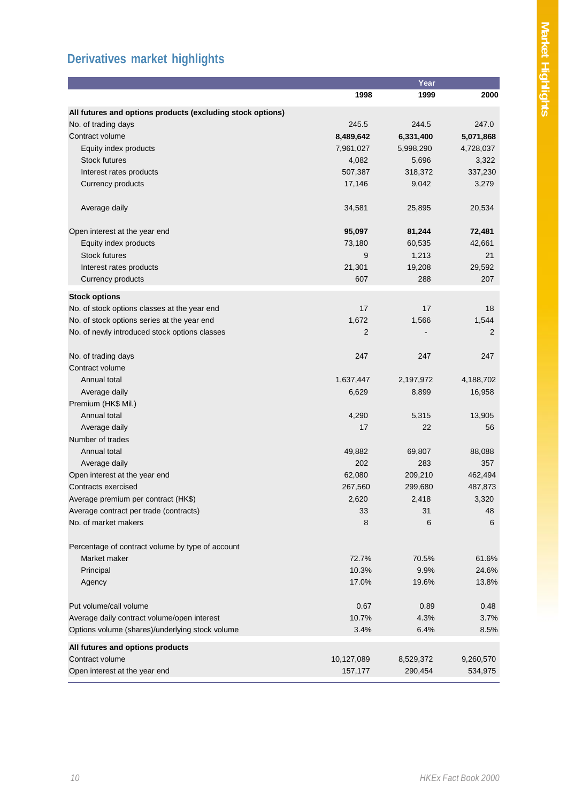# **Derivatives market highlights**

|                                                            |                | Year      |           |
|------------------------------------------------------------|----------------|-----------|-----------|
|                                                            | 1998           | 1999      | 2000      |
| All futures and options products (excluding stock options) |                |           |           |
| No. of trading days                                        | 245.5          | 244.5     | 247.0     |
| Contract volume                                            | 8,489,642      | 6,331,400 | 5,071,868 |
| Equity index products                                      | 7,961,027      | 5,998,290 | 4,728,037 |
| <b>Stock futures</b>                                       | 4,082          | 5,696     | 3,322     |
| Interest rates products                                    | 507,387        | 318,372   | 337,230   |
| Currency products                                          | 17,146         | 9,042     | 3,279     |
|                                                            |                |           |           |
| Average daily                                              | 34,581         | 25,895    | 20,534    |
| Open interest at the year end                              | 95,097         | 81,244    | 72,481    |
| Equity index products                                      | 73,180         | 60,535    | 42,661    |
| <b>Stock futures</b>                                       | 9              | 1,213     | 21        |
| Interest rates products                                    | 21,301         | 19,208    | 29,592    |
| Currency products                                          | 607            | 288       | 207       |
|                                                            |                |           |           |
| <b>Stock options</b>                                       |                |           |           |
| No. of stock options classes at the year end               | 17             | 17        | 18        |
| No. of stock options series at the year end                | 1,672          | 1,566     | 1,544     |
| No. of newly introduced stock options classes              | $\overline{2}$ |           | 2         |
| No. of trading days                                        | 247            | 247       | 247       |
| Contract volume                                            |                |           |           |
| Annual total                                               | 1,637,447      | 2,197,972 | 4,188,702 |
| Average daily                                              | 6,629          | 8,899     | 16,958    |
| Premium (HK\$ Mil.)                                        |                |           |           |
| Annual total                                               | 4,290          | 5,315     | 13,905    |
| Average daily                                              | 17             | 22        | 56        |
| Number of trades                                           |                |           |           |
| Annual total                                               | 49,882         | 69,807    | 88,088    |
| Average daily                                              | 202            | 283       | 357       |
| Open interest at the year end                              | 62,080         | 209,210   | 462,494   |
| Contracts exercised                                        | 267,560        | 299,680   | 487,873   |
| Average premium per contract (HK\$)                        | 2,620          | 2,418     | 3,320     |
| Average contract per trade (contracts)                     | 33             | 31        | 48        |
| No. of market makers                                       | 8              | 6         | 6         |
| Percentage of contract volume by type of account           |                |           |           |
| Market maker                                               | 72.7%          | 70.5%     | 61.6%     |
| Principal                                                  | 10.3%          | 9.9%      | 24.6%     |
| Agency                                                     | 17.0%          | 19.6%     | 13.8%     |
| Put volume/call volume                                     | 0.67           | 0.89      | 0.48      |
| Average daily contract volume/open interest                | 10.7%          | 4.3%      | 3.7%      |
| Options volume (shares)/underlying stock volume            | 3.4%           | 6.4%      | 8.5%      |
| All futures and options products                           |                |           |           |
| Contract volume                                            | 10,127,089     | 8,529,372 | 9,260,570 |
| Open interest at the year end                              | 157,177        | 290,454   | 534,975   |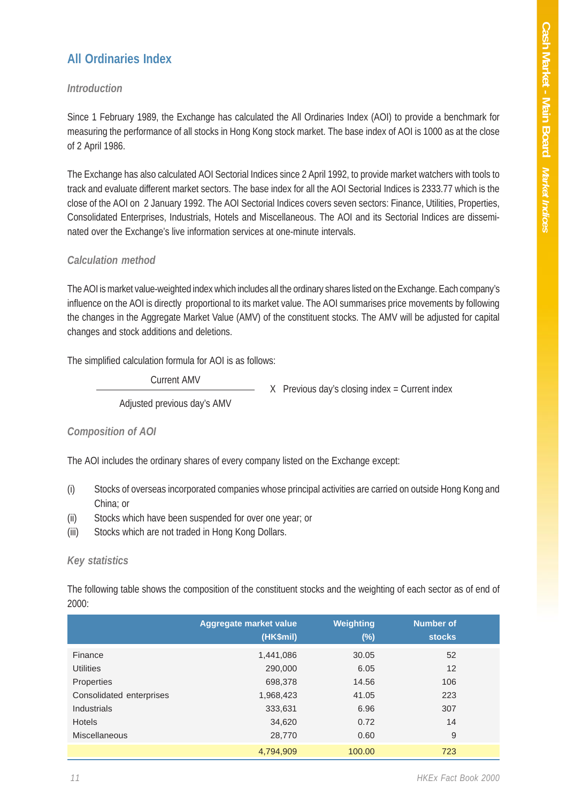#### **All Ordinaries Index**

#### *Introduction*

Since 1 February 1989, the Exchange has calculated the All Ordinaries Index (AOI) to provide a benchmark for measuring the performance of all stocks in Hong Kong stock market. The base index of AOI is 1000 as at the close of 2 April 1986.

The Exchange has also calculated AOI Sectorial Indices since 2 April 1992, to provide market watchers with tools to track and evaluate different market sectors. The base index for all the AOI Sectorial Indices is 2333.77 which is the close of the AOI on 2 January 1992. The AOI Sectorial Indices covers seven sectors: Finance, Utilities, Properties, Consolidated Enterprises, Industrials, Hotels and Miscellaneous. The AOI and its Sectorial Indices are disseminated over the Exchange's live information services at one-minute intervals.

#### *Calculation method*

The AOI is market value-weighted index which includes all the ordinary shares listed on the Exchange. Each company's influence on the AOI is directly proportional to its market value. The AOI summarises price movements by following the changes in the Aggregate Market Value (AMV) of the constituent stocks. The AMV will be adjusted for capital changes and stock additions and deletions.

The simplified calculation formula for AOI is as follows:

Current AMV

X Previous day's closing index = Current index

Adjusted previous day's AMV

#### *Composition of AOI*

The AOI includes the ordinary shares of every company listed on the Exchange except:

- (i) Stocks of overseas incorporated companies whose principal activities are carried on outside Hong Kong and China; or
- (ii) Stocks which have been suspended for over one year; or
- (iii) Stocks which are not traded in Hong Kong Dollars.

#### *Key statistics*

The following table shows the composition of the constituent stocks and the weighting of each sector as of end of 2000:

|                          | <b>Aggregate market value</b><br>(HK\$mil) | <b>Weighting</b><br>$(\%)$ | <b>Number of</b><br><b>stocks</b> |  |
|--------------------------|--------------------------------------------|----------------------------|-----------------------------------|--|
| Finance                  | 1,441,086                                  | 30.05                      | 52                                |  |
| <b>Utilities</b>         | 290,000                                    | 6.05                       | 12                                |  |
| Properties               | 698,378                                    | 14.56                      | 106                               |  |
| Consolidated enterprises | 1,968,423                                  | 41.05                      | 223                               |  |
| <b>Industrials</b>       | 333,631                                    | 6.96                       | 307                               |  |
| <b>Hotels</b>            | 34,620                                     | 0.72                       | 14                                |  |
| <b>Miscellaneous</b>     | 28,770                                     | 0.60                       | 9                                 |  |
|                          | 4,794,909                                  | 100.00                     | 723                               |  |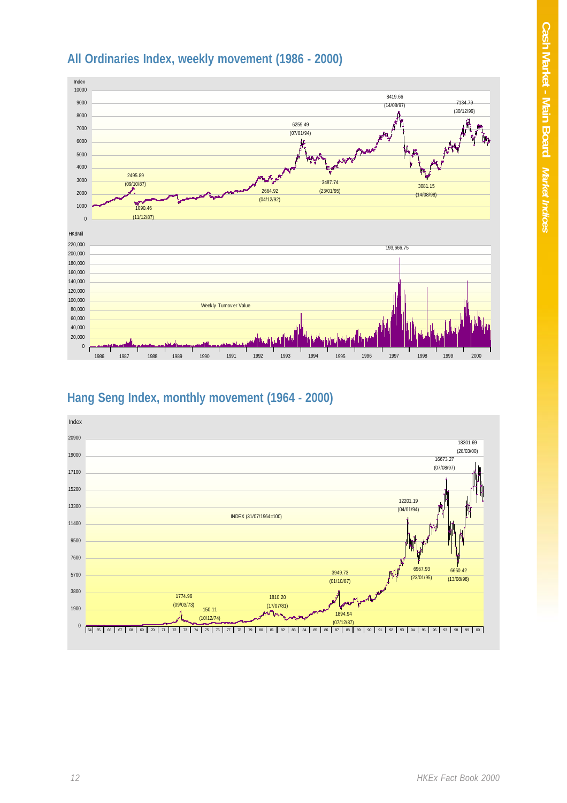



#### **Hang Seng Index, monthly movement (1964 - 2000)**

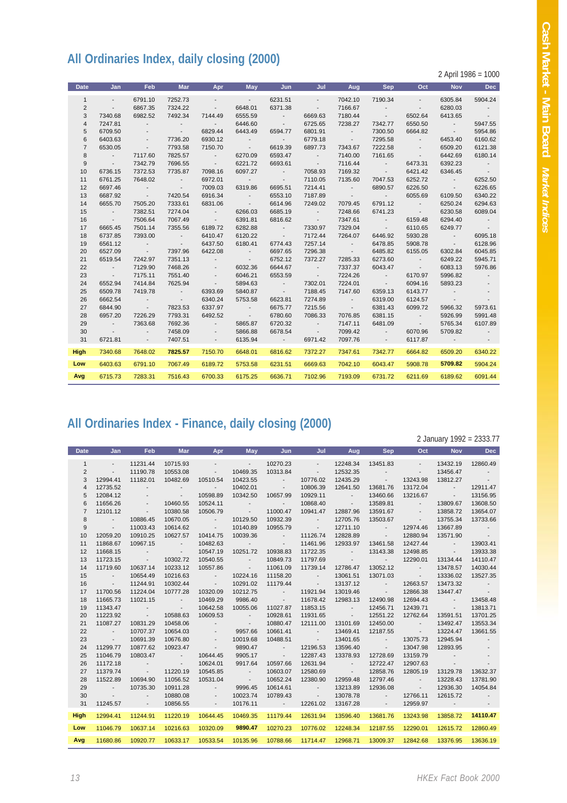# **All Ordinaries Index, daily closing (2000)**

2 April 1986 = 1000

| <b>Date</b>    | Jan                      | Feb                      | <b>Mar</b>                 | Apr                      | May              | Jun             | Jul              | Aug              | <b>Sep</b>               | Oct                      | <b>Nov</b>               | <b>Dec</b>               |
|----------------|--------------------------|--------------------------|----------------------------|--------------------------|------------------|-----------------|------------------|------------------|--------------------------|--------------------------|--------------------------|--------------------------|
| $\mathbf{1}$   | $\overline{\phantom{a}}$ | 6791.10                  | 7252.73                    | $\overline{\phantom{a}}$ | $\sim$           | 6231.51         | $\sim$           | 7042.10          | 7190.34                  | $\overline{\phantom{a}}$ | 6305.84                  | 5904.24                  |
| $\overline{2}$ | $\sim$                   | 6867.35                  | 7324.22                    | $\overline{\phantom{a}}$ | 6648.01          | 6371.38         | $\sim$           | 7166.67          | $\overline{\phantom{a}}$ | $\sim$                   | 6280.03                  | $\sim$                   |
| 3              | 7340.68                  | 6982.52                  | 7492.34                    | 7144.49                  | 6555.59          | $\sim$          | 6669.63          | 7180.44          | $\sim$ 100 $\pm$         | 6502.64                  | 6413.65                  | $\sim$ 100 $\pm$         |
| $\overline{4}$ | 7247.81                  | $\overline{\phantom{a}}$ | $\sim$                     | $\sim$                   | 6446.60          | $\sim$          | 6725.65          | 7238.27          | 7342.77                  | 6550.50                  | <b>Contract Contract</b> | 5947.55                  |
| 5              | 6709.50                  | $\overline{\phantom{a}}$ | $\sim$                     | 6829.44                  | 6443.49          | 6594.77         | 6801.91          | $\sim$           | 7300.50                  | 6664.82                  | $\sim$ 100 $\pm$         | 5954.86                  |
| 6              | 6403.63                  | $\overline{\phantom{a}}$ | 7736.20                    | 6930.12                  | $\sim$           | $\sim$          | 6779.18          | <b>Contract</b>  | 7295.58                  | $\sim$                   | 6453.40                  | 6160.62                  |
| $\overline{7}$ | 6530.05                  | $\sim$                   | 7793.58                    | 7150.70                  | <b>Contract</b>  | 6619.39         | 6897.73          | 7343.67          | 7222.58                  | $\overline{\phantom{a}}$ | 6509.20                  | 6121.38                  |
| 8              | $\sim 100$               | 7117.60                  | 7825.57                    | $\sim$ 100 $\pm$         | 6270.09          | 6593.47         | $\sim$ 100 $\pm$ | 7140.00          | 7161.65                  | $\overline{\phantom{a}}$ | 6442.69                  | 6180.14                  |
| 9              | <b>Contract Contract</b> | 7342.79                  | 7696.55                    | $\sim$ 100 $\pm$         | 6221.72          | 6693.61         | <b>Contract</b>  | 7116.44          | <b>Contract</b>          | 6473.31                  | 6392.23                  | $\sim$ 100 $\pm$         |
| 10             | 6736.15                  | 7372.53                  | 7735.87                    | 7098.16                  | 6097.27          | $\sim$          | 7058.93          | 7169.32          | <b>Contract</b>          | 6421.42                  | 6346.45                  | $\sim 100$               |
| 11             | 6761.25                  | 7648.02                  | $\sim$ 100 $\pm$           | 6972.01                  | <b>Contract</b>  | $\sim$          | 7110.05          | 7135.60          | 7047.53                  | 6252.72                  | <b>Contract Contract</b> | 6252.50                  |
| 12             | 6697.46                  | $\sim$                   | $\sim 100$ km s $^{-1}$    | 7009.03                  | 6319.86          | 6695.51         | 7214.41          | <b>Contract</b>  | 6890.57                  | 6226.50                  | $\sim 100$               | 6226.65                  |
| 13             | 6687.92                  | $\sim 100$               | 7420.54                    | 6916.34                  | $\sim$           | 6553.10         | 7187.89          | <b>Contract</b>  | <b>Contract Contract</b> | 6055.69                  | 6109.50                  | 6340.22                  |
| 14             | 6655.70                  | 7505.20                  | 7333.61                    | 6831.06                  | $\sim$ 100 $\pm$ | 6614.96         | 7249.02          | 7079.45          | 6791.12                  | <b>Contract</b>          | 6250.24                  | 6294.63                  |
| 15             | $\sim$ 100 $\pm$         | 7382.51                  | 7274.04                    | $\sim$ 100 $\pm$         | 6266.03          | 6685.19         | $\sim$ 100 $\pm$ | 7248.66          | 6741.23                  | <b>State State</b>       | 6230.58                  | 6089.04                  |
| 16             | <b>Contract Contract</b> | 7506.64                  | 7067.49                    | $\sim$ 100 $\pm$         | 6391.81          | 6816.62         | $\sim 100$       | 7347.61          | $\sim 100$ m $^{-1}$     | 6159.48                  | 6294.40                  | $\sim$ 100 $\pm$         |
| 17             | 6665.45                  | 7501.14                  | 7355.56                    | 6189.72                  | 6282.88          | $\sim$          | 7330.97          | 7329.04          | $\sim$ 100 $\pm$         | 6110.65                  | 6249.77                  | $\sim 100$               |
| 18             | 6737.85                  | 7393.00                  | $\sim$ 100 $\pm$ 100 $\pm$ | 6410.47                  | 6120.22          | $\sim$          | 7172.44          | 7264.07          | 6446.92                  | 5930.28                  | <b>Contract Contract</b> | 6095.18                  |
| 19             | 6561.12                  | $\sim 100$               | $\sim 100$ km s $^{-1}$    | 6437.50                  | 6180.41          | 6774.43         | 7257.14          | $\sim 100$       | 6478.85                  | 5908.78                  | $\sim 100$               | 6128.96                  |
| 20             | 6527.09                  | $\sim$ 100 $\pm$         | 7397.96                    | 6422.08                  | $\sim 100$       | 6697.65         | 7296.38          | <b>Contract</b>  | 6485.82                  | 6155.05                  | 6302.84                  | 6045.85                  |
| 21             | 6519.54                  | 7242.97                  | 7351.13                    | $\sim$                   | $\sim$           | 6752.12         | 7372.27          | 7285.33          | 6273.60                  | $\sim 100$ km s $^{-1}$  | 6249.22                  | 5945.71                  |
| 22             | $\sim 100$               | 7129.90                  | 7468.26                    | $\overline{\phantom{a}}$ | 6032.36          | 6644.67         | $\sim 100$       | 7337.37          | 6043.47                  | $\sim 100$               | 6083.13                  | 5976.86                  |
| 23             | <b>Contract Contract</b> | 7175.11                  | 7551.40                    | $\overline{\phantom{a}}$ | 6046.21          | 6553.59         | $\sim$           | 7224.26          | $\sim$ 100 $\pm$         | 6170.97                  | 5996.82                  | $\sim$                   |
| 24             | 6552.94                  | 7414.84                  | 7625.94                    | $\sim$                   | 5894.63          | $\sim$          | 7302.01          | 7224.01          | $\sim$ 100 $\pm$         | 6094.16                  | 5893.23                  |                          |
| 25             | 6509.78                  | 7419.78                  | $\sim 100$                 | 6393.69                  | 5840.87          | $\sim$          | 7188.45          | 7147.60          | 6359.13                  | 6143.77                  | $\sim$                   | $\overline{\phantom{a}}$ |
| 26             | 6662.54                  | $\sim$                   | $\sim 100$ km s $^{-1}$    | 6340.24                  | 5753.58          | 6623.81         | 7274.89          | $\sim 100$       | 6319.00                  | 6124.57                  | $\sim$ 100 $\pm$         | $\sim$                   |
| 27             | 6844.90                  | $\sim 100$               | 7823.53                    | 6337.97                  | $\sim$ 100 $\pm$ | 6675.77         | 7215.56          | $\sim$ 100 $\pm$ | 6381.43                  | 6099.72                  | 5966.32                  | 5973.61                  |
| 28             | 6957.20                  | 7226.29                  | 7793.31                    | 6492.52                  | $\sim 100$       | 6780.60         | 7086.33          | 7076.85          | 6381.15                  | $\sim$ 100 $\pm$         | 5926.99                  | 5991.48                  |
| 29             | $\sim$ 100 $\pm$         | 7363.68                  | 7692.36                    | $\sim$                   | 5865.87          | 6720.32         | $\sim$           | 7147.11          | 6481.09                  | $\sim$ 100 $\pm$         | 5765.34                  | 6107.89                  |
| 30             | $\sim$ 100 $\pm$         | $\sim$                   | 7458.09                    | $\sim$                   | 5866.88          | 6678.54         | $\sim$ 100 $\pm$ | 7099.42          | $\sim$ 100 $\pm$         | 6070.96                  | 5709.82                  | $\sim$                   |
| 31             | 6721.81                  | $\sim$ 100 $\pm$         | 7407.51                    | $\sim$ $-$               | 6135.94          | <b>Contract</b> | 6971.42          | 7097.76          | <b>Contract</b>          | 6117.87                  | <b>Contractor</b>        | $\sim$                   |
| <b>High</b>    | 7340.68                  | 7648.02                  | 7825.57                    | 7150.70                  | 6648.01          | 6816.62         | 7372.27          | 7347.61          | 7342.77                  | 6664.82                  | 6509.20                  | 6340.22                  |
| Low            | 6403.63                  | 6791.10                  | 7067.49                    | 6189.72                  | 5753.58          | 6231.51         | 6669.63          | 7042.10          | 6043.47                  | 5908.78                  | 5709.82                  | 5904.24                  |
|                |                          |                          |                            |                          |                  |                 |                  |                  |                          |                          |                          |                          |
| Avg            | 6715.73                  | 7283.31                  | 7516.43                    | 6700.33                  | 6175.25          | 6636.71         | 7102.96          | 7193.09          | 6731.72                  | 6211.69                  | 6189.62                  | 6091.44                  |

# **All Ordinaries Index - Finance, daily closing (2000)**

2 January 1992 = 2333.77

| <b>Date</b>    | <b>Jan</b>               | <b>Feb</b>                    | <b>Mar</b>               | Apr                      | <b>May</b>                           | Jun                      | Jul                      | Aug                                  | <b>Sep</b>               | Oct                                  | <b>Nov</b>               | <b>Dec</b>               |
|----------------|--------------------------|-------------------------------|--------------------------|--------------------------|--------------------------------------|--------------------------|--------------------------|--------------------------------------|--------------------------|--------------------------------------|--------------------------|--------------------------|
| $\mathbf{1}$   | $\sim$                   | 11231.44                      | 10715.93                 | $\sim$                   | <b>Contractor</b>                    | 10270.23                 | $\sim$                   | 12248.34                             | 13451.83                 | $\sim$                               | 13432.19                 | 12860.49                 |
| $\overline{2}$ | $\overline{\phantom{a}}$ | 11190.78                      | 10553.08                 | $\sim$                   | 10469.35                             | 10313.84                 | <b>Contract Contract</b> | 12532.35                             | <b>Contract Contract</b> | <b>Contract Contract</b>             | 13456.47                 |                          |
| 3              | 12994.41                 | 11182.01                      | 10482.69                 | 10510.54                 | 10423.55                             | <b>Contract Contract</b> | 10776.02                 | 12435.29                             | <b>Contractor</b>        | 13243.98                             | 13812.27                 | <b>Contract Service</b>  |
| $\overline{4}$ | 12735.52                 | $\sim$                        | <b>Contractor</b>        | $\sim$ $-$               | 10402.01                             | <b>Contract Contract</b> | 10806.39                 | 12641.50                             | 13681.76                 | 13172.04                             | <b>Contract State</b>    | 12911.47                 |
| 5              | 12084.12                 | $\sim$                        | <b>Contractor</b>        | 10598.89                 | 10342.50                             | 10657.99                 | 10929.11                 | <b>Contract Contract</b>             | 13460.66                 | 13216.67                             | <b>Contract Contract</b> | 13156.95                 |
| 6              | 11656.26                 | <b>Contract Contract</b>      | 10460.55                 | 10524.11                 | <b>Contract Contract</b>             | <b>Contractor</b>        | 10868.40                 | <b>Contractor</b>                    | 13589.81                 | <b>Contract Contract</b>             | 13809.67                 | 13608.50                 |
| $\overline{7}$ | 12101.12                 | <b>Contract State</b>         | 10380.58                 | 10506.79                 | <b>Contractor</b>                    | 11000.47                 | 10941.47                 | 12887.96                             | 13591.67                 | <b>Contract State</b>                | 13858.72                 | 13654.07                 |
| 8              | $\sim 100$               | 10886.45                      | 10670.05                 | <b>Contract Contract</b> | 10129.50                             | 10932.39                 | <b>Contract Service</b>  | 12705.76                             | 13503.67                 | <b>Contract Contract</b>             | 13755.34                 | 13733.66                 |
| 9              | <b>Contract</b>          | 11003.43                      | 10614.62                 | <b>Contractor</b>        | 10140.89                             | 10955.79                 | <b>Contractor</b>        | 12711.10                             | <b>Contractor</b>        | 12974.46                             | 13667.89                 | <b>Contract State</b>    |
| 10             | 12059.20                 | 10910.25                      | 10627.57                 | 10414.75                 | 10039.36                             | <b>Contractor</b>        | 11126.74                 | 12828.89                             | <b>Contractor</b>        | 12880.94                             | 13571.90                 | <b>Contract</b>          |
| 11             | 11868.67                 | 10967.15                      | <b>Contract Service</b>  | 10482.63                 | <b>Contractor</b>                    | <b>Contractor</b>        | 11461.96                 | 12933.97                             | 13461.58                 | 12427.44                             | <b>Contract</b>          | 13903.41                 |
| 12             | 11668.15                 | <b>Contract Contract</b>      | <b>Contractor</b>        | 10547.19                 | 10251.72                             | 10938.83                 | 11722.35                 | <b>Contractor</b>                    | 13143.38                 | 12498.85                             | <b>Contract State</b>    | 13933.38                 |
| 13             | 11723.15                 | <b>Contractor</b>             | 10302.72                 | 10540.55                 | $\sim 10^{-10}$ km $^{-1}$           | 10849.73                 | 11797.69                 | <b>Contractor</b>                    | <b>Contract Contract</b> | 12290.01                             | 13134.44                 | 14110.47                 |
| 14             | 11719.60                 | 10637.14                      | 10233.12                 | 10557.86                 | <b>Contract Contract</b>             | 11061.09                 | 11739.14                 | 12786.47                             | 13052.12                 | <b>Contract</b>                      | 13478.57                 | 14030.44                 |
| 15             | $\sim 100$               | 10654.49                      | 10216.63                 | <b>Contract Contract</b> | 10224.16                             | 11158.20                 | <b>Contract</b>          | 13061.51                             | 13071.03                 | <b>Contract Contract</b>             | 13336.02                 | 13527.35                 |
| 16             | <b>Contract</b>          | 11244.91                      | 10302.44                 | <b>Contractor</b>        | 10291.02                             | 11179.44                 | <b>Contract Contract</b> | 13137.12                             | <b>Contractor</b>        | 12663.57                             | 13473.32                 | $\sim 100$               |
| 17             | 11700.56                 | 11224.04                      | 10777.28                 | 10320.09                 | 10212.75                             | <b>Contractor</b>        | 11921.94                 | 13019.46                             | <b>Contract Contract</b> | 12866.38                             | 13447.47                 | <b>Contract</b>          |
| 18             | 11665.73                 | 11021.15                      | <b>Contract Contract</b> | 10469.29                 | 9986.40                              | <b>Contractor</b>        | 11678.42                 | 12983.13                             | 12490.98                 | 12694.43                             | <b>Contract Contract</b> | 13458.48                 |
| 19             | 11343.47                 | $\sim$ 100 $\pm$              | <b>Contract Contract</b> | 10642.58                 | 10055.06                             | 11027.87                 | 11853.15                 | <b>Contract Contract</b>             | 12456.71                 | 12439.71                             | <b>Contract Contract</b> | 13813.71                 |
| 20<br>21       | 11223.92<br>11087.27     | <b>Contractor</b><br>10831.29 | 10588.63<br>10458.06     | 10609.53<br>$\sim$       | <b>Contract</b><br><b>Contractor</b> | 10928.61<br>10880.47     | 11931.65<br>12111.00     | <b>Contract Contract</b><br>13101.69 | 12551.22<br>12450.00     | 12762.64<br><b>Contract Contract</b> | 13591.51<br>13492.47     | 13701.25<br>13553.34     |
| 22             | $\sim 100$ km s $^{-1}$  | 10707.37                      | 10654.03                 | $\sim$                   | 9957.66                              | 10661.41                 | <b>Contract Contract</b> | 13469.41                             | 12187.55                 | <b>Contractor</b>                    | 13224.47                 | 13661.55                 |
| 23             | $\sim 100$ km s $^{-1}$  | 10691.39                      | 10676.80                 | $\sim$                   | 10019.68                             | 10488.51                 | <b>Contract Contract</b> | 13401.65                             | <b>Contractor</b>        | 13075.73                             | 12945.94                 | $\sim 100$               |
| 24             | 11299.77                 | 10877.62                      | 10923.47                 | <b>Contract</b>          | 9890.47                              | <b>Contractor</b>        | 12196.53                 | 13596.40                             | <b>Contractor</b>        | 13047.98                             | 12893.95                 | $\sim$                   |
| 25             | 11046.79                 | 10803.47                      | <b>Contract</b>          | 10644.45                 | 9905.17                              | <b>Contract</b>          | 12287.43                 | 13378.93                             | 12728.69                 | 13159.79                             | $\sim$ $-$               | $\overline{\phantom{a}}$ |
| 26             | 11172.18                 | $\sim$ 100 $\pm$              | <b>Contract</b>          | 10624.01                 | 9917.64                              | 10597.66                 | 12631.94                 | <b>Contract Contract</b>             | 12722.47                 | 12907.63                             | <b>Contract Contract</b> | $\sim$                   |
| 27             | 11379.74                 | <b>Contract Contract</b>      | 11220.19                 | 10545.85                 | <b>Contract</b>                      | 10603.07                 | 12580.69                 | <b>Contractor</b>                    | 12858.76                 | 12805.19                             | 13129.78                 | 13632.37                 |
| 28             | 11522.89                 | 10694.90                      | 11056.52                 | 10531.04                 | <b>Contract</b>                      | 10652.24                 | 12380.90                 | 12959.48                             | 12797.46                 | <b>Contract Contract</b>             | 13228.43                 | 13781.90                 |
| 29             | <b>Contract</b>          | 10735.30                      | 10911.28                 | <b>Contract Contract</b> | 9996.45                              | 10614.61                 | <b>Contract Contract</b> | 13213.89                             | 12936.08                 | <b>Contractor</b>                    | 12936.30                 | 14054.84                 |
| 30             | <b>State State</b>       | <b>Contract Contract</b>      | 10880.08                 | $\sim$ 100 $\pm$         | 10023.74                             | 10789.43                 | <b>Contractor</b>        | 13078.78                             | <b>Contractor</b>        | 12766.11                             | 12615.72                 | $\sim 100$               |
| 31             | 11245.57                 | <b>Contractor</b>             | 10856.55                 | <b>Contract Contract</b> | 10176.11                             | $-12261.02$              |                          | 13167.28                             | <b>Contractor</b>        | 12959.97                             | <b>Contractor</b>        | $\sim 100$ km s $^{-1}$  |
| <b>High</b>    | 12994.41                 | 11244.91                      | 11220.19                 | 10644.45                 | 10469.35                             | 11179.44                 | 12631.94                 | 13596.40                             | 13681.76                 | 13243.98                             | 13858.72                 | 14110.47                 |
|                |                          |                               |                          |                          |                                      |                          |                          |                                      |                          |                                      |                          |                          |
| Low            | 11046.79                 | 10637.14                      | 10216.63                 | 10320.09                 | 9890.47                              | 10270.23                 | 10776.02                 | 12248.34                             | 12187.55                 | 12290.01                             | 12615.72                 | 12860.49                 |
| Avg            | 11680.86                 | 10920.77                      | 10633.17                 | 10533.54                 | 10135.96                             | 10788.66                 | 11714.47                 | 12968.71                             | 13009.37                 | 12842.68                             | 13376.95                 | 13636.19                 |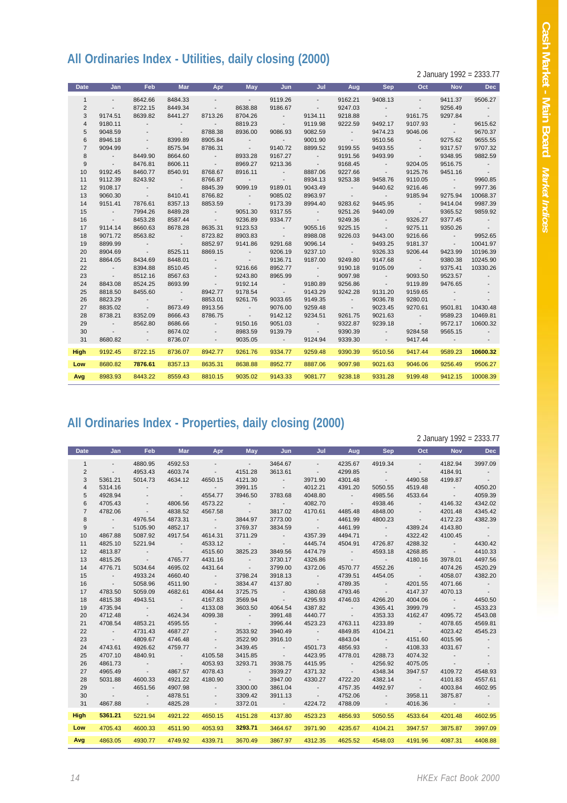## **All Ordinaries Index - Utilities, daily closing (2000)**

2 January 1992 = 2333.77

| <b>Date</b>    | Jan                      | <b>Feb</b>                 | <b>Mar</b>                    | Apr                      | May                        | Jun                        | Jul                      | Aug                        | <b>Sep</b>               | Oct                      | <b>Nov</b>                                           | <b>Dec</b>               |
|----------------|--------------------------|----------------------------|-------------------------------|--------------------------|----------------------------|----------------------------|--------------------------|----------------------------|--------------------------|--------------------------|------------------------------------------------------|--------------------------|
| $\mathbf{1}$   | $\sim$                   | 8642.66                    | 8484.33                       | $\overline{\phantom{a}}$ | $\sim 100$                 | 9119.26                    | $\sim$                   | 9162.21                    | 9408.13                  | $\sim$                   | 9411.37                                              | 9506.27                  |
| $\overline{2}$ | $\sim$                   | 8722.15                    | 8449.34                       | $\sim$                   | 8638.88                    | 9186.67                    | $\sim$                   | 9247.03                    | $\overline{\phantom{a}}$ | $\overline{\phantom{a}}$ | 9256.49                                              | $\sim$                   |
| 3              | 9174.51                  | 8639.82                    | 8441.27                       | 8713.26                  | 8704.26                    | $\sim$ 100 $\pm$           | 9134.11                  | 9218.88                    | <b>Contract Contract</b> | 9161.75                  | 9297.84                                              | $\sim 100$               |
| $\overline{4}$ | 9180.11                  | $\overline{\phantom{a}}$   | $\sim$                        | $\sim$                   | 8819.23                    | $\sim$                     | 9119.98                  | 9222.59                    | 9492.17                  | 9107.93                  | <b>Contract Contract</b>                             | 9615.62                  |
| 5              | 9048.59                  |                            | $\sim 100$                    | 8788.38                  | 8936.00                    | 9086.93                    | 9082.59                  | <b>Contract</b>            | 9474.23                  | 9046.06                  | <b>Contract</b>                                      | 9670.37                  |
| 6              | 8946.18                  | $\overline{\phantom{a}}$   | 8399.89                       | 8905.84                  | $\sim$ 100 $\pm$ 100 $\pm$ | $\sim 100$                 | 9001.90                  | <b>Contract</b>            | 9510.56                  | $\sim$                   | 9275.62                                              | 9655.55                  |
| $\overline{7}$ | 9094.99                  | $\sim$ 100 $\pm$           | 8575.94                       | 8786.31                  | <b>Contract Contract</b>   | 9140.72                    | 8899.52                  | 9199.55                    | 9493.55                  | $\sim$                   | 9317.57                                              | 9707.32                  |
| 8              | $\sim 100$               | 8449.90                    | 8664.60                       | $\sim 100$               | 8933.28                    | 9167.27                    | $\sim 100$               | 9191.56                    | 9493.99                  | $\sim$ 100 $\pm$         | 9348.95                                              | 9882.59                  |
| 9              | <b>Contract Contract</b> | 8476.81                    | 8606.11                       | $\sim 100$ km s $^{-1}$  | 8969.27                    | 9213.36                    | <b>Contract Contract</b> | 9168.45                    | <b>Contract Contract</b> | 9204.05                  | 9516.75                                              | <b>Contract Contract</b> |
| 10             | 9192.45                  | 8460.77                    | 8540.91                       | 8768.67                  | 8916.11                    | $\sim$                     | 8887.06                  | 9227.66                    | <b>Contractor</b>        | 9125.76                  | 9451.16                                              | $\sim 100$ km s $^{-1}$  |
| 11             | 9112.39                  | 8243.92                    | <b>Contract</b>               | 8766.87                  | <b>Contractor</b>          | $\sim$                     | 8934.13                  | 9253.38                    | 9458.76                  | 9110.05                  | <b>Contract Contract</b>                             | 9960.85                  |
| 12             | 9108.17                  | $\sim$                     | <b>Contract</b>               | 8845.39                  | 9099.19                    | 9189.01                    | 9043.49                  | <b>Contractor</b>          | 9440.62                  | 9216.46                  | <b>Contractor</b>                                    | 9977.36                  |
| 13             | 9060.30                  | <b>Contract Contract</b>   | 8410.41                       | 8766.82                  | <b>Contract</b>            | 9085.02                    | 8963.97                  | <b>Contractor</b>          | <b>Contract Contract</b> | 9185.94                  | 9275.94                                              | 10068.37                 |
| 14             | 9151.41                  | 7876.61                    | 8357.13                       | 8853.59                  | <b>Contractor</b>          | 9173.39                    | 8994.40                  | 9283.62                    | 9445.95                  | <b>Contract Contract</b> | 9414.04                                              | 9987.39                  |
| 15             | $\sim$ 100 $\pm$         | 7994.26                    | 8489.28                       | $\sim 100$               | 9051.30                    | 9317.55                    | $\sim 100$               | 9251.26                    | 9440.09                  | <b>Contractor</b>        | 9365.52                                              | 9859.92                  |
| 16             | <b>Contract</b>          | 8453.28                    | 8587.44                       | <b>Contract</b>          | 9236.89                    | 9334.77                    | <b>Contract</b>          | 9249.36                    | <b>Contract</b>          | 9326.27                  | 9377.45                                              | <b>Contract</b>          |
| 17             | 9114.14                  | 8660.63                    | 8678.28                       | 8635.31                  | 9123.53                    | <b>Contract</b>            | 9055.16                  | 9225.15                    | <b>Contractor</b>        | 9275.11                  | 9350.26                                              | <b>Contract</b>          |
| 18             | 9071.72                  | 8563.82                    | <b>Contract</b>               | 8723.82                  | 8903.83                    | <b>Contractor</b>          | 8988.08                  | 9226.03                    | 9443.00                  | 9216.66                  | <b>Contract Contract</b>                             | 9952.65                  |
| 19             | 8899.99                  | $\sim 100$                 | <b>Contract</b>               | 8852.97                  | 9141.86                    | 9291.68                    | 9096.14                  | <b>Contractor</b>          | 9493.25                  | 9181.37                  | <b>Contract Contract</b>                             | 10041.97                 |
| 20             | 8904.69                  | $\sim 100$ m $^{-1}$       | 8525.11                       | 8869.15                  | <b>Contract</b>            | 9206.19                    | 9237.10                  | <b>Contractor</b>          | 9326.33                  | 9206.44                  | 9423.99                                              | 10196.39                 |
| 21             | 8864.05                  | 8434.69                    | 8448.01                       | $\sim$                   | <b>Contractor</b>          | 9136.71                    | 9187.00                  | 9249.80                    | 9147.68                  | <b>Contractor</b>        | 9380.38                                              | 10245.90                 |
| 22             | $\sim 100$               | 8394.88                    | 8510.45                       | $\overline{\phantom{a}}$ | 9216.66                    | 8952.77                    | <b>Contract Contract</b> | 9190.18                    | 9105.09                  | <b>Contractor</b>        | 9375.41                                              | 10330.26                 |
| 23             | <b>Contract</b>          | 8512.16                    | 8567.63                       | $\overline{\phantom{a}}$ | 9243.80                    | 8965.99                    | <b>Contract</b>          | 9097.98                    | <b>Contractor</b>        | 9093.50                  | 9523.57                                              | $\sim$                   |
| 24             | 8843.08                  | 8524.25<br>8455.60         | 8693.99                       | $\sim 100$ km s $^{-1}$  | 9192.14                    | <b>Contract</b>            | 9180.89                  | 9256.86                    | <b>Contractor</b>        | 9119.89                  | 9476.65                                              | $\sim$                   |
| 25<br>26       | 8818.50<br>8823.29       |                            | $\sim 100$<br><b>Contract</b> | 8942.77<br>8853.01       | 9178.54<br>9261.76         | <b>Contract</b><br>9033.65 | 9143.29<br>9149.35       | 9242.28<br><b>Contract</b> | 9131.20<br>9036.78       | 9159.65<br>9280.01       | <b>Contract Contract</b><br><b>Contract Contract</b> | $\sim$<br>$\sim$         |
| 27             | 8835.02                  | $\sim 100$ m $^{-1}$       | 8673.49                       | 8913.56                  | <b>Contract</b>            | 9076.00                    | 9259.48                  |                            | 9023.45                  | 9270.61                  | 9501.81                                              | 10430.48                 |
| 28             | 8738.21                  | <b>Contract</b><br>8352.09 | 8666.43                       | 8786.75                  | <b>Contractor</b>          | 9142.12                    | 9234.51                  | <b>Contract</b><br>9261.75 | 9021.63                  | <b>Contract Contract</b> | 9589.23                                              | 10469.81                 |
| 29             | <b>Contract Contract</b> | 8562.80                    | 8686.66                       | $\sim$                   | 9150.16                    | 9051.03                    | <b>Contract</b>          | 9322.87                    | 9239.18                  | <b>Contractor</b>        | 9572.17                                              | 10600.32                 |
| 30             | <b>Contract Contract</b> | $\overline{\phantom{a}}$   | 8674.02                       | $\overline{\phantom{a}}$ | 8983.59                    | 9139.79                    | <b>Contract</b>          | 9390.39                    | <b>Contractor</b>        | 9284.58                  | 9565.15                                              | <b>Contractor</b>        |
| 31             | 8680.82                  | $\sim$                     | 8736.07                       | $\sim$                   | 9035.05                    | <b>Contractor</b>          | 9124.94                  | 9339.30                    | <b>Contractor</b>        | 9417.44                  | $\sim$                                               | $\overline{\phantom{a}}$ |
|                |                          |                            |                               |                          |                            |                            |                          |                            |                          |                          |                                                      |                          |
| <b>High</b>    | 9192.45                  | 8722.15                    | 8736.07                       | 8942.77                  | 9261.76                    | 9334.77                    | 9259.48                  | 9390.39                    | 9510.56                  | 9417.44                  | 9589.23                                              | 10600.32                 |
| Low            | 8680.82                  | 7876.61                    | 8357.13                       | 8635.31                  | 8638.88                    | 8952.77                    | 8887.06                  | 9097.98                    | 9021.63                  | 9046.06                  | 9256.49                                              | 9506.27                  |
| Avg            | 8983.93                  | 8443.22                    | 8559.43                       | 8810.15                  | 9035.02                    | 9143.33                    | 9081.77                  | 9238.18                    | 9331.28                  | 9199.48                  | 9412.15                                              | 10008.39                 |
|                |                          |                            |                               |                          |                            |                            |                          |                            |                          |                          |                                                      |                          |

## **All Ordinaries Index - Properties, daily closing (2000)**

2 January 1992 = 2333.77

| <b>Date</b>    | Jan                      | <b>Feb</b>               | Mar                     | Apr                      | <b>May</b>               | Jun                      | Jul                     | Aug                      | Sep                      | Oct                      | <b>Nov</b>               | <b>Dec</b>               |
|----------------|--------------------------|--------------------------|-------------------------|--------------------------|--------------------------|--------------------------|-------------------------|--------------------------|--------------------------|--------------------------|--------------------------|--------------------------|
| $\mathbf{1}$   | $\blacksquare$           | 4880.95                  | 4592.53                 |                          | <b>Contractor</b>        | 3464.67                  | $\sim$                  | 4235.67                  | 4919.34                  | $\sim$                   | 4182.94                  | 3997.09                  |
| 2              | $\sim$                   | 4953.43                  | 4603.74                 | $\sim$                   | 4151.28                  | 3613.61                  | $\sim 100$ km s $^{-1}$ | 4299.85                  | <b>Contract</b>          | $\sim$                   | 4184.91                  | <b>Contract</b>          |
| 3              | 5361.21                  | 5014.73                  | 4634.12                 | 4650.15                  | 4121.30                  | <b>Contract</b>          | 3971.90                 | 4301.48                  | <b>Contract</b>          | 4490.58                  | 4199.87                  | $\sim$ 100 $\pm$         |
| 4              | 5314.16                  | <b>State State</b>       | <b>Contract</b>         | $\sim 100$               | 3991.15                  | $\sim 100$               | 4012.21                 | 4391.20                  | 5050.55                  | 4519.48                  | <b>Contractor</b>        | 4050.20                  |
| 5              | 4928.94                  |                          | <b>Contract</b>         | 4554.77                  | 3946.50                  | 3783.68                  | 4048.80                 | <b>Contractor</b>        | 4985.56                  | 4533.64                  | $\sim 100$ km s $^{-1}$  | 4059.39                  |
| 6              | 4705.43                  | $\overline{\phantom{a}}$ | 4806.56                 | 4573.22                  | <b>Contract Contract</b> | <b>Contract Contract</b> | 4082.70                 | $\sim 100$               | 4938.46                  | <b>Contractor</b>        | 4146.32                  | 4342.02                  |
| $\overline{7}$ | 4782.06                  | $\sim 100$               | 4838.52                 | 4567.58                  | $\sim 100$               | 3817.02                  | 4170.61                 | 4485.48                  | 4848.00                  | $\sim$ 100 $\pm$         | 4201.48                  | 4345.42                  |
| 8              | <b>Contract Contract</b> | 4976.54                  | 4873.31                 | <b>Contractor</b>        | 3844.97                  | 3773.00                  | <b>Contractor</b>       | 4461.99                  | 4800.23                  | <b>Contract Contract</b> | 4172.23                  | 4382.39                  |
| 9              | $\sim 100$ km s $^{-1}$  | 5105.90                  | 4852.17                 | $\sim 100$ km s $^{-1}$  | 3769.37                  | 3834.59                  | $\sim 100$ km s $^{-1}$ | 4461.99                  | <b>Contractor</b>        | 4389.24                  | 4143.80                  | <b>Contract Contract</b> |
| 10             | 4867.88                  | 5087.92                  | 4917.54                 | 4614.31                  | 3711.29                  | <b>Contractor</b>        | 4357.39                 | 4494.71                  | <b>Contract</b>          | 4322.42                  | 4100.45                  | $\sim$ $-$               |
| 11             | 4825.10                  | 5221.94                  | $\sim 100$ km s $^{-1}$ | 4533.12                  | <b>Contractor</b>        | $\sim 100$ km s $^{-1}$  | 4445.74                 | 4504.91                  | 4726.87                  | 4288.32                  | <b>Contractor</b>        | 4430.42                  |
| 12             | 4813.87                  | <b>Contractor</b>        | $\sim 100$ km s $^{-1}$ | 4515.60                  | 3825.23                  | 3849.56                  | 4474.79                 | <b>Contract Contract</b> | 4593.18                  | 4268.85                  | <b>Contract Contract</b> | 4410.33                  |
| 13             | 4815.26                  | <b>State State</b>       | 4765.77                 | 4431.16                  | <b>Contract</b>          | 3730.17                  | 4326.86                 | <b>Contract Contract</b> | <b>Contract</b>          | 4180.16                  | 3978.01                  | 4497.56                  |
| 14             | 4776.71                  | 5034.64                  | 4695.02                 | 4431.64                  | $\sim 100$ km s $^{-1}$  | 3799.00                  | 4372.06                 | 4570.77                  | 4552.26                  | <b>Contractor</b>        | 4074.26                  | 4520.29                  |
| 15             | <b>Contract</b>          | 4933.24                  | 4660.40                 | <b>Contractor</b>        | 3798.24                  | 3918.13                  | <b>Contractor</b>       | 4739.51                  | 4454.05                  | <b>Contract Contract</b> | 4058.07                  | 4382.20                  |
| 16             | <b>Contract</b>          | 5058.96                  | 4511.90                 | <b>Contractor</b>        | 3834.47                  | 4137.80                  | <b>Contractor</b>       | 4789.35                  | <b>Contractor</b>        | 4201.55                  | 4071.66                  | <b>Contractor</b>        |
| 17             | 4783.50                  | 5059.09                  | 4682.61                 | 4084.44                  | 3725.75                  | <b>Contractor</b>        | 4380.68                 | 4793.46                  | <b>Contractor</b>        | 4147.37                  | 4070.13                  | <b>Contract</b>          |
| 18             | 4815.38                  | 4943.51                  | <b>Contract</b>         | 4167.83                  | 3569.94                  | <b>Contractor</b>        | 4295.93                 | 4746.03                  | 4266.20                  | 4004.06                  | <b>Contractor</b>        | 4450.50                  |
| 19             | 4735.94                  | <b>Contract Contract</b> | <b>Contractor</b>       | 4133.08                  | 3603.50                  | 4064.54                  | 4387.82                 | <b>Contractor</b>        | 4365.41                  | 3999.79                  | <b>Contract Contract</b> | 4533.23                  |
| 20             | 4712.48                  | <b>Contract</b>          | 4624.34                 | 4099.38                  | <b>Contractor</b>        | 3991.48                  | 4440.77                 | <b>Contractor</b>        | 4353.33                  | 4162.47                  | 4095.72                  | 4543.08                  |
| 21             | 4708.54                  | 4853.21                  | 4595.55                 | <b>Contract Contract</b> | <b>Contractor</b>        | 3996.44                  | 4523.23                 | 4763.11                  | 4233.89                  | <b>Contractor</b>        | 4078.65                  | 4569.81                  |
| 22             | $\sim 100$ km s $^{-1}$  | 4731.43                  | 4687.27                 | $\sim$                   | 3533.92                  | 3940.49                  | <b>Contractor</b>       | 4849.85                  | 4104.21                  | <b>Contractor</b>        | 4023.42                  | 4545.23                  |
| 23             | <b>Contract</b>          | 4809.67                  | 4746.48                 | $\overline{\phantom{a}}$ | 3522.90                  | 3916.10                  | <b>Contractor</b>       | 4843.04                  | <b>Contractor</b>        | 4151.60                  | 4015.96                  | $\sim 100$ km s $^{-1}$  |
| 24             | 4743.61                  | 4926.62                  | 4759.77                 | $\sim$                   | 3439.45                  | <b>Contractor</b>        | 4501.73                 | 4856.93                  | <b>Contractor</b>        | 4108.33                  | 4031.67                  |                          |
| 25             | 4707.10                  | 4840.91                  | <b>Contract</b>         | 4105.58                  | 3415.85                  | <b>Contract</b>          | 4423.95                 | 4778.01                  | 4288.73                  | 4074.32                  | $\sim 100$ km s $^{-1}$  |                          |
| 26             | 4861.73                  | <b>Contract</b>          | <b>Contractor</b>       | 4053.93                  | 3293.71                  | 3938.75                  | 4415.95                 | <b>Contract</b>          | 4256.92                  | 4075.05                  | <b>Contract</b>          |                          |
| 27             | 4965.49                  | <b>Contractor</b>        | 4867.57                 | 4078.43                  | <b>Contract</b>          | 3939.27                  | 4371.32                 | <b>Contractor</b>        | 4348.34                  | 3947.57                  | 4109.72                  | 4548.93                  |
| 28             | 5031.88                  | 4600.33                  | 4921.22                 | 4180.90                  | <b>Contractor</b>        | 3947.00                  | 4330.27                 | 4722.20                  | 4382.14                  | <b>Contractor</b>        | 4101.83                  | 4557.61                  |
| 29             | $\sim 100$               | 4651.56                  | 4907.98                 | $\sim$                   | 3300.00                  | 3861.04                  | <b>Contractor</b>       | 4757.35                  | 4492.97                  | <b>Contractor</b>        | 4003.84                  | 4602.95                  |
| 30             | $\sim$                   | $\sim$                   | 4878.51                 | $\overline{\phantom{a}}$ | 3309.42                  | 3911.13                  | $\sim 100$ km s $^{-1}$ | 4752.06                  | <b>Contract Contract</b> | 3958.11                  | 3875.87                  | $\sim$ 100 $\pm$         |
| 31             | 4867.88                  |                          | 4825.28                 | $\sim$                   | 3372.01                  | <b>Contract Contract</b> | 4224.72                 | 4788.09                  | $\sim$                   | 4016.36                  | $\sim 100$               |                          |
| <b>High</b>    | 5361.21                  | 5221.94                  | 4921.22                 | 4650.15                  | 4151.28                  | 4137.80                  | 4523.23                 | 4856.93                  | 5050.55                  | 4533.64                  | 4201.48                  | 4602.95                  |
| Low            | 4705.43                  | 4600.33                  | 4511.90                 | 4053.93                  | 3293.71                  | 3464.67                  | 3971.90                 | 4235.67                  | 4104.21                  | 3947.57                  | 3875.87                  | 3997.09                  |
| Avg            | 4863.05                  | 4930.77                  | 4749.92                 | 4339.71                  | 3670.49                  | 3867.97                  | 4312.35                 | 4625.52                  | 4548.03                  | 4191.96                  | 4087.31                  | 4408.88                  |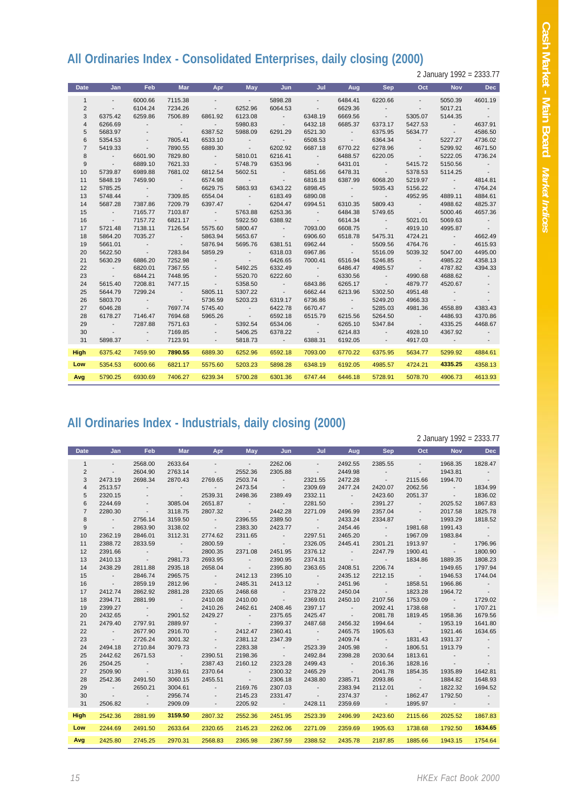## **All Ordinaries Index - Consolidated Enterprises, daily closing (2000)**

2 January 1992 = 2333.77

| <b>Date</b>    | Jan                      | <b>Feb</b>               | <b>Mar</b>               | Apr                      | May                      | Jun                      | Jul                      | Aug                                                     | <b>Sep</b>               | Oct                      | <b>Nov</b>               | <b>Dec</b>               |
|----------------|--------------------------|--------------------------|--------------------------|--------------------------|--------------------------|--------------------------|--------------------------|---------------------------------------------------------|--------------------------|--------------------------|--------------------------|--------------------------|
| $\mathbf{1}$   | $\sim$                   | 6000.66                  | 7115.38                  | $\overline{\phantom{a}}$ | <b>Contract Contract</b> | 5898.28                  | $\sim$                   | 6484.41                                                 | 6220.66                  | $\sim$                   | 5050.39                  | 4601.19                  |
| $\overline{2}$ | $\sim 100$               | 6104.24                  | 7234.26                  | $\sim$                   | 6252.96                  | 6064.53                  | <b>Contract Contract</b> | 6629.36                                                 | <b>Contract</b>          | $\sim$                   | 5017.21                  | <b>Contract</b>          |
| 3              | 6375.42                  | 6259.86                  | 7506.89                  | 6861.92                  | 6123.08                  | <b>Contractor</b>        | 6348.19                  | 6669.56                                                 | <b>Contract Contract</b> | 5305.07                  | 5144.35                  | <b>Contract Contract</b> |
| $\overline{4}$ | 6266.69                  | <b>Contract Contract</b> | <b>Contract</b>          | $\sim 100$               | 5980.83                  | <b>Contractor</b>        | 6432.18                  | 6685.37                                                 | 6373.17                  | 5427.53                  | <b>Contractor</b>        | 4637.91                  |
| 5              | 5683.97                  | $\sim$                   | <b>Contract Contract</b> | 6387.52                  | 5988.09                  | 6291.29                  | 6521.30                  | <b>Contractor</b>                                       | 6375.95                  | 5634.77                  | <b>Contractor</b>        | 4586.50                  |
| 6              | 5354.53                  | $\sim$                   | 7805.41                  | 6533.10                  | <b>Service State</b>     | <b>Contract Contract</b> | 6508.53                  | $\mathcal{L}_{\rm{max}}$ , and $\mathcal{L}_{\rm{max}}$ | 6364.34                  | <b>Contractor</b>        | 5227.27                  | 4736.02                  |
| $\overline{7}$ | 5419.33                  | <b>Contractor</b>        | 7890.55                  | 6889.30                  | <b>Contract Contract</b> | 6202.92                  | 6687.18                  | 6770.22                                                 | 6278.96                  | <b>Contract Contract</b> | 5299.92                  | 4671.50                  |
| 8              | <b>Contractor</b>        | 6601.90                  | 7829.80                  | <b>Contractor</b>        | 5810.01                  | 6216.41                  | <b>Contractor</b>        | 6488.57                                                 | 6220.05                  | <b>Contractor</b>        | 5222.05                  | 4736.24                  |
| 9              | <b>Contractor</b>        | 6889.10                  | 7621.33                  | <b>Contractor</b>        | 5748.79                  | 6353.96                  | <b>Contractor</b>        | 6431.01                                                 | <b>Contractor</b>        | 5415.72                  | 5150.56                  | <b>Contractor</b>        |
| 10             | 5739.87                  | 6989.88                  | 7681.02                  | 6812.54                  | 5602.51                  | <b>Contractor</b>        | 6851.66                  | 6478.31                                                 | <b>Contractor</b>        | 5378.53                  | 5114.25                  | <b>Contract</b>          |
| 11             | 5848.19                  | 7459.90                  | <b>Contract</b>          | 6574.98                  | <b>Contractor</b>        | <b>Contractor</b>        | 6816.18                  | 6387.99                                                 | 6068.20                  | 5219.97                  | <b>Contractor</b>        | 4814.81                  |
| 12             | 5785.25                  | <b>Contractor</b>        | <b>Contractor</b>        | 6629.75                  | 5863.93                  | 6343.22                  | 6898.45                  | <b>Contractor</b>                                       | 5935.43                  | 5156.22                  | <b>Contract Contract</b> | 4764.24                  |
| 13             | 5748.44                  | <b>Contractor</b>        | 7309.85                  | 6554.04                  | <b>Contract Contract</b> | 6183.49                  | 6890.08                  | <b>Contractor</b>                                       | <b>Contractor</b>        | 4952.95                  | 4889.11                  | 4884.61                  |
| 14             | 5687.28                  | 7387.86                  | 7209.79                  | 6397.47                  | <b>Contractor</b>        | 6204.47                  | 6994.51                  | 6310.35                                                 | 5809.43                  | <b>Contractor</b>        | 4988.62                  | 4825.37                  |
| 15             | <b>Contractor</b>        | 7165.77                  | 7103.87                  | <b>Contract</b>          | 5763.88                  | 6253.36                  | <b>Contractor</b>        | 6484.38                                                 | 5749.65                  | <b>Contractor</b>        | 5000.46                  | 4657.36                  |
| 16             | <b>Contractor</b>        | 7157.72                  | 6821.17                  | <b>Contractor</b>        | 5922.50                  | 6388.92                  | <b>Contractor</b>        | 6614.34                                                 | <b>Contractor</b>        | 5021.01                  | 5069.63                  | <b>Contract</b>          |
| 17             | 5721.48                  | 7138.11                  | 7126.54                  | 5575.60                  | 5800.47                  | <b>Contractor</b>        | 7093.00                  | 6608.75                                                 | <b>Contractor</b>        | 4919.10                  | 4995.87                  | <b>Contract</b>          |
| 18             | 5864.20                  | 7035.27                  | <b>Contractor</b>        | 5863.94                  | 5653.67                  | <b>Contractor</b>        | 6906.60                  | 6518.78                                                 | 5475.31                  | 4724.21                  | <b>Contract Contract</b> | 4662.49                  |
| 19             | 5661.01                  | <b>Contractor</b>        | <b>Contract Contract</b> | 5876.94                  | 5695.76                  | 6381.51                  | 6962.44                  | <b>Contract Contract</b>                                | 5509.56                  | 4764.76                  | <b>Contractor</b>        | 4615.93                  |
| 20             | 5622.50                  | <b>Contractor</b>        | 7283.84                  | 5859.29                  | <b>Contractor</b>        | 6318.03                  | 6967.86                  | <b>Contractor</b>                                       | 5516.09                  | 5039.32                  | 5047.00                  | 4495.00                  |
| 21             | 5630.29                  | 6886.20                  | 7252.98                  | <b>Contract Contract</b> | <b>Contractor</b>        | 6426.65                  | 7000.41                  | 6516.94                                                 | 5246.85                  | <b>Contract Contract</b> | 4985.22                  | 4358.13                  |
| 22             | <b>Contractor</b>        | 6820.01                  | 7367.55                  | $\overline{\phantom{a}}$ | 5492.25                  | 6332.49                  | <b>Contractor</b>        | 6486.47                                                 | 4985.57                  | <b>Contractor</b>        | 4787.82                  | 4394.33                  |
| 23             | <b>Contractor</b>        | 6844.21                  | 7448.95                  | $\overline{\phantom{a}}$ | 5520.70                  | 6222.60                  | <b>Contractor</b>        | 6330.56                                                 | <b>Contractor</b>        | 4990.68                  | 4688.62                  | $\sim$                   |
| 24             | 5615.40                  | 7208.81                  | 7477.15                  | <b>Contractor</b>        | 5358.50                  | <b>Contractor</b>        | 6843.86                  | 6265.17                                                 | <b>Contractor</b>        | 4879.77                  | 4520.67                  |                          |
| 25             | 5644.79                  | 7299.24                  | <b>Contract</b>          | 5805.11                  | 5307.22                  | <b>Contractor</b>        | 6662.44                  | 6213.96                                                 | 5302.50                  | 4951.48                  | $\sim 100$ km s $^{-1}$  | $\overline{\phantom{a}}$ |
| 26             | 5803.70                  | $\sim 100$ km s $^{-1}$  | <b>Contractor</b>        | 5736.59                  | 5203.23                  | 6319.17                  | 6736.86                  | <b>Contract Contract</b>                                | 5249.20                  | 4966.33                  | <b>Contract</b>          | $\overline{\phantom{a}}$ |
| 27             | 6046.28                  | <b>Contractor</b>        | 7697.74                  | 5745.40                  | <b>Contractor</b>        | 6422.78                  | 6670.47                  | <b>Contractor</b>                                       | 5285.03                  | 4981.36                  | 4558.89                  | 4383.43                  |
| 28             | 6178.27                  | 7146.47                  | 7694.68                  | 5965.26                  | <b>Contractor</b>        | 6592.18                  | 6515.79                  | 6215.56                                                 | 5264.50                  | <b>Contract Contract</b> | 4486.93                  | 4370.86                  |
| 29             | <b>Contract Contract</b> | 7287.88                  | 7571.63                  | $\sim$ 100 $\pm$         | 5392.54                  | 6534.06                  | <b>Contract Contract</b> | 6265.10                                                 | 5347.84                  | <b>Contract Contract</b> | 4335.25                  | 4468.67                  |
| 30             | $\sim 100$               |                          | 7169.85                  | $\overline{\phantom{a}}$ | 5406.25                  | 6378.22                  | <b>Contractor</b>        | 6214.83                                                 | <b>Contract Contract</b> | 4928.10                  | 4367.92                  | $\sim$ $-$               |
| 31             | 5898.37                  |                          | 7123.91                  | $\sim$                   | 5818.73                  | $\sim 100$ km s $^{-1}$  | 6388.31                  | 6192.05                                                 | <b>Contract Contract</b> | 4917.03                  | $\sim 100$ m $^{-1}$     |                          |
| <b>High</b>    | 6375.42                  | 7459.90                  | 7890.55                  | 6889.30                  | 6252.96                  | 6592.18                  | 7093.00                  | 6770.22                                                 | 6375.95                  | 5634.77                  | 5299.92                  | 4884.61                  |
| Low            | 5354.53                  | 6000.66                  | 6821.17                  | 5575.60                  | 5203.23                  | 5898.28                  | 6348.19                  | 6192.05                                                 | 4985.57                  | 4724.21                  | 4335.25                  | 4358.13                  |
| Avg            | 5790.25                  | 6930.69                  | 7406.27                  | 6239.34                  | 5700.28                  | 6301.36                  | 6747.44                  | 6446.18                                                 | 5728.91                  | 5078.70                  | 4906.73                  | 4613.93                  |
|                |                          |                          |                          |                          |                          |                          |                          |                                                         |                          |                          |                          |                          |

## **All Ordinaries Index - Industrials, daily closing (2000)**

2 January 1992 = 2333.77

| Date           | Jan                      | <b>Feb</b>               | <b>Mar</b>               | Apr                      | May                      | Jun                      | Jul                      | Aug                      | <b>Sep</b>               | Oct                      | <b>Nov</b>               | <b>Dec</b>               |
|----------------|--------------------------|--------------------------|--------------------------|--------------------------|--------------------------|--------------------------|--------------------------|--------------------------|--------------------------|--------------------------|--------------------------|--------------------------|
| $\mathbf{1}$   | $\sim$                   | 2568.00                  | 2633.64                  | $\sim$                   | <b>Contractor</b>        | 2262.06                  | $\sim$                   | 2492.55                  | 2385.55                  | $\sim$                   | 1968.35                  | 1828.47                  |
| 2              | $\sim$                   | 2604.90                  | 2763.14                  | $\sim$                   | 2552.36                  | 2305.88                  | <b>Contract Contract</b> | 2449.98                  | <b>Contract</b>          | $\sim 100$               | 1943.81                  | <b>Contract</b>          |
| 3              | 2473.19                  | 2698.34                  | 2870.43                  | 2769.65                  | 2503.74                  | <b>Contractor</b>        | 2321.55                  | 2472.28                  | <b>Contract Contract</b> | 2115.66                  | 1994.70                  | <b>Contract Contract</b> |
| $\overline{4}$ | 2513.57                  | <b>Contractor</b>        | <b>Contract</b>          | <b>Contract Contract</b> | 2473.54                  | <b>Contractor</b>        | 2309.69                  | 2477.24                  | 2420.07                  | 2062.56                  | <b>Contractor</b>        | 1834.99                  |
| 5              | 2320.15                  | <b>State State</b>       | <b>Contractor</b>        | 2539.31                  | 2498.36                  | 2389.49                  | 2332.11                  | <b>Contract Contract</b> | 2423.60                  | 2051.37                  | <b>Contractor</b>        | 1836.02                  |
| 6              | 2244.69                  | <b>Contract State</b>    | 3085.04                  | 2651.87                  | <b>Contractor</b>        | <b>Contract Contract</b> | 2281.50                  | <b>Contract Contract</b> | 2391.27                  | <b>Contractor</b>        | 2025.52                  | 1867.83                  |
| $\overline{7}$ | 2280.30                  | <b>Contractor</b>        | 3118.75                  | 2807.32                  | <b>Contractor</b>        | 2442.28                  | 2271.09                  | 2496.99                  | 2357.04                  | <b>Contract Contract</b> | 2017.58                  | 1825.78                  |
| 8              | <b>Contractor</b>        | 2756.14                  | 3159.50                  | <b>Contractor</b>        | 2396.55                  | 2389.50                  | <b>Contractor</b>        | 2433.24                  | 2334.87                  | <b>Contractor</b>        | 1993.29                  | 1818.52                  |
| 9              | <b>Contractor</b>        | 2863.90                  | 3138.02                  | <b>Contractor</b>        | 2383.30                  | 2423.77                  | <b>Contractor</b>        | 2454.46                  | <b>Contractor</b>        | 1981.68                  | 1991.43                  | <b>Contractor</b>        |
| 10             | 2362.19                  | 2846.01                  | 3112.31                  | 2774.62                  | 2311.65                  | <b>Contractor</b>        | 2297.51                  | 2465.20                  | <b>Contract Contract</b> | 1967.09                  | 1983.84                  | <b>Contractor</b>        |
| 11             | 2388.72                  | 2833.59                  | <b>Contractor</b>        | 2800.59                  | <b>Contractor</b>        | <b>Contractor</b>        | 2326.05                  | 2445.41                  | 2301.21                  | 1913.97                  | <b>Contractor</b>        | 1796.96                  |
| 12             | 2391.66                  | <b>Contractor</b>        | <b>Contractor</b>        | 2800.35                  | 2371.08                  | 2451.95                  | 2376.12                  | <b>Contractor</b>        | 2247.79                  | 1900.41                  | <b>Contract Contract</b> | 1800.90                  |
| 13             | 2410.13                  | <b>Contract Contract</b> | 2981.73                  | 2693.95                  | <b>Contract Contract</b> | 2390.95                  | 2374.31                  | <b>Contractor</b>        | <b>Contractor</b>        | 1834.86                  | 1889.35                  | 1808.23                  |
| 14             | 2438.29                  | 2811.88                  | 2935.18                  | 2658.04                  | <b>Contractor</b>        | 2395.80                  | 2363.65                  | 2408.51                  | 2206.74                  | <b>Contractor</b>        | 1949.65                  | 1797.94                  |
| 15             | <b>Contractor</b>        | 2846.74                  | 2965.75                  | <b>Contractor</b>        | 2412.13                  | 2395.10                  | <b>Contractor</b>        | 2435.12                  | 2212.15                  | <b>Contractor</b>        | 1946.53                  | 1744.04                  |
| 16             | <b>Contractor</b>        | 2859.19                  | 2812.96                  | <b>Contractor</b>        | 2485.31                  | 2413.12                  | <b>Contractor</b>        | 2451.96                  | <b>Contractor</b>        | 1858.51                  | 1966.86                  | <b>Contract</b>          |
| 17             | 2412.74                  | 2862.92                  | 2881.28                  | 2320.65                  | 2468.68                  | and the state of         | 2378.22                  | 2450.04                  | <b>Contractor</b>        | 1823.28                  | 1964.72                  | <b>Contract</b>          |
| 18             | 2394.71                  | 2881.99                  | <b>Contract Contract</b> | 2410.08                  | 2410.00                  | and the state of         | 2369.01                  | 2450.10                  | 2107.56                  | 1753.09                  | <b>Contractor</b>        | 1729.02                  |
| 19             | 2399.27                  | <b>Contractor</b>        | <b>Contractor</b>        | 2410.26                  | 2462.61                  | 2408.46                  | 2397.17                  | <b>Contractor</b>        | 2092.41                  | 1738.68                  | <b>Contract Contract</b> | 1707.21                  |
| 20             | 2432.65                  | <b>Contractor</b>        | 2901.52                  | 2429.27                  | <b>Contractor</b>        | 2375.65                  | 2425.47                  | <b>Contractor</b>        | 2081.78                  | 1819.45                  | 1958.36                  | 1679.56                  |
| 21             | 2479.40                  | 2797.91                  | 2889.97                  | <b>Contractor</b>        | <b>Contractor</b>        | 2399.37                  | 2487.68                  | 2456.32                  | 1994.64                  | <b>Contractor</b>        | 1953.19                  | 1641.80                  |
| 22             | <b>Contractor</b>        | 2677.90                  | 2916.70                  | <b>Contract Contract</b> | 2412.47                  | 2360.41                  | <b>Contractor</b>        | 2465.75                  | 1905.63                  | <b>Contract Advised</b>  | 1921.46                  | 1634.65                  |
| 23             | <b>Contractor</b>        | 2726.24                  | 3001.32                  | <b>Contract State</b>    | 2381.12                  | 2347.39                  | <b>Contractor</b>        | 2409.74                  | <b>Contractor</b>        | 1831.43                  | 1931.37                  | $\sim 100$ km s $^{-1}$  |
| 24             | 2494.18                  | 2710.84                  | 3079.73                  | <b>Contractor</b>        | 2283.38                  | <b>Contractor</b>        | 2523.39                  | 2405.98                  | <b>Contractor</b>        | 1806.51                  | 1913.79                  |                          |
| 25             | 2442.62                  | 2671.53                  | <b>Contract Contract</b> | 2390.51                  | 2198.36                  | <b>Contractor</b>        | 2492.84                  | 2398.28                  | 2030.64                  | 1813.61                  | <b>Contract</b>          |                          |
| 26             | 2504.25                  | <b>Contract Contract</b> | <b>Contractor</b>        | 2387.43                  | 2160.12                  | 2323.28                  | 2499.43                  | <b>Contract Contract</b> | 2016.36                  | 1828.16                  | <b>Contractor</b>        | $\sim$                   |
| 27             | 2509.90                  | <b>Contractor</b>        | 3139.61                  | 2370.64                  | <b>Contractor</b>        | 2300.32                  | 2465.29                  | <b>Contractor</b>        | 2041.78                  | 1854.35                  | 1935.89                  | 1642.81                  |
| 28             | 2542.36                  | 2491.50                  | 3060.15                  | 2455.51                  | <b>Contractor</b>        | 2306.18                  | 2438.80                  | 2385.71                  | 2093.86                  | <b>Contractor</b>        | 1884.82                  | 1648.93                  |
| 29             | <b>Contractor</b>        | 2650.21                  | 3004.61                  | <b>Contractor</b>        | 2169.76                  | 2307.03                  | <b>Contract Contract</b> | 2383.94                  | 2112.01                  | <b>Contractor</b>        | 1822.32                  | 1694.52                  |
| 30             | <b>Contract Contract</b> | $\sim$                   | 2956.74                  | <b>Service</b>           | 2145.23                  | 2331.47                  | <b>Contract Contract</b> | 2374.37                  | <b>Contract Contract</b> | 1862.47                  | 1792.50                  | $\sim$                   |
| 31             | 2506.82                  | $\sim$                   | 2909.09                  | $\sim$                   | 2205.92                  | $\sim 100$ km s $^{-1}$  | 2428.11                  | 2359.69                  | <b>Contract Contract</b> | 1895.97                  | $\sim 100$ km s $^{-1}$  |                          |
| <b>High</b>    | 2542.36                  | 2881.99                  | 3159.50                  | 2807.32                  | 2552.36                  | 2451.95                  | 2523.39                  | 2496.99                  | 2423.60                  | 2115.66                  | 2025.52                  | 1867.83                  |
| Low            | 2244.69                  | 2491.50                  | 2633.64                  | 2320.65                  | 2145.23                  | 2262.06                  | 2271.09                  | 2359.69                  | 1905.63                  | 1738.68                  | 1792.50                  | 1634.65                  |
| Avg            | 2425.80                  | 2745.25                  | 2970.31                  | 2568.83                  | 2365.98                  | 2367.59                  | 2388.52                  | 2435.78                  | 2187.85                  | 1885.66                  | 1943.15                  | 1754.64                  |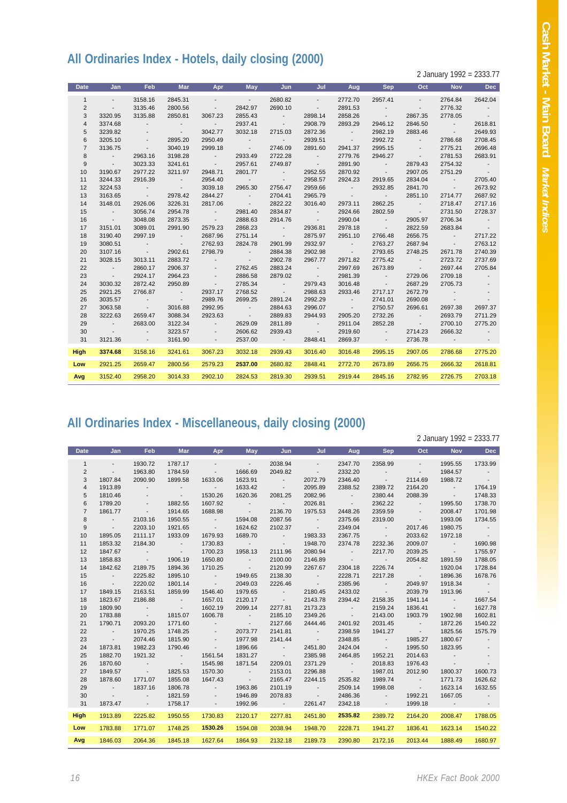## **All Ordinaries Index - Hotels, daily closing (2000)**

2 January 1992 = 2333.77

| <b>Date</b>    | Jan                                    | Feb                      | <b>Mar</b>               | Apr                      | May                      | Jun                      | Jul                          | Aug                      | <b>Sep</b>                 | Oct                                 | <b>Nov</b>               | <b>Dec</b>               |
|----------------|----------------------------------------|--------------------------|--------------------------|--------------------------|--------------------------|--------------------------|------------------------------|--------------------------|----------------------------|-------------------------------------|--------------------------|--------------------------|
| $\mathbf{1}$   | $\sim$                                 | 3158.16                  | 2845.31                  | $\overline{\phantom{a}}$ | $\sim$                   | 2680.82                  | $\sim$                       | 2772.70                  | 2957.41                    | $\mathcal{L}^{\pm}$                 | 2764.84                  | 2642.04                  |
| $\overline{2}$ | $\sim$                                 | 3135.46                  | 2800.56                  | $\sim$                   | 2842.97                  | 2690.10                  | $\sim$                       | 2891.53                  | $\sim$ 100 $\pm$           | $\sim$                              | 2776.32                  | $\sim$                   |
| 3              | 3320.95                                | 3135.88                  | 2850.81                  | 3067.23                  | 2855.43                  | $\sim$                   | 2898.14                      | 2858.26                  | <b>Contract Contract</b>   | 2867.35                             | 2778.05                  | $\sim$ 100 $\pm$         |
| 4              | 3374.68                                | $\overline{\phantom{a}}$ | $\sim$                   | $\sim$ $-$               | 2937.41                  | $\sim 100$               | 2908.79                      | 2893.29                  | 2946.12                    | 2846.50                             | <b>Contract</b>          | 2618.81                  |
| 5              | 3239.82                                |                          | <b>Contract Contract</b> | 3042.77                  | 3032.18                  | 2715.03                  | 2872.36                      | <b>Contract</b>          | 2982.19                    | 2883.46                             | <b>Contract</b>          | 2649.93                  |
| 6              | 3205.10                                | $\overline{\phantom{a}}$ | 2895.20                  | 2950.49                  | $\sim$                   | <b>Contract Contract</b> | 2939.51                      | $\sim 100$ km s $^{-1}$  | 2992.72                    | <b>Contract Contract</b>            | 2786.68                  | 2708.45                  |
| $\overline{7}$ | 3136.75                                | $\sim 100$               | 3040.19                  | 2999.18                  | <b>Contract Contract</b> | 2746.09                  | 2891.60                      | 2941.37                  | 2995.15                    | $\sim$                              | 2775.21                  | 2696.48                  |
| 8              | $\sim$ 100 $\pm$ 100 $\pm$             | 2963.16                  | 3198.28                  | $\sim 100$               | 2933.49                  | 2722.28                  | $\sim 100$                   | 2779.76                  | 2946.27                    | $\sim$ 100 $\pm$                    | 2781.53                  | 2683.91                  |
| 9              | <b>Contract Contract</b>               | 3023.33                  | 3241.61                  | <b>Contract</b>          | 2957.61                  | 2749.87                  | <b>Contractor</b>            | 2891.90                  | <b>Contract Contract</b>   | 2879.43                             | 2754.32                  | $\sim$ $-$               |
| 10             | 3190.67                                | 2977.22                  | 3211.97                  | 2948.71                  | 2801.77                  | $\sim 100$               | 2952.55                      | 2870.92                  | <b>Contract Contract</b>   | 2907.05                             | 2751.29                  | $\sim 100$               |
| 11             | 3244.33                                | 2916.39                  | $\sim 100$               | 2954.40                  | <b>Contractor</b>        | $\sim$                   | 2958.57                      | 2924.23                  | 2919.65                    | 2834.04                             | <b>Contract Contract</b> | 2705.40                  |
| 12             | 3224.53                                | $\sim$ 100 $\pm$         | $\sim 100$ km s $^{-1}$  | 3039.18                  | 2965.30                  | 2756.47                  | 2959.66                      | <b>Contract Contract</b> | 2932.85                    | 2841.70                             | <b>Contract Contract</b> | 2673.92                  |
| 13             | 3163.65                                | $\sim 100$ m $^{-1}$     | 2978.42                  | 2844.27                  | $\sim$                   | 2704.41                  | 2965.79                      | <b>Contractor</b>        | <b>Contract Contract</b>   | 2851.10                             | 2714.77                  | 2687.92                  |
| 14             | 3148.01                                | 2926.06                  | 3226.31                  | 2817.06                  | $\sim$                   | 2822.22                  | 3016.40                      | 2973.11                  | 2862.25                    | <b>Contract Contract</b>            | 2718.47                  | 2717.16                  |
| 15             | $\sim$ 100 $\pm$                       | 3056.74                  | 2954.78                  | <b>Contract Contract</b> | 2981.40                  | 2834.87                  | $\sim$ 100 $\pm$             | 2924.66                  | 2802.59                    | $\sim 100$ km s $^{-1}$             | 2731.50                  | 2728.37                  |
| 16             | <b>Contract</b>                        | 3048.08                  | 2873.35                  | <b>Contract</b>          | 2888.63                  | 2914.76                  | <b>Contract</b>              | 2990.04                  | <b>Contractor</b>          | 2905.97                             | 2706.34                  | $\sim$                   |
| 17             | 3151.01                                | 3089.01                  | 2991.90                  | 2579.23                  | 2868.23                  | <b>Contract Contract</b> | 2936.81                      | 2978.18                  | <b>Contractor</b>          | 2822.59                             | 2683.84                  | $\sim 100$               |
| 18             | 3190.40                                | 2997.19                  | $\sim$ 100 $\pm$         | 2687.96                  | 2751.14                  | <b>Contractor</b>        | 2875.97                      | 2951.10                  | 2766.48                    | 2656.75                             | $\sim 100$ km s $^{-1}$  | 2717.22                  |
| 19             | 3080.51                                | $\sim$                   | <b>Contract Contract</b> | 2762.93                  | 2824.78                  | 2901.99                  | 2932.97                      | <b>Contract</b>          | 2763.27                    | 2687.94                             | $\sim$ 100 $\pm$         | 2763.12                  |
| 20             | 3107.16                                | $\sim 100$ km s $^{-1}$  | 2902.61                  | 2798.79                  | $\sim$ 100 $\pm$         | 2884.38                  | 2902.98                      | <b>Contractor</b>        | 2793.65                    | 2748.25                             | 2671.78                  | 2740.39                  |
| 21             | 3028.15                                | 3013.11                  | 2883.72                  | $\sim$                   | $\sim$                   | 2902.78                  | 2967.77                      | 2971.82                  | 2775.42                    | <b>State State</b>                  | 2723.72                  | 2737.69                  |
| 22<br>23       | $\sim$ $-$<br><b>Contract Contract</b> | 2860.17<br>2924.17       | 2906.37<br>2964.23       | $\sim$                   | 2762.45<br>2886.58       | 2883.24<br>2879.02       | $\sim$ 100 $\pm$             | 2997.69                  | 2673.89<br><b>Contract</b> | <b>Contract Contract</b><br>2729.06 | 2697.44<br>2709.18       | 2705.84<br>$\sim$        |
| 24             | 3030.32                                | 2872.42                  | 2950.89                  | $\overline{\phantom{a}}$ | 2785.34                  | $\sim 100$               | <b>Contractor</b><br>2979.43 | 2981.39<br>3016.48       | <b>Contract Contract</b>   | 2687.29                             | 2705.73                  |                          |
| 25             | 2921.25                                | 2766.87                  | <b>Contract Contract</b> | $\sim$<br>2937.17        | 2768.52                  | <b>Contractor</b>        | 2988.63                      | 2933.46                  | 2717.17                    | 2672.79                             | $\sim$                   | $\overline{\phantom{a}}$ |
| 26             | 3035.57                                | <b>Contract</b>          | $\sim$ 100 $\pm$         | 2989.76                  | 2699.25                  | 2891.24                  | 2992.29                      | <b>Contract</b>          | 2741.01                    | 2690.08                             | <b>Contract Contract</b> | $\overline{\phantom{a}}$ |
| 27             | 3063.58                                | $\sim$ 100 $\pm$         | 3016.88                  | 2992.95                  | $\sim$                   | 2884.63                  | 2996.07                      | <b>Contract</b>          | 2750.57                    | 2696.61                             | 2697.38                  | 2697.37                  |
| 28             | 3222.63                                | 2659.47                  | 3088.34                  | 2923.63                  | $\sim$                   | 2889.83                  | 2944.93                      | 2905.20                  | 2732.26                    | $\sim$ 100 $\pm$ 100 $\pm$          | 2693.79                  | 2711.29                  |
| 29             | $\sim$ 100 $\pm$                       | 2683.00                  | 3122.34                  | $\sim$                   | 2629.09                  | 2811.89                  | $\sim$ 100 $\pm$             | 2911.04                  | 2852.28                    | <b>Contract Contract</b>            | 2700.10                  | 2775.20                  |
| 30             | <b>Contract Contract</b>               | $\overline{\phantom{a}}$ | 3223.57                  | $\overline{\phantom{a}}$ | 2606.62                  | 2939.43                  | $\sim 100$                   | 2919.60                  | $\sim$                     | 2714.23                             | 2666.32                  | $\overline{\phantom{a}}$ |
| 31             | 3121.36                                | $\sim$                   | 3161.90                  | $\sim$                   | 2537.00                  | $\sim 100$ km s $^{-1}$  | 2848.41                      | 2869.37                  | $\sim$                     | 2736.78                             | $\sim 100$               |                          |
|                |                                        |                          |                          |                          |                          |                          |                              |                          |                            |                                     |                          |                          |
| <b>High</b>    | 3374.68                                | 3158.16                  | 3241.61                  | 3067.23                  | 3032.18                  | 2939.43                  | 3016.40                      | 3016.48                  | 2995.15                    | 2907.05                             | 2786.68                  | 2775.20                  |
| Low            | 2921.25                                | 2659.47                  | 2800.56                  | 2579.23                  | 2537.00                  | 2680.82                  | 2848.41                      | 2772.70                  | 2673.89                    | 2656.75                             | 2666.32                  | 2618.81                  |
| Avg            | 3152.40                                | 2958.20                  | 3014.33                  | 2902.10                  | 2824.53                  | 2819.30                  | 2939.51                      | 2919.44                  | 2845.16                    | 2782.95                             | 2726.75                  | 2703.18                  |
|                |                                        |                          |                          |                          |                          |                          |                              |                          |                            |                                     |                          |                          |

#### **All Ordinaries Index - Miscellaneous, daily closing (2000)**

2 January 1992 = 2333.77 **Date Jan Feb Mar Apr May Jun Jul Aug Sep Oct Nov Dec** 1 - 1930.72 1787.17 - - 2038.94 - 2347.70 2358.99 - 1995.55 1733.99 2 - 1963.80 1784.59 - 1666.69 2049.82 - 2332.20 - - 1984.57 - 3 1807.84 2090.90 1899.58 1633.06 1623.91 - 2072.79 2346.40 - 2114.69 1988.72 - 4 1913.89 - - - 1633.42 - 2095.89 2388.52 2389.72 2164.20 - 1764.19 5 1810.46 - - 1530.26 1620.36 2081.25 2082.96 - 2380.44 2088.39 - 1748.33 6 1789.20 - 1882.55 1607.92 - - 2026.81 - 2362.22 - 1995.50 1738.70 7 1861.77 - 1914.65 1688.98 - 2136.70 1975.53 2448.26 2359.59 - 2008.47 1701.98 8 - 2103.16 1950.55 - 1594.08 2087.56 - 2375.66 2319.00 - 1993.06 1734.55 9 - 2203.10 1921.65 - 1624.62 2102.37 - 2349.04 - 2017.46 1980.75 - 10 1895.05 2111.17 1933.09 1679.93 1689.70 - 1983.33 2367.75 - 2033.62 1972.18 - 11 1853.32 2184.30 - 1730.83 - - 1948.70 2374.78 2232.36 2009.07 - 1690.98 12 1847.67 - - 1700.23 1958.13 2111.96 2080.94 - 2217.70 2039.25 - 1755.97 13 1858.83 - 1906.19 1650.80 - 2100.00 2146.89 - - 2054.82 1891.59 1788.05 14 1842.62 2189.75 1894.36 1710.25 - 2120.99 2267.67 2304.18 2226.74 - 1920.04 1728.84 15 - 2225.82 1895.10 - 1949.65 2138.30 - 2228.71 2217.28 - 1896.36 1678.76 16 - 2220.02 1801.14 - 2049.03 2226.46 - 2385.96 - 2049.97 1918.34 - 17 1849.15 2163.51 1859.99 1546.40 1979.65 - 2180.45 2433.02 - 2039.79 1913.96 - 18 1823.67 2186.88 - 1657.01 2120.17 - 2143.78 2394.42 2158.35 1941.14 - 1667.54 19 1809.90 - - 1602.19 2099.14 2277.81 2173.23 - 2159.24 1836.41 - 1627.78 20 1783.88 - 1815.07 1606.78 - 2185.10 2349.26 - 2143.00 1903.79 1902.98 1602.81 21 1790.71 2093.20 1771.60 - - 2127.66 2444.46 2401.92 2031.45 - 1872.26 1540.22 22 - 1970.25 1748.25 - 2073.77 2141.81 - 2398.59 1941.27 - 1825.56 1575.79 23 - 2074.46 1815.90 - 1977.98 2141.44 - 2348.85 - 1985.27 1800.67 - 24 1873.81 1982.23 1790.46 - 1896.66 - 2451.80 2424.04 - 1995.50 1823.95 - 25 1882.70 1921.32 - 1561.54 1831.27 - 2385.98 2464.85 1952.21 2014.63 - - 26 1870.60 - - 1545.98 1871.54 2209.01 2371.29 - 2018.83 1976.43 - - 27 1849.57 - 1825.53 1570.30 - 2153.01 2296.88 - 1987.01 2012.90 1800.37 1600.73 28 1878.60 1771.07 1855.08 1647.43 - 2165.47 2244.15 2535.82 1989.74 - 1771.73 1626.62 29 - 1837.16 1806.78 - 1963.86 2101.19 - 2509.14 1998.08 - 1623.14 1632.55 30 - - 1821.59 - 1946.89 2078.83 - 2486.36 - 1992.21 1667.05 - 31 1873.47 - 1758.17 - 1992.96 - 2261.47 2342.18 - 1999.18 - - **High** 2225.82 1913.89 1950.55 1730.83 2120.17 2277.81 2451.80 **2535.82** 2164.20 2389.72 2008.47 1788.05 **Low** 1771.07 1783.88 1748.25 **1530.26** 2038.94 1594.08 1948.70 2228.71 1941.27 1836.41 1623.14 1540.22 **Avg** 2064.36 1846.03 1845.18 1627.64 1864.93 2132.18 2189.73 2390.80 2172.16 2013.44 1888.49 1680.97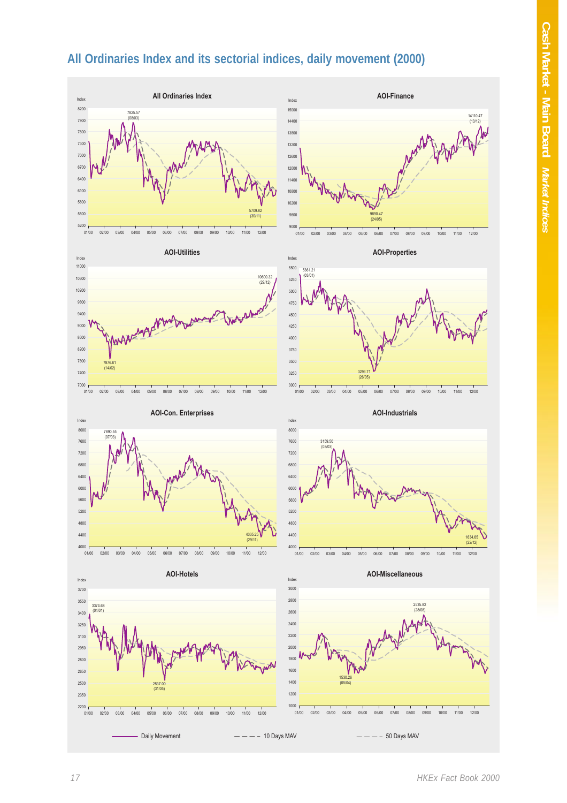### **All Ordinaries Index and its sectorial indices, daily movement (2000)**

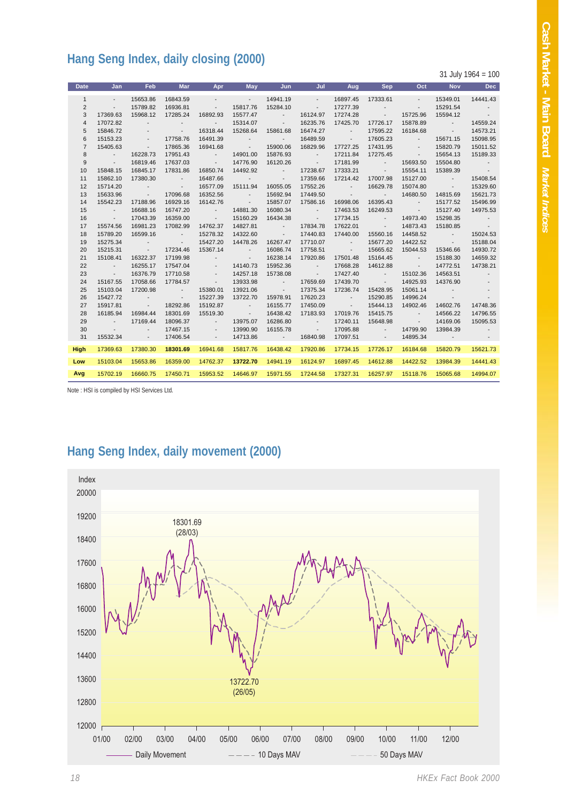## **Hang Seng Index, daily closing (2000)**

31 July 1964 = 100

| <b>Date</b>    | Jan                      | <b>Feb</b>                          | <b>Mar</b>                    | Apr                      | <b>May</b>               | Jun                           | Jul                      | Aug                                      | Sep                                                 | Oct                      | <b>Nov</b>                           | <b>Dec</b>               |
|----------------|--------------------------|-------------------------------------|-------------------------------|--------------------------|--------------------------|-------------------------------|--------------------------|------------------------------------------|-----------------------------------------------------|--------------------------|--------------------------------------|--------------------------|
| $\mathbf{1}$   | $\sim$                   | 15653.86                            | 16843.59                      | $\sim$                   | <b>Contractor</b>        | 14941.19                      | $\sim$                   | 16897.45                                 | 17333.61                                            | $\sim$                   | 15349.01                             | 14441.43                 |
| $\overline{2}$ | $\sim$                   | 15789.82                            | 16936.81                      | $\sim$                   | 15817.76                 | 15284.10                      | $\sim$                   | 17277.39                                 | $\sim$                                              | $\sim$                   | 15291.54                             |                          |
| 3              | 17369.63                 | 15968.12                            | 17285.24                      | 16892.93                 | 15577.47                 | <b>Contractor</b>             | 16124.97                 | 17274.28                                 | <b>Contract Contract</b>                            | 15725.96                 | 15594.12                             | $\sim 100$ km s $^{-1}$  |
| 4              | 17072.82                 | $\sim$                              | $\sim$                        | $\sim$                   | 15314.07                 | <b>Contract</b>               | 16235.76                 | 17425.70                                 | 17726.17                                            | 15878.89                 | <b>Contract Contract</b>             | 14559.24                 |
| 5              | 15846.72                 |                                     | <b>Contract State</b>         | 16318.44                 | 15268.64                 | 15861.68                      | 16474.27                 | <b>Contract Contract</b>                 | 17595.22                                            | 16184.68                 | <b>Contract</b>                      | 14573.21                 |
| 6              | 15153.23                 | $\overline{\phantom{a}}$            | 17758.76                      | 16491.39                 | <b>Contract</b>          | <b>Contractor</b>             | 16489.59                 | <b>Contract State</b>                    | 17605.23                                            | <b>Contractor</b>        | 15671.15                             | 15098.95                 |
| $\overline{7}$ | 15405.63                 | $\sim$                              | 17865.36                      | 16941.68                 | <b>Contractor</b>        | 15900.06                      | 16829.96                 | 17727.25                                 | 17431.95                                            | <b>Contract Contract</b> | 15820.79                             | 15011.52                 |
| 8              | <b>Contract</b>          | 16228.73                            | 17951.43                      | <b>Contract Contract</b> | 14901.00                 | 15876.93                      | <b>Contract</b>          | 17211.84                                 | 17275.45                                            | <b>Contract</b>          | 15654.13                             | 15189.33                 |
| 9              | $\sim 100$ km $^{-1}$    | 16819.46                            | 17637.03                      | <b>Contract</b>          | 14776.90                 | 16120.26                      | <b>Contractor</b>        | 17181.99                                 | <b>Contract Contract</b>                            | 15693.50                 | 15504.80                             | <b>Contract</b>          |
| 10             | 15848.15                 | 16845.17                            | 17831.86                      | 16850.74                 | 14492.92                 | <b>Contract Contract</b>      | 17238.67                 | 17333.21                                 | <b>Contract</b>                                     | 15554.11                 | 15389.39                             | $\sim 10$                |
| 11             | 15862.10                 | 17380.30                            | <b>Contract Contract</b>      | 16487.66                 | <b>Contractor</b>        | $\sim 100$ km s $^{-1}$       | 17359.66                 | 17214.42                                 | 17007.98                                            | 15127.00                 | <b>Contract Contract</b>             | 15408.54                 |
| 12             | 15714.20                 | <b>Contract</b>                     | $\sim 100$ km s $^{-1}$       | 16577.09                 | 15111.94                 | 16055.05                      | 17552.26                 | <b>Contract Contract</b>                 | 16629.78                                            | 15074.80                 | <b>Contract</b>                      | 15329.60                 |
| 13             | 15633.96                 | <b>Contract</b>                     | 17096.68                      | 16352.56                 | <b>Contract Contract</b> | 15692.94                      | 17449.50                 | <b>Contractor</b>                        | <b>Contractor</b>                                   | 14680.50                 | 14815.69                             | 15621.73                 |
| 14             | 15542.23                 | 17188.96                            | 16929.16                      | 16142.76                 | <b>Contractor</b>        | 15857.07                      | 17586.16                 | 16998.06                                 | 16395.43                                            | <b>Contract Contract</b> | 15177.52                             | 15496.99                 |
| 15             | $\sim 100$ km s $^{-1}$  | 16688.16                            | 16747.20                      | <b>Contract State</b>    | 14881.30                 | 16080.34                      | <b>Contract Contract</b> | 17463.53                                 | 16249.53                                            | <b>Contract</b>          | 15127.40                             | 14975.53                 |
| 16             | $\sim 100$ km s $^{-1}$  | 17043.39                            | 16359.00                      | $\sim 100$ km s $^{-1}$  | 15160.29                 | 16434.38                      | <b>Contract</b>          | 17734.15                                 | <b>Contract Contract</b>                            | 14973.40                 | 15298.35                             | <b>Contract</b>          |
| 17             | 15574.56                 | 16981.23                            | 17082.99                      | 14762.37                 | 14827.81                 | <b>Contract Contract</b>      | 17834.78                 | 17622.01                                 | <b>Contract</b>                                     | 14873.43                 | 15180.85                             | $\sim 100$ km s $^{-1}$  |
| 18             | 15789.20                 | 16599.16                            | <b>Contract State</b>         | 15278.32                 | 14322.60                 | <b>Contract</b>               | 17440.83                 | 17440.00                                 | 15560.16                                            | 14458.52                 | <b>Contract Contract</b>             | 15024.53                 |
| 19             | 15275.34                 | $\sim 100$                          | <b>Contract</b>               | 15427.20                 | 14478.26                 | 16267.47                      | 17710.07                 | <b>Contract Contract</b>                 | 15677.20                                            | 14422.52                 | <b>Contract Service</b>              | 15188.04                 |
| 20             | 15215.31                 | <b>Contract</b>                     | 17234.46                      | 15367.14                 | <b>Contract Contract</b> | 16086.74                      | 17758.51                 | <b>Contract State</b>                    | 15665.62                                            | 15044.53                 | 15346.66                             | 14930.72                 |
| 21             | 15108.41                 | 16322.37                            | 17199.98                      | $\sim$                   | <b>Contractor</b>        | 16238.14                      | 17920.86                 | 17501.48                                 | 15164.45                                            | <b>Contract Contract</b> | 15188.30                             | 14659.32                 |
| 22             | <b>Contract</b>          | 16255.17                            | 17547.04                      | $\overline{\phantom{a}}$ | 14140.73                 | 15952.36                      | <b>Contract State</b>    | 17668.28                                 | 14612.88                                            | <b>Contract Contract</b> | 14772.51                             | 14738.21                 |
| 23             | $\sim 100$ km s $^{-1}$  | 16376.79                            | 17710.58                      | $\overline{\phantom{a}}$ | 14257.18                 | 15738.08                      | <b>Contract Contract</b> | 17427.40                                 | <b>Contract Contract</b>                            | 15102.36                 | 14563.51                             | $\overline{\phantom{a}}$ |
| 24             | 15167.55                 | 17058.66                            | 17784.57                      | <b>Contract</b>          | 13933.98                 | $\sim 100$ km s $^{-1}$       | 17659.69                 | 17439.70                                 | <b>Contract Service</b>                             | 14925.93                 | 14376.90                             |                          |
| 25<br>26       | 15103.04<br>15427.72     | 17200.98                            | <b>Contract</b>               | 15380.01<br>15227.39     | 13921.06<br>13722.70     | <b>Contractor</b><br>15978.91 | 17375.34<br>17620.23     | 17236.74                                 | 15428.95<br>15290.85                                | 15061.14<br>14996.24     | <b>Contract</b>                      | $\overline{\phantom{a}}$ |
| 27             | 15917.81                 | $\sim$ 100 $\pm$<br><b>Contract</b> | <b>Contractor</b><br>18292.86 | 15192.87                 | <b>Contractor</b>        | 16155.77                      | 17450.09                 | <b>Contract</b><br><b>Contract State</b> | 15444.13                                            | 14902.46                 | <b>Contract Contract</b><br>14602.76 | 14748.36                 |
| 28             | 16185.94                 | 16984.44                            | 18301.69                      | 15519.30                 | <b>Contractor</b>        | 16438.42                      | 17183.93                 | 17019.76                                 | 15415.75                                            | <b>Contractor</b>        | 14566.22                             | 14796.55                 |
| 29             | <b>Contract Contract</b> | 17169.44                            | 18096.37                      | <b>Contractor</b>        | 13975.07                 | 16286.80                      | $\sim$ 100 $\pm$         | 17240.11                                 | 15648.98                                            | <b>Contract State</b>    | 14169.06                             | 15095.53                 |
| 30             | <b>Contract Contract</b> | $\sim$                              | 17467.15                      | $\sim$                   | 13990.90                 | 16155.78                      | <b>Contract Contract</b> | 17095.88                                 | $\mathcal{L}_{\rm{max}}$ , $\mathcal{L}_{\rm{max}}$ | 14799.90                 | 13984.39                             | <b>Contract</b>          |
| 31             | 15532.34                 | $\sim 100$                          | 17406.54                      | $\sim$                   | 14713.86                 | <b>Contractor</b>             | 16840.98                 | 17097.51                                 | <b>Contractor</b>                                   | 14895.34                 | $\sim 100$ km s $^{-1}$              |                          |
|                |                          |                                     |                               |                          |                          |                               |                          |                                          |                                                     |                          |                                      |                          |
| <b>High</b>    | 17369.63                 | 17380.30                            | 18301.69                      | 16941.68                 | 15817.76                 | 16438.42                      | 17920.86                 | 17734.15                                 | 17726.17                                            | 16184.68                 | 15820.79                             | 15621.73                 |
| Low            | 15103.04                 | 15653.86                            | 16359.00                      | 14762.37                 | 13722.70                 | 14941.19                      | 16124.97                 | 16897.45                                 | 14612.88                                            | 14422.52                 | 13984.39                             | 14441.43                 |
| Avg            | 15702.19                 | 16660.75                            | 17450.71                      | 15953.52                 | 14646.97                 | 15971.55                      | 17244.58                 | 17327.31                                 | 16257.97                                            | 15118.76                 | 15065.68                             | 14994.07                 |
|                |                          |                                     |                               |                          |                          |                               |                          |                                          |                                                     |                          |                                      |                          |

Note : HSI is compiled by HSI Services Ltd.

### **Hang Seng Index, daily movement (2000)**

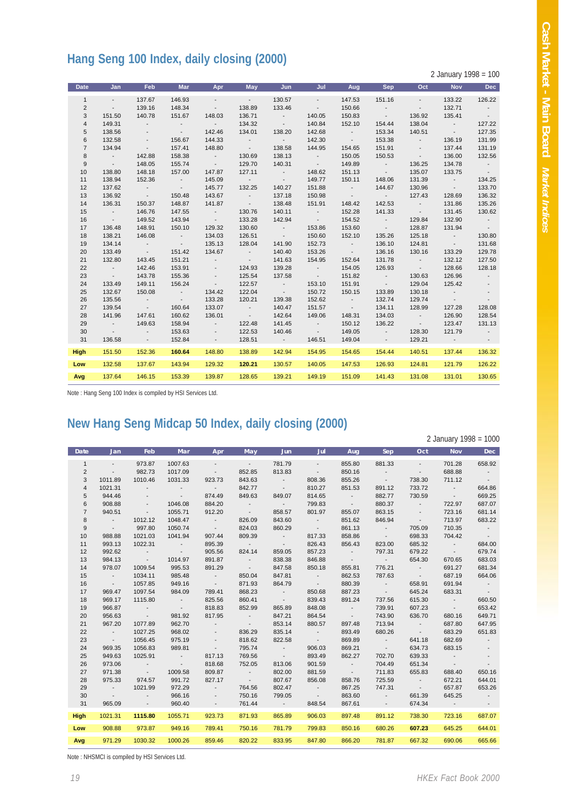# **Hang Seng 100 Index, daily closing (2000)**

2 January 1998 = 100

| <b>Date</b>    | Jan                      | <b>Feb</b>               | <b>Mar</b>               | Apr                      | <b>May</b>               | Jun                                                  | Jul                      | Aug                      | <b>Sep</b>               | Oct                      | <b>Nov</b>                 | <b>Dec</b>           |
|----------------|--------------------------|--------------------------|--------------------------|--------------------------|--------------------------|------------------------------------------------------|--------------------------|--------------------------|--------------------------|--------------------------|----------------------------|----------------------|
| $\mathbf{1}$   | $\sim$                   | 137.67                   | 146.93                   | $\sim$                   | <b>Contract</b>          | 130.57                                               | $\sim$                   | 147.53                   | 151.16                   | $\sim$                   | 133.22                     | 126.22               |
| $\overline{2}$ | $\sim$                   | 139.16                   | 148.34                   | <b>Contract Contract</b> | 138.89                   | 133.46                                               | $\sim 100$ km s $^{-1}$  | 150.66                   | $\sim 100$ km s $^{-1}$  | <b>Contract Contract</b> | 132.71                     | $\sim$ 100 $\pm$     |
| 3              | 151.50                   | 140.78                   | 151.67                   | 148.03                   | 136.71                   | <b>Contract Contract</b>                             | 140.05                   | 150.83                   | <b>Contractor</b>        | 136.92                   | 135.41                     | $\sim 100$           |
| $\overline{4}$ | 149.31                   | $\sim 100$ km s $^{-1}$  | <b>Contract Contract</b> | <b>Contractor</b>        | 134.32                   | <b>Contract Contract</b>                             | 140.84                   | 152.10                   | 154.44                   | 138.04                   | <b>Contract Contract</b>   | 127.22               |
| 5              | 138.56                   | $\sim$                   | <b>Contract Contract</b> | 142.46                   | 134.01                   | 138.20                                               | 142.68                   | $\sim 100$ km s $^{-1}$  | 153.34                   | 140.51                   | <b>Contract Contract</b>   | 127.35               |
| 6              | 132.58                   | $\sim$                   | 156.67                   | 144.33                   | <b>Contract Contract</b> | <b>Contractor</b>                                    | 142.30                   | $\sim 100$ km s $^{-1}$  | 153.38                   | <b>Contract Contract</b> | 136.19                     | 131.99               |
| $\overline{7}$ | 134.94                   | $\sim 100$ km s $^{-1}$  | 157.41                   | 148.80                   | <b>Contract Contract</b> | 138.58                                               | 144.95                   | 154.65                   | 151.91                   | <b>Contract</b>          | 137.44                     | 131.19               |
| 8              | <b>Contract Contract</b> | 142.88                   | 158.38                   | <b>Contractor</b>        | 130.69                   | 138.13                                               | <b>Contractor</b>        | 150.05                   | 150.53                   | <b>Contract</b>          | 136.00                     | 132.56               |
| 9              | <b>Contract Contract</b> | 148.05                   | 155.74                   | <b>Contract Contract</b> | 129.70                   | 140.31                                               | $\sim 100$ km s $^{-1}$  | 149.89                   | <b>Contract Contract</b> | 136.25                   | 134.78                     | <b>Contractor</b>    |
| 10             | 138.80                   | 148.18                   | 157.00                   | 147.87                   | 127.11                   | $\alpha$ , $\alpha$ , $\alpha$ , $\alpha$ , $\alpha$ | 148.62                   | 151.13                   | $\sim 100$ km s $^{-1}$  | 135.07                   | 133.75                     | $\sim 100$ m $^{-1}$ |
| 11             | 138.94                   | 152.36                   | <b>Contractor</b>        | 145.09                   | <b>Contract Contract</b> | <b>Contract</b>                                      | 149.77                   | 150.11                   | 148.06                   | 131.39                   | <b>Contract Contract</b>   | 134.25               |
| 12             | 137.62                   | <b>Contract Contract</b> | <b>Contractor</b>        | 145.77                   | 132.25                   | 140.27                                               | 151.88                   | <b>Contractor</b>        | 144.67                   | 130.96                   | <b>Contract Contract</b>   | 133.70               |
| 13             | 136.92                   | <b>Contract Contract</b> | 150.48                   | 143.67                   | <b>Contractor</b>        | 137.18                                               | 150.98                   | <b>Contractor</b>        | <b>Contract Contract</b> | 127.43                   | 128.69                     | 136.32               |
| 14             | 136.31                   | 150.37                   | 148.87                   | 141.87                   | <b>Contract Contract</b> | 138.48                                               | 151.91                   | 148.42                   | 142.53                   | <b>Contractor</b>        | 131.86                     | 135.26               |
| 15             | <b>Contractor</b>        | 146.76                   | 147.55                   | <b>Contract Contract</b> | 130.76                   | 140.11                                               | <b>Contract</b>          | 152.28                   | 141.33                   | $\sim 100$ km s $^{-1}$  | 131.45                     | 130.62               |
| 16             | <b>Contractor</b>        | 149.52                   | 143.94                   | <b>Contractor</b>        | 133.28                   | 142.94                                               | $\sim 100$ km s $^{-1}$  | 154.52                   | <b>Contractor</b>        | 129.84                   | 132.90                     | <b>Contractor</b>    |
| 17             | 136.48                   | 148.91                   | 150.10                   | 129.32                   | 130.60                   | <b>Contract Contract</b>                             | 153.86                   | 153.60                   | <b>Contract Contract</b> | 128.87                   | 131.94                     | $\sim$ 100 $\pm$     |
| 18             | 138.21                   | 146.08                   | <b>Contractor</b>        | 134.03                   | 126.51                   | $\sim 100$ km s $^{-1}$                              | 150.60                   | 152.10                   | 135.26                   | 125.18                   | <b>Contract Contract</b>   | 130.80               |
| 19             | 134.14                   | <b>Contract Contract</b> | <b>Contractor</b>        | 135.13                   | 128.04                   | 141.90                                               | 152.73                   | <b>Contractor</b>        | 136.10                   | 124.81                   | <b>Contract Contract</b>   | 131.68               |
| 20             | 133.49                   | <b>Contract Contract</b> | 151.42                   | 134.67                   | <b>Contractor</b>        | 140.40                                               | 153.26                   | <b>Contract Contract</b> | 136.16                   | 130.16                   | 133.29                     | 129.78               |
| 21             | 132.80                   | 143.45                   | 151.21                   | <b>Contractor</b>        | <b>Contractor</b>        | 141.63                                               | 154.95                   | 152.64                   | 131.78                   | <b>Contract Contract</b> | 132.12                     | 127.50               |
| 22             | <b>Contract Contract</b> | 142.46                   | 153.91                   | <b>Contract State</b>    | 124.93                   | 139.28                                               | <b>Contract Contract</b> | 154.05                   | 126.93                   | <b>Contract Contract</b> | 128.66                     | 128.18               |
| 23             | <b>Contract Contract</b> | 143.78                   | 155.36                   | $\sim$                   | 125.54                   | 137.58                                               | <b>State State</b>       | 151.82                   | <b>Contract Contract</b> | 130.63                   | 126.96                     | $\sim$ 100 $\pm$     |
| 24             | 133.49                   | 149.11                   | 156.24                   | <b>Contractor</b>        | 122.57                   | <b>Contractor</b>                                    | 153.10                   | 151.91                   | $\sim 100$ km s $^{-1}$  | 129.04                   | 125.42                     | $\sim$               |
| 25             | 132.67                   | 150.08                   | <b>Contractor</b>        | 134.42                   | 122.04                   | <b>Contract Contract</b>                             | 150.72                   | 150.15                   | 133.89                   | 130.18                   | $\sim 100$                 | $\sim$               |
| 26             | 135.56                   | <b>Contract Contract</b> | <b>Contractor</b>        | 133.28                   | 120.21                   | 139.38                                               | 152.62                   | <b>Contract Contract</b> | 132.74                   | 129.74                   | $\sim$ 100 $\pm$ 100 $\pm$ | $\sim$               |
| 27             | 139.54                   | <b>Contract Contract</b> | 160.64                   | 133.07                   | <b>Contractor</b>        | 140.47                                               | 151.57                   | <b>Contract Contract</b> | 134.11                   | 128.99                   | 127.28                     | 128.08               |
| 28             | 141.96                   | 147.61                   | 160.62                   | 136.01                   | $\sim 100$ km s $^{-1}$  | 142.64                                               | 149.06                   | 148.31                   | 134.03                   | <b>Contract Contract</b> | 126.90                     | 128.54               |
| 29             | <b>Contractor</b>        | 149.63                   | 158.94                   | <b>Contract</b>          | 122.48                   | 141.45                                               | <b>Contract Contract</b> | 150.12                   | 136.22                   | <b>Contract Contract</b> | 123.47                     | 131.13               |
| 30             | <b>Contractor</b>        | <b>Contract Contract</b> | 153.63                   | $\sim 100$               | 122.53                   | 140.46                                               | <b>Contract Contract</b> | 149.05                   | <b>Contract Contract</b> | 128.30                   | 121.79                     | $\sim$ 100 $\pm$     |
| 31             | 136.58                   | <b>Contractor</b>        | 152.84                   | $\sim$                   | 128.51                   | $\sim 100$ km s $^{-1}$                              | 146.51                   | 149.04                   | $\sim 100$ km s $^{-1}$  | 129.21                   | $\sim 100$ km s $^{-1}$    | $\sim$               |
| <b>High</b>    | 151.50                   | 152.36                   | 160.64                   | 148.80                   | 138.89                   | 142.94                                               | 154.95                   | 154.65                   | 154.44                   | 140.51                   | 137.44                     | 136.32               |
| Low            | 132.58                   | 137.67                   | 143.94                   | 129.32                   | 120.21                   | 130.57                                               | 140.05                   | 147.53                   | 126.93                   | 124.81                   | 121.79                     | 126.22               |
| Avg            | 137.64                   | 146.15                   | 153.39                   | 139.87                   | 128.65                   | 139.21                                               | 149.19                   | 151.09                   | 141.43                   | 131.08                   | 131.01                     | 130.65               |

Note : Hang Seng 100 Index is compiled by HSI Services Ltd.

### **New Hang Seng Midcap 50 Index, daily closing (2000)**

2 January 1998 = 1000

| <b>Date</b>    | Jan                     | Feb                      | Mar                      | Apr                      | May                     | <b>Jun</b>              | Jul                      | Aug              | Sep                      | Oct                        | <b>Nov</b>        | Dec                      |
|----------------|-------------------------|--------------------------|--------------------------|--------------------------|-------------------------|-------------------------|--------------------------|------------------|--------------------------|----------------------------|-------------------|--------------------------|
| $\mathbf{1}$   | $\sim$                  | 973.87                   | 1007.63                  | $\overline{\phantom{a}}$ | $\sim$ $-$              | 781.79                  | $\overline{\phantom{a}}$ | 855.80           | 881.33                   | $\sim$                     | 701.28            | 658.92                   |
| 2              | $\sim$                  | 982.73                   | 1017.09                  | $\sim$                   | 852.85                  | 813.83                  | $\sim$                   | 850.16           | $\sim 100$               | $\sim$                     | 688.88            | $\sim 100$               |
| 3              | 1011.89                 | 1010.46                  | 1031.33                  | 923.73                   | 843.63                  | $\sim$ 100 $\pm$        | 808.36                   | 855.26           | $\sim$ 100 $\pm$         | 738.30                     | 711.12            | $\sim 100$               |
| $\overline{4}$ | 1021.31                 | $\sim$                   | $\sim$ 100 $\pm$         | $\sim 100$ km s $^{-1}$  | 842.77                  | $\sim$ 100 $\pm$        | 810.27                   | 851.53           | 891.12                   | 733.72                     | <b>Contractor</b> | 664.86                   |
| 5              | 944.46                  | $\overline{\phantom{a}}$ | <b>Contractor</b>        | 874.49                   | 849.63                  | 849.07                  | 814.65                   | <b>Contract</b>  | 882.77                   | 730.59                     | $\sim$ 100 $\pm$  | 669.25                   |
| 6              | 908.88                  | $\overline{\phantom{a}}$ | 1046.08                  | 884.20                   | $\sim 100$ m $^{-1}$    | <b>Contract</b>         | 799.83                   | $\sim$ 100 $\pm$ | 880.37                   | $\sim$ 100 $\pm$ 100 $\pm$ | 722.97            | 687.07                   |
| $\overline{7}$ | 940.51                  | $\sim$                   | 1055.71                  | 912.20                   | $\sim 100$ m $^{-1}$    | 858.57                  | 801.97                   | 855.07           | 863.15                   | $\sim$                     | 723.16            | 681.14                   |
| 8              | <b>Contract</b>         | 1012.12                  | 1048.47                  | $\sim 100$               | 826.09                  | 843.60                  | $\sim 100$ km s $^{-1}$  | 851.62           | 846.94                   | $\sim$                     | 713.97            | 683.22                   |
| 9              | $\sim 100$ km s $^{-1}$ | 997.80                   | 1050.74                  | $\sim 100$               | 824.03                  | 860.29                  | $\sim 100$               | 861.13           | <b>Contractor</b>        | 705.09                     | 710.35            | $\sim 100$ m $^{-1}$     |
| 10             | 988.88                  | 1021.03                  | 1041.94                  | 907.44                   | 809.39                  | $\sim 100$              | 817.33                   | 858.86           | <b>Contract Contract</b> | 698.33                     | 704.42            | $\sim$ 100 $\pm$         |
| 11             | 993.13                  | 1022.31                  | $\sim 100$ km s $^{-1}$  | 895.39                   | $\sim 100$ km s $^{-1}$ | $\sim 100$              | 826.43                   | 856.43           | 823.00                   | 685.32                     | <b>Contract</b>   | 684.00                   |
| 12             | 992.62                  | $\sim 100$               | $\sim 100$               | 905.56                   | 824.14                  | 859.05                  | 857.23                   | <b>Contract</b>  | 797.31                   | 679.22                     | $\sim 100$        | 679.74                   |
| 13             | 984.13                  | <b>Contractor</b>        | 1014.97                  | 891.87                   | $\sim 100$              | 838.38                  | 846.88                   | $\sim$ 100 $\pm$ | <b>Contractor</b>        | 654.30                     | 670.65            | 683.03                   |
| 14             | 978.07                  | 1009.54                  | 995.53                   | 891.29                   | $\sim 100$ m $^{-1}$    | 847.58                  | 850.18                   | 855.81           | 776.21                   | $\sim$ 100 $\pm$           | 691.27            | 681.34                   |
| 15             | $\sim 100$              | 1034.11                  | 985.48                   | $\sim 100$               | 850.04                  | 847.81                  | $\sim$ 100 $\pm$         | 862.53           | 787.63                   | $\sim 100$ m $^{-1}$       | 687.19            | 664.06                   |
| 16             | $\sim 100$ km s $^{-1}$ | 1057.85                  | 949.16                   | $\sim 100$ km s $^{-1}$  | 871.93                  | 864.79                  | $\sim 100$               | 880.39           | $\sim 100$               | 658.91                     | 691.94            | <b>Contract Contract</b> |
| 17             | 969.47                  | 1097.54                  | 984.09                   | 789.41                   | 868.23                  | $\sim 100$              | 850.68                   | 887.23           | $\sim 100$               | 645.24                     | 683.31            | $\sim 100$               |
| 18             | 969.17                  | 1115.80                  | $\sim 100$               | 825.56                   | 860.41                  | $\sim 100$              | 839.43                   | 891.24           | 737.56                   | 615.30                     | $\sim$ 100 $\pm$  | 660.50                   |
| 19             | 966.87                  | $\sim$ 100 $\pm$         | <b>Contract Contract</b> | 818.83                   | 852.99                  | 865.89                  | 848.08                   | $\sim$ 100 $\pm$ | 739.91                   | 607.23                     | $\sim$ 100 $\pm$  | 653.42                   |
| 20             | 956.63                  | $\sim 100$ m $^{-1}$     | 981.92                   | 817.95                   | $\sim 100$              | 847.21                  | 864.54                   | $\sim 100$       | 743.90                   | 636.70                     | 680.16            | 649.71                   |
| 21             | 967.20                  | 1077.89                  | 962.70                   | $\sim$                   | $\sim 100$              | 853.14                  | 880.57                   | 897.48           | 713.94                   | $\sim$ 100 $\pm$           | 687.80            | 647.95                   |
| 22             | $\sim 100$              | 1027.25                  | 968.02                   | $\sim$                   | 836.29                  | 835.14                  | $\sim 100$               | 893.49           | 680.26                   | $\sim 100$                 | 683.29            | 651.83                   |
| 23             | $\sim$ 100 $\pm$        | 1056.45                  | 975.19                   | $\overline{\phantom{a}}$ | 818.62                  | 822.58                  | $\sim 100$               | 869.89           | $\sim 100$               | 641.18                     | 682.69            | $\sim$ $-$               |
| 24             | 969.35                  | 1056.83                  | 989.81                   | $\sim 100$               | 795.74                  | $\sim 100$              | 906.03                   | 869.21           | $\sim 100$               | 634.73                     | 683.15            | $\sim$                   |
| 25             | 949.63                  | 1025.91                  | $\sim 100$               | 817.13                   | 769.56                  | $\sim 100$              | 893.49                   | 862.27           | 702.70                   | 639.33                     | $\sim$ 100 $\pm$  | $\overline{\phantom{a}}$ |
| 26             | 973.06                  | $\sim$ 100 $\pm$         | $\sim 100$ km s $^{-1}$  | 818.68                   | 752.05                  | 813.06                  | 901.59                   | $\sim 100$       | 704.49                   | 651.34                     | $\sim$ 100 $\pm$  | $\sim$                   |
| 27             | 971.38                  | $\sim 100$ km s $^{-1}$  | 1009.58                  | 809.87                   | $\sim 100$              | 802.00                  | 881.59                   | $\sim 100$       | 711.83                   | 655.83                     | 688.40            | 650.16                   |
| 28             | 975.33                  | 974.57                   | 991.72                   | 827.17                   | $\sim 100$              | 807.67                  | 856.08                   | 858.76           | 725.59                   | $\sim$ 100 $\mu$           | 672.21            | 644.01                   |
| 29             | $\sim 100$              | 1021.99                  | 972.29                   | $\sim$ 100 $\mu$         | 764.56                  | 802.47                  | $\sim 100$               | 867.25           | 747.31                   | $\sim 100$                 | 657.87            | 653.26                   |
| 30             | $\sim$ $-$              | $\sim$                   | 966.16                   | $\blacksquare$           | 750.16                  | 799.05                  | $\sim 100$               | 863.60           | $\sim 100$               | 661.39                     | 645.25            | $\sim$ 100 $\pm$         |
| 31             | 965.09                  | $\sim$                   | 960.40                   | $\sim$                   | 761.44                  | $\sim 100$ km s $^{-1}$ | 848.54                   | 867.61           | <b>Contract</b>          | 674.34                     | $\sim 100$        | $\sim 100$               |
| <b>High</b>    | 1021.31                 | 1115.80                  | 1055.71                  | 923.73                   | 871.93                  | 865.89                  | 906.03                   | 897.48           | 891.12                   | 738.30                     | 723.16            | 687.07                   |
| Low            | 908.88                  | 973.87                   | 949.16                   | 789.41                   | 750.16                  | 781.79                  | 799.83                   | 850.16           | 680.26                   | 607.23                     | 645.25            | 644.01                   |
| Avg            | 971.29                  | 1030.32                  | 1000.26                  | 859.46                   | 820.22                  | 833.95                  | 847.80                   | 866.20           | 781.87                   | 667.32                     | 690.06            | 665.66                   |

Note : NHSMCI is compiled by HSI Services Ltd.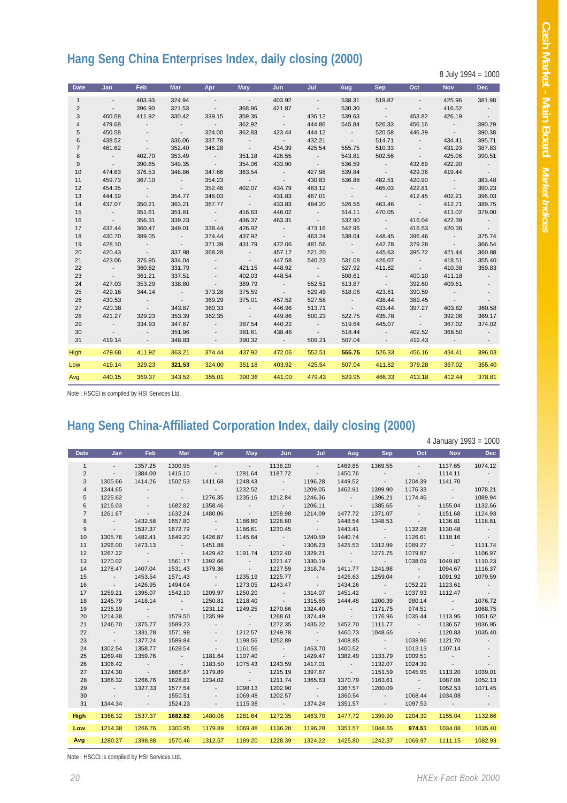# **Hang Seng China Enterprises Index, daily closing (2000)**

| <b>Date</b>    | Jan                     | <b>Feb</b>               | <b>Mar</b>               | Apr                      | May                      | <b>Jun</b>               | Jul                     | Aug                      | <b>Sep</b>               | Oct                      | <b>Nov</b>               | <b>Dec</b>        |
|----------------|-------------------------|--------------------------|--------------------------|--------------------------|--------------------------|--------------------------|-------------------------|--------------------------|--------------------------|--------------------------|--------------------------|-------------------|
| $\mathbf{1}$   | $\sim$ $-$              | 403.93                   | 324.94                   | $\sim$ $\sim$            | $\sim 100$               | 403.92                   | $\sim$ $-$              | 538.31                   | 519.87                   | $\sim$ $-$               | 425.96                   | 381.98            |
| $\overline{2}$ | $\sim$ $-$              | 396.90                   | 321.53                   | $\sim$                   | 368.96                   | 421.87                   | $\sim$ $-$              | 530.30                   | <b>Contract Contract</b> | $\sim$ 100 $\pm$         | 416.52                   | $\sim$ $-$        |
| 3              | 460.58                  | 411.92                   | 330.42                   | 339.15                   | 359.36                   | $\sim 100$ km s $^{-1}$  | 436.12                  | 539.63                   | <b>Contract Contract</b> | 453.82                   | 426.19                   | $\sim$ 100 $\pm$  |
| $\overline{4}$ | 479.68                  | $\sim$ 100 $\pm$         | $\sim 100$ m $^{-1}$     | <b>Contract</b>          | 362.92                   | $\sim 100$               | 444.86                  | 545.84                   | 526.33                   | 456.16                   | <b>Contractor</b>        | 390.29            |
| 5              | 450.58                  |                          | <b>Contractor</b>        | 324.00                   | 362.83                   | 423.44                   | 444.12                  | $\sim 100$ km s $^{-1}$  | 520.58                   | 446.39                   | $\sim 100$ km s $^{-1}$  | 390.38            |
| 6              | 438.52                  | $\sim$                   | 336.06                   | 337.78                   | <b>Contract</b>          | <b>Contract Contract</b> | 432.21                  | $\sim$ 100 $\pm$         | 514.71                   | <b>Contract Contract</b> | 434.41                   | 395.71            |
| $\overline{7}$ | 461.62                  | $\sim$ 100 $\pm$         | 352.40                   | 346.28                   | <b>Contract Contract</b> | 434.39                   | 425.54                  | 555.75                   | 510.33                   | $\sim$                   | 431.93                   | 387.83            |
| 8              | <b>Contractor</b>       | 402.70                   | 353.49                   | $\sim 100$               | 351.18                   | 426.55                   | $\sim$ 100 $\pm$        | 543.81                   | 502.56                   | $\sim$ 100 $\pm$         | 425.06                   | 390.51            |
| 9              | $\sim 100$ km s $^{-1}$ | 390.65                   | 349.35                   | $\sim 100$               | 354.06                   | 433.90                   | $\sim 100$ km s $^{-1}$ | 536.59                   | <b>Contract</b>          | 432.69                   | 422.90                   | $\sim$ 100 $\pm$  |
| 10             | 474.63                  | 376.53                   | 348.86                   | 347.66                   | 363.54                   | $\sim 100$ km s $^{-1}$  | 427.98                  | 539.84                   | $\sim 100$               | 429.36                   | 419.44                   | $\sim$ 100 $\pm$  |
| 11             | 459.73                  | 367.10                   | $\sim 100$ km s $^{-1}$  | 354.23                   | $\sim 100$ km s $^{-1}$  | $\sim 100$               | 430.83                  | 536.88                   | 482.51                   | 420.90                   | $\sim 100$ km s $^{-1}$  | 383.48            |
| 12             | 454.35                  | $\sim 100$ km s $^{-1}$  | $\sim 100$               | 352.46                   | 402.07                   | 434.79                   | 463.12                  | <b>Contact Contact</b>   | 465.03                   | 422.81                   | $\sim 100$ km s $^{-1}$  | 390.23            |
| 13             | 444.19                  | $\sim$ 100 $\pm$         | 354.77                   | 348.03                   | $\sim 100$               | 431.83                   | 467.01                  | $\sim 100$               | $\sim 100$ km s $^{-1}$  | 412.45                   | 402.21                   | 396.03            |
| 14             | 437.07                  | 350.21                   | 363.21                   | 367.77                   | $\sim$ 10 $\pm$          | 433.83                   | 484.20                  | 526.56                   | 463.46                   | <b>Contractor</b>        | 412.71                   | 389.75            |
| 15             | $\sim 100$ km s $^{-1}$ | 351.61                   | 351.81                   | <b>Contact</b>           | 416.63                   | 446.02                   | $\sim 100$ km s $^{-1}$ | 514.11                   | 470.05                   | $\sim 100$ km s $^{-1}$  | 411.02                   | 379.00            |
| 16             | $\sim 100$              | 356.31                   | 339.23                   | $\sim 100$               | 436.37                   | 463.31                   | $\sim 100$ km s $^{-1}$ | 532.90                   | <b>Contact Contact</b>   | 416.04                   | 422.39                   | <b>Contractor</b> |
| 17             | 432.44                  | 360.47                   | 349.01                   | 338.44                   | 426.92                   | <b>Contract Contract</b> | 473.16                  | 542.96                   | $\sim 100$ km s $^{-1}$  | 416.53                   | 420.36                   | $\sim$ 100 $\pm$  |
| 18             | 430.70                  | 389.05                   | $\sim 100$ km s $^{-1}$  | 374.44                   | 437.92                   | $\sim 100$               | 463.24                  | 538.04                   | 448.45                   | 396.46                   | <b>Contractor</b>        | 375.74            |
| 19             | 428.10                  | <b>Contractor</b>        | $\sim 100$               | 371.39                   | 431.79                   | 472.06                   | 481.56                  | $\sim 100$ km s $^{-1}$  | 442.78                   | 379.28                   | $\sim 100$ km s $^{-1}$  | 366.54            |
| 20             | 420.43                  | $\sim$ 100 $\pm$         | 337.98                   | 368.28                   | <b>Contract Contract</b> | 457.12                   | 521.20                  | $\sim 100$ km s $^{-1}$  | 445.63                   | 395.72                   | 421.44                   | 360.88            |
| 21             | 423.06                  | 376.95                   | 334.04                   | <b>Contract</b>          | $\sim 100$               | 447.58                   | 540.23                  | 531.08                   | 426.07                   | $\sim 100$ km s $^{-1}$  | 418.51                   | 355.40            |
| 22             | <b>Contractor</b>       | 360.82                   | 331.79                   | $\sim$                   | 421.15                   | 448.92                   | $\sim 100$ km s $^{-1}$ | 527.92                   | 411.82                   | <b>Contract</b>          | 410.38                   | 359.83            |
| 23             | $\sim 100$ km s $^{-1}$ | 361.21                   | 337.51                   | $\overline{\phantom{a}}$ | 402.03                   | 448.54                   | $\sim 100$ km s $^{-1}$ | 508.61                   | $\sim 100$ km s $^{-1}$  | 400.10                   | 411.18                   | <b>Contractor</b> |
| 24             | 427.03                  | 353.29                   | 338.80                   | $\sim 100$               | 389.79                   | $\sim 100$ km s $^{-1}$  | 552.51                  | 513.87                   | $\sim 100$               | 392.60                   | 409.61                   | $\sim$ $-$        |
| 25             | 429.16                  | 344.14                   | <b>Contract Contract</b> | 373.28                   | 375.59                   | $\sim 100$               | 529.49                  | 518.06                   | 423.61                   | 390.59                   | $\sim 100$ km s $^{-1}$  | $\sim$            |
| 26             | 430.53                  | <b>Contract Contract</b> | <b>Contract Contract</b> | 369.29                   | 375.01                   | 457.52                   | 527.58                  | <b>Contract Contract</b> | 438.44                   | 389.45                   | $\sim 100$               | $\sim$            |
| 27             | 420.38                  | <b>Contract</b>          | 343.87                   | 360.33                   | $\sim 100$               | 446.96                   | 513.71                  | $\sim$ 100 $\pm$         | 433.44                   | 397.27                   | 403.82                   | 360.58            |
| 28             | 421.27                  | 329.23                   | 353.39                   | 362.35                   | $\sim 100$               | 449.86                   | 500.23                  | 522.75                   | 435.78                   | <b>Contract Contract</b> | 392.06                   | 369.17            |
| 29             | <b>Contractor</b>       | 334.93                   | 347.67                   | $\sim$ 100 $\pm$         | 387.54                   | 440.22                   | $\sim 100$ km s $^{-1}$ | 519.64                   | 445.07                   | <b>Contract</b>          | 367.02                   | 374.02            |
| 30             | $\sim 100$              | $\sim$ 100 $\pm$         | 351.96                   | $\sim$                   | 381.61                   | 438.46                   | $\sim 100$ m $^{-1}$    | 518.44                   | <b>Contract</b>          | 402.52                   | 368.50                   | <b>Contract</b>   |
| 31             | 419.14                  | $\sim$                   | 348.83                   | $\sim$                   | 390.32                   | $\sim 100$ km s $^{-1}$  | 509.21                  | 507.04                   | <b>State State</b>       | 412.43                   | <b>Contract Contract</b> | $\sim$            |
| <b>High</b>    | 479.68                  | 411.92                   | 363.21                   | 374.44                   | 437.92                   | 472.06                   | 552.51                  | 555.75                   | 526.33                   | 456.16                   | 434.41                   | 396.03            |
|                |                         |                          |                          |                          |                          |                          |                         |                          |                          |                          |                          |                   |
| Low            | 419.14                  | 329.23                   | 321.53                   | 324.00                   | 351.18                   | 403.92                   | 425.54                  | 507.04                   | 411.82                   | 379.28                   | 367.02                   | 355.40            |
| Avg            | 440.15                  | 369.37                   | 343.52                   | 355.01                   | 390.36                   | 441.00                   | 479.43                  | 529.95                   | 466.33                   | 413.18                   | 412.44                   | 378.81            |

Note : HSCEI is compiled by HSI Services Ltd.

## **Hang Seng China-Affiliated Corporation Index, daily closing (2000)**

4 January 1993 = 1000

8 July 1994 = 1000

| <b>Date</b>    | Jan                      | <b>Feb</b>                                                | <b>Mar</b>                             | Apr                          | May                                                       | Jun                          | Jul                               | Aug                      | <b>Sep</b>                   | Oct                      | <b>Nov</b>                                    | Dec                                |
|----------------|--------------------------|-----------------------------------------------------------|----------------------------------------|------------------------------|-----------------------------------------------------------|------------------------------|-----------------------------------|--------------------------|------------------------------|--------------------------|-----------------------------------------------|------------------------------------|
| $\mathbf{1}$   | $\sim$                   | 1357.25                                                   | 1300.95                                | $\sim$                       | <b>Contractor</b>                                         | 1136.20                      | $\sim$                            | 1469.85                  | 1369.55                      | $\sim 100$               | 1137.65                                       | 1074.12                            |
| 2              | $\sim$                   | 1384.00                                                   | 1415.10                                | $\sim$                       | 1281.64                                                   | 1187.72                      | <b>Contract</b>                   | 1450.76                  | <b>Contractor</b>            | $\sim 100$               | 1114.11                                       |                                    |
| 3              | 1305.66                  | 1414.26                                                   | 1502.53                                | 1411.68                      | 1248.43                                                   | <b>Contractor</b>            | 1196.28                           | 1449.52                  | <b>Contractor</b>            | 1204.39                  | 1141.70                                       | <b>Contract Contract</b>           |
| $\overline{4}$ | 1344.65                  | $\sim$                                                    | <b>State State</b>                     | <b>Contract Contract</b>     | 1232.52                                                   | <b>Service State</b>         | 1209.05                           | 1462.91                  | 1399.90                      | 1176.33                  | <b>Contractor</b>                             | 1078.21                            |
| 5              | 1225.62                  | <b>Contractor</b>                                         | <b>Contract Contract</b>               | 1276.35                      | 1235.16                                                   | 1212.84                      | 1246.36                           | <b>Contractor</b>        | 1396.21                      | 1174.46                  | <b>Contractor</b>                             | 1089.94                            |
| 6              | 1216.03                  | $\sim$                                                    | 1682.82                                | 1358.46                      | $\mathcal{L}(\mathcal{A})$ and $\mathcal{A}(\mathcal{A})$ | <b>Contractor</b>            | 1206.11                           | <b>Contractor</b>        | 1385.65                      | <b>Contractor</b>        | 1155.04                                       | 1132.66                            |
| $\overline{7}$ | 1261.67                  | <b>Contractor</b>                                         | 1632.24                                | 1480.06                      | <b>Contractor</b>                                         | 1258.98                      | 1214.09                           | 1477.72                  | 1371.07                      | <b>Contract Contract</b> | 1151.68                                       | 1124.93                            |
| 8              | $\sim 100$ km s $^{-1}$  | 1432.58                                                   | 1657.80                                | <b>Contractor</b>            | 1186.80                                                   | 1228.80                      | <b>Contract Contract</b>          | 1448.54                  | 1348.53                      | <b>Contractor</b>        | 1136.81                                       | 1118.81                            |
| 9              | <b>Contractor</b>        | 1537.37                                                   | 1672.79                                | <b>Contractor</b>            | 1186.61                                                   | 1230.45                      | <b>Contractor</b>                 | 1443.41                  | <b>Contractor</b>            | 1132.28                  | 1130.48                                       | <b>Contractor</b>                  |
| 10             | 1305.76                  | 1482.41                                                   | 1649.20                                | 1426.87                      | 1145.64                                                   | <b>Contractor</b>            | 1240.59                           | 1440.74                  | <b>Contractor</b>            | 1126.61                  | 1118.16                                       | <b>Contractor</b>                  |
| 11             | 1296.00                  | 1473.13                                                   | <b>Contractor</b>                      | 1451.88                      | <b>Contractor</b>                                         | <b>Contractor</b>            | 1306.23                           | 1425.53                  | 1312.99                      | 1089.27                  | <b>Contractor</b>                             | 1111.74                            |
| 12             | 1267.22                  | <b>Contract Contract</b>                                  | <b>Contractor</b>                      | 1429.42                      | 1191.74                                                   | 1232.40                      | 1329.21                           | <b>Contractor</b>        | 1271.75                      | 1079.87                  | <b>Contractor</b>                             | 1106.97                            |
| 13             | 1270.02                  | <b>Contract Contract</b>                                  | 1561.17                                | 1392.66                      | <b>Contractor</b>                                         | 1221.47                      | 1330.19                           | <b>Contractor</b>        | <b>Contract Contract</b>     | 1038.09                  | 1049.82                                       | 1110.23                            |
| 14             | 1278.47                  | 1407.04                                                   | 1531.43                                | 1379.36                      | <b>Contractor</b>                                         | 1227.59                      | 1318.74                           | 1411.77                  | 1241.98                      | <b>Contractor</b>        | 1094.67                                       | 1116.37                            |
| 15             | $\sim 100$ km s $^{-1}$  | 1453.54                                                   | 1571.43                                | <b>Contractor</b>            | 1235.19                                                   | 1225.77                      | <b>Contractor</b>                 | 1426.63                  | 1259.04                      | <b>Contractor</b>        | 1091.92                                       | 1079.59                            |
| 16             | <b>Contractor</b>        | 1426.95                                                   | 1494.04                                | <b>Contractor</b>            | 1273.05                                                   | 1243.47                      | <b>Contractor</b>                 | 1434.26                  | <b>Contractor</b>            | 1052.22                  | 1123.61                                       | <b>Contractor</b>                  |
| 17             | 1259.21                  | 1395.07                                                   | 1542.10                                | 1209.97                      | 1250.20                                                   | <b>Contractor</b>            | 1314.07                           | 1451.42                  | <b>Contractor</b>            | 1037.93                  | 1112.47                                       | <b>Contractor</b>                  |
| 18             | 1245.79                  | 1418.14                                                   | <b>Contractor</b>                      | 1250.81                      | 1218.40                                                   | <b>Contractor</b>            | 1315.65                           | 1444.48                  | 1200.39                      | 980.14                   | <b>Contractor</b>                             | 1076.72                            |
| 19             | 1235.19                  | $\mathcal{L}(\mathcal{A})$ and $\mathcal{A}(\mathcal{A})$ | <b>Contractor</b>                      | 1231.12                      | 1249.25                                                   | 1270.86                      | 1324.40                           | <b>Contract Contract</b> | 1171.75                      | 974.51                   | <b>Contractor</b>                             | 1068.75                            |
| 20             | 1214.38                  | <b>Contractor</b>                                         | 1579.50                                | 1235.99                      | <b>Contractor</b>                                         | 1268.61                      | 1374.49                           | <b>Contractor</b>        | 1176.96                      | 1035.44                  | 1113.95                                       | 1051.62                            |
| 21             | 1246.70                  | 1375.77                                                   | 1589.23                                | <b>Contract Contract</b>     | <b>Contractor</b>                                         | 1272.35                      | 1435.22                           | 1452.70                  | 1111.77                      | <b>Contractor</b>        | 1136.57                                       | 1036.95                            |
| 22             | <b>Contract</b>          | 1331.28                                                   | 1571.98                                | <b>Contract Contract</b>     | 1212.57                                                   | 1249.78                      | <b>Contract Contract</b>          | 1460.73                  | 1048.65                      | <b>Contractor</b>        | 1120.83<br>1121.70                            | 1035.40                            |
| 23             | <b>Contractor</b>        | 1377.24                                                   | 1589.84                                | $\overline{\phantom{a}}$     | 1198.56                                                   | 1252.89                      | <b>Contractor</b>                 | 1408.85                  | <b>Contractor</b>            | 1038.96                  |                                               | <b>Contract</b>                    |
| 24             | 1302.54<br>1269.48       | 1358.77<br>1359.76                                        | 1628.54                                | <b>Contractor</b><br>1181.64 | 1161.56<br>1107.40                                        | <b>Contractor</b>            | 1463.70<br>1429.47                | 1400.52<br>1382.49       | <b>Contractor</b><br>1133.79 | 1013.13<br>1009.51       | 1107.14                                       |                                    |
| 25<br>26       | 1306.42                  |                                                           | <b>Contractor</b><br><b>Contractor</b> | 1183.50                      | 1075.43                                                   | <b>Contractor</b><br>1243.59 | 1417.01                           | <b>Contractor</b>        | 1132.07                      | 1024.39                  | <b>Contract Contract</b><br><b>Contractor</b> | $\overline{\phantom{a}}$<br>$\sim$ |
| 27             | 1324.30                  | <b>Contract Contract</b><br><b>Contractor</b>             | 1666.87                                | 1179.89                      | <b>Contractor</b>                                         | 1215.19                      | 1397.87                           | <b>Contractor</b>        | 1151.59                      | 1045.95                  | 1113.20                                       | 1039.01                            |
| 28             | 1366.32                  | 1266.76                                                   | 1628.81                                | 1234.02                      | <b>Contractor</b>                                         | 1211.74                      | 1365.63                           | 1370.79                  | 1163.61                      | <b>Contractor</b>        | 1087.08                                       | 1052.13                            |
| 29             | <b>Contractor</b>        | 1327.33                                                   | 1577.54                                | <b>Contractor</b>            | 1098.13                                                   | 1202.90                      | <b>Contractor</b>                 | 1367.57                  | 1200.09                      | <b>Contract Contract</b> | 1052.53                                       | 1071.45                            |
| 30             | <b>Contract Contract</b> | $\sim$                                                    | 1550.51                                | $\sim$                       | 1069.48                                                   | 1202.57                      | <b>Contract Contract Contract</b> | 1360.54                  | <b>Contract Contract</b>     | 1068.44                  | 1034.08                                       |                                    |
| 31             | 1344.34                  | $\sim 100$                                                | 1524.23                                | $\sim$                       | 1115.38                                                   | <b>Contractor</b>            | 1374.24                           | 1351.57                  | <b>Contractor</b>            | 1097.53                  |                                               |                                    |
|                |                          |                                                           |                                        |                              |                                                           |                              |                                   |                          |                              |                          |                                               |                                    |
| <b>High</b>    | 1366.32                  | 1537.37                                                   | 1682.82                                | 1480.06                      | 1281.64                                                   | 1272.35                      | 1463.70                           | 1477.72                  | 1399.90                      | 1204.39                  | 1155.04                                       | 1132.66                            |
| Low            | 1214.38                  | 1266.76                                                   | 1300.95                                | 1179.89                      | 1069.48                                                   | 1136.20                      | 1196.28                           | 1351.57                  | 1048.65                      | 974.51                   | 1034.08                                       | 1035.40                            |
| Avg            | 1280.27                  | 1398.88                                                   | 1570.46                                | 1312.57                      | 1189.20                                                   | 1228.39                      | 1324.22                           | 1425.80                  | 1242.37                      | 1069.97                  | 1111.15                                       | 1082.93                            |

Note : HSCCI is compiled by HSI Services Ltd.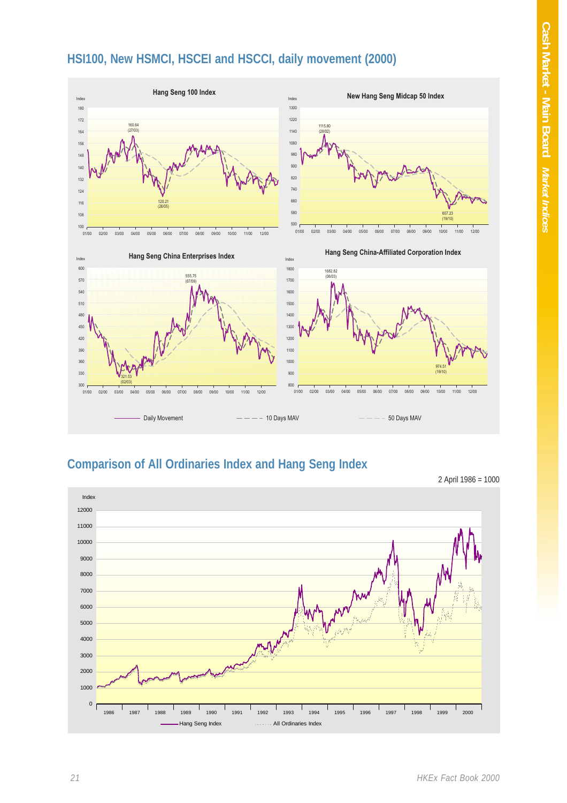### **HSI100, New HSMCI, HSCEI and HSCCI, daily movement (2000)**



#### **Comparison of All Ordinaries Index and Hang Seng Index**

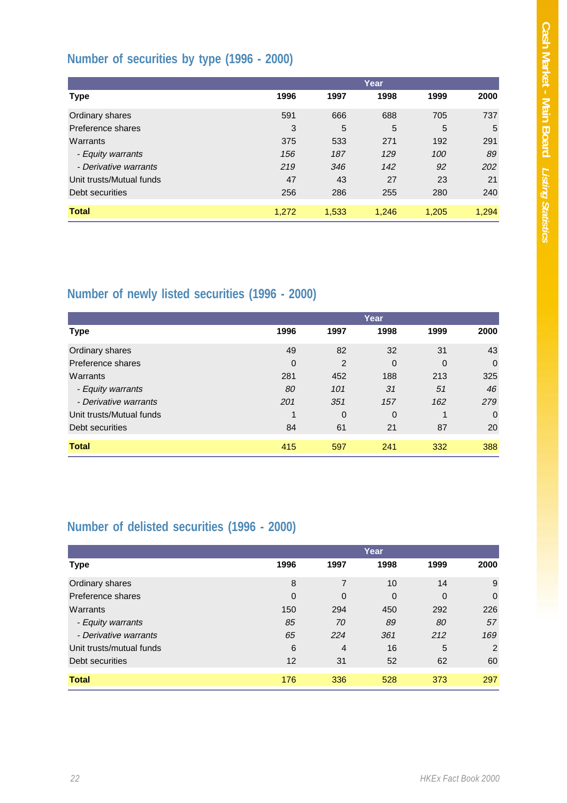## **Number of securities by type (1996 - 2000)**

|                          | Year  |       |       |       |       |  |  |  |
|--------------------------|-------|-------|-------|-------|-------|--|--|--|
| Type                     | 1996  | 1997  | 1998  | 1999  | 2000  |  |  |  |
| Ordinary shares          | 591   | 666   | 688   | 705   | 737   |  |  |  |
| Preference shares        | 3     | 5     | 5     | 5     | 5     |  |  |  |
| Warrants                 | 375   | 533   | 271   | 192   | 291   |  |  |  |
| - Equity warrants        | 156   | 187   | 129   | 100   | 89    |  |  |  |
| - Derivative warrants    | 219   | 346   | 142   | 92    | 202   |  |  |  |
| Unit trusts/Mutual funds | 47    | 43    | 27    | 23    | 21    |  |  |  |
| Debt securities          | 256   | 286   | 255   | 280   | 240   |  |  |  |
| <b>Total</b>             | 1,272 | 1,533 | 1,246 | 1.205 | 1,294 |  |  |  |

# **Number of newly listed securities (1996 - 2000)**

|                          | Year        |             |             |                |             |  |  |  |
|--------------------------|-------------|-------------|-------------|----------------|-------------|--|--|--|
| Type                     | 1996        | 1997        | 1998        | 1999           | 2000        |  |  |  |
| Ordinary shares          | 49          | 82          | 32          | 31             | 43          |  |  |  |
| Preference shares        | $\mathbf 0$ | 2           | $\mathbf 0$ | $\overline{0}$ | $\mathbf 0$ |  |  |  |
| Warrants                 | 281         | 452         | 188         | 213            | 325         |  |  |  |
| - Equity warrants        | 80          | 101         | 31          | 51             | 46          |  |  |  |
| - Derivative warrants    | 201         | 351         | 157         | 162            | 279         |  |  |  |
| Unit trusts/Mutual funds | 1           | $\mathbf 0$ | 0           | 1              | 0           |  |  |  |
| Debt securities          | 84          | 61          | 21          | 87             | 20          |  |  |  |
| <b>Total</b>             | 415         | 597         | 241         | 332            | 388         |  |  |  |

### **Number of delisted securities (1996 - 2000)**

|                          |             |                | Year        |          |             |
|--------------------------|-------------|----------------|-------------|----------|-------------|
| Type                     | 1996        | 1997           | 1998        | 1999     | 2000        |
| Ordinary shares          | 8           | 7              | 10          | 14       | 9           |
| Preference shares        | $\mathbf 0$ | $\mathbf 0$    | $\mathbf 0$ | $\Omega$ | $\mathbf 0$ |
| Warrants                 | 150         | 294            | 450         | 292      | 226         |
| - Equity warrants        | 85          | 70             | 89          | 80       | 57          |
| - Derivative warrants    | 65          | 224            | 361         | 212      | 169         |
| Unit trusts/mutual funds | 6           | $\overline{4}$ | 16          | 5        | 2           |
| Debt securities          | 12          | 31             | 52          | 62       | 60          |
| <b>Total</b>             | 176         | 336            | 528         | 373      | 297         |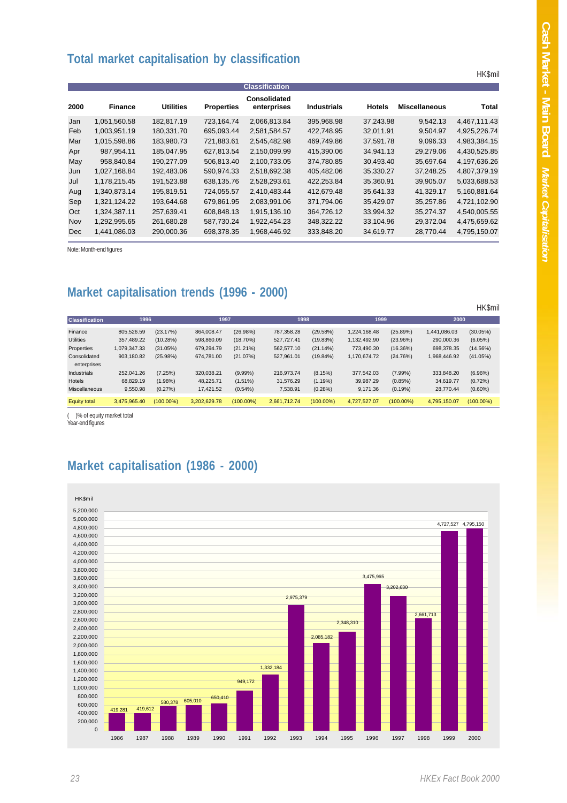#### **Total market capitalisation by classification**

|      |                |                  |                   | <b>Classification</b>       |                    |               |                      |              |
|------|----------------|------------------|-------------------|-----------------------------|--------------------|---------------|----------------------|--------------|
| 2000 | <b>Finance</b> | <b>Utilities</b> | <b>Properties</b> | Consolidated<br>enterprises | <b>Industrials</b> | <b>Hotels</b> | <b>Miscellaneous</b> | Total        |
| Jan  | 1,051,560.58   | 182,817.19       | 723,164.74        | 2,066,813.84                | 395,968.98         | 37.243.98     | 9.542.13             | 4,467,111.43 |
| Feb  | 1,003,951.19   | 180,331.70       | 695,093.44        | 2,581,584.57                | 422,748.95         | 32.011.91     | 9,504.97             | 4,925,226.74 |
| Mar  | 1,015,598.86   | 183,980.73       | 721,883.61        | 2,545,482.98                | 469,749.86         | 37,591.78     | 9,096.33             | 4,983,384.15 |
| Apr  | 987,954.11     | 185,047.95       | 627,813.54        | 2,150,099.99                | 415,390.06         | 34,941.13     | 29,279.06            | 4,430,525.85 |
| May  | 958.840.84     | 190.277.09       | 506,813.40        | 2,100,733.05                | 374,780.85         | 30,493.40     | 35,697.64            | 4,197,636.26 |
| Jun  | 1,027,168.84   | 192.483.06       | 590,974.33        | 2,518,692.38                | 405,482.06         | 35,330.27     | 37.248.25            | 4,807,379.19 |
| Jul  | 1,178,215.45   | 191,523.88       | 638,135.76        | 2.528.293.61                | 422,253.84         | 35,360.91     | 39,905.07            | 5,033,688.53 |
| Aug  | 1,340,873.14   | 195,819.51       | 724,055.57        | 2,410,483.44                | 412,679.48         | 35,641.33     | 41,329.17            | 5,160,881.64 |
| Sep  | 1,321,124.22   | 193,644.68       | 679,861.95        | 2,083,991.06                | 371,794.06         | 35,429.07     | 35,257.86            | 4,721,102.90 |
| Oct  | 1,324,387.11   | 257,639.41       | 608,848.13        | 1,915,136.10                | 364,726.12         | 33,994.32     | 35,274.37            | 4,540,005.55 |
| Nov  | 1,292,995.65   | 261,680.28       | 587,730.24        | 1,922,454.23                | 348,322.22         | 33,104.96     | 29,372.04            | 4,475,659.62 |
| Dec  | 1,441,086.03   | 290,000.36       | 698,378.35        | 1,968,446.92                | 333,848.20         | 34,619.77     | 28,770.44            | 4,795,150.07 |

Note: Month-end figures

### **Market capitalisation trends (1996 - 2000)**

|                             |              |              |              |              |              |              |              |              |              | <b>HK\$mil</b> |
|-----------------------------|--------------|--------------|--------------|--------------|--------------|--------------|--------------|--------------|--------------|----------------|
| <b>Classification</b>       | 1996         |              | 1997         |              | 1998         |              | 1999         |              | 2000         |                |
| Finance                     | 805.526.59   | (23.17%)     | 864,008.47   | (26.98%)     | 787,358.28   | (29.58%)     | 1.224.168.48 | (25.89%)     | 1,441,086.03 | (30.05%)       |
| <b>Utilities</b>            | 357.489.22   | (10.28%)     | 598,860.09   | $(18.70\%)$  | 527.727.41   | (19.83%)     | 1.132.492.90 | (23.96%)     | 290,000.36   | (6.05%)        |
| Properties                  | 1.079.347.33 | (31.05%)     | 679.294.79   | $(21.21\%)$  | 562.577.10   | $(21.14\%)$  | 773.490.30   | (16.36%)     | 698.378.35   | (14.56%)       |
| Consolidated<br>enterprises | 903.180.82   | (25.98%)     | 674.781.00   | (21.07%)     | 527.961.01   | $(19.84\%)$  | 1,170,674.72 | (24.76%)     | 1.968.446.92 | (41.05%)       |
| Industrials                 | 252.041.26   | (7.25%)      | 320,038.21   | $(9.99\%)$   | 216.973.74   | (8.15%)      | 377.542.03   | (7.99%)      | 333.848.20   | (6.96%)        |
| Hotels                      | 68.829.19    | $(1.98\%)$   | 48.225.71    | $(1.51\%)$   | 31.576.29    | (1.19%)      | 39.987.29    | (0.85%)      | 34,619.77    | $(0.72\%)$     |
| Miscellaneous               | 9.550.98     | (0.27%)      | 17.421.52    | $(0.54\%)$   | 7.538.91     | (0.28%)      | 9.171.36     | (0.19%)      | 28.770.44    | $(0.60\%)$     |
| <b>Equity total</b>         | 3,475,965.40 | $(100.00\%)$ | 3,202,629.78 | $(100.00\%)$ | 2.661.712.74 | $(100.00\%)$ | 4,727,527.07 | $(100.00\%)$ | 4,795,150.07 | $(100.00\%)$   |

( )% of equity market total Year-end figures

#### **Market capitalisation (1986 - 2000)**



HK\$mil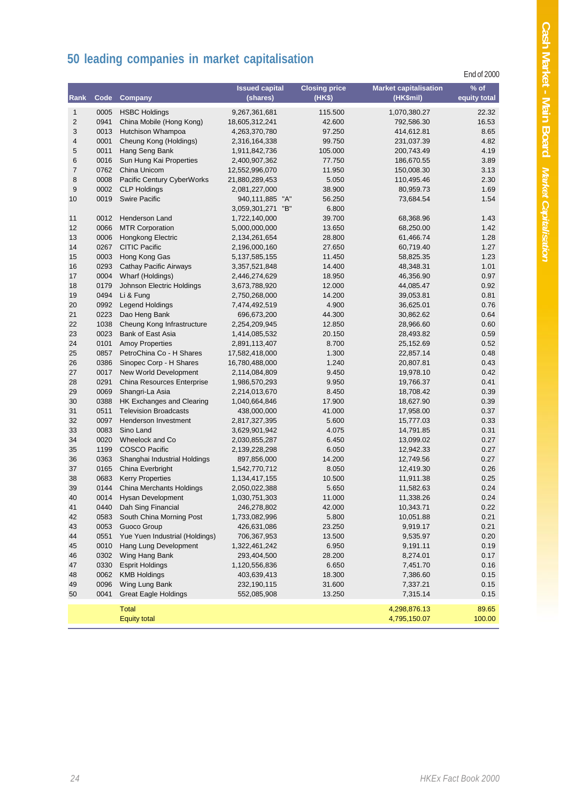# **50 leading companies in market capitalisation**

|                         |              |                                                  |                                         |                                |                                           | End of 2000            |
|-------------------------|--------------|--------------------------------------------------|-----------------------------------------|--------------------------------|-------------------------------------------|------------------------|
| Rank                    | Code         | Company                                          | <b>Issued capital</b><br>(shares)       | <b>Closing price</b><br>(HK\$) | <b>Market capitalisation</b><br>(HK\$mil) | $%$ of<br>equity total |
| $\mathbf{1}$            | 0005         | <b>HSBC Holdings</b>                             | 9,267,361,681                           | 115.500                        | 1,070,380.27                              | 22.32                  |
| $\overline{\mathbf{c}}$ | 0941         | China Mobile (Hong Kong)                         | 18,605,312,241                          | 42.600                         | 792,586.30                                | 16.53                  |
| 3                       | 0013         | Hutchison Whampoa                                | 4,263,370,780                           | 97.250                         | 414,612.81                                | 8.65                   |
| 4                       | 0001         | Cheung Kong (Holdings)                           | 2,316,164,338                           | 99.750                         | 231,037.39                                | 4.82                   |
| 5                       | 0011         | Hang Seng Bank                                   | 1,911,842,736                           | 105.000                        | 200,743.49                                | 4.19                   |
| 6                       | 0016         | Sun Hung Kai Properties                          | 2,400,907,362                           | 77.750                         | 186,670.55                                | 3.89                   |
| $\overline{7}$          | 0762         | China Unicom                                     | 12,552,996,070                          | 11.950                         | 150,008.30                                | 3.13                   |
| 8                       | 0008         | Pacific Century CyberWorks                       | 21,880,289,453                          | 5.050                          | 110,495.46                                | 2.30                   |
| 9                       | 0002         | <b>CLP Holdings</b>                              | 2,081,227,000                           | 38.900                         | 80,959.73                                 | 1.69                   |
| 10                      | 0019         | <b>Swire Pacific</b>                             | 940,111,885 "A"<br>"B"<br>3,059,301,271 | 56.250<br>6.800                | 73,684.54                                 | 1.54                   |
| 11                      | 0012         | Henderson Land                                   | 1,722,140,000                           | 39.700                         | 68,368.96                                 | 1.43                   |
| 12                      | 0066         | <b>MTR Corporation</b>                           | 5,000,000,000                           | 13.650                         | 68,250.00                                 | 1.42                   |
| 13                      | 0006         | <b>Hongkong Electric</b>                         | 2,134,261,654                           | 28.800                         | 61,466.74                                 | 1.28                   |
| 14                      | 0267         | <b>CITIC Pacific</b>                             | 2,196,000,160                           | 27.650                         | 60,719.40                                 | 1.27                   |
| 15                      | 0003         | Hong Kong Gas                                    | 5, 137, 585, 155                        | 11.450                         | 58,825.35                                 | 1.23                   |
| 16                      | 0293         | Cathay Pacific Airways                           | 3,357,521,848                           | 14.400                         | 48,348.31                                 | 1.01                   |
| 17                      | 0004         | Wharf (Holdings)                                 | 2,446,274,629                           | 18.950                         | 46,356.90                                 | 0.97                   |
| 18                      | 0179         | Johnson Electric Holdings                        | 3,673,788,920                           | 12.000                         | 44,085.47                                 | 0.92                   |
| 19                      | 0494         | Li & Fung                                        | 2,750,268,000                           | 14.200                         | 39,053.81                                 | 0.81                   |
| 20                      | 0992         | <b>Legend Holdings</b>                           | 7,474,492,519                           | 4.900                          | 36,625.01                                 | 0.76                   |
| 21                      | 0223         | Dao Heng Bank                                    | 696,673,200                             | 44.300                         | 30,862.62                                 | 0.64                   |
| 22                      | 1038         | Cheung Kong Infrastructure                       | 2,254,209,945                           | 12.850                         | 28,966.60                                 | 0.60                   |
| 23                      | 0023         | Bank of East Asia                                | 1,414,085,532                           | 20.150                         | 28,493.82                                 | 0.59                   |
| 24                      | 0101         | <b>Amoy Properties</b>                           | 2,891,113,407                           | 8.700                          | 25,152.69                                 | 0.52                   |
| 25                      | 0857         | PetroChina Co - H Shares                         | 17,582,418,000                          | 1.300                          | 22,857.14                                 | 0.48                   |
| 26<br>27                | 0386<br>0017 | Sinopec Corp - H Shares<br>New World Development | 16,780,488,000                          | 1.240<br>9.450                 | 20,807.81                                 | 0.43<br>0.42           |
| 28                      | 0291         | China Resources Enterprise                       | 2,114,084,809<br>1,986,570,293          | 9.950                          | 19,978.10<br>19,766.37                    | 0.41                   |
| 29                      | 0069         | Shangri-La Asia                                  | 2,214,013,670                           | 8.450                          | 18,708.42                                 | 0.39                   |
| 30                      | 0388         | HK Exchanges and Clearing                        | 1,040,664,846                           | 17.900                         | 18,627.90                                 | 0.39                   |
| 31                      | 0511         | <b>Television Broadcasts</b>                     | 438,000,000                             | 41.000                         | 17,958.00                                 | 0.37                   |
| 32                      | 0097         | Henderson Investment                             | 2,817,327,395                           | 5.600                          | 15,777.03                                 | 0.33                   |
| 33                      | 0083         | Sino Land                                        | 3,629,901,942                           | 4.075                          | 14,791.85                                 | 0.31                   |
| 34                      | 0020         | Wheelock and Co.                                 | 2,030,855,287                           | 6.450                          | 13,099.02                                 | 0.27                   |
| 35                      | 1199         | <b>COSCO Pacific</b>                             | 2,139,228,298                           | 6.050                          | 12,942.33                                 | 0.27                   |
| 36                      | 0363         | Shanghai Industrial Holdings                     | 897,856,000                             | 14.200                         | 12,749.56                                 | 0.27                   |
| 37                      | 0165         | China Everbright                                 | 1,542,770,712                           | 8.050                          | 12,419.30                                 | 0.26                   |
| 38                      | 0683         | <b>Kerry Properties</b>                          | 1,134,417,155                           | 10.500                         | 11,911.38                                 | 0.25                   |
| 39                      | 0144         | China Merchants Holdings                         | 2,050,022,388                           | 5.650                          | 11,582.63                                 | 0.24                   |
| 40                      | 0014         | <b>Hysan Development</b>                         | 1,030,751,303                           | 11.000                         | 11,338.26                                 | 0.24                   |
| 41                      | 0440         | Dah Sing Financial                               | 246,278,802                             | 42.000                         | 10,343.71                                 | 0.22                   |
| 42                      | 0583         | South China Morning Post                         | 1,733,082,996                           | 5.800                          | 10,051.88                                 | 0.21                   |
| 43                      | 0053         | Guoco Group                                      | 426,631,086                             | 23.250                         | 9,919.17                                  | 0.21                   |
| 44                      | 0551         | Yue Yuen Industrial (Holdings)                   | 706,367,953                             | 13.500                         | 9,535.97                                  | 0.20                   |
| 45                      | 0010         | Hang Lung Development                            | 1,322,461,242                           | 6.950                          | 9,191.11                                  | 0.19                   |
| 46                      | 0302         | Wing Hang Bank                                   | 293,404,500                             | 28.200                         | 8,274.01                                  | 0.17                   |
| 47                      | 0330         | <b>Esprit Holdings</b>                           | 1,120,556,836                           | 6.650                          | 7,451.70                                  | 0.16                   |
| 48                      | 0062         | <b>KMB Holdings</b>                              | 403,639,413                             | 18.300                         | 7,386.60                                  | 0.15                   |
| 49                      | 0096         | Wing Lung Bank                                   | 232,190,115                             | 31.600                         | 7,337.21                                  | 0.15                   |
| 50                      | 0041         | <b>Great Eagle Holdings</b>                      | 552,085,908                             | 13.250                         | 7,315.14                                  | 0.15                   |
|                         |              | <b>Total</b><br><b>Equity total</b>              |                                         |                                | 4,298,876.13<br>4,795,150.07              | 89.65<br>100.00        |
|                         |              |                                                  |                                         |                                |                                           |                        |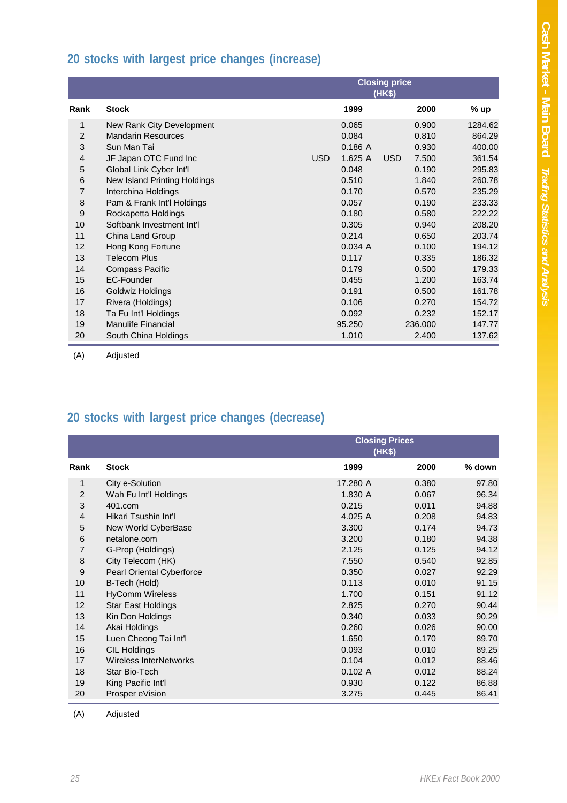## **20 stocks with largest price changes (increase)**

|                  |                              | <b>Closing price</b><br>(HK\$) |        |            |         |         |  |
|------------------|------------------------------|--------------------------------|--------|------------|---------|---------|--|
| Rank             | <b>Stock</b>                 |                                | 1999   |            | 2000    | % up    |  |
| 1                | New Rank City Development    |                                | 0.065  |            | 0.900   | 1284.62 |  |
| $\overline{2}$   | <b>Mandarin Resources</b>    |                                | 0.084  |            | 0.810   | 864.29  |  |
| 3                | Sun Man Tai                  |                                | 0.186A |            | 0.930   | 400.00  |  |
| $\overline{4}$   | JF Japan OTC Fund Inc        | <b>USD</b>                     | 1.625A | <b>USD</b> | 7.500   | 361.54  |  |
| 5                | Global Link Cyber Int'l      |                                | 0.048  |            | 0.190   | 295.83  |  |
| $\,6$            | New Island Printing Holdings |                                | 0.510  |            | 1.840   | 260.78  |  |
| $\overline{7}$   | Interchina Holdings          |                                | 0.170  |            | 0.570   | 235.29  |  |
| 8                | Pam & Frank Int'l Holdings   |                                | 0.057  |            | 0.190   | 233.33  |  |
| $\boldsymbol{9}$ | Rockapetta Holdings          |                                | 0.180  |            | 0.580   | 222.22  |  |
| 10               | Softbank Investment Int'l    |                                | 0.305  |            | 0.940   | 208.20  |  |
| 11               | China Land Group             |                                | 0.214  |            | 0.650   | 203.74  |  |
| 12               | Hong Kong Fortune            |                                | 0.034A |            | 0.100   | 194.12  |  |
| 13               | <b>Telecom Plus</b>          |                                | 0.117  |            | 0.335   | 186.32  |  |
| 14               | Compass Pacific              |                                | 0.179  |            | 0.500   | 179.33  |  |
| 15               | EC-Founder                   |                                | 0.455  |            | 1.200   | 163.74  |  |
| 16               | Goldwiz Holdings             |                                | 0.191  |            | 0.500   | 161.78  |  |
| 17               | Rivera (Holdings)            |                                | 0.106  |            | 0.270   | 154.72  |  |
| 18               | Ta Fu Int'l Holdings         |                                | 0.092  |            | 0.232   | 152.17  |  |
| 19               | <b>Manulife Financial</b>    |                                | 95.250 |            | 236,000 | 147.77  |  |
| 20               | South China Holdings         |                                | 1.010  |            | 2.400   | 137.62  |  |

(A) Adjusted

# **20 stocks with largest price changes (decrease)**

|                  |                           | <b>Closing Prices</b><br>(HK\$) |       |          |
|------------------|---------------------------|---------------------------------|-------|----------|
| Rank             | <b>Stock</b>              | 1999                            | 2000  | $%$ down |
| 1                | City e-Solution           | 17.280 A                        | 0.380 | 97.80    |
| $\overline{2}$   | Wah Fu Int'l Holdings     | 1.830 A                         | 0.067 | 96.34    |
| 3                | 401.com                   | 0.215                           | 0.011 | 94.88    |
| 4                | Hikari Tsushin Int'l      | 4.025 A                         | 0.208 | 94.83    |
| 5                | New World CyberBase       | 3.300                           | 0.174 | 94.73    |
| $\,6$            | netalone.com              | 3.200                           | 0.180 | 94.38    |
| 7                | G-Prop (Holdings)         | 2.125                           | 0.125 | 94.12    |
| 8                | City Telecom (HK)         | 7.550                           | 0.540 | 92.85    |
| $\boldsymbol{9}$ | Pearl Oriental Cyberforce | 0.350                           | 0.027 | 92.29    |
| 10               | B-Tech (Hold)             | 0.113                           | 0.010 | 91.15    |
| 11               | <b>HyComm Wireless</b>    | 1.700                           | 0.151 | 91.12    |
| 12               | Star East Holdings        | 2.825                           | 0.270 | 90.44    |
| 13               | Kin Don Holdings          | 0.340                           | 0.033 | 90.29    |
| 14               | Akai Holdings             | 0.260                           | 0.026 | 90.00    |
| 15               | Luen Cheong Tai Int'l     | 1.650                           | 0.170 | 89.70    |
| 16               | <b>CIL Holdings</b>       | 0.093                           | 0.010 | 89.25    |
| 17               | Wireless InterNetworks    | 0.104                           | 0.012 | 88.46    |
| 18               | Star Bio-Tech             | 0.102A                          | 0.012 | 88.24    |
| 19               | King Pacific Int'l        | 0.930                           | 0.122 | 86.88    |
| 20               | Prosper eVision           | 3.275                           | 0.445 | 86.41    |

(A) Adjusted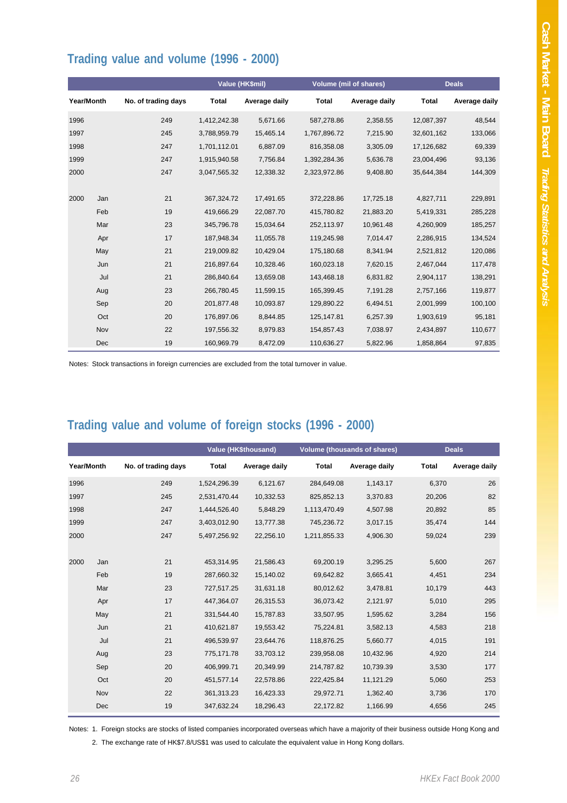### **Trading value and volume (1996 - 2000)**

|            |     |                     |              | Value (HK\$mil) |              | <b>Volume (mil of shares)</b> |              | <b>Deals</b>  |
|------------|-----|---------------------|--------------|-----------------|--------------|-------------------------------|--------------|---------------|
| Year/Month |     | No. of trading days | Total        | Average daily   | <b>Total</b> | Average daily                 | <b>Total</b> | Average daily |
| 1996       |     | 249                 | 1,412,242.38 | 5,671.66        | 587,278.86   | 2,358.55                      | 12,087,397   | 48,544        |
| 1997       |     | 245                 | 3,788,959.79 | 15,465.14       | 1,767,896.72 | 7,215.90                      | 32,601,162   | 133,066       |
| 1998       |     | 247                 | 1,701,112.01 | 6,887.09        | 816,358.08   | 3,305.09                      | 17,126,682   | 69,339        |
| 1999       |     | 247                 | 1,915,940.58 | 7,756.84        | 1,392,284.36 | 5,636.78                      | 23,004,496   | 93,136        |
| 2000       |     | 247                 | 3,047,565.32 | 12,338.32       | 2,323,972.86 | 9,408.80                      | 35,644,384   | 144,309       |
|            |     |                     |              |                 |              |                               |              |               |
| 2000       | Jan | 21                  | 367,324.72   | 17,491.65       | 372,228.86   | 17,725.18                     | 4,827,711    | 229,891       |
|            | Feb | 19                  | 419,666.29   | 22,087.70       | 415,780.82   | 21,883.20                     | 5,419,331    | 285,228       |
|            | Mar | 23                  | 345,796.78   | 15,034.64       | 252,113.97   | 10,961.48                     | 4,260,909    | 185,257       |
|            | Apr | 17                  | 187,948.34   | 11,055.78       | 119,245.98   | 7,014.47                      | 2,286,915    | 134,524       |
|            | May | 21                  | 219,009.82   | 10,429.04       | 175,180.68   | 8,341.94                      | 2,521,812    | 120,086       |
|            | Jun | 21                  | 216,897.64   | 10,328.46       | 160,023.18   | 7,620.15                      | 2,467,044    | 117,478       |
|            | Jul | 21                  | 286,840.64   | 13,659.08       | 143,468.18   | 6,831.82                      | 2,904,117    | 138,291       |
|            | Aug | 23                  | 266,780.45   | 11,599.15       | 165,399.45   | 7,191.28                      | 2,757,166    | 119,877       |
|            | Sep | 20                  | 201,877.48   | 10,093.87       | 129,890.22   | 6,494.51                      | 2,001,999    | 100,100       |
|            | Oct | 20                  | 176,897.06   | 8,844.85        | 125,147.81   | 6,257.39                      | 1,903,619    | 95,181        |
|            | Nov | 22                  | 197,556.32   | 8,979.83        | 154,857.43   | 7,038.97                      | 2,434,897    | 110,677       |
|            | Dec | 19                  | 160,969.79   | 8,472.09        | 110,636.27   | 5,822.96                      | 1,858,864    | 97,835        |

Notes: Stock transactions in foreign currencies are excluded from the total turnover in value.

# **Trading value and volume of foreign stocks (1996 - 2000)**

|            |     |                     |              | <b>Value (HK\$thousand)</b> | <b>Volume (thousands of shares)</b> |               |              | <b>Deals</b>  |
|------------|-----|---------------------|--------------|-----------------------------|-------------------------------------|---------------|--------------|---------------|
| Year/Month |     | No. of trading days | <b>Total</b> | Average daily               | <b>Total</b>                        | Average daily | <b>Total</b> | Average daily |
| 1996       |     | 249                 | 1,524,296.39 | 6,121.67                    | 284,649.08                          | 1,143.17      | 6,370        | 26            |
| 1997       |     | 245                 | 2,531,470.44 | 10,332.53                   | 825,852.13                          | 3,370.83      | 20,206       | 82            |
| 1998       |     | 247                 | 1,444,526.40 | 5,848.29                    | 1,113,470.49                        | 4,507.98      | 20,892       | 85            |
| 1999       |     | 247                 | 3,403,012.90 | 13,777.38                   | 745,236.72                          | 3,017.15      | 35,474       | 144           |
| 2000       |     | 247                 | 5,497,256.92 | 22,256.10                   | 1,211,855.33                        | 4,906.30      | 59,024       | 239           |
|            |     |                     |              |                             |                                     |               |              |               |
| 2000       | Jan | 21                  | 453,314.95   | 21,586.43                   | 69,200.19                           | 3,295.25      | 5,600        | 267           |
|            | Feb | 19                  | 287.660.32   | 15,140.02                   | 69,642.82                           | 3,665.41      | 4,451        | 234           |
|            | Mar | 23                  | 727.517.25   | 31,631.18                   | 80,012.62                           | 3,478.81      | 10,179       | 443           |
|            | Apr | 17                  | 447,364.07   | 26,315.53                   | 36,073.42                           | 2,121.97      | 5,010        | 295           |
|            | May | 21                  | 331,544.40   | 15,787.83                   | 33,507.95                           | 1,595.62      | 3,284        | 156           |
|            | Jun | 21                  | 410,621.87   | 19,553.42                   | 75,224.81                           | 3,582.13      | 4,583        | 218           |
|            | Jul | 21                  | 496,539.97   | 23,644.76                   | 118,876.25                          | 5,660.77      | 4,015        | 191           |
|            | Aug | 23                  | 775,171.78   | 33,703.12                   | 239,958.08                          | 10,432.96     | 4,920        | 214           |
|            | Sep | 20                  | 406,999.71   | 20,349.99                   | 214,787.82                          | 10,739.39     | 3,530        | 177           |
|            | Oct | 20                  | 451,577.14   | 22,578.86                   | 222,425.84                          | 11,121.29     | 5,060        | 253           |
|            | Nov | 22                  | 361,313.23   | 16,423.33                   | 29,972.71                           | 1,362.40      | 3,736        | 170           |
|            | Dec | 19                  | 347,632.24   | 18,296.43                   | 22,172.82                           | 1,166.99      | 4,656        | 245           |

Notes: 1. Foreign stocks are stocks of listed companies incorporated overseas which have a majority of their business outside Hong Kong and

2. The exchange rate of HK\$7.8/US\$1 was used to calculate the equivalent value in Hong Kong dollars.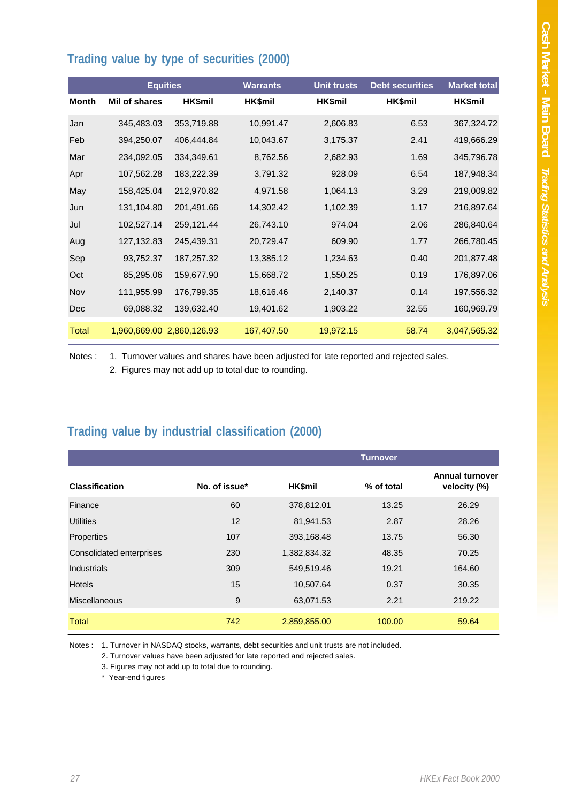### **Trading value by type of securities (2000)**

|              |               | <b>Equities</b>           | <b>Warrants</b> | <b>Unit trusts</b> | <b>Debt securities</b> | <b>Market total</b> |
|--------------|---------------|---------------------------|-----------------|--------------------|------------------------|---------------------|
| <b>Month</b> | Mil of shares | HK\$mil                   | HK\$mil         | HK\$mil            | HK\$mil                | HK\$mil             |
| Jan          | 345,483.03    | 353,719.88                | 10,991.47       | 2,606.83           | 6.53                   | 367,324.72          |
| Feb          | 394,250.07    | 406,444.84                | 10,043.67       | 3,175.37           | 2.41                   | 419,666.29          |
| Mar          | 234,092.05    | 334,349.61                | 8,762.56        | 2,682.93           | 1.69                   | 345,796.78          |
| Apr          | 107,562.28    | 183,222.39                | 3,791.32        | 928.09             | 6.54                   | 187,948.34          |
| May          | 158,425.04    | 212,970.82                | 4,971.58        | 1,064.13           | 3.29                   | 219,009.82          |
| Jun          | 131,104.80    | 201,491.66                | 14,302.42       | 1,102.39           | 1.17                   | 216,897.64          |
| Jul          | 102,527.14    | 259,121.44                | 26,743.10       | 974.04             | 2.06                   | 286,840.64          |
| Aug          | 127,132.83    | 245,439.31                | 20,729.47       | 609.90             | 1.77                   | 266,780.45          |
| Sep          | 93,752.37     | 187,257.32                | 13,385.12       | 1,234.63           | 0.40                   | 201,877.48          |
| Oct          | 85,295.06     | 159,677.90                | 15,668.72       | 1,550.25           | 0.19                   | 176,897.06          |
| Nov          | 111,955.99    | 176,799.35                | 18,616.46       | 2,140.37           | 0.14                   | 197,556.32          |
| Dec          | 69,088.32     | 139,632.40                | 19,401.62       | 1,903.22           | 32.55                  | 160,969.79          |
| <b>Total</b> |               | 1,960,669.00 2,860,126.93 | 167,407.50      | 19,972.15          | 58.74                  | 3,047,565.32        |

Notes : 1. Turnover values and shares have been adjusted for late reported and rejected sales.

2. Figures may not add up to total due to rounding.

#### **Trading value by industrial classification (2000)**

|                          |               |                | <b>Turnover</b> |                                        |
|--------------------------|---------------|----------------|-----------------|----------------------------------------|
| <b>Classification</b>    | No. of issue* | <b>HK\$mil</b> | % of total      | <b>Annual turnover</b><br>velocity (%) |
| Finance                  | 60            | 378,812.01     | 13.25           | 26.29                                  |
| <b>Utilities</b>         | 12            | 81,941.53      | 2.87            | 28.26                                  |
| Properties               | 107           | 393,168.48     | 13.75           | 56.30                                  |
| Consolidated enterprises | 230           | 1,382,834.32   | 48.35           | 70.25                                  |
| Industrials              | 309           | 549,519.46     | 19.21           | 164.60                                 |
| <b>Hotels</b>            | 15            | 10,507.64      | 0.37            | 30.35                                  |
| <b>Miscellaneous</b>     | 9             | 63,071.53      | 2.21            | 219.22                                 |
| <b>Total</b>             | 742           | 2,859,855.00   | 100.00          | 59.64                                  |

Notes : 1. Turnover in NASDAQ stocks, warrants, debt securities and unit trusts are not included.

2. Turnover values have been adjusted for late reported and rejected sales.

3. Figures may not add up to total due to rounding.

\* Year-end figures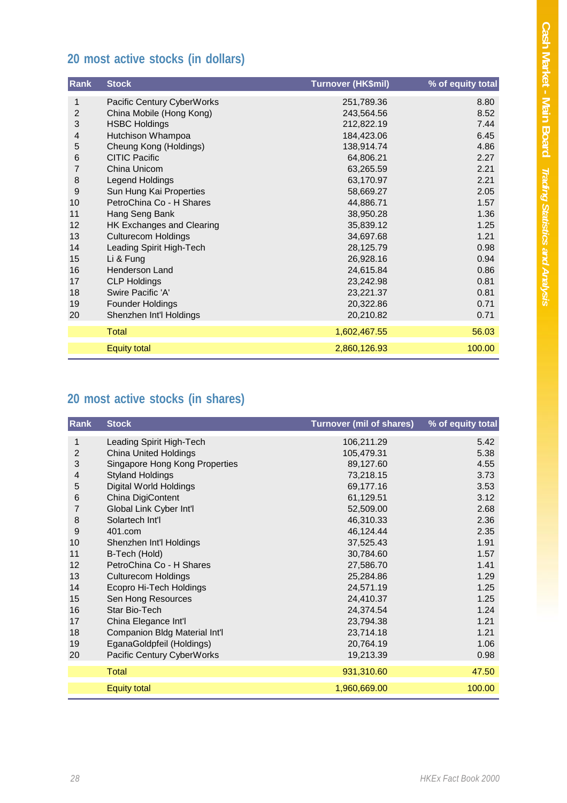## **20 most active stocks (in dollars)**

| Rank           | <b>Stock</b>                     | <b>Turnover (HK\$mil)</b> | % of equity total |
|----------------|----------------------------------|---------------------------|-------------------|
| 1              | Pacific Century CyberWorks       | 251,789.36                | 8.80              |
| $\overline{2}$ | China Mobile (Hong Kong)         | 243,564.56                | 8.52              |
| 3              | <b>HSBC Holdings</b>             | 212,822.19                | 7.44              |
| 4              | Hutchison Whampoa                | 184,423.06                | 6.45              |
| 5              | Cheung Kong (Holdings)           | 138,914.74                | 4.86              |
| 6              | <b>CITIC Pacific</b>             | 64,806.21                 | 2.27              |
| 7              | China Unicom                     | 63,265.59                 | 2.21              |
| 8              | Legend Holdings                  | 63,170.97                 | 2.21              |
| 9              | Sun Hung Kai Properties          | 58,669.27                 | 2.05              |
| 10             | PetroChina Co - H Shares         | 44,886.71                 | 1.57              |
| 11             | Hang Seng Bank                   | 38,950.28                 | 1.36              |
| 12             | <b>HK Exchanges and Clearing</b> | 35,839.12                 | 1.25              |
| 13             | <b>Culturecom Holdings</b>       | 34,697.68                 | 1.21              |
| 14             | Leading Spirit High-Tech         | 28,125.79                 | 0.98              |
| 15             | Li & Fung                        | 26,928.16                 | 0.94              |
| 16             | <b>Henderson Land</b>            | 24,615.84                 | 0.86              |
| 17             | <b>CLP Holdings</b>              | 23,242.98                 | 0.81              |
| 18             | Swire Pacific 'A'                | 23,221.37                 | 0.81              |
| 19             | Founder Holdings                 | 20,322.86                 | 0.71              |
| 20             | Shenzhen Int'l Holdings          | 20,210.82                 | 0.71              |
|                | <b>Total</b>                     | 1,602,467.55              | 56.03             |
|                | <b>Equity total</b>              | 2,860,126.93              | 100.00            |

# **20 most active stocks (in shares)**

| Rank           | <b>Stock</b>                   | <b>Turnover (mil of shares)</b> | % of equity total |
|----------------|--------------------------------|---------------------------------|-------------------|
| 1              | Leading Spirit High-Tech       | 106,211.29                      | 5.42              |
| $\overline{2}$ | <b>China United Holdings</b>   | 105,479.31                      | 5.38              |
| 3              | Singapore Hong Kong Properties | 89,127.60                       | 4.55              |
| 4              | <b>Styland Holdings</b>        | 73,218.15                       | 3.73              |
| 5              | Digital World Holdings         | 69,177.16                       | 3.53              |
| 6              | China DigiContent              | 61,129.51                       | 3.12              |
| 7              | Global Link Cyber Int'l        | 52,509.00                       | 2.68              |
| 8              | Solartech Int'l                | 46,310.33                       | 2.36              |
| 9              | 401.com                        | 46,124.44                       | 2.35              |
| 10             | Shenzhen Int'l Holdings        | 37,525.43                       | 1.91              |
| 11             | B-Tech (Hold)                  | 30,784.60                       | 1.57              |
| 12             | PetroChina Co - H Shares       | 27,586.70                       | 1.41              |
| 13             | <b>Culturecom Holdings</b>     | 25,284.86                       | 1.29              |
| 14             | Ecopro Hi-Tech Holdings        | 24,571.19                       | 1.25              |
| 15             | Sen Hong Resources             | 24,410.37                       | 1.25              |
| 16             | Star Bio-Tech                  | 24,374.54                       | 1.24              |
| 17             | China Elegance Int'l           | 23,794.38                       | 1.21              |
| 18             | Companion Bldg Material Int'l  | 23,714.18                       | 1.21              |
| 19             | EganaGoldpfeil (Holdings)      | 20,764.19                       | 1.06              |
| 20             | Pacific Century CyberWorks     | 19,213.39                       | 0.98              |
|                | <b>Total</b>                   | 931,310.60                      | 47.50             |
|                | <b>Equity total</b>            | 1,960,669.00                    | 100.00            |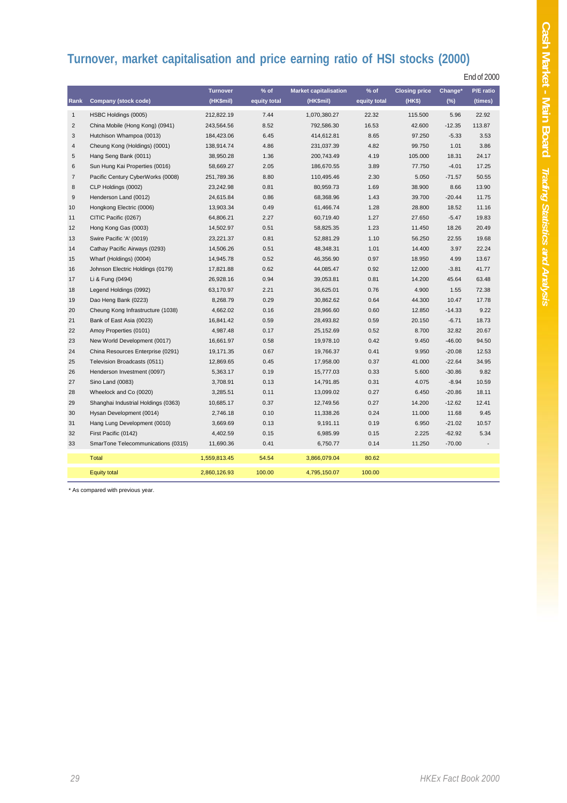## **Turnover, market capitalisation and price earning ratio of HSI stocks (2000)**

End of 2000

|                |                                     | <b>Turnover</b> | $%$ of       | <b>Market capitalisation</b> | $%$ of       | <b>Closing price</b> | Change*  | P/E ratio |
|----------------|-------------------------------------|-----------------|--------------|------------------------------|--------------|----------------------|----------|-----------|
| Rank           | <b>Company (stock code)</b>         | (HK\$mil)       | equity total | (HK\$mil)                    | equity total | (HKS)                | $(\%)$   | (times)   |
| $\mathbf{1}$   | HSBC Holdings (0005)                | 212,822.19      | 7.44         | 1,070,380.27                 | 22.32        | 115.500              | 5.96     | 22.92     |
| $\overline{2}$ | China Mobile (Hong Kong) (0941)     | 243,564.56      | 8.52         | 792,586.30                   | 16.53        | 42.600               | $-12.35$ | 113.87    |
| 3              | Hutchison Whampoa (0013)            | 184,423.06      | 6.45         | 414,612.81                   | 8.65         | 97.250               | $-5.33$  | 3.53      |
| 4              | Cheung Kong (Holdings) (0001)       | 138,914.74      | 4.86         | 231,037.39                   | 4.82         | 99.750               | 1.01     | 3.86      |
| 5              | Hang Seng Bank (0011)               | 38,950.28       | 1.36         | 200,743.49                   | 4.19         | 105.000              | 18.31    | 24.17     |
| 6              | Sun Hung Kai Properties (0016)      | 58,669.27       | 2.05         | 186,670.55                   | 3.89         | 77.750               | $-4.01$  | 17.25     |
| 7              | Pacific Century CyberWorks (0008)   | 251,789.36      | 8.80         | 110,495.46                   | 2.30         | 5.050                | $-71.57$ | 50.55     |
| 8              | CLP Holdings (0002)                 | 23,242.98       | 0.81         | 80,959.73                    | 1.69         | 38,900               | 8.66     | 13.90     |
| 9              | Henderson Land (0012)               | 24,615.84       | 0.86         | 68,368.96                    | 1.43         | 39.700               | $-20.44$ | 11.75     |
| 10             | Hongkong Electric (0006)            | 13,903.34       | 0.49         | 61,466.74                    | 1.28         | 28,800               | 18.52    | 11.16     |
| 11             | CITIC Pacific (0267)                | 64,806.21       | 2.27         | 60,719.40                    | 1.27         | 27.650               | $-5.47$  | 19.83     |
| 12             | Hong Kong Gas (0003)                | 14,502.97       | 0.51         | 58,825.35                    | 1.23         | 11.450               | 18.26    | 20.49     |
| 13             | Swire Pacific 'A' (0019)            | 23,221.37       | 0.81         | 52,881.29                    | 1.10         | 56.250               | 22.55    | 19.68     |
| 14             | Cathay Pacific Airways (0293)       | 14,506.26       | 0.51         | 48,348.31                    | 1.01         | 14.400               | 3.97     | 22.24     |
| 15             | Wharf (Holdings) (0004)             | 14,945.78       | 0.52         | 46,356.90                    | 0.97         | 18.950               | 4.99     | 13.67     |
| 16             | Johnson Electric Holdings (0179)    | 17,821.88       | 0.62         | 44,085.47                    | 0.92         | 12.000               | $-3.81$  | 41.77     |
| 17             | Li & Fung (0494)                    | 26,928.16       | 0.94         | 39,053.81                    | 0.81         | 14.200               | 45.64    | 63.48     |
| 18             | Legend Holdings (0992)              | 63,170.97       | 2.21         | 36,625.01                    | 0.76         | 4.900                | 1.55     | 72.38     |
| 19             | Dao Heng Bank (0223)                | 8,268.79        | 0.29         | 30,862.62                    | 0.64         | 44.300               | 10.47    | 17.78     |
| 20             | Cheung Kong Infrastructure (1038)   | 4,662.02        | 0.16         | 28,966.60                    | 0.60         | 12.850               | $-14.33$ | 9.22      |
| 21             | Bank of East Asia (0023)            | 16,841.42       | 0.59         | 28,493.82                    | 0.59         | 20.150               | $-6.71$  | 18.73     |
| 22             | Amoy Properties (0101)              | 4,987.48        | 0.17         | 25,152.69                    | 0.52         | 8.700                | 32.82    | 20.67     |
| 23             | New World Development (0017)        | 16,661.97       | 0.58         | 19,978.10                    | 0.42         | 9.450                | $-46.00$ | 94.50     |
| 24             | China Resources Enterprise (0291)   | 19,171.35       | 0.67         | 19,766.37                    | 0.41         | 9.950                | $-20.08$ | 12.53     |
| 25             | Television Broadcasts (0511)        | 12,869.65       | 0.45         | 17,958.00                    | 0.37         | 41.000               | $-22.64$ | 34.95     |
| 26             | Henderson Investment (0097)         | 5,363.17        | 0.19         | 15,777.03                    | 0.33         | 5.600                | $-30.86$ | 9.82      |
| 27             | Sino Land (0083)                    | 3,708.91        | 0.13         | 14,791.85                    | 0.31         | 4.075                | $-8.94$  | 10.59     |
| 28             | Wheelock and Co (0020)              | 3,285.51        | 0.11         | 13,099.02                    | 0.27         | 6.450                | $-20.86$ | 18.11     |
| 29             | Shanghai Industrial Holdings (0363) | 10,685.17       | 0.37         | 12,749.56                    | 0.27         | 14.200               | $-12.62$ | 12.41     |
| 30             | Hysan Development (0014)            | 2,746.18        | 0.10         | 11,338.26                    | 0.24         | 11.000               | 11.68    | 9.45      |
| 31             | Hang Lung Development (0010)        | 3,669.69        | 0.13         | 9,191.11                     | 0.19         | 6.950                | $-21.02$ | 10.57     |
| 32             | First Pacific (0142)                | 4,402.59        | 0.15         | 6,985.99                     | 0.15         | 2.225                | $-62.92$ | 5.34      |
| 33             | SmarTone Telecommunications (0315)  | 11,690.36       | 0.41         | 6,750.77                     | 0.14         | 11.250               | $-70.00$ |           |
|                | Total                               | 1,559,813.45    | 54.54        | 3,866,079.04                 | 80.62        |                      |          |           |
|                | <b>Equity total</b>                 | 2,860,126.93    | 100.00       | 4,795,150.07                 | 100.00       |                      |          |           |

\* As compared with previous year.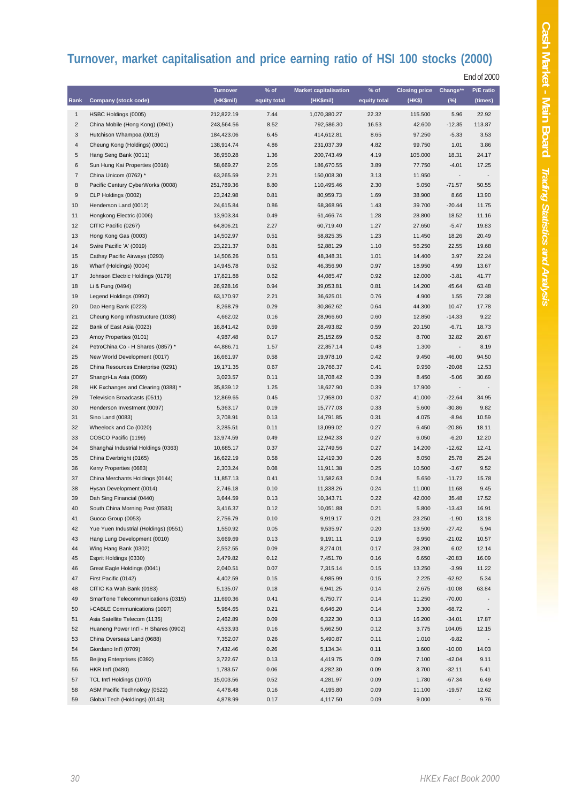# **Turnover, market capitalisation and price earning ratio of HSI 100 stocks (2000)**

End of 2000

|                |                                       | <b>Turnover</b> | $%$ of       | <b>Market capitalisation</b> | $%$ of       | <b>Closing price</b> | Change** | P/E ratio                |
|----------------|---------------------------------------|-----------------|--------------|------------------------------|--------------|----------------------|----------|--------------------------|
| Rank           | <b>Company (stock code)</b>           | (HK\$mil)       | equity total | (HK\$mil)                    | equity total | (HK\$)               | $(\%)$   | (times)                  |
|                |                                       |                 |              |                              |              |                      |          |                          |
| $\mathbf{1}$   | HSBC Holdings (0005)                  | 212,822.19      | 7.44         | 1,070,380.27                 | 22.32        | 115.500              | 5.96     | 22.92                    |
| $\sqrt{2}$     | China Mobile (Hong Kong) (0941)       | 243,564.56      | 8.52         | 792,586.30                   | 16.53        | 42.600               | $-12.35$ | 113.87                   |
| 3              | Hutchison Whampoa (0013)              | 184,423.06      | 6.45         | 414,612.81                   | 8.65         | 97.250               | $-5.33$  | 3.53                     |
| $\overline{4}$ | Cheung Kong (Holdings) (0001)         | 138,914.74      | 4.86         | 231,037.39                   | 4.82         | 99.750               | 1.01     | 3.86                     |
| 5              | Hang Seng Bank (0011)                 | 38,950.28       | 1.36         | 200,743.49                   | 4.19         | 105.000              | 18.31    | 24.17                    |
| 6              | Sun Hung Kai Properties (0016)        | 58,669.27       | 2.05         | 186,670.55                   | 3.89         | 77.750               | $-4.01$  | 17.25                    |
| $\overline{7}$ | China Unicom (0762) *                 | 63,265.59       | 2.21         | 150,008.30                   | 3.13         | 11.950               |          |                          |
| 8              | Pacific Century CyberWorks (0008)     | 251,789.36      | 8.80         | 110,495.46                   | 2.30         | 5.050                | $-71.57$ | 50.55                    |
| 9              | CLP Holdings (0002)                   | 23,242.98       | 0.81         | 80,959.73                    | 1.69         | 38.900               | 8.66     | 13.90                    |
| 10             | Henderson Land (0012)                 | 24,615.84       | 0.86         | 68,368.96                    | 1.43         | 39.700               | $-20.44$ | 11.75                    |
| 11             | Hongkong Electric (0006)              | 13,903.34       | 0.49         | 61,466.74                    | 1.28         | 28.800               | 18.52    | 11.16                    |
| 12             | CITIC Pacific (0267)                  | 64,806.21       | 2.27         | 60,719.40                    | 1.27         | 27.650               | $-5.47$  | 19.83                    |
| 13             | Hong Kong Gas (0003)                  | 14,502.97       | 0.51         | 58,825.35                    | 1.23         | 11.450               | 18.26    | 20.49                    |
| 14             | Swire Pacific 'A' (0019)              | 23,221.37       | 0.81         | 52,881.29                    | 1.10         | 56.250               | 22.55    | 19.68                    |
| 15             | Cathay Pacific Airways (0293)         | 14,506.26       | 0.51         | 48,348.31                    | 1.01         | 14.400               | 3.97     | 22.24                    |
| 16             | Wharf (Holdings) (0004)               | 14,945.78       | 0.52         | 46,356.90                    | 0.97         | 18.950               | 4.99     | 13.67                    |
| 17             | Johnson Electric Holdings (0179)      | 17,821.88       | 0.62         | 44,085.47                    | 0.92         | 12.000               | $-3.81$  | 41.77                    |
| 18             | Li & Fung (0494)                      | 26,928.16       | 0.94         | 39,053.81                    | 0.81         | 14.200               | 45.64    | 63.48                    |
| 19             | Legend Holdings (0992)                | 63,170.97       | 2.21         | 36,625.01                    | 0.76         | 4.900                | 1.55     | 72.38                    |
| 20             | Dao Heng Bank (0223)                  | 8,268.79        | 0.29         | 30,862.62                    | 0.64         | 44.300               | 10.47    | 17.78                    |
| 21             | Cheung Kong Infrastructure (1038)     | 4,662.02        | 0.16         | 28,966.60                    | 0.60         | 12.850               | $-14.33$ | 9.22                     |
|                |                                       |                 |              |                              |              |                      |          |                          |
| 22             | Bank of East Asia (0023)              | 16,841.42       | 0.59         | 28,493.82                    | 0.59         | 20.150               | $-6.71$  | 18.73                    |
| 23             | Amoy Properties (0101)                | 4,987.48        | 0.17         | 25,152.69                    | 0.52         | 8.700                | 32.82    | 20.67                    |
| 24             | PetroChina Co - H Shares (0857) *     | 44,886.71       | 1.57         | 22,857.14                    | 0.48         | 1.300                |          | 8.19                     |
| 25             | New World Development (0017)          | 16,661.97       | 0.58         | 19,978.10                    | 0.42         | 9.450                | $-46.00$ | 94.50                    |
| 26             | China Resources Enterprise (0291)     | 19,171.35       | 0.67         | 19,766.37                    | 0.41         | 9.950                | $-20.08$ | 12.53                    |
| 27             | Shangri-La Asia (0069)                | 3,023.57        | 0.11         | 18,708.42                    | 0.39         | 8.450                | $-5.06$  | 30.69                    |
| 28             | HK Exchanges and Clearing (0388) *    | 35,839.12       | 1.25         | 18,627.90                    | 0.39         | 17.900               |          |                          |
| 29             | Television Broadcasts (0511)          | 12,869.65       | 0.45         | 17,958.00                    | 0.37         | 41.000               | $-22.64$ | 34.95                    |
| 30             | Henderson Investment (0097)           | 5,363.17        | 0.19         | 15,777.03                    | 0.33         | 5.600                | $-30.86$ | 9.82                     |
| 31             | Sino Land (0083)                      | 3,708.91        | 0.13         | 14,791.85                    | 0.31         | 4.075                | $-8.94$  | 10.59                    |
| 32             | Wheelock and Co (0020)                | 3,285.51        | 0.11         | 13,099.02                    | 0.27         | 6.450                | $-20.86$ | 18.11                    |
| 33             | COSCO Pacific (1199)                  | 13,974.59       | 0.49         | 12,942.33                    | 0.27         | 6.050                | $-6.20$  | 12.20                    |
| 34             | Shanghai Industrial Holdings (0363)   | 10,685.17       | 0.37         | 12,749.56                    | 0.27         | 14.200               | $-12.62$ | 12.41                    |
| 35             | China Everbright (0165)               | 16,622.19       | 0.58         | 12,419.30                    | 0.26         | 8.050                | 25.78    | 25.24                    |
| 36             | Kerry Properties (0683)               | 2,303.24        | 0.08         | 11,911.38                    | 0.25         | 10.500               | $-3.67$  | 9.52                     |
| 37             | China Merchants Holdings (0144)       | 11,857.13       | 0.41         | 11,582.63                    | 0.24         | 5.650                | $-11.72$ | 15.78                    |
| 38             | Hysan Development (0014)              | 2,746.18        | 0.10         | 11,338.26                    | 0.24         | 11.000               | 11.68    | 9.45                     |
| 39             | Dah Sing Financial (0440)             | 3,644.59        | 0.13         | 10,343.71                    | 0.22         | 42.000               | 35.48    | 17.52                    |
| 40             | South China Morning Post (0583)       | 3,416.37        | 0.12         | 10,051.88                    | 0.21         | 5.800                | $-13.43$ | 16.91                    |
| 41             | Guoco Group (0053)                    | 2,756.79        | 0.10         | 9,919.17                     | 0.21         | 23.250               | $-1.90$  | 13.18                    |
| 42             | Yue Yuen Industrial (Holdings) (0551) | 1,550.92        | 0.05         | 9,535.97                     | 0.20         | 13.500               | $-27.42$ | 5.94                     |
| 43             | Hang Lung Development (0010)          | 3,669.69        | 0.13         | 9,191.11                     | 0.19         | 6.950                | $-21.02$ | 10.57                    |
| 44             | Wing Hang Bank (0302)                 | 2,552.55        | 0.09         | 8,274.01                     | 0.17         | 28.200               | 6.02     | 12.14                    |
| 45             | Esprit Holdings (0330)                | 3,479.82        | 0.12         | 7,451.70                     | 0.16         | 6.650                | $-20.83$ | 16.09                    |
| 46             | Great Eagle Holdings (0041)           | 2,040.51        | 0.07         | 7,315.14                     | 0.15         | 13.250               | $-3.99$  | 11.22                    |
| 47             | First Pacific (0142)                  | 4,402.59        | 0.15         | 6,985.99                     | 0.15         | 2.225                | $-62.92$ | 5.34                     |
| 48             | CITIC Ka Wah Bank (0183)              | 5,135.07        |              |                              | 0.14         | 2.675                | $-10.08$ | 63.84                    |
| 49             | SmarTone Telecommunications (0315)    |                 | 0.18         | 6,941.25                     | 0.14         |                      | $-70.00$ |                          |
|                |                                       | 11,690.36       | 0.41         | 6,750.77                     |              | 11.250               |          |                          |
| 50             | i-CABLE Communications (1097)         | 5,984.65        | 0.21         | 6,646.20                     | 0.14         | 3.300                | $-68.72$ | $\overline{\phantom{a}}$ |
| 51             | Asia Satellite Telecom (1135)         | 2,462.89        | 0.09         | 6,322.30                     | 0.13         | 16.200               | $-34.01$ | 17.87                    |
| 52             | Huaneng Power Int'l - H Shares (0902) | 4,533.93        | 0.16         | 5,662.50                     | 0.12         | 3.775                | 104.05   | 12.15                    |
| 53             | China Overseas Land (0688)            | 7,352.07        | 0.26         | 5,490.87                     | 0.11         | 1.010                | $-9.82$  |                          |
| 54             | Giordano Int'l (0709)                 | 7,432.46        | 0.26         | 5,134.34                     | 0.11         | 3.600                | $-10.00$ | 14.03                    |
| 55             | Beijing Enterprises (0392)            | 3,722.67        | 0.13         | 4,419.75                     | 0.09         | 7.100                | $-42.04$ | 9.11                     |
| 56             | <b>HKR Int'l (0480)</b>               | 1,783.57        | 0.06         | 4,282.30                     | 0.09         | 3.700                | $-32.11$ | 5.41                     |
| 57             | TCL Int'l Holdings (1070)             | 15,003.56       | 0.52         | 4,281.97                     | 0.09         | 1.780                | $-67.34$ | 6.49                     |
| 58             | ASM Pacific Technology (0522)         | 4,478.48        | 0.16         | 4,195.80                     | 0.09         | 11.100               | $-19.57$ | 12.62                    |
| 59             | Global Tech (Holdings) (0143)         | 4,878.99        | 0.17         | 4,117.50                     | 0.09         | 9.000                |          | 9.76                     |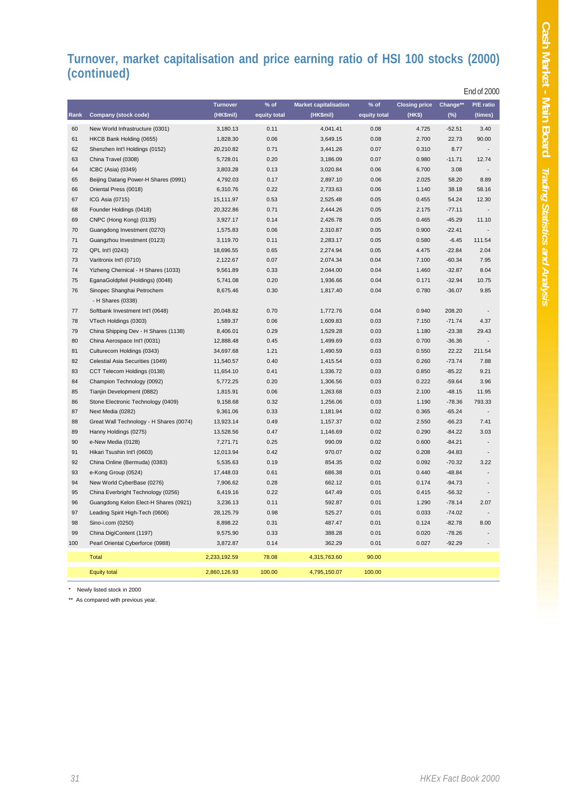#### **Turnover, market capitalisation and price earning ratio of HSI 100 stocks (2000) (continued)**

|      |                                         |                 |              |                              |              |                      |          | End of 2000 |
|------|-----------------------------------------|-----------------|--------------|------------------------------|--------------|----------------------|----------|-------------|
|      |                                         | <b>Turnover</b> | $%$ of       | <b>Market capitalisation</b> | $%$ of       | <b>Closing price</b> | Change** | P/E ratio   |
| Rank | <b>Company (stock code)</b>             | (HK\$mil)       | equity total | (HK\$mil)                    | equity total | (HK\$)               | $(\%)$   | (times)     |
| 60   | New World Infrastructure (0301)         | 3,180.13        | 0.11         | 4,041.41                     | 0.08         | 4.725                | $-52.51$ | 3.40        |
| 61   | HKCB Bank Holding (0655)                | 1,828.30        | 0.06         | 3,649.15                     | 0.08         | 2.700                | 22.73    | 90.00       |
| 62   | Shenzhen Int'l Holdings (0152)          | 20,210.82       | 0.71         | 3,441.26                     | 0.07         | 0.310                | 8.77     |             |
| 63   | China Travel (0308)                     | 5,728.01        | 0.20         | 3,186.09                     | 0.07         | 0.980                | $-11.71$ | 12.74       |
| 64   | ICBC (Asia) (0349)                      | 3,803.28        | 0.13         | 3,020.84                     | 0.06         | 6.700                | 3.08     |             |
| 65   | Beijing Datang Power-H Shares (0991)    | 4,792.03        | 0.17         | 2,897.10                     | 0.06         | 2.025                | 58.20    | 8.89        |
| 66   | Oriental Press (0018)                   | 6,310.76        | 0.22         | 2,733.63                     | 0.06         | 1.140                | 38.18    | 58.16       |
| 67   | ICG Asia (0715)                         | 15,111.97       | 0.53         | 2,525.48                     | 0.05         | 0.455                | 54.24    | 12.30       |
| 68   | Founder Holdings (0418)                 | 20,322.86       | 0.71         | 2,444.26                     | 0.05         | 2.175                | $-77.11$ |             |
| 69   | CNPC (Hong Kong) (0135)                 | 3,927.17        | 0.14         | 2,426.78                     | 0.05         | 0.465                | $-45.29$ | 11.10       |
| 70   | Guangdong Investment (0270)             | 1,575.83        | 0.06         | 2,310.87                     | 0.05         | 0.900                | $-22.41$ |             |
| 71   | Guangzhou Investment (0123)             | 3,119.70        | 0.11         | 2,283.17                     | 0.05         | 0.580                | $-6.45$  | 111.54      |
| 72   | QPL Int'l (0243)                        | 18,696.55       | 0.65         | 2,274.94                     | 0.05         | 4.475                | $-22.84$ | 2.04        |
| 73   | Varitronix Int'l (0710)                 | 2,122.67        | 0.07         | 2,074.34                     | 0.04         | 7.100                | $-60.34$ | 7.95        |
| 74   | Yizheng Chemical - H Shares (1033)      | 9,561.89        | 0.33         | 2,044.00                     | 0.04         | 1.460                | $-32.87$ | 8.04        |
| 75   | EganaGoldpfeil (Holdings) (0048)        | 5,741.08        | 0.20         | 1,936.66                     | 0.04         | 0.171                | $-32.94$ | 10.75       |
| 76   | Sinopec Shanghai Petrochem              | 8,675.46        | 0.30         | 1,817.40                     | 0.04         | 0.780                | $-36.07$ | 9.85        |
|      | - H Shares (0338)                       |                 |              |                              |              |                      |          |             |
| 77   | Softbank Investment Int'l (0648)        | 20,048.82       | 0.70         | 1,772.76                     | 0.04         | 0.940                | 208.20   |             |
| 78   | VTech Holdings (0303)                   | 1,589.37        | 0.06         | 1,609.83                     | 0.03         | 7.150                | $-71.74$ | 4.37        |
| 79   | China Shipping Dev - H Shares (1138)    | 8,406.01        | 0.29         | 1,529.28                     | 0.03         | 1.180                | $-23.38$ | 29.43       |
| 80   | China Aerospace Int'l (0031)            | 12,888.48       | 0.45         | 1,499.69                     | 0.03         | 0.700                | $-36.36$ |             |
| 81   | Culturecom Holdings (0343)              | 34,697.68       | 1.21         | 1,490.59                     | 0.03         | 0.550                | 22.22    | 211.54      |
| 82   | Celestial Asia Securities (1049)        | 11,540.57       | 0.40         | 1,415.54                     | 0.03         | 0.260                | $-73.74$ | 7.88        |
| 83   | CCT Telecom Holdings (0138)             | 11,654.10       | 0.41         | 1,336.72                     | 0.03         | 0.850                | $-85.22$ | 9.21        |
| 84   | Champion Technology (0092)              | 5,772.25        | 0.20         | 1,306.56                     | 0.03         | 0.222                | $-59.64$ | 3.96        |
| 85   | Tianjin Development (0882)              | 1,815.91        | 0.06         | 1,263.68                     | 0.03         | 2.100                | $-48.15$ | 11.95       |
| 86   | Stone Electronic Technology (0409)      | 9,158.68        | 0.32         | 1,256.06                     | 0.03         | 1.190                | $-78.36$ | 793.33      |
| 87   | Next Media (0282)                       | 9,361.06        | 0.33         | 1,181.94                     | 0.02         | 0.365                | $-65.24$ |             |
| 88   | Great Wall Technology - H Shares (0074) | 13,923.14       | 0.49         | 1,157.37                     | 0.02         | 2.550                | $-66.23$ | 7.41        |
| 89   | Hanny Holdings (0275)                   | 13,528.56       | 0.47         | 1,146.69                     | 0.02         | 0.290                | $-84.22$ | 3.03        |
| 90   | e-New Media (0128)                      | 7,271.71        | 0.25         | 990.09                       | 0.02         | 0.600                | $-84.21$ |             |
| 91   | Hikari Tsushin Int'l (0603)             | 12,013.94       | 0.42         | 970.07                       | 0.02         | 0.208                | $-94.83$ |             |
| 92   | China Online (Bermuda) (0383)           | 5,535.63        | 0.19         | 854.35                       | 0.02         | 0.092                | $-70.32$ | 3.22        |
| 93   | e-Kong Group (0524)                     | 17,448.03       | 0.61         | 686.38                       | 0.01         | 0.440                | $-48.84$ |             |
| 94   | New World CyberBase (0276)              | 7,906.62        | 0.28         | 662.12                       | 0.01         | 0.174                | $-94.73$ |             |
| 95   | China Everbright Technology (0256)      | 6,419.16        | 0.22         | 647.49                       | 0.01         | 0.415                | $-56.32$ |             |
| 96   | Guangdong Kelon Elect-H Shares (0921)   | 3,236.13        | 0.11         | 592.87                       | 0.01         | 1.290                | $-78.14$ | 2.07        |
| 97   | Leading Spirit High-Tech (0606)         | 28,125.79       | 0.98         | 525.27                       | 0.01         | 0.033                | $-74.02$ |             |
| 98   | Sino-i.com (0250)                       | 8,898.22        | 0.31         | 487.47                       | 0.01         | 0.124                | $-82.78$ | 8.00        |
| 99   | China DigiContent (1197)                | 9,575.90        | 0.33         | 388.28                       | 0.01         | 0.020                | $-78.26$ |             |
| 100  | Pearl Oriental Cyberforce (0988)        | 3,872.87        | 0.14         | 362.29                       | 0.01         | 0.027                | $-92.29$ |             |
|      | <b>Total</b>                            | 2,233,192.59    | 78.08        | 4,315,763.60                 | 90.00        |                      |          |             |
|      | <b>Equity total</b>                     | 2,860,126.93    | 100.00       | 4,795,150.07                 | 100.00       |                      |          |             |

\* Newly listed stock in 2000

\*\* As compared with previous year.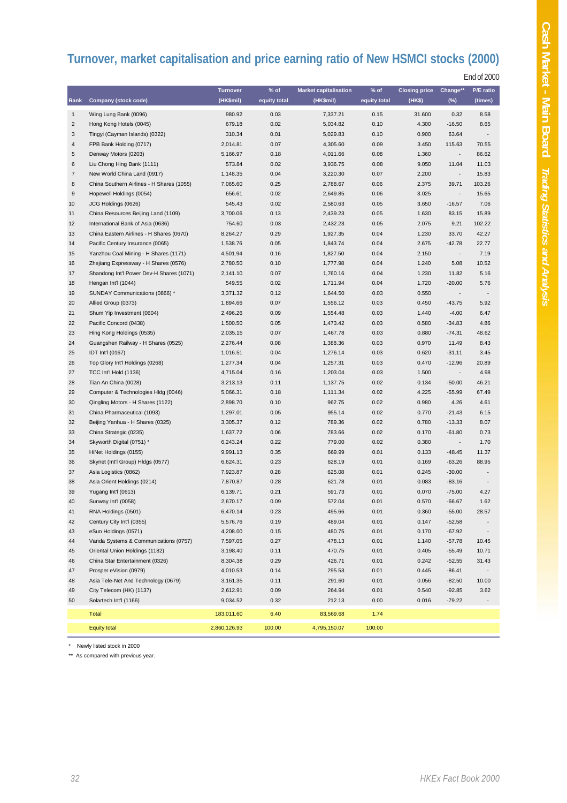## **Turnover, market capitalisation and price earning ratio of New HSMCI stocks (2000)**

End of 2000

|                         |                                           | <b>Turnover</b> | $%$ of       | <b>Market capitalisation</b> | $%$ of       | <b>Closing price</b> | Change**                 | P/E ratio                |
|-------------------------|-------------------------------------------|-----------------|--------------|------------------------------|--------------|----------------------|--------------------------|--------------------------|
| Rank                    | <b>Company (stock code)</b>               | (HK\$mil)       | equity total | (HK\$mil)                    | equity total | (HK\$)               | $(\%)$                   | (times)                  |
| $\mathbf{1}$            | Wing Lung Bank (0096)                     | 980.92          | 0.03         | 7,337.21                     | 0.15         | 31.600               | 0.32                     | 8.58                     |
| $\overline{\mathbf{c}}$ | Hong Kong Hotels (0045)                   | 679.18          | 0.02         | 5,034.82                     | 0.10         | 4.300                | $-16.50$                 | 8.65                     |
| 3                       | Tingyi (Cayman Islands) (0322)            | 310.34          | 0.01         | 5,029.83                     | 0.10         | 0.900                | 63.64                    | $\overline{\phantom{a}}$ |
| $\overline{\mathbf{4}}$ | FPB Bank Holding (0717)                   | 2,014.81        | 0.07         | 4,305.60                     | 0.09         | 3.450                | 115.63                   | 70.55                    |
| $\sqrt{5}$              | Denway Motors (0203)                      | 5,166.97        | 0.18         | 4,011.66                     | 0.08         | 1.360                |                          | 86.62                    |
| 6                       | Liu Chong Hing Bank (1111)                | 573.84          | 0.02         | 3,936.75                     | 0.08         | 9.050                | 11.04                    | 11.03                    |
| $\overline{7}$          | New World China Land (0917)               | 1,148.35        | 0.04         | 3,220.30                     | 0.07         | 2.200                | $\overline{\phantom{a}}$ | 15.83                    |
| 8                       | China Southern Airlines - H Shares (1055) | 7,065.60        | 0.25         | 2,788.67                     | 0.06         | 2.375                | 39.71                    | 103.26                   |
| 9                       | Hopewell Holdings (0054)                  | 656.61          | 0.02         | 2,649.85                     | 0.06         | 3.025                | $\overline{\phantom{a}}$ | 15.65                    |
| 10                      | JCG Holdings (0626)                       | 545.43          | 0.02         | 2,580.63                     | 0.05         | 3.650                | $-16.57$                 | 7.06                     |
| 11                      | China Resources Beijing Land (1109)       | 3,700.06        | 0.13         | 2,439.23                     | 0.05         | 1.630                | 83.15                    | 15.89                    |
| 12                      | International Bank of Asia (0636)         | 754.60          | 0.03         | 2,432.23                     | 0.05         | 2.075                | 9.21                     | 102.22                   |
| 13                      | China Eastern Airlines - H Shares (0670)  | 8,264.27        | 0.29         | 1,927.35                     | 0.04         | 1.230                | 33.70                    | 42.27                    |
| 14                      | Pacific Century Insurance (0065)          | 1,538.76        | 0.05         | 1,843.74                     | 0.04         | 2.675                | $-42.78$                 | 22.77                    |
| 15                      | Yanzhou Coal Mining - H Shares (1171)     | 4,501.94        | 0.16         | 1,827.50                     | 0.04         | 2.150                | $\overline{\phantom{a}}$ | 7.19                     |
| 16                      | Zhejiang Expressway - H Shares (0576)     | 2,780.50        | 0.10         | 1,777.98                     | 0.04         | 1.240                | 5.08                     | 10.52                    |
| 17                      | Shandong Int'l Power Dev-H Shares (1071)  | 2,141.10        | 0.07         | 1,760.16                     | 0.04         | 1.230                | 11.82                    | 5.16                     |
| 18                      | Hengan Int'l (1044)                       | 549.55          | 0.02         | 1,711.94                     | 0.04         | 1.720                | $-20.00$                 | 5.76                     |
| 19                      | SUNDAY Communications (0866) *            | 3,371.32        | 0.12         | 1,644.50                     | 0.03         | 0.550                |                          |                          |
| 20                      | Allied Group (0373)                       | 1,894.66        | 0.07         | 1,556.12                     | 0.03         | 0.450                | $-43.75$                 | 5.92                     |
| 21                      | Shum Yip Investment (0604)                | 2,496.26        | 0.09         | 1,554.48                     | 0.03         | 1.440                | $-4.00$                  | 6.47                     |
| 22                      | Pacific Concord (0438)                    | 1,500.50        | 0.05         | 1,473.42                     | 0.03         | 0.580                | $-34.83$                 | 4.86                     |
| 23                      | Hing Kong Holdings (0535)                 | 2,035.15        | 0.07         | 1,467.78                     | 0.03         | 0.880                | $-74.31$                 | 48.62                    |
| 24                      | Guangshen Railway - H Shares (0525)       | 2,276.44        | 0.08         | 1,388.36                     | 0.03         | 0.970                | 11.49                    | 8.43                     |
| 25                      | IDT Int'l (0167)                          | 1,016.51        | 0.04         | 1,276.14                     | 0.03         | 0.620                | $-31.11$                 | 3.45                     |
| 26                      | Top Glory Int'l Holdings (0268)           | 1,277.34        | 0.04         | 1,257.31                     | 0.03         | 0.470                | $-12.96$                 | 20.89                    |
| 27                      | TCC Int'l Hold (1136)                     | 4,715.04        | 0.16         | 1,203.04                     | 0.03         | 1.500                |                          | 4.98                     |
| 28                      | Tian An China (0028)                      | 3,213.13        | 0.11         | 1,137.75                     | 0.02         | 0.134                | $-50.00$                 | 46.21                    |
| 29                      | Computer & Technologies Hldg (0046)       | 5,066.31        | 0.18         | 1,111.34                     | 0.02         | 4.225                | $-55.99$                 | 67.49                    |
| 30                      | Qingling Motors - H Shares (1122)         | 2,898.70        | 0.10         | 962.75                       | 0.02         | 0.980                | 4.26                     | 4.61                     |
| 31                      | China Pharmaceutical (1093)               | 1,297.01        | 0.05         | 955.14                       | 0.02         | 0.770                | $-21.43$                 | 6.15                     |
| 32                      | Beijing Yanhua - H Shares (0325)          | 3,305.37        | 0.12         | 789.36                       | 0.02         | 0.780                | $-13.33$                 | 8.07                     |
| 33                      | China Strategic (0235)                    | 1,637.72        | 0.06         | 783.66                       | 0.02         | 0.170                | $-61.80$                 | 0.73                     |
| 34                      | Skyworth Digital (0751) *                 | 6,243.24        | 0.22         | 779.00                       | 0.02         | 0.380                |                          | 1.70                     |
| 35                      | HiNet Holdings (0155)                     | 9,991.13        | 0.35         | 669.99                       | 0.01         | 0.133                | $-48.45$                 | 11.37                    |
| 36                      | Skynet (Int'l Group) Hldgs (0577)         | 6,624.31        | 0.23         | 628.19                       | 0.01         | 0.169                | $-63.26$                 | 88.95                    |
| 37                      | Asia Logistics (0862)                     | 7,923.87        | 0.28         | 625.08                       | 0.01         | 0.245                | $-30.00$                 |                          |
| 38                      | Asia Orient Holdings (0214)               | 7,870.87        | 0.28         | 621.78                       | 0.01         | 0.083                | $-83.16$                 |                          |
| 39                      | Yugang Int'l (0613)                       | 6,139.71        | 0.21         | 591.73                       | 0.01         | 0.070                | $-75.00$                 | 4.27                     |
| 40                      | Sunway Int'l (0058)                       | 2,670.17        | 0.09         | 572.04                       | 0.01         | 0.570                | $-66.67$                 | 1.62                     |
| 41                      | RNA Holdings (0501)                       | 6,470.14        | 0.23         | 495.66                       | 0.01         | 0.360                | $-55.00$                 | 28.57                    |
| 42                      | Century City Int'l (0355)                 | 5,576.76        | 0.19         | 489.04                       | 0.01         | 0.147                | $-52.58$                 |                          |
| 43                      | eSun Holdings (0571)                      | 4,208.00        | 0.15         | 480.75                       | 0.01         | 0.170                | $-67.92$                 |                          |
| 44                      | Vanda Systems & Communications (0757)     | 7,597.05        | 0.27         | 478.13                       | 0.01         | 1.140                | $-57.78$                 | 10.45                    |
| 45                      | Oriental Union Holdings (1182)            | 3,198.40        | 0.11         | 470.75                       | 0.01         | 0.405                | $-55.49$                 | 10.71                    |
| 46                      | China Star Entertainment (0326)           | 8,304.38        | 0.29         | 426.71                       | 0.01         | 0.242                | $-52.55$                 | 31.43                    |
| 47                      | Prosper eVision (0979)                    | 4,010.53        | 0.14         | 295.53                       | 0.01         | 0.445                | $-86.41$                 |                          |
| 48                      | Asia Tele-Net And Technology (0679)       | 3,161.35        | 0.11         | 291.60                       | 0.01         | 0.056                | $-82.50$                 | 10.00                    |
| 49                      | City Telecom (HK) (1137)                  | 2,612.91        | 0.09         | 264.94                       | 0.01         | 0.540                | $-92.85$                 | 3.62                     |
| 50                      | Solartech Int'l (1166)                    | 9,034.52        | 0.32         | 212.13                       | 0.00         | 0.016                | $-79.22$                 |                          |
|                         |                                           |                 |              |                              |              |                      |                          |                          |
|                         | Total                                     | 183,011.60      | 6.40         | 83,569.68                    | 1.74         |                      |                          |                          |
|                         | <b>Equity total</b>                       | 2,860,126.93    | 100.00       | 4,795,150.07                 | 100.00       |                      |                          |                          |

\* Newly listed stock in 2000

\*\* As compared with previous year.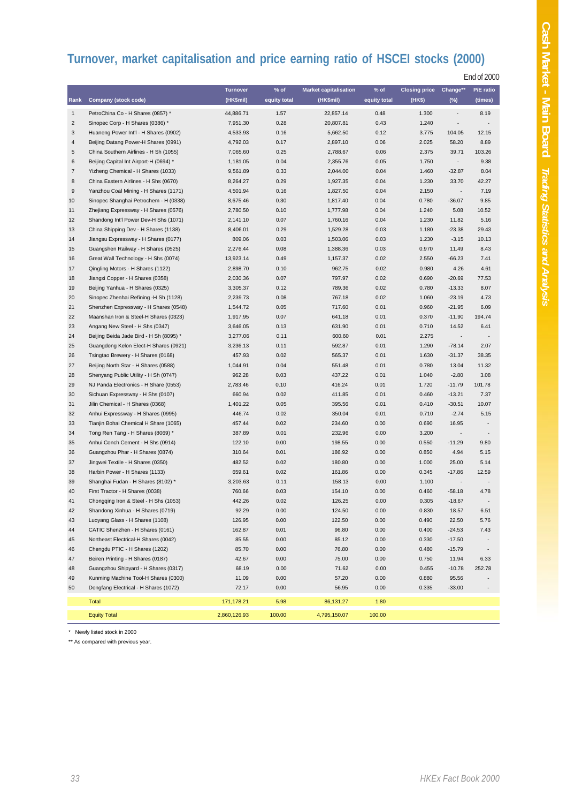## **Turnover, market capitalisation and price earning ratio of HSCEI stocks (2000)**

| <b>End of 2000</b> |
|--------------------|
|--------------------|

|                         |                                                                     | Turnover         | % of             | <b>Market capitalisation</b> | % of         | <b>Closing price</b> | Change**                 | P/E ratio                |
|-------------------------|---------------------------------------------------------------------|------------------|------------------|------------------------------|--------------|----------------------|--------------------------|--------------------------|
| Rank                    | <b>Company (stock code)</b>                                         | (HK\$mil)        | equity total     | (HK\$mil)                    | equity total | (HK\$)               | $(\%)$                   | (times)                  |
| $\mathbf{1}$            | PetroChina Co - H Shares (0857) *                                   | 44,886.71        | 1.57             | 22,857.14                    | 0.48         | 1.300                | $\overline{\phantom{a}}$ | 8.19                     |
| $\overline{c}$          | Sinopec Corp - H Shares (0386) *                                    | 7,951.30         | 0.28             | 20,807.81                    | 0.43         | 1.240                | ٠                        |                          |
| 3                       | Huaneng Power Int'l - H Shares (0902)                               | 4,533.93         | 0.16             | 5,662.50                     | 0.12         | 3.775                | 104.05                   | 12.15                    |
| $\overline{\mathbf{4}}$ | Beijing Datang Power-H Shares (0991)                                | 4,792.03         | 0.17             | 2,897.10                     | 0.06         | 2.025                | 58.20                    | 8.89                     |
| $\mathbf 5$             | China Southern Airlines - H Sh (1055)                               | 7,065.60         | 0.25             | 2,788.67                     | 0.06         | 2.375                | 39.71                    | 103.26                   |
| 6                       | Beijing Capital Int Airport-H (0694) *                              | 1,181.05         | 0.04             | 2,355.76                     | 0.05         | 1.750                | $\overline{\phantom{a}}$ | 9.38                     |
| $\overline{7}$          | Yizheng Chemical - H Shares (1033)                                  | 9,561.89         | 0.33             | 2,044.00                     | 0.04         | 1.460                | $-32.87$                 | 8.04                     |
| $\bf8$                  | China Eastern Airlines - H Shs (0670)                               | 8,264.27         | 0.29             | 1,927.35                     | 0.04         | 1.230                | 33.70                    | 42.27                    |
| $\boldsymbol{9}$        | Yanzhou Coal Mining - H Shares (1171)                               | 4,501.94         | 0.16             | 1,827.50                     | 0.04         | 2.150                | $\overline{\phantom{a}}$ | 7.19                     |
| 10                      | Sinopec Shanghai Petrochem - H (0338)                               | 8,675.46         | 0.30             | 1,817.40                     |              | 0.780                | $-36.07$                 | 9.85                     |
| 11                      | Zhejiang Expressway - H Shares (0576)                               | 2,780.50         | 0.10<br>1,777.98 |                              | 0.04         | 1.240                | 5.08                     | 10.52                    |
| 12                      | Shandong Int'l Power Dev-H Shs (1071)                               | 2,141.10         | 0.07<br>1,760.16 |                              | 0.04         | 1.230                | 11.82                    | 5.16                     |
| 13                      | China Shipping Dev - H Shares (1138)                                | 8,406.01         | 0.29<br>1,529.28 |                              | 0.03         | 1.180                | $-23.38$                 | 29.43                    |
| 14                      | Jiangsu Expressway - H Shares (0177)                                | 809.06           | 0.03             | 1,503.06                     | 0.03         | 1.230                | $-3.15$                  | 10.13                    |
| 15                      | Guangshen Railway - H Shares (0525)                                 | 2,276.44         | 0.08             | 1,388.36                     | 0.03         | 0.970                | 11.49                    | 8.43                     |
| 16                      | Great Wall Technology - H Shs (0074)                                | 13,923.14        | 0.49             | 1,157.37                     | 0.02         | 2.550                | $-66.23$                 | 7.41                     |
| 17                      | Qingling Motors - H Shares (1122)                                   | 2,898.70         | 0.10             | 962.75                       | 0.02         | 0.980                | 4.26                     | 4.61                     |
| 18                      | Jiangxi Copper - H Shares (0358)                                    | 2,030.36         | 0.07             | 797.97                       | 0.02         | 0.690                | $-20.69$                 | 77.53                    |
| 19                      | Beijing Yanhua - H Shares (0325)                                    | 3,305.37         | 0.12             | 789.36                       | 0.02         | 0.780                | $-13.33$                 | 8.07                     |
| 20                      | Sinopec Zhenhai Refining -H Sh (1128)                               | 2,239.73         | 0.08             | 767.18                       | 0.02         | 1.060                | $-23.19$                 | 4.73                     |
| 21                      | Shenzhen Expressway - H Shares (0548)                               | 1,544.72         | 0.05             | 717.60                       | 0.01         | 0.960                | $-21.95$                 | 6.09                     |
| 22                      | Maanshan Iron & Steel-H Shares (0323)                               | 1,917.95         | 0.07             | 641.18                       | 0.01         | 0.370                | $-11.90$                 | 194.74                   |
| 23                      | Angang New Steel - H Shs (0347)                                     | 3,646.05         | 0.13             | 631.90                       | 0.01         | 0.710                | 14.52                    | 6.41                     |
| 24                      | Beijing Beida Jade Bird - H Sh (8095) *                             | 3,277.06         | 0.11             | 600.60                       | 0.01         | 2.275                | $\overline{\phantom{a}}$ |                          |
| 25                      | Guangdong Kelon Elect-H Shares (0921)                               | 3,236.13         | 0.11             | 592.87                       | 0.01         | 1.290                | $-78.14$                 | 2.07                     |
| 26                      | Tsingtao Brewery - H Shares (0168)                                  | 457.93           | 0.02             | 565.37                       | 0.01         | 1.630                | $-31.37$                 | 38.35                    |
| 27                      | Beijing North Star - H Shares (0588)                                | 1,044.91         | 0.04             | 551.48                       | 0.01         | 0.780                | 13.04                    | 11.32                    |
| 28                      | Shenyang Public Utility - H Sh (0747)                               | 962.28           | 0.03             | 437.22                       | 0.01         | 1.040                | $-2.80$                  | 3.08                     |
| 29                      | NJ Panda Electronics - H Share (0553)                               | 2,783.46         | 0.10             | 416.24                       | 0.01         | 1.720                | $-11.79$                 | 101.78                   |
| 30                      | Sichuan Expressway - H Shs (0107)                                   | 660.94           | 0.02             | 411.85                       | 0.01         | 0.460                | $-13.21$                 | 7.37                     |
| 31                      | Jilin Chemical - H Shares (0368)                                    | 1,401.22         | 0.05             | 395.56                       | 0.01         | 0.410                | $-30.51$                 | 10.07                    |
| 32                      | Anhui Expressway - H Shares (0995)                                  | 446.74           | 0.02             | 350.04                       | 0.01         | 0.710                | $-2.74$                  | 5.15                     |
| 33                      | Tianjin Bohai Chemical H Share (1065)                               | 457.44           | 0.02             | 234.60                       | 0.00         | 0.690                | 16.95                    |                          |
| 34                      | Tong Ren Tang - H Shares (8069) *                                   | 387.89           | 0.01             | 232.96                       | 0.00         | 3.200                | $\overline{\phantom{a}}$ | $\overline{\phantom{a}}$ |
| 35                      | Anhui Conch Cement - H Shs (0914)                                   | 122.10           | 0.00             | 198.55                       | 0.00         | 0.550                | $-11.29$                 | 9.80                     |
| 36<br>37                | Guangzhou Phar - H Shares (0874)                                    | 310.64<br>482.52 | 0.01<br>0.02     | 186.92<br>180.80             | 0.00<br>0.00 | 0.850<br>1.000       | 4.94<br>25.00            | 5.15<br>5.14             |
| 38                      | Jingwei Textile - H Shares (0350)<br>Harbin Power - H Shares (1133) | 659.61           | 0.02             | 161.86                       | 0.00         | 0.345                | $-17.86$                 | 12.59                    |
| 39                      | Shanghai Fudan - H Shares (8102) *                                  | 3,203.63         | 0.11             | 158.13                       | 0.00         | 1.100                | $\overline{\phantom{a}}$ |                          |
| 40                      | First Tractor - H Shares (0038)                                     | 760.66           | 0.03             | 154.10                       | 0.00         | 0.460                | $-58.18$                 | 4.78                     |
| 41                      | Chongqing Iron & Steel - H Shs (1053)                               | 442.26           | 0.02             | 126.25                       | 0.00         | 0.305                | $-18.67$                 |                          |
| 42                      | Shandong Xinhua - H Shares (0719)                                   | 92.29            | 0.00             | 124.50                       | 0.00         | 0.830                | 18.57                    | 6.51                     |
| 43                      | Luoyang Glass - H Shares (1108)                                     | 126.95           | 0.00             | 122.50                       | 0.00         | 0.490                | 22.50                    | 5.76                     |
| 44                      | CATIC Shenzhen - H Shares (0161)                                    | 162.87           | 0.01             | 96.80                        | 0.00         | 0.400                | $-24.53$                 | 7.43                     |
| 45                      | Northeast Electrical-H Shares (0042)                                | 85.55            | 0.00             | 85.12                        | 0.00         | 0.330                | $-17.50$                 |                          |
| 46                      | Chengdu PTIC - H Shares (1202)                                      | 85.70            | 0.00             | 76.80                        | 0.00         | 0.480                | $-15.79$                 |                          |
| 47                      | Beiren Printing - H Shares (0187)                                   | 42.67            | 0.00             | 75.00                        | 0.00         | 0.750                | 11.94                    | 6.33                     |
| 48                      | Guangzhou Shipyard - H Shares (0317)                                | 68.19            | 0.00             | 71.62                        | 0.00         | 0.455                | $-10.78$                 | 252.78                   |
| 49                      | Kunming Machine Tool-H Shares (0300)                                | 11.09            | 0.00             | 57.20                        | 0.00         | 0.880                | 95.56                    |                          |
| 50                      | Dongfang Electrical - H Shares (1072)                               | 72.17            | 0.00             | 56.95                        | 0.00         | 0.335                | $-33.00$                 |                          |
|                         | <b>Total</b>                                                        | 171,178.21       | 5.98             | 86,131.27                    | 1.80         |                      |                          |                          |
|                         |                                                                     |                  |                  |                              |              |                      |                          |                          |
|                         | <b>Equity Total</b>                                                 | 2,860,126.93     | 100.00           | 4,795,150.07                 | 100.00       |                      |                          |                          |

\* Newly listed stock in 2000

\*\* As compared with previous year.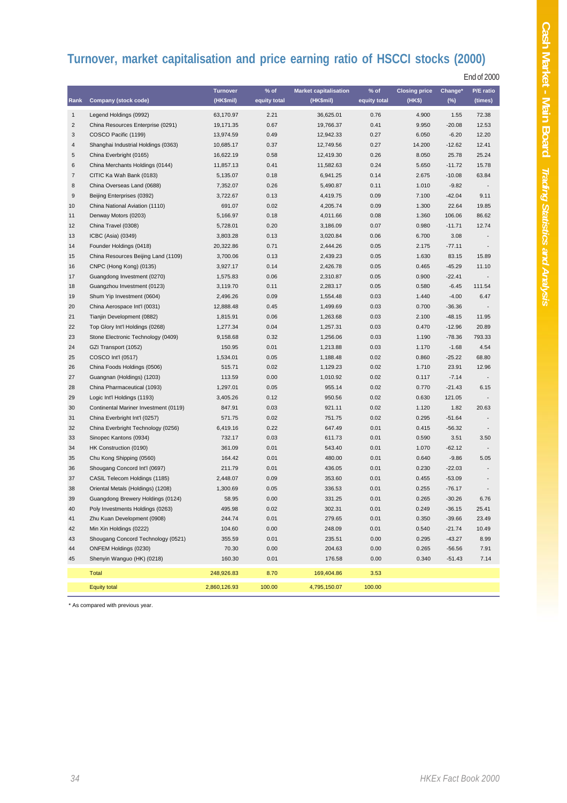# **Turnover, market capitalisation and price earning ratio of HSCCI stocks (2000)**

|                  |                                       | <b>Turnover</b> | $%$ of       | <b>Market capitalisation</b> | $%$ of       | <b>Closing price</b> | Change*  | P/E ratio                    |
|------------------|---------------------------------------|-----------------|--------------|------------------------------|--------------|----------------------|----------|------------------------------|
| Rank             | <b>Company (stock code)</b>           | (HK\$mil)       | equity total | (HK\$mil)                    | equity total | (HK\$)               | $(\%)$   | (times)                      |
| $\mathbf{1}$     | Legend Holdings (0992)                | 63,170.97       | 2.21         | 36,625.01                    | 0.76         | 4.900                | 1.55     | 72.38                        |
| 2                | China Resources Enterprise (0291)     | 19,171.35       | 0.67         | 19,766.37                    | 0.41         | 9.950                | $-20.08$ | 12.53                        |
| 3                | COSCO Pacific (1199)                  | 13,974.59       | 0.49         | 12,942.33                    | 0.27         | 6.050                | $-6.20$  | 12.20                        |
| 4                | Shanghai Industrial Holdings (0363)   | 10,685.17       | 0.37         | 12,749.56                    | 0.27         | 14.200               | $-12.62$ | 12.41                        |
| 5                | China Everbright (0165)               | 16,622.19       | 0.58         | 12,419.30                    | 0.26         | 8.050                | 25.78    | 25.24                        |
| 6                | China Merchants Holdings (0144)       | 11,857.13       | 0.41         | 11,582.63                    | 0.24         | 5.650                | $-11.72$ | 15.78                        |
| $\boldsymbol{7}$ | CITIC Ka Wah Bank (0183)              | 5,135.07        | 0.18         | 6,941.25                     | 0.14         | 2.675                | $-10.08$ | 63.84                        |
| 8                | China Overseas Land (0688)            | 7,352.07        | 0.26         | 5,490.87                     | 0.11         | 1.010                | $-9.82$  |                              |
| 9                | Beijing Enterprises (0392)            | 3,722.67        | 0.13         | 4,419.75                     | 0.09         | 7.100                | $-42.04$ | 9.11                         |
| 10               | China National Aviation (1110)        | 691.07          | 0.02         | 4,205.74                     | 0.09         | 1.300                | 22.64    | 19.85                        |
| 11               | Denway Motors (0203)                  | 5,166.97        | 0.18         | 4,011.66                     | 0.08         | 1.360                | 106.06   | 86.62                        |
| 12               | China Travel (0308)                   | 5,728.01        | 0.20         | 3,186.09                     | 0.07         | 0.980                | $-11.71$ | 12.74                        |
| 13               | ICBC (Asia) (0349)                    | 3,803.28        | 0.13         | 3,020.84                     | 0.06         | 6.700                | 3.08     |                              |
| 14               | Founder Holdings (0418)               | 20,322.86       | 0.71         | 2,444.26                     | 0.05         | 2.175                | $-77.11$ |                              |
| 15               | China Resources Beijing Land (1109)   | 3,700.06        | 0.13         | 2,439.23                     | 0.05         | 1.630                | 83.15    | 15.89                        |
| 16               | CNPC (Hong Kong) (0135)               | 3,927.17        | 0.14         | 2,426.78                     | 0.05         | 0.465                | $-45.29$ | 11.10                        |
| 17               | Guangdong Investment (0270)           | 1,575.83        | 0.06         | 2,310.87                     | 0.05         | 0.900                | $-22.41$ |                              |
| 18               | Guangzhou Investment (0123)           | 3,119.70        | 0.11         | 2,283.17                     | 0.05         | 0.580                | $-6.45$  | 111.54                       |
| 19               | Shum Yip Investment (0604)            | 2,496.26        | 0.09         | 1,554.48                     | 0.03         | 1.440                | $-4.00$  | 6.47                         |
| 20               | China Aerospace Int'l (0031)          | 12,888.48       | 0.45         | 1,499.69                     | 0.03         | 0.700                | $-36.36$ |                              |
| 21               | Tianjin Development (0882)            | 1,815.91        | 0.06         | 1,263.68                     | 0.03         | 2.100                | $-48.15$ | 11.95                        |
| 22               | Top Glory Int'l Holdings (0268)       | 1,277.34        | 0.04         | 1,257.31                     | 0.03         | 0.470                | $-12.96$ | 20.89                        |
| 23               | Stone Electronic Technology (0409)    | 9,158.68        | 0.32         | 1,256.06                     | 0.03         | 1.190                | $-78.36$ | 793.33                       |
| 24               | GZI Transport (1052)                  | 150.95          | 0.01         | 1,213.88                     | 0.03         | 1.170                | $-1.68$  | 4.54                         |
| 25               | COSCO Int'l (0517)                    | 1,534.01        | 0.05         | 1,188.48                     | 0.02         | 0.860                | $-25.22$ | 68.80                        |
| 26               | China Foods Holdings (0506)           | 515.71          | 0.02         | 1,129.23                     | 0.02         | 1.710                | 23.91    | 12.96                        |
| 27               | Guangnan (Holdings) (1203)            | 113.59          | 0.00         | 1,010.92                     | 0.02         | 0.117                | $-7.14$  |                              |
| 28               | China Pharmaceutical (1093)           | 1,297.01        | 0.05         | 955.14                       | 0.02         | 0.770                | $-21.43$ | 6.15                         |
| 29               | Logic Int'l Holdings (1193)           | 3,405.26        | 0.12         | 950.56                       | 0.02         | 0.630                | 121.05   |                              |
| 30               | Continental Mariner Investment (0119) | 847.91          | 0.03         | 921.11                       | 0.02         | 1.120                | 1.82     | 20.63                        |
| 31               | China Everbright Int'l (0257)         | 571.75          | 0.02         | 751.75                       | 0.02         | 0.295                | $-51.64$ |                              |
| 32               | China Everbright Technology (0256)    | 6,419.16        | 0.22         | 647.49                       | 0.01         | 0.415                | $-56.32$ | $\qquad \qquad \blacksquare$ |
| 33               | Sinopec Kantons (0934)                | 732.17          | 0.03         | 611.73                       | 0.01         | 0.590                | 3.51     | 3.50                         |
| 34               | HK Construction (0190)                | 361.09          | 0.01         | 543.40                       | 0.01         | 1.070                | $-62.12$ |                              |
| 35               | Chu Kong Shipping (0560)              | 164.42          | 0.01         | 480.00                       | 0.01         | 0.640                | $-9.86$  | 5.05                         |
| 36               | Shougang Concord Int'l (0697)         | 211.79          | 0.01         | 436.05                       | 0.01         | 0.230                | $-22.03$ |                              |
| 37               | CASIL Telecom Holdings (1185)         | 2,448.07        | 0.09         | 353.60                       | 0.01         | 0.455                | $-53.09$ |                              |
| 38               | Oriental Metals (Holdings) (1208)     | 1,300.69        | 0.05         | 336.53                       | 0.01         | 0.255                | $-76.17$ | $\frac{1}{2}$                |
| 39               | Guangdong Brewery Holdings (0124)     | 58.95           | 0.00         | 331.25                       | 0.01         | 0.265                | $-30.26$ | 6.76                         |
| 40               | Poly Investments Holdings (0263)      | 495.98          | 0.02         | 302.31                       | 0.01         | 0.249                | $-36.15$ | 25.41                        |
| 41               | Zhu Kuan Development (0908)           | 244.74          | 0.01         | 279.65                       | 0.01         | 0.350                | $-39.66$ | 23.49                        |
| 42               | Min Xin Holdings (0222)               | 104.60          | 0.00         | 248.09                       | 0.01         | 0.540                | $-21.74$ | 10.49                        |
| 43               | Shougang Concord Technology (0521)    | 355.59          | 0.01         | 235.51                       | 0.00         | 0.295                | $-43.27$ | 8.99                         |
| 44               | ONFEM Holdings (0230)                 | 70.30           | 0.00         | 204.63                       | 0.00         | 0.265                | $-56.56$ | 7.91                         |
| 45               | Shenyin Wanguo (HK) (0218)            | 160.30          | 0.01         | 176.58                       | 0.00         | 0.340                | $-51.43$ | 7.14                         |
|                  | <b>Total</b>                          | 248,926.83      | 8.70         | 169,404.86                   | 3.53         |                      |          |                              |
|                  | <b>Equity total</b>                   | 2,860,126.93    | 100.00       | 4,795,150.07                 | 100.00       |                      |          |                              |

\* As compared with previous year.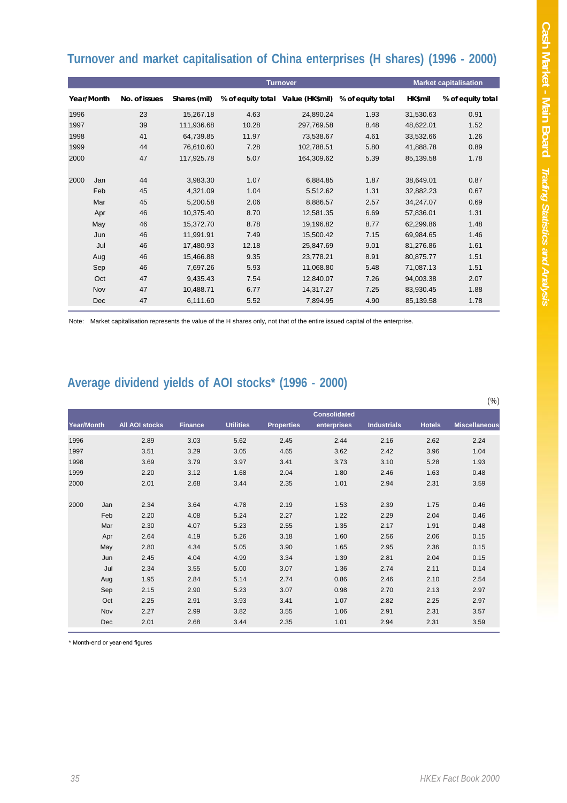### **Turnover and market capitalisation of China enterprises (H shares) (1996 - 2000)**

| <b>Turnover</b> |            |               |              |                                   |            |                   | <b>Market capitalisation</b> |                   |  |
|-----------------|------------|---------------|--------------|-----------------------------------|------------|-------------------|------------------------------|-------------------|--|
|                 | Year/Month | No. of issues | Shares (mil) | % of equity total Value (HK\$mil) |            | % of equity total | HK\$mil                      | % of equity total |  |
| 1996            |            | 23            | 15,267.18    | 4.63                              | 24,890.24  | 1.93              | 31,530.63                    | 0.91              |  |
| 1997            |            | 39            | 111,936.68   | 10.28                             | 297.769.58 | 8.48              | 48,622.01                    | 1.52              |  |
| 1998            |            | 41            | 64,739.85    | 11.97                             | 73,538.67  | 4.61              | 33,532.66                    | 1.26              |  |
| 1999            |            | 44            | 76,610.60    | 7.28                              | 102.788.51 | 5.80              | 41,888.78                    | 0.89              |  |
| 2000            |            | 47            | 117.925.78   | 5.07                              | 164,309.62 | 5.39              | 85,139.58                    | 1.78              |  |
|                 |            |               |              |                                   |            |                   |                              |                   |  |
| 2000            | Jan        | 44            | 3,983.30     | 1.07                              | 6,884.85   | 1.87              | 38,649.01                    | 0.87              |  |
|                 | Feb        | 45            | 4,321.09     | 1.04                              | 5,512.62   | 1.31              | 32,882.23                    | 0.67              |  |
|                 | Mar        | 45            | 5,200.58     | 2.06                              | 8,886.57   | 2.57              | 34,247.07                    | 0.69              |  |
|                 | Apr        | 46            | 10,375.40    | 8.70                              | 12,581.35  | 6.69              | 57,836.01                    | 1.31              |  |
|                 | May        | 46            | 15,372.70    | 8.78                              | 19,196.82  | 8.77              | 62,299.86                    | 1.48              |  |
|                 | Jun        | 46            | 11,991.91    | 7.49                              | 15.500.42  | 7.15              | 69.984.65                    | 1.46              |  |
|                 | Jul        | 46            | 17.480.93    | 12.18                             | 25,847.69  | 9.01              | 81,276.86                    | 1.61              |  |
|                 | Aug        | 46            | 15,466.88    | 9.35                              | 23,778.21  | 8.91              | 80,875.77                    | 1.51              |  |
|                 | Sep        | 46            | 7,697.26     | 5.93                              | 11,068.80  | 5.48              | 71,087.13                    | 1.51              |  |
|                 | Oct        | 47            | 9,435.43     | 7.54                              | 12,840.07  | 7.26              | 94,003.38                    | 2.07              |  |
|                 | Nov        | 47            | 10,488.71    | 6.77                              | 14,317.27  | 7.25              | 83,930.45                    | 1.88              |  |
|                 | Dec        | 47            | 6,111.60     | 5.52                              | 7,894.95   | 4.90              | 85,139.58                    | 1.78              |  |

Note: Market capitalisation represents the value of the H shares only, not that of the entire issued capital of the enterprise.

### **Average dividend yields of AOI stocks\* (1996 - 2000)**

|            |     |                |                |                  |                   |                     |                    |               | $(\%)$               |
|------------|-----|----------------|----------------|------------------|-------------------|---------------------|--------------------|---------------|----------------------|
|            |     |                |                |                  |                   | <b>Consolidated</b> |                    |               |                      |
| Year/Month |     | All AOI stocks | <b>Finance</b> | <b>Utilities</b> | <b>Properties</b> | enterprises         | <b>Industrials</b> | <b>Hotels</b> | <b>Miscellaneous</b> |
| 1996       |     | 2.89           | 3.03           | 5.62             | 2.45              | 2.44                | 2.16               | 2.62          | 2.24                 |
| 1997       |     | 3.51           | 3.29           | 3.05             | 4.65              | 3.62                | 2.42               | 3.96          | 1.04                 |
| 1998       |     | 3.69           | 3.79           | 3.97             | 3.41              | 3.73                | 3.10               | 5.28          | 1.93                 |
| 1999       |     | 2.20           | 3.12           | 1.68             | 2.04              | 1.80                | 2.46               | 1.63          | 0.48                 |
| 2000       |     | 2.01           | 2.68           | 3.44             | 2.35              | 1.01                | 2.94               | 2.31          | 3.59                 |
|            |     |                |                |                  |                   |                     |                    |               |                      |
| 2000       | Jan | 2.34           | 3.64           | 4.78             | 2.19              | 1.53                | 2.39               | 1.75          | 0.46                 |
|            | Feb | 2.20           | 4.08           | 5.24             | 2.27              | 1.22                | 2.29               | 2.04          | 0.46                 |
|            | Mar | 2.30           | 4.07           | 5.23             | 2.55              | 1.35                | 2.17               | 1.91          | 0.48                 |
|            | Apr | 2.64           | 4.19           | 5.26             | 3.18              | 1.60                | 2.56               | 2.06          | 0.15                 |
|            | May | 2.80           | 4.34           | 5.05             | 3.90              | 1.65                | 2.95               | 2.36          | 0.15                 |
|            | Jun | 2.45           | 4.04           | 4.99             | 3.34              | 1.39                | 2.81               | 2.04          | 0.15                 |
|            | Jul | 2.34           | 3.55           | 5.00             | 3.07              | 1.36                | 2.74               | 2.11          | 0.14                 |
|            | Aug | 1.95           | 2.84           | 5.14             | 2.74              | 0.86                | 2.46               | 2.10          | 2.54                 |
|            | Sep | 2.15           | 2.90           | 5.23             | 3.07              | 0.98                | 2.70               | 2.13          | 2.97                 |
|            | Oct | 2.25           | 2.91           | 3.93             | 3.41              | 1.07                | 2.82               | 2.25          | 2.97                 |
|            | Nov | 2.27           | 2.99           | 3.82             | 3.55              | 1.06                | 2.91               | 2.31          | 3.57                 |
|            | Dec | 2.01           | 2.68           | 3.44             | 2.35              | 1.01                | 2.94               | 2.31          | 3.59                 |

\* Month-end or year-end figures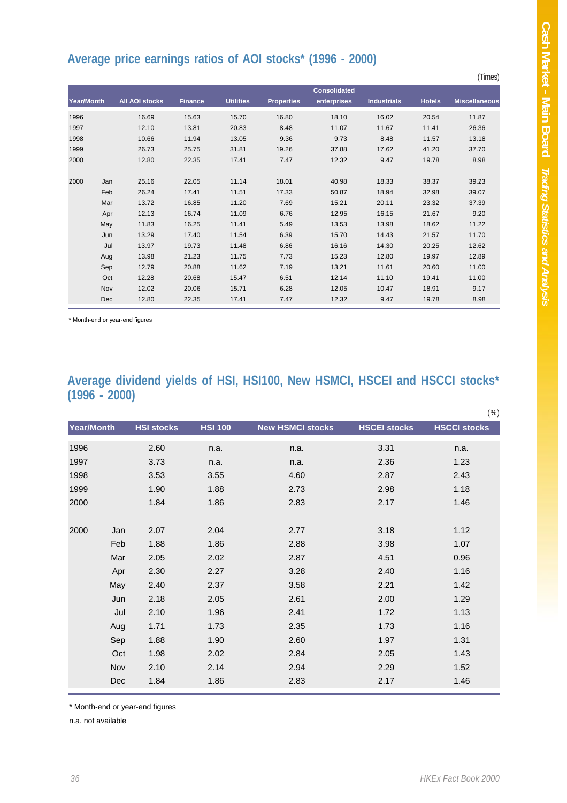#### **Average price earnings ratios of AOI stocks\* (1996 - 2000)**

|            |     |                       |                |                  |                   |                     |                    |               | (Times)              |
|------------|-----|-----------------------|----------------|------------------|-------------------|---------------------|--------------------|---------------|----------------------|
|            |     |                       |                |                  |                   | <b>Consolidated</b> |                    |               |                      |
| Year/Month |     | <b>All AOI stocks</b> | <b>Finance</b> | <b>Utilities</b> | <b>Properties</b> | enterprises         | <b>Industrials</b> | <b>Hotels</b> | <b>Miscellaneous</b> |
| 1996       |     | 16.69                 | 15.63          | 15.70            | 16.80             | 18.10               | 16.02              | 20.54         | 11.87                |
| 1997       |     | 12.10                 | 13.81          | 20.83            | 8.48              | 11.07               | 11.67              | 11.41         | 26.36                |
| 1998       |     | 10.66                 | 11.94          | 13.05            | 9.36              | 9.73                | 8.48               | 11.57         | 13.18                |
| 1999       |     | 26.73                 | 25.75          | 31.81            | 19.26             | 37.88               | 17.62              | 41.20         | 37.70                |
| 2000       |     | 12.80                 | 22.35          | 17.41            | 7.47              | 12.32               | 9.47               | 19.78         | 8.98                 |
| 2000       | Jan | 25.16                 | 22.05          | 11.14            | 18.01             | 40.98               | 18.33              | 38.37         | 39.23                |
|            | Feb | 26.24                 | 17.41          | 11.51            | 17.33             | 50.87               | 18.94              | 32.98         | 39.07                |
|            | Mar | 13.72                 | 16.85          | 11.20            | 7.69              | 15.21               | 20.11              | 23.32         | 37.39                |
|            | Apr | 12.13                 | 16.74          | 11.09            | 6.76              | 12.95               | 16.15              | 21.67         | 9.20                 |
|            | May | 11.83                 | 16.25          | 11.41            | 5.49              | 13.53               | 13.98              | 18.62         | 11.22                |
|            | Jun | 13.29                 | 17.40          | 11.54            | 6.39              | 15.70               | 14.43              | 21.57         | 11.70                |
|            | Jul | 13.97                 | 19.73          | 11.48            | 6.86              | 16.16               | 14.30              | 20.25         | 12.62                |
|            | Aug | 13.98                 | 21.23          | 11.75            | 7.73              | 15.23               | 12.80              | 19.97         | 12.89                |
|            | Sep | 12.79                 | 20.88          | 11.62            | 7.19              | 13.21               | 11.61              | 20.60         | 11.00                |
|            | Oct | 12.28                 | 20.68          | 15.47            | 6.51              | 12.14               | 11.10              | 19.41         | 11.00                |
|            | Nov | 12.02                 | 20.06          | 15.71            | 6.28              | 12.05               | 10.47              | 18.91         | 9.17                 |
|            | Dec | 12.80                 | 22.35          | 17.41            | 7.47              | 12.32               | 9.47               | 19.78         | 8.98                 |

\* Month-end or year-end figures

#### **Average dividend yields of HSI, HSI100, New HSMCI, HSCEI and HSCCI stocks\* (1996 - 2000)**

|             |                   |                |                         |                     | $(\%)$              |
|-------------|-------------------|----------------|-------------------------|---------------------|---------------------|
| Year/Month  | <b>HSI stocks</b> | <b>HSI 100</b> | <b>New HSMCI stocks</b> | <b>HSCEI stocks</b> | <b>HSCCI stocks</b> |
| 1996        | 2.60              | n.a.           | n.a.                    | 3.31                | n.a.                |
| 1997        | 3.73              | n.a.           | n.a.                    | 2.36                | 1.23                |
| 1998        | 3.53              | 3.55           | 4.60                    | 2.87                | 2.43                |
| 1999        | 1.90              | 1.88           | 2.73                    | 2.98                | 1.18                |
| 2000        | 1.84              | 1.86           | 2.83                    | 2.17                | 1.46                |
|             |                   |                |                         |                     |                     |
| 2000<br>Jan | 2.07              | 2.04           | 2.77                    | 3.18                | 1.12                |
| Feb         | 1.88              | 1.86           | 2.88                    | 3.98                | 1.07                |
| Mar         | 2.05              | 2.02           | 2.87                    | 4.51                | 0.96                |
| Apr         | 2.30              | 2.27           | 3.28                    | 2.40                | 1.16                |
| May         | 2.40              | 2.37           | 3.58                    | 2.21                | 1.42                |
| Jun         | 2.18              | 2.05           | 2.61                    | 2.00                | 1.29                |
| Jul         | 2.10              | 1.96           | 2.41                    | 1.72                | 1.13                |
| Aug         | 1.71              | 1.73           | 2.35                    | 1.73                | 1.16                |
| Sep         | 1.88              | 1.90           | 2.60                    | 1.97                | 1.31                |
| Oct         | 1.98              | 2.02           | 2.84                    | 2.05                | 1.43                |
| Nov         | 2.10              | 2.14           | 2.94                    | 2.29                | 1.52                |
| Dec         | 1.84              | 1.86           | 2.83                    | 2.17                | 1.46                |
|             |                   |                |                         |                     |                     |

\* Month-end or year-end figures

n.a. not available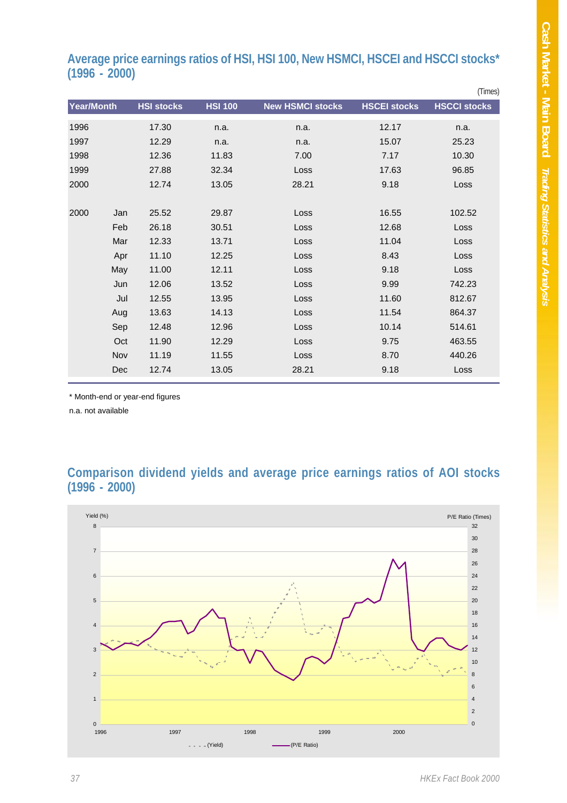#### **Average price earnings ratios of HSI, HSI 100, New HSMCI, HSCEI and HSCCI stocks\* (1996 - 2000)**

|            |     |                   |                |                         |                     | (Times)             |
|------------|-----|-------------------|----------------|-------------------------|---------------------|---------------------|
| Year/Month |     | <b>HSI stocks</b> | <b>HSI 100</b> | <b>New HSMCI stocks</b> | <b>HSCEI stocks</b> | <b>HSCCI stocks</b> |
| 1996       |     | 17.30             | n.a.           | n.a.                    | 12.17               | n.a.                |
| 1997       |     | 12.29             | n.a.           | n.a.                    | 15.07               | 25.23               |
| 1998       |     | 12.36             | 11.83          | 7.00                    | 7.17                | 10.30               |
| 1999       |     | 27.88             | 32.34          | Loss                    | 17.63               | 96.85               |
| 2000       |     | 12.74             | 13.05          | 28.21                   | 9.18                | Loss                |
|            |     |                   |                |                         |                     |                     |
| 2000       | Jan | 25.52             | 29.87          | Loss                    | 16.55               | 102.52              |
|            | Feb | 26.18             | 30.51          | Loss                    | 12.68               | Loss                |
|            | Mar | 12.33             | 13.71          | Loss                    | 11.04               | Loss                |
|            | Apr | 11.10             | 12.25          | Loss                    | 8.43                | Loss                |
|            | May | 11.00             | 12.11          | Loss                    | 9.18                | Loss                |
|            | Jun | 12.06             | 13.52          | Loss                    | 9.99                | 742.23              |
|            | Jul | 12.55             | 13.95          | Loss                    | 11.60               | 812.67              |
|            | Aug | 13.63             | 14.13          | Loss                    | 11.54               | 864.37              |
|            | Sep | 12.48             | 12.96          | Loss                    | 10.14               | 514.61              |
|            | Oct | 11.90             | 12.29          | Loss                    | 9.75                | 463.55              |
|            | Nov | 11.19             | 11.55          | Loss                    | 8.70                | 440.26              |
|            | Dec | 12.74             | 13.05          | 28.21                   | 9.18                | Loss                |
|            |     |                   |                |                         |                     |                     |

\* Month-end or year-end figures

n.a. not available

#### **Comparison dividend yields and average price earnings ratios of AOI stocks (1996 - 2000)**

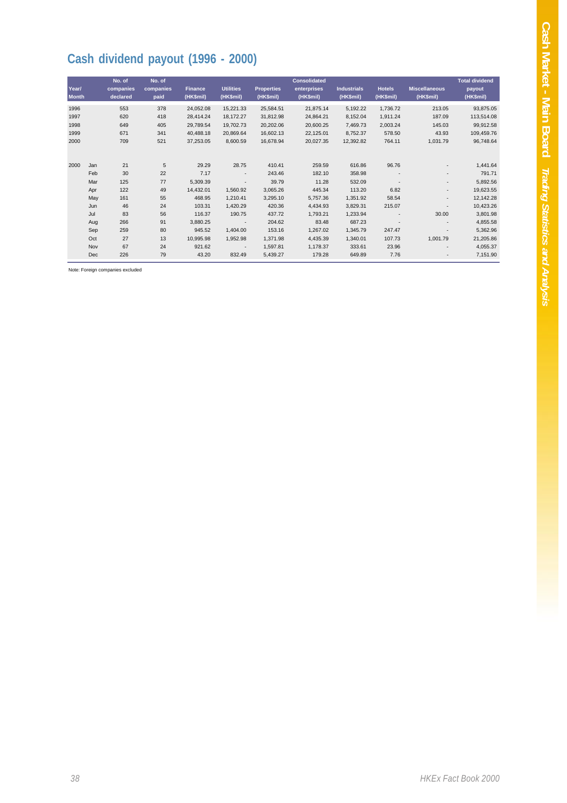## **Cash dividend payout (1996 - 2000)**

| Year/        |     | No. of<br>companies | No. of<br>companies | <b>Finance</b> | <b>Utilities</b>         | <b>Properties</b> | <b>Consolidated</b><br>enterprises | <b>Industrials</b> | <b>Hotels</b>            | <b>Miscellaneous</b>     | <b>Total dividend</b><br>payout |
|--------------|-----|---------------------|---------------------|----------------|--------------------------|-------------------|------------------------------------|--------------------|--------------------------|--------------------------|---------------------------------|
| <b>Month</b> |     | declared            | paid                | (HK\$mil)      | (HK\$mil)                | (HK\$mil)         | (HK\$mil)                          | (HK\$mil)          | (HK\$mil)                | (HK\$mil)                | (HK\$mil)                       |
| 1996         |     | 553                 | 378                 | 24,052.08      | 15,221.33                | 25,584.51         | 21,875.14                          | 5,192.22           | 1,736.72                 | 213.05                   | 93,875.05                       |
| 1997         |     | 620                 | 418                 | 28,414.24      | 18,172.27                | 31,812.98         | 24,864.21                          | 8,152.04           | 1,911.24                 | 187.09                   | 113,514.08                      |
| 1998         |     | 649                 | 405                 | 29,789.54      | 19,702.73                | 20,202.06         | 20,600.25                          | 7,469.73           | 2,003.24                 | 145.03                   | 99,912.58                       |
| 1999         |     | 671                 | 341                 | 40.488.18      | 20.869.64                | 16.602.13         | 22,125.01                          | 8,752.37           | 578.50                   | 43.93                    | 109,459.76                      |
| 2000         |     | 709                 | 521                 | 37,253.05      | 8,600.59                 | 16,678.94         | 20,027.35                          | 12,392.82          | 764.11                   | 1,031.79                 | 96,748.64                       |
|              |     |                     |                     |                |                          |                   |                                    |                    |                          |                          |                                 |
| 2000         | Jan | 21                  | 5                   | 29.29          | 28.75                    | 410.41            | 259.59                             | 616.86             | 96.76                    |                          | 1,441.64                        |
|              | Feb | 30                  | 22                  | 7.17           | ٠                        | 243.46            | 182.10                             | 358.98             |                          | ٠                        | 791.71                          |
|              | Mar | 125                 | 77                  | 5,309.39       | $\overline{\phantom{a}}$ | 39.79             | 11.28                              | 532.09             |                          | ٠                        | 5,892.56                        |
|              | Apr | 122                 | 49                  | 14,432.01      | 1,560.92                 | 3,065.26          | 445.34                             | 113.20             | 6.82                     | $\overline{\phantom{a}}$ | 19,623.55                       |
|              | May | 161                 | 55                  | 468.95         | 1,210.41                 | 3,295.10          | 5,757.36                           | 1,351.92           | 58.54                    | $\overline{\phantom{a}}$ | 12,142.28                       |
|              | Jun | 46                  | 24                  | 103.31         | 1,420.29                 | 420.36            | 4.434.93                           | 3,829.31           | 215.07                   |                          | 10,423.26                       |
|              | Jul | 83                  | 56                  | 116.37         | 190.75                   | 437.72            | 1,793.21                           | 1,233.94           | $\overline{\phantom{a}}$ | 30.00                    | 3,801.98                        |
|              | Aug | 266                 | 91                  | 3,880.25       | $\overline{\phantom{a}}$ | 204.62            | 83.48                              | 687.23             | $\overline{\phantom{a}}$ |                          | 4,855.58                        |
|              | Sep | 259                 | 80                  | 945.52         | 1,404.00                 | 153.16            | 1,267.02                           | 1,345.79           | 247.47                   |                          | 5,362.96                        |
|              | Oct | 27                  | 13                  | 10,995.98      | 1,952.98                 | 1,371.98          | 4.435.39                           | 1,340.01           | 107.73                   | 1,001.79                 | 21,205.86                       |
|              | Nov | 67                  | 24                  | 921.62         | $\overline{\phantom{a}}$ | 1,597.81          | 1,178.37                           | 333.61             | 23.96                    |                          | 4,055.37                        |
|              | Dec | 226                 | 79                  | 43.20          | 832.49                   | 5,439.27          | 179.28                             | 649.89             | 7.76                     | $\overline{\phantom{a}}$ | 7,151.90                        |

Note: Foreign companies excluded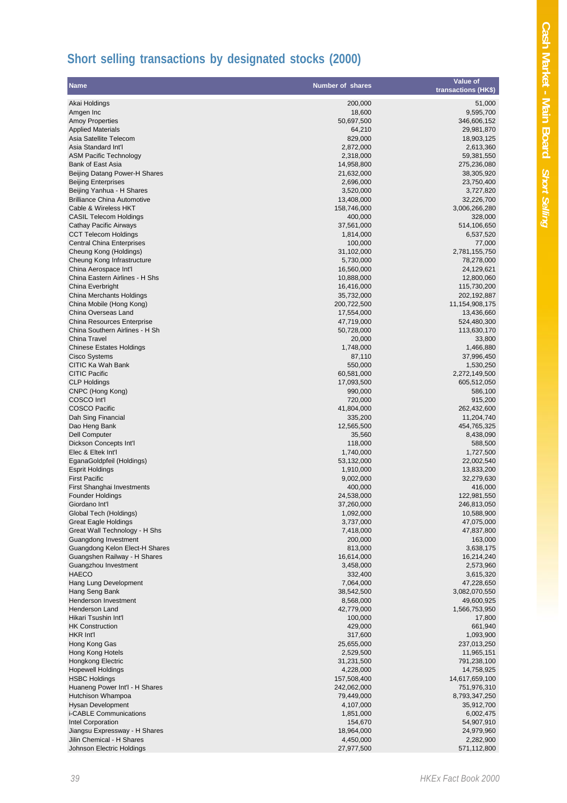## **Short selling transactions by designated stocks (2000)**

| <b>Name</b>                                                     | <b>Number of shares</b>   | Value of<br>transactions (HK\$) |
|-----------------------------------------------------------------|---------------------------|---------------------------------|
| Akai Holdings                                                   | 200,000                   | 51,000                          |
| Amgen Inc                                                       | 18,600                    | 9,595,700                       |
| <b>Amoy Properties</b>                                          | 50,697,500                | 346,606,152                     |
| <b>Applied Materials</b>                                        | 64,210                    | 29,981,870                      |
| Asia Satellite Telecom                                          | 829,000                   | 18,903,125                      |
| Asia Standard Int'l                                             | 2,872,000                 | 2,613,360                       |
| <b>ASM Pacific Technology</b>                                   | 2,318,000                 | 59,381,550                      |
| Bank of East Asia                                               | 14,958,800                | 275,236,080                     |
| Beijing Datang Power-H Shares                                   | 21,632,000                | 38,305,920                      |
| <b>Beijing Enterprises</b>                                      | 2,696,000                 | 23,750,400                      |
| Beijing Yanhua - H Shares<br><b>Brilliance China Automotive</b> | 3,520,000<br>13,408,000   | 3,727,820<br>32,226,700         |
| Cable & Wireless HKT                                            | 158,746,000               | 3,006,266,280                   |
| <b>CASIL Telecom Holdings</b>                                   | 400,000                   | 328,000                         |
| Cathay Pacific Airways                                          | 37,561,000                | 514,106,650                     |
| <b>CCT Telecom Holdings</b>                                     | 1,814,000                 | 6,537,520                       |
| <b>Central China Enterprises</b>                                | 100,000                   | 77,000                          |
| Cheung Kong (Holdings)                                          | 31,102,000                | 2,781,155,750                   |
| Cheung Kong Infrastructure                                      | 5,730,000                 | 78,278,000                      |
| China Aerospace Int'l                                           | 16,560,000                | 24,129,621                      |
| China Eastern Airlines - H Shs                                  | 10,888,000                | 12,800,060                      |
| China Everbright                                                | 16,416,000                | 115,730,200                     |
| China Merchants Holdings<br>China Mobile (Hong Kong)            | 35,732,000<br>200,722,500 | 202,192,887<br>11,154,908,175   |
| China Overseas Land                                             | 17,554,000                | 13,436,660                      |
| <b>China Resources Enterprise</b>                               | 47,719,000                | 524,480,300                     |
| China Southern Airlines - H Sh                                  | 50,728,000                | 113,630,170                     |
| <b>China Travel</b>                                             | 20,000                    | 33,800                          |
| <b>Chinese Estates Holdings</b>                                 | 1,748,000                 | 1,466,880                       |
| Cisco Systems                                                   | 87,110                    | 37,996,450                      |
| CITIC Ka Wah Bank                                               | 550,000                   | 1,530,250                       |
| <b>CITIC Pacific</b>                                            | 60,581,000                | 2,272,149,500                   |
| <b>CLP Holdings</b>                                             | 17,093,500                | 605,512,050                     |
| CNPC (Hong Kong)<br>COSCO Int'l                                 | 990,000<br>720,000        | 586,100<br>915,200              |
| <b>COSCO Pacific</b>                                            | 41,804,000                | 262,432,600                     |
| Dah Sing Financial                                              | 335,200                   | 11,204,740                      |
| Dao Heng Bank                                                   | 12,565,500                | 454,765,325                     |
| <b>Dell Computer</b>                                            | 35,560                    | 8,438,090                       |
| Dickson Concepts Int'l                                          | 118,000                   | 588,500                         |
| Elec & Eltek Int'l                                              | 1,740,000                 | 1,727,500                       |
| EganaGoldpfeil (Holdings)                                       | 53,132,000                | 22,002,540                      |
| <b>Esprit Holdings</b>                                          | 1,910,000                 | 13,833,200                      |
| <b>First Pacific</b><br>First Shanghai Investments              | 9,002,000<br>400,000      | 32,279,630<br>416,000           |
| <b>Founder Holdings</b>                                         | 24,538,000                | 122,981,550                     |
| Giordano Int'l                                                  | 37,260,000                | 246,813,050                     |
| Global Tech (Holdings)                                          | 1,092,000                 | 10,588,900                      |
| <b>Great Eagle Holdings</b>                                     | 3,737,000                 | 47,075,000                      |
| Great Wall Technology - H Shs                                   | 7,418,000                 | 47,837,800                      |
| Guangdong Investment                                            | 200,000                   | 163,000                         |
| Guangdong Kelon Elect-H Shares                                  | 813,000                   | 3,638,175                       |
| Guangshen Railway - H Shares                                    | 16,614,000                | 16,214,240                      |
| Guangzhou Investment<br><b>HAECO</b>                            | 3,458,000<br>332,400      | 2,573,960                       |
| Hang Lung Development                                           | 7,064,000                 | 3,615,320<br>47,228,650         |
| Hang Seng Bank                                                  | 38,542,500                | 3,082,070,550                   |
| Henderson Investment                                            | 8,568,000                 | 49,600,925                      |
| Henderson Land                                                  | 42,779,000                | 1,566,753,950                   |
| Hikari Tsushin Int'l                                            | 100,000                   | 17,800                          |
| <b>HK Construction</b>                                          | 429,000                   | 661,940                         |
| HKR Int'l                                                       | 317,600                   | 1,093,900                       |
| Hong Kong Gas                                                   | 25,655,000                | 237,013,250                     |
| Hong Kong Hotels                                                | 2,529,500                 | 11,965,151                      |
| Hongkong Electric<br><b>Hopewell Holdings</b>                   | 31,231,500<br>4,228,000   | 791,238,100<br>14,758,925       |
| <b>HSBC Holdings</b>                                            | 157,508,400               | 14,617,659,100                  |
| Huaneng Power Int'l - H Shares                                  | 242,062,000               | 751,976,310                     |
| Hutchison Whampoa                                               | 79,449,000                | 8,793,347,250                   |
| Hysan Development                                               | 4,107,000                 | 35,912,700                      |
| i-CABLE Communications                                          | 1,851,000                 | 6,002,475                       |
| Intel Corporation                                               | 154,670                   | 54,907,910                      |
| Jiangsu Expressway - H Shares                                   | 18,964,000                | 24,979,960                      |
| Jilin Chemical - H Shares                                       | 4,450,000                 | 2,282,900                       |
| Johnson Electric Holdings                                       | 27,977,500                | 571,112,800                     |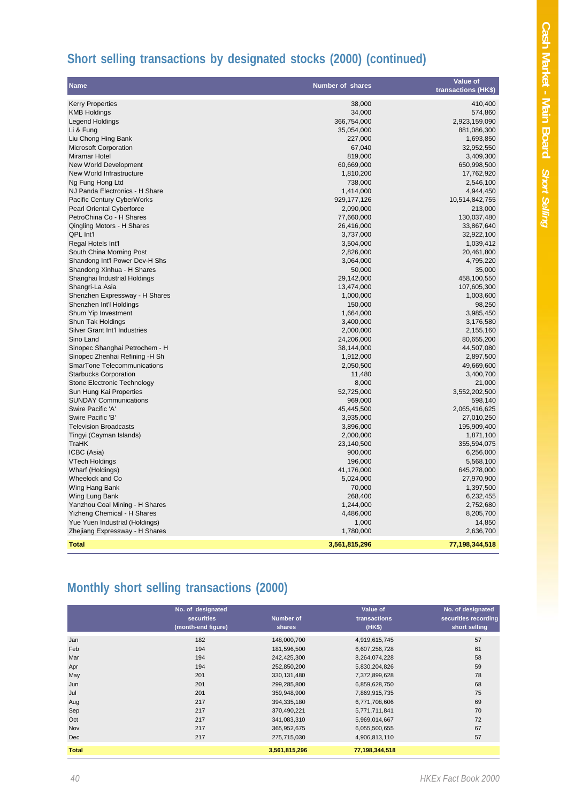## Cash Market - Main Board Short Selling **Cash Market - Main Board** *Short Selling*

## **Short selling transactions by designated stocks (2000) (continued)**

| <b>Name</b>                             | <b>Number of shares</b> | Value of<br>transactions (HK\$) |
|-----------------------------------------|-------------------------|---------------------------------|
|                                         |                         |                                 |
| <b>Kerry Properties</b>                 | 38,000                  | 410,400                         |
| <b>KMB Holdings</b>                     | 34,000                  | 574,860                         |
| <b>Legend Holdings</b>                  | 366,754,000             | 2,923,159,090                   |
| Li & Fung                               | 35,054,000              | 881,086,300                     |
| Liu Chong Hing Bank                     | 227,000                 | 1,693,850                       |
| <b>Microsoft Corporation</b>            | 67,040                  | 32,952,550                      |
| Miramar Hotel                           | 819,000                 | 3,409,300                       |
| New World Development                   | 60,669,000              | 650,998,500                     |
| New World Infrastructure                | 1,810,200               | 17,762,920                      |
| Ng Fung Hong Ltd                        | 738,000                 | 2,546,100                       |
| NJ Panda Electronics - H Share          | 1,414,000               | 4,944,450                       |
| Pacific Century CyberWorks              | 929, 177, 126           | 10,514,842,755                  |
| Pearl Oriental Cyberforce               | 2,090,000               | 213,000                         |
| PetroChina Co - H Shares                | 77,660,000              | 130,037,480                     |
| Qingling Motors - H Shares              | 26,416,000              | 33,867,640                      |
| QPL Int'l                               | 3,737,000               | 32,922,100                      |
| Regal Hotels Int'l                      | 3,504,000               | 1,039,412                       |
| South China Morning Post                | 2,826,000               | 20,461,800                      |
| Shandong Int'l Power Dev-H Shs          | 3,064,000               | 4,795,220                       |
| Shandong Xinhua - H Shares              | 50,000                  | 35,000                          |
| Shanghai Industrial Holdings            | 29,142,000              | 458,100,550                     |
| Shangri-La Asia                         | 13,474,000              | 107,605,300                     |
| Shenzhen Expressway - H Shares          | 1,000,000               | 1,003,600                       |
| Shenzhen Int'l Holdings                 | 150,000                 | 98,250                          |
| Shum Yip Investment                     | 1,664,000               | 3,985,450                       |
| Shun Tak Holdings                       | 3,400,000               | 3,176,580                       |
| Silver Grant Int'l Industries           | 2,000,000               | 2,155,160                       |
| Sino Land                               | 24,206,000              | 80,655,200                      |
| Sinopec Shanghai Petrochem - H          | 38,144,000              | 44,507,080                      |
| Sinopec Zhenhai Refining -H Sh          | 1,912,000               | 2,897,500                       |
| SmarTone Telecommunications             | 2,050,500               | 49,669,600                      |
| <b>Starbucks Corporation</b>            | 11,480                  | 3,400,700                       |
| Stone Electronic Technology             | 8,000                   | 21,000                          |
| Sun Hung Kai Properties                 | 52,725,000              | 3,552,202,500                   |
| <b>SUNDAY Communications</b>            | 969,000                 | 598,140                         |
| Swire Pacific 'A'                       | 45,445,500              | 2,065,416,625                   |
| Swire Pacific 'B'                       | 3,935,000               | 27,010,250                      |
| <b>Television Broadcasts</b>            |                         |                                 |
|                                         | 3,896,000               | 195,909,400                     |
| Tingyi (Cayman Islands)<br><b>TraHK</b> | 2,000,000<br>23,140,500 | 1,871,100                       |
|                                         |                         | 355,594,075                     |
| ICBC (Asia)                             | 900,000                 | 6,256,000                       |
| VTech Holdings                          | 196,000                 | 5,568,100                       |
| Wharf (Holdings)                        | 41,176,000              | 645,278,000                     |
| Wheelock and Co                         | 5,024,000               | 27,970,900                      |
| Wing Hang Bank                          | 70,000                  | 1,397,500                       |
| Wing Lung Bank                          | 268,400                 | 6,232,455                       |
| Yanzhou Coal Mining - H Shares          | 1,244,000               | 2,752,680                       |
| Yizheng Chemical - H Shares             | 4,486,000               | 8,205,700                       |
| Yue Yuen Industrial (Holdings)          | 1,000                   | 14,850                          |
| Zhejiang Expressway - H Shares          | 1,780,000               | 2,636,700                       |
| <b>Total</b>                            | 3,561,815,296           | 77,198,344,518                  |

## **Monthly short selling transactions (2000)**

|              | No. of designated  |               | Value of       | No. of designated    |
|--------------|--------------------|---------------|----------------|----------------------|
|              | securities         | Number of     | transactions   | securities recording |
|              | (month-end figure) | shares        | (HK\$)         | short selling        |
| Jan          | 182                | 148,000,700   | 4,919,615,745  | 57                   |
| Feb          | 194                | 181,596,500   | 6,607,256,728  | 61                   |
| Mar          | 194                | 242,425,300   | 8,264,074,228  | 58                   |
| Apr          | 194                | 252,850,200   | 5,830,204,826  | 59                   |
| May          | 201                | 330,131,480   | 7,372,899,628  | 78                   |
| Jun          | 201                | 299,285,800   | 6,859,628,750  | 68                   |
| Jul          | 201                | 359,948,900   | 7,869,915,735  | 75                   |
| Aug          | 217                | 394,335,180   | 6,771,708,606  | 69                   |
| Sep          | 217                | 370,490,221   | 5,771,711,841  | 70                   |
| Oct          | 217                | 341,083,310   | 5,969,014,667  | 72                   |
| Nov          | 217                | 365,952,675   | 6,055,500,655  | 67                   |
| <b>Dec</b>   | 217                | 275,715,030   | 4,906,813,110  | 57                   |
| <b>Total</b> |                    | 3,561,815,296 | 77,198,344,518 |                      |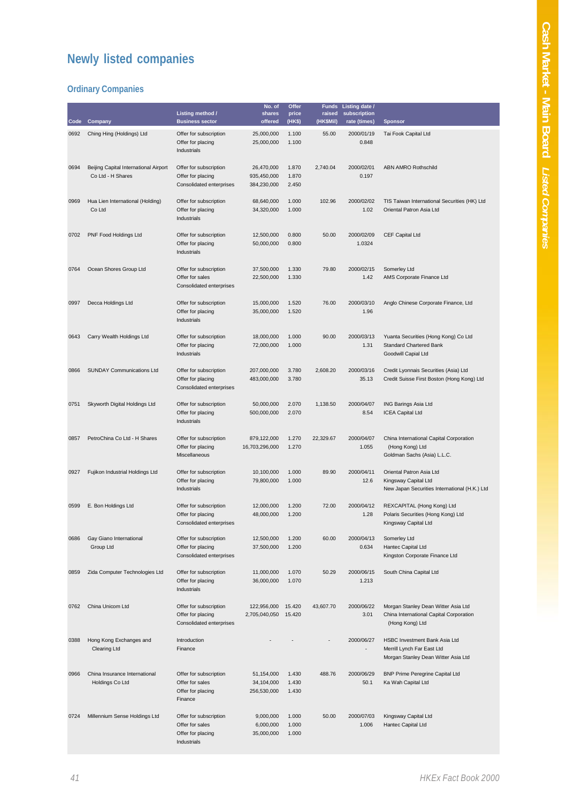## **Newly listed companies**

#### **Ordinary Companies**

| Code | Company                                                    | Listing method /<br><b>Business sector</b>                                    | No. of<br>shares<br>offered              | Offer<br>price<br>(HK\$) | <b>Funds</b><br>raised<br>(HK\$Mil) | Listing date /<br>subscription<br>rate (times) | <b>Sponsor</b>                                                                                     |
|------|------------------------------------------------------------|-------------------------------------------------------------------------------|------------------------------------------|--------------------------|-------------------------------------|------------------------------------------------|----------------------------------------------------------------------------------------------------|
| 0692 | Ching Hing (Holdings) Ltd                                  | Offer for subscription<br>Offer for placing<br>Industrials                    | 25,000,000<br>25,000,000                 | 1.100<br>1.100           | 55.00                               | 2000/01/19<br>0.848                            | Tai Fook Capital Ltd                                                                               |
| 0694 | Beijing Capital International Airport<br>Co Ltd - H Shares | Offer for subscription<br>Offer for placing<br>Consolidated enterprises       | 26,470,000<br>935,450,000<br>384,230,000 | 1.870<br>1.870<br>2.450  | 2,740.04                            | 2000/02/01<br>0.197                            | <b>ABN AMRO Rothschild</b>                                                                         |
| 0969 | Hua Lien International (Holding)<br>Co Ltd                 | Offer for subscription<br>Offer for placing<br>Industrials                    | 68,640,000<br>34,320,000                 | 1.000<br>1.000           | 102.96                              | 2000/02/02<br>1.02                             | TIS Taiwan International Securities (HK) Ltd<br>Oriental Patron Asia Ltd                           |
| 0702 | PNF Food Holdings Ltd                                      | Offer for subscription<br>Offer for placing<br>Industrials                    | 12,500,000<br>50,000,000                 | 0.800<br>0.800           | 50.00                               | 2000/02/09<br>1.0324                           | CEF Capital Ltd                                                                                    |
| 0764 | Ocean Shores Group Ltd                                     | Offer for subscription<br>Offer for sales<br>Consolidated enterprises         | 37,500,000<br>22,500,000                 | 1.330<br>1.330           | 79.80                               | 2000/02/15<br>1.42                             | Somerley Ltd<br>AMS Corporate Finance Ltd                                                          |
| 0997 | Decca Holdings Ltd                                         | Offer for subscription<br>Offer for placing<br>Industrials                    | 15,000,000<br>35,000,000                 | 1.520<br>1.520           | 76.00                               | 2000/03/10<br>1.96                             | Anglo Chinese Corporate Finance, Ltd                                                               |
| 0643 | Carry Wealth Holdings Ltd                                  | Offer for subscription<br>Offer for placing<br>Industrials                    | 18,000,000<br>72,000,000                 | 1.000<br>1.000           | 90.00                               | 2000/03/13<br>1.31                             | Yuanta Securities (Hong Kong) Co Ltd<br><b>Standard Chartered Bank</b><br>Goodwill Capial Ltd      |
| 0866 | <b>SUNDAY Communications Ltd</b>                           | Offer for subscription<br>Offer for placing<br>Consolidated enterprises       | 207,000,000<br>483,000,000               | 3.780<br>3.780           | 2,608.20                            | 2000/03/16<br>35.13                            | Credit Lyonnais Securities (Asia) Ltd<br>Credit Suisse First Boston (Hong Kong) Ltd                |
| 0751 | Skyworth Digital Holdings Ltd                              | Offer for subscription<br>Offer for placing<br>Industrials                    | 50,000,000<br>500,000,000                | 2.070<br>2.070           | 1,138.50                            | 2000/04/07<br>8.54                             | ING Barings Asia Ltd<br><b>ICEA Capital Ltd</b>                                                    |
| 0857 | PetroChina Co Ltd - H Shares                               | Offer for subscription<br>Offer for placing<br>Miscellaneous                  | 879,122,000<br>16,703,296,000            | 1.270<br>1.270           | 22,329.67                           | 2000/04/07<br>1.055                            | China International Capital Corporation<br>(Hong Kong) Ltd<br>Goldman Sachs (Asia) L.L.C.          |
| 0927 | Fujikon Industrial Holdings Ltd                            | Offer for subscription<br>Offer for placing<br>Industrials                    | 10,100,000<br>79,800,000                 | 1.000<br>1.000           | 89.90                               | 2000/04/11<br>12.6                             | Oriental Patron Asia Ltd<br>Kingsway Capital Ltd<br>New Japan Securities International (H.K.) Ltd  |
| 0599 | E. Bon Holdings Ltd                                        | Offer for subscription<br>Offer for placing<br>Consolidated enterprises       | 12,000,000<br>48,000,000                 | 1.200<br>1.200           | 72.00                               | 2000/04/12<br>1.28                             | REXCAPITAL (Hong Kong) Ltd<br>Polaris Securities (Hong Kong) Ltd<br>Kingsway Capital Ltd           |
| 0686 | Gay Giano International<br>Group Ltd                       | Offer for subscription<br>Offer for placing<br>Consolidated enterprises       | 12,500,000<br>37,500,000                 | 1.200<br>1.200           | 60.00                               | 2000/04/13<br>0.634                            | Somerley Ltd<br>Hantec Capital Ltd<br>Kingston Corporate Finance Ltd                               |
| 0859 | Zida Computer Technologies Ltd                             | Offer for subscription<br>Offer for placing<br>Industrials                    | 11,000,000<br>36,000,000                 | 1.070<br>1.070           | 50.29                               | 2000/06/15<br>1.213                            | South China Capital Ltd                                                                            |
| 0762 | China Unicom Ltd                                           | Offer for subscription<br>Offer for placing<br>Consolidated enterprises       | 122,956,000<br>2,705,040,050             | 15.420<br>15.420         | 43,607.70                           | 2000/06/22<br>3.01                             | Morgan Stanley Dean Witter Asia Ltd<br>China International Capital Corporation<br>(Hong Kong) Ltd  |
| 0388 | Hong Kong Exchanges and<br><b>Clearing Ltd</b>             | Introduction<br>Finance                                                       |                                          |                          |                                     | 2000/06/27                                     | HSBC Investment Bank Asia Ltd<br>Merrill Lynch Far East Ltd<br>Morgan Stanley Dean Witter Asia Ltd |
| 0966 | China Insurance International<br>Holdings Co Ltd           | Offer for subscription<br>Offer for sales<br>Offer for placing<br>Finance     | 51,154,000<br>34,104,000<br>256,530,000  | 1.430<br>1.430<br>1.430  | 488.76                              | 2000/06/29<br>50.1                             | BNP Prime Peregrine Capital Ltd<br>Ka Wah Capital Ltd                                              |
| 0724 | Millennium Sense Holdings Ltd                              | Offer for subscription<br>Offer for sales<br>Offer for placing<br>Industrials | 9,000,000<br>6,000,000<br>35,000,000     | 1.000<br>1.000<br>1.000  | 50.00                               | 2000/07/03<br>1.006                            | Kingsway Capital Ltd<br>Hantec Capital Ltd                                                         |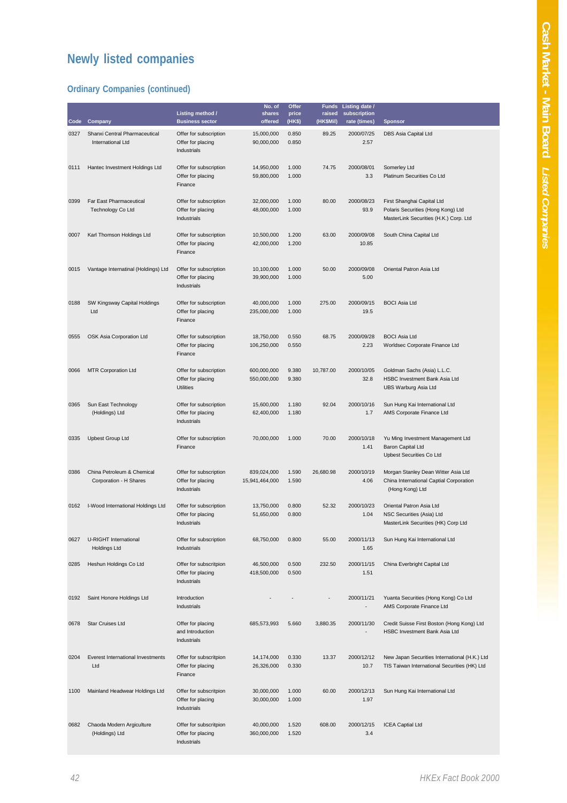## **Newly listed companies**

#### **Ordinary Companies (continued)**

| Code | Company                                              | Listing method /<br><b>Business sector</b>                 | No. of<br>shares<br>offered   | Offer<br>price<br>(HK\$) | <b>Funds</b><br>raised<br>(HK\$Mil) | Listing date /<br>subscription<br>rate (times) | <b>Sponsor</b>                                                                                             |
|------|------------------------------------------------------|------------------------------------------------------------|-------------------------------|--------------------------|-------------------------------------|------------------------------------------------|------------------------------------------------------------------------------------------------------------|
| 0327 | Shanxi Central Pharmaceutical<br>International Ltd   | Offer for subscription<br>Offer for placing<br>Industrials | 15,000,000<br>90,000,000      | 0.850<br>0.850           | 89.25                               | 2000/07/25<br>2.57                             | DBS Asia Capital Ltd                                                                                       |
| 0111 | Hantec Investment Holdings Ltd                       | Offer for subscription<br>Offer for placing<br>Finance     | 14,950,000<br>59,800,000      | 1.000<br>1.000           | 74.75                               | 2000/08/01<br>3.3                              | Somerley Ltd<br>Platinum Securities Co Ltd                                                                 |
| 0399 | Far East Pharmaceutical<br><b>Technology Co Ltd</b>  | Offer for subscription<br>Offer for placing<br>Industrials | 32,000,000<br>48,000,000      | 1.000<br>1.000           | 80.00                               | 2000/08/23<br>93.9                             | First Shanghai Capital Ltd<br>Polaris Securities (Hong Kong) Ltd<br>MasterLink Securities (H.K.) Corp. Ltd |
| 0007 | Karl Thomson Holdings Ltd                            | Offer for subscription<br>Offer for placing<br>Finance     | 10,500,000<br>42,000,000      | 1.200<br>1.200           | 63.00                               | 2000/09/08<br>10.85                            | South China Capital Ltd                                                                                    |
| 0015 | Vantage Internatinal (Holdings) Ltd                  | Offer for subscription<br>Offer for placing<br>Industrials | 10,100,000<br>39,900,000      | 1.000<br>1.000           | 50.00                               | 2000/09/08<br>5.00                             | Oriental Patron Asia Ltd                                                                                   |
| 0188 | SW Kingsway Capital Holdings<br>Ltd                  | Offer for subscription<br>Offer for placing<br>Finance     | 40,000,000<br>235,000,000     | 1.000<br>1.000           | 275.00                              | 2000/09/15<br>19.5                             | <b>BOCI Asia Ltd</b>                                                                                       |
| 0555 | OSK Asia Corporation Ltd                             | Offer for subscription<br>Offer for placing<br>Finance     | 18,750,000<br>106,250,000     | 0.550<br>0.550           | 68.75                               | 2000/09/28<br>2.23                             | <b>BOCI Asia Ltd</b><br>Worldsec Corporate Finance Ltd                                                     |
| 0066 | <b>MTR Corporation Ltd</b>                           | Offer for subscription<br>Offer for placing<br>Utilities   | 600,000,000<br>550,000,000    | 9.380<br>9.380           | 10,787.00                           | 2000/10/05<br>32.8                             | Goldman Sachs (Asia) L.L.C.<br>HSBC Investment Bank Asia Ltd<br><b>UBS Warburg Asia Ltd</b>                |
| 0365 | Sun East Technology<br>(Holdings) Ltd                | Offer for subscription<br>Offer for placing<br>Industrials | 15,600,000<br>62,400,000      | 1.180<br>1.180           | 92.04                               | 2000/10/16<br>1.7                              | Sun Hung Kai International Ltd<br>AMS Corporate Finance Ltd                                                |
| 0335 | <b>Upbest Group Ltd</b>                              | Offer for subscription<br>Finance                          | 70,000,000                    | 1.000                    | 70.00                               | 2000/10/18<br>1.41                             | Yu Ming Investment Management Ltd<br>Baron Capital Ltd<br>Upbest Securities Co Ltd                         |
| 0386 | China Petroleum & Chemical<br>Corporation - H Shares | Offer for subscription<br>Offer for placing<br>Industrials | 839,024,000<br>15,941,464,000 | 1.590<br>1.590           | 26,680.98                           | 2000/10/19<br>4.06                             | Morgan Stanley Dean Witter Asia Ltd<br>China International Captial Corporation<br>(Hong Kong) Ltd          |
| 0162 | I-Wood International Holdings Ltd                    | Offer for subscription<br>Offer for placing<br>Industrials | 13,750,000<br>51,650,000      | 0.800<br>0.800           | 52.32                               | 2000/10/23<br>1.04                             | Oriental Patron Asia Ltd<br>NSC Securities (Asia) Ltd<br>MasterLink Securities (HK) Corp Ltd               |
| 0627 | U-RIGHT International<br>Holdings Ltd                | Offer for subscription<br>Industrials                      | 68,750,000                    | 0.800                    | 55.00                               | 2000/11/13<br>1.65                             | Sun Hung Kai International Ltd                                                                             |
| 0285 | Heshun Holdings Co Ltd                               | Offer for subscritpion<br>Offer for placing<br>Industrials | 46,500,000<br>418,500,000     | 0.500<br>0.500           | 232.50                              | 2000/11/15<br>1.51                             | China Everbright Capital Ltd                                                                               |
| 0192 | Saint Honore Holdings Ltd                            | Introduction<br>Industrials                                |                               |                          |                                     | 2000/11/21<br>$\overline{\phantom{a}}$         | Yuanta Securities (Hong Kong) Co Ltd<br>AMS Corporate Finance Ltd                                          |
| 0678 | <b>Star Cruises Ltd</b>                              | Offer for placing<br>and Introduction<br>Industrials       | 685,573,993                   | 5.660                    | 3,880.35                            | 2000/11/30                                     | Credit Suisse First Boston (Hong Kong) Ltd<br>HSBC Investment Bank Asia Ltd                                |
| 0204 | Everest International Investments<br>Ltd             | Offer for subscritpion<br>Offer for placing<br>Finance     | 14,174,000<br>26,326,000      | 0.330<br>0.330           | 13.37                               | 2000/12/12<br>10.7                             | New Japan Securities International (H.K.) Ltd<br>TIS Taiwan International Securities (HK) Ltd              |
| 1100 | Mainland Headwear Holdings Ltd                       | Offer for subscritpion<br>Offer for placing<br>Industrials | 30,000,000<br>30,000,000      | 1.000<br>1.000           | 60.00                               | 2000/12/13<br>1.97                             | Sun Hung Kai International Ltd                                                                             |
| 0682 | Chaoda Modern Argiculture<br>(Holdings) Ltd          | Offer for subscritpion<br>Offer for placing<br>Industrials | 40,000,000<br>360,000,000     | 1.520<br>1.520           | 608.00                              | 2000/12/15<br>3.4                              | <b>ICEA Captial Ltd</b>                                                                                    |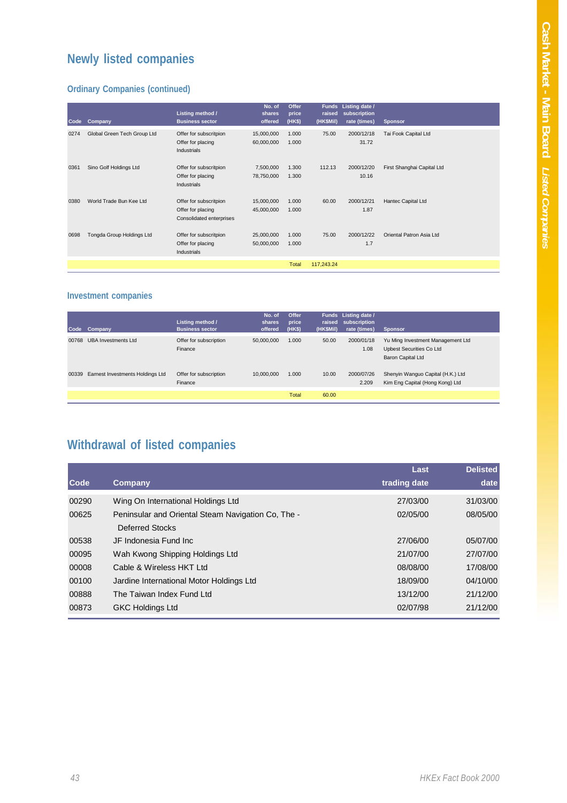## **Newly listed companies**

#### **Ordinary Companies (continued)**

| Code | Company                     | Listing method /<br><b>Business sector</b>                              | No. of<br>shares<br>offered | Offer<br>price<br>(HK\$) | <b>Funds</b><br>raised<br>(HK\$Mil) | Listing date /<br>subscription<br>rate (times) | <b>Sponsor</b>             |
|------|-----------------------------|-------------------------------------------------------------------------|-----------------------------|--------------------------|-------------------------------------|------------------------------------------------|----------------------------|
| 0274 | Global Green Tech Group Ltd | Offer for subscritpion<br>Offer for placing<br>Industrials              | 15,000,000<br>60,000,000    | 1.000<br>1.000           | 75.00                               | 2000/12/18<br>31.72                            | Tai Fook Capital Ltd       |
| 0361 | Sino Golf Holdings Ltd      | Offer for subscritpion<br>Offer for placing<br><b>Industrials</b>       | 7,500,000<br>78,750,000     | 1.300<br>1.300           | 112.13                              | 2000/12/20<br>10.16                            | First Shanghai Capital Ltd |
| 0380 | World Trade Bun Kee Ltd     | Offer for subscritpion<br>Offer for placing<br>Consolidated enterprises | 15,000,000<br>45,000,000    | 1.000<br>1.000           | 60.00                               | 2000/12/21<br>1.87                             | Hantec Capital Ltd         |
| 0698 | Tongda Group Holdings Ltd   | Offer for subscritpion<br>Offer for placing<br>Industrials              | 25,000,000<br>50,000,000    | 1.000<br>1.000           | 75.00                               | 2000/12/22<br>1.7                              | Oriental Patron Asia Ltd   |
|      |                             |                                                                         |                             | <b>Total</b>             | 117,243.24                          |                                                |                            |

#### **Investment companies**

| Code  | Company                          | Listing method /<br><b>Business sector</b> | No. of<br>shares<br>offered. | Offer<br>price<br>(HKS) | raised<br>(HK\$Mil) | Funds Listing date /<br>subscription<br>rate (times) | <b>Sponsor</b>                                                                     |
|-------|----------------------------------|--------------------------------------------|------------------------------|-------------------------|---------------------|------------------------------------------------------|------------------------------------------------------------------------------------|
| 00768 | <b>UBA Investments Ltd</b>       | Offer for subscription<br>Finance          | 50,000,000                   | 1.000                   | 50.00               | 2000/01/18<br>1.08                                   | Yu Ming Investment Management Ltd<br>Upbest Securities Co Ltd<br>Baron Capital Ltd |
| 00339 | Earnest Investments Holdings Ltd | Offer for subscription<br>Finance          | 10.000.000                   | 1.000                   | 10.00               | 2000/07/26<br>2.209                                  | Shenyin Wanguo Capital (H.K.) Ltd<br>Kim Eng Capital (Hong Kong) Ltd               |
|       |                                  |                                            |                              | <b>Total</b>            | 60.00               |                                                      |                                                                                    |

## **Withdrawal of listed companies**

|       |                                                    | Last         | <b>Delisted</b> |
|-------|----------------------------------------------------|--------------|-----------------|
| Code  | Company                                            | trading date | date            |
| 00290 | Wing On International Holdings Ltd                 | 27/03/00     | 31/03/00        |
| 00625 | Peninsular and Oriental Steam Navigation Co. The - | 02/05/00     | 08/05/00        |
|       | Deferred Stocks                                    |              |                 |
| 00538 | JF Indonesia Fund Inc.                             | 27/06/00     | 05/07/00        |
| 00095 | Wah Kwong Shipping Holdings Ltd                    | 21/07/00     | 27/07/00        |
| 00008 | Cable & Wireless HKT Ltd                           | 08/08/00     | 17/08/00        |
| 00100 | Jardine International Motor Holdings Ltd           | 18/09/00     | 04/10/00        |
| 00888 | The Taiwan Index Fund I td                         | 13/12/00     | 21/12/00        |
| 00873 | <b>GKC Holdings Ltd</b>                            | 02/07/98     | 21/12/00        |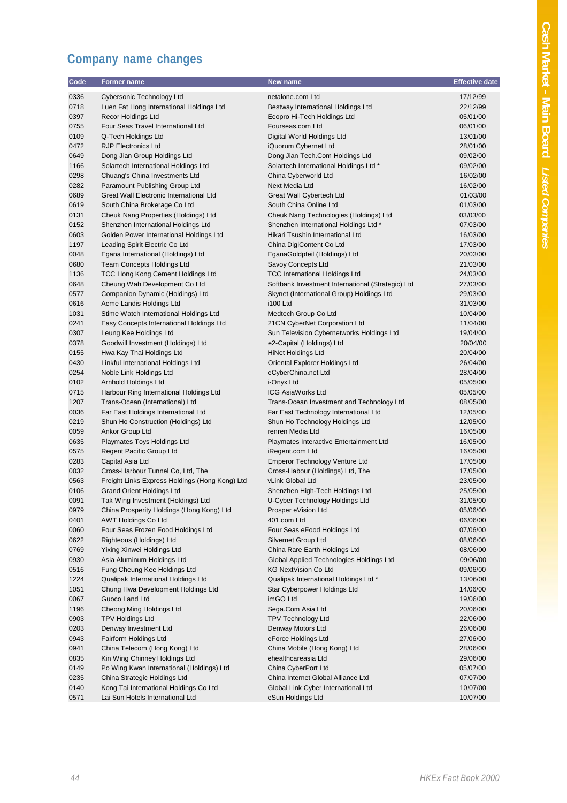# Cash Market - Main Board Listed Companies **Cash Market - Main Board** *Listed Companies*

## **Company name changes**

| Code         | Former name                                                     | New name                                                    | <b>Effective date</b> |
|--------------|-----------------------------------------------------------------|-------------------------------------------------------------|-----------------------|
| 0336         | Cybersonic Technology Ltd                                       | netalone.com Ltd                                            | 17/12/99              |
| 0718         | Luen Fat Hong International Holdings Ltd                        | Bestway International Holdings Ltd                          | 22/12/99              |
| 0397         | Recor Holdings Ltd                                              | Ecopro Hi-Tech Holdings Ltd                                 | 05/01/00              |
| 0755         | Four Seas Travel International Ltd                              | Fourseas.com Ltd                                            | 06/01/00              |
| 0109         | Q-Tech Holdings Ltd                                             | Digital World Holdings Ltd                                  | 13/01/00              |
| 0472         | <b>RJP Electronics Ltd</b>                                      | iQuorum Cybernet Ltd                                        | 28/01/00              |
| 0649         | Dong Jian Group Holdings Ltd                                    | Dong Jian Tech.Com Holdings Ltd                             | 09/02/00              |
| 1166         | Solartech International Holdings Ltd                            | Solartech International Holdings Ltd *                      | 09/02/00              |
| 0298         | Chuang's China Investments Ltd                                  | China Cyberworld Ltd                                        | 16/02/00              |
| 0282         | Paramount Publishing Group Ltd                                  | Next Media Ltd                                              | 16/02/00              |
| 0689         | Great Wall Electronic International Ltd                         | Great Wall Cybertech Ltd                                    | 01/03/00              |
| 0619         | South China Brokerage Co Ltd                                    | South China Online Ltd                                      | 01/03/00              |
| 0131         | Cheuk Nang Properties (Holdings) Ltd                            | Cheuk Nang Technologies (Holdings) Ltd                      | 03/03/00              |
| 0152         | Shenzhen International Holdings Ltd                             | Shenzhen International Holdings Ltd *                       | 07/03/00              |
| 0603         | Golden Power International Holdings Ltd                         | Hikari Tsushin International Ltd                            | 16/03/00              |
| 1197         | Leading Spirit Electric Co Ltd                                  | China DigiContent Co Ltd                                    | 17/03/00              |
| 0048         | Egana International (Holdings) Ltd                              | EganaGoldpfeil (Holdings) Ltd                               | 20/03/00              |
| 0680         | Team Concepts Holdings Ltd                                      | Savoy Concepts Ltd                                          | 21/03/00              |
| 1136         | TCC Hong Kong Cement Holdings Ltd                               | <b>TCC International Holdings Ltd</b>                       | 24/03/00              |
| 0648         | Cheung Wah Development Co Ltd                                   | Softbank Investment International (Strategic) Ltd           | 27/03/00              |
| 0577         | Companion Dynamic (Holdings) Ltd                                | Skynet (International Group) Holdings Ltd                   | 29/03/00              |
| 0616         | Acme Landis Holdings Ltd                                        | <b>i100 Ltd</b>                                             | 31/03/00              |
| 1031         | Stime Watch International Holdings Ltd                          | Medtech Group Co Ltd                                        | 10/04/00              |
| 0241         | Easy Concepts International Holdings Ltd                        | 21CN CyberNet Corporation Ltd                               | 11/04/00              |
| 0307         | Leung Kee Holdings Ltd                                          | Sun Television Cybernetworks Holdings Ltd                   | 19/04/00              |
| 0378         | Goodwill Investment (Holdings) Ltd                              | e2-Capital (Holdings) Ltd                                   | 20/04/00              |
| 0155<br>0430 | Hwa Kay Thai Holdings Ltd<br>Linkful International Holdings Ltd | <b>HiNet Holdings Ltd</b><br>Oriental Explorer Holdings Ltd | 20/04/00<br>26/04/00  |
| 0254         | Noble Link Holdings Ltd                                         | eCyberChina.net Ltd                                         | 28/04/00              |
| 0102         | Arnhold Holdings Ltd                                            | i-Onyx Ltd                                                  | 05/05/00              |
| 0715         | Harbour Ring International Holdings Ltd                         | ICG AsiaWorks Ltd                                           | 05/05/00              |
| 1207         | Trans-Ocean (International) Ltd                                 | Trans-Ocean Investment and Technology Ltd                   | 08/05/00              |
| 0036         | Far East Holdings International Ltd                             | Far East Technology International Ltd                       | 12/05/00              |
| 0219         | Shun Ho Construction (Holdings) Ltd                             | Shun Ho Technology Holdings Ltd                             | 12/05/00              |
| 0059         | Ankor Group Ltd                                                 | renren Media Ltd                                            | 16/05/00              |
| 0635         | Playmates Toys Holdings Ltd                                     | Playmates Interactive Entertainment Ltd                     | 16/05/00              |
| 0575         | Regent Pacific Group Ltd                                        | iRegent.com Ltd                                             | 16/05/00              |
| 0283         | Capital Asia Ltd                                                | Emperor Technology Venture Ltd                              | 17/05/00              |
| 0032         | Cross-Harbour Tunnel Co, Ltd, The                               | Cross-Habour (Holdings) Ltd, The                            | 17/05/00              |
| 0563         | Freight Links Express Holdings (Hong Kong) Ltd                  | vLink Global Ltd                                            | 23/05/00              |
| 0106         | <b>Grand Orient Holdings Ltd</b>                                | Shenzhen High-Tech Holdings Ltd                             | 25/05/00              |
| 0091         | Tak Wing Investment (Holdings) Ltd                              | U-Cyber Technology Holdings Ltd                             | 31/05/00              |
| 0979         | China Prosperity Holdings (Hong Kong) Ltd                       | Prosper eVision Ltd                                         | 05/06/00              |
| 0401         | <b>AWT Holdings Co Ltd</b>                                      | 401.com Ltd                                                 | 06/06/00              |
| 0060         | Four Seas Frozen Food Holdings Ltd                              | Four Seas eFood Holdings Ltd                                | 07/06/00              |
| 0622         | Righteous (Holdings) Ltd                                        | Silvernet Group Ltd                                         | 08/06/00              |
| 0769         | Yixing Xinwei Holdings Ltd                                      | China Rare Earth Holdings Ltd                               | 08/06/00              |
| 0930         | Asia Aluminum Holdings Ltd                                      | Global Applied Technologies Holdings Ltd                    | 09/06/00              |
| 0516         | Fung Cheung Kee Holdings Ltd                                    | <b>KG NextVision Co Ltd</b>                                 | 09/06/00              |
| 1224         | Qualipak International Holdings Ltd                             | Qualipak International Holdings Ltd *                       | 13/06/00              |
| 1051         | Chung Hwa Development Holdings Ltd                              | Star Cyberpower Holdings Ltd                                | 14/06/00              |
| 0067         | Guoco Land Ltd                                                  | imGO Ltd                                                    | 19/06/00              |
| 1196         | Cheong Ming Holdings Ltd                                        | Sega.Com Asia Ltd<br><b>TPV Technology Ltd</b>              | 20/06/00              |
| 0903<br>0203 | <b>TPV Holdings Ltd</b><br>Denway Investment Ltd                | Denway Motors Ltd                                           | 22/06/00<br>26/06/00  |
| 0943         | Fairform Holdings Ltd                                           | eForce Holdings Ltd                                         | 27/06/00              |
| 0941         | China Telecom (Hong Kong) Ltd                                   | China Mobile (Hong Kong) Ltd                                | 28/06/00              |
| 0835         | Kin Wing Chinney Holdings Ltd                                   | ehealthcareasia Ltd                                         | 29/06/00              |
| 0149         | Po Wing Kwan International (Holdings) Ltd                       | China CyberPort Ltd                                         | 05/07/00              |
| 0235         | China Strategic Holdings Ltd                                    | China Internet Global Alliance Ltd                          | 07/07/00              |
| 0140         | Kong Tai International Holdings Co Ltd                          | Global Link Cyber International Ltd                         | 10/07/00              |
| 0571         | Lai Sun Hotels International Ltd                                | eSun Holdings Ltd                                           | 10/07/00              |
|              |                                                                 |                                                             |                       |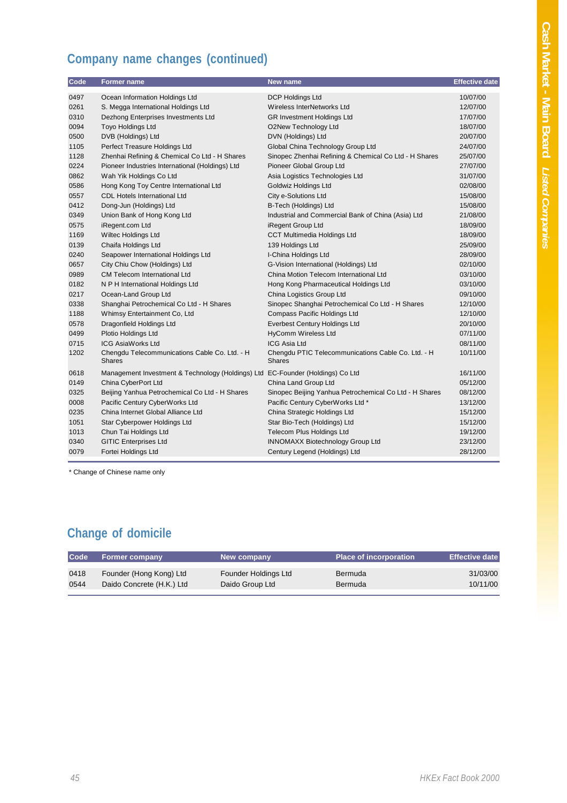## **Company name changes (continued)**

| Code | Former name                                                                    | New name                                                            | <b>Effective date</b> |
|------|--------------------------------------------------------------------------------|---------------------------------------------------------------------|-----------------------|
| 0497 | Ocean Information Holdings Ltd                                                 | <b>DCP Holdings Ltd</b>                                             | 10/07/00              |
| 0261 | S. Megga International Holdings Ltd                                            | Wireless InterNetworks Ltd                                          | 12/07/00              |
| 0310 | Dezhong Enterprises Investments Ltd                                            | <b>GR Investment Holdings Ltd</b>                                   | 17/07/00              |
| 0094 | Toyo Holdings Ltd                                                              | O2New Technology Ltd                                                | 18/07/00              |
| 0500 | DVB (Holdings) Ltd                                                             | DVN (Holdings) Ltd                                                  | 20/07/00              |
| 1105 | Perfect Treasure Holdings Ltd                                                  | Global China Technology Group Ltd                                   | 24/07/00              |
| 1128 | Zhenhai Refining & Chemical Co Ltd - H Shares                                  | Sinopec Zhenhai Refining & Chemical Co Ltd - H Shares               | 25/07/00              |
| 0224 | Pioneer Industries International (Holdings) Ltd                                | Pioneer Global Group Ltd                                            | 27/07/00              |
| 0862 | Wah Yik Holdings Co Ltd                                                        | Asia Logistics Technologies Ltd                                     | 31/07/00              |
| 0586 | Hong Kong Toy Centre International Ltd                                         | Goldwiz Holdings Ltd                                                | 02/08/00              |
| 0557 | <b>CDL Hotels International Ltd</b>                                            | City e-Solutions Ltd                                                | 15/08/00              |
| 0412 | Dong-Jun (Holdings) Ltd                                                        | B-Tech (Holdings) Ltd                                               | 15/08/00              |
| 0349 | Union Bank of Hong Kong Ltd                                                    | Industrial and Commercial Bank of China (Asia) Ltd                  | 21/08/00              |
| 0575 | iRegent.com Ltd                                                                | iRegent Group Ltd                                                   | 18/09/00              |
| 1169 | Wiltec Holdings Ltd                                                            | CCT Multimedia Holdings Ltd                                         | 18/09/00              |
| 0139 | Chaifa Holdings Ltd                                                            | 139 Holdings Ltd                                                    | 25/09/00              |
| 0240 | Seapower International Holdings Ltd                                            | I-China Holdings Ltd                                                | 28/09/00              |
| 0657 | City Chiu Chow (Holdings) Ltd                                                  | G-Vision International (Holdings) Ltd                               | 02/10/00              |
| 0989 | <b>CM Telecom International Ltd</b>                                            | China Motion Telecom International Ltd                              | 03/10/00              |
| 0182 | N P H International Holdings Ltd                                               | Hong Kong Pharmaceutical Holdings Ltd                               | 03/10/00              |
| 0217 | Ocean-Land Group Ltd                                                           | China Logistics Group Ltd                                           | 09/10/00              |
| 0338 | Shanghai Petrochemical Co Ltd - H Shares                                       | Sinopec Shanghai Petrochemical Co Ltd - H Shares                    | 12/10/00              |
| 1188 | Whimsy Entertainment Co, Ltd                                                   | Compass Pacific Holdings Ltd                                        | 12/10/00              |
| 0578 | Dragonfield Holdings Ltd                                                       | Everbest Century Holdings Ltd                                       | 20/10/00              |
| 0499 | Plotio Holdings Ltd                                                            | <b>HyComm Wireless Ltd</b>                                          | 07/11/00              |
| 0715 | <b>ICG AsiaWorks Ltd</b>                                                       | <b>ICG Asia Ltd</b>                                                 | 08/11/00              |
| 1202 | Chengdu Telecommunications Cable Co. Ltd. - H<br><b>Shares</b>                 | Chengdu PTIC Telecommunications Cable Co. Ltd. - H<br><b>Shares</b> | 10/11/00              |
| 0618 | Management Investment & Technology (Holdings) Ltd EC-Founder (Holdings) Co Ltd |                                                                     | 16/11/00              |
| 0149 | China CyberPort Ltd                                                            | China Land Group Ltd                                                | 05/12/00              |
| 0325 | Beijing Yanhua Petrochemical Co Ltd - H Shares                                 | Sinopec Beijing Yanhua Petrochemical Co Ltd - H Shares              | 08/12/00              |
| 0008 | Pacific Century CyberWorks Ltd                                                 | Pacific Century CyberWorks Ltd *                                    | 13/12/00              |
| 0235 | China Internet Global Alliance Ltd                                             | China Strategic Holdings Ltd                                        | 15/12/00              |
| 1051 | Star Cyberpower Holdings Ltd                                                   | Star Bio-Tech (Holdings) Ltd                                        | 15/12/00              |
| 1013 | Chun Tai Holdings Ltd                                                          | Telecom Plus Holdings Ltd                                           | 19/12/00              |
| 0340 | <b>GITIC Enterprises Ltd</b>                                                   | <b>INNOMAXX Biotechnology Group Ltd</b>                             | 23/12/00              |
| 0079 | Fortei Holdings Ltd                                                            | Century Legend (Holdings) Ltd                                       | 28/12/00              |
|      |                                                                                |                                                                     |                       |

\* Change of Chinese name only

## **Change of domicile**

| Code | <b>Former company</b>     | New company          | <b>Place of incorporation</b> | <b>Effective date</b> |
|------|---------------------------|----------------------|-------------------------------|-----------------------|
| 0418 | Founder (Hong Kong) Ltd   | Founder Holdings Ltd | Bermuda                       | 31/03/00              |
| 0544 | Daido Concrete (H.K.) Ltd | Daido Group Ltd      | Bermuda                       | 10/11/00              |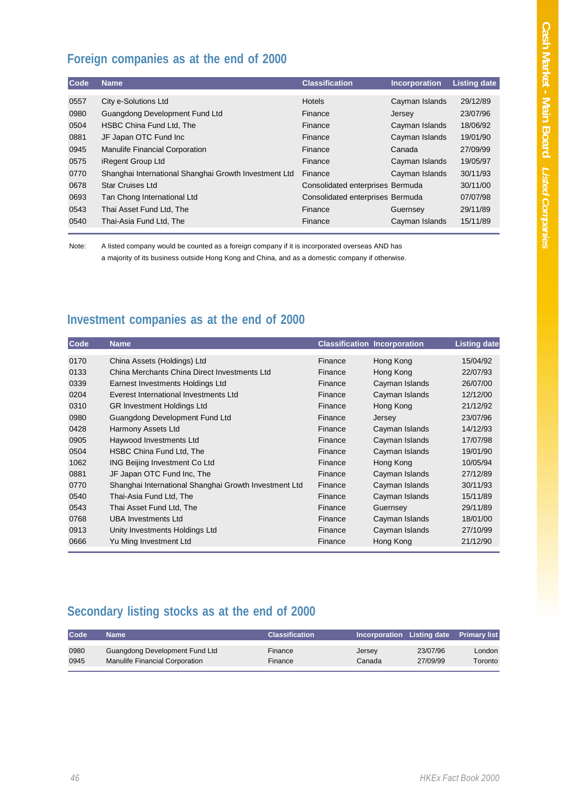#### **Foreign companies as at the end of 2000**

| Code | <b>Name</b>                                           | <b>Classification</b>            | <b>Incorporation</b> | <b>Listing date</b> |
|------|-------------------------------------------------------|----------------------------------|----------------------|---------------------|
|      |                                                       |                                  |                      |                     |
| 0557 | City e-Solutions Ltd                                  | <b>Hotels</b>                    | Cayman Islands       | 29/12/89            |
| 0980 | Guangdong Development Fund Ltd                        | Finance                          | Jersey               | 23/07/96            |
| 0504 | HSBC China Fund Ltd, The                              | Finance                          | Cayman Islands       | 18/06/92            |
| 0881 | JF Japan OTC Fund Inc                                 | Finance                          | Cayman Islands       | 19/01/90            |
| 0945 | <b>Manulife Financial Corporation</b>                 | Finance                          | Canada               | 27/09/99            |
| 0575 | iRegent Group Ltd                                     | Finance                          | Cayman Islands       | 19/05/97            |
| 0770 | Shanghai International Shanghai Growth Investment Ltd | Finance                          | Cayman Islands       | 30/11/93            |
| 0678 | <b>Star Cruises Ltd</b>                               | Consolidated enterprises Bermuda |                      | 30/11/00            |
| 0693 | Tan Chong International Ltd                           | Consolidated enterprises Bermuda |                      | 07/07/98            |
| 0543 | Thai Asset Fund Ltd, The                              | Finance                          | Guernsey             | 29/11/89            |
| 0540 | Thai-Asia Fund Ltd, The                               | Finance                          | Cayman Islands       | 15/11/89            |
|      |                                                       |                                  |                      |                     |

Note: A listed company would be counted as a foreign company if it is incorporated overseas AND has a majority of its business outside Hong Kong and China, and as a domestic company if otherwise.

#### **Investment companies as at the end of 2000**

| Code | <b>Name</b>                                           |         | <b>Classification Incorporation</b> | <b>Listing date</b> |
|------|-------------------------------------------------------|---------|-------------------------------------|---------------------|
| 0170 | China Assets (Holdings) Ltd                           | Finance | Hong Kong                           | 15/04/92            |
| 0133 | China Merchants China Direct Investments Ltd          | Finance | Hong Kong                           | 22/07/93            |
| 0339 | Earnest Investments Holdings Ltd                      | Finance | Cayman Islands                      | 26/07/00            |
| 0204 | Everest International Investments Ltd                 | Finance | Cayman Islands                      | 12/12/00            |
| 0310 | <b>GR Investment Holdings Ltd</b>                     | Finance | Hong Kong                           | 21/12/92            |
| 0980 | Guangdong Development Fund Ltd                        | Finance | Jersey                              | 23/07/96            |
| 0428 | Harmony Assets Ltd                                    | Finance | Cayman Islands                      | 14/12/93            |
| 0905 | Haywood Investments Ltd                               | Finance | Cayman Islands                      | 17/07/98            |
| 0504 | HSBC China Fund Ltd, The                              | Finance | Cayman Islands                      | 19/01/90            |
| 1062 | ING Beijing Investment Co Ltd                         | Finance | Hong Kong                           | 10/05/94            |
| 0881 | JF Japan OTC Fund Inc, The                            | Finance | Cayman Islands                      | 27/12/89            |
| 0770 | Shanghai International Shanghai Growth Investment Ltd | Finance | Cayman Islands                      | 30/11/93            |
| 0540 | Thai-Asia Fund Ltd, The                               | Finance | Cayman Islands                      | 15/11/89            |
| 0543 | Thai Asset Fund Ltd, The                              | Finance | Guernsey                            | 29/11/89            |
| 0768 | <b>UBA Investments Ltd</b>                            | Finance | Cayman Islands                      | 18/01/00            |
| 0913 | Unity Investments Holdings Ltd                        | Finance | Cayman Islands                      | 27/10/99            |
| 0666 | Yu Ming Investment Ltd                                | Finance | Hong Kong                           | 21/12/90            |

#### **Secondary listing stocks as at the end of 2000**

| Code | Name                           | <b>Classification</b> | Incorporation Listing date |          | <b>Primary list</b> |
|------|--------------------------------|-----------------------|----------------------------|----------|---------------------|
| 0980 | Guangdong Development Fund Ltd | Finance               | Jersey                     | 23/07/96 | London              |
| 0945 | Manulife Financial Corporation | Finance               | Canada                     | 27/09/99 | Toronto             |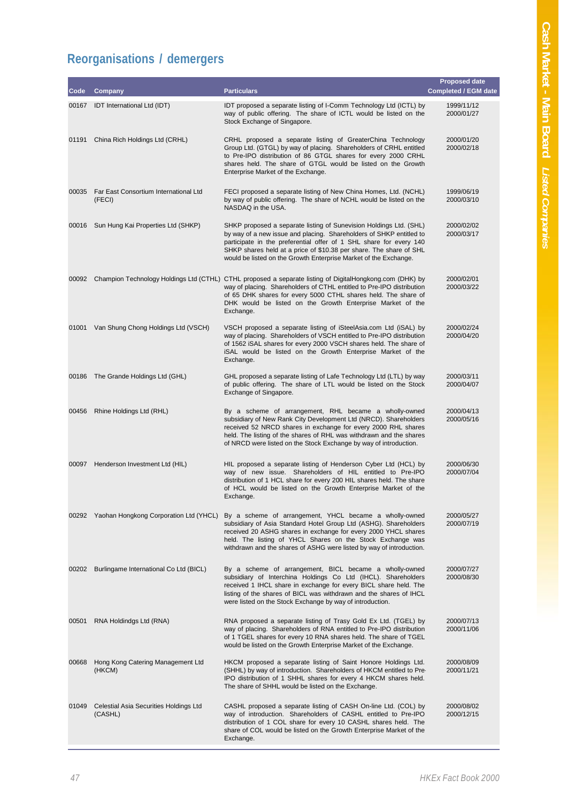## **Reorganisations / demergers**

| Code  | Company                                           | <b>Particulars</b>                                                                                                                                                                                                                                                                                                                                        | <b>Proposed date</b><br><b>Completed / EGM date</b> |
|-------|---------------------------------------------------|-----------------------------------------------------------------------------------------------------------------------------------------------------------------------------------------------------------------------------------------------------------------------------------------------------------------------------------------------------------|-----------------------------------------------------|
|       |                                                   |                                                                                                                                                                                                                                                                                                                                                           |                                                     |
| 00167 | IDT International Ltd (IDT)                       | IDT proposed a separate listing of I-Comm Technology Ltd (ICTL) by<br>way of public offering. The share of ICTL would be listed on the<br>Stock Exchange of Singapore.                                                                                                                                                                                    | 1999/11/12<br>2000/01/27                            |
| 01191 | China Rich Holdings Ltd (CRHL)                    | CRHL proposed a separate listing of GreaterChina Technology<br>Group Ltd. (GTGL) by way of placing. Shareholders of CRHL entitled<br>to Pre-IPO distribution of 86 GTGL shares for every 2000 CRHL<br>shares held. The share of GTGL would be listed on the Growth<br>Enterprise Market of the Exchange.                                                  | 2000/01/20<br>2000/02/18                            |
| 00035 | Far East Consortium International Ltd<br>(FECI)   | FECI proposed a separate listing of New China Homes, Ltd. (NCHL)<br>by way of public offering. The share of NCHL would be listed on the<br>NASDAQ in the USA.                                                                                                                                                                                             | 1999/06/19<br>2000/03/10                            |
| 00016 | Sun Hung Kai Properties Ltd (SHKP)                | SHKP proposed a separate listing of Sunevision Holdings Ltd. (SHL)<br>by way of a new issue and placing. Shareholders of SHKP entitled to<br>participate in the preferential offer of 1 SHL share for every 140<br>SHKP shares held at a price of \$10.38 per share. The share of SHL<br>would be listed on the Growth Enterprise Market of the Exchange. | 2000/02/02<br>2000/03/17                            |
| 00092 |                                                   | Champion Technology Holdings Ltd (CTHL) CTHL proposed a separate listing of DigitalHongkong.com (DHK) by<br>way of placing. Shareholders of CTHL entitled to Pre-IPO distribution<br>of 65 DHK shares for every 5000 CTHL shares held. The share of<br>DHK would be listed on the Growth Enterprise Market of the<br>Exchange.                            | 2000/02/01<br>2000/03/22                            |
| 01001 | Van Shung Chong Holdings Ltd (VSCH)               | VSCH proposed a separate listing of iSteelAsia.com Ltd (iSAL) by<br>way of placing. Shareholders of VSCH entitled to Pre-IPO distribution<br>of 1562 iSAL shares for every 2000 VSCH shares held. The share of<br>iSAL would be listed on the Growth Enterprise Market of the<br>Exchange.                                                                | 2000/02/24<br>2000/04/20                            |
| 00186 | The Grande Holdings Ltd (GHL)                     | GHL proposed a separate listing of Lafe Technology Ltd (LTL) by way<br>of public offering. The share of LTL would be listed on the Stock<br>Exchange of Singapore.                                                                                                                                                                                        | 2000/03/11<br>2000/04/07                            |
| 00456 | Rhine Holdings Ltd (RHL)                          | By a scheme of arrangement, RHL became a wholly-owned<br>subsidiary of New Rank City Development Ltd (NRCD). Shareholders<br>received 52 NRCD shares in exchange for every 2000 RHL shares<br>held. The listing of the shares of RHL was withdrawn and the shares<br>of NRCD were listed on the Stock Exchange by way of introduction.                    | 2000/04/13<br>2000/05/16                            |
| 00097 | Henderson Investment Ltd (HIL)                    | HIL proposed a separate listing of Henderson Cyber Ltd (HCL) by<br>way of new issue. Shareholders of HIL entitled to Pre-IPO<br>distribution of 1 HCL share for every 200 HIL shares held. The share<br>of HCL would be listed on the Growth Enterprise Market of the<br>Exchange.                                                                        | 2000/06/30<br>2000/07/04                            |
| 00292 | Yaohan Hongkong Corporation Ltd (YHCL)            | By a scheme of arrangement, YHCL became a wholly-owned<br>subsidiary of Asia Standard Hotel Group Ltd (ASHG). Shareholders<br>received 20 ASHG shares in exchange for every 2000 YHCL shares<br>held. The listing of YHCL Shares on the Stock Exchange was<br>withdrawn and the shares of ASHG were listed by way of introduction.                        | 2000/05/27<br>2000/07/19                            |
| 00202 | Burlingame International Co Ltd (BICL)            | By a scheme of arrangement, BICL became a wholly-owned<br>subsidiary of Interchina Holdings Co Ltd (IHCL). Shareholders<br>received 1 IHCL share in exchange for every BICL share held. The<br>listing of the shares of BICL was withdrawn and the shares of IHCL<br>were listed on the Stock Exchange by way of introduction.                            | 2000/07/27<br>2000/08/30                            |
| 00501 | RNA Holdindgs Ltd (RNA)                           | RNA proposed a separate listing of Trasy Gold Ex Ltd. (TGEL) by<br>way of placing. Shareholders of RNA entitled to Pre-IPO distribution<br>of 1 TGEL shares for every 10 RNA shares held. The share of TGEL<br>would be listed on the Growth Enterprise Market of the Exchange.                                                                           | 2000/07/13<br>2000/11/06                            |
| 00668 | Hong Kong Catering Management Ltd<br>(HKCM)       | HKCM proposed a separate listing of Saint Honore Holdings Ltd.<br>(SHHL) by way of introduction. Shareholders of HKCM entitled to Pre-<br>IPO distribution of 1 SHHL shares for every 4 HKCM shares held.<br>The share of SHHL would be listed on the Exchange.                                                                                           | 2000/08/09<br>2000/11/21                            |
| 01049 | Celestial Asia Securities Holdings Ltd<br>(CASHL) | CASHL proposed a separate listing of CASH On-line Ltd. (COL) by<br>way of introduction. Shareholders of CASHL entitled to Pre-IPO<br>distribution of 1 COL share for every 10 CASHL shares held. The<br>share of COL would be listed on the Growth Enterprise Market of the<br>Exchange.                                                                  | 2000/08/02<br>2000/12/15                            |
|       |                                                   |                                                                                                                                                                                                                                                                                                                                                           |                                                     |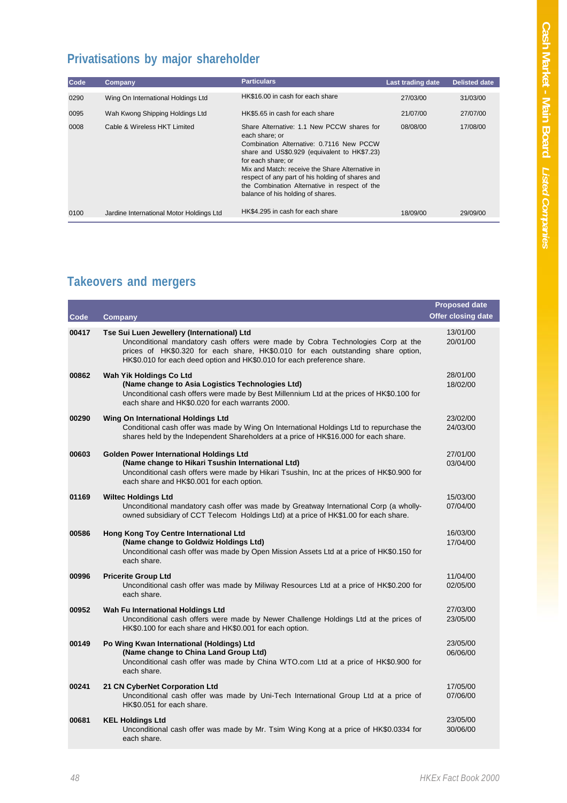## **Privatisations by major shareholder**

| Code | Company                                  | <b>Particulars</b>                                                                                                                                                                                                                                                                                                                                                          | Last trading date | <b>Delisted date</b> |
|------|------------------------------------------|-----------------------------------------------------------------------------------------------------------------------------------------------------------------------------------------------------------------------------------------------------------------------------------------------------------------------------------------------------------------------------|-------------------|----------------------|
| 0290 | Wing On International Holdings Ltd       | HK\$16.00 in cash for each share                                                                                                                                                                                                                                                                                                                                            | 27/03/00          | 31/03/00             |
| 0095 | Wah Kwong Shipping Holdings Ltd          | HK\$5.65 in cash for each share                                                                                                                                                                                                                                                                                                                                             | 21/07/00          | 27/07/00             |
| 0008 | Cable & Wireless HKT Limited             | Share Alternative: 1.1 New PCCW shares for<br>each share: or<br>Combination Alternative: 0.7116 New PCCW<br>share and US\$0.929 (equivalent to HK\$7.23)<br>for each share; or<br>Mix and Match: receive the Share Alternative in<br>respect of any part of his holding of shares and<br>the Combination Alternative in respect of the<br>balance of his holding of shares. | 08/08/00          | 17/08/00             |
| 0100 | Jardine International Motor Holdings Ltd | HK\$4.295 in cash for each share                                                                                                                                                                                                                                                                                                                                            | 18/09/00          | 29/09/00             |

## **Takeovers and mergers**

| Code  | <b>Company</b>                                                                                                                                                                                                                                                                               | <b>Proposed date</b><br><b>Offer closing date</b> |
|-------|----------------------------------------------------------------------------------------------------------------------------------------------------------------------------------------------------------------------------------------------------------------------------------------------|---------------------------------------------------|
| 00417 | Tse Sui Luen Jewellery (International) Ltd<br>Unconditional mandatory cash offers were made by Cobra Technologies Corp at the<br>prices of HK\$0.320 for each share, HK\$0.010 for each outstanding share option,<br>HK\$0.010 for each deed option and HK\$0.010 for each preference share. | 13/01/00<br>20/01/00                              |
| 00862 | Wah Yik Holdings Co Ltd<br>(Name change to Asia Logistics Technologies Ltd)<br>Unconditional cash offers were made by Best Millennium Ltd at the prices of HK\$0.100 for<br>each share and HK\$0.020 for each warrants 2000.                                                                 | 28/01/00<br>18/02/00                              |
| 00290 | Wing On International Holdings Ltd<br>Conditional cash offer was made by Wing On International Holdings Ltd to repurchase the<br>shares held by the Independent Shareholders at a price of HK\$16.000 for each share.                                                                        | 23/02/00<br>24/03/00                              |
| 00603 | <b>Golden Power International Holdings Ltd</b><br>(Name change to Hikari Tsushin International Ltd)<br>Unconditional cash offers were made by Hikari Tsushin, Inc at the prices of HK\$0.900 for<br>each share and HK\$0.001 for each option.                                                | 27/01/00<br>03/04/00                              |
| 01169 | <b>Wiltec Holdings Ltd</b><br>Unconditional mandatory cash offer was made by Greatway International Corp (a wholly-<br>owned subsidiary of CCT Telecom Holdings Ltd) at a price of HK\$1.00 for each share.                                                                                  | 15/03/00<br>07/04/00                              |
| 00586 | Hong Kong Toy Centre International Ltd<br>(Name change to Goldwiz Holdings Ltd)<br>Unconditional cash offer was made by Open Mission Assets Ltd at a price of HK\$0.150 for<br>each share.                                                                                                   | 16/03/00<br>17/04/00                              |
| 00996 | <b>Pricerite Group Ltd</b><br>Unconditional cash offer was made by Miliway Resources Ltd at a price of HK\$0.200 for<br>each share.                                                                                                                                                          | 11/04/00<br>02/05/00                              |
| 00952 | Wah Fu International Holdings Ltd<br>Unconditional cash offers were made by Newer Challenge Holdings Ltd at the prices of<br>HK\$0.100 for each share and HK\$0.001 for each option.                                                                                                         | 27/03/00<br>23/05/00                              |
| 00149 | Po Wing Kwan International (Holdings) Ltd<br>(Name change to China Land Group Ltd)<br>Unconditional cash offer was made by China WTO.com Ltd at a price of HK\$0.900 for<br>each share.                                                                                                      | 23/05/00<br>06/06/00                              |
| 00241 | 21 CN CyberNet Corporation Ltd<br>Unconditional cash offer was made by Uni-Tech International Group Ltd at a price of<br>HK\$0.051 for each share.                                                                                                                                           | 17/05/00<br>07/06/00                              |
| 00681 | <b>KEL Holdings Ltd</b><br>Unconditional cash offer was made by Mr. Tsim Wing Kong at a price of HK\$0.0334 for<br>each share.                                                                                                                                                               | 23/05/00<br>30/06/00                              |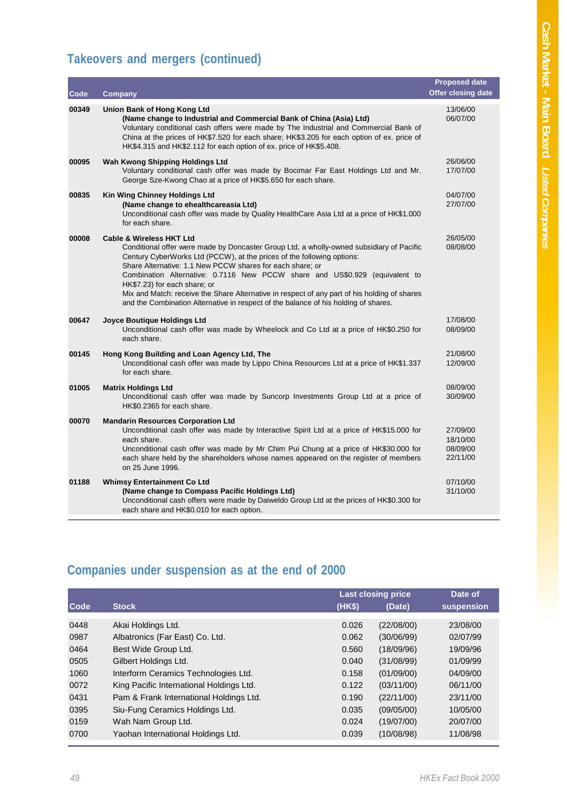## **Takeovers and mergers (continued)**

| Code  | Company                                                                                                                                                                                                                                                                                                                                                                                                                                                                                                                                                                      | <b>Proposed date</b><br><b>Offer closing date</b> |
|-------|------------------------------------------------------------------------------------------------------------------------------------------------------------------------------------------------------------------------------------------------------------------------------------------------------------------------------------------------------------------------------------------------------------------------------------------------------------------------------------------------------------------------------------------------------------------------------|---------------------------------------------------|
| 00349 | Union Bank of Hong Kong Ltd<br>(Name change to Industrial and Commercial Bank of China (Asia) Ltd)<br>Voluntary conditional cash offers were made by The Industrial and Commercial Bank of<br>China at the prices of HK\$7.520 for each share; HK\$3.205 for each option of ex. price of<br>HK\$4.315 and HK\$2.112 for each option of ex. price of HK\$5.408.                                                                                                                                                                                                               | 13/06/00<br>06/07/00                              |
| 00095 | Wah Kwong Shipping Holdings Ltd<br>Voluntary conditional cash offer was made by Bocimar Far East Holdings Ltd and Mr.<br>George Sze-Kwong Chao at a price of HK\$5.650 for each share.                                                                                                                                                                                                                                                                                                                                                                                       | 26/06/00<br>17/07/00                              |
| 00835 | Kin Wing Chinney Holdings Ltd<br>(Name change to ehealthcareasia Ltd)<br>Unconditional cash offer was made by Quality HealthCare Asia Ltd at a price of HK\$1.000<br>for each share.                                                                                                                                                                                                                                                                                                                                                                                         | 04/07/00<br>27/07/00                              |
| 00008 | <b>Cable &amp; Wireless HKT Ltd</b><br>Conditional offer were made by Doncaster Group Ltd, a wholly-owned subsidiary of Pacific<br>Century CyberWorks Ltd (PCCW), at the prices of the following options:<br>Share Alternative: 1.1 New PCCW shares for each share; or<br>Combination Alternative: 0.7116 New PCCW share and US\$0.929 (equivalent to<br>HK\$7.23) for each share; or<br>Mix and Match: receive the Share Alternative in respect of any part of his holding of shares<br>and the Combination Alternative in respect of the balance of his holding of shares. | 26/05/00<br>08/08/00                              |
| 00647 | Joyce Boutique Holdings Ltd<br>Unconditional cash offer was made by Wheelock and Co Ltd at a price of HK\$0.250 for<br>each share.                                                                                                                                                                                                                                                                                                                                                                                                                                           | 17/08/00<br>08/09/00                              |
| 00145 | Hong Kong Building and Loan Agency Ltd, The<br>Unconditional cash offer was made by Lippo China Resources Ltd at a price of HK\$1.337<br>for each share.                                                                                                                                                                                                                                                                                                                                                                                                                     | 21/08/00<br>12/09/00                              |
| 01005 | <b>Matrix Holdings Ltd</b><br>Unconditional cash offer was made by Suncorp Investments Group Ltd at a price of<br>HK\$0.2365 for each share.                                                                                                                                                                                                                                                                                                                                                                                                                                 | 08/09/00<br>30/09/00                              |
| 00070 | <b>Mandarin Resources Corporation Ltd</b><br>Unconditional cash offer was made by Interactive Spirit Ltd at a price of HK\$15.000 for<br>each share.<br>Unconditional cash offer was made by Mr Chim Pui Chung at a price of HK\$30.000 for<br>each share held by the shareholders whose names appeared on the register of members<br>on 25 June 1996.                                                                                                                                                                                                                       | 27/09/00<br>18/10/00<br>08/09/00<br>22/11/00      |
| 01188 | <b>Whimsy Entertainment Co Ltd</b><br>(Name change to Compass Pacific Holdings Ltd)<br>Unconditional cash offers were made by Daiweldo Group Ltd at the prices of HK\$0.300 for<br>each share and HK\$0.010 for each option.                                                                                                                                                                                                                                                                                                                                                 | 07/10/00<br>31/10/00                              |

## **Companies under suspension as at the end of 2000**

|      |                                          | <b>Last closing price</b> |            | Date of    |
|------|------------------------------------------|---------------------------|------------|------------|
| Code | <b>Stock</b>                             | (HKS)                     | (Date)     | suspension |
| 0448 | Akai Holdings Ltd.                       | 0.026                     | (22/08/00) | 23/08/00   |
| 0987 | Albatronics (Far East) Co. Ltd.          | 0.062                     | (30/06/99) | 02/07/99   |
| 0464 | Best Wide Group Ltd.                     | 0.560                     | (18/09/96) | 19/09/96   |
| 0505 | Gilbert Holdings Ltd.                    | 0.040                     | (31/08/99) | 01/09/99   |
| 1060 | Interform Ceramics Technologies Ltd.     | 0.158                     | (01/09/00) | 04/09/00   |
| 0072 | King Pacific International Holdings Ltd. | 0.122                     | (03/11/00) | 06/11/00   |
| 0431 | Pam & Frank International Holdings Ltd.  | 0.190                     | (22/11/00) | 23/11/00   |
| 0395 | Siu-Fung Ceramics Holdings Ltd.          | 0.035                     | (09/05/00) | 10/05/00   |
| 0159 | Wah Nam Group Ltd.                       | 0.024                     | (19/07/00) | 20/07/00   |
| 0700 | Yaohan International Holdings Ltd.       | 0.039                     | (10/08/98) | 11/08/98   |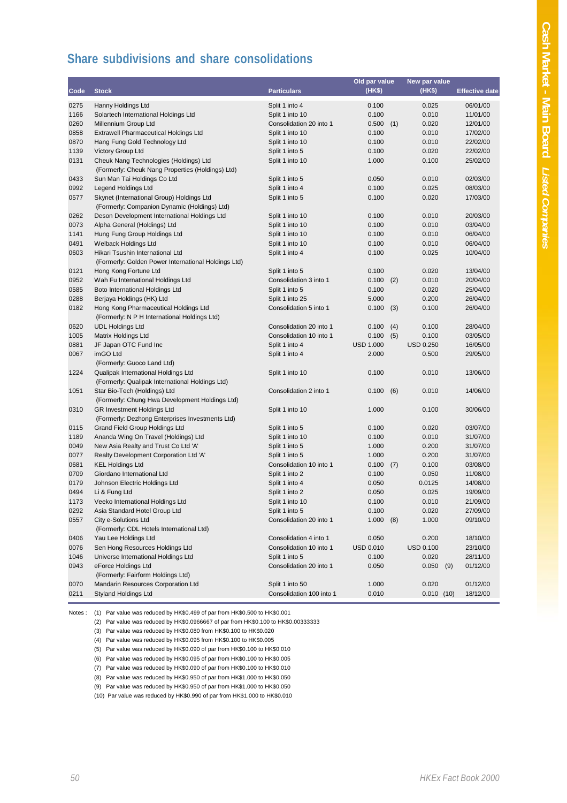#### **Share subdivisions and share consolidations**

|      |                                                     |                          | Old par value    |     | New par value    |                       |
|------|-----------------------------------------------------|--------------------------|------------------|-----|------------------|-----------------------|
| Code | <b>Stock</b>                                        | <b>Particulars</b>       | (HK\$)           |     | (HK\$)           | <b>Effective date</b> |
| 0275 | Hanny Holdings Ltd                                  | Split 1 into 4           | 0.100            |     | 0.025            | 06/01/00              |
| 1166 | Solartech International Holdings Ltd                | Split 1 into 10          | 0.100            |     | 0.010            | 11/01/00              |
| 0260 | Millennium Group Ltd                                | Consolidation 20 into 1  | 0.500            | (1) | 0.020            | 12/01/00              |
| 0858 | <b>Extrawell Pharmaceutical Holdings Ltd</b>        | Split 1 into 10          | 0.100            |     | 0.010            | 17/02/00              |
| 0870 | Hang Fung Gold Technology Ltd                       | Split 1 into 10          | 0.100            |     | 0.010            | 22/02/00              |
| 1139 | Victory Group Ltd                                   | Split 1 into 5           | 0.100            |     | 0.020            | 22/02/00              |
| 0131 | Cheuk Nang Technologies (Holdings) Ltd              | Split 1 into 10          | 1.000            |     | 0.100            | 25/02/00              |
|      | (Formerly: Cheuk Nang Properties (Holdings) Ltd)    |                          |                  |     |                  |                       |
| 0433 | Sun Man Tai Holdings Co Ltd                         | Split 1 into 5           | 0.050            |     | 0.010            | 02/03/00              |
| 0992 | Legend Holdings Ltd                                 | Split 1 into 4           | 0.100            |     | 0.025            | 08/03/00              |
| 0577 | Skynet (International Group) Holdings Ltd           | Split 1 into 5           | 0.100            |     | 0.020            | 17/03/00              |
|      | (Formerly: Companion Dynamic (Holdings) Ltd)        |                          |                  |     |                  |                       |
| 0262 | Deson Development International Holdings Ltd        | Split 1 into 10          | 0.100            |     | 0.010            | 20/03/00              |
| 0073 | Alpha General (Holdings) Ltd                        | Split 1 into 10          | 0.100            |     | 0.010            | 03/04/00              |
| 1141 | Hung Fung Group Holdings Ltd                        | Split 1 into 10          | 0.100            |     | 0.010            | 06/04/00              |
| 0491 | <b>Welback Holdings Ltd</b>                         | Split 1 into 10          | 0.100            |     | 0.010            | 06/04/00              |
| 0603 | Hikari Tsushin International Ltd                    | Split 1 into 4           | 0.100            |     | 0.025            | 10/04/00              |
|      | (Formerly: Golden Power International Holdings Ltd) |                          |                  |     |                  |                       |
| 0121 | Hong Kong Fortune Ltd                               | Split 1 into 5           | 0.100            |     | 0.020            | 13/04/00              |
| 0952 | Wah Fu International Holdings Ltd                   | Consolidation 3 into 1   | 0.100            | (2) | 0.010            | 20/04/00              |
| 0585 | Boto International Holdings Ltd                     | Split 1 into 5           | 0.100            |     | 0.020            | 25/04/00              |
| 0288 | Berjaya Holdings (HK) Ltd                           | Split 1 into 25          | 5.000            |     | 0.200            | 26/04/00              |
| 0182 | Hong Kong Pharmaceutical Holdings Ltd               | Consolidation 5 into 1   | 0.100            | (3) | 0.100            | 26/04/00              |
|      | (Formerly: N P H International Holdings Ltd)        |                          |                  |     |                  |                       |
| 0620 | <b>UDL Holdings Ltd</b>                             | Consolidation 20 into 1  | 0.100            | (4) | 0.100            | 28/04/00              |
| 1005 | Matrix Holdings Ltd                                 | Consolidation 10 into 1  | 0.100            | (5) | 0.100            | 03/05/00              |
| 0881 | JF Japan OTC Fund Inc                               | Split 1 into 4           | <b>USD 1.000</b> |     | <b>USD 0.250</b> | 16/05/00              |
| 0067 | imGO Ltd                                            | Split 1 into 4           | 2.000            |     | 0.500            | 29/05/00              |
|      | (Formerly: Guoco Land Ltd)                          |                          |                  |     |                  |                       |
| 1224 | Qualipak International Holdings Ltd                 | Split 1 into 10          | 0.100            |     | 0.010            | 13/06/00              |
|      | (Formerly: Qualipak International Holdings Ltd)     |                          |                  |     |                  |                       |
| 1051 | Star Bio-Tech (Holdings) Ltd                        | Consolidation 2 into 1   | 0.100            | (6) | 0.010            | 14/06/00              |
|      | (Formerly: Chung Hwa Development Holdings Ltd)      |                          |                  |     |                  |                       |
| 0310 | <b>GR Investment Holdings Ltd</b>                   | Split 1 into 10          | 1.000            |     | 0.100            | 30/06/00              |
|      | (Formerly: Dezhong Enterprises Investments Ltd)     |                          |                  |     |                  |                       |
| 0115 | <b>Grand Field Group Holdings Ltd</b>               | Split 1 into 5           | 0.100            |     | 0.020            | 03/07/00              |
| 1189 | Ananda Wing On Travel (Holdings) Ltd                | Split 1 into 10          | 0.100            |     | 0.010            | 31/07/00              |
| 0049 | New Asia Realty and Trust Co Ltd 'A'                | Split 1 into 5           | 1.000            |     | 0.200            | 31/07/00              |
| 0077 | Realty Development Corporation Ltd 'A'              | Split 1 into 5           | 1.000            |     | 0.200            | 31/07/00              |
| 0681 | <b>KEL Holdings Ltd</b>                             | Consolidation 10 into 1  | 0.100            | (7) | 0.100            | 03/08/00              |
| 0709 | Giordano International Ltd                          | Split 1 into 2           | 0.100            |     | 0.050            | 11/08/00              |
| 0179 | Johnson Electric Holdings Ltd                       | Split 1 into 4           | 0.050            |     | 0.0125           | 14/08/00              |
| 0494 | Li & Fung Ltd                                       | Split 1 into 2           | 0.050            |     | 0.025            | 19/09/00              |
| 1173 | Veeko International Holdings Ltd                    | Split 1 into 10          | 0.100            |     | 0.010            | 21/09/00              |
| 0292 | Asia Standard Hotel Group Ltd                       | Split 1 into 5           | 0.100            |     | 0.020            | 27/09/00              |
| 0557 | City e-Solutions Ltd                                | Consolidation 20 into 1  | 1.000            | (8) | 1.000            | 09/10/00              |
|      | (Formerly: CDL Hotels International Ltd)            |                          |                  |     |                  |                       |
| 0406 | Yau Lee Holdings Ltd                                | Consolidation 4 into 1   | 0.050            |     | 0.200            | 18/10/00              |
| 0076 | Sen Hong Resources Holdings Ltd                     | Consolidation 10 into 1  | <b>USD 0.010</b> |     | USD 0.100        | 23/10/00              |
| 1046 | Universe International Holdings Ltd                 | Split 1 into 5           | 0.100            |     | 0.020            | 28/11/00              |
| 0943 | eForce Holdings Ltd                                 | Consolidation 20 into 1  | 0.050            |     | 0.050<br>(9)     | 01/12/00              |
|      | (Formerly: Fairform Holdings Ltd)                   |                          |                  |     |                  |                       |
| 0070 | Mandarin Resources Corporation Ltd                  | Split 1 into 50          | 1.000            |     | 0.020            | 01/12/00              |
| 0211 | <b>Styland Holdings Ltd</b>                         | Consolidation 100 into 1 | 0.010            |     | 0.010(10)        | 18/12/00              |

Notes : (1) Par value was reduced by HK\$0.499 of par from HK\$0.500 to HK\$0.001

(2) Par value was reduced by HK\$0.0966667 of par from HK\$0.100 to HK\$0.00333333

(3) Par value was reduced by HK\$0.080 from HK\$0.100 to HK\$0.020

(4) Par value was reduced by HK\$0.095 from HK\$0.100 to HK\$0.005

(5) Par value was reduced by HK\$0.090 of par from HK\$0.100 to HK\$0.010

(6) Par value was reduced by HK\$0.095 of par from HK\$0.100 to HK\$0.005

(7) Par value was reduced by HK\$0.090 of par from HK\$0.100 to HK\$0.010

(8) Par value was reduced by HK\$0.950 of par from HK\$1.000 to HK\$0.050

(9) Par value was reduced by HK\$0.950 of par from HK\$1.000 to HK\$0.050

(10) Par value was reduced by HK\$0.990 of par from HK\$1.000 to HK\$0.010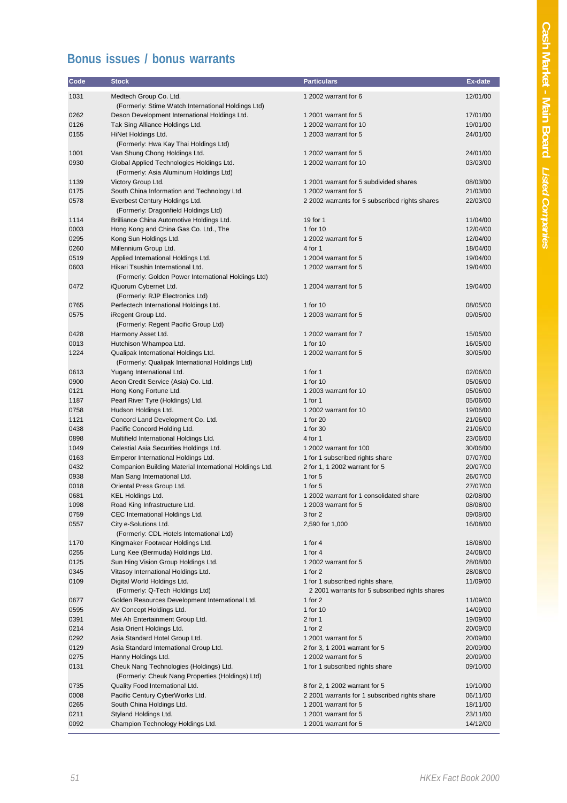## **Bonus issues / bonus warrants**

| Code         | <b>Stock</b>                                                                                | <b>Particulars</b>                                                                 | Ex-date              |
|--------------|---------------------------------------------------------------------------------------------|------------------------------------------------------------------------------------|----------------------|
| 1031         | Medtech Group Co. Ltd.<br>(Formerly: Stime Watch International Holdings Ltd)                | 1 2002 warrant for 6                                                               | 12/01/00             |
| 0262         | Deson Development International Holdings Ltd.                                               | 1 2001 warrant for 5                                                               | 17/01/00             |
| 0126         | Tak Sing Alliance Holdings Ltd.                                                             | 1 2002 warrant for 10                                                              | 19/01/00             |
| 0155         | HiNet Holdings Ltd.<br>(Formerly: Hwa Kay Thai Holdings Ltd)                                | 1 2003 warrant for 5                                                               | 24/01/00             |
| 1001         | Van Shung Chong Holdings Ltd.                                                               | 1 2002 warrant for 5                                                               | 24/01/00             |
| 0930         | Global Applied Technologies Holdings Ltd.<br>(Formerly: Asia Aluminum Holdings Ltd)         | 1 2002 warrant for 10                                                              | 03/03/00             |
| 1139         | Victory Group Ltd.                                                                          | 1 2001 warrant for 5 subdivided shares                                             | 08/03/00             |
| 0175         | South China Information and Technology Ltd.                                                 | 1 2002 warrant for 5                                                               | 21/03/00             |
| 0578         | Everbest Century Holdings Ltd.<br>(Formerly: Dragonfield Holdings Ltd)                      | 2 2002 warrants for 5 subscribed rights shares                                     | 22/03/00             |
| 1114         | Brilliance China Automotive Holdings Ltd.                                                   | 19 for 1                                                                           | 11/04/00             |
| 0003         | Hong Kong and China Gas Co. Ltd., The                                                       | 1 for 10                                                                           | 12/04/00             |
| 0295         | Kong Sun Holdings Ltd.                                                                      | 1 2002 warrant for 5                                                               | 12/04/00             |
| 0260         | Millennium Group Ltd.                                                                       | 4 for 1                                                                            | 18/04/00             |
| 0519         | Applied International Holdings Ltd.                                                         | 1 2004 warrant for 5                                                               | 19/04/00             |
| 0603         | Hikari Tsushin International Ltd.<br>(Formerly: Golden Power International Holdings Ltd)    | 1 2002 warrant for 5                                                               | 19/04/00             |
| 0472         | iQuorum Cybernet Ltd.<br>(Formerly: RJP Electronics Ltd)                                    | 1 2004 warrant for 5                                                               | 19/04/00             |
| 0765         | Perfectech International Holdings Ltd.                                                      | 1 for 10                                                                           | 08/05/00             |
| 0575         | iRegent Group Ltd.<br>(Formerly: Regent Pacific Group Ltd)                                  | 1 2003 warrant for 5                                                               | 09/05/00             |
| 0428         | Harmony Asset Ltd.                                                                          | 1 2002 warrant for 7                                                               | 15/05/00             |
| 0013         | Hutchison Whampoa Ltd.                                                                      | 1 for 10                                                                           | 16/05/00             |
| 1224         | Qualipak International Holdings Ltd.<br>(Formerly: Qualipak International Holdings Ltd)     | 1 2002 warrant for 5                                                               | 30/05/00             |
| 0613         | Yugang International Ltd.                                                                   | 1 for $1$                                                                          | 02/06/00             |
| 0900         | Aeon Credit Service (Asia) Co. Ltd.                                                         | 1 for 10                                                                           | 05/06/00             |
| 0121         | Hong Kong Fortune Ltd.                                                                      | 1 2003 warrant for 10                                                              | 05/06/00             |
| 1187         | Pearl River Tyre (Holdings) Ltd.                                                            | 1 for $1$                                                                          | 05/06/00             |
| 0758         | Hudson Holdings Ltd.                                                                        | 1 2002 warrant for 10                                                              | 19/06/00             |
| 1121         | Concord Land Development Co. Ltd.                                                           | 1 for 20                                                                           | 21/06/00             |
| 0438         | Pacific Concord Holding Ltd.                                                                | 1 for 30                                                                           | 21/06/00             |
| 0898<br>1049 | Multifield International Holdings Ltd.<br>Celestial Asia Securities Holdings Ltd.           | 4 for 1<br>1 2002 warrant for 100                                                  | 23/06/00<br>30/06/00 |
| 0163         | Emperor International Holdings Ltd.                                                         | 1 for 1 subscribed rights share                                                    | 07/07/00             |
| 0432         | Companion Building Material International Holdings Ltd.                                     | 2 for 1, 1 2002 warrant for 5                                                      | 20/07/00             |
| 0938         | Man Sang International Ltd.                                                                 | 1 for $5$                                                                          | 26/07/00             |
| 0018         | Oriental Press Group Ltd.                                                                   | 1 for $5$                                                                          | 27/07/00             |
| 0681         | KEL Holdings Ltd.                                                                           | 1 2002 warrant for 1 consolidated share                                            | 02/08/00             |
| 1098         | Road King Infrastructure Ltd.                                                               | 1 2003 warrant for 5                                                               | 08/08/00             |
| 0759         | CEC International Holdings Ltd.                                                             | 3 for 2                                                                            | 09/08/00             |
| 0557         | City e-Solutions Ltd.<br>(Formerly: CDL Hotels International Ltd)                           | 2,590 for 1,000                                                                    | 16/08/00             |
| 1170         | Kingmaker Footwear Holdings Ltd.                                                            | 1 for $4$                                                                          | 18/08/00             |
| 0255         | Lung Kee (Bermuda) Holdings Ltd.                                                            | 1 for $4$                                                                          | 24/08/00             |
| 0125         | Sun Hing Vision Group Holdings Ltd.                                                         | 1 2002 warrant for 5                                                               | 28/08/00             |
| 0345         | Vitasoy International Holdings Ltd.                                                         | 1 for $2$                                                                          | 28/08/00             |
| 0109         | Digital World Holdings Ltd.<br>(Formerly: Q-Tech Holdings Ltd)                              | 1 for 1 subscribed rights share,<br>2 2001 warrants for 5 subscribed rights shares | 11/09/00             |
| 0677         | Golden Resources Development International Ltd.                                             | 1 for $2$                                                                          | 11/09/00             |
| 0595         | AV Concept Holdings Ltd.                                                                    | 1 for 10                                                                           | 14/09/00             |
| 0391         | Mei Ah Entertainment Group Ltd.                                                             | $2$ for 1                                                                          | 19/09/00             |
| 0214         | Asia Orient Holdings Ltd.                                                                   | 1 for $2$                                                                          | 20/09/00             |
| 0292         | Asia Standard Hotel Group Ltd.                                                              | 1 2001 warrant for 5                                                               | 20/09/00             |
| 0129         | Asia Standard International Group Ltd.                                                      | 2 for 3, 1 2001 warrant for 5                                                      | 20/09/00             |
| 0275         | Hanny Holdings Ltd.                                                                         | 1 2002 warrant for 5                                                               | 20/09/00             |
| 0131         | Cheuk Nang Technologies (Holdings) Ltd.<br>(Formerly: Cheuk Nang Properties (Holdings) Ltd) | 1 for 1 subscribed rights share                                                    | 09/10/00             |
| 0735         | Quality Food International Ltd.                                                             | 8 for 2, 1 2002 warrant for 5                                                      | 19/10/00             |
| 0008         | Pacific Century CyberWorks Ltd.                                                             | 2 2001 warrants for 1 subscribed rights share                                      | 06/11/00             |
| 0265         | South China Holdings Ltd.                                                                   | 1 2001 warrant for 5                                                               | 18/11/00             |
| 0211         | Styland Holdings Ltd.                                                                       | 1 2001 warrant for 5                                                               | 23/11/00             |
| 0092         | Champion Technology Holdings Ltd.                                                           | 1 2001 warrant for 5                                                               | 14/12/00             |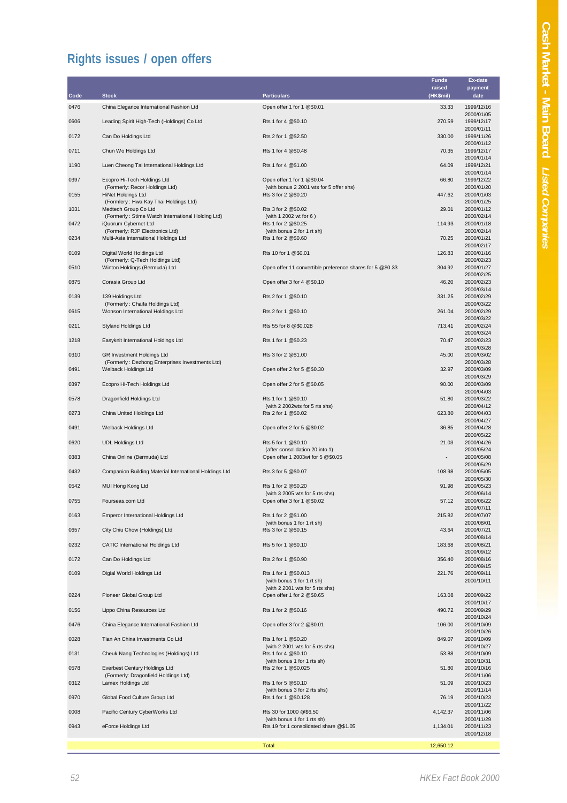## **Rights issues / open offers**

| Code | <b>Stock</b>                                                              | <b>Particulars</b>                                                     | Funds<br>raised<br>(HK\$mil) | Ex-date<br>payment<br>date             |
|------|---------------------------------------------------------------------------|------------------------------------------------------------------------|------------------------------|----------------------------------------|
| 0476 | China Elegance International Fashion Ltd                                  | Open offer 1 for 1 @\$0.01                                             | 33.33                        | 1999/12/16                             |
| 0606 | Leading Spirit High-Tech (Holdings) Co Ltd                                | Rts 1 for 4 @\$0.10                                                    | 270.59                       | 2000/01/05<br>1999/12/17               |
| 0172 | Can Do Holdings Ltd                                                       | Rts 2 for 1 @\$2.50                                                    | 330.00                       | 2000/01/11<br>1999/11/26               |
| 0711 | Chun Wo Holdings Ltd                                                      | Rts 1 for 4 @\$0.48                                                    | 70.35                        | 2000/01/12<br>1999/12/17               |
| 1190 | Luen Cheong Tai International Holdings Ltd                                | Rts 1 for 4 @\$1.00                                                    | 64.09                        | 2000/01/14<br>1999/12/21               |
| 0397 | Ecopro Hi-Tech Holdings Ltd                                               | Open offer 1 for 1 @\$0.04                                             | 66.80                        | 2000/01/14<br>1999/12/22               |
| 0155 | (Formerly: Recor Holdings Ltd)<br><b>HiNet Holdings Ltd</b>               | (with bonus 2 2001 wts for 5 offer shs)<br>Rts 3 for 2 @\$0.20         | 447.62                       | 2000/01/20<br>2000/01/03               |
| 1031 | (Formlery: Hwa Kay Thai Holdings Ltd)<br>Medtech Group Co Ltd             | Rts 3 for 2 @\$0.02                                                    | 29.01                        | 2000/01/25<br>2000/01/12               |
| 0472 | (Formerly: Stime Watch International Holding Ltd)<br>iQuorum Cybernet Ltd | (with 1 2002 wt for 6)<br>Rts 1 for 2 @\$0.25                          | 114.93                       | 2000/02/14<br>2000/01/18               |
| 0234 | (Formerly: RJP Electronics Ltd)<br>Multi-Asia International Holdings Ltd  | (with bonus 2 for 1 rt sh)<br>Rts 1 for 2 @\$0.60                      | 70.25                        | 2000/02/14<br>2000/01/21               |
| 0109 | Digital World Holdings Ltd                                                | Rts 10 for 1 @\$0.01                                                   | 126.83                       | 2000/02/17<br>2000/01/16               |
| 0510 | (Formerly: Q-Tech Holdings Ltd)<br>Winton Holdings (Bermuda) Ltd          | Open offer 11 convertible preference shares for 5 @\$0.33              | 304.92                       | 2000/02/23<br>2000/01/27               |
| 0875 | Corasia Group Ltd                                                         | Open offer 3 for 4 @\$0.10                                             | 46.20                        | 2000/02/25<br>2000/02/23               |
| 0139 | 139 Holdings Ltd                                                          | Rts 2 for 1 @\$0.10                                                    | 331.25                       | 2000/03/14<br>2000/02/29               |
| 0615 | (Formerly: Chaifa Holdings Ltd)<br>Wonson International Holdings Ltd      | Rts 2 for 1 @\$0.10                                                    | 261.04                       | 2000/03/22<br>2000/02/29               |
| 0211 | Styland Holdings Ltd                                                      | Rts 55 for 8 @\$0.028                                                  | 713.41                       | 2000/03/22<br>2000/02/24               |
| 1218 | Easyknit International Holdings Ltd                                       | Rts 1 for 1 @\$0.23                                                    | 70.47                        | 2000/03/24<br>2000/02/23               |
| 0310 | GR Investment Holdings Ltd                                                | Rts 3 for 2 @\$1.00                                                    | 45.00                        | 2000/03/28<br>2000/03/02               |
| 0491 | (Formerly: Dezhong Enterprises Investments Ltd)<br>Welback Holdings Ltd   | Open offer 2 for 5 @\$0.30                                             | 32.97                        | 2000/03/28<br>2000/03/09               |
| 0397 | Ecopro Hi-Tech Holdings Ltd                                               | Open offer 2 for 5 @\$0.05                                             | 90.00                        | 2000/03/29<br>2000/03/09               |
| 0578 | Dragonfield Holdings Ltd                                                  | Rts 1 for 1 @\$0.10<br>(with 2 2002wts for 5 rts shs)                  | 51.80                        | 2000/04/03<br>2000/03/22<br>2000/04/12 |
| 0273 | China United Holdings Ltd                                                 | Rts 2 for 1 @\$0.02                                                    | 623.80                       | 2000/04/03<br>2000/04/27               |
| 0491 | Welback Holdings Ltd                                                      | Open offer 2 for 5 @\$0.02                                             | 36.85                        | 2000/04/28<br>2000/05/22               |
| 0620 | <b>UDL Holdings Ltd</b>                                                   | Rts 5 for 1 @\$0.10<br>(after consolidation 20 into 1)                 | 21.03                        | 2000/04/26<br>2000/05/24               |
| 0383 | China Online (Bermuda) Ltd                                                | Open offer 1 2003wt for 5 @\$0.05                                      | $\overline{\phantom{a}}$     | 2000/05/08<br>2000/05/29               |
| 0432 | Companion Building Material International Holdings Ltd                    | Rts 3 for 5 @\$0.07                                                    | 108.98                       | 2000/05/05<br>2000/05/30               |
| 0542 | MUI Hong Kong Ltd                                                         | Rts 1 for 2 @\$0.20<br>(with 3 2005 wts for 5 rts shs)                 | 91.98                        | 2000/05/23<br>2000/06/14               |
| 0755 | Fourseas.com Ltd                                                          | Open offer 3 for 1 @\$0.02                                             | 57.12                        | 2000/06/22<br>2000/07/11               |
| 0163 | Emperor International Holdings Ltd                                        | Rts 1 for 2 @\$1.00<br>(with bonus 1 for 1 rt sh)                      | 215.82                       | 2000/07/07<br>2000/08/01               |
| 0657 | City Chiu Chow (Holdings) Ltd                                             | Rts 3 for 2 @\$0.15                                                    | 43.64                        | 2000/07/21<br>2000/08/14               |
| 0232 | <b>CATIC International Holdings Ltd</b>                                   | Rts 5 for 1 @\$0.10                                                    | 183.68                       | 2000/08/21<br>2000/09/12               |
| 0172 | Can Do Holdings Ltd                                                       | Rts 2 for 1 @\$0.90                                                    | 356.40                       | 2000/08/16<br>2000/09/15               |
| 0109 | Digial World Holdings Ltd                                                 | Rts 1 for 1 @\$0.013<br>(with bonus 1 for 1 rt sh)                     | 221.76                       | 2000/09/11<br>2000/10/11               |
| 0224 | Pioneer Global Group Ltd                                                  | (with 2 2001 wts for 5 rts shs)<br>Open offer 1 for 2 @\$0.65          | 163.08                       | 2000/09/22                             |
| 0156 | Lippo China Resources Ltd                                                 | Rts 1 for 2 @\$0.16                                                    | 490.72                       | 2000/10/17<br>2000/09/29               |
| 0476 | China Elegance International Fashion Ltd                                  | Open offer 3 for 2 @\$0.01                                             | 106.00                       | 2000/10/24<br>2000/10/09               |
| 0028 | Tian An China Investments Co Ltd                                          | Rts 1 for 1 @\$0.20                                                    | 849.07                       | 2000/10/26<br>2000/10/09               |
| 0131 | Cheuk Nang Technologies (Holdings) Ltd                                    | (with 2 2001 wts for 5 rts shs)<br>Rts 1 for 4 @\$0.10                 | 53.88                        | 2000/10/27<br>2000/10/09               |
| 0578 | Everbest Century Holdings Ltd                                             | (with bonus 1 for 1 rts sh)<br>Rts 2 for 1 @\$0.025                    | 51.80                        | 2000/10/31<br>2000/10/16               |
| 0312 | (Formerly: Dragonfield Holdings Ltd)<br>Lamex Holdings Ltd                | Rts 1 for 5 @\$0.10                                                    | 51.09                        | 2000/11/06<br>2000/10/23               |
| 0970 | Global Food Culture Group Ltd                                             | (with bonus 3 for 2 rts shs)<br>Rts 1 for 1 @\$0.128                   | 76.19                        | 2000/11/14<br>2000/10/23               |
| 0008 | Pacific Century CyberWorks Ltd                                            | Rts 30 for 1000 @\$6.50                                                | 4,142.37                     | 2000/11/22<br>2000/11/06               |
| 0943 | eForce Holdings Ltd                                                       | (with bonus 1 for 1 rts sh)<br>Rts 19 for 1 consolidated share @\$1.05 | 1,134.01                     | 2000/11/29<br>2000/11/23               |
|      |                                                                           | <b>Total</b>                                                           | 12,650.12                    | 2000/12/18                             |
|      |                                                                           |                                                                        |                              |                                        |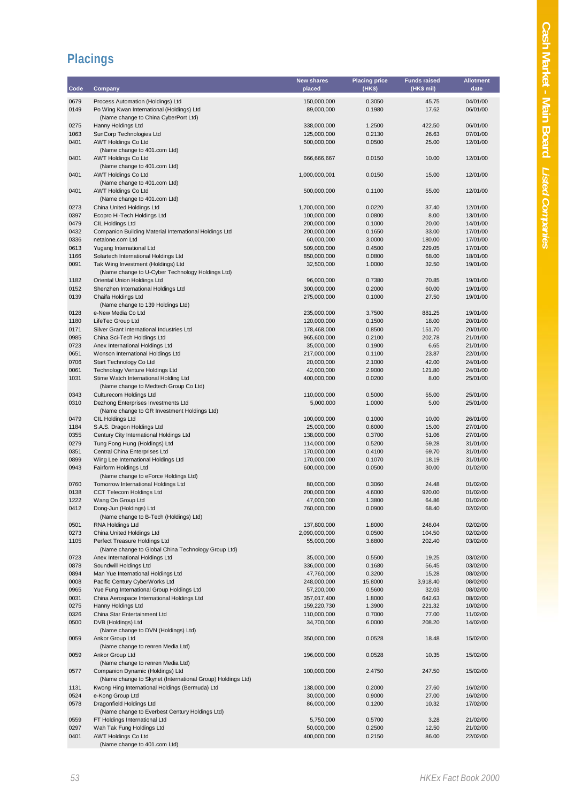## **Placings**

|              |                                                                       | <b>New shares</b>          | <b>Placing price</b> | <b>Funds raised</b> | <b>Allotment</b>     |
|--------------|-----------------------------------------------------------------------|----------------------------|----------------------|---------------------|----------------------|
| Code         | Company                                                               | placed                     | (HK\$)               | (HK\$ mil)          | date                 |
| 0679         | Process Automation (Holdings) Ltd                                     | 150,000,000                | 0.3050               | 45.75               | 04/01/00             |
| 0149         | Po Wing Kwan International (Holdings) Ltd                             | 89,000,000                 | 0.1980               | 17.62               | 06/01/00             |
|              | (Name change to China CyberPort Ltd)                                  |                            |                      |                     |                      |
| 0275         | Hanny Holdings Ltd                                                    | 338,000,000                | 1.2500               | 422.50              | 06/01/00             |
| 1063         | SunCorp Technologies Ltd                                              | 125,000,000                | 0.2130               | 26.63               | 07/01/00             |
| 0401         | <b>AWT Holdings Co Ltd</b>                                            | 500,000,000                | 0.0500               | 25.00               | 12/01/00             |
|              | (Name change to 401.com Ltd)                                          |                            |                      |                     |                      |
| 0401         | <b>AWT Holdings Co Ltd</b>                                            | 666,666,667                | 0.0150               | 10.00               | 12/01/00             |
|              | (Name change to 401.com Ltd)                                          |                            |                      |                     |                      |
| 0401         | <b>AWT Holdings Co Ltd</b>                                            | 1,000,000,001              | 0.0150               | 15.00               | 12/01/00             |
| 0401         | (Name change to 401.com Ltd)<br><b>AWT Holdings Co Ltd</b>            | 500,000,000                | 0.1100               | 55.00               | 12/01/00             |
|              | (Name change to 401.com Ltd)                                          |                            |                      |                     |                      |
| 0273         | China United Holdings Ltd                                             | 1,700,000,000              | 0.0220               | 37.40               | 12/01/00             |
| 0397         | Ecopro Hi-Tech Holdings Ltd                                           | 100,000,000                | 0.0800               | 8.00                | 13/01/00             |
| 0479         | CIL Holdings Ltd                                                      | 200,000,000                | 0.1000               | 20.00               | 14/01/00             |
| 0432         | Companion Building Material International Holdings Ltd                | 200,000,000                | 0.1650               | 33.00               | 17/01/00             |
| 0336         | netalone.com Ltd                                                      | 60,000,000                 | 3.0000               | 180.00              | 17/01/00             |
| 0613         | Yugang International Ltd                                              | 509,000,000                | 0.4500               | 229.05              | 17/01/00             |
| 1166         | Solartech International Holdings Ltd                                  | 850,000,000                | 0.0800               | 68.00               | 18/01/00             |
| 0091         | Tak Wing Investment (Holdings) Ltd                                    | 32,500,000                 | 1.0000               | 32.50               | 19/01/00             |
|              | (Name change to U-Cyber Technology Holdings Ltd)                      |                            |                      |                     |                      |
| 1182         | Oriental Union Holdings Ltd                                           | 96,000,000                 | 0.7380               | 70.85               | 19/01/00             |
| 0152         | Shenzhen International Holdings Ltd                                   | 300,000,000                | 0.2000               | 60.00               | 19/01/00             |
| 0139         | Chaifa Holdings Ltd                                                   | 275,000,000                | 0.1000               | 27.50               | 19/01/00             |
|              | (Name change to 139 Holdings Ltd)                                     |                            |                      |                     |                      |
| 0128         | e-New Media Co Ltd<br>LifeTec Group Ltd                               | 235,000,000                | 3.7500               | 881.25<br>18.00     | 19/01/00<br>20/01/00 |
| 1180<br>0171 | Silver Grant International Industries Ltd                             | 120,000,000<br>178,468,000 | 0.1500<br>0.8500     | 151.70              | 20/01/00             |
| 0985         | China Sci-Tech Holdings Ltd                                           | 965,600,000                | 0.2100               | 202.78              | 21/01/00             |
| 0723         | Anex International Holdings Ltd                                       | 35,000,000                 | 0.1900               | 6.65                | 21/01/00             |
| 0651         | Wonson International Holdings Ltd                                     | 217,000,000                | 0.1100               | 23.87               | 22/01/00             |
| 0706         | Start Technology Co Ltd                                               | 20,000,000                 | 2.1000               | 42.00               | 24/01/00             |
| 0061         | Technology Venture Holdings Ltd                                       | 42,000,000                 | 2.9000               | 121.80              | 24/01/00             |
| 1031         | Stime Watch International Holding Ltd                                 | 400,000,000                | 0.0200               | 8.00                | 25/01/00             |
|              | (Name change to Medtech Group Co Ltd)                                 |                            |                      |                     |                      |
| 0343         | Culturecom Holdings Ltd                                               | 110,000,000                | 0.5000               | 55.00               | 25/01/00             |
| 0310         | Dezhong Enterprises Investments Ltd                                   | 5,000,000                  | 1.0000               | 5.00                | 25/01/00             |
|              | (Name change to GR Investment Holdings Ltd)                           |                            |                      |                     |                      |
| 0479         | CIL Holdings Ltd                                                      | 100,000,000                | 0.1000               | 10.00               | 26/01/00             |
| 1184         | S.A.S. Dragon Holdings Ltd                                            | 25,000,000                 | 0.6000               | 15.00               | 27/01/00             |
| 0355         | Century City International Holdings Ltd                               | 138,000,000                | 0.3700               | 51.06               | 27/01/00             |
| 0279         | Tung Fong Hung (Holdings) Ltd                                         | 114,000,000                | 0.5200               | 59.28               | 31/01/00             |
| 0351         | Central China Enterprises Ltd                                         | 170,000,000                | 0.4100               | 69.70               | 31/01/00             |
| 0899         | Wing Lee International Holdings Ltd                                   | 170,000,000                | 0.1070               | 18.19               | 31/01/00             |
| 0943         | Fairform Holdings Ltd                                                 | 600,000,000                | 0.0500               | 30.00               | 01/02/00             |
|              | (Name change to eForce Holdings Ltd)                                  |                            |                      |                     |                      |
| 0760         | Tomorrow International Holdings Ltd                                   | 80,000,000                 | 0.3060               | 24.48<br>920.00     | 01/02/00<br>01/02/00 |
| 0138<br>1222 | <b>CCT Telecom Holdings Ltd</b><br>Wang On Group Ltd                  | 200,000,000<br>47,000,000  | 4.6000<br>1.3800     | 64.86               | 01/02/00             |
| 0412         | Dong-Jun (Holdings) Ltd                                               | 760,000,000                | 0.0900               | 68.40               | 02/02/00             |
|              | (Name change to B-Tech (Holdings) Ltd)                                |                            |                      |                     |                      |
| 0501         | RNA Holdings Ltd                                                      | 137,800,000                | 1.8000               | 248.04              | 02/02/00             |
| 0273         | China United Holdings Ltd                                             | 2,090,000,000              | 0.0500               | 104.50              | 02/02/00             |
| 1105         | Perfect Treasure Holdings Ltd                                         | 55,000,000                 | 3.6800               | 202.40              | 03/02/00             |
|              | (Name change to Global China Technology Group Ltd)                    |                            |                      |                     |                      |
| 0723         | Anex International Holdings Ltd                                       | 35,000,000                 | 0.5500               | 19.25               | 03/02/00             |
| 0878         | Soundwill Holdings Ltd                                                | 336,000,000                | 0.1680               | 56.45               | 03/02/00             |
| 0894         | Man Yue International Holdings Ltd                                    | 47,760,000                 | 0.3200               | 15.28               | 08/02/00             |
| 0008         | Pacific Century CyberWorks Ltd                                        | 248,000,000                | 15.8000              | 3,918.40            | 08/02/00             |
| 0965         | Yue Fung International Group Holdings Ltd                             | 57,200,000                 | 0.5600               | 32.03               | 08/02/00             |
| 0031         | China Aerospace International Holdings Ltd                            | 357,017,400                | 1.8000               | 642.63              | 08/02/00             |
| 0275         | Hanny Holdings Ltd                                                    | 159,220,730                | 1.3900               | 221.32              | 10/02/00             |
| 0326         | China Star Entertainment Ltd                                          | 110,000,000                | 0.7000               | 77.00               | 11/02/00             |
| 0500         | DVB (Holdings) Ltd                                                    | 34,700,000                 | 6.0000               | 208.20              | 14/02/00             |
|              | (Name change to DVN (Holdings) Ltd)                                   |                            |                      |                     |                      |
| 0059         | Ankor Group Ltd                                                       | 350,000,000                | 0.0528               | 18.48               | 15/02/00             |
|              | (Name change to renren Media Ltd)                                     |                            |                      |                     |                      |
| 0059         | Ankor Group Ltd                                                       | 196,000,000                | 0.0528               | 10.35               | 15/02/00             |
| 0577         | (Name change to renren Media Ltd)<br>Companion Dynamic (Holdings) Ltd | 100,000,000                | 2.4750               | 247.50              | 15/02/00             |
|              | (Name change to Skynet (International Group) Holdings Ltd)            |                            |                      |                     |                      |
| 1131         | Kwong Hing International Holdings (Bermuda) Ltd                       | 138,000,000                | 0.2000               | 27.60               | 16/02/00             |
| 0524         | e-Kong Group Ltd                                                      | 30,000,000                 | 0.9000               | 27.00               | 16/02/00             |
| 0578         | Dragonfield Holdings Ltd                                              | 86,000,000                 | 0.1200               | 10.32               | 17/02/00             |
|              | (Name change to Everbest Century Holdings Ltd)                        |                            |                      |                     |                      |
| 0559         | FT Holdings International Ltd                                         | 5,750,000                  | 0.5700               | 3.28                | 21/02/00             |
| 0297         | Wah Tak Fung Holdings Ltd                                             | 50,000,000                 | 0.2500               | 12.50               | 21/02/00             |
| 0401         | <b>AWT Holdings Co Ltd</b>                                            | 400,000,000                | 0.2150               | 86.00               | 22/02/00             |
|              | (Name change to 401.com Ltd)                                          |                            |                      |                     |                      |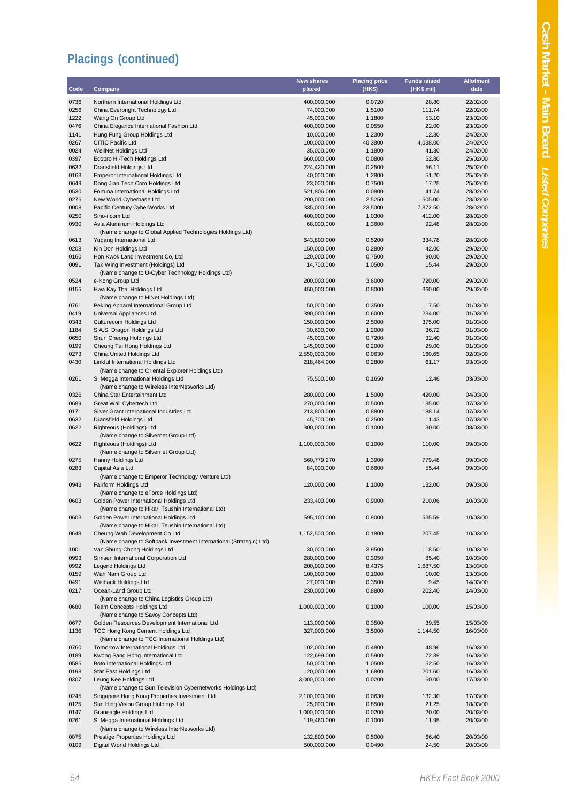| Code         | Company                                                                                                     | <b>New shares</b><br>placed | <b>Placing price</b><br>(HK\$) | <b>Funds raised</b><br>(HK\$ mil) | <b>Allotment</b><br>date |
|--------------|-------------------------------------------------------------------------------------------------------------|-----------------------------|--------------------------------|-----------------------------------|--------------------------|
| 0736         | Northern International Holdings Ltd                                                                         | 400,000,000                 | 0.0720                         | 28.80                             | 22/02/00                 |
| 0256         | China Everbright Technology Ltd                                                                             | 74,000,000                  | 1.5100                         | 111.74                            | 22/02/00                 |
| 1222         | Wang On Group Ltd                                                                                           | 45,000,000                  | 1.1800                         | 53.10                             | 23/02/00                 |
| 0476         | China Elegance International Fashion Ltd                                                                    | 400,000,000                 | 0.0550                         | 22.00                             | 23/02/00                 |
| 1141         | Hung Fung Group Holdings Ltd                                                                                | 10,000,000                  | 1.2300                         | 12.30                             | 24/02/00                 |
| 0267         | CITIC Pacific Ltd                                                                                           | 100,000,000                 | 40.3800                        | 4,038.00                          | 24/02/00                 |
| 0024         | WellNet Holdings Ltd                                                                                        | 35,000,000                  | 1.1800                         | 41.30                             | 24/02/00                 |
| 0397         | Ecopro Hi-Tech Holdings Ltd                                                                                 | 660,000,000                 | 0.0800                         | 52.80                             | 25/02/00                 |
| 0632         | Dransfield Holdings Ltd                                                                                     | 224,420,000                 | 0.2500                         | 56.11                             | 25/02/00                 |
| 0163         | <b>Emperor International Holdings Ltd</b>                                                                   | 40,000,000                  | 1.2800                         | 51.20                             | 25/02/00                 |
| 0649         | Dong Jian Tech.Com Holdings Ltd                                                                             | 23,000,000                  | 0.7500                         | 17.25                             | 25/02/00                 |
| 0530         | Fortuna International Holdings Ltd                                                                          | 521,806,000                 | 0.0800                         | 41.74                             | 28/02/00                 |
| 0276<br>0008 | New World Cyberbase Ltd<br>Pacific Century CyberWorks Ltd                                                   | 200,000,000<br>335,000,000  | 2.5250<br>23.5000              | 505.00<br>7,872.50                | 28/02/00<br>28/02/00     |
| 0250         | Sino-i.com Ltd                                                                                              | 400,000,000                 | 1.0300                         | 412.00                            | 28/02/00                 |
| 0930         | Asia Aluminum Holdings Ltd                                                                                  | 68,000,000                  | 1.3600                         | 92.48                             | 28/02/00                 |
|              | (Name change to Global Applied Technologies Holdings Ltd)                                                   |                             |                                |                                   |                          |
| 0613         | Yugang International Ltd                                                                                    | 643,800,000                 | 0.5200                         | 334.78                            | 28/02/00                 |
| 0208         | Kin Don Holdings Ltd                                                                                        | 150,000,000                 | 0.2800                         | 42.00                             | 29/02/00                 |
| 0160         | Hon Kwok Land Investment Co, Ltd                                                                            | 120,000,000<br>14,700,000   | 0.7500                         | 90.00                             | 29/02/00                 |
| 0091         | Tak Wing Investment (Holdings) Ltd<br>(Name change to U-Cyber Technology Holdings Ltd)                      |                             | 1.0500                         | 15.44                             | 29/02/00                 |
| 0524         | e-Kong Group Ltd                                                                                            | 200,000,000                 | 3.6000                         | 720.00                            | 29/02/00                 |
| 0155         | Hwa Kay Thai Holdings Ltd                                                                                   | 450,000,000                 | 0.8000                         | 360.00                            | 29/02/00                 |
|              | (Name change to HiNet Holdings Ltd)                                                                         |                             |                                |                                   |                          |
| 0761         | Peking Apparel International Group Ltd                                                                      | 50,000,000                  | 0.3500                         | 17.50                             | 01/03/00                 |
| 0419         | Universal Appliances Ltd                                                                                    | 390,000,000                 | 0.6000                         | 234.00                            | 01/03/00                 |
| 0343         | Culturecom Holdings Ltd                                                                                     | 150,000,000                 | 2.5000                         | 375.00                            | 01/03/00                 |
| 1184         | S.A.S. Dragon Holdings Ltd                                                                                  | 30,600,000                  | 1.2000                         | 36.72                             | 01/03/00                 |
| 0650         | Shun Cheong Holdings Ltd                                                                                    | 45,000,000                  | 0.7200                         | 32.40                             | 01/03/00                 |
| 0199         | Cheung Tai Hong Holdings Ltd                                                                                | 145,000,000                 | 0.2000                         | 29.00                             | 01/03/00                 |
| 0273         | China United Holdings Ltd                                                                                   | 2,550,000,000               | 0.0630                         | 160.65                            | 02/03/00                 |
| 0430         | Linkful International Holdings Ltd<br>(Name change to Oriental Explorer Holdings Ltd)                       | 218,464,000                 | 0.2800                         | 61.17                             | 03/03/00                 |
| 0261         | S. Megga International Holdings Ltd                                                                         | 75,500,000                  | 0.1650                         | 12.46                             | 03/03/00                 |
|              | (Name change to Wireless InterNetworks Ltd)                                                                 |                             |                                |                                   |                          |
| 0326         | China Star Entertainment Ltd                                                                                | 280,000,000                 | 1.5000                         | 420.00                            | 04/03/00                 |
| 0689         | Great Wall Cybertech Ltd                                                                                    | 270,000,000                 | 0.5000                         | 135.00                            | 07/03/00                 |
| 0171         | Silver Grant International Industries Ltd                                                                   | 213,800,000                 | 0.8800                         | 188.14                            | 07/03/00                 |
| 0632         | Dransfield Holdings Ltd                                                                                     | 45,700,000                  | 0.2500                         | 11.43                             | 07/03/00                 |
| 0622         | Righteous (Holdings) Ltd                                                                                    | 300,000,000                 | 0.1000                         | 30.00                             | 08/03/00                 |
| 0622         | (Name change to Silvernet Group Ltd)<br>Righteous (Holdings) Ltd                                            | 1,100,000,000               | 0.1000                         | 110.00                            | 09/03/00                 |
|              | (Name change to Silvernet Group Ltd)                                                                        |                             |                                |                                   |                          |
| 0275         | Hanny Holdings Ltd                                                                                          | 560,779,270                 | 1.3900                         | 779.48                            | 09/03/00                 |
| 0283         | Capital Asia Ltd<br>(Name change to Emperor Technology Venture Ltd)                                         | 84,000,000                  | 0.6600                         | 55.44                             | 09/03/00                 |
| 0943         | Fairform Holdings Ltd                                                                                       | 120,000,000                 | 1.1000                         | 132.00                            | 09/03/00                 |
|              | (Name change to eForce Holdings Ltd)                                                                        |                             |                                |                                   |                          |
| 0603         | Golden Power International Holdings Ltd<br>(Name change to Hikari Tsushin International Ltd)                | 233,400,000                 | 0.9000                         | 210.06                            | 10/03/00                 |
| 0603         | Golden Power International Holdings Ltd                                                                     | 595,100,000                 | 0.9000                         | 535.59                            | 10/03/00                 |
|              | (Name change to Hikari Tsushin International Ltd)                                                           |                             |                                |                                   |                          |
| 0648         | Cheung Wah Development Co Ltd                                                                               | 1,152,500,000               | 0.1800                         | 207.45                            | 10/03/00                 |
|              | (Name change to Softbank Investment International (Strategic) Ltd)                                          |                             |                                |                                   |                          |
| 1001         | Van Shung Chong Holdings Ltd                                                                                | 30,000,000                  | 3.9500                         | 118.50                            | 10/03/00                 |
| 0993         | Simsen International Corporation Ltd                                                                        | 280,000,000                 | 0.3050                         | 85.40                             | 10/03/00                 |
| 0992         | Legend Holdings Ltd                                                                                         | 200,000,000                 | 8.4375                         | 1,687.50                          | 13/03/00                 |
| 0159         | Wah Nam Group Ltd                                                                                           | 100,000,000                 | 0.1000                         | 10.00                             | 13/03/00                 |
| 0491         | Welback Holdings Ltd                                                                                        | 27,000,000                  | 0.3500                         | 9.45                              | 14/03/00                 |
| 0217         | Ocean-Land Group Ltd                                                                                        | 230,000,000                 | 0.8800                         | 202.40                            | 14/03/00                 |
| 0680         | (Name change to China Logistics Group Ltd)<br><b>Team Concepts Holdings Ltd</b>                             | 1,000,000,000               | 0.1000                         | 100.00                            | 15/03/00                 |
|              | (Name change to Savoy Concepts Ltd)                                                                         |                             |                                |                                   |                          |
| 0677         | Golden Resources Development International Ltd                                                              | 113,000,000                 | 0.3500                         | 39.55                             | 15/03/00                 |
| 1136         | TCC Hong Kong Cement Holdings Ltd                                                                           | 327,000,000                 | 3.5000                         | 1,144.50                          | 16/03/00                 |
|              | (Name change to TCC International Holdings Ltd)                                                             |                             |                                |                                   |                          |
| 0760         | Tomorrow International Holdings Ltd                                                                         | 102,000,000                 | 0.4800                         | 48.96                             | 16/03/00                 |
| 0189         | Kwong Sang Hong International Ltd                                                                           | 122,699,000                 | 0.5900                         | 72.39                             | 16/03/00                 |
| 0585         | Boto International Holdings Ltd                                                                             | 50,000,000                  | 1.0500                         | 52.50                             | 16/03/00                 |
| 0198         | Star East Holdings Ltd                                                                                      | 120,000,000                 | 1.6800                         | 201.60                            | 16/03/00                 |
| 0307         | Leung Kee Holdings Ltd                                                                                      | 3,000,000,000               | 0.0200                         | 60.00                             | 17/03/00                 |
| 0245         | (Name change to Sun Television Cybernetworks Holdings Ltd)<br>Singapore Hong Kong Properties Investment Ltd |                             |                                |                                   |                          |
| 0125         | Sun Hing Vision Group Holdings Ltd                                                                          | 2,100,000,000               | 0.0630<br>0.8500               | 132.30<br>21.25                   | 17/03/00                 |
| 0147         | Graneagle Holdings Ltd                                                                                      | 25,000,000<br>1,000,000,000 | 0.0200                         | 20.00                             | 18/03/00<br>20/03/00     |
| 0261         | S. Megga International Holdings Ltd                                                                         | 119,460,000                 | 0.1000                         | 11.95                             | 20/03/00                 |
|              | (Name change to Wireless InterNetworks Ltd)                                                                 |                             |                                |                                   |                          |
| 0075         | Prestige Properties Holdings Ltd                                                                            | 132,800,000                 | 0.5000                         | 66.40                             | 20/03/00                 |
| 0109         | Digital World Holdings Ltd                                                                                  | 500,000,000                 | 0.0490                         | 24.50                             | 20/03/00                 |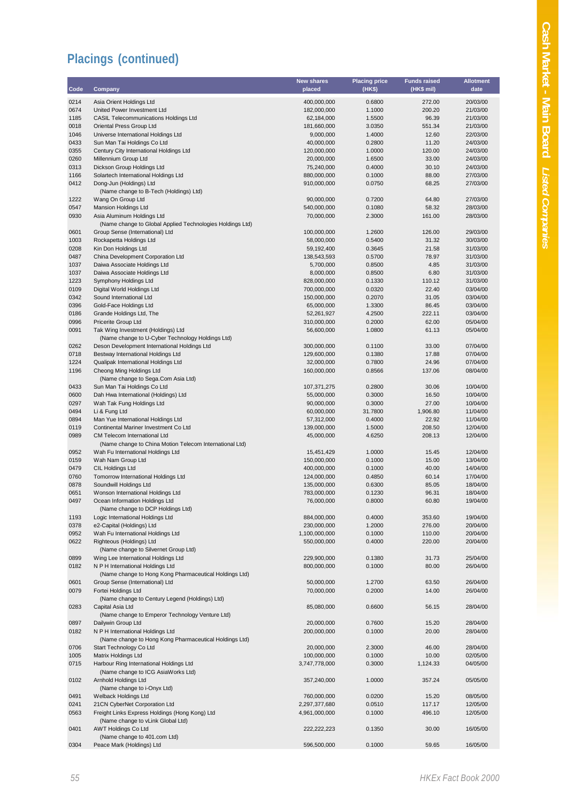|              |                                                                                        | New shares                 | <b>Placing price</b> | <b>Funds raised</b> | <b>Allotment</b>     |
|--------------|----------------------------------------------------------------------------------------|----------------------------|----------------------|---------------------|----------------------|
| Code         | Company                                                                                | placed                     | (HK\$)               | (HK\$ mil)          | date                 |
| 0214         | Asia Orient Holdings Ltd                                                               | 400,000,000                | 0.6800               | 272.00              | 20/03/00             |
| 0674         | United Power Investment Ltd                                                            | 182,000,000                | 1.1000               | 200.20              | 21/03/00             |
| 1185         | <b>CASIL Telecommunications Holdings Ltd</b>                                           | 62,184,000                 | 1.5500               | 96.39               | 21/03/00             |
| 0018         | Oriental Press Group Ltd                                                               | 181,660,000                | 3.0350               | 551.34              | 21/03/00             |
| 1046<br>0433 | Universe International Holdings Ltd<br>Sun Man Tai Holdings Co Ltd                     | 9,000,000<br>40,000,000    | 1.4000<br>0.2800     | 12.60<br>11.20      | 22/03/00<br>24/03/00 |
| 0355         | Century City International Holdings Ltd                                                | 120,000,000                | 1.0000               | 120.00              | 24/03/00             |
| 0260         | Millennium Group Ltd                                                                   | 20,000,000                 | 1.6500               | 33.00               | 24/03/00             |
| 0313         | Dickson Group Holdings Ltd                                                             | 75,240,000                 | 0.4000               | 30.10               | 24/03/00             |
| 1166         | Solartech International Holdings Ltd                                                   | 880,000,000                | 0.1000               | 88.00               | 27/03/00             |
| 0412         | Dong-Jun (Holdings) Ltd                                                                | 910,000,000                | 0.0750               | 68.25               | 27/03/00             |
|              | (Name change to B-Tech (Holdings) Ltd)                                                 |                            |                      |                     |                      |
| 1222         | Wang On Group Ltd                                                                      | 90,000,000                 | 0.7200               | 64.80               | 27/03/00             |
| 0547         | <b>Mansion Holdings Ltd</b>                                                            | 540,000,000                | 0.1080               | 58.32               | 28/03/00             |
| 0930         | Asia Aluminum Holdings Ltd                                                             | 70,000,000                 | 2.3000               | 161.00              | 28/03/00             |
| 0601         | (Name change to Global Applied Technologies Holdings Ltd)                              |                            | 1.2600               | 126.00              | 29/03/00             |
| 1003         | Group Sense (International) Ltd<br>Rockapetta Holdings Ltd                             | 100,000,000<br>58,000,000  | 0.5400               | 31.32               | 30/03/00             |
| 0208         | Kin Don Holdings Ltd                                                                   | 59,192,400                 | 0.3645               | 21.58               | 31/03/00             |
| 0487         | China Development Corporation Ltd                                                      | 138,543,593                | 0.5700               | 78.97               | 31/03/00             |
| 1037         | Daiwa Associate Holdings Ltd                                                           | 5,700,000                  | 0.8500               | 4.85                | 31/03/00             |
| 1037         | Daiwa Associate Holdings Ltd                                                           | 8,000,000                  | 0.8500               | 6.80                | 31/03/00             |
| 1223         | Symphony Holdings Ltd                                                                  | 828,000,000                | 0.1330               | 110.12              | 31/03/00             |
| 0109         | Digital World Holdings Ltd                                                             | 700,000,000                | 0.0320               | 22.40               | 03/04/00             |
| 0342         | Sound International Ltd                                                                | 150,000,000                | 0.2070               | 31.05               | 03/04/00             |
| 0396         | Gold-Face Holdings Ltd                                                                 | 65,000,000                 | 1.3300               | 86.45               | 03/04/00             |
| 0186         | Grande Holdings Ltd, The                                                               | 52,261,927                 | 4.2500               | 222.11              | 03/04/00             |
| 0996         | Pricerite Group Ltd                                                                    | 310,000,000                | 0.2000               | 62.00               | 05/04/00             |
| 0091         | Tak Wing Investment (Holdings) Ltd<br>(Name change to U-Cyber Technology Holdings Ltd) | 56,600,000                 | 1.0800               | 61.13               | 05/04/00             |
| 0262         | Deson Development International Holdings Ltd                                           | 300,000,000                | 0.1100               | 33.00               | 07/04/00             |
| 0718         | Bestway International Holdings Ltd                                                     | 129,600,000                | 0.1380               | 17.88               | 07/04/00             |
| 1224         | Qualipak International Holdings Ltd                                                    | 32,000,000                 | 0.7800               | 24.96               | 07/04/00             |
| 1196         | Cheong Ming Holdings Ltd                                                               | 160,000,000                | 0.8566               | 137.06              | 08/04/00             |
|              | (Name change to Sega.Com Asia Ltd)                                                     |                            |                      |                     |                      |
| 0433         | Sun Man Tai Holdings Co Ltd                                                            | 107,371,275                | 0.2800               | 30.06               | 10/04/00             |
| 0600         | Dah Hwa International (Holdings) Ltd                                                   | 55,000,000                 | 0.3000               | 16.50               | 10/04/00             |
| 0297         | Wah Tak Fung Holdings Ltd                                                              | 90,000,000                 | 0.3000               | 27.00               | 10/04/00             |
| 0494         | Li & Fung Ltd                                                                          | 60,000,000                 | 31.7800              | 1,906.80            | 11/04/00             |
| 0894         | Man Yue International Holdings Ltd                                                     | 57,312,000                 | 0.4000               | 22.92               | 11/04/00             |
| 0119<br>0989 | Continental Mariner Investment Co Ltd<br><b>CM Telecom International Ltd</b>           | 139,000,000<br>45,000,000  | 1.5000<br>4.6250     | 208.50<br>208.13    | 12/04/00<br>12/04/00 |
|              | (Name change to China Motion Telecom International Ltd)                                |                            |                      |                     |                      |
| 0952         | Wah Fu International Holdings Ltd                                                      | 15,451,429                 | 1.0000               | 15.45               | 12/04/00             |
| 0159         | Wah Nam Group Ltd                                                                      | 150,000,000                | 0.1000               | 15.00               | 13/04/00             |
| 0479         | CIL Holdings Ltd                                                                       | 400,000,000                | 0.1000               | 40.00               | 14/04/00             |
| 0760         | Tomorrow International Holdings Ltd                                                    | 124,000,000                | 0.4850               | 60.14               | 17/04/00             |
| 0878         | Soundwill Holdings Ltd                                                                 | 135,000,000                | 0.6300               | 85.05               | 18/04/00             |
| 0651         | Wonson International Holdings Ltd                                                      | 783,000,000                | 0.1230               | 96.31               | 18/04/00             |
| 0497         | Ocean Information Holdings Ltd                                                         | 76,000,000                 | 0.8000               | 60.80               | 19/04/00             |
|              | (Name change to DCP Holdings Ltd)                                                      |                            |                      |                     |                      |
| 1193<br>0378 | Logic International Holdings Ltd<br>e2-Capital (Holdings) Ltd                          | 884,000,000<br>230,000,000 | 0.4000<br>1.2000     | 353.60<br>276.00    | 19/04/00<br>20/04/00 |
| 0952         | Wah Fu International Holdings Ltd                                                      | 1,100,000,000              | 0.1000               | 110.00              | 20/04/00             |
| 0622         | Righteous (Holdings) Ltd                                                               | 550,000,000                | 0.4000               | 220.00              | 20/04/00             |
|              | (Name change to Silvernet Group Ltd)                                                   |                            |                      |                     |                      |
| 0899         | Wing Lee International Holdings Ltd                                                    | 229,900,000                | 0.1380               | 31.73               | 25/04/00             |
| 0182         | N P H International Holdings Ltd                                                       | 800,000,000                | 0.1000               | 80.00               | 26/04/00             |
|              | (Name change to Hong Kong Pharmaceutical Holdings Ltd)                                 |                            |                      |                     |                      |
| 0601         | Group Sense (International) Ltd                                                        | 50,000,000                 | 1.2700               | 63.50               | 26/04/00             |
| 0079         | Fortei Holdings Ltd                                                                    | 70,000,000                 | 0.2000               | 14.00               | 26/04/00             |
|              | (Name change to Century Legend (Holdings) Ltd)                                         |                            |                      |                     |                      |
| 0283         | Capital Asia Ltd<br>(Name change to Emperor Technology Venture Ltd)                    | 85,080,000                 | 0.6600               | 56.15               | 28/04/00             |
| 0897         | Dailywin Group Ltd                                                                     | 20,000,000                 | 0.7600               | 15.20               | 28/04/00             |
| 0182         | N P H International Holdings Ltd                                                       | 200,000,000                | 0.1000               | 20.00               | 28/04/00             |
|              | (Name change to Hong Kong Pharmaceutical Holdings Ltd)                                 |                            |                      |                     |                      |
| 0706         | Start Technology Co Ltd                                                                | 20,000,000                 | 2.3000               | 46.00               | 28/04/00             |
| 1005         | Matrix Holdings Ltd                                                                    | 100,000,000                | 0.1000               | 10.00               | 02/05/00             |
| 0715         | Harbour Ring International Holdings Ltd                                                | 3,747,778,000              | 0.3000               | 1,124.33            | 04/05/00             |
|              | (Name change to ICG AsiaWorks Ltd)                                                     |                            |                      |                     |                      |
| 0102         | Arnhold Holdings Ltd                                                                   | 357,240,000                | 1.0000               | 357.24              | 05/05/00             |
|              | (Name change to i-Onyx Ltd)                                                            |                            |                      |                     |                      |
| 0491         | Welback Holdings Ltd                                                                   | 760,000,000                | 0.0200               | 15.20               | 08/05/00             |
| 0241         | 21CN CyberNet Corporation Ltd                                                          | 2,297,377,680              | 0.0510               | 117.17              | 12/05/00             |
| 0563         | Freight Links Express Holdings (Hong Kong) Ltd<br>(Name change to vLink Global Ltd)    | 4,961,000,000              | 0.1000               | 496.10              | 12/05/00             |
| 0401         | <b>AWT Holdings Co Ltd</b>                                                             | 222,222,223                | 0.1350               | 30.00               | 16/05/00             |
|              | (Name change to 401.com Ltd)                                                           |                            |                      |                     |                      |
| 0304         | Peace Mark (Holdings) Ltd                                                              | 596,500,000                | 0.1000               | 59.65               | 16/05/00             |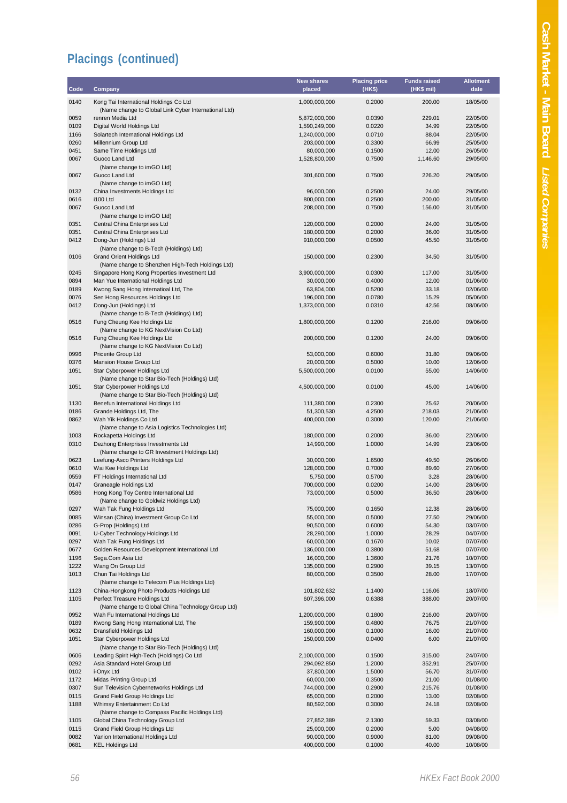| Code         | Company                                                                              | New shares<br>placed           | <b>Placing price</b><br>(HK\$) | <b>Funds raised</b><br>(HK\$ mil) | <b>Allotment</b><br>date |
|--------------|--------------------------------------------------------------------------------------|--------------------------------|--------------------------------|-----------------------------------|--------------------------|
| 0140         | Kong Tai International Holdings Co Ltd                                               | 1,000,000,000                  | 0.2000                         | 200.00                            | 18/05/00                 |
|              | (Name change to Global Link Cyber International Ltd)                                 |                                |                                |                                   |                          |
| 0059         | renren Media Ltd                                                                     | 5,872,000,000                  | 0.0390                         | 229.01<br>34.99                   | 22/05/00                 |
| 0109<br>1166 | Digital World Holdings Ltd<br>Solartech International Holdings Ltd                   | 1,590,249,000<br>1,240,000,000 | 0.0220<br>0.0710               | 88.04                             | 22/05/00<br>22/05/00     |
| 0260         | Millennium Group Ltd                                                                 | 203,000,000                    | 0.3300                         | 66.99                             | 25/05/00                 |
| 0451         | Same Time Holdings Ltd                                                               | 80,000,000                     | 0.1500                         | 12.00                             | 26/05/00                 |
| 0067         | Guoco Land Ltd                                                                       | 1,528,800,000                  | 0.7500                         | 1,146.60                          | 29/05/00                 |
|              | (Name change to imGO Ltd)                                                            |                                |                                |                                   |                          |
| 0067         | Guoco Land Ltd<br>(Name change to imGO Ltd)                                          | 301,600,000                    | 0.7500                         | 226.20                            | 29/05/00                 |
| 0132         | China Investments Holdings Ltd                                                       | 96,000,000                     | 0.2500                         | 24.00                             | 29/05/00                 |
| 0616         | i100 Ltd                                                                             | 800,000,000                    | 0.2500                         | 200.00                            | 31/05/00                 |
| 0067         | Guoco Land Ltd<br>(Name change to imGO Ltd)                                          | 208,000,000                    | 0.7500                         | 156.00                            | 31/05/00                 |
| 0351         | Central China Enterprises Ltd                                                        | 120,000,000                    | 0.2000                         | 24.00                             | 31/05/00                 |
| 0351         | Central China Enterprises Ltd                                                        | 180,000,000                    | 0.2000                         | 36.00                             | 31/05/00                 |
| 0412         | Dong-Jun (Holdings) Ltd                                                              | 910,000,000                    | 0.0500                         | 45.50                             | 31/05/00                 |
|              | (Name change to B-Tech (Holdings) Ltd)                                               |                                |                                |                                   |                          |
| 0106         | <b>Grand Orient Holdings Ltd</b><br>(Name change to Shenzhen High-Tech Holdings Ltd) | 150,000,000                    | 0.2300                         | 34.50                             | 31/05/00                 |
| 0245         | Singapore Hong Kong Properties Investment Ltd                                        | 3,900,000,000                  | 0.0300                         | 117.00                            | 31/05/00                 |
| 0894         | Man Yue International Holdings Ltd                                                   | 30,000,000                     | 0.4000                         | 12.00                             | 01/06/00                 |
| 0189         | Kwong Sang Hong Internatioal Ltd, The                                                | 63,804,000                     | 0.5200                         | 33.18                             | 02/06/00                 |
| 0076         | Sen Hong Resources Holdings Ltd                                                      | 196,000,000                    | 0.0780                         | 15.29                             | 05/06/00                 |
| 0412         | Dong-Jun (Holdings) Ltd                                                              | 1,373,000,000                  | 0.0310                         | 42.56                             | 08/06/00                 |
|              | (Name change to B-Tech (Holdings) Ltd)                                               |                                |                                |                                   |                          |
| 0516         | Fung Cheung Kee Holdings Ltd<br>(Name change to KG NextVision Co Ltd)                | 1,800,000,000                  | 0.1200                         | 216.00                            | 09/06/00                 |
| 0516         | Fung Cheung Kee Holdings Ltd<br>(Name change to KG NextVision Co Ltd)                | 200,000,000                    | 0.1200                         | 24.00                             | 09/06/00                 |
| 0996         | Pricerite Group Ltd                                                                  | 53,000,000                     | 0.6000                         | 31.80                             | 09/06/00                 |
| 0376         | Mansion House Group Ltd                                                              | 20,000,000                     | 0.5000                         | 10.00                             | 12/06/00                 |
| 1051         | Star Cyberpower Holdings Ltd<br>(Name change to Star Bio-Tech (Holdings) Ltd)        | 5,500,000,000                  | 0.0100                         | 55.00                             | 14/06/00                 |
| 1051         | Star Cyberpower Holdings Ltd                                                         | 4,500,000,000                  | 0.0100                         | 45.00                             | 14/06/00                 |
|              | (Name change to Star Bio-Tech (Holdings) Ltd)                                        |                                |                                |                                   |                          |
| 1130<br>0186 | Benefun International Holdings Ltd<br>Grande Holdings Ltd, The                       | 111,380,000<br>51,300,530      | 0.2300<br>4.2500               | 25.62<br>218.03                   | 20/06/00<br>21/06/00     |
| 0862         | Wah Yik Holdings Co Ltd                                                              | 400,000,000                    | 0.3000                         | 120.00                            | 21/06/00                 |
|              | (Name change to Asia Logistics Technologies Ltd)                                     |                                | 0.2000                         |                                   |                          |
| 1003<br>0310 | Rockapetta Holdings Ltd<br>Dezhong Enterprises Investments Ltd                       | 180,000,000<br>14,990,000      | 1.0000                         | 36.00<br>14.99                    | 22/06/00<br>23/06/00     |
|              | (Name change to GR Investment Holdings Ltd)                                          |                                |                                |                                   |                          |
| 0623         | Leefung-Asco Printers Holdings Ltd                                                   | 30,000,000                     | 1.6500                         | 49.50                             | 26/06/00                 |
| 0610         | Wai Kee Holdings Ltd                                                                 | 128,000,000                    | 0.7000                         | 89.60                             | 27/06/00                 |
| 0559         | FT Holdings International Ltd                                                        | 5,750,000                      | 0.5700                         | 3.28                              | 28/06/00                 |
| 0147         | Graneagle Holdings Ltd                                                               | 700,000,000                    | 0.0200                         | 14.00                             | 28/06/00<br>28/06/00     |
| 0586         | Hong Kong Toy Centre International Ltd<br>(Name change to Goldwiz Holdings Ltd)      | 73,000,000                     | 0.5000                         | 36.50                             |                          |
| 0297         | Wah Tak Fung Holdings Ltd                                                            | 75,000,000                     | 0.1650                         | 12.38                             | 28/06/00                 |
| 0085         | Winsan (China) Investment Group Co Ltd                                               | 55,000,000                     | 0.5000                         | 27.50                             | 29/06/00                 |
| 0286         | G-Prop (Holdings) Ltd                                                                | 90,500,000                     | 0.6000                         | 54.30                             | 03/07/00                 |
| 0091         | U-Cyber Technology Holdings Ltd                                                      | 28,290,000                     | 1.0000                         | 28.29                             | 04/07/00                 |
| 0297         | Wah Tak Fung Holdings Ltd                                                            | 60,000,000                     | 0.1670                         | 10.02                             | 07/07/00                 |
| 0677         | Golden Resources Development International Ltd<br>Sega.Com Asia Ltd                  | 136,000,000                    | 0.3800<br>1.3600               | 51.68                             | 07/07/00<br>10/07/00     |
| 1196<br>1222 |                                                                                      | 16,000,000                     | 0.2900                         | 21.76<br>39.15                    | 13/07/00                 |
| 1013         | Wang On Group Ltd<br>Chun Tai Holdings Ltd                                           | 135,000,000<br>80,000,000      | 0.3500                         | 28.00                             | 17/07/00                 |
|              | (Name change to Telecom Plus Holdings Ltd)                                           |                                |                                |                                   |                          |
| 1123         | China-Hongkong Photo Products Holdings Ltd                                           | 101,802,632                    | 1.1400                         | 116.06                            | 18/07/00                 |
| 1105         | Perfect Treasure Holdings Ltd<br>(Name change to Global China Technology Group Ltd)  | 607,396,000                    | 0.6388                         | 388.00                            | 20/07/00                 |
| 0952         | Wah Fu International Holdings Ltd                                                    | 1,200,000,000                  | 0.1800                         | 216.00                            | 20/07/00                 |
| 0189         | Kwong Sang Hong International Ltd, The                                               | 159,900,000                    | 0.4800                         | 76.75                             | 21/07/00                 |
| 0632         | Dransfield Holdings Ltd                                                              | 160,000,000                    | 0.1000                         | 16.00                             | 21/07/00                 |
| 1051         | Star Cyberpower Holdings Ltd<br>(Name change to Star Bio-Tech (Holdings) Ltd)        | 150,000,000                    | 0.0400                         | 6.00                              | 21/07/00                 |
| 0606         | Leading Spirit High-Tech (Holdings) Co Ltd                                           | 2,100,000,000                  | 0.1500                         | 315.00                            | 24/07/00                 |
| 0292         | Asia Standard Hotel Group Ltd                                                        | 294,092,850                    | 1.2000                         | 352.91                            | 25/07/00                 |
| 0102         | i-Onyx Ltd                                                                           | 37,800,000                     | 1.5000                         | 56.70                             | 31/07/00                 |
| 1172         | Midas Printing Group Ltd                                                             | 60,000,000                     | 0.3500                         | 21.00                             | 01/08/00                 |
| 0307         | Sun Television Cybernetworks Holdings Ltd                                            | 744,000,000                    | 0.2900                         | 215.76                            | 01/08/00                 |
| 0115         | Grand Field Group Holdings Ltd                                                       | 65,000,000                     | 0.2000                         | 13.00                             | 02/08/00                 |
| 1188         | Whimsy Entertainment Co Ltd<br>(Name change to Compass Pacific Holdings Ltd)         | 80,592,000                     | 0.3000                         | 24.18                             | 02/08/00                 |
| 1105         | Global China Technology Group Ltd                                                    | 27,852,389                     | 2.1300                         | 59.33                             | 03/08/00                 |
| 0115         | Grand Field Group Holdings Ltd                                                       | 25,000,000                     | 0.2000                         | 5.00                              | 04/08/00                 |
| 0082         | Yanion International Holdings Ltd                                                    | 90,000,000                     | 0.9000                         | 81.00                             | 09/08/00                 |
| 0681         | <b>KEL Holdings Ltd</b>                                                              | 400,000,000                    | 0.1000                         | 40.00                             | 10/08/00                 |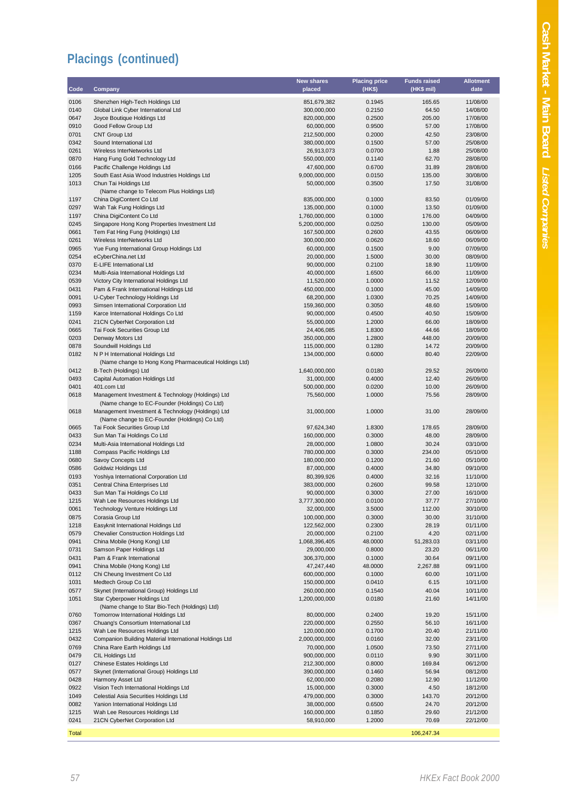|              |                                                        | <b>New shares</b> | <b>Placing price</b> | <b>Funds raised</b> | <b>Allotment</b> |
|--------------|--------------------------------------------------------|-------------------|----------------------|---------------------|------------------|
| Code         | Company                                                | placed            | (HK\$)               | (HK\$ mil)          | date             |
| 0106         | Shenzhen High-Tech Holdings Ltd                        | 851,679,382       | 0.1945               | 165.65              | 11/08/00         |
| 0140         | Global Link Cyber International Ltd                    | 300,000,000       | 0.2150               | 64.50               | 14/08/00         |
| 0647         | Joyce Boutique Holdings Ltd                            | 820,000,000       | 0.2500               | 205.00              | 17/08/00         |
| 0910         | Good Fellow Group Ltd                                  | 60,000,000        | 0.9500               | 57.00               | 17/08/00         |
| 0701         | <b>CNT Group Ltd</b>                                   | 212,500,000       | 0.2000               | 42.50               | 23/08/00         |
| 0342         | Sound International Ltd                                | 380,000,000       | 0.1500               | 57.00               | 25/08/00         |
| 0261         | Wireless InterNetworks Ltd                             | 26,913,073        | 0.0700               | 1.88                | 25/08/00         |
| 0870         | Hang Fung Gold Technology Ltd                          | 550,000,000       | 0.1140               | 62.70               | 28/08/00         |
| 0166         | Pacific Challenge Holdings Ltd                         | 47,600,000        | 0.6700               | 31.89               | 28/08/00         |
| 1205         | South East Asia Wood Industries Holdings Ltd           | 9,000,000,000     | 0.0150               | 135.00              | 30/08/00         |
| 1013         | Chun Tai Holdings Ltd                                  | 50,000,000        | 0.3500               | 17.50               | 31/08/00         |
|              | (Name change to Telecom Plus Holdings Ltd)             |                   |                      |                     |                  |
| 1197         | China DigiContent Co Ltd                               | 835,000,000       | 0.1000               | 83.50               | 01/09/00         |
| 0297         | Wah Tak Fung Holdings Ltd                              | 135,000,000       | 0.1000               | 13.50               | 01/09/00         |
| 1197         | China DigiContent Co Ltd                               | 1,760,000,000     | 0.1000               | 176.00              | 04/09/00         |
| 0245         | Singapore Hong Kong Properties Investment Ltd          | 5,200,000,000     | 0.0250               | 130.00              | 05/09/00         |
| 0661         | Tem Fat Hing Fung (Holdings) Ltd                       | 167,500,000       | 0.2600               | 43.55               | 06/09/00         |
| 0261         | Wireless InterNetworks Ltd                             | 300,000,000       | 0.0620               | 18.60               | 06/09/00         |
| 0965         | Yue Fung International Group Holdings Ltd              | 60,000,000        | 0.1500               | 9.00                | 07/09/00         |
| 0254         | eCyberChina.net Ltd                                    | 20,000,000        | 1.5000               | 30.00               | 08/09/00         |
| 0370         | E-LIFE International Ltd                               | 90,000,000        | 0.2100               | 18.90               | 11/09/00         |
| 0234         | Multi-Asia International Holdings Ltd                  | 40,000,000        | 1.6500               | 66.00               | 11/09/00         |
| 0539         | Victory City International Holdings Ltd                | 11,520,000        | 1.0000               | 11.52               | 12/09/00         |
| 0431         | Pam & Frank International Holdings Ltd                 | 450,000,000       | 0.1000               | 45.00               | 14/09/00         |
| 0091         | U-Cyber Technology Holdings Ltd                        | 68,200,000        | 1.0300               | 70.25               | 14/09/00         |
| 0993         | Simsen International Corporation Ltd                   | 159,360,000       | 0.3050               | 48.60               | 15/09/00         |
| 1159         | Karce International Holdings Co Ltd                    | 90,000,000        | 0.4500               | 40.50               | 15/09/00         |
| 0241         | 21CN CyberNet Corporation Ltd                          | 55,000,000        | 1.2000               | 66.00               | 18/09/00         |
| 0665         | Tai Fook Securities Group Ltd                          | 24,406,085        | 1.8300               | 44.66               | 18/09/00         |
| 0203         | Denway Motors Ltd                                      | 350,000,000       | 1.2800               | 448.00              | 20/09/00         |
| 0878         | Soundwill Holdings Ltd                                 | 115,000,000       | 0.1280               | 14.72               | 20/09/00         |
| 0182         | N P H International Holdings Ltd                       | 134,000,000       | 0.6000               | 80.40               | 22/09/00         |
|              | (Name change to Hong Kong Pharmaceutical Holdings Ltd) |                   |                      |                     |                  |
| 0412         | B-Tech (Holdings) Ltd                                  | 1,640,000,000     | 0.0180               | 29.52               | 26/09/00         |
| 0493         | Capital Automation Holdings Ltd                        | 31,000,000        | 0.4000               | 12.40               | 26/09/00         |
| 0401         | 401.com Ltd                                            | 500,000,000       | 0.0200               | 10.00               | 26/09/00         |
| 0618         | Management Investment & Technology (Holdings) Ltd      | 75,560,000        | 1.0000               | 75.56               | 28/09/00         |
|              | (Name change to EC-Founder (Holdings) Co Ltd)          |                   |                      |                     |                  |
| 0618         | Management Investment & Technology (Holdings) Ltd      | 31,000,000        | 1.0000               | 31.00               | 28/09/00         |
|              | (Name change to EC-Founder (Holdings) Co Ltd)          |                   |                      |                     |                  |
| 0665         | Tai Fook Securities Group Ltd                          | 97,624,340        | 1.8300               | 178.65              | 28/09/00         |
| 0433         | Sun Man Tai Holdings Co Ltd                            | 160,000,000       | 0.3000               | 48.00               | 28/09/00         |
| 0234         | Multi-Asia International Holdings Ltd                  | 28,000,000        | 1.0800               | 30.24               | 03/10/00         |
| 1188         | Compass Pacific Holdings Ltd                           | 780,000,000       | 0.3000               | 234.00              | 05/10/00         |
| 0680         | Savoy Concepts Ltd                                     | 180,000,000       | 0.1200               | 21.60               | 05/10/00         |
| 0586         | <b>Goldwiz Holdings Ltd</b>                            | 87,000,000        | 0.4000               | 34.80               | 09/10/00         |
| 0193         | Yoshiya International Corporation Ltd                  | 80,399,926        | 0.4000               | 32.16               | 11/10/00         |
| 0351         | Central China Enterprises Ltd                          | 383,000,000       | 0.2600               | 99.58               | 12/10/00         |
| 0433         | Sun Man Tai Holdings Co Ltd                            | 90,000,000        | 0.3000               | 27.00               | 16/10/00         |
| 1215         | Wah Lee Resources Holdings Ltd                         | 3,777,300,000     | 0.0100               | 37.77               | 27/10/00         |
| 0061         | Technology Venture Holdings Ltd                        | 32,000,000        | 3.5000               | 112.00              | 30/10/00         |
| 0875         | Corasia Group Ltd                                      | 100,000,000       | 0.3000               | 30.00               | 31/10/00         |
| 1218         | Easyknit International Holdings Ltd                    | 122,562,000       | 0.2300               | 28.19               | 01/11/00         |
| 0579         | <b>Chevalier Construction Holdings Ltd</b>             | 20,000,000        | 0.2100               | 4.20                | 02/11/00         |
| 0941         | China Mobile (Hong Kong) Ltd                           | 1,068,396,405     | 48.0000              | 51,283.03           | 03/11/00         |
| 0731         | Samson Paper Holdings Ltd                              | 29,000,000        | 0.8000               | 23.20               | 06/11/00         |
| 0431         | Pam & Frank International                              | 306,370,000       | 0.1000               | 30.64               | 09/11/00         |
| 0941         | China Mobile (Hong Kong) Ltd                           | 47,247,440        | 48.0000              | 2,267.88            | 09/11/00         |
| 0112         | Chi Cheung Investment Co Ltd                           | 600,000,000       | 0.1000               | 60.00               | 10/11/00         |
| 1031         | Medtech Group Co Ltd                                   | 150,000,000       | 0.0410               | 6.15                | 10/11/00         |
| 0577         | Skynet (International Group) Holdings Ltd              | 260,000,000       | 0.1540               | 40.04               | 10/11/00         |
| 1051         | Star Cyberpower Holdings Ltd                           | 1,200,000,000     | 0.0180               | 21.60               | 14/11/00         |
|              | (Name change to Star Bio-Tech (Holdings) Ltd)          |                   |                      |                     |                  |
| 0760         | Tomorrow International Holdings Ltd                    | 80,000,000        | 0.2400               | 19.20               | 15/11/00         |
| 0367         | Chuang's Consortium International Ltd                  | 220,000,000       | 0.2550               | 56.10               | 16/11/00         |
| 1215         | Wah Lee Resources Holdings Ltd                         | 120,000,000       | 0.1700               | 20.40               | 21/11/00         |
| 0432         | Companion Building Material International Holdings Ltd | 2,000,000,000     | 0.0160               | 32.00               | 23/11/00         |
| 0769         | China Rare Earth Holdings Ltd                          | 70,000,000        | 1.0500               | 73.50               | 27/11/00         |
| 0479         | CIL Holdings Ltd                                       | 900,000,000       | 0.0110               | 9.90                | 30/11/00         |
| 0127         | <b>Chinese Estates Holdings Ltd</b>                    | 212,300,000       | 0.8000               | 169.84              | 06/12/00         |
| 0577         | Skynet (International Group) Holdings Ltd              | 390,000,000       | 0.1460               | 56.94               | 08/12/00         |
| 0428         | Harmony Asset Ltd                                      | 62,000,000        | 0.2080               | 12.90               | 11/12/00         |
| 0922         | Vision Tech International Holdings Ltd                 | 15,000,000        | 0.3000               | 4.50                | 18/12/00         |
| 1049         | Celestial Asia Securities Holdings Ltd                 | 479,000,000       | 0.3000               | 143.70              | 20/12/00         |
| 0082         | Yanion International Holdings Ltd                      | 38,000,000        | 0.6500               | 24.70               | 20/12/00         |
| 1215         | Wah Lee Resources Holdings Ltd                         | 160,000,000       | 0.1850               | 29.60               | 21/12/00         |
| 0241         | 21CN CyberNet Corporation Ltd                          | 58,910,000        | 1.2000               | 70.69               | 22/12/00         |
| <b>Total</b> |                                                        |                   |                      | 106,247.34          |                  |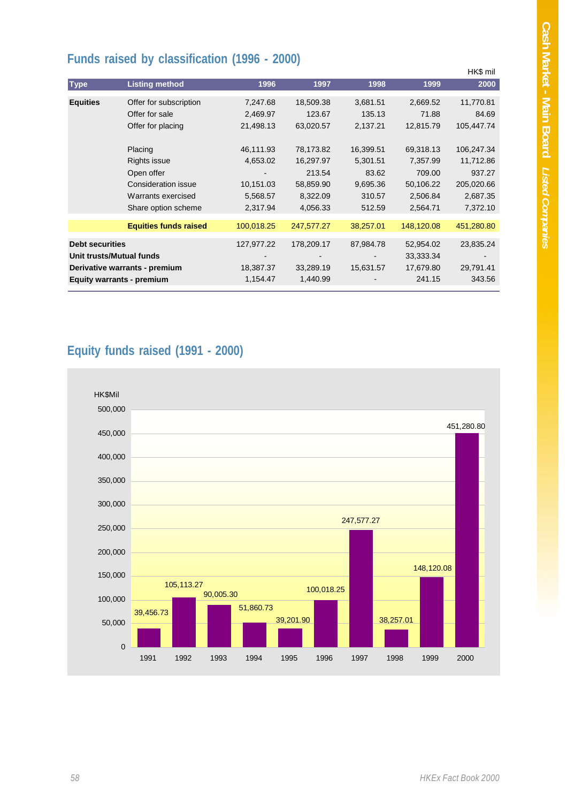## **Funds raised by classification (1996 - 2000)**

|                                                                                        | ◢                                                                                                     |                                                |                                                          |                                                   |                                                         | HK\$ mil                                                  |
|----------------------------------------------------------------------------------------|-------------------------------------------------------------------------------------------------------|------------------------------------------------|----------------------------------------------------------|---------------------------------------------------|---------------------------------------------------------|-----------------------------------------------------------|
| <b>Type</b>                                                                            | <b>Listing method</b>                                                                                 | 1996                                           | 1997                                                     | 1998                                              | 1999                                                    | 2000                                                      |
| <b>Equities</b>                                                                        | Offer for subscription<br>Offer for sale<br>Offer for placing<br>Placing                              | 7,247.68<br>2,469.97<br>21,498.13<br>46,111.93 | 18,509.38<br>123.67<br>63,020.57<br>78,173.82            | 3,681.51<br>135.13<br>2,137.21<br>16,399.51       | 2,669.52<br>71.88<br>12,815.79<br>69,318.13             | 11,770.81<br>84.69<br>105,447.74<br>106,247.34            |
|                                                                                        | Rights issue<br>Open offer<br><b>Consideration issue</b><br>Warrants exercised<br>Share option scheme | 4,653.02<br>10,151.03<br>5,568.57<br>2,317.94  | 16,297.97<br>213.54<br>58,859.90<br>8,322.09<br>4,056.33 | 5,301.51<br>83.62<br>9,695.36<br>310.57<br>512.59 | 7,357.99<br>709.00<br>50,106.22<br>2,506.84<br>2,564.71 | 11,712.86<br>937.27<br>205,020.66<br>2,687.35<br>7,372.10 |
|                                                                                        | <b>Equities funds raised</b>                                                                          | 100,018.25                                     | 247,577.27                                               | 38,257.01                                         | 148,120.08                                              | 451,280.80                                                |
| <b>Debt securities</b><br>Unit trusts/Mutual funds<br><b>Equity warrants - premium</b> | Derivative warrants - premium                                                                         | 127,977.22<br>18,387.37<br>1,154.47            | 178,209.17<br>33,289.19<br>1,440.99                      | 87,984.78<br>15,631.57                            | 52,954.02<br>33,333.34<br>17,679.80<br>241.15           | 23,835.24<br>29,791.41<br>343.56                          |

## **Equity funds raised (1991 - 2000)**

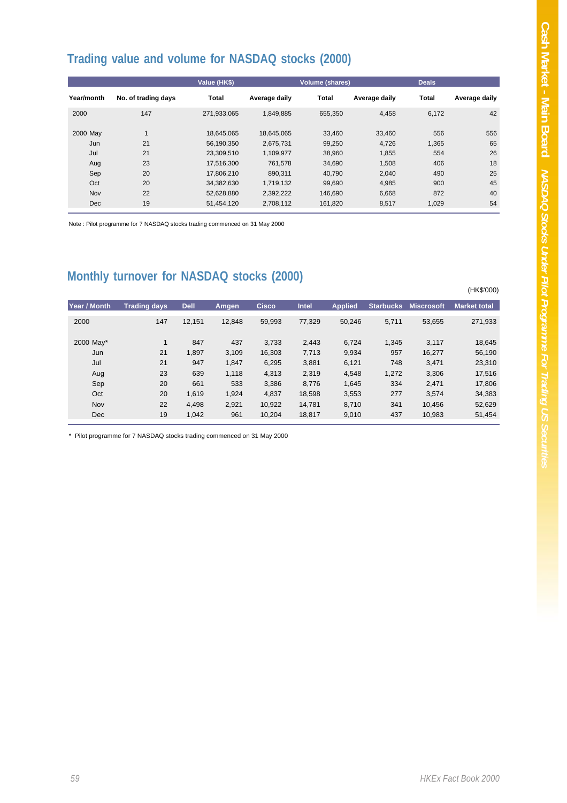(HK\$'000)

## **Trading value and volume for NASDAQ stocks (2000)**

|            |                     | Value (HK\$) |               | <b>Volume (shares)</b> |               | <b>Deals</b> |               |
|------------|---------------------|--------------|---------------|------------------------|---------------|--------------|---------------|
| Year/month | No. of trading days | <b>Total</b> | Average daily | <b>Total</b>           | Average daily | <b>Total</b> | Average daily |
| 2000       | 147                 | 271.933.065  | 1,849,885     | 655.350                | 4,458         | 6.172        | 42            |
| 2000 May   |                     | 18.645.065   | 18,645,065    | 33,460                 | 33,460        | 556          | 556           |
| Jun        | 21                  | 56.190.350   | 2.675.731     | 99,250                 | 4,726         | 1,365        | 65            |
| Jul        | 21                  | 23.309.510   | 1,109,977     | 38.960                 | 1,855         | 554          | 26            |
| Aug        | 23                  | 17.516.300   | 761.578       | 34.690                 | 1.508         | 406          | 18            |
| Sep        | 20                  | 17,806,210   | 890.311       | 40.790                 | 2,040         | 490          | 25            |
| Oct        | 20                  | 34,382,630   | 1,719,132     | 99,690                 | 4,985         | 900          | 45            |
| Nov        | 22                  | 52,628,880   | 2,392,222     | 146.690                | 6,668         | 872          | 40            |
| Dec        | 19                  | 51.454.120   | 2.708.112     | 161.820                | 8,517         | 1.029        | 54            |

Note : Pilot programme for 7 NASDAQ stocks trading commenced on 31 May 2000

#### **Monthly turnover for NASDAQ stocks (2000)**

| Year / Month | <b>Trading days</b> | <b>Dell</b> | Amgen  | <b>Cisco</b> | Intel  | <b>Applied</b> | <b>Starbucks</b> | <b>Miscrosoft</b> | <b>Market total</b> |
|--------------|---------------------|-------------|--------|--------------|--------|----------------|------------------|-------------------|---------------------|
| 2000         | 147                 | 12.151      | 12.848 | 59.993       | 77.329 | 50.246         | 5,711            | 53.655            | 271,933             |
| 2000 May*    |                     | 847         | 437    | 3.733        | 2,443  | 6.724          | 1.345            | 3.117             | 18.645              |
| Jun          | 21                  | 1,897       | 3.109  | 16,303       | 7,713  | 9,934          | 957              | 16.277            | 56,190              |
| Jul          | 21                  | 947         | 1.847  | 6,295        | 3,881  | 6,121          | 748              | 3.471             | 23,310              |
| Aug          | 23                  | 639         | 1.118  | 4,313        | 2,319  | 4,548          | 1,272            | 3,306             | 17,516              |
| Sep          | 20                  | 661         | 533    | 3,386        | 8,776  | 1,645          | 334              | 2,471             | 17.806              |
| Oct          | 20                  | 1.619       | 1.924  | 4,837        | 18.598 | 3,553          | 277              | 3.574             | 34,383              |
| Nov          | 22                  | 4.498       | 2,921  | 10.922       | 14.781 | 8.710          | 341              | 10.456            | 52,629              |
| Dec          | 19                  | 1.042       | 961    | 10.204       | 18,817 | 9,010          | 437              | 10.983            | 51,454              |

\* Pilot programme for 7 NASDAQ stocks trading commenced on 31 May 2000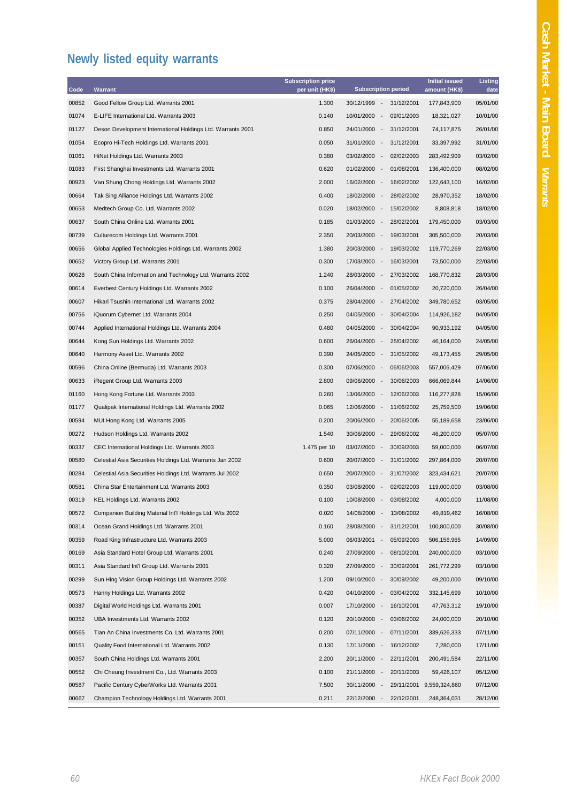## **Newly listed equity warrants**

| Code  | <b>Warrant</b>                                              | <b>Subscription price</b><br>per unit (HK\$) | <b>Subscription period</b>                           | <b>Initial issued</b><br>amount (HK\$) | Listing<br>date |
|-------|-------------------------------------------------------------|----------------------------------------------|------------------------------------------------------|----------------------------------------|-----------------|
| 00852 | Good Fellow Group Ltd. Warrants 2001                        | 1.300                                        | 30/12/1999<br>31/12/2001<br>$\sim$                   | 177,843,900                            | 05/01/00        |
| 01074 | E-LIFE International Ltd. Warrants 2003                     | 0.140                                        | 10/01/2000<br>09/01/2003<br>$\sim$                   | 18,321,027                             | 10/01/00        |
| 01127 | Deson Development International Holdings Ltd. Warrants 2001 | 0.850                                        | 24/01/2000<br>$\sim$<br>31/12/2001                   | 74,117,875                             | 26/01/00        |
| 01054 | Ecopro Hi-Tech Holdings Ltd. Warrants 2001                  | 0.050                                        | 31/01/2000<br>$\sim$<br>31/12/2001                   | 33,397,992                             | 31/01/00        |
| 01061 | HiNet Holdings Ltd. Warrants 2003                           | 0.380                                        | 03/02/2000<br>02/02/2003<br>$\sim$                   | 283,492,909                            | 03/02/00        |
| 01083 | First Shanghai Investments Ltd. Warrants 2001               | 0.620                                        | 01/02/2000 -<br>01/08/2001                           | 136,400,000                            | 08/02/00        |
| 00923 | Van Shung Chong Holdings Ltd. Warrants 2002                 | 2.000                                        | 16/02/2000 -<br>16/02/2002                           | 122,643,100                            | 16/02/00        |
| 00664 | Tak Sing Alliance Holdings Ltd. Warrants 2002               | 0.400                                        | 18/02/2000<br>28/02/2002<br>$\sim$                   | 28,970,352                             | 18/02/00        |
| 00653 | Medtech Group Co. Ltd. Warrants 2002                        | 0.020                                        | 18/02/2000<br>$\sim$<br>15/02/2002                   | 8,808,818                              | 18/02/00        |
| 00637 | South China Online Ltd. Warrants 2001                       | 0.185                                        | 01/03/2000 -<br>28/02/2001                           | 179,450,000                            | 03/03/00        |
| 00739 | Culturecom Holdings Ltd. Warrants 2001                      | 2.350                                        | 20/03/2000<br>19/03/2001<br>$\sim$                   | 305,500,000                            | 20/03/00        |
| 00656 | Global Applied Technologies Holdings Ltd. Warrants 2002     | 1.380                                        | 20/03/2000<br>$\sim$<br>19/03/2002                   | 119,770,269                            | 22/03/00        |
| 00652 | Victory Group Ltd. Warrants 2001                            | 0.300                                        | 17/03/2000 -<br>16/03/2001                           | 73,500,000                             | 22/03/00        |
| 00628 | South China Information and Technology Ltd. Warrants 2002   | 1.240                                        | 28/03/2000<br>27/03/2002<br>$\overline{\phantom{a}}$ | 168,770,832                            | 28/03/00        |
| 00614 | Everbest Century Holdings Ltd. Warrants 2002                | 0.100                                        | 26/04/2000<br>01/05/2002<br>$\sim$                   | 20,720,000                             | 26/04/00        |
| 00607 | Hikari Tsushin International Ltd. Warrants 2002             | 0.375                                        | 28/04/2000 -<br>27/04/2002                           | 349,780,652                            | 03/05/00        |
| 00756 | iQuorum Cybernet Ltd. Warrants 2004                         | 0.250                                        | 04/05/2000<br>30/04/2004<br>$\sim$                   | 114,926,182                            | 04/05/00        |
| 00744 | Applied International Holdings Ltd. Warrants 2004           | 0.480                                        | 04/05/2000 -<br>30/04/2004                           | 90,933,192                             | 04/05/00        |
| 00644 | Kong Sun Holdings Ltd. Warrants 2002                        | 0.600                                        | 26/04/2000 -<br>25/04/2002                           | 46,164,000                             | 24/05/00        |
| 00640 | Harmony Asset Ltd. Warrants 2002                            | 0.390                                        | 24/05/2000<br>$\overline{\phantom{a}}$<br>31/05/2002 | 49,173,455                             | 29/05/00        |
| 00596 | China Online (Bermuda) Ltd. Warrants 2003                   | 0.300                                        | 07/06/2000 -<br>06/06/2003                           | 557,006,429                            | 07/06/00        |
| 00633 | iRegent Group Ltd. Warrants 2003                            | 2.800                                        | 09/06/2000<br>30/06/2003<br>$\sim$                   | 666,069,844                            | 14/06/00        |
| 01160 | Hong Kong Fortune Ltd. Warrants 2003                        | 0.260                                        | 13/06/2000<br>$\sim$<br>12/06/2003                   | 116,277,828                            | 15/06/00        |
| 01177 | Qualipak International Holdings Ltd. Warrants 2002          | 0.065                                        | 11/06/2002<br>12/06/2000<br>$\overline{\phantom{a}}$ | 25,759,500                             | 19/06/00        |
| 00594 | MUI Hong Kong Ltd. Warrants 2005                            | 0.200                                        | 20/06/2000<br>20/06/2005<br>$\sim$                   | 55,189,658                             | 23/06/00        |
| 00272 | Hudson Holdings Ltd. Warrants 2002                          | 1.540                                        | 30/06/2000 -<br>29/06/2002                           | 46,200,000                             | 05/07/00        |
| 00337 | CEC International Holdings Ltd. Warrants 2003               | 1.475 per 10                                 | 03/07/2000<br>30/09/2003<br>$\sim$                   | 59,000,000                             | 06/07/00        |
| 00580 | Celestial Asia Securities Holdings Ltd. Warrants Jan 2002   | 0.600                                        | 20/07/2000<br>31/01/2002<br>$\sim$                   | 297,864,000                            | 20/07/00        |
| 00284 | Celestial Asia Securities Holdings Ltd. Warrants Jul 2002   | 0.650                                        | 20/07/2000 -<br>31/07/2002                           | 323,434,621                            | 20/07/00        |
| 00581 | China Star Entertainment Ltd. Warrants 2003                 | 0.350                                        | 03/08/2000<br>02/02/2003<br>$\overline{\phantom{a}}$ | 119,000,000                            | 03/08/00        |
| 00319 | KEL Holdings Ltd. Warrants 2002                             | 0.100                                        | 03/08/2002<br>10/08/2000 -                           | 4,000,000                              | 11/08/00        |
| 00572 | Companion Building Material Int'l Holdings Ltd. Wts 2002    | 0.020                                        | 14/08/2000 -<br>13/08/2002                           | 49,819,462                             | 16/08/00        |
| 00314 | Ocean Grand Holdings Ltd. Warrants 2001                     | 0.160                                        | 28/08/2000<br>31/12/2001                             | 100,800,000                            | 30/08/00        |
| 00359 | Road King Infrastructure Ltd. Warrants 2003                 | 5.000                                        | 06/03/2001<br>05/09/2003<br>$\sim$                   | 506,156,965                            | 14/09/00        |
| 00169 | Asia Standard Hotel Group Ltd. Warrants 2001                | 0.240                                        | 27/09/2000 -<br>08/10/2001                           | 240,000,000                            | 03/10/00        |
| 00311 | Asia Standard Int'l Group Ltd. Warrants 2001                | 0.320                                        | 27/09/2000<br>30/09/2001<br>$\overline{\phantom{a}}$ | 261,772,299                            | 03/10/00        |
| 00299 | Sun Hing Vision Group Holdings Ltd. Warrants 2002           | 1.200                                        | 30/09/2002<br>09/10/2000 -                           | 49,200,000                             | 09/10/00        |
| 00573 | Hanny Holdings Ltd. Warrants 2002                           | 0.420                                        | 04/10/2000 -<br>03/04/2002                           | 332,145,699                            | 10/10/00        |
| 00387 | Digital World Holdings Ltd. Warrants 2001                   | 0.007                                        | 17/10/2000<br>$\sim$<br>16/10/2001                   | 47,763,312                             | 19/10/00        |
| 00352 | UBA Investments Ltd. Warrants 2002                          | 0.120                                        | 20/10/2000<br>03/06/2002<br>$\overline{\phantom{a}}$ | 24,000,000                             | 20/10/00        |
| 00565 | Tian An China Investments Co. Ltd. Warrants 2001            | 0.200                                        | 07/11/2000<br>$\sim$<br>07/11/2001                   | 339,626,333                            | 07/11/00        |
| 00151 | Quality Food International Ltd. Warrants 2002               | 0.130                                        | 17/11/2000<br>$\sim$<br>16/12/2002                   | 7,280,000                              | 17/11/00        |
| 00357 | South China Holdings Ltd. Warrants 2001                     | 2.200                                        | 20/11/2000<br>22/11/2001<br>$\overline{\phantom{a}}$ | 200,491,584                            | 22/11/00        |
| 00552 | Chi Cheung Investment Co., Ltd. Warrants 2003               | 0.100                                        | 21/11/2000<br>20/11/2003<br>$\overline{\phantom{a}}$ | 59,426,107                             | 05/12/00        |
| 00587 | Pacific Century CyberWorks Ltd. Warrants 2001               | 7.500                                        | 30/11/2000 -<br>29/11/2001                           | 9,559,324,860                          | 07/12/00        |
| 00667 | Champion Technology Holdings Ltd. Warrants 2001             | 0.211                                        | 22/12/2000<br>22/12/2001                             | 248,364,031                            | 28/12/00        |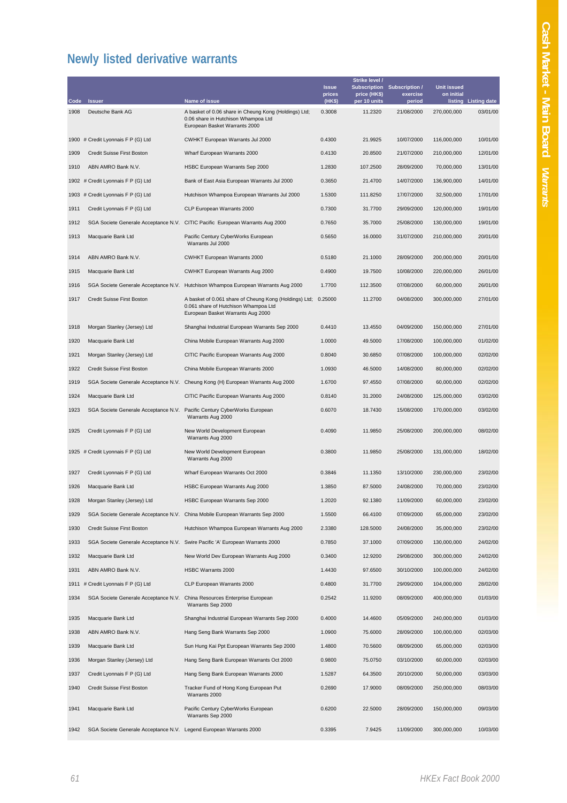## **Newly listed derivative warrants**

| Code | <b>Issuer</b>                                                      | Name of issue                                                                                                                               | <b>Issue</b><br>prices<br>(HK\$) | Strike level /<br>price (HK\$)<br>per 10 units | Subscription Subscription /<br>exercise<br>period | <b>Unit issued</b><br>on initial | listing Listing date |
|------|--------------------------------------------------------------------|---------------------------------------------------------------------------------------------------------------------------------------------|----------------------------------|------------------------------------------------|---------------------------------------------------|----------------------------------|----------------------|
| 1908 | Deutsche Bank AG                                                   |                                                                                                                                             | 0.3008                           | 11.2320                                        | 21/08/2000                                        | 270,000,000                      | 03/01/00             |
|      |                                                                    | A basket of 0.06 share in Cheung Kong (Holdings) Ltd;<br>0.06 share in Hutchison Whampoa Ltd<br>European Basket Warrants 2000               |                                  |                                                |                                                   |                                  |                      |
|      | 1900 # Credit Lyonnais F P (G) Ltd                                 | <b>CWHKT European Warrants Jul 2000</b>                                                                                                     | 0.4300                           | 21.9925                                        | 10/07/2000                                        | 116,000,000                      | 10/01/00             |
| 1909 | Credit Suisse First Boston                                         | Wharf European Warrants 2000                                                                                                                | 0.4130                           | 20.8500                                        | 21/07/2000                                        | 210,000,000                      | 12/01/00             |
| 1910 | ABN AMRO Bank N.V.                                                 | HSBC European Warrants Sep 2000                                                                                                             | 1.2830                           | 107.2500                                       | 28/09/2000                                        | 70,000,000                       | 13/01/00             |
|      | 1902 # Credit Lyonnais F P (G) Ltd                                 | Bank of East Asia European Warrants Jul 2000                                                                                                | 0.3650                           | 21.4700                                        | 14/07/2000                                        | 136,900,000                      | 14/01/00             |
|      | 1903 # Credit Lyonnais F P (G) Ltd                                 | Hutchison Whampoa European Warrants Jul 2000                                                                                                | 1.5300                           | 111.8250                                       | 17/07/2000                                        | 32,500,000                       | 17/01/00             |
| 1911 | Credit Lyonnais F P (G) Ltd                                        | CLP European Warrants 2000                                                                                                                  | 0.7300                           | 31.7700                                        | 29/09/2000                                        | 120,000,000                      | 19/01/00             |
| 1912 |                                                                    | SGA Societe Generale Acceptance N.V. CITIC Pacific European Warrants Aug 2000                                                               | 0.7650                           | 35.7000                                        | 25/08/2000                                        | 130,000,000                      | 19/01/00             |
| 1913 | Macquarie Bank Ltd                                                 | Pacific Century CyberWorks European<br>Warrants Jul 2000                                                                                    | 0.5650                           | 16.0000                                        | 31/07/2000                                        | 210,000,000                      | 20/01/00             |
| 1914 | ABN AMRO Bank N.V.                                                 | CWHKT European Warrants 2000                                                                                                                | 0.5180                           | 21.1000                                        | 28/09/2000                                        | 200,000,000                      | 20/01/00             |
| 1915 | Macquarie Bank Ltd                                                 | CWHKT European Warrants Aug 2000                                                                                                            | 0.4900                           | 19.7500                                        | 10/08/2000                                        | 220,000,000                      | 26/01/00             |
| 1916 | SGA Societe Generale Acceptance N.V.                               | Hutchison Whampoa European Warrants Aug 2000                                                                                                | 1.7700                           | 112.3500                                       | 07/08/2000                                        | 60,000,000                       | 26/01/00             |
| 1917 | Credit Suisse First Boston                                         | A basket of 0.061 share of Cheung Kong (Holdings) Ltd; 0.25000<br>0.061 share of Hutchison Whampoa Ltd<br>European Basket Warrants Aug 2000 |                                  | 11.2700                                        | 04/08/2000                                        | 300,000,000                      | 27/01/00             |
| 1918 | Morgan Stanley (Jersey) Ltd                                        | Shanghai Industrial European Warrants Sep 2000                                                                                              | 0.4410                           | 13.4550                                        | 04/09/2000                                        | 150,000,000                      | 27/01/00             |
| 1920 | Macquarie Bank Ltd                                                 | China Mobile European Warrants Aug 2000                                                                                                     | 1.0000                           | 49.5000                                        | 17/08/2000                                        | 100,000,000                      | 01/02/00             |
| 1921 | Morgan Stanley (Jersey) Ltd                                        | CITIC Pacific European Warrants Aug 2000                                                                                                    | 0.8040                           | 30.6850                                        | 07/08/2000                                        | 100,000,000                      | 02/02/00             |
| 1922 | Credit Suisse First Boston                                         | China Mobile European Warrants 2000                                                                                                         | 1.0930                           | 46.5000                                        | 14/08/2000                                        | 80,000,000                       | 02/02/00             |
| 1919 |                                                                    | SGA Societe Generale Acceptance N.V. Cheung Kong (H) European Warrants Aug 2000                                                             | 1.6700                           | 97.4550                                        | 07/08/2000                                        | 60,000,000                       | 02/02/00             |
| 1924 | Macquarie Bank Ltd                                                 | CITIC Pacific European Warrants Aug 2000                                                                                                    | 0.8140                           | 31.2000                                        | 24/08/2000                                        | 125,000,000                      | 03/02/00             |
| 1923 | SGA Societe Generale Acceptance N.V.                               | Pacific Century CyberWorks European<br>Warrants Aug 2000                                                                                    | 0.6070                           | 18.7430                                        | 15/08/2000                                        | 170,000,000                      | 03/02/00             |
| 1925 | Credit Lyonnais F P (G) Ltd                                        | New World Development European<br>Warrants Aug 2000                                                                                         | 0.4090                           | 11.9850                                        | 25/08/2000                                        | 200,000,000                      | 08/02/00             |
|      | 1925 # Credit Lyonnais F P (G) Ltd                                 | New World Development European<br>Warrants Aug 2000                                                                                         | 0.3800                           | 11.9850                                        | 25/08/2000                                        | 131,000,000                      | 18/02/00             |
| 1927 | Credit Lyonnais F P (G) Ltd                                        | Wharf European Warrants Oct 2000                                                                                                            | 0.3846                           | 11.1350                                        | 13/10/2000                                        | 230,000,000                      | 23/02/00             |
| 1926 | Macquarie Bank Ltd                                                 | HSBC European Warrants Aug 2000                                                                                                             | 1.3850                           | 87.5000                                        | 24/08/2000                                        | 70,000,000                       | 23/02/00             |
| 1928 | Morgan Stanley (Jersey) Ltd                                        | HSBC European Warrants Sep 2000                                                                                                             | 1.2020                           | 92.1380                                        | 11/09/2000                                        | 60,000,000                       | 23/02/00             |
| 1929 |                                                                    | SGA Societe Generale Acceptance N.V. China Mobile European Warrants Sep 2000                                                                | 1.5500                           | 66.4100                                        | 07/09/2000                                        | 65,000,000                       | 23/02/00             |
| 1930 | Credit Suisse First Boston                                         | Hutchison Whampoa European Warrants Aug 2000                                                                                                | 2.3380                           | 128.5000                                       | 24/08/2000                                        | 35,000,000                       | 23/02/00             |
| 1933 |                                                                    | SGA Societe Generale Acceptance N.V. Swire Pacific 'A' European Warrants 2000                                                               | 0.7850                           | 37.1000                                        | 07/09/2000                                        | 130,000,000                      | 24/02/00             |
| 1932 | Macquarie Bank Ltd                                                 | New World Dev European Warrants Aug 2000                                                                                                    | 0.3400                           | 12.9200                                        | 29/08/2000                                        | 300,000,000                      | 24/02/00             |
| 1931 | ABN AMRO Bank N.V.                                                 | HSBC Warrants 2000                                                                                                                          | 1.4430                           | 97.6500                                        | 30/10/2000                                        | 100,000,000                      | 24/02/00             |
|      | 1911 # Credit Lyonnais F P (G) Ltd                                 | CLP European Warrants 2000                                                                                                                  | 0.4800                           | 31.7700                                        | 29/09/2000                                        | 104,000,000                      | 28/02/00             |
| 1934 | SGA Societe Generale Acceptance N.V.                               | China Resources Enterprise European<br>Warrants Sep 2000                                                                                    | 0.2542                           | 11.9200                                        | 08/09/2000                                        | 400,000,000                      | 01/03/00             |
| 1935 | Macquarie Bank Ltd                                                 | Shanghai Industrial European Warrants Sep 2000                                                                                              | 0.4000                           | 14.4600                                        | 05/09/2000                                        | 240,000,000                      | 01/03/00             |
| 1938 | ABN AMRO Bank N.V.                                                 | Hang Seng Bank Warrants Sep 2000                                                                                                            | 1.0900                           | 75.6000                                        | 28/09/2000                                        | 100,000,000                      | 02/03/00             |
| 1939 | Macquarie Bank Ltd                                                 | Sun Hung Kai Ppt European Warrants Sep 2000                                                                                                 | 1.4800                           | 70.5600                                        | 08/09/2000                                        | 65,000,000                       | 02/03/00             |
| 1936 | Morgan Stanley (Jersey) Ltd                                        | Hang Seng Bank European Warrants Oct 2000                                                                                                   | 0.9800                           | 75.0750                                        | 03/10/2000                                        | 60,000,000                       | 02/03/00             |
| 1937 | Credit Lyonnais F P (G) Ltd                                        | Hang Seng Bank European Warrants 2000                                                                                                       | 1.5287                           | 64.3500                                        | 20/10/2000                                        | 50,000,000                       | 03/03/00             |
| 1940 | Credit Suisse First Boston                                         | Tracker Fund of Hong Kong European Put<br>Warrants 2000                                                                                     | 0.2690                           | 17.9000                                        | 08/09/2000                                        | 250,000,000                      | 08/03/00             |
| 1941 | Macquarie Bank Ltd                                                 | Pacific Century CyberWorks European<br>Warrants Sep 2000                                                                                    | 0.6200                           | 22.5000                                        | 28/09/2000                                        | 150,000,000                      | 09/03/00             |
| 1942 | SGA Societe Generale Acceptance N.V. Legend European Warrants 2000 |                                                                                                                                             | 0.3395                           | 7.9425                                         | 11/09/2000                                        | 300,000,000                      | 10/03/00             |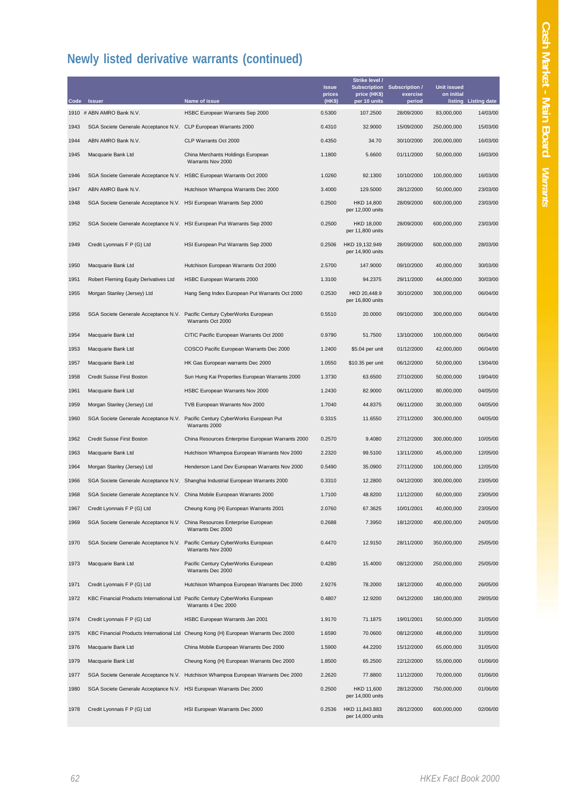| Code | <b>Issuer</b>                                                                | Name of issue                                                                       | <b>Issue</b><br>prices<br>(HK\$) | Strike level /<br>price (HK\$)<br>per 10 units | Subscription Subscription /<br>exercise<br>period | <b>Unit issued</b><br>on initial | listing Listing date |
|------|------------------------------------------------------------------------------|-------------------------------------------------------------------------------------|----------------------------------|------------------------------------------------|---------------------------------------------------|----------------------------------|----------------------|
|      | 1910 # ABN AMRO Bank N.V.                                                    | HSBC European Warrants Sep 2000                                                     | 0.5300                           | 107.2500                                       | 28/09/2000                                        | 83,000,000                       | 14/03/00             |
| 1943 | SGA Societe Generale Acceptance N.V. CLP European Warrants 2000              |                                                                                     | 0.4310                           | 32.9000                                        | 15/09/2000                                        | 250,000,000                      | 15/03/00             |
| 1944 | ABN AMRO Bank N.V.                                                           | CLP Warrants Oct 2000                                                               | 0.4350                           | 34.70                                          | 30/10/2000                                        | 200,000,000                      | 16/03/00             |
| 1945 | Macquarie Bank Ltd                                                           | China Merchants Holdings European<br>Warrants Nov 2000                              | 1.1800                           | 5.6600                                         | 01/11/2000                                        | 50,000,000                       | 16/03/00             |
| 1946 | SGA Societe Generale Acceptance N.V. HSBC European Warrants Oct 2000         |                                                                                     | 1.0260                           | 92.1300                                        | 10/10/2000                                        | 100,000,000                      | 16/03/00             |
| 1947 | ABN AMRO Bank N.V.                                                           | Hutchison Whampoa Warrants Dec 2000                                                 | 3.4000                           | 129.5000                                       | 28/12/2000                                        | 50,000,000                       | 23/03/00             |
| 1948 | SGA Societe Generale Acceptance N.V. HSI European Warrants Sep 2000          |                                                                                     | 0.2500                           | HKD 14,800<br>per 12,000 units                 | 28/09/2000                                        | 600,000,000                      | 23/03/00             |
| 1952 | SGA Societe Generale Acceptance N.V. HSI European Put Warrants Sep 2000      |                                                                                     | 0.2500                           | HKD 18,000<br>per 11,800 units                 | 28/09/2000                                        | 600,000,000                      | 23/03/00             |
| 1949 | Credit Lyonnais F P (G) Ltd                                                  | HSI European Put Warrants Sep 2000                                                  | 0.2506                           | HKD 19,132.949<br>per 14,900 units             | 28/09/2000                                        | 600,000,000                      | 28/03/00             |
| 1950 | Macquarie Bank Ltd                                                           | Hutchison European Warrants Oct 2000                                                | 2.5700                           | 147.9000                                       | 09/10/2000                                        | 40,000,000                       | 30/03/00             |
| 1951 | Robert Fleming Equity Derivatives Ltd                                        | HSBC European Warrants 2000                                                         | 1.3100                           | 94.2375                                        | 29/11/2000                                        | 44,000,000                       | 30/03/00             |
| 1955 | Morgan Stanley (Jersey) Ltd                                                  | Hang Seng Index European Put Warrants Oct 2000                                      | 0.2530                           | HKD 20,448.9<br>per 16,800 units               | 30/10/2000                                        | 300,000,000                      | 06/04/00             |
| 1956 | SGA Societe Generale Acceptance N.V.                                         | Pacific Century CyberWorks European<br>Warrants Oct 2000                            | 0.5510                           | 20.0000                                        | 09/10/2000                                        | 300,000,000                      | 06/04/00             |
| 1954 | Macquarie Bank Ltd                                                           | CITIC Pacific European Warrants Oct 2000                                            | 0.9790                           | 51.7500                                        | 13/10/2000                                        | 100,000,000                      | 06/04/00             |
| 1953 | Macquarie Bank Ltd                                                           | COSCO Pacific European Warrants Dec 2000                                            | 1.2400                           | \$5.04 per unit                                | 01/12/2000                                        | 42,000,000                       | 06/04/00             |
| 1957 | Macquarie Bank Ltd                                                           | HK Gas European warrants Dec 2000                                                   | 1.0550                           | \$10.35 per unit                               | 06/12/2000                                        | 50,000,000                       | 13/04/00             |
| 1958 | Credit Suisse First Boston                                                   | Sun Hung Kai Properties European Warrants 2000                                      | 1.3730                           | 63.6500                                        | 27/10/2000                                        | 50,000,000                       | 19/04/00             |
| 1961 | Macquarie Bank Ltd                                                           | HSBC European Warrants Nov 2000                                                     | 1.2430                           | 82.9000                                        | 06/11/2000                                        | 80,000,000                       | 04/05/00             |
| 1959 | Morgan Stanley (Jersey) Ltd                                                  | TVB European Warrants Nov 2000                                                      | 1.7040                           | 44.8375                                        | 06/11/2000                                        | 30,000,000                       | 04/05/00             |
| 1960 | SGA Societe Generale Acceptance N.V.                                         | Pacific Century CyberWorks European Put<br>Warrants 2000                            | 0.3315                           | 11.6550                                        | 27/11/2000                                        | 300,000,000                      | 04/05/00             |
| 1962 | Credit Suisse First Boston                                                   | China Resources Enterprise European Warrants 2000                                   | 0.2570                           | 9.4080                                         | 27/12/2000                                        | 300,000,000                      | 10/05/00             |
| 1963 | Macquarie Bank Ltd                                                           | Hutchison Whampoa European Warrants Nov 2000                                        | 2.2320                           | 99.5100                                        | 13/11/2000                                        | 45,000,000                       | 12/05/00             |
| 1964 | Morgan Stanley (Jersey) Ltd                                                  | Henderson Land Dev European Warrants Nov 2000                                       | 0.5490                           | 35.0900                                        | 27/11/2000                                        | 100,000,000                      | 12/05/00             |
| 1966 |                                                                              | SGA Societe Generale Acceptance N.V. Shanghai Industrial European Warrants 2000     | 0.3310                           | 12.2800                                        | 04/12/2000                                        | 300,000,000                      | 23/05/00             |
| 1968 | SGA Societe Generale Acceptance N.V. China Mobile European Warrants 2000     |                                                                                     | 1.7100                           | 48.8200                                        | 11/12/2000                                        | 60,000,000                       | 23/05/00             |
| 1967 | Credit Lyonnais F P (G) Ltd                                                  | Cheung Kong (H) European Warrants 2001                                              | 2.0760                           | 67.3625                                        | 10/01/2001                                        | 40,000,000                       | 23/05/00             |
| 1969 | SGA Societe Generale Acceptance N.V. China Resources Enterprise European     | Warrants Dec 2000                                                                   | 0.2688                           | 7.3950                                         | 18/12/2000                                        | 400,000,000                      | 24/05/00             |
| 1970 | SGA Societe Generale Acceptance N.V. Pacific Century CyberWorks European     | Warrants Nov 2000                                                                   | 0.4470                           | 12.9150                                        | 28/11/2000                                        | 350,000,000                      | 25/05/00             |
| 1973 | Macquarie Bank Ltd                                                           | Pacific Century CyberWorks European<br>Warrants Dec 2000                            | 0.4280                           | 15.4000                                        | 08/12/2000                                        | 250,000,000                      | 25/05/00             |
| 1971 | Credit Lyonnais F P (G) Ltd                                                  | Hutchison Whampoa European Warrants Dec 2000                                        | 2.9276                           | 78.2000                                        | 18/12/2000                                        | 40,000,000                       | 26/05/00             |
| 1972 | KBC Financial Products International Ltd Pacific Century CyberWorks European | Warrants 4 Dec 2000                                                                 | 0.4807                           | 12.9200                                        | 04/12/2000                                        | 180,000,000                      | 29/05/00             |
| 1974 | Credit Lyonnais F P (G) Ltd                                                  | HSBC European Warrants Jan 2001                                                     | 1.9170                           | 71.1875                                        | 19/01/2001                                        | 50,000,000                       | 31/05/00             |
| 1975 |                                                                              | KBC Financial Products International Ltd Cheung Kong (H) European Warrants Dec 2000 | 1.6590                           | 70.0600                                        | 08/12/2000                                        | 48,000,000                       | 31/05/00             |
| 1976 | Macquarie Bank Ltd                                                           | China Mobile European Warrants Dec 2000                                             | 1.5900                           | 44.2200                                        | 15/12/2000                                        | 65,000,000                       | 31/05/00             |
| 1979 | Macquarie Bank Ltd                                                           | Cheung Kong (H) European Warrants Dec 2000                                          | 1.8500                           | 65.2500                                        | 22/12/2000                                        | 55,000,000                       | 01/06/00             |
| 1977 |                                                                              | SGA Societe Generale Acceptance N.V. Hutchison Whampoa European Warrants Dec 2000   | 2.2620                           | 77.8800                                        | 11/12/2000                                        | 70,000,000                       | 01/06/00             |
| 1980 | SGA Societe Generale Acceptance N.V. HSI European Warrants Dec 2000          |                                                                                     | 0.2500                           | HKD 11,600<br>per 14,000 units                 | 28/12/2000                                        | 750,000,000                      | 01/06/00             |
| 1978 | Credit Lyonnais F P (G) Ltd                                                  | HSI European Warrants Dec 2000                                                      | 0.2536                           | HKD 11,843.883<br>per 14,000 units             | 28/12/2000                                        | 600,000,000                      | 02/06/00             |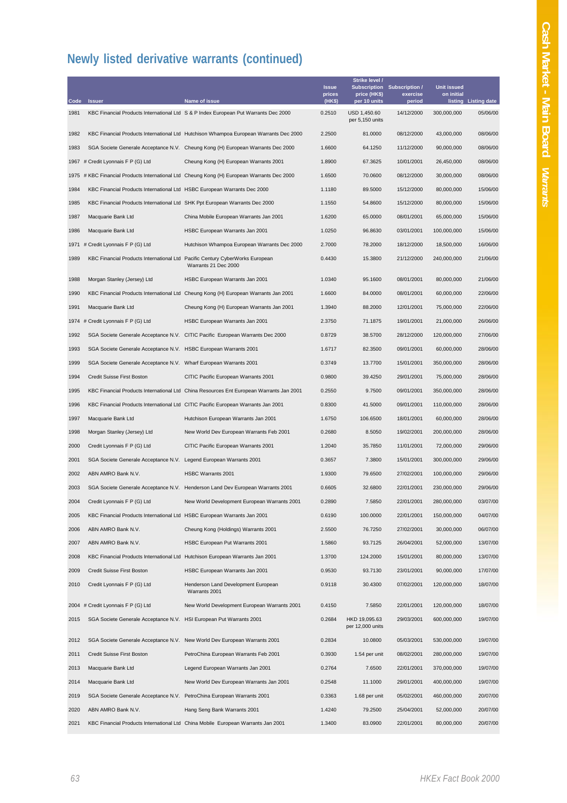| Code | <b>Issuer</b>                                                                 | Name of issue                                                                              | <b>Issue</b><br>prices<br>(HK\$) | Strike level /<br>price (HK\$)<br>per 10 units | Subscription Subscription /<br>exercise<br>period | <b>Unit issued</b><br>on initial | listing Listing date |
|------|-------------------------------------------------------------------------------|--------------------------------------------------------------------------------------------|----------------------------------|------------------------------------------------|---------------------------------------------------|----------------------------------|----------------------|
| 1981 |                                                                               | KBC Financial Products International Ltd S & P Index European Put Warrants Dec 2000        | 0.2510                           | USD 1,450.60<br>per 5,150 units                | 14/12/2000                                        | 300,000,000                      | 05/06/00             |
| 1982 |                                                                               | KBC Financial Products International Ltd Hutchison Whampoa European Warrants Dec 2000      | 2.2500                           | 81.0000                                        | 08/12/2000                                        | 43,000,000                       | 08/06/00             |
| 1983 |                                                                               | SGA Societe Generale Acceptance N.V. Cheung Kong (H) European Warrants Dec 2000            | 1.6600                           | 64.1250                                        | 11/12/2000                                        | 90,000,000                       | 08/06/00             |
|      | 1967 # Credit Lyonnais F P (G) Ltd                                            | Cheung Kong (H) European Warrants 2001                                                     | 1.8900                           | 67.3625                                        | 10/01/2001                                        | 26,450,000                       | 08/06/00             |
|      |                                                                               | 1975 # KBC Financial Products International Ltd Cheung Kong (H) European Warrants Dec 2000 | 1.6500                           | 70.0600                                        | 08/12/2000                                        | 30,000,000                       | 08/06/00             |
| 1984 | KBC Financial Products International Ltd HSBC European Warrants Dec 2000      |                                                                                            | 1.1180                           | 89.5000                                        | 15/12/2000                                        | 80,000,000                       | 15/06/00             |
| 1985 | KBC Financial Products International Ltd SHK Ppt European Warrants Dec 2000   |                                                                                            | 1.1550                           | 54.8600                                        | 15/12/2000                                        | 80,000,000                       | 15/06/00             |
| 1987 | Macquarie Bank Ltd                                                            | China Mobile European Warrants Jan 2001                                                    | 1.6200                           | 65.0000                                        | 08/01/2001                                        | 65,000,000                       | 15/06/00             |
| 1986 | Macquarie Bank Ltd                                                            | HSBC European Warrants Jan 2001                                                            | 1.0250                           | 96.8630                                        | 03/01/2001                                        | 100,000,000                      | 15/06/00             |
|      | 1971 # Credit Lyonnais F P (G) Ltd                                            | Hutchison Whampoa European Warrants Dec 2000                                               | 2.7000                           | 78.2000                                        | 18/12/2000                                        | 18,500,000                       | 16/06/00             |
| 1989 | KBC Financial Products International Ltd Pacific Century CyberWorks European  | Warrants 21 Dec 2000                                                                       | 0.4430                           | 15.3800                                        | 21/12/2000                                        | 240,000,000                      | 21/06/00             |
| 1988 | Morgan Stanley (Jersey) Ltd                                                   | HSBC European Warrants Jan 2001                                                            | 1.0340                           | 95.1600                                        | 08/01/2001                                        | 80,000,000                       | 21/06/00             |
| 1990 |                                                                               | KBC Financial Products International Ltd Cheung Kong (H) European Warrants Jan 2001        | 1.6600                           | 84.0000                                        | 08/01/2001                                        | 60,000,000                       | 22/06/00             |
| 1991 | Macquarie Bank Ltd                                                            | Cheung Kong (H) European Warrants Jan 2001                                                 | 1.3940                           | 88.2000                                        | 12/01/2001                                        | 75,000,000                       | 22/06/00             |
|      | 1974 # Credit Lyonnais F P (G) Ltd                                            | HSBC European Warrants Jan 2001                                                            | 2.3750                           | 71.1875                                        | 19/01/2001                                        | 21,000,000                       | 26/06/00             |
| 1992 |                                                                               | SGA Societe Generale Acceptance N.V. CITIC Pacific European Warrants Dec 2000              | 0.8729                           | 38.5700                                        | 28/12/2000                                        | 120,000,000                      | 27/06/00             |
| 1993 | SGA Societe Generale Acceptance N.V. HSBC European Warrants 2001              |                                                                                            | 1.6717                           | 82.3500                                        | 09/01/2001                                        | 60,000,000                       | 28/06/00             |
| 1999 | SGA Societe Generale Acceptance N.V. Wharf European Warrants 2001             |                                                                                            | 0.3749                           | 13.7700                                        | 15/01/2001                                        | 350,000,000                      | 28/06/00             |
| 1994 | Credit Suisse First Boston                                                    | CITIC Pacific European Warrants 2001                                                       | 0.9800                           | 39.4250                                        | 29/01/2001                                        | 75,000,000                       | 28/06/00             |
| 1995 |                                                                               | KBC Financial Products International Ltd China Resources Ent European Warrants Jan 2001    | 0.2550                           | 9.7500                                         | 09/01/2001                                        | 350,000,000                      | 28/06/00             |
| 1996 |                                                                               | KBC Financial Products International Ltd CITIC Pacific European Warrants Jan 2001          | 0.8300                           | 41.5000                                        | 09/01/2001                                        | 110,000,000                      | 28/06/00             |
| 1997 | Macquarie Bank Ltd                                                            | Hutchison European Warrants Jan 2001                                                       | 1.6750                           | 106.6500                                       | 18/01/2001                                        | 60,000,000                       | 28/06/00             |
| 1998 | Morgan Stanley (Jersey) Ltd                                                   | New World Dev European Warrants Feb 2001                                                   | 0.2680                           | 8.5050                                         | 19/02/2001                                        | 200,000,000                      | 28/06/00             |
| 2000 | Credit Lyonnais F P (G) Ltd                                                   | CITIC Pacific European Warrants 2001                                                       | 1.2040                           | 35.7850                                        | 11/01/2001                                        | 72,000,000                       | 29/06/00             |
| 2001 | SGA Societe Generale Acceptance N.V. Legend European Warrants 2001            |                                                                                            | 0.3657                           | 7.3800                                         | 15/01/2001                                        | 300,000,000                      | 29/06/00             |
| 2002 | ABN AMRO Bank N.V.                                                            | HSBC Warrants 2001                                                                         | 1.9300                           | 79.6500                                        | 27/02/2001                                        | 100,000,000                      | 29/06/00             |
| 2003 |                                                                               | SGA Societe Generale Acceptance N.V. Henderson Land Dev European Warrants 2001             | 0.6605                           | 32.6800                                        | 22/01/2001                                        | 230,000,000                      | 29/06/00             |
| 2004 | Credit Lyonnais F P (G) Ltd                                                   | New World Development European Warrants 2001                                               | 0.2890                           | 7.5850                                         | 22/01/2001                                        | 280,000,000                      | 03/07/00             |
| 2005 | KBC Financial Products International Ltd HSBC European Warrants Jan 2001      |                                                                                            | 0.6190                           | 100.0000                                       | 22/01/2001                                        | 150,000,000                      | 04/07/00             |
| 2006 | ABN AMRO Bank N.V.                                                            | Cheung Kong (Holdings) Warrants 2001                                                       | 2.5500                           | 76.7250                                        | 27/02/2001                                        | 30,000,000                       | 06/07/00             |
| 2007 | ABN AMRO Bank N.V.                                                            | HSBC European Put Warrants 2001                                                            | 1.5860                           | 93.7125                                        | 26/04/2001                                        | 52,000,000                       | 13/07/00             |
| 2008 | KBC Financial Products International Ltd Hutchison European Warrants Jan 2001 |                                                                                            | 1.3700                           | 124.2000                                       | 15/01/2001                                        | 80,000,000                       | 13/07/00             |
| 2009 | Credit Suisse First Boston                                                    | HSBC European Warrants Jan 2001                                                            | 0.9530                           | 93.7130                                        | 23/01/2001                                        | 90,000,000                       | 17/07/00             |
| 2010 | Credit Lyonnais F P (G) Ltd                                                   | Henderson Land Development European<br>Warrants 2001                                       | 0.9118                           | 30.4300                                        | 07/02/2001                                        | 120,000,000                      | 18/07/00             |
|      | 2004 # Credit Lyonnais F P (G) Ltd                                            | New World Development European Warrants 2001                                               | 0.4150                           | 7.5850                                         | 22/01/2001                                        | 120,000,000                      | 18/07/00             |
| 2015 | SGA Societe Generale Acceptance N.V. HSI European Put Warrants 2001           |                                                                                            | 0.2684                           | HKD 19,095.63<br>per 12,000 units              | 29/03/2001                                        | 600,000,000                      | 19/07/00             |
| 2012 |                                                                               | SGA Societe Generale Acceptance N.V. New World Dev European Warrants 2001                  | 0.2834                           | 10.0800                                        | 05/03/2001                                        | 530,000,000                      | 19/07/00             |
| 2011 | Credit Suisse First Boston                                                    | PetroChina European Warrants Feb 2001                                                      | 0.3930                           | 1.54 per unit                                  | 08/02/2001                                        | 280,000,000                      | 19/07/00             |
| 2013 | Macquarie Bank Ltd                                                            | Legend European Warrants Jan 2001                                                          | 0.2764                           | 7.6500                                         | 22/01/2001                                        | 370,000,000                      | 19/07/00             |
| 2014 | Macquarie Bank Ltd                                                            | New World Dev European Warrants Jan 2001                                                   | 0.2548                           | 11.1000                                        | 29/01/2001                                        | 400,000,000                      | 19/07/00             |
| 2019 | SGA Societe Generale Acceptance N.V. PetroChina European Warrants 2001        |                                                                                            | 0.3363                           | 1.68 per unit                                  | 05/02/2001                                        | 460,000,000                      | 20/07/00             |
| 2020 | ABN AMRO Bank N.V.                                                            | Hang Seng Bank Warrants 2001                                                               | 1.4240                           | 79.2500                                        | 25/04/2001                                        | 52,000,000                       | 20/07/00             |
| 2021 |                                                                               | KBC Financial Products International Ltd China Mobile European Warrants Jan 2001           | 1.3400                           | 83.0900                                        | 22/01/2001                                        | 80,000,000                       | 20/07/00             |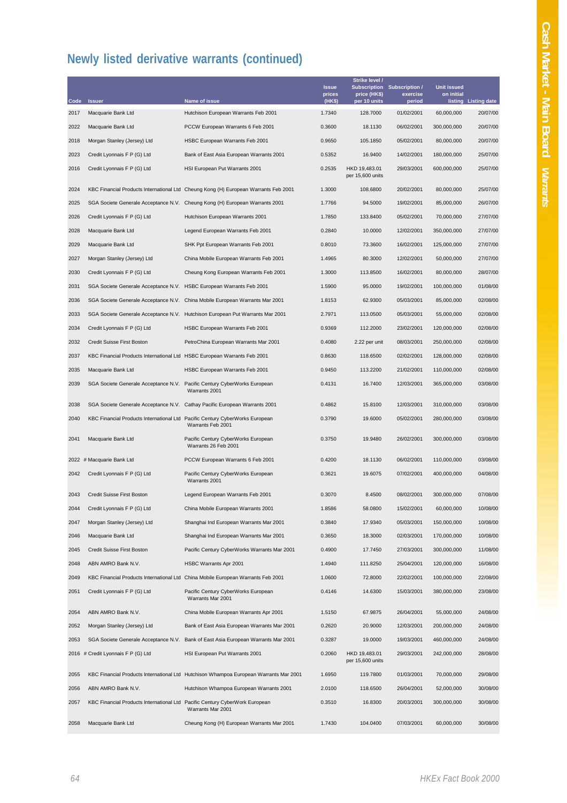|              | <b>Issuer</b>                                                                | Name of issue                                                                         | <b>Issue</b><br>prices<br>(HK\$) | Strike level /<br>price (HK\$)<br>per 10 units | Subscription Subscription /<br>exercise | <b>Unit issued</b><br>on initial | listing Listing date |
|--------------|------------------------------------------------------------------------------|---------------------------------------------------------------------------------------|----------------------------------|------------------------------------------------|-----------------------------------------|----------------------------------|----------------------|
| Code<br>2017 | Macquarie Bank Ltd                                                           | Hutchison European Warrants Feb 2001                                                  | 1.7340                           | 128.7000                                       | period<br>01/02/2001                    | 60,000,000                       | 20/07/00             |
| 2022         | Macquarie Bank Ltd                                                           | PCCW European Warrants 6 Feb 2001                                                     | 0.3600                           | 18.1130                                        | 06/02/2001                              | 300,000,000                      | 20/07/00             |
| 2018         | Morgan Stanley (Jersey) Ltd                                                  | HSBC European Warrants Feb 2001                                                       | 0.9650                           | 105.1850                                       | 05/02/2001                              | 80,000,000                       | 20/07/00             |
| 2023         | Credit Lyonnais F P (G) Ltd                                                  | Bank of East Asia European Warrants 2001                                              | 0.5352                           | 16.9400                                        | 14/02/2001                              | 180,000,000                      | 25/07/00             |
| 2016         | Credit Lyonnais F P (G) Ltd                                                  | HSI European Put Warrants 2001                                                        | 0.2535                           | HKD 19,483.01<br>per 15,600 units              | 29/03/2001                              | 600,000,000                      | 25/07/00             |
| 2024         |                                                                              | KBC Financial Products International Ltd Cheung Kong (H) European Warrants Feb 2001   | 1.3000                           | 108.6800                                       | 20/02/2001                              | 80,000,000                       | 25/07/00             |
| 2025         |                                                                              | SGA Societe Generale Acceptance N.V. Cheung Kong (H) European Warrants 2001           | 1.7766                           | 94.5000                                        | 19/02/2001                              | 85,000,000                       | 26/07/00             |
| 2026         | Credit Lyonnais F P (G) Ltd                                                  | Hutchison European Warrants 2001                                                      | 1.7850                           | 133.8400                                       | 05/02/2001                              | 70,000,000                       | 27/07/00             |
| 2028         | Macquarie Bank Ltd                                                           | Legend European Warrants Feb 2001                                                     | 0.2840                           | 10.0000                                        | 12/02/2001                              | 350,000,000                      | 27/07/00             |
| 2029         | Macquarie Bank Ltd                                                           | SHK Ppt European Warrants Feb 2001                                                    | 0.8010                           | 73.3600                                        | 16/02/2001                              | 125,000,000                      | 27/07/00             |
| 2027         | Morgan Stanley (Jersey) Ltd                                                  | China Mobile European Warrants Feb 2001                                               | 1.4965                           | 80.3000                                        | 12/02/2001                              | 50,000,000                       | 27/07/00             |
| 2030         | Credit Lyonnais F P (G) Ltd                                                  | Cheung Kong European Warrants Feb 2001                                                | 1.3000                           | 113.8500                                       | 16/02/2001                              | 80,000,000                       | 28/07/00             |
| 2031         | SGA Societe Generale Acceptance N.V.                                         | HSBC European Warrants Feb 2001                                                       | 1.5900                           | 95.0000                                        | 19/02/2001                              | 100,000,000                      | 01/08/00             |
| 2036         |                                                                              | SGA Societe Generale Acceptance N.V. China Mobile European Warrants Mar 2001          | 1.8153                           | 62.9300                                        | 05/03/2001                              | 85,000,000                       | 02/08/00             |
| 2033         |                                                                              | SGA Societe Generale Acceptance N.V. Hutchison European Put Warrants Mar 2001         | 2.7971                           | 113.0500                                       | 05/03/2001                              | 55,000,000                       | 02/08/00             |
| 2034         | Credit Lyonnais F P (G) Ltd                                                  | HSBC European Warrants Feb 2001                                                       | 0.9369                           | 112.2000                                       | 23/02/2001                              | 120,000,000                      | 02/08/00             |
| 2032         | Credit Suisse First Boston                                                   | PetroChina European Warrants Mar 2001                                                 | 0.4080                           | 2.22 per unit                                  | 08/03/2001                              | 250,000,000                      | 02/08/00             |
| 2037         | KBC Financial Products International Ltd HSBC European Warrants Feb 2001     |                                                                                       | 0.8630                           | 118.6500                                       | 02/02/2001                              | 128,000,000                      | 02/08/00             |
| 2035         | Macquarie Bank Ltd                                                           | HSBC European Warrants Feb 2001                                                       | 0.9450                           | 113.2200                                       | 21/02/2001                              | 110,000,000                      | 02/08/00             |
| 2039         | SGA Societe Generale Acceptance N.V.                                         | Pacific Century CyberWorks European<br>Warrants 2001                                  | 0.4131                           | 16.7400                                        | 12/03/2001                              | 365,000,000                      | 03/08/00             |
| 2038         | SGA Societe Generale Acceptance N.V. Cathay Pacific European Warrants 2001   |                                                                                       | 0.4862                           | 15.8100                                        | 12/03/2001                              | 310,000,000                      | 03/08/00             |
| 2040         | KBC Financial Products International Ltd Pacific Century CyberWorks European | Warrants Feb 2001                                                                     | 0.3790                           | 19.6000                                        | 05/02/2001                              | 280,000,000                      | 03/08/00             |
| 2041         | Macquarie Bank Ltd                                                           | Pacific Century CyberWorks European<br>Warrants 26 Feb 2001                           | 0.3750                           | 19.9480                                        | 26/02/2001                              | 300,000,000                      | 03/08/00             |
|              | 2022 # Macquarie Bank Ltd                                                    | PCCW European Warrants 6 Feb 2001                                                     | 0.4200                           | 18.1130                                        | 06/02/2001                              | 110,000,000                      | 03/08/00             |
| 2042         | Credit Lyonnais F P (G) Ltd                                                  | Pacific Century CyberWorks European<br>Warrants 2001                                  | 0.3621                           | 19.6075                                        | 07/02/2001                              | 400,000,000                      | 04/08/00             |
| 2043         | Credit Suisse First Boston                                                   | Legend European Warrants Feb 2001                                                     | 0.3070                           | 8.4500                                         | 08/02/2001                              | 300,000,000                      | 07/08/00             |
| 2044         | Credit Lyonnais F P (G) Ltd                                                  | China Mobile European Warrants 2001                                                   | 1.8586                           | 58.0800                                        | 15/02/2001                              | 60,000,000                       | 10/08/00             |
| 2047         | Morgan Stanley (Jersey) Ltd                                                  | Shanghai Ind European Warrants Mar 2001                                               | 0.3840                           | 17.9340                                        | 05/03/2001                              | 150,000,000                      | 10/08/00             |
| 2046         | Macquarie Bank Ltd                                                           | Shanghai Ind European Warrants Mar 2001                                               | 0.3650                           | 18.3000                                        | 02/03/2001                              | 170,000,000                      | 10/08/00             |
| 2045         | Credit Suisse First Boston                                                   | Pacific Century CyberWorks Warrants Mar 2001                                          | 0.4900                           | 17.7450                                        | 27/03/2001                              | 300,000,000                      | 11/08/00             |
| 2048         | ABN AMRO Bank N.V.                                                           | HSBC Warrants Apr 2001                                                                | 1.4940                           | 111.8250                                       | 25/04/2001                              | 120,000,000                      | 16/08/00             |
| 2049         |                                                                              | KBC Financial Products International Ltd China Mobile European Warrants Feb 2001      | 1.0600                           | 72.8000                                        | 22/02/2001                              | 100,000,000                      | 22/08/00             |
| 2051         | Credit Lyonnais F P (G) Ltd                                                  | Pacific Century CyberWorks European<br>Warrants Mar 2001                              | 0.4146                           | 14.6300                                        | 15/03/2001                              | 380,000,000                      | 23/08/00             |
| 2054         | ABN AMRO Bank N.V.                                                           | China Mobile European Warrants Apr 2001                                               | 1.5150                           | 67.9875                                        | 26/04/2001                              | 55,000,000                       | 24/08/00             |
| 2052         | Morgan Stanley (Jersey) Ltd                                                  | Bank of East Asia European Warrants Mar 2001                                          | 0.2620                           | 20.9000                                        | 12/03/2001                              | 200,000,000                      | 24/08/00             |
| 2053         |                                                                              | SGA Societe Generale Acceptance N.V. Bank of East Asia European Warrants Mar 2001     | 0.3287                           | 19.0000                                        | 19/03/2001                              | 460,000,000                      | 24/08/00             |
|              | 2016 # Credit Lyonnais F P (G) Ltd                                           | HSI European Put Warrants 2001                                                        | 0.2060                           | HKD 19,483.01<br>per 15,600 units              | 29/03/2001                              | 242,000,000                      | 28/08/00             |
| 2055         |                                                                              | KBC Financial Products International Ltd Hutchison Whampoa European Warrants Mar 2001 | 1.6950                           | 119.7800                                       | 01/03/2001                              | 70,000,000                       | 29/08/00             |
| 2056         | ABN AMRO Bank N.V.                                                           | Hutchison Whampoa European Warrants 2001                                              | 2.0100                           | 118.6500                                       | 26/04/2001                              | 52,000,000                       | 30/08/00             |
| 2057         | KBC Financial Products International Ltd Pacific Century CyberWork European  | Warrants Mar 2001                                                                     | 0.3510                           | 16.8300                                        | 20/03/2001                              | 300,000,000                      | 30/08/00             |
| 2058         | Macquarie Bank Ltd                                                           | Cheung Kong (H) European Warrants Mar 2001                                            | 1.7430                           | 104.0400                                       | 07/03/2001                              | 60,000,000                       | 30/08/00             |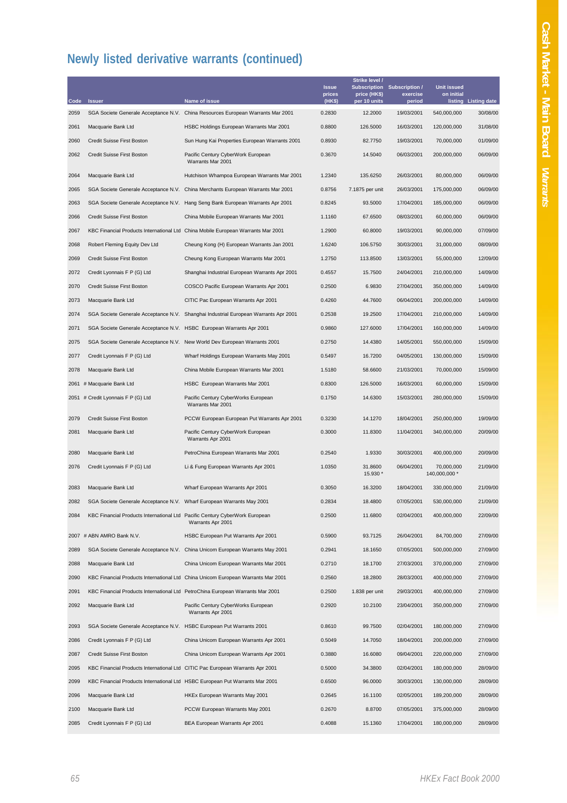|      |                                                                             |                                                                                     | <b>Issue</b>     | Strike level /<br>Subscription | <b>Subscription /</b> | <b>Unit issued</b>          |                      |
|------|-----------------------------------------------------------------------------|-------------------------------------------------------------------------------------|------------------|--------------------------------|-----------------------|-----------------------------|----------------------|
| Code | <b>Issuer</b>                                                               | Name of issue                                                                       | prices<br>(HK\$) | price (HK\$)<br>per 10 units   | exercise<br>period    | on initial                  | listing Listing date |
| 2059 |                                                                             | SGA Societe Generale Acceptance N.V. China Resources European Warrants Mar 2001     | 0.2830           | 12.2000                        | 19/03/2001            | 540,000,000                 | 30/08/00             |
| 2061 | Macquarie Bank Ltd                                                          | HSBC Holdings European Warrants Mar 2001                                            | 0.8800           | 126.5000                       | 16/03/2001            | 120,000,000                 | 31/08/00             |
| 2060 | Credit Suisse First Boston                                                  | Sun Hung Kai Properties European Warrants 2001                                      | 0.8930           | 82.7750                        | 19/03/2001            | 70,000,000                  | 01/09/00             |
| 2062 | Credit Suisse First Boston                                                  | Pacific Century CyberWork European<br>Warrants Mar 2001                             | 0.3670           | 14.5040                        | 06/03/2001            | 200,000,000                 | 06/09/00             |
| 2064 | Macquarie Bank Ltd                                                          | Hutchison Whampoa European Warrants Mar 2001                                        | 1.2340           | 135.6250                       | 26/03/2001            | 80,000,000                  | 06/09/00             |
| 2065 |                                                                             | SGA Societe Generale Acceptance N.V. China Merchants European Warrants Mar 2001     | 0.8756           | 7.1875 per unit                | 26/03/2001            | 175,000,000                 | 06/09/00             |
| 2063 |                                                                             | SGA Societe Generale Acceptance N.V. Hang Seng Bank European Warrants Apr 2001      | 0.8245           | 93.5000                        | 17/04/2001            | 185,000,000                 | 06/09/00             |
| 2066 | Credit Suisse First Boston                                                  | China Mobile European Warrants Mar 2001                                             | 1.1160           | 67.6500                        | 08/03/2001            | 60,000,000                  | 06/09/00             |
| 2067 |                                                                             | KBC Financial Products International Ltd China Mobile European Warrants Mar 2001    | 1.2900           | 60.8000                        | 19/03/2001            | 90,000,000                  | 07/09/00             |
| 2068 | Robert Fleming Equity Dev Ltd                                               | Cheung Kong (H) European Warrants Jan 2001                                          | 1.6240           | 106.5750                       | 30/03/2001            | 31,000,000                  | 08/09/00             |
| 2069 | Credit Suisse First Boston                                                  | Cheung Kong European Warrants Mar 2001                                              | 1.2750           | 113.8500                       | 13/03/2001            | 55,000,000                  | 12/09/00             |
| 2072 | Credit Lyonnais F P (G) Ltd                                                 | Shanghai Industrial European Warrants Apr 2001                                      | 0.4557           | 15.7500                        | 24/04/2001            | 210,000,000                 | 14/09/00             |
| 2070 | Credit Suisse First Boston                                                  | COSCO Pacific European Warrants Apr 2001                                            | 0.2500           | 6.9830                         | 27/04/2001            | 350,000,000                 | 14/09/00             |
| 2073 | Macquarie Bank Ltd                                                          | CITIC Pac European Warrants Apr 2001                                                | 0.4260           | 44.7600                        | 06/04/2001            | 200,000,000                 | 14/09/00             |
| 2074 |                                                                             | SGA Societe Generale Acceptance N.V. Shanghai Industrial European Warrants Apr 2001 | 0.2538           | 19.2500                        | 17/04/2001            | 210,000,000                 | 14/09/00             |
| 2071 | SGA Societe Generale Acceptance N.V. HSBC European Warrants Apr 2001        |                                                                                     | 0.9860           | 127.6000                       | 17/04/2001            | 160,000,000                 | 14/09/00             |
| 2075 |                                                                             | SGA Societe Generale Acceptance N.V. New World Dev European Warrants 2001           | 0.2750           | 14.4380                        | 14/05/2001            | 550,000,000                 | 15/09/00             |
| 2077 | Credit Lyonnais F P (G) Ltd                                                 | Wharf Holdings European Warrants May 2001                                           | 0.5497           | 16.7200                        | 04/05/2001            | 130,000,000                 | 15/09/00             |
| 2078 | Macquarie Bank Ltd                                                          | China Mobile European Warrants Mar 2001                                             | 1.5180           | 58.6600                        | 21/03/2001            | 70,000,000                  | 15/09/00             |
|      | 2061 # Macquarie Bank Ltd                                                   | HSBC European Warrants Mar 2001                                                     | 0.8300           | 126.5000                       | 16/03/2001            | 60,000,000                  | 15/09/00             |
|      | 2051 # Credit Lyonnais F P (G) Ltd                                          | Pacific Century CyberWorks European<br>Warrants Mar 2001                            | 0.1750           | 14.6300                        | 15/03/2001            | 280,000,000                 | 15/09/00             |
| 2079 | Credit Suisse First Boston                                                  | PCCW European European Put Warrants Apr 2001                                        | 0.3230           | 14.1270                        | 18/04/2001            | 250,000,000                 | 19/09/00             |
| 2081 | Macquarie Bank Ltd                                                          | Pacific Century CyberWork European<br>Warrants Apr 2001                             | 0.3000           | 11.8300                        | 11/04/2001            | 340,000,000                 | 20/09/00             |
| 2080 | Macquarie Bank Ltd                                                          | PetroChina European Warrants Mar 2001                                               | 0.2540           | 1.9330                         | 30/03/2001            | 400,000,000                 | 20/09/00             |
| 2076 | Credit Lyonnais F P (G) Ltd                                                 | Li & Fung European Warrants Apr 2001                                                | 1.0350           | 31.8600<br>15.930 *            | 06/04/2001            | 70,000,000<br>140,000,000 * | 21/09/00             |
| 2083 | Macquarie Bank Ltd                                                          | Wharf European Warrants Apr 2001                                                    | 0.3050           | 16.3200                        | 18/04/2001            | 330,000,000                 | 21/09/00             |
| 2082 | SGA Societe Generale Acceptance N.V. Wharf European Warrants May 2001       |                                                                                     | 0.2834           | 18.4800                        | 07/05/2001            | 530,000,000                 | 21/09/00             |
| 2084 | KBC Financial Products International Ltd Pacific Century CyberWork European | Warrants Apr 2001                                                                   | 0.2500           | 11.6800                        | 02/04/2001            | 400,000,000                 | 22/09/00             |
|      | 2007 # ABN AMRO Bank N.V.                                                   | HSBC European Put Warrants Apr 2001                                                 | 0.5900           | 93.7125                        | 26/04/2001            | 84,700,000                  | 27/09/00             |
| 2089 |                                                                             | SGA Societe Generale Acceptance N.V. China Unicom European Warrants May 2001        | 0.2941           | 18.1650                        | 07/05/2001            | 500,000,000                 | 27/09/00             |
| 2088 | Macquarie Bank Ltd                                                          | China Unicom European Warrants Mar 2001                                             | 0.2710           | 18.1700                        | 27/03/2001            | 370,000,000                 | 27/09/00             |
| 2090 |                                                                             | KBC Financial Products International Ltd China Unicom European Warrants Mar 2001    | 0.2560           | 18.2800                        | 28/03/2001            | 400,000,000                 | 27/09/00             |
| 2091 |                                                                             | KBC Financial Products International Ltd PetroChina European Warrants Mar 2001      | 0.2500           | 1.838 per unit                 | 29/03/2001            | 400,000,000                 | 27/09/00             |
| 2092 | Macquarie Bank Ltd                                                          | Pacific Century CyberWorks European<br>Warrants Apr 2001                            | 0.2920           | 10.2100                        | 23/04/2001            | 350,000,000                 | 27/09/00             |
| 2093 | SGA Societe Generale Acceptance N.V. HSBC European Put Warrants 2001        |                                                                                     | 0.8610           | 99.7500                        | 02/04/2001            | 180,000,000                 | 27/09/00             |
| 2086 | Credit Lyonnais F P (G) Ltd                                                 | China Unicom European Warrants Apr 2001                                             | 0.5049           | 14.7050                        | 18/04/2001            | 200,000,000                 | 27/09/00             |
| 2087 | Credit Suisse First Boston                                                  | China Unicom European Warrants Apr 2001                                             | 0.3880           | 16.6080                        | 09/04/2001            | 220,000,000                 | 27/09/00             |
| 2095 |                                                                             | KBC Financial Products International Ltd CITIC Pac European Warrants Apr 2001       | 0.5000           | 34.3800                        | 02/04/2001            | 180,000,000                 | 28/09/00             |
| 2099 |                                                                             | KBC Financial Products International Ltd HSBC European Put Warrants Mar 2001        | 0.6500           | 96.0000                        | 30/03/2001            | 130,000,000                 | 28/09/00             |
| 2096 | Macquarie Bank Ltd                                                          | HKEx European Warrants May 2001                                                     | 0.2645           | 16.1100                        | 02/05/2001            | 189,200,000                 | 28/09/00             |
| 2100 | Macquarie Bank Ltd                                                          | PCCW European Warrants May 2001                                                     | 0.2670           | 8.8700                         | 07/05/2001            | 375,000,000                 | 28/09/00             |
| 2085 | Credit Lyonnais F P (G) Ltd                                                 | BEA European Warrants Apr 2001                                                      | 0.4088           | 15.1360                        | 17/04/2001            | 180,000,000                 | 28/09/00             |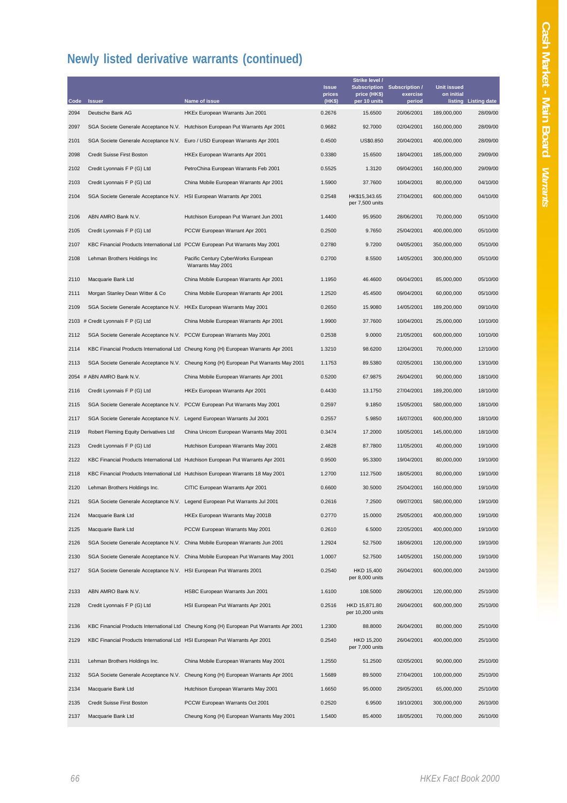| Code | <b>Issuer</b>                                                               | Name of issue                                                                           | <b>Issue</b><br>prices<br>(HK\$) | Strike level /<br>price (HK\$)<br>per 10 units | Subscription Subscription /<br>exercise<br>period | <b>Unit issued</b><br>on initial | listing Listing date |
|------|-----------------------------------------------------------------------------|-----------------------------------------------------------------------------------------|----------------------------------|------------------------------------------------|---------------------------------------------------|----------------------------------|----------------------|
| 2094 | Deutsche Bank AG                                                            | HKEx European Warrants Jun 2001                                                         | 0.2676                           | 15.6500                                        | 20/06/2001                                        | 189,000,000                      | 28/09/00             |
| 2097 |                                                                             | SGA Societe Generale Acceptance N.V. Hutchison European Put Warrants Apr 2001           | 0.9682                           | 92.7000                                        | 02/04/2001                                        | 160,000,000                      | 28/09/00             |
| 2101 | SGA Societe Generale Acceptance N.V.                                        | Euro / USD European Warrants Apr 2001                                                   | 0.4500                           | US\$0.850                                      | 20/04/2001                                        | 400,000,000                      | 28/09/00             |
| 2098 | Credit Suisse First Boston                                                  | HKEx European Warrants Apr 2001                                                         | 0.3380                           | 15.6500                                        | 18/04/2001                                        | 185,000,000                      | 29/09/00             |
| 2102 | Credit Lyonnais F P (G) Ltd                                                 | PetroChina European Warrants Feb 2001                                                   | 0.5525                           | 1.3120                                         | 09/04/2001                                        | 160,000,000                      | 29/09/00             |
| 2103 | Credit Lyonnais F P (G) Ltd                                                 | China Mobile European Warrants Apr 2001                                                 | 1.5900                           | 37.7600                                        | 10/04/2001                                        | 80,000,000                       | 04/10/00             |
| 2104 | SGA Societe Generale Acceptance N.V. HSI European Warrants Apr 2001         |                                                                                         | 0.2548                           | HK\$15,343.65<br>per 7,500 units               | 27/04/2001                                        | 600,000,000                      | 04/10/00             |
| 2106 | ABN AMRO Bank N.V.                                                          | Hutchison European Put Warrant Jun 2001                                                 | 1.4400                           | 95.9500                                        | 28/06/2001                                        | 70,000,000                       | 05/10/00             |
| 2105 | Credit Lyonnais F P (G) Ltd                                                 | PCCW European Warrant Apr 2001                                                          | 0.2500                           | 9.7650                                         | 25/04/2001                                        | 400,000,000                      | 05/10/00             |
| 2107 |                                                                             | KBC Financial Products International Ltd PCCW European Put Warrants May 2001            | 0.2780                           | 9.7200                                         | 04/05/2001                                        | 350,000,000                      | 05/10/00             |
| 2108 | Lehman Brothers Holdings Inc                                                | Pacific Century CyberWorks European<br>Warrants May 2001                                | 0.2700                           | 8.5500                                         | 14/05/2001                                        | 300,000,000                      | 05/10/00             |
| 2110 | Macquarie Bank Ltd                                                          | China Mobile European Warrants Apr 2001                                                 | 1.1950                           | 46.4600                                        | 06/04/2001                                        | 85,000,000                       | 05/10/00             |
| 2111 | Morgan Stanley Dean Witter & Co                                             | China Mobile European Warrants Apr 2001                                                 | 1.2520                           | 45.4500                                        | 09/04/2001                                        | 60,000,000                       | 05/10/00             |
| 2109 | SGA Societe Generale Acceptance N.V. HKEx European Warrants May 2001        |                                                                                         | 0.2650                           | 15.9080                                        | 14/05/2001                                        | 189,200,000                      | 09/10/00             |
|      | 2103 # Credit Lyonnais F P (G) Ltd                                          | China Mobile European Warrants Apr 2001                                                 | 1.9900                           | 37.7600                                        | 10/04/2001                                        | 25,000,000                       | 10/10/00             |
| 2112 | SGA Societe Generale Acceptance N.V.                                        | PCCW European Warrants May 2001                                                         | 0.2538                           | 9.0000                                         | 21/05/2001                                        | 600,000,000                      | 10/10/00             |
| 2114 |                                                                             | KBC Financial Products International Ltd Cheung Kong (H) European Warrants Apr 2001     | 1.3210                           | 98.6200                                        | 12/04/2001                                        | 70,000,000                       | 12/10/00             |
| 2113 |                                                                             | SGA Societe Generale Acceptance N.V. Cheung Kong (H) European Put Warrants May 2001     | 1.1753                           | 89.5380                                        | 02/05/2001                                        | 130,000,000                      | 13/10/00             |
|      | 2054 # ABN AMRO Bank N.V.                                                   | China Mobile European Warrants Apr 2001                                                 | 0.5200                           | 67.9875                                        | 26/04/2001                                        | 90,000,000                       | 18/10/00             |
| 2116 | Credit Lyonnais F P (G) Ltd                                                 | HKEx European Warrants Apr 2001                                                         | 0.4430                           | 13.1750                                        | 27/04/2001                                        | 189,200,000                      | 18/10/00             |
| 2115 | SGA Societe Generale Acceptance N.V.                                        | PCCW European Put Warrants May 2001                                                     | 0.2597                           | 9.1850                                         | 15/05/2001                                        | 580,000,000                      | 18/10/00             |
| 2117 | SGA Societe Generale Acceptance N.V. Legend European Warrants Jul 2001      |                                                                                         | 0.2557                           | 5.9850                                         | 16/07/2001                                        | 600,000,000                      | 18/10/00             |
| 2119 | Robert Fleming Equity Derivatives Ltd                                       | China Unicom European Warrants May 2001                                                 | 0.3474                           | 17.2000                                        | 10/05/2001                                        | 145,000,000                      | 18/10/00             |
| 2123 | Credit Lyonnais F P (G) Ltd                                                 | Hutchison European Warrants May 2001                                                    | 2.4828                           | 87.7800                                        | 11/05/2001                                        | 40,000,000                       | 19/10/00             |
| 2122 |                                                                             | KBC Financial Products International Ltd Hutchison European Put Warrants Apr 2001       | 0.9500                           | 95.3300                                        | 19/04/2001                                        | 80,000,000                       | 19/10/00             |
| 2118 |                                                                             | KBC Financial Products International Ltd Hutchison European Warrants 18 May 2001        | 1.2700                           | 112.7500                                       | 18/05/2001                                        | 80,000,000                       | 19/10/00             |
| 2120 | Lehman Brothers Holdings Inc.                                               | CITIC European Warrants Apr 2001                                                        | 0.6600                           | 30.5000                                        | 25/04/2001                                        | 160,000,000                      | 19/10/00             |
| 2121 |                                                                             | SGA Societe Generale Acceptance N.V. Legend European Put Warrants Jul 2001              | 0.2616                           | 7.2500                                         | 09/07/2001                                        | 580,000,000                      | 19/10/00             |
| 2124 | Macquarie Bank Ltd                                                          | HKEx European Warrants May 2001B                                                        | 0.2770                           | 15.0000                                        | 25/05/2001                                        | 400,000,000                      | 19/10/00             |
| 2125 | Macquarie Bank Ltd                                                          | PCCW European Warrants May 2001                                                         | 0.2610                           | 6.5000                                         | 22/05/2001                                        | 400,000,000                      | 19/10/00             |
| 2126 |                                                                             | SGA Societe Generale Acceptance N.V. China Mobile European Warrants Jun 2001            | 1.2924                           | 52.7500                                        | 18/06/2001                                        | 120,000,000                      | 19/10/00             |
| 2130 |                                                                             | SGA Societe Generale Acceptance N.V. China Mobile European Put Warrants May 2001        | 1.0007                           | 52.7500                                        | 14/05/2001                                        | 150,000,000                      | 19/10/00             |
| 2127 | SGA Societe Generale Acceptance N.V. HSI European Put Warrants 2001         |                                                                                         | 0.2540                           | HKD 15,400<br>per 8,000 units                  | 26/04/2001                                        | 600,000,000                      | 24/10/00             |
| 2133 | ABN AMRO Bank N.V.                                                          | HSBC European Warrants Jun 2001                                                         | 1.6100                           | 108.5000                                       | 28/06/2001                                        | 120,000,000                      | 25/10/00             |
| 2128 | Credit Lyonnais F P (G) Ltd                                                 | HSI European Put Warrants Apr 2001                                                      | 0.2516                           | HKD 15,871.80<br>per 10,200 units              | 26/04/2001                                        | 600,000,000                      | 25/10/00             |
| 2136 |                                                                             | KBC Financial Products International Ltd Cheung Kong (H) European Put Warrants Apr 2001 | 1.2300                           | 88.8000                                        | 26/04/2001                                        | 80,000,000                       | 25/10/00             |
| 2129 | KBC Financial Products International Ltd HSI European Put Warrants Apr 2001 |                                                                                         | 0.2540                           | HKD 15,200<br>per 7,000 units                  | 26/04/2001                                        | 400,000,000                      | 25/10/00             |
| 2131 | Lehman Brothers Holdings Inc.                                               | China Mobile European Warrants May 2001                                                 | 1.2550                           | 51.2500                                        | 02/05/2001                                        | 90,000,000                       | 25/10/00             |
| 2132 |                                                                             | SGA Societe Generale Acceptance N.V. Cheung Kong (H) European Warrants Apr 2001         | 1.5689                           | 89.5000                                        | 27/04/2001                                        | 100,000,000                      | 25/10/00             |
| 2134 | Macquarie Bank Ltd                                                          | Hutchison European Warrants May 2001                                                    | 1.6650                           | 95.0000                                        | 29/05/2001                                        | 65,000,000                       | 25/10/00             |
| 2135 | Credit Suisse First Boston                                                  | PCCW European Warrants Oct 2001                                                         | 0.2520                           | 6.9500                                         | 19/10/2001                                        | 300,000,000                      | 26/10/00             |
| 2137 | Macquarie Bank Ltd                                                          | Cheung Kong (H) European Warrants May 2001                                              | 1.5400                           | 85.4000                                        | 18/05/2001                                        | 70,000,000                       | 26/10/00             |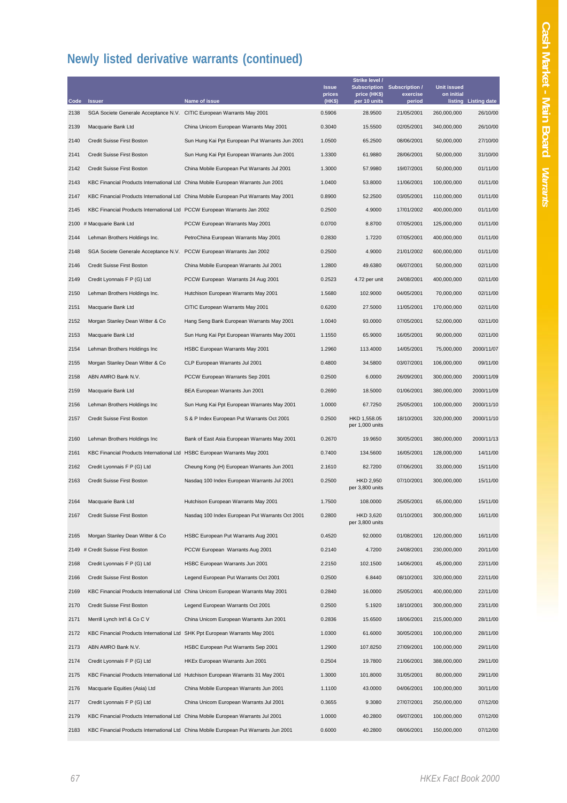|              |                                                                             |                                                                                          | <b>Issue</b><br>prices<br>(HK\$) | Strike level /<br>price (HK\$)      | Subscription Subscription /<br>exercise | <b>Unit issued</b><br>on initial |                                  |
|--------------|-----------------------------------------------------------------------------|------------------------------------------------------------------------------------------|----------------------------------|-------------------------------------|-----------------------------------------|----------------------------------|----------------------------------|
| Code<br>2138 | <b>Issuer</b><br>SGA Societe Generale Acceptance N.V.                       | Name of issue<br>CITIC European Warrants May 2001                                        | 0.5906                           | per 10 units<br>28.9500             | period<br>21/05/2001                    | 260,000,000                      | listing Listing date<br>26/10/00 |
| 2139         | Macquarie Bank Ltd                                                          | China Unicom European Warrants May 2001                                                  | 0.3040                           | 15.5500                             | 02/05/2001                              | 340,000,000                      | 26/10/00                         |
| 2140         | Credit Suisse First Boston                                                  | Sun Hung Kai Ppt European Put Warrants Jun 2001                                          | 1.0500                           | 65.2500                             | 08/06/2001                              | 50,000,000                       | 27/10/00                         |
| 2141         | Credit Suisse First Boston                                                  | Sun Hung Kai Ppt European Warrants Jun 2001                                              | 1.3300                           | 61.9880                             | 28/06/2001                              | 50,000,000                       | 31/10/00                         |
| 2142         | Credit Suisse First Boston                                                  | China Mobile European Put Warrants Jul 2001                                              | 1.3000                           | 57.9980                             | 19/07/2001                              | 50,000,000                       | 01/11/00                         |
| 2143         |                                                                             | KBC Financial Products International Ltd China Mobile European Warrants Jun 2001         | 1.0400                           | 53.8000                             | 11/06/2001                              | 100,000,000                      | 01/11/00                         |
| 2147         |                                                                             | KBC Financial Products International Ltd China Mobile European Put Warrants May 2001     | 0.8900                           | 52.2500                             | 03/05/2001                              | 110,000,000                      | 01/11/00                         |
| 2145         | KBC Financial Products International Ltd PCCW European Warrants Jan 2002    |                                                                                          | 0.2500                           | 4.9000                              | 17/01/2002                              | 400,000,000                      | 01/11/00                         |
| 2100         | # Macquarie Bank Ltd                                                        | PCCW European Warrants May 2001                                                          | 0.0700                           | 8.8700                              | 07/05/2001                              | 125,000,000                      | 01/11/00                         |
| 2144         | Lehman Brothers Holdings Inc.                                               | PetroChina European Warrants May 2001                                                    | 0.2830                           | 1.7220                              | 07/05/2001                              | 400,000,000                      | 01/11/00                         |
| 2148         | SGA Societe Generale Acceptance N.V. PCCW European Warrants Jan 2002        |                                                                                          | 0.2500                           | 4.9000                              | 21/01/2002                              | 600,000,000                      | 01/11/00                         |
| 2146         | Credit Suisse First Boston                                                  | China Mobile European Warrants Jul 2001                                                  | 1.2800                           | 49.6380                             | 06/07/2001                              | 50,000,000                       | 02/11/00                         |
| 2149         | Credit Lyonnais F P (G) Ltd                                                 | PCCW European Warrants 24 Aug 2001                                                       | 0.2523                           | 4.72 per unit                       | 24/08/2001                              | 400,000,000                      | 02/11/00                         |
| 2150         | Lehman Brothers Holdings Inc.                                               | Hutchison European Warrants May 2001                                                     | 1.5680                           | 102.9000                            | 04/05/2001                              | 70,000,000                       | 02/11/00                         |
| 2151         | Macquarie Bank Ltd                                                          | CITIC European Warrants May 2001                                                         | 0.6200                           | 27.5000                             | 11/05/2001                              | 170,000,000                      | 02/11/00                         |
|              |                                                                             |                                                                                          |                                  | 93.0000                             | 07/05/2001                              |                                  | 02/11/00                         |
| 2152         | Morgan Stanley Dean Witter & Co<br>Macquarie Bank Ltd                       | Hang Seng Bank European Warrants May 2001<br>Sun Hung Kai Ppt European Warrants May 2001 | 1.0040                           | 65.9000                             | 16/05/2001                              | 52,000,000<br>90,000,000         | 02/11/00                         |
| 2153         |                                                                             |                                                                                          | 1.1550                           |                                     | 14/05/2001                              |                                  |                                  |
| 2154         | Lehman Brothers Holdings Inc                                                | HSBC European Warrants May 2001                                                          | 1.2960                           | 113.4000                            |                                         | 75,000,000                       | 2000/11/07                       |
| 2155         | Morgan Stanley Dean Witter & Co                                             | CLP European Warrants Jul 2001                                                           | 0.4800                           | 34.5800                             | 03/07/2001                              | 106,000,000                      | 09/11/00                         |
| 2158         | ABN AMRO Bank N.V.                                                          | PCCW European Warrants Sep 2001                                                          | 0.2500                           | 6.0000                              | 26/09/2001                              | 300,000,000                      | 2000/11/09                       |
| 2159         | Macquarie Bank Ltd                                                          | BEA European Warrants Jun 2001                                                           | 0.2690                           | 18.5000                             | 01/06/2001                              | 380,000,000                      | 2000/11/09                       |
| 2156         | Lehman Brothers Holdings Inc                                                | Sun Hung Kai Ppt European Warrants May 2001                                              | 1.0000                           | 67.7250                             | 25/05/2001                              | 100,000,000                      | 2000/11/10                       |
| 2157         | Credit Suisse First Boston                                                  | S & P Index European Put Warrants Oct 2001                                               | 0.2500                           | HKD 1,558.05<br>per 1,000 units     | 18/10/2001                              | 320,000,000                      | 2000/11/10                       |
| 2160         | Lehman Brothers Holdings Inc                                                | Bank of East Asia European Warrants May 2001                                             | 0.2670                           | 19.9650                             | 30/05/2001                              | 380,000,000                      | 2000/11/13                       |
| 2161         | KBC Financial Products International Ltd HSBC European Warrants May 2001    |                                                                                          | 0.7400                           | 134.5600                            | 16/05/2001                              | 128,000,000                      | 14/11/00                         |
| 2162         | Credit Lyonnais F P (G) Ltd                                                 | Cheung Kong (H) European Warrants Jun 2001                                               | 2.1610                           | 82.7200                             | 07/06/2001                              | 33,000,000                       | 15/11/00                         |
| 2163         | Credit Suisse First Boston                                                  | Nasdaq 100 Index European Warrants Jul 2001                                              | 0.2500                           | HKD 2,950<br>per 3,800 units        | 07/10/2001                              | 300,000,000                      | 15/11/00                         |
| 2164         | Macquarie Bank Ltd                                                          | Hutchison European Warrants May 2001                                                     | 1.7500                           | 108.0000                            | 25/05/2001                              | 65,000,000                       | 15/11/00                         |
| 2167         | Credit Suisse First Boston                                                  | Nasdaq 100 Index European Put Warrants Oct 2001                                          | 0.2800                           | <b>HKD 3,620</b><br>per 3,800 units | 01/10/2001                              | 300,000,000                      | 16/11/00                         |
| 2165         | Morgan Stanley Dean Witter & Co                                             | HSBC European Put Warrants Aug 2001                                                      | 0.4520                           | 92.0000                             | 01/08/2001                              | 120,000,000                      | 16/11/00                         |
|              | 2149 # Credit Suisse First Boston                                           | PCCW European Warrants Aug 2001                                                          | 0.2140                           | 4.7200                              | 24/08/2001                              | 230,000,000                      | 20/11/00                         |
| 2168         | Credit Lyonnais F P (G) Ltd                                                 | HSBC European Warrants Jun 2001                                                          | 2.2150                           | 102.1500                            | 14/06/2001                              | 45,000,000                       | 22/11/00                         |
| 2166         | Credit Suisse First Boston                                                  | Legend European Put Warrants Oct 2001                                                    | 0.2500                           | 6.8440                              | 08/10/2001                              | 320,000,000                      | 22/11/00                         |
| 2169         |                                                                             | KBC Financial Products International Ltd China Unicom European Warrants May 2001         | 0.2840                           | 16.0000                             | 25/05/2001                              | 400,000,000                      | 22/11/00                         |
| 2170         | Credit Suisse First Boston                                                  | Legend European Warrants Oct 2001                                                        | 0.2500                           | 5.1920                              | 18/10/2001                              | 300,000,000                      | 23/11/00                         |
| 2171         | Merrill Lynch Int'l & Co C V                                                | China Unicom European Warrants Jun 2001                                                  | 0.2836                           | 15.6500                             | 18/06/2001                              | 215,000,000                      | 28/11/00                         |
| 2172         | KBC Financial Products International Ltd SHK Ppt European Warrants May 2001 |                                                                                          | 1.0300                           | 61.6000                             | 30/05/2001                              | 100,000,000                      | 28/11/00                         |
| 2173         | ABN AMRO Bank N.V.                                                          | HSBC European Put Warrants Sep 2001                                                      | 1.2900                           | 107.8250                            | 27/09/2001                              | 100,000,000                      | 29/11/00                         |
| 2174         | Credit Lyonnais F P (G) Ltd                                                 | HKEx European Warrants Jun 2001                                                          | 0.2504                           | 19.7800                             | 21/06/2001                              | 388,000,000                      | 29/11/00                         |
| 2175         |                                                                             | KBC Financial Products International Ltd Hutchison European Warrants 31 May 2001         | 1.3000                           | 101.8000                            | 31/05/2001                              | 80,000,000                       | 29/11/00                         |
| 2176         | Macquarie Equities (Asia) Ltd                                               | China Mobile European Warrants Jun 2001                                                  | 1.1100                           | 43.0000                             | 04/06/2001                              | 100,000,000                      | 30/11/00                         |
| 2177         | Credit Lyonnais F P (G) Ltd                                                 | China Unicom European Warrants Jul 2001                                                  | 0.3655                           | 9.3080                              | 27/07/2001                              | 250,000,000                      | 07/12/00                         |
| 2179         |                                                                             | KBC Financial Products International Ltd China Mobile European Warrants Jul 2001         | 1.0000                           | 40.2800                             | 09/07/2001                              | 100,000,000                      | 07/12/00                         |
| 2183         |                                                                             | KBC Financial Products International Ltd China Mobile European Put Warrants Jun 2001     | 0.6000                           | 40.2800                             | 08/06/2001                              | 150,000,000                      | 07/12/00                         |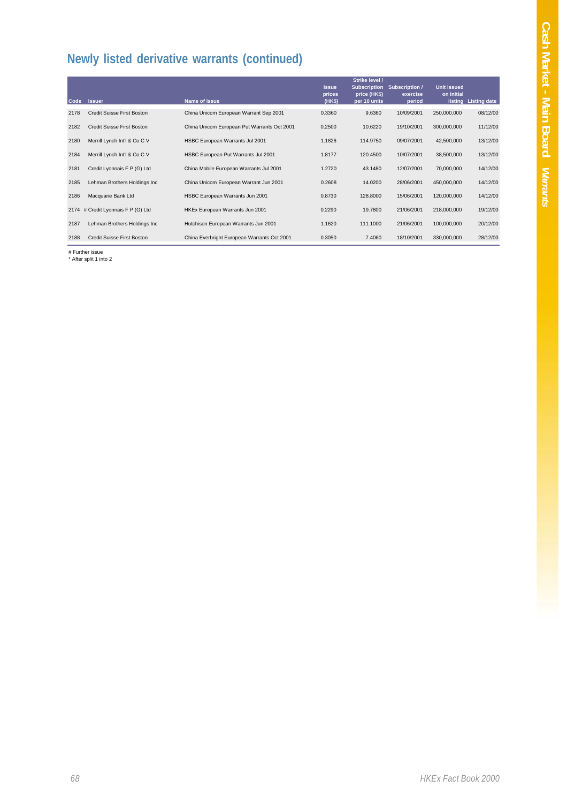| Code | <b>Issuer</b>                     | Name of issue                               | <b>Issue</b><br>prices<br>(HKS) | Strike level /<br><b>Subscription</b><br>price (HK\$)<br>per 10 units | Subscription /<br>exercise<br>period | <b>Unit issued</b><br>on initial | listing Listing date |
|------|-----------------------------------|---------------------------------------------|---------------------------------|-----------------------------------------------------------------------|--------------------------------------|----------------------------------|----------------------|
| 2178 | Credit Suisse First Boston        | China Unicom European Warrant Sep 2001      | 0.3360                          | 9.6360                                                                | 10/09/2001                           | 250,000,000                      | 08/12/00             |
| 2182 | <b>Credit Suisse First Boston</b> | China Unicom European Put Warrants Oct 2001 | 0.2500                          | 10.6220                                                               | 19/10/2001                           | 300,000,000                      | 11/12/00             |
| 2180 | Merrill Lynch Int'l & Co C V      | HSBC European Warrants Jul 2001             | 1.1826                          | 114.9750                                                              | 09/07/2001                           | 42,500,000                       | 13/12/00             |
| 2184 | Merrill Lynch Int'l & Co C V      | HSBC European Put Warrants Jul 2001         | 1.8177                          | 120.4500                                                              | 10/07/2001                           | 38,500,000                       | 13/12/00             |
| 2181 | Credit Lyonnais F P (G) Ltd       | China Mobile European Warrants Jul 2001     | 1.2720                          | 43.1480                                                               | 12/07/2001                           | 70,000,000                       | 14/12/00             |
| 2185 | Lehman Brothers Holdings Inc      | China Unicom European Warrant Jun 2001      | 0.2608                          | 14.0200                                                               | 28/06/2001                           | 450,000,000                      | 14/12/00             |
| 2186 | Macquarie Bank Ltd                | HSBC European Warrants Jun 2001             | 0.8730                          | 128,8000                                                              | 15/06/2001                           | 120,000,000                      | 14/12/00             |
| 2174 | # Credit Lyonnais F P (G) Ltd     | HKEx European Warrants Jun 2001             | 0.2290                          | 19,7800                                                               | 21/06/2001                           | 218,000,000                      | 19/12/00             |
| 2187 | Lehman Brothers Holdings Inc      | Hutchison European Warrants Jun 2001        | 1.1620                          | 111.1000                                                              | 21/06/2001                           | 100,000,000                      | 20/12/00             |
| 2188 | <b>Credit Suisse First Boston</b> | China Everbright European Warrants Oct 2001 | 0.3050                          | 7.4060                                                                | 18/10/2001                           | 330,000,000                      | 28/12/00             |

# Further issue \* After split 1 into 2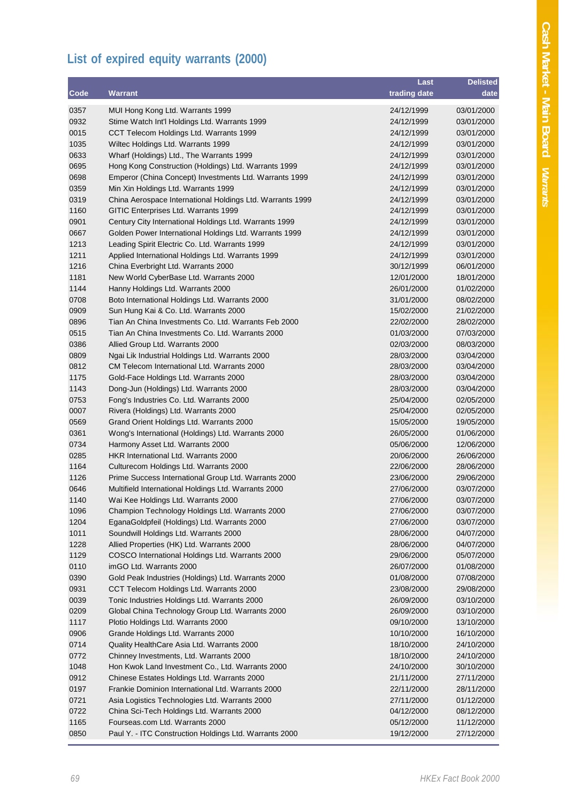## **List of expired equity warrants (2000)**

|      |                                                                                          | Last         | <b>Delisted</b> |
|------|------------------------------------------------------------------------------------------|--------------|-----------------|
| Code | <b>Warrant</b>                                                                           | trading date | date            |
| 0357 | MUI Hong Kong Ltd. Warrants 1999                                                         | 24/12/1999   | 03/01/2000      |
| 0932 | Stime Watch Int'l Holdings Ltd. Warrants 1999                                            | 24/12/1999   | 03/01/2000      |
| 0015 | CCT Telecom Holdings Ltd. Warrants 1999                                                  | 24/12/1999   | 03/01/2000      |
| 1035 | Wiltec Holdings Ltd. Warrants 1999                                                       | 24/12/1999   | 03/01/2000      |
| 0633 | Wharf (Holdings) Ltd., The Warrants 1999                                                 | 24/12/1999   | 03/01/2000      |
| 0695 | Hong Kong Construction (Holdings) Ltd. Warrants 1999                                     | 24/12/1999   | 03/01/2000      |
| 0698 | Emperor (China Concept) Investments Ltd. Warrants 1999                                   | 24/12/1999   | 03/01/2000      |
| 0359 | Min Xin Holdings Ltd. Warrants 1999                                                      | 24/12/1999   | 03/01/2000      |
| 0319 | China Aerospace International Holdings Ltd. Warrants 1999                                | 24/12/1999   | 03/01/2000      |
| 1160 | GITIC Enterprises Ltd. Warrants 1999                                                     | 24/12/1999   | 03/01/2000      |
| 0901 | Century City International Holdings Ltd. Warrants 1999                                   | 24/12/1999   | 03/01/2000      |
| 0667 | Golden Power International Holdings Ltd. Warrants 1999                                   | 24/12/1999   | 03/01/2000      |
| 1213 | Leading Spirit Electric Co. Ltd. Warrants 1999                                           | 24/12/1999   | 03/01/2000      |
| 1211 |                                                                                          | 24/12/1999   | 03/01/2000      |
| 1216 | Applied International Holdings Ltd. Warrants 1999<br>China Everbright Ltd. Warrants 2000 | 30/12/1999   | 06/01/2000      |
| 1181 | New World CyberBase Ltd. Warrants 2000                                                   | 12/01/2000   | 18/01/2000      |
| 1144 | Hanny Holdings Ltd. Warrants 2000                                                        | 26/01/2000   | 01/02/2000      |
| 0708 | Boto International Holdings Ltd. Warrants 2000                                           | 31/01/2000   | 08/02/2000      |
| 0909 | Sun Hung Kai & Co. Ltd. Warrants 2000                                                    | 15/02/2000   | 21/02/2000      |
| 0896 | Tian An China Investments Co. Ltd. Warrants Feb 2000                                     | 22/02/2000   |                 |
|      | Tian An China Investments Co. Ltd. Warrants 2000                                         |              | 28/02/2000      |
| 0515 |                                                                                          | 01/03/2000   | 07/03/2000      |
| 0386 | Allied Group Ltd. Warrants 2000                                                          | 02/03/2000   | 08/03/2000      |
| 0809 | Ngai Lik Industrial Holdings Ltd. Warrants 2000                                          | 28/03/2000   | 03/04/2000      |
| 0812 | CM Telecom International Ltd. Warrants 2000                                              | 28/03/2000   | 03/04/2000      |
| 1175 | Gold-Face Holdings Ltd. Warrants 2000                                                    | 28/03/2000   | 03/04/2000      |
| 1143 | Dong-Jun (Holdings) Ltd. Warrants 2000                                                   | 28/03/2000   | 03/04/2000      |
| 0753 | Fong's Industries Co. Ltd. Warrants 2000                                                 | 25/04/2000   | 02/05/2000      |
| 0007 | Rivera (Holdings) Ltd. Warrants 2000                                                     | 25/04/2000   | 02/05/2000      |
| 0569 | Grand Orient Holdings Ltd. Warrants 2000                                                 | 15/05/2000   | 19/05/2000      |
| 0361 | Wong's International (Holdings) Ltd. Warrants 2000                                       | 26/05/2000   | 01/06/2000      |
| 0734 | Harmony Asset Ltd. Warrants 2000                                                         | 05/06/2000   | 12/06/2000      |
| 0285 | HKR International Ltd. Warrants 2000                                                     | 20/06/2000   | 26/06/2000      |
| 1164 | Culturecom Holdings Ltd. Warrants 2000                                                   | 22/06/2000   | 28/06/2000      |
| 1126 | Prime Success International Group Ltd. Warrants 2000                                     | 23/06/2000   | 29/06/2000      |
| 0646 | Multifield International Holdings Ltd. Warrants 2000                                     | 27/06/2000   | 03/07/2000      |
| 1140 | Wai Kee Holdings Ltd. Warrants 2000                                                      | 27/06/2000   | 03/07/2000      |
| 1096 | Champion Technology Holdings Ltd. Warrants 2000                                          | 27/06/2000   | 03/07/2000      |
| 1204 | EganaGoldpfeil (Holdings) Ltd. Warrants 2000                                             | 27/06/2000   | 03/07/2000      |
| 1011 | Soundwill Holdings Ltd. Warrants 2000                                                    | 28/06/2000   | 04/07/2000      |
| 1228 | Allied Properties (HK) Ltd. Warrants 2000                                                | 28/06/2000   | 04/07/2000      |
| 1129 | COSCO International Holdings Ltd. Warrants 2000                                          | 29/06/2000   | 05/07/2000      |
| 0110 | imGO Ltd. Warrants 2000                                                                  | 26/07/2000   | 01/08/2000      |
| 0390 | Gold Peak Industries (Holdings) Ltd. Warrants 2000                                       | 01/08/2000   | 07/08/2000      |
| 0931 | CCT Telecom Holdings Ltd. Warrants 2000                                                  | 23/08/2000   | 29/08/2000      |
| 0039 | Tonic Industries Holdings Ltd. Warrants 2000                                             | 26/09/2000   | 03/10/2000      |
| 0209 | Global China Technology Group Ltd. Warrants 2000                                         | 26/09/2000   | 03/10/2000      |
| 1117 | Plotio Holdings Ltd. Warrants 2000                                                       | 09/10/2000   | 13/10/2000      |
| 0906 | Grande Holdings Ltd. Warrants 2000                                                       | 10/10/2000   | 16/10/2000      |
| 0714 | Quality HealthCare Asia Ltd. Warrants 2000                                               | 18/10/2000   | 24/10/2000      |
| 0772 | Chinney Investments, Ltd. Warrants 2000                                                  | 18/10/2000   | 24/10/2000      |
| 1048 | Hon Kwok Land Investment Co., Ltd. Warrants 2000                                         | 24/10/2000   | 30/10/2000      |
| 0912 | Chinese Estates Holdings Ltd. Warrants 2000                                              | 21/11/2000   | 27/11/2000      |
| 0197 | Frankie Dominion International Ltd. Warrants 2000                                        | 22/11/2000   | 28/11/2000      |
| 0721 | Asia Logistics Technologies Ltd. Warrants 2000                                           | 27/11/2000   | 01/12/2000      |
| 0722 | China Sci-Tech Holdings Ltd. Warrants 2000                                               | 04/12/2000   | 08/12/2000      |
| 1165 | Fourseas.com Ltd. Warrants 2000                                                          | 05/12/2000   | 11/12/2000      |
| 0850 | Paul Y. - ITC Construction Holdings Ltd. Warrants 2000                                   | 19/12/2000   | 27/12/2000      |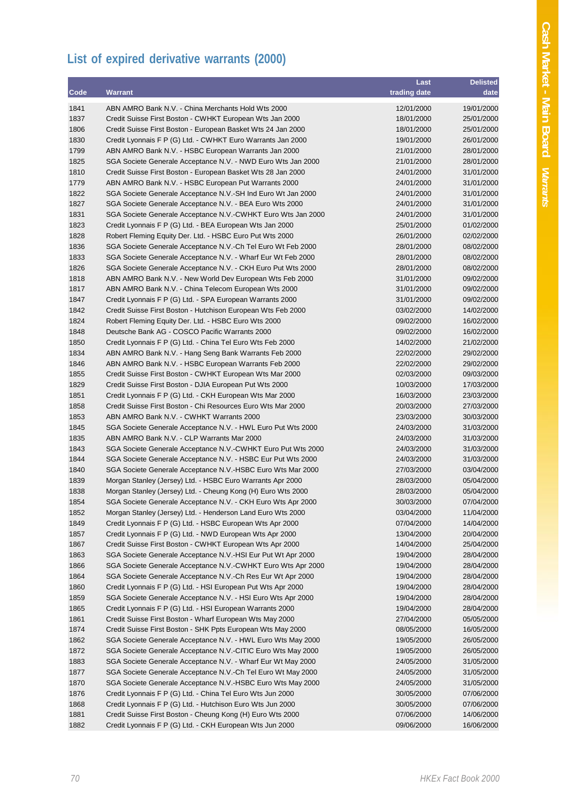## **List of expired derivative warrants (2000)**

|      |                                                                                                                              | Last                     | <b>Delisted</b>          |
|------|------------------------------------------------------------------------------------------------------------------------------|--------------------------|--------------------------|
| Code | <b>Warrant</b>                                                                                                               | trading date             | date                     |
| 1841 | ABN AMRO Bank N.V. - China Merchants Hold Wts 2000                                                                           | 12/01/2000               | 19/01/2000               |
| 1837 | Credit Suisse First Boston - CWHKT European Wts Jan 2000                                                                     | 18/01/2000               | 25/01/2000               |
| 1806 | Credit Suisse First Boston - European Basket Wts 24 Jan 2000                                                                 | 18/01/2000               | 25/01/2000               |
| 1830 | Credit Lyonnais F P (G) Ltd. - CWHKT Euro Warrants Jan 2000                                                                  | 19/01/2000               | 26/01/2000               |
| 1799 | ABN AMRO Bank N.V. - HSBC European Warrants Jan 2000                                                                         | 21/01/2000               | 28/01/2000               |
| 1825 | SGA Societe Generale Acceptance N.V. - NWD Euro Wts Jan 2000                                                                 | 21/01/2000               | 28/01/2000               |
| 1810 | Credit Suisse First Boston - European Basket Wts 28 Jan 2000                                                                 | 24/01/2000               | 31/01/2000               |
| 1779 | ABN AMRO Bank N.V. - HSBC European Put Warrants 2000                                                                         | 24/01/2000               | 31/01/2000               |
| 1822 | SGA Societe Generale Acceptance N.V.-SH Ind Euro Wt Jan 2000                                                                 | 24/01/2000               | 31/01/2000               |
| 1827 | SGA Societe Generale Acceptance N.V. - BEA Euro Wts 2000                                                                     | 24/01/2000               | 31/01/2000               |
| 1831 | SGA Societe Generale Acceptance N.V.-CWHKT Euro Wts Jan 2000                                                                 | 24/01/2000               | 31/01/2000               |
| 1823 | Credit Lyonnais F P (G) Ltd. - BEA European Wts Jan 2000                                                                     | 25/01/2000               | 01/02/2000               |
| 1828 | Robert Fleming Equity Der. Ltd. - HSBC Euro Put Wts 2000                                                                     | 26/01/2000               | 02/02/2000               |
| 1836 | SGA Societe Generale Acceptance N.V.-Ch Tel Euro Wt Feb 2000                                                                 | 28/01/2000               | 08/02/2000               |
| 1833 |                                                                                                                              |                          |                          |
| 1826 | SGA Societe Generale Acceptance N.V. - Wharf Eur Wt Feb 2000<br>SGA Societe Generale Acceptance N.V. - CKH Euro Put Wts 2000 | 28/01/2000<br>28/01/2000 | 08/02/2000<br>08/02/2000 |
| 1818 | ABN AMRO Bank N.V. - New World Dev European Wts Feb 2000                                                                     | 31/01/2000               |                          |
|      |                                                                                                                              |                          | 09/02/2000<br>09/02/2000 |
| 1817 | ABN AMRO Bank N.V. - China Telecom European Wts 2000                                                                         | 31/01/2000               |                          |
| 1847 | Credit Lyonnais F P (G) Ltd. - SPA European Warrants 2000                                                                    | 31/01/2000               | 09/02/2000               |
| 1842 | Credit Suisse First Boston - Hutchison European Wts Feb 2000                                                                 | 03/02/2000               | 14/02/2000               |
| 1824 | Robert Fleming Equity Der. Ltd. - HSBC Euro Wts 2000                                                                         | 09/02/2000               | 16/02/2000               |
| 1848 | Deutsche Bank AG - COSCO Pacific Warrants 2000                                                                               | 09/02/2000               | 16/02/2000               |
| 1850 | Credit Lyonnais F P (G) Ltd. - China Tel Euro Wts Feb 2000                                                                   | 14/02/2000               | 21/02/2000               |
| 1834 | ABN AMRO Bank N.V. - Hang Seng Bank Warrants Feb 2000                                                                        | 22/02/2000               | 29/02/2000               |
| 1846 | ABN AMRO Bank N.V. - HSBC European Warrants Feb 2000                                                                         | 22/02/2000               | 29/02/2000               |
| 1855 | Credit Suisse First Boston - CWHKT European Wts Mar 2000                                                                     | 02/03/2000               | 09/03/2000               |
| 1829 | Credit Suisse First Boston - DJIA European Put Wts 2000                                                                      | 10/03/2000               | 17/03/2000               |
| 1851 | Credit Lyonnais F P (G) Ltd. - CKH European Wts Mar 2000                                                                     | 16/03/2000               | 23/03/2000               |
| 1858 | Credit Suisse First Boston - Chi Resources Euro Wts Mar 2000                                                                 | 20/03/2000               | 27/03/2000               |
| 1853 | ABN AMRO Bank N.V. - CWHKT Warrants 2000                                                                                     | 23/03/2000               | 30/03/2000               |
| 1845 | SGA Societe Generale Acceptance N.V. - HWL Euro Put Wts 2000                                                                 | 24/03/2000               | 31/03/2000               |
| 1835 | ABN AMRO Bank N.V. - CLP Warrants Mar 2000                                                                                   | 24/03/2000               | 31/03/2000               |
| 1843 | SGA Societe Generale Acceptance N.V.-CWHKT Euro Put Wts 2000                                                                 | 24/03/2000               | 31/03/2000               |
| 1844 | SGA Societe Generale Acceptance N.V. - HSBC Eur Put Wts 2000                                                                 | 24/03/2000               | 31/03/2000               |
| 1840 | SGA Societe Generale Acceptance N.V.-HSBC Euro Wts Mar 2000                                                                  | 27/03/2000               | 03/04/2000               |
| 1839 | Morgan Stanley (Jersey) Ltd. - HSBC Euro Warrants Apr 2000                                                                   | 28/03/2000               | 05/04/2000               |
| 1838 | Morgan Stanley (Jersey) Ltd. - Cheung Kong (H) Euro Wts 2000                                                                 | 28/03/2000               | 05/04/2000               |
| 1854 | SGA Societe Generale Acceptance N.V. - CKH Euro Wts Apr 2000                                                                 | 30/03/2000               | 07/04/2000               |
| 1852 | Morgan Stanley (Jersey) Ltd. - Henderson Land Euro Wts 2000                                                                  | 03/04/2000               | 11/04/2000               |
| 1849 | Credit Lyonnais F P (G) Ltd. - HSBC European Wts Apr 2000                                                                    | 07/04/2000               | 14/04/2000               |
| 1857 | Credit Lyonnais F P (G) Ltd. - NWD European Wts Apr 2000                                                                     | 13/04/2000               | 20/04/2000               |
| 1867 | Credit Suisse First Boston - CWHKT European Wts Apr 2000                                                                     | 14/04/2000               | 25/04/2000               |
| 1863 | SGA Societe Generale Acceptance N.V.-HSI Eur Put Wt Apr 2000                                                                 | 19/04/2000               | 28/04/2000               |
| 1866 | SGA Societe Generale Acceptance N.V.-CWHKT Euro Wts Apr 2000                                                                 | 19/04/2000               | 28/04/2000               |
| 1864 | SGA Societe Generale Acceptance N.V.-Ch Res Eur Wt Apr 2000                                                                  | 19/04/2000               | 28/04/2000               |
| 1860 | Credit Lyonnais F P (G) Ltd. - HSI European Put Wts Apr 2000                                                                 | 19/04/2000               | 28/04/2000               |
| 1859 | SGA Societe Generale Acceptance N.V. - HSI Euro Wts Apr 2000                                                                 | 19/04/2000               | 28/04/2000               |
| 1865 | Credit Lyonnais F P (G) Ltd. - HSI European Warrants 2000                                                                    | 19/04/2000               | 28/04/2000               |
| 1861 | Credit Suisse First Boston - Wharf European Wts May 2000                                                                     | 27/04/2000               | 05/05/2000               |
| 1874 | Credit Suisse First Boston - SHK Ppts European Wts May 2000                                                                  | 08/05/2000               | 16/05/2000               |
| 1862 | SGA Societe Generale Acceptance N.V. - HWL Euro Wts May 2000                                                                 | 19/05/2000               | 26/05/2000               |
| 1872 | SGA Societe Generale Acceptance N.V.-CITIC Euro Wts May 2000                                                                 | 19/05/2000               | 26/05/2000               |
| 1883 | SGA Societe Generale Acceptance N.V. - Wharf Eur Wt May 2000                                                                 | 24/05/2000               | 31/05/2000               |
| 1877 | SGA Societe Generale Acceptance N.V.-Ch Tel Euro Wt May 2000                                                                 | 24/05/2000               | 31/05/2000               |
| 1870 | SGA Societe Generale Acceptance N.V.-HSBC Euro Wts May 2000                                                                  | 24/05/2000               | 31/05/2000               |
| 1876 | Credit Lyonnais F P (G) Ltd. - China Tel Euro Wts Jun 2000                                                                   | 30/05/2000               | 07/06/2000               |
| 1868 | Credit Lyonnais F P (G) Ltd. - Hutchison Euro Wts Jun 2000                                                                   | 30/05/2000               | 07/06/2000               |
| 1881 | Credit Suisse First Boston - Cheung Kong (H) Euro Wts 2000                                                                   | 07/06/2000               | 14/06/2000               |
| 1882 | Credit Lyonnais F P (G) Ltd. - CKH European Wts Jun 2000                                                                     | 09/06/2000               | 16/06/2000               |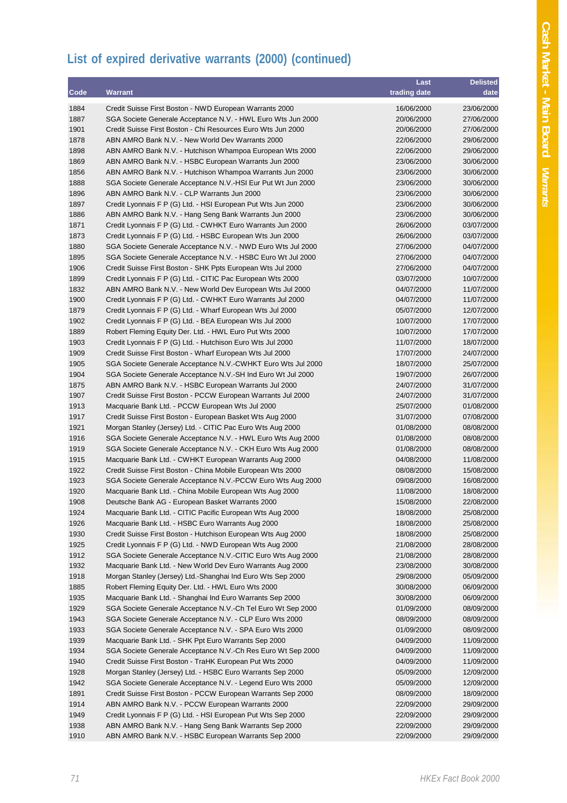## **List of expired derivative warrants (2000) (continued)**

|              |                                                                                                                            | Last                     | <b>Delisted</b>          |
|--------------|----------------------------------------------------------------------------------------------------------------------------|--------------------------|--------------------------|
| Code         | <b>Warrant</b>                                                                                                             | trading date             | date                     |
| 1884         | Credit Suisse First Boston - NWD European Warrants 2000                                                                    | 16/06/2000               | 23/06/2000               |
| 1887         | SGA Societe Generale Acceptance N.V. - HWL Euro Wts Jun 2000                                                               | 20/06/2000               | 27/06/2000               |
| 1901         | Credit Suisse First Boston - Chi Resources Euro Wts Jun 2000                                                               | 20/06/2000               | 27/06/2000               |
| 1878         | ABN AMRO Bank N.V. - New World Dev Warrants 2000                                                                           | 22/06/2000               | 29/06/2000               |
| 1898         | ABN AMRO Bank N.V. - Hutchison Whampoa European Wts 2000                                                                   | 22/06/2000               | 29/06/2000               |
| 1869         | ABN AMRO Bank N.V. - HSBC European Warrants Jun 2000                                                                       | 23/06/2000               | 30/06/2000               |
| 1856         | ABN AMRO Bank N.V. - Hutchison Whampoa Warrants Jun 2000                                                                   | 23/06/2000               | 30/06/2000               |
| 1888         | SGA Societe Generale Acceptance N.V.-HSI Eur Put Wt Jun 2000                                                               | 23/06/2000               | 30/06/2000               |
| 1896         | ABN AMRO Bank N.V. - CLP Warrants Jun 2000                                                                                 | 23/06/2000               | 30/06/2000               |
| 1897         | Credit Lyonnais F P (G) Ltd. - HSI European Put Wts Jun 2000                                                               | 23/06/2000               | 30/06/2000               |
| 1886         | ABN AMRO Bank N.V. - Hang Seng Bank Warrants Jun 2000                                                                      | 23/06/2000               | 30/06/2000               |
| 1871         | Credit Lyonnais F P (G) Ltd. - CWHKT Euro Warrants Jun 2000                                                                | 26/06/2000               | 03/07/2000               |
| 1873         | Credit Lyonnais F P (G) Ltd. - HSBC European Wts Jun 2000                                                                  | 26/06/2000               | 03/07/2000               |
| 1880         | SGA Societe Generale Acceptance N.V. - NWD Euro Wts Jul 2000                                                               | 27/06/2000               | 04/07/2000               |
| 1895         | SGA Societe Generale Acceptance N.V. - HSBC Euro Wt Jul 2000                                                               | 27/06/2000               | 04/07/2000               |
| 1906         | Credit Suisse First Boston - SHK Ppts European Wts Jul 2000                                                                | 27/06/2000               | 04/07/2000               |
| 1899         | Credit Lyonnais F P (G) Ltd. - CITIC Pac European Wts 2000                                                                 | 03/07/2000               | 10/07/2000               |
| 1832         | ABN AMRO Bank N.V. - New World Dev European Wts Jul 2000                                                                   | 04/07/2000               | 11/07/2000               |
| 1900         | Credit Lyonnais F P (G) Ltd. - CWHKT Euro Warrants Jul 2000                                                                | 04/07/2000               | 11/07/2000               |
| 1879         | Credit Lyonnais F P (G) Ltd. - Wharf European Wts Jul 2000                                                                 | 05/07/2000               | 12/07/2000               |
| 1902         | Credit Lyonnais F P (G) Ltd. - BEA European Wts Jul 2000                                                                   | 10/07/2000               | 17/07/2000               |
| 1889         | Robert Fleming Equity Der. Ltd. - HWL Euro Put Wts 2000                                                                    | 10/07/2000               | 17/07/2000               |
| 1903         | Credit Lyonnais F P (G) Ltd. - Hutchison Euro Wts Jul 2000                                                                 | 11/07/2000               | 18/07/2000               |
| 1909         | Credit Suisse First Boston - Wharf European Wts Jul 2000                                                                   | 17/07/2000               | 24/07/2000               |
| 1905         | SGA Societe Generale Acceptance N.V.-CWHKT Euro Wts Jul 2000                                                               | 18/07/2000               | 25/07/2000               |
| 1904         | SGA Societe Generale Acceptance N.V.-SH Ind Euro Wt Jul 2000                                                               | 19/07/2000               | 26/07/2000               |
| 1875         | ABN AMRO Bank N.V. - HSBC European Warrants Jul 2000                                                                       | 24/07/2000               | 31/07/2000               |
| 1907         | Credit Suisse First Boston - PCCW European Warrants Jul 2000                                                               | 24/07/2000               | 31/07/2000               |
| 1913         | Macquarie Bank Ltd. - PCCW European Wts Jul 2000                                                                           | 25/07/2000               | 01/08/2000               |
| 1917         | Credit Suisse First Boston - European Basket Wts Aug 2000                                                                  | 31/07/2000               | 07/08/2000               |
| 1921         | Morgan Stanley (Jersey) Ltd. - CITIC Pac Euro Wts Aug 2000                                                                 | 01/08/2000               | 08/08/2000               |
| 1916         | SGA Societe Generale Acceptance N.V. - HWL Euro Wts Aug 2000                                                               | 01/08/2000               | 08/08/2000               |
| 1919         | SGA Societe Generale Acceptance N.V. - CKH Euro Wts Aug 2000                                                               | 01/08/2000               | 08/08/2000               |
| 1915         | Macquarie Bank Ltd. - CWHKT European Warrants Aug 2000                                                                     | 04/08/2000               | 11/08/2000               |
| 1922         | Credit Suisse First Boston - China Mobile European Wts 2000<br>SGA Societe Generale Acceptance N.V.-PCCW Euro Wts Aug 2000 | 08/08/2000               | 15/08/2000<br>16/08/2000 |
| 1923<br>1920 | Macquarie Bank Ltd. - China Mobile European Wts Aug 2000                                                                   | 09/08/2000<br>11/08/2000 | 18/08/2000               |
| 1908         | Deutsche Bank AG - European Basket Warrants 2000                                                                           | 15/08/2000               | 22/08/2000               |
| 1924         | Macquarie Bank Ltd. - CITIC Pacific European Wts Aug 2000                                                                  | 18/08/2000               | 25/08/2000               |
| 1926         | Macquarie Bank Ltd. - HSBC Euro Warrants Aug 2000                                                                          | 18/08/2000               | 25/08/2000               |
| 1930         | Credit Suisse First Boston - Hutchison European Wts Aug 2000                                                               | 18/08/2000               | 25/08/2000               |
| 1925         | Credit Lyonnais F P (G) Ltd. - NWD European Wts Aug 2000                                                                   | 21/08/2000               | 28/08/2000               |
| 1912         | SGA Societe Generale Acceptance N.V.-CITIC Euro Wts Aug 2000                                                               | 21/08/2000               | 28/08/2000               |
| 1932         | Macquarie Bank Ltd. - New World Dev Euro Warrants Aug 2000                                                                 | 23/08/2000               | 30/08/2000               |
| 1918         | Morgan Stanley (Jersey) Ltd.-Shanghai Ind Euro Wts Sep 2000                                                                | 29/08/2000               | 05/09/2000               |
| 1885         | Robert Fleming Equity Der. Ltd. - HWL Euro Wts 2000                                                                        | 30/08/2000               | 06/09/2000               |
| 1935         | Macquarie Bank Ltd. - Shanghai Ind Euro Warrants Sep 2000                                                                  | 30/08/2000               | 06/09/2000               |
| 1929         | SGA Societe Generale Acceptance N.V.-Ch Tel Euro Wt Sep 2000                                                               | 01/09/2000               | 08/09/2000               |
| 1943         | SGA Societe Generale Acceptance N.V. - CLP Euro Wts 2000                                                                   | 08/09/2000               | 08/09/2000               |
| 1933         | SGA Societe Generale Acceptance N.V. - SPA Euro Wts 2000                                                                   | 01/09/2000               | 08/09/2000               |
| 1939         | Macquarie Bank Ltd. - SHK Ppt Euro Warrants Sep 2000                                                                       | 04/09/2000               | 11/09/2000               |
| 1934         | SGA Societe Generale Acceptance N.V.-Ch Res Euro Wt Sep 2000                                                               | 04/09/2000               | 11/09/2000               |
| 1940         | Credit Suisse First Boston - TraHK European Put Wts 2000                                                                   | 04/09/2000               | 11/09/2000               |
| 1928         | Morgan Stanley (Jersey) Ltd. - HSBC Euro Warrants Sep 2000                                                                 | 05/09/2000               | 12/09/2000               |
| 1942         | SGA Societe Generale Acceptance N.V. - Legend Euro Wts 2000                                                                | 05/09/2000               | 12/09/2000               |
| 1891         | Credit Suisse First Boston - PCCW European Warrants Sep 2000                                                               | 08/09/2000               | 18/09/2000               |
| 1914         | ABN AMRO Bank N.V. - PCCW European Warrants 2000                                                                           | 22/09/2000               | 29/09/2000               |
| 1949         | Credit Lyonnais F P (G) Ltd. - HSI European Put Wts Sep 2000                                                               | 22/09/2000               | 29/09/2000               |
| 1938         | ABN AMRO Bank N.V. - Hang Seng Bank Warrants Sep 2000                                                                      | 22/09/2000               | 29/09/2000               |
| 1910         | ABN AMRO Bank N.V. - HSBC European Warrants Sep 2000                                                                       | 22/09/2000               | 29/09/2000               |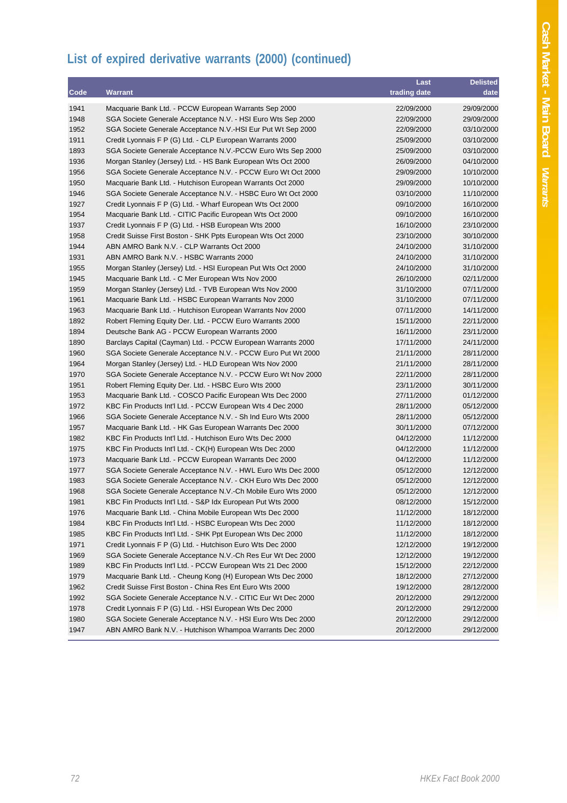# **List of expired derivative warrants (2000) (continued)**

|      |                                                              | Last         | <b>Delisted</b> |
|------|--------------------------------------------------------------|--------------|-----------------|
| Code | Warrant                                                      | trading date | date            |
| 1941 | Macquarie Bank Ltd. - PCCW European Warrants Sep 2000        | 22/09/2000   | 29/09/2000      |
| 1948 | SGA Societe Generale Acceptance N.V. - HSI Euro Wts Sep 2000 | 22/09/2000   | 29/09/2000      |
| 1952 | SGA Societe Generale Acceptance N.V.-HSI Eur Put Wt Sep 2000 | 22/09/2000   | 03/10/2000      |
| 1911 | Credit Lyonnais F P (G) Ltd. - CLP European Warrants 2000    | 25/09/2000   | 03/10/2000      |
| 1893 | SGA Societe Generale Acceptance N.V.-PCCW Euro Wts Sep 2000  | 25/09/2000   | 03/10/2000      |
| 1936 | Morgan Stanley (Jersey) Ltd. - HS Bank European Wts Oct 2000 | 26/09/2000   | 04/10/2000      |
| 1956 | SGA Societe Generale Acceptance N.V. - PCCW Euro Wt Oct 2000 | 29/09/2000   | 10/10/2000      |
| 1950 | Macquarie Bank Ltd. - Hutchison European Warrants Oct 2000   | 29/09/2000   | 10/10/2000      |
| 1946 | SGA Societe Generale Acceptance N.V. - HSBC Euro Wt Oct 2000 | 03/10/2000   | 11/10/2000      |
| 1927 | Credit Lyonnais F P (G) Ltd. - Wharf European Wts Oct 2000   | 09/10/2000   | 16/10/2000      |
| 1954 | Macquarie Bank Ltd. - CITIC Pacific European Wts Oct 2000    | 09/10/2000   | 16/10/2000      |
| 1937 | Credit Lyonnais F P (G) Ltd. - HSB European Wts 2000         | 16/10/2000   | 23/10/2000      |
| 1958 | Credit Suisse First Boston - SHK Ppts European Wts Oct 2000  | 23/10/2000   | 30/10/2000      |
| 1944 | ABN AMRO Bank N.V. - CLP Warrants Oct 2000                   | 24/10/2000   | 31/10/2000      |
| 1931 | ABN AMRO Bank N.V. - HSBC Warrants 2000                      | 24/10/2000   | 31/10/2000      |
| 1955 | Morgan Stanley (Jersey) Ltd. - HSI European Put Wts Oct 2000 | 24/10/2000   | 31/10/2000      |
| 1945 | Macquarie Bank Ltd. - C Mer European Wts Nov 2000            | 26/10/2000   | 02/11/2000      |
| 1959 | Morgan Stanley (Jersey) Ltd. - TVB European Wts Nov 2000     | 31/10/2000   | 07/11/2000      |
| 1961 | Macquarie Bank Ltd. - HSBC European Warrants Nov 2000        | 31/10/2000   | 07/11/2000      |
| 1963 | Macquarie Bank Ltd. - Hutchison European Warrants Nov 2000   | 07/11/2000   | 14/11/2000      |
| 1892 | Robert Fleming Equity Der. Ltd. - PCCW Euro Warrants 2000    | 15/11/2000   | 22/11/2000      |
| 1894 | Deutsche Bank AG - PCCW European Warrants 2000               | 16/11/2000   | 23/11/2000      |
| 1890 | Barclays Capital (Cayman) Ltd. - PCCW European Warrants 2000 | 17/11/2000   | 24/11/2000      |
| 1960 | SGA Societe Generale Acceptance N.V. - PCCW Euro Put Wt 2000 | 21/11/2000   | 28/11/2000      |
| 1964 | Morgan Stanley (Jersey) Ltd. - HLD European Wts Nov 2000     | 21/11/2000   | 28/11/2000      |
| 1970 | SGA Societe Generale Acceptance N.V. - PCCW Euro Wt Nov 2000 | 22/11/2000   | 28/11/2000      |
| 1951 | Robert Fleming Equity Der. Ltd. - HSBC Euro Wts 2000         | 23/11/2000   | 30/11/2000      |
| 1953 | Macquarie Bank Ltd. - COSCO Pacific European Wts Dec 2000    | 27/11/2000   | 01/12/2000      |
| 1972 | KBC Fin Products Int'l Ltd. - PCCW European Wts 4 Dec 2000   | 28/11/2000   | 05/12/2000      |
| 1966 | SGA Societe Generale Acceptance N.V. - Sh Ind Euro Wts 2000  | 28/11/2000   | 05/12/2000      |
| 1957 | Macquarie Bank Ltd. - HK Gas European Warrants Dec 2000      | 30/11/2000   | 07/12/2000      |
| 1982 | KBC Fin Products Int'l Ltd. - Hutchison Euro Wts Dec 2000    | 04/12/2000   | 11/12/2000      |
| 1975 | KBC Fin Products Int'l Ltd. - CK(H) European Wts Dec 2000    | 04/12/2000   | 11/12/2000      |
| 1973 | Macquarie Bank Ltd. - PCCW European Warrants Dec 2000        | 04/12/2000   | 11/12/2000      |
| 1977 | SGA Societe Generale Acceptance N.V. - HWL Euro Wts Dec 2000 | 05/12/2000   | 12/12/2000      |
| 1983 | SGA Societe Generale Acceptance N.V. - CKH Euro Wts Dec 2000 | 05/12/2000   | 12/12/2000      |
| 1968 | SGA Societe Generale Acceptance N.V.-Ch Mobile Euro Wts 2000 | 05/12/2000   | 12/12/2000      |
| 1981 | KBC Fin Products Int'l Ltd. - S&P Idx European Put Wts 2000  | 08/12/2000   | 15/12/2000      |
| 1976 | Macquarie Bank Ltd. - China Mobile European Wts Dec 2000     | 11/12/2000   | 18/12/2000      |
| 1984 | KBC Fin Products Int'l Ltd. - HSBC European Wts Dec 2000     | 11/12/2000   | 18/12/2000      |
| 1985 | KBC Fin Products Int'l Ltd. - SHK Ppt European Wts Dec 2000  | 11/12/2000   | 18/12/2000      |
| 1971 | Credit Lyonnais F P (G) Ltd. - Hutchison Euro Wts Dec 2000   | 12/12/2000   | 19/12/2000      |
| 1969 | SGA Societe Generale Acceptance N.V.-Ch Res Eur Wt Dec 2000  | 12/12/2000   | 19/12/2000      |
| 1989 | KBC Fin Products Int'l Ltd. - PCCW European Wts 21 Dec 2000  | 15/12/2000   | 22/12/2000      |
| 1979 | Macquarie Bank Ltd. - Cheung Kong (H) European Wts Dec 2000  | 18/12/2000   | 27/12/2000      |
| 1962 | Credit Suisse First Boston - China Res Ent Euro Wts 2000     | 19/12/2000   | 28/12/2000      |
| 1992 | SGA Societe Generale Acceptance N.V. - CITIC Eur Wt Dec 2000 | 20/12/2000   | 29/12/2000      |
| 1978 | Credit Lyonnais F P (G) Ltd. - HSI European Wts Dec 2000     | 20/12/2000   | 29/12/2000      |
| 1980 | SGA Societe Generale Acceptance N.V. - HSI Euro Wts Dec 2000 | 20/12/2000   | 29/12/2000      |
| 1947 | ABN AMRO Bank N.V. - Hutchison Whampoa Warrants Dec 2000     | 20/12/2000   | 29/12/2000      |
|      |                                                              |              |                 |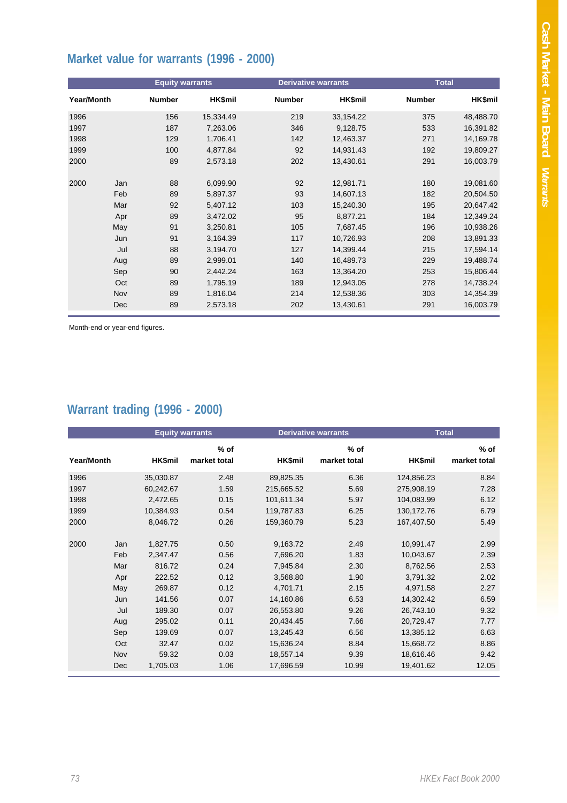# **Market value for warrants (1996 - 2000)**

|                   |     | <b>Equity warrants</b> |           | <b>Derivative warrants</b> |                | <b>Total</b>  |                |
|-------------------|-----|------------------------|-----------|----------------------------|----------------|---------------|----------------|
| <b>Year/Month</b> |     | <b>Number</b>          | HK\$mil   | <b>Number</b>              | <b>HK\$mil</b> | <b>Number</b> | <b>HK\$mil</b> |
| 1996              |     | 156                    | 15,334.49 | 219                        | 33,154.22      | 375           | 48,488.70      |
| 1997              |     | 187                    | 7,263.06  | 346                        | 9,128.75       | 533           | 16,391.82      |
| 1998              |     | 129                    | 1,706.41  | 142                        | 12,463.37      | 271           | 14,169.78      |
| 1999              |     | 100                    | 4,877.84  | 92                         | 14,931.43      | 192           | 19,809.27      |
| 2000              |     | 89                     | 2,573.18  | 202                        | 13,430.61      | 291           | 16,003.79      |
| 2000              | Jan | 88                     | 6,099.90  | 92                         | 12,981.71      | 180           | 19,081.60      |
|                   | Feb | 89                     | 5,897.37  | 93                         | 14,607.13      | 182           | 20,504.50      |
|                   | Mar | 92                     | 5,407.12  | 103                        | 15,240.30      | 195           | 20,647.42      |
|                   | Apr | 89                     | 3,472.02  | 95                         | 8,877.21       | 184           | 12,349.24      |
|                   | May | 91                     | 3,250.81  | 105                        | 7,687.45       | 196           | 10,938.26      |
|                   | Jun | 91                     | 3,164.39  | 117                        | 10,726.93      | 208           | 13,891.33      |
|                   | Jul | 88                     | 3,194.70  | 127                        | 14,399.44      | 215           | 17,594.14      |
|                   | Aug | 89                     | 2,999.01  | 140                        | 16,489.73      | 229           | 19,488.74      |
|                   | Sep | 90                     | 2,442.24  | 163                        | 13,364.20      | 253           | 15,806.44      |
|                   | Oct | 89                     | 1,795.19  | 189                        | 12,943.05      | 278           | 14,738.24      |
|                   | Nov | 89                     | 1,816.04  | 214                        | 12,538.36      | 303           | 14,354.39      |
|                   | Dec | 89                     | 2,573.18  | 202                        | 13,430.61      | 291           | 16,003.79      |

Month-end or year-end figures.

# **Warrant trading (1996 - 2000)**

|            |     |           | <b>Equity warrants</b> |            | <b>Derivative warrants</b> |            | <b>Total</b>           |
|------------|-----|-----------|------------------------|------------|----------------------------|------------|------------------------|
| Year/Month |     | HK\$mil   | $%$ of<br>market total | HK\$mil    | $%$ of<br>market total     | HK\$mil    | $%$ of<br>market total |
| 1996       |     | 35,030.87 | 2.48                   | 89,825.35  | 6.36                       | 124,856.23 | 8.84                   |
| 1997       |     | 60,242.67 | 1.59                   | 215,665.52 | 5.69                       | 275,908.19 | 7.28                   |
| 1998       |     | 2,472.65  | 0.15                   | 101,611.34 | 5.97                       | 104,083.99 | 6.12                   |
| 1999       |     | 10,384.93 | 0.54                   | 119,787.83 | 6.25                       | 130,172.76 | 6.79                   |
| 2000       |     | 8,046.72  | 0.26                   | 159,360.79 | 5.23                       | 167.407.50 | 5.49                   |
|            |     |           |                        |            |                            |            |                        |
| 2000       | Jan | 1,827.75  | 0.50                   | 9,163.72   | 2.49                       | 10,991.47  | 2.99                   |
|            | Feb | 2,347.47  | 0.56                   | 7,696.20   | 1.83                       | 10,043.67  | 2.39                   |
|            | Mar | 816.72    | 0.24                   | 7,945.84   | 2.30                       | 8,762.56   | 2.53                   |
|            | Apr | 222.52    | 0.12                   | 3.568.80   | 1.90                       | 3.791.32   | 2.02                   |
|            | May | 269.87    | 0.12                   | 4,701.71   | 2.15                       | 4,971.58   | 2.27                   |
|            | Jun | 141.56    | 0.07                   | 14,160.86  | 6.53                       | 14,302.42  | 6.59                   |
|            | Jul | 189.30    | 0.07                   | 26,553.80  | 9.26                       | 26,743.10  | 9.32                   |
|            | Aug | 295.02    | 0.11                   | 20,434.45  | 7.66                       | 20.729.47  | 7.77                   |
|            | Sep | 139.69    | 0.07                   | 13,245.43  | 6.56                       | 13,385.12  | 6.63                   |
|            | Oct | 32.47     | 0.02                   | 15,636.24  | 8.84                       | 15.668.72  | 8.86                   |
|            | Nov | 59.32     | 0.03                   | 18,557.14  | 9.39                       | 18,616.46  | 9.42                   |
|            | Dec | 1,705.03  | 1.06                   | 17,696.59  | 10.99                      | 19,401.62  | 12.05                  |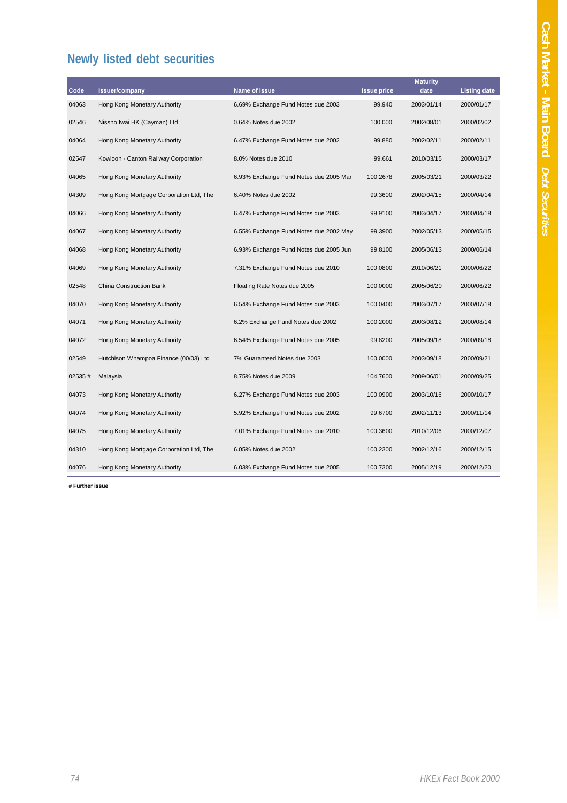# **Newly listed debt securities**

|        |                                         |                                        |                    | <b>Maturity</b> |                     |
|--------|-----------------------------------------|----------------------------------------|--------------------|-----------------|---------------------|
| Code   | <b>Issuer/company</b>                   | Name of issue                          | <b>Issue price</b> | date            | <b>Listing date</b> |
| 04063  | Hong Kong Monetary Authority            | 6.69% Exchange Fund Notes due 2003     | 99.940             | 2003/01/14      | 2000/01/17          |
| 02546  | Nissho Iwai HK (Cayman) Ltd             | 0.64% Notes due 2002                   | 100.000            | 2002/08/01      | 2000/02/02          |
| 04064  | Hong Kong Monetary Authority            | 6.47% Exchange Fund Notes due 2002     | 99.880             | 2002/02/11      | 2000/02/11          |
| 02547  | Kowloon - Canton Railway Corporation    | 8.0% Notes due 2010                    | 99.661             | 2010/03/15      | 2000/03/17          |
| 04065  | Hong Kong Monetary Authority            | 6.93% Exchange Fund Notes due 2005 Mar | 100.2678           | 2005/03/21      | 2000/03/22          |
| 04309  | Hong Kong Mortgage Corporation Ltd, The | 6.40% Notes due 2002                   | 99.3600            | 2002/04/15      | 2000/04/14          |
| 04066  | Hong Kong Monetary Authority            | 6.47% Exchange Fund Notes due 2003     | 99.9100            | 2003/04/17      | 2000/04/18          |
| 04067  | Hong Kong Monetary Authority            | 6.55% Exchange Fund Notes due 2002 May | 99.3900            | 2002/05/13      | 2000/05/15          |
| 04068  | Hong Kong Monetary Authority            | 6.93% Exchange Fund Notes due 2005 Jun | 99.8100            | 2005/06/13      | 2000/06/14          |
| 04069  | Hong Kong Monetary Authority            | 7.31% Exchange Fund Notes due 2010     | 100.0800           | 2010/06/21      | 2000/06/22          |
| 02548  | <b>China Construction Bank</b>          | Floating Rate Notes due 2005           | 100.0000           | 2005/06/20      | 2000/06/22          |
| 04070  | Hong Kong Monetary Authority            | 6.54% Exchange Fund Notes due 2003     | 100.0400           | 2003/07/17      | 2000/07/18          |
| 04071  | Hong Kong Monetary Authority            | 6.2% Exchange Fund Notes due 2002      | 100.2000           | 2003/08/12      | 2000/08/14          |
| 04072  | Hong Kong Monetary Authority            | 6.54% Exchange Fund Notes due 2005     | 99.8200            | 2005/09/18      | 2000/09/18          |
| 02549  | Hutchison Whampoa Finance (00/03) Ltd   | 7% Guaranteed Notes due 2003           | 100.0000           | 2003/09/18      | 2000/09/21          |
| 02535# | Malaysia                                | 8.75% Notes due 2009                   | 104.7600           | 2009/06/01      | 2000/09/25          |
| 04073  | Hong Kong Monetary Authority            | 6.27% Exchange Fund Notes due 2003     | 100.0900           | 2003/10/16      | 2000/10/17          |
| 04074  | Hong Kong Monetary Authority            | 5.92% Exchange Fund Notes due 2002     | 99.6700            | 2002/11/13      | 2000/11/14          |
| 04075  | Hong Kong Monetary Authority            | 7.01% Exchange Fund Notes due 2010     | 100.3600           | 2010/12/06      | 2000/12/07          |
| 04310  | Hong Kong Mortgage Corporation Ltd, The | 6.05% Notes due 2002                   | 100.2300           | 2002/12/16      | 2000/12/15          |
| 04076  | Hong Kong Monetary Authority            | 6.03% Exchange Fund Notes due 2005     | 100.7300           | 2005/12/19      | 2000/12/20          |

**# Further issue**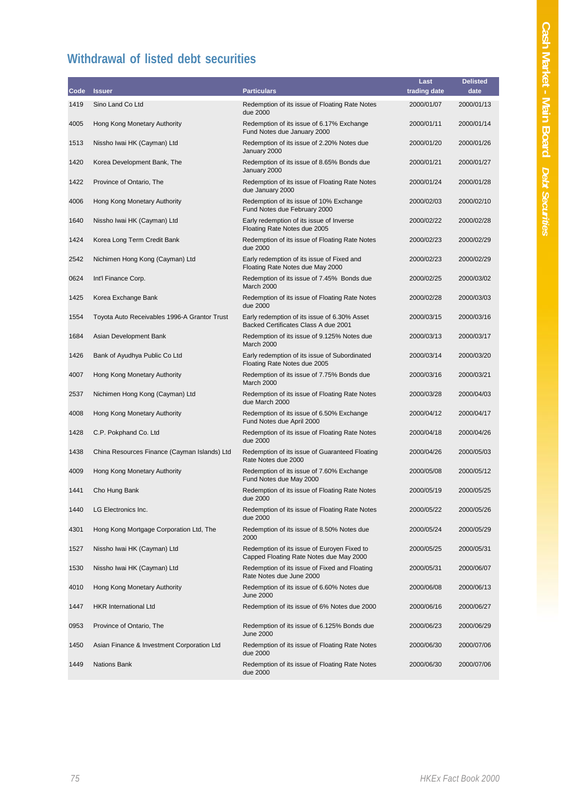# **Withdrawal of listed debt securities**

|      |                                              |                                                                                        | Last         | <b>Delisted</b> |
|------|----------------------------------------------|----------------------------------------------------------------------------------------|--------------|-----------------|
| Code | <b>Issuer</b>                                | <b>Particulars</b>                                                                     | trading date | date            |
| 1419 | Sino Land Co Ltd                             | Redemption of its issue of Floating Rate Notes<br>due 2000                             | 2000/01/07   | 2000/01/13      |
| 4005 | Hong Kong Monetary Authority                 | Redemption of its issue of 6.17% Exchange<br>Fund Notes due January 2000               | 2000/01/11   | 2000/01/14      |
| 1513 | Nissho Iwai HK (Cayman) Ltd                  | Redemption of its issue of 2.20% Notes due<br>January 2000                             | 2000/01/20   | 2000/01/26      |
| 1420 | Korea Development Bank, The                  | Redemption of its issue of 8.65% Bonds due<br>January 2000                             | 2000/01/21   | 2000/01/27      |
| 1422 | Province of Ontario, The                     | Redemption of its issue of Floating Rate Notes<br>due January 2000                     | 2000/01/24   | 2000/01/28      |
| 4006 | Hong Kong Monetary Authority                 | Redemption of its issue of 10% Exchange<br>Fund Notes due February 2000                | 2000/02/03   | 2000/02/10      |
| 1640 | Nissho Iwai HK (Cayman) Ltd                  | Early redemption of its issue of Inverse<br>Floating Rate Notes due 2005               | 2000/02/22   | 2000/02/28      |
| 1424 | Korea Long Term Credit Bank                  | Redemption of its issue of Floating Rate Notes<br>due 2000                             | 2000/02/23   | 2000/02/29      |
| 2542 | Nichimen Hong Kong (Cayman) Ltd              | Early redemption of its issue of Fixed and<br>Floating Rate Notes due May 2000         | 2000/02/23   | 2000/02/29      |
| 0624 | Int'l Finance Corp.                          | Redemption of its issue of 7.45% Bonds due<br>March 2000                               | 2000/02/25   | 2000/03/02      |
| 1425 | Korea Exchange Bank                          | Redemption of its issue of Floating Rate Notes<br>due 2000                             | 2000/02/28   | 2000/03/03      |
| 1554 | Toyota Auto Receivables 1996-A Grantor Trust | Early redemption of its issue of 6.30% Asset<br>Backed Certificates Class A due 2001   | 2000/03/15   | 2000/03/16      |
| 1684 | Asian Development Bank                       | Redemption of its issue of 9.125% Notes due<br>March 2000                              | 2000/03/13   | 2000/03/17      |
| 1426 | Bank of Ayudhya Public Co Ltd                | Early redemption of its issue of Subordinated<br>Floating Rate Notes due 2005          | 2000/03/14   | 2000/03/20      |
| 4007 | Hong Kong Monetary Authority                 | Redemption of its issue of 7.75% Bonds due<br>March 2000                               | 2000/03/16   | 2000/03/21      |
| 2537 | Nichimen Hong Kong (Cayman) Ltd              | Redemption of its issue of Floating Rate Notes<br>due March 2000                       | 2000/03/28   | 2000/04/03      |
| 4008 | Hong Kong Monetary Authority                 | Redemption of its issue of 6.50% Exchange<br>Fund Notes due April 2000                 | 2000/04/12   | 2000/04/17      |
| 1428 | C.P. Pokphand Co. Ltd                        | Redemption of its issue of Floating Rate Notes<br>due 2000                             | 2000/04/18   | 2000/04/26      |
| 1438 | China Resources Finance (Cayman Islands) Ltd | Redemption of its issue of Guaranteed Floating<br>Rate Notes due 2000                  | 2000/04/26   | 2000/05/03      |
| 4009 | Hong Kong Monetary Authority                 | Redemption of its issue of 7.60% Exchange<br>Fund Notes due May 2000                   | 2000/05/08   | 2000/05/12      |
| 1441 | Cho Hung Bank                                | Redemption of its issue of Floating Rate Notes<br>due 2000                             | 2000/05/19   | 2000/05/25      |
| 1440 | LG Electronics Inc.                          | Redemption of its issue of Floating Rate Notes<br>due 2000                             | 2000/05/22   | 2000/05/26      |
| 4301 | Hong Kong Mortgage Corporation Ltd, The      | Redemption of its issue of 8.50% Notes due<br>2000                                     | 2000/05/24   | 2000/05/29      |
| 1527 | Nissho Iwai HK (Cayman) Ltd                  | Redemption of its issue of Euroyen Fixed to<br>Capped Floating Rate Notes due May 2000 | 2000/05/25   | 2000/05/31      |
| 1530 | Nissho Iwai HK (Cayman) Ltd                  | Redemption of its issue of Fixed and Floating<br>Rate Notes due June 2000              | 2000/05/31   | 2000/06/07      |
| 4010 | Hong Kong Monetary Authority                 | Redemption of its issue of 6.60% Notes due<br><b>June 2000</b>                         | 2000/06/08   | 2000/06/13      |
| 1447 | <b>HKR International Ltd</b>                 | Redemption of its issue of 6% Notes due 2000                                           | 2000/06/16   | 2000/06/27      |
| 0953 | Province of Ontario, The                     | Redemption of its issue of 6.125% Bonds due<br><b>June 2000</b>                        | 2000/06/23   | 2000/06/29      |
| 1450 | Asian Finance & Investment Corporation Ltd   | Redemption of its issue of Floating Rate Notes<br>due 2000                             | 2000/06/30   | 2000/07/06      |
| 1449 | <b>Nations Bank</b>                          | Redemption of its issue of Floating Rate Notes<br>due 2000                             | 2000/06/30   | 2000/07/06      |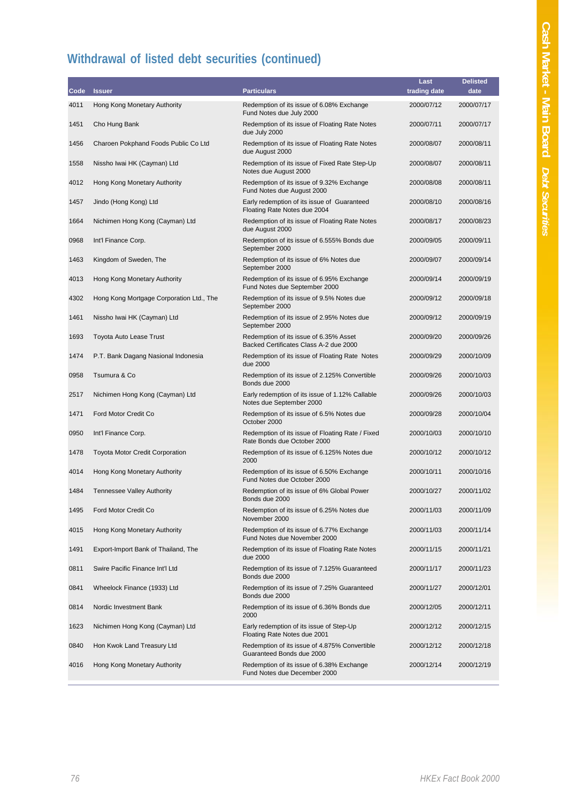# **Withdrawal of listed debt securities (continued)**

|      |                                          |                                                                                  | Last         | <b>Delisted</b> |
|------|------------------------------------------|----------------------------------------------------------------------------------|--------------|-----------------|
| Code | <b>Issuer</b>                            | <b>Particulars</b>                                                               | trading date | date            |
| 4011 | Hong Kong Monetary Authority             | Redemption of its issue of 6.08% Exchange<br>Fund Notes due July 2000            | 2000/07/12   | 2000/07/17      |
| 1451 | Cho Hung Bank                            | Redemption of its issue of Floating Rate Notes<br>due July 2000                  | 2000/07/11   | 2000/07/17      |
| 1456 | Charoen Pokphand Foods Public Co Ltd     | Redemption of its issue of Floating Rate Notes<br>due August 2000                | 2000/08/07   | 2000/08/11      |
| 1558 | Nissho Iwai HK (Cayman) Ltd              | Redemption of its issue of Fixed Rate Step-Up<br>Notes due August 2000           | 2000/08/07   | 2000/08/11      |
| 4012 | Hong Kong Monetary Authority             | Redemption of its issue of 9.32% Exchange<br>Fund Notes due August 2000          | 2000/08/08   | 2000/08/11      |
| 1457 | Jindo (Hong Kong) Ltd                    | Early redemption of its issue of Guaranteed<br>Floating Rate Notes due 2004      | 2000/08/10   | 2000/08/16      |
| 1664 | Nichimen Hong Kong (Cayman) Ltd          | Redemption of its issue of Floating Rate Notes<br>due August 2000                | 2000/08/17   | 2000/08/23      |
| 0968 | Int'l Finance Corp.                      | Redemption of its issue of 6.555% Bonds due<br>September 2000                    | 2000/09/05   | 2000/09/11      |
| 1463 | Kingdom of Sweden, The                   | Redemption of its issue of 6% Notes due<br>September 2000                        | 2000/09/07   | 2000/09/14      |
| 4013 | Hong Kong Monetary Authority             | Redemption of its issue of 6.95% Exchange<br>Fund Notes due September 2000       | 2000/09/14   | 2000/09/19      |
| 4302 | Hong Kong Mortgage Corporation Ltd., The | Redemption of its issue of 9.5% Notes due<br>September 2000                      | 2000/09/12   | 2000/09/18      |
| 1461 | Nissho Iwai HK (Cayman) Ltd              | Redemption of its issue of 2.95% Notes due<br>September 2000                     | 2000/09/12   | 2000/09/19      |
| 1693 | Toyota Auto Lease Trust                  | Redemption of its issue of 6.35% Asset<br>Backed Certificates Class A-2 due 2000 | 2000/09/20   | 2000/09/26      |
| 1474 | P.T. Bank Dagang Nasional Indonesia      | Redemption of its issue of Floating Rate Notes<br>due 2000                       | 2000/09/29   | 2000/10/09      |
| 0958 | Tsumura & Co                             | Redemption of its issue of 2.125% Convertible<br>Bonds due 2000                  | 2000/09/26   | 2000/10/03      |
| 2517 | Nichimen Hong Kong (Cayman) Ltd          | Early redemption of its issue of 1.12% Callable<br>Notes due September 2000      | 2000/09/26   | 2000/10/03      |
| 1471 | Ford Motor Credit Co                     | Redemption of its issue of 6.5% Notes due<br>October 2000                        | 2000/09/28   | 2000/10/04      |
| 0950 | Int'l Finance Corp.                      | Redemption of its issue of Floating Rate / Fixed<br>Rate Bonds due October 2000  | 2000/10/03   | 2000/10/10      |
| 1478 | <b>Toyota Motor Credit Corporation</b>   | Redemption of its issue of 6.125% Notes due<br>2000                              | 2000/10/12   | 2000/10/12      |
| 4014 | Hong Kong Monetary Authority             | Redemption of its issue of 6.50% Exchange<br>Fund Notes due October 2000         | 2000/10/11   | 2000/10/16      |
| 1484 | <b>Tennessee Valley Authority</b>        | Redemption of its issue of 6% Global Power<br>Bonds due 2000                     | 2000/10/27   | 2000/11/02      |
| 1495 | Ford Motor Credit Co                     | Redemption of its issue of 6.25% Notes due<br>November 2000                      | 2000/11/03   | 2000/11/09      |
| 4015 | Hong Kong Monetary Authority             | Redemption of its issue of 6.77% Exchange<br>Fund Notes due November 2000        | 2000/11/03   | 2000/11/14      |
| 1491 | Export-Import Bank of Thailand, The      | Redemption of its issue of Floating Rate Notes<br>due 2000                       | 2000/11/15   | 2000/11/21      |
| 0811 | Swire Pacific Finance Int'l Ltd          | Redemption of its issue of 7.125% Guaranteed<br>Bonds due 2000                   | 2000/11/17   | 2000/11/23      |
| 0841 | Wheelock Finance (1933) Ltd              | Redemption of its issue of 7.25% Guaranteed<br>Bonds due 2000                    | 2000/11/27   | 2000/12/01      |
| 0814 | Nordic Investment Bank                   | Redemption of its issue of 6.36% Bonds due<br>2000                               | 2000/12/05   | 2000/12/11      |
| 1623 | Nichimen Hong Kong (Cayman) Ltd          | Early redemption of its issue of Step-Up<br>Floating Rate Notes due 2001         | 2000/12/12   | 2000/12/15      |
| 0840 | Hon Kwok Land Treasury Ltd               | Redemption of its issue of 4.875% Convertible<br>Guaranteed Bonds due 2000       | 2000/12/12   | 2000/12/18      |
| 4016 | Hong Kong Monetary Authority             | Redemption of its issue of 6.38% Exchange<br>Fund Notes due December 2000        | 2000/12/14   | 2000/12/19      |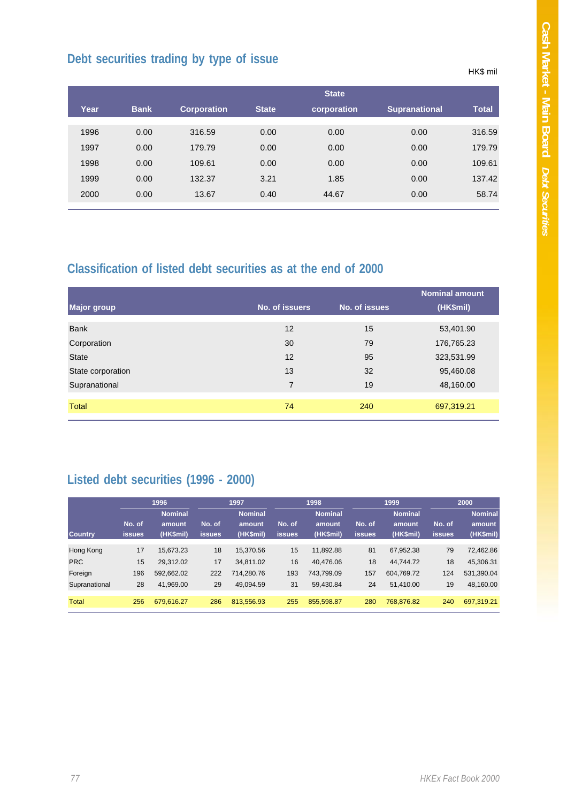HK\$ mil

# **Debt securities trading by type of issue**

|      |             |                    |              | <b>State</b> |                      |              |
|------|-------------|--------------------|--------------|--------------|----------------------|--------------|
| Year | <b>Bank</b> | <b>Corporation</b> | <b>State</b> | corporation  | <b>Supranational</b> | <b>Total</b> |
| 1996 | 0.00        | 316.59             | 0.00         | 0.00         | 0.00                 | 316.59       |
| 1997 | 0.00        | 179.79             | 0.00         | 0.00         | 0.00                 | 179.79       |
| 1998 | 0.00        | 109.61             | 0.00         | 0.00         | 0.00                 | 109.61       |
| 1999 | 0.00        | 132.37             | 3.21         | 1.85         | 0.00                 | 137.42       |
| 2000 | 0.00        | 13.67              | 0.40         | 44.67        | 0.00                 | 58.74        |

### **Classification of listed debt securities as at the end of 2000**

|                   |                | <b>Nominal amount</b> |            |
|-------------------|----------------|-----------------------|------------|
| Major group       | No. of issuers | No. of issues         | (HK\$mil)  |
|                   |                |                       |            |
| <b>Bank</b>       | 12             | 15                    | 53,401.90  |
| Corporation       | 30             | 79                    | 176,765.23 |
| <b>State</b>      | 12             | 95                    | 323,531.99 |
| State corporation | 13             | 32                    | 95,460.08  |
| Supranational     | $\overline{7}$ | 19                    | 48,160.00  |
|                   |                |                       |            |
| Total             | 74             | 240                   | 697,319.21 |
|                   |                |                       |            |

# **Listed debt securities (1996 - 2000)**

|                |                         | 1996                                  |                         | 1997                                  |                         | 1998                                  |                         | 1999                                  |                         | 2000                           |
|----------------|-------------------------|---------------------------------------|-------------------------|---------------------------------------|-------------------------|---------------------------------------|-------------------------|---------------------------------------|-------------------------|--------------------------------|
| <b>Country</b> | No. of<br><b>issues</b> | <b>Nominal</b><br>amount<br>(HK\$mil) | No. of<br><b>issues</b> | <b>Nominal</b><br>amount<br>(HK\$mil) | No. of<br><b>issues</b> | <b>Nominal</b><br>amount<br>(HK\$mil) | No. of<br><b>issues</b> | <b>Nominal</b><br>amount<br>(HK\$mil) | No. of<br><b>issues</b> | Nominal<br>amount<br>(HK\$mil) |
| Hong Kong      | 17                      | 15,673.23                             | 18                      | 15.370.56                             | 15                      | 11,892.88                             | 81                      | 67,952.38                             | 79                      | 72,462.86                      |
| <b>PRC</b>     | 15                      | 29.312.02                             | 17                      | 34.811.02                             | 16                      | 40.476.06                             | 18                      | 44.744.72                             | 18                      | 45,306.31                      |
| Foreign        | 196                     | 592,662.02                            | 222                     | 714,280.76                            | 193                     | 743.799.09                            | 157                     | 604.769.72                            | 124                     | 531,390.04                     |
| Supranational  | 28                      | 41.969.00                             | 29                      | 49.094.59                             | 31                      | 59.430.84                             | 24                      | 51.410.00                             | 19                      | 48,160.00                      |
| Total          | 256                     | 679.616.27                            | 286                     | 813.556.93                            | 255                     | 855.598.87                            | 280                     | 768,876.82                            | 240                     | 697.319.21                     |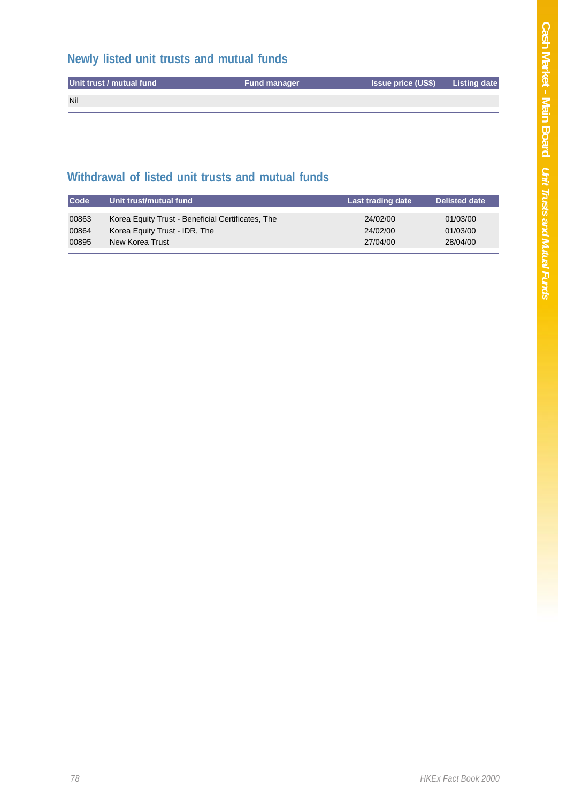# **Newly listed unit trusts and mutual funds**

| Unit trust / mutual fund | <b>Fund manager</b> | <b>Issue price (US\$)</b> Listing date |  |
|--------------------------|---------------------|----------------------------------------|--|
| Nil                      |                     |                                        |  |
|                          |                     |                                        |  |

## **Withdrawal of listed unit trusts and mutual funds**

| <b>Code</b> | Unit trust/mutual fund                            | Last trading date | <b>Delisted date</b> |
|-------------|---------------------------------------------------|-------------------|----------------------|
| 00863       | Korea Equity Trust - Beneficial Certificates, The | 24/02/00          | 01/03/00             |
| 00864       | Korea Equity Trust - IDR, The                     | 24/02/00          | 01/03/00             |
| 00895       | New Korea Trust                                   | 27/04/00          | 28/04/00             |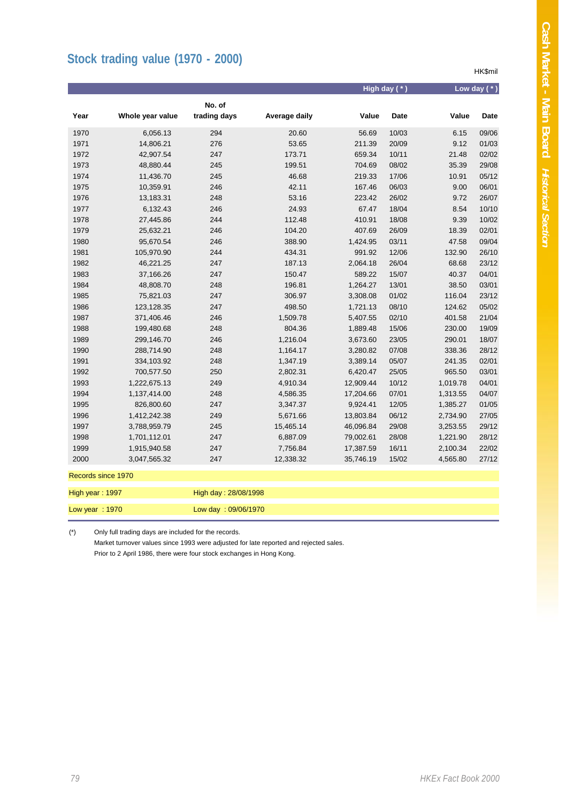HK\$mil

# **Stock trading value (1970 - 2000)**

|                    |                  |                        |               |           | High day (*) |          | Low day $(*)$ |
|--------------------|------------------|------------------------|---------------|-----------|--------------|----------|---------------|
| Year               | Whole year value | No. of<br>trading days | Average daily | Value     | Date         | Value    | <b>Date</b>   |
| 1970               | 6,056.13         | 294                    | 20.60         | 56.69     | 10/03        | 6.15     | 09/06         |
| 1971               | 14,806.21        | 276                    | 53.65         | 211.39    | 20/09        | 9.12     | 01/03         |
| 1972               | 42,907.54        | 247                    | 173.71        | 659.34    | 10/11        | 21.48    | 02/02         |
| 1973               | 48,880.44        | 245                    | 199.51        | 704.69    | 08/02        | 35.39    | 29/08         |
| 1974               | 11,436.70        | 245                    | 46.68         | 219.33    | 17/06        | 10.91    | 05/12         |
| 1975               | 10,359.91        | 246                    | 42.11         | 167.46    | 06/03        | 9.00     | 06/01         |
| 1976               | 13,183.31        | 248                    | 53.16         | 223.42    | 26/02        | 9.72     | 26/07         |
| 1977               | 6,132.43         | 246                    | 24.93         | 67.47     | 18/04        | 8.54     | 10/10         |
| 1978               | 27,445.86        | 244                    | 112.48        | 410.91    | 18/08        | 9.39     | 10/02         |
| 1979               | 25,632.21        | 246                    | 104.20        | 407.69    | 26/09        | 18.39    | 02/01         |
| 1980               | 95,670.54        | 246                    | 388.90        | 1,424.95  | 03/11        | 47.58    | 09/04         |
| 1981               | 105,970.90       | 244                    | 434.31        | 991.92    | 12/06        | 132.90   | 26/10         |
| 1982               | 46,221.25        | 247                    | 187.13        | 2,064.18  | 26/04        | 68.68    | 23/12         |
| 1983               | 37,166.26        | 247                    | 150.47        | 589.22    | 15/07        | 40.37    | 04/01         |
| 1984               | 48,808.70        | 248                    | 196.81        | 1,264.27  | 13/01        | 38.50    | 03/01         |
| 1985               | 75,821.03        | 247                    | 306.97        | 3,308.08  | 01/02        | 116.04   | 23/12         |
| 1986               | 123,128.35       | 247                    | 498.50        | 1,721.13  | 08/10        | 124.62   | 05/02         |
| 1987               | 371,406.46       | 246                    | 1,509.78      | 5,407.55  | 02/10        | 401.58   | 21/04         |
| 1988               | 199,480.68       | 248                    | 804.36        | 1,889.48  | 15/06        | 230.00   | 19/09         |
| 1989               | 299,146.70       | 246                    | 1,216.04      | 3,673.60  | 23/05        | 290.01   | 18/07         |
| 1990               | 288,714.90       | 248                    | 1,164.17      | 3,280.82  | 07/08        | 338.36   | 28/12         |
| 1991               | 334,103.92       | 248                    | 1,347.19      | 3,389.14  | 05/07        | 241.35   | 02/01         |
| 1992               | 700,577.50       | 250                    | 2,802.31      | 6,420.47  | 25/05        | 965.50   | 03/01         |
| 1993               | 1,222,675.13     | 249                    | 4,910.34      | 12,909.44 | 10/12        | 1,019.78 | 04/01         |
| 1994               | 1,137,414.00     | 248                    | 4,586.35      | 17,204.66 | 07/01        | 1,313.55 | 04/07         |
| 1995               | 826,800.60       | 247                    | 3,347.37      | 9,924.41  | 12/05        | 1,385.27 | 01/05         |
| 1996               | 1,412,242.38     | 249                    | 5,671.66      | 13,803.84 | 06/12        | 2,734.90 | 27/05         |
| 1997               | 3,788,959.79     | 245                    | 15,465.14     | 46,096.84 | 29/08        | 3,253.55 | 29/12         |
| 1998               | 1,701,112.01     | 247                    | 6,887.09      | 79,002.61 | 28/08        | 1,221.90 | 28/12         |
| 1999               | 1,915,940.58     | 247                    | 7,756.84      | 17,387.59 | 16/11        | 2,100.34 | 22/02         |
| 2000               | 3,047,565.32     | 247                    | 12,338.32     | 35,746.19 | 15/02        | 4,565.80 | 27/12         |
| Records since 1970 |                  |                        |               |           |              |          |               |

| High year : 1997 | High day: 28/08/1998 |
|------------------|----------------------|
|                  |                      |
| Low year : 1970  | Low day: 09/06/1970  |
|                  |                      |

(\*) Only full trading days are included for the records.

Market turnover values since 1993 were adjusted for late reported and rejected sales. Prior to 2 April 1986, there were four stock exchanges in Hong Kong.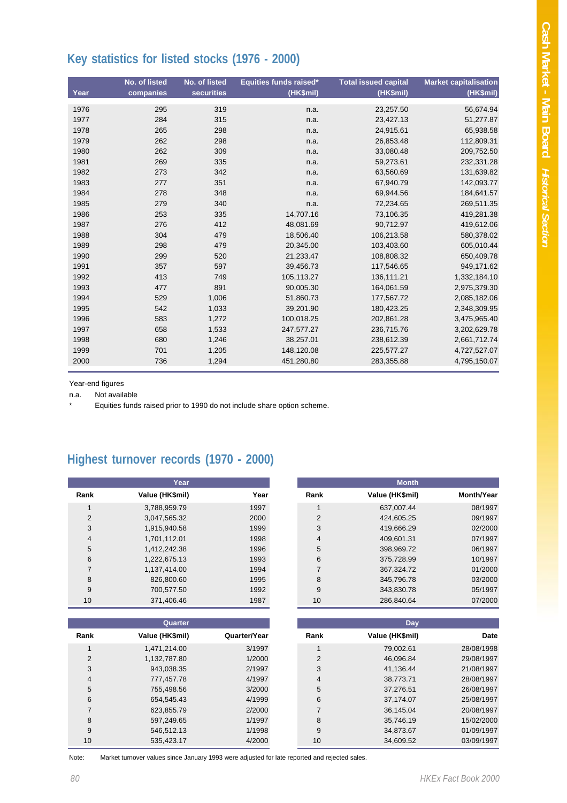# **Key statistics for listed stocks (1976 - 2000)**

| Year | No. of listed<br>companies | No. of listed<br><b>securities</b> | Equities funds raised*<br>(HK\$mil) | <b>Total issued capital</b><br>(HK\$mil) | <b>Market capitalisation</b><br>(HK\$mil) |
|------|----------------------------|------------------------------------|-------------------------------------|------------------------------------------|-------------------------------------------|
| 1976 | 295                        | 319                                | n.a.                                | 23,257.50                                | 56,674.94                                 |
| 1977 | 284                        | 315                                | n.a.                                | 23,427.13                                | 51,277.87                                 |
| 1978 | 265                        | 298                                | n.a.                                | 24,915.61                                | 65,938.58                                 |
| 1979 | 262                        | 298                                | n.a.                                | 26,853.48                                | 112,809.31                                |
| 1980 | 262                        | 309                                | n.a.                                | 33,080.48                                | 209,752.50                                |
| 1981 | 269                        | 335                                | n.a.                                | 59,273.61                                | 232,331.28                                |
| 1982 | 273                        | 342                                | n.a.                                | 63,560.69                                | 131,639.82                                |
| 1983 | 277                        | 351                                |                                     | 67,940.79                                | 142,093.77                                |
| 1984 | 278                        | 348                                | n.a.                                | 69,944.56                                | 184,641.57                                |
| 1985 | 279                        | 340                                | n.a.                                |                                          |                                           |
|      |                            |                                    | n.a.                                | 72,234.65                                | 269,511.35                                |
| 1986 | 253                        | 335                                | 14,707.16                           | 73,106.35                                | 419,281.38                                |
| 1987 | 276                        | 412                                | 48,081.69                           | 90,712.97                                | 419,612.06                                |
| 1988 | 304                        | 479                                | 18,506.40                           | 106,213.58                               | 580,378.02                                |
| 1989 | 298                        | 479                                | 20,345.00                           | 103,403.60                               | 605,010.44                                |
| 1990 | 299                        | 520                                | 21,233.47                           | 108,808.32                               | 650,409.78                                |
| 1991 | 357                        | 597                                | 39,456.73                           | 117.546.65                               | 949,171.62                                |
| 1992 | 413                        | 749                                | 105,113.27                          | 136,111.21                               | 1,332,184.10                              |
| 1993 | 477                        | 891                                | 90,005.30                           | 164,061.59                               | 2,975,379.30                              |
| 1994 | 529                        | 1,006                              | 51,860.73                           | 177,567.72                               | 2,085,182.06                              |
| 1995 | 542                        | 1,033                              | 39,201.90                           | 180,423.25                               | 2,348,309.95                              |
| 1996 | 583                        | 1,272                              | 100,018.25                          | 202,861.28                               | 3,475,965.40                              |
| 1997 | 658                        | 1,533                              | 247.577.27                          | 236,715.76                               | 3,202,629.78                              |
| 1998 | 680                        | 1,246                              | 38,257.01                           | 238,612.39                               | 2,661,712.74                              |
| 1999 | 701                        | 1,205                              | 148,120.08                          | 225,577.27                               | 4,727,527.07                              |
| 2000 | 736                        | 1,294                              | 451,280.80                          | 283,355.88                               | 4,795,150.07                              |

Year-end figures

n.a. Not available

Equities funds raised prior to 1990 do not include share option scheme.

# **Highest turnover records (1970 - 2000)**

|                | Year            |      |
|----------------|-----------------|------|
| Rank           | Value (HK\$mil) | Year |
| 1              | 3,788,959.79    | 1997 |
| 2              | 3,047,565.32    | 2000 |
| 3              | 1,915,940.58    | 1999 |
| $\overline{4}$ | 1,701,112.01    | 1998 |
| 5              | 1,412,242.38    | 1996 |
| 6              | 1,222,675.13    | 1993 |
| $\overline{7}$ | 1,137,414.00    | 1994 |
| 8              | 826,800.60      | 1995 |
| 9              | 700,577.50      | 1992 |
| 10             | 371,406.46      | 1987 |

|                | Quarter         |              |
|----------------|-----------------|--------------|
| Rank           | Value (HK\$mil) | Quarter/Year |
| 1              | 1,471,214.00    | 3/1997       |
| $\mathcal{P}$  | 1,132,787.80    | 1/2000       |
| 3              | 943.038.35      | 2/1997       |
| $\overline{4}$ | 777.457.78      | 4/1997       |
| 5              | 755.498.56      | 3/2000       |
| 6              | 654,545.43      | 4/1999       |
| $\overline{7}$ | 623,855.79      | 2/2000       |
| 8              | 597.249.65      | 1/1997       |
| 9              | 546.512.13      | 1/1998       |
| 10             | 535.423.17      | 4/2000       |

|                | Year            |      |                | <b>Month</b>    |                   |
|----------------|-----------------|------|----------------|-----------------|-------------------|
| Rank           | Value (HK\$mil) | Year | Rank           | Value (HK\$mil) | <b>Month/Year</b> |
|                | 3,788,959.79    | 1997 |                | 637,007.44      | 08/1997           |
| $\overline{2}$ | 3,047,565.32    | 2000 | 2              | 424.605.25      | 09/1997           |
| 3              | 1,915,940.58    | 1999 | 3              | 419.666.29      | 02/2000           |
| 4              | 1,701,112.01    | 1998 | 4              | 409.601.31      | 07/1997           |
| 5              | 1,412,242.38    | 1996 | 5              | 398,969.72      | 06/1997           |
| 6              | 1,222,675.13    | 1993 | 6              | 375,728.99      | 10/1997           |
|                | 1.137.414.00    | 1994 | $\overline{7}$ | 367,324.72      | 01/2000           |
| 8              | 826,800.60      | 1995 | 8              | 345.796.78      | 03/2000           |
| 9              | 700,577.50      | 1992 | 9              | 343,830.78      | 05/1997           |
| 10             | 371,406.46      | 1987 | 10             | 286,840.64      | 07/2000           |

|                | Quarter         |              |      | <b>Day</b>      |            |
|----------------|-----------------|--------------|------|-----------------|------------|
| Rank           | Value (HK\$mil) | Quarter/Year | Rank | Value (HK\$mil) | Date       |
|                | 1,471,214.00    | 3/1997       |      | 79,002.61       | 28/08/1998 |
| $\overline{2}$ | 1.132.787.80    | 1/2000       | 2    | 46.096.84       | 29/08/1997 |
| 3              | 943,038.35      | 2/1997       | 3    | 41.136.44       | 21/08/1997 |
| 4              | 777.457.78      | 4/1997       | 4    | 38.773.71       | 28/08/1997 |
| 5              | 755.498.56      | 3/2000       | 5    | 37.276.51       | 26/08/1997 |
| 6              | 654,545.43      | 4/1999       | 6    | 37,174.07       | 25/08/1997 |
|                | 623,855.79      | 2/2000       |      | 36.145.04       | 20/08/1997 |
| 8              | 597,249.65      | 1/1997       | 8    | 35.746.19       | 15/02/2000 |
| 9              | 546.512.13      | 1/1998       | 9    | 34.873.67       | 01/09/1997 |
| 10             | 535,423.17      | 4/2000       | 10   | 34,609.52       | 03/09/1997 |

Note: Market turnover values since January 1993 were adjusted for late reported and rejected sales.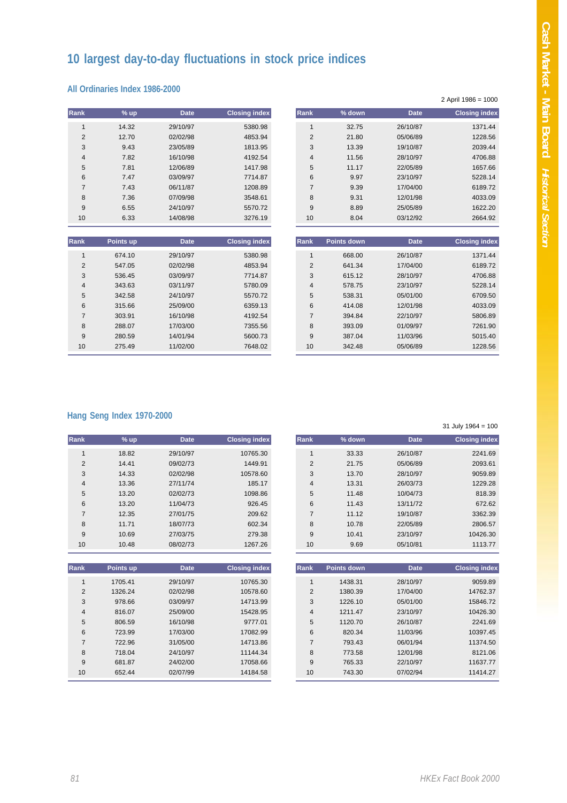# **10 largest day-to-day fluctuations in stock price indices**

#### **All Ordinaries Index 1986-2000**

| <b>Rank</b>    | $%$ up | <b>Date</b> | <b>Closing index</b> | <b>Rank</b>    | % down | <b>Date</b> | <b>Closing index</b> |
|----------------|--------|-------------|----------------------|----------------|--------|-------------|----------------------|
|                | 14.32  | 29/10/97    | 5380.98              |                | 32.75  | 26/10/87    | 1371.44              |
| $\overline{2}$ | 12.70  | 02/02/98    | 4853.94              | $\overline{2}$ | 21.80  | 05/06/89    | 1228.56              |
| 3              | 9.43   | 23/05/89    | 1813.95              | 3              | 13.39  | 19/10/87    | 2039.44              |
| 4              | 7.82   | 16/10/98    | 4192.54              | $\overline{4}$ | 11.56  | 28/10/97    | 4706.88              |
| 5              | 7.81   | 12/06/89    | 1417.98              | 5              | 11.17  | 22/05/89    | 1657.66              |
| 6              | 7.47   | 03/09/97    | 7714.87              | 6              | 9.97   | 23/10/97    | 5228.14              |
| 7              | 7.43   | 06/11/87    | 1208.89              | $\overline{7}$ | 9.39   | 17/04/00    | 6189.72              |
| 8              | 7.36   | 07/09/98    | 3548.61              | 8              | 9.31   | 12/01/98    | 4033.09              |
| 9              | 6.55   | 24/10/97    | 5570.72              | 9              | 8.89   | 25/05/89    | 1622.20              |
| 10             | 6.33   | 14/08/98    | 3276.19              | 10             | 8.04   | 03/12/92    | 2664.92              |

| Rank           | Points up | <b>Date</b> | <b>Closing index</b> | <b>Rank</b>    | Points down | <b>Date</b> | <b>Closing index</b> |
|----------------|-----------|-------------|----------------------|----------------|-------------|-------------|----------------------|
|                | 674.10    | 29/10/97    | 5380.98              |                | 668.00      | 26/10/87    | 1371.44              |
| $\overline{2}$ | 547.05    | 02/02/98    | 4853.94              | $\overline{2}$ | 641.34      | 17/04/00    | 6189.72              |
| 3              | 536.45    | 03/09/97    | 7714.87              | 3              | 615.12      | 28/10/97    | 4706.88              |
| 4              | 343.63    | 03/11/97    | 5780.09              | 4              | 578.75      | 23/10/97    | 5228.14              |
| 5              | 342.58    | 24/10/97    | 5570.72              | 5              | 538.31      | 05/01/00    | 6709.50              |
| 6              | 315.66    | 25/09/00    | 6359.13              | 6              | 414.08      | 12/01/98    | 4033.09              |
| $\overline{7}$ | 303.91    | 16/10/98    | 4192.54              | $\overline{ }$ | 394.84      | 22/10/97    | 5806.89              |
| 8              | 288.07    | 17/03/00    | 7355.56              | 8              | 393.09      | 01/09/97    | 7261.90              |
| 9              | 280.59    | 14/01/94    | 5600.73              | 9              | 387.04      | 11/03/96    | 5015.40              |
| 10             | 275.49    | 11/02/00    | 7648.02              | 10             | 342.48      | 05/06/89    | 1228.56              |
|                |           |             |                      |                |             |             |                      |

#### **Hang Seng Index 1970-2000**

|                | $%$ up | <b>Date</b> | <b>Closing index</b> | <b>Rank</b>    | % down | <b>Date</b> |
|----------------|--------|-------------|----------------------|----------------|--------|-------------|
|                | 14.32  | 29/10/97    | 5380.98              |                | 32.75  | 26/10/87    |
| $\overline{2}$ | 12.70  | 02/02/98    | 4853.94              | $\overline{2}$ | 21.80  | 05/06/89    |
| 3              | 9.43   | 23/05/89    | 1813.95              | 3              | 13.39  | 19/10/87    |
| 4              | 7.82   | 16/10/98    | 4192.54              | 4              | 11.56  | 28/10/97    |
| 5              | 7.81   | 12/06/89    | 1417.98              | 5              | 11.17  | 22/05/89    |
| 6              | 7.47   | 03/09/97    | 7714.87              | 6              | 9.97   | 23/10/97    |
|                | 7.43   | 06/11/87    | 1208.89              | $\overline{7}$ | 9.39   | 17/04/00    |
| 8              | 7.36   | 07/09/98    | 3548.61              | 8              | 9.31   | 12/01/98    |
| 9              | 6.55   | 24/10/97    | 5570.72              | 9              | 8.89   | 25/05/89    |
|                | 6.33   | 14/08/98    | 3276.19              | 10             | 8.04   | 03/12/92    |

| nk              | Points up | <b>Date</b> | <b>Closing index</b> | <b>Rank</b>    | <b>Points down</b> | <b>Date</b> | <b>Closing index</b> |
|-----------------|-----------|-------------|----------------------|----------------|--------------------|-------------|----------------------|
| $\mathbf{1}$    | 674.10    | 29/10/97    | 5380.98              |                | 668.00             | 26/10/87    | 1371.44              |
| 2               | 547.05    | 02/02/98    | 4853.94              | $\overline{2}$ | 641.34             | 17/04/00    | 6189.72              |
| 3               | 536.45    | 03/09/97    | 7714.87              | 3              | 615.12             | 28/10/97    | 4706.88              |
| $\overline{4}$  | 343.63    | 03/11/97    | 5780.09              | 4              | 578.75             | 23/10/97    | 5228.14              |
| 5               | 342.58    | 24/10/97    | 5570.72              | 5              | 538.31             | 05/01/00    | 6709.50              |
| 6               | 315.66    | 25/09/00    | 6359.13              | 6              | 414.08             | 12/01/98    | 4033.09              |
| $\overline{7}$  | 303.91    | 16/10/98    | 4192.54              | $\overline{7}$ | 394.84             | 22/10/97    | 5806.89              |
| 8               | 288.07    | 17/03/00    | 7355.56              | 8              | 393.09             | 01/09/97    | 7261.90              |
| 9               | 280.59    | 14/01/94    | 5600.73              | 9              | 387.04             | 11/03/96    | 5015.40              |
| 10 <sup>1</sup> | 275.49    | 11/02/00    | 7648.02              | 10             | 342.48             | 05/06/89    | 1228.56              |
|                 |           |             |                      |                |                    |             |                      |

31 July 1964 = 100

|                |        |             |                      |                |          |             | .                    |
|----------------|--------|-------------|----------------------|----------------|----------|-------------|----------------------|
| nk             | $%$ up | <b>Date</b> | <b>Closing index</b> | <b>Rank</b>    | $%$ down | <b>Date</b> | <b>Closing index</b> |
| $\mathbf{1}$   | 18.82  | 29/10/97    | 10765.30             |                | 33.33    | 26/10/87    | 2241.69              |
| 2              | 14.41  | 09/02/73    | 1449.91              | $\overline{2}$ | 21.75    | 05/06/89    | 2093.61              |
| 3              | 14.33  | 02/02/98    | 10578.60             | 3              | 13.70    | 28/10/97    | 9059.89              |
| $\overline{4}$ | 13.36  | 27/11/74    | 185.17               | 4              | 13.31    | 26/03/73    | 1229.28              |
| 5              | 13.20  | 02/02/73    | 1098.86              | 5              | 11.48    | 10/04/73    | 818.39               |
| 6              | 13.20  | 11/04/73    | 926.45               | 6              | 11.43    | 13/11/72    | 672.62               |
| $\overline{7}$ | 12.35  | 27/01/75    | 209.62               | 7              | 11.12    | 19/10/87    | 3362.39              |
| 8              | 11.71  | 18/07/73    | 602.34               | 8              | 10.78    | 22/05/89    | 2806.57              |
| 9              | 10.69  | 27/03/75    | 279.38               | 9              | 10.41    | 23/10/97    | 10426.30             |
| 10             | 10.48  | 08/02/73    | 1267.26              | 10             | 9.69     | 05/10/81    | 1113.77              |

| Rank           | Points up | <b>Date</b> | <b>Closing index</b> | <b>Rank</b>    | Points down | <b>Date</b> | <b>Closing index</b> |
|----------------|-----------|-------------|----------------------|----------------|-------------|-------------|----------------------|
|                | 1705.41   | 29/10/97    | 10765.30             |                | 1438.31     | 28/10/97    | 9059.89              |
| $\overline{2}$ | 1326.24   | 02/02/98    | 10578.60             | $\overline{2}$ | 1380.39     | 17/04/00    | 14762.37             |
| 3              | 978.66    | 03/09/97    | 14713.99             | 3              | 1226.10     | 05/01/00    | 15846.72             |
| $\overline{4}$ | 816.07    | 25/09/00    | 15428.95             | 4              | 1211.47     | 23/10/97    | 10426.30             |
| 5              | 806.59    | 16/10/98    | 9777.01              | 5              | 1120.70     | 26/10/87    | 2241.69              |
| 6              | 723.99    | 17/03/00    | 17082.99             | 6              | 820.34      | 11/03/96    | 10397.45             |
| 7              | 722.96    | 31/05/00    | 14713.86             | $\overline{7}$ | 793.43      | 06/01/94    | 11374.50             |
| 8              | 718.04    | 24/10/97    | 11144.34             | 8              | 773.58      | 12/01/98    | 8121.06              |
| 9              | 681.87    | 24/02/00    | 17058.66             | 9              | 765.33      | 22/10/97    | 11637.77             |
| 10             | 652.44    | 02/07/99    | 14184.58             | 10             | 743.30      | 07/02/94    | 11414.27             |
|                |           |             |                      |                |             |             |                      |

| $\overline{2}$          | 14.41     | 09/02/73    | 1449.91              |
|-------------------------|-----------|-------------|----------------------|
| 3                       | 14.33     | 02/02/98    | 10578.60             |
| $\overline{\mathbf{4}}$ | 13.36     | 27/11/74    | 185.17               |
| 5                       | 13.20     | 02/02/73    | 1098.86              |
| 6                       | 13.20     | 11/04/73    | 926.45               |
| $\overline{7}$          | 12.35     | 27/01/75    | 209.62               |
| 8                       | 11.71     | 18/07/73    | 602.34               |
| 9                       | 10.69     | 27/03/75    | 279.38               |
| 10                      | 10.48     | 08/02/73    | 1267.26              |
|                         |           |             |                      |
|                         |           |             |                      |
| Rank                    | Points up | <b>Date</b> | <b>Closing index</b> |
| 1                       | 1705.41   | 29/10/97    | 10765.30             |
| $\overline{2}$          | 1326.24   | 02/02/98    | 10578.60             |
| 3                       | 978.66    | 03/09/97    | 14713.99             |
| 4                       | 816.07    | 25/09/00    | 15428.95             |
| 5                       | 806.59    | 16/10/98    | 9777.01              |

**Rank % up Date Closing index**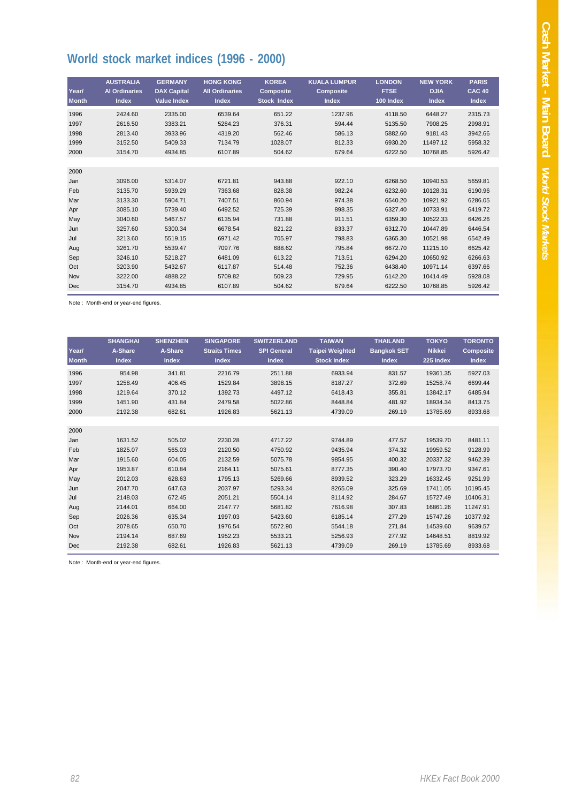# **World stock market indices (1996 - 2000)**

| Year/<br><b>Month</b> | <b>AUSTRALIA</b><br><b>Al Ordinaries</b><br><b>Index</b> | <b>GERMANY</b><br><b>DAX Capital</b><br><b>Value Index</b> | <b>HONG KONG</b><br><b>All Ordinaries</b><br><b>Index</b> | <b>KOREA</b><br><b>Composite</b><br><b>Stock Index</b> | <b>KUALA LUMPUR</b><br><b>Composite</b><br><b>Index</b> | <b>LONDON</b><br><b>FTSE</b><br>100 Index | <b>NEW YORK</b><br><b>DJIA</b><br><b>Index</b> | <b>PARIS</b><br><b>CAC 40</b><br><b>Index</b> |
|-----------------------|----------------------------------------------------------|------------------------------------------------------------|-----------------------------------------------------------|--------------------------------------------------------|---------------------------------------------------------|-------------------------------------------|------------------------------------------------|-----------------------------------------------|
| 1996                  | 2424.60                                                  | 2335.00                                                    | 6539.64                                                   | 651.22                                                 | 1237.96                                                 | 4118.50                                   | 6448.27                                        | 2315.73                                       |
| 1997                  | 2616.50                                                  | 3383.21                                                    | 5284.23                                                   | 376.31                                                 | 594.44                                                  | 5135.50                                   | 7908.25                                        | 2998.91                                       |
| 1998                  | 2813.40                                                  | 3933.96                                                    | 4319.20                                                   | 562.46                                                 | 586.13                                                  | 5882.60                                   | 9181.43                                        | 3942.66                                       |
| 1999                  | 3152.50                                                  | 5409.33                                                    | 7134.79                                                   | 1028.07                                                | 812.33                                                  | 6930.20                                   | 11497.12                                       | 5958.32                                       |
| 2000                  | 3154.70                                                  | 4934.85                                                    | 6107.89                                                   | 504.62                                                 | 679.64                                                  | 6222.50                                   | 10768.85                                       | 5926.42                                       |
|                       |                                                          |                                                            |                                                           |                                                        |                                                         |                                           |                                                |                                               |
| 2000                  |                                                          |                                                            |                                                           |                                                        |                                                         |                                           |                                                |                                               |
| Jan                   | 3096.00                                                  | 5314.07                                                    | 6721.81                                                   | 943.88                                                 | 922.10                                                  | 6268.50                                   | 10940.53                                       | 5659.81                                       |
| Feb                   | 3135.70                                                  | 5939.29                                                    | 7363.68                                                   | 828.38                                                 | 982.24                                                  | 6232.60                                   | 10128.31                                       | 6190.96                                       |
| Mar                   | 3133.30                                                  | 5904.71                                                    | 7407.51                                                   | 860.94                                                 | 974.38                                                  | 6540.20                                   | 10921.92                                       | 6286.05                                       |
| Apr                   | 3085.10                                                  | 5739.40                                                    | 6492.52                                                   | 725.39                                                 | 898.35                                                  | 6327.40                                   | 10733.91                                       | 6419.72                                       |
| May                   | 3040.60                                                  | 5467.57                                                    | 6135.94                                                   | 731.88                                                 | 911.51                                                  | 6359.30                                   | 10522.33                                       | 6426.26                                       |
| Jun                   | 3257.60                                                  | 5300.34                                                    | 6678.54                                                   | 821.22                                                 | 833.37                                                  | 6312.70                                   | 10447.89                                       | 6446.54                                       |
| Jul                   | 3213.60                                                  | 5519.15                                                    | 6971.42                                                   | 705.97                                                 | 798.83                                                  | 6365.30                                   | 10521.98                                       | 6542.49                                       |
| Aug                   | 3261.70                                                  | 5539.47                                                    | 7097.76                                                   | 688.62                                                 | 795.84                                                  | 6672.70                                   | 11215.10                                       | 6625.42                                       |
| Sep                   | 3246.10                                                  | 5218.27                                                    | 6481.09                                                   | 613.22                                                 | 713.51                                                  | 6294.20                                   | 10650.92                                       | 6266.63                                       |
| Oct                   | 3203.90                                                  | 5432.67                                                    | 6117.87                                                   | 514.48                                                 | 752.36                                                  | 6438.40                                   | 10971.14                                       | 6397.66                                       |
| Nov                   | 3222.00                                                  | 4888.22                                                    | 5709.82                                                   | 509.23                                                 | 729.95                                                  | 6142.20                                   | 10414.49                                       | 5928.08                                       |
| Dec                   | 3154.70                                                  | 4934.85                                                    | 6107.89                                                   | 504.62                                                 | 679.64                                                  | 6222.50                                   | 10768.85                                       | 5926.42                                       |

Note : Month-end or year-end figures.

| Year/<br><b>Month</b> | <b>SHANGHAI</b><br>A-Share<br><b>Index</b> | <b>SHENZHEN</b><br>A-Share<br><b>Index</b> | <b>SINGAPORE</b><br><b>Straits Times</b><br><b>Index</b> | <b>SWITZERLAND</b><br><b>SPI General</b><br><b>Index</b> | <b>TAIWAN</b><br><b>Taipei Weighted</b><br><b>Stock Index</b> | <b>THAILAND</b><br><b>Bangkok SET</b><br><b>Index</b> | <b>TOKYO</b><br><b>Nikkei</b><br>225 Index | <b>TORONTO</b><br><b>Composite</b><br><b>Index</b> |
|-----------------------|--------------------------------------------|--------------------------------------------|----------------------------------------------------------|----------------------------------------------------------|---------------------------------------------------------------|-------------------------------------------------------|--------------------------------------------|----------------------------------------------------|
| 1996                  | 954.98                                     | 341.81                                     | 2216.79                                                  | 2511.88                                                  | 6933.94                                                       | 831.57                                                | 19361.35                                   | 5927.03                                            |
| 1997                  | 1258.49                                    | 406.45                                     | 1529.84                                                  | 3898.15                                                  | 8187.27                                                       | 372.69                                                | 15258.74                                   | 6699.44                                            |
| 1998                  | 1219.64                                    | 370.12                                     | 1392.73                                                  | 4497.12                                                  | 6418.43                                                       | 355.81                                                | 13842.17                                   | 6485.94                                            |
| 1999                  | 1451.90                                    | 431.84                                     | 2479.58                                                  | 5022.86                                                  | 8448.84                                                       | 481.92                                                | 18934.34                                   | 8413.75                                            |
| 2000                  | 2192.38                                    | 682.61                                     | 1926.83                                                  | 5621.13                                                  | 4739.09                                                       | 269.19                                                | 13785.69                                   | 8933.68                                            |
|                       |                                            |                                            |                                                          |                                                          |                                                               |                                                       |                                            |                                                    |
| 2000                  |                                            |                                            |                                                          |                                                          |                                                               |                                                       |                                            |                                                    |
| Jan                   | 1631.52                                    | 505.02                                     | 2230.28                                                  | 4717.22                                                  | 9744.89                                                       | 477.57                                                | 19539.70                                   | 8481.11                                            |
| Feb                   | 1825.07                                    | 565.03                                     | 2120.50                                                  | 4750.92                                                  | 9435.94                                                       | 374.32                                                | 19959.52                                   | 9128.99                                            |
| Mar                   | 1915.60                                    | 604.05                                     | 2132.59                                                  | 5075.78                                                  | 9854.95                                                       | 400.32                                                | 20337.32                                   | 9462.39                                            |
| Apr                   | 1953.87                                    | 610.84                                     | 2164.11                                                  | 5075.61                                                  | 8777.35                                                       | 390.40                                                | 17973.70                                   | 9347.61                                            |
| May                   | 2012.03                                    | 628.63                                     | 1795.13                                                  | 5269.66                                                  | 8939.52                                                       | 323.29                                                | 16332.45                                   | 9251.99                                            |
| Jun                   | 2047.70                                    | 647.63                                     | 2037.97                                                  | 5293.34                                                  | 8265.09                                                       | 325.69                                                | 17411.05                                   | 10195.45                                           |
| Jul                   | 2148.03                                    | 672.45                                     | 2051.21                                                  | 5504.14                                                  | 8114.92                                                       | 284.67                                                | 15727.49                                   | 10406.31                                           |
| Aug                   | 2144.01                                    | 664.00                                     | 2147.77                                                  | 5681.82                                                  | 7616.98                                                       | 307.83                                                | 16861.26                                   | 11247.91                                           |
| Sep                   | 2026.36                                    | 635.34                                     | 1997.03                                                  | 5423.60                                                  | 6185.14                                                       | 277.29                                                | 15747.26                                   | 10377.92                                           |
| Oct                   | 2078.65                                    | 650.70                                     | 1976.54                                                  | 5572.90                                                  | 5544.18                                                       | 271.84                                                | 14539.60                                   | 9639.57                                            |
| Nov                   | 2194.14                                    | 687.69                                     | 1952.23                                                  | 5533.21                                                  | 5256.93                                                       | 277.92                                                | 14648.51                                   | 8819.92                                            |
| <b>Dec</b>            | 2192.38                                    | 682.61                                     | 1926.83                                                  | 5621.13                                                  | 4739.09                                                       | 269.19                                                | 13785.69                                   | 8933.68                                            |

Note : Month-end or year-end figures.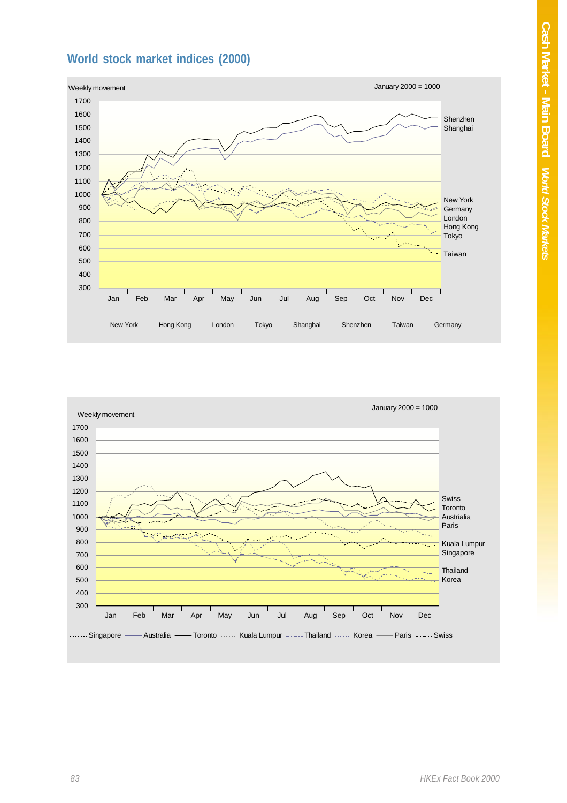# **World stock market indices (2000)**



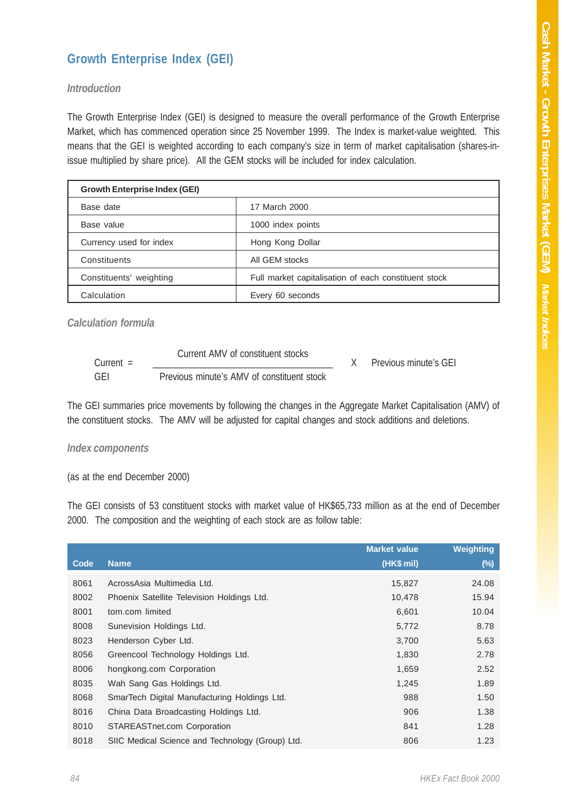### **Growth Enterprise Index (GEI)**

#### *Introduction*

The Growth Enterprise Index (GEI) is designed to measure the overall performance of the Growth Enterprise Market, which has commenced operation since 25 November 1999. The Index is market-value weighted. This means that the GEI is weighted according to each company's size in term of market capitalisation (shares-inissue multiplied by share price). All the GEM stocks will be included for index calculation.

| <b>Growth Enterprise Index (GEI)</b> |                                                      |
|--------------------------------------|------------------------------------------------------|
| Base date                            | 17 March 2000                                        |
| Base value                           | 1000 index points                                    |
| Currency used for index              | Hong Kong Dollar                                     |
| Constituents                         | All GEM stocks                                       |
| Constituents' weighting              | Full market capitalisation of each constituent stock |
| Calculation                          | Every 60 seconds                                     |

*Calculation formula*

| $Current =$ | Current AMV of constituent stocks          | Previous minute's GEI |
|-------------|--------------------------------------------|-----------------------|
| GEI         | Previous minute's AMV of constituent stock |                       |

The GEI summaries price movements by following the changes in the Aggregate Market Capitalisation (AMV) of the constituent stocks. The AMV will be adjusted for capital changes and stock additions and deletions.

#### *Index components*

(as at the end December 2000)

The GEI consists of 53 constituent stocks with market value of HK\$65,733 million as at the end of December 2000. The composition and the weighting of each stock are as follow table:

|      |                                                  | <b>Market value</b> | <b>Weighting</b> |
|------|--------------------------------------------------|---------------------|------------------|
| Code | <b>Name</b>                                      | (HK\$ mil)          | $(\%)$           |
| 8061 | AcrossAsia Multimedia Ltd.                       | 15,827              | 24.08            |
| 8002 | Phoenix Satellite Television Holdings Ltd.       | 10,478              | 15.94            |
| 8001 | tom.com limited                                  | 6,601               | 10.04            |
| 8008 | Sunevision Holdings Ltd.                         | 5,772               | 8.78             |
| 8023 | Henderson Cyber Ltd.                             | 3,700               | 5.63             |
| 8056 | Greencool Technology Holdings Ltd.               | 1,830               | 2.78             |
| 8006 | hongkong.com Corporation                         | 1,659               | 2.52             |
| 8035 | Wah Sang Gas Holdings Ltd.                       | 1,245               | 1.89             |
| 8068 | SmarTech Digital Manufacturing Holdings Ltd.     | 988                 | 1.50             |
| 8016 | China Data Broadcasting Holdings Ltd.            | 906                 | 1.38             |
| 8010 | STAREASTnet.com Corporation                      | 841                 | 1.28             |
| 8018 | SIIC Medical Science and Technology (Group) Ltd. | 806                 | 1.23             |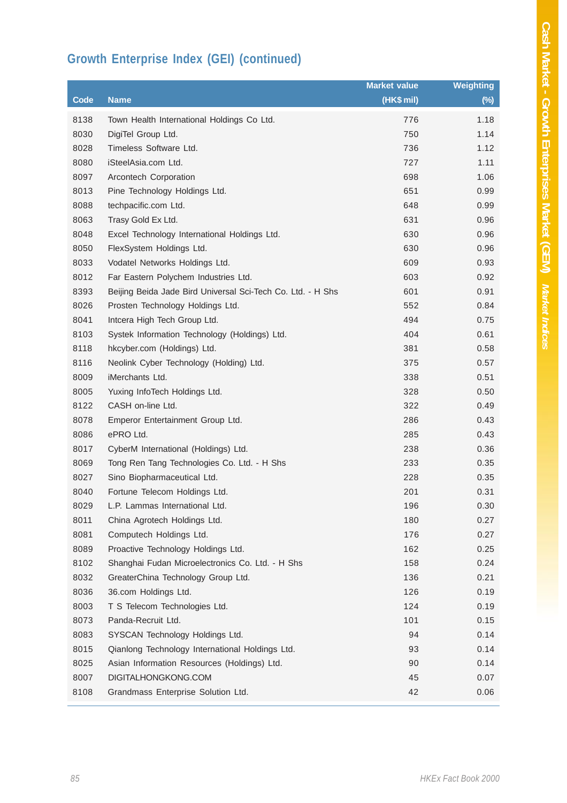# **Growth Enterprise Index (GEI) (continued)**

|      |                                                             | <b>Market value</b> | <b>Weighting</b> |
|------|-------------------------------------------------------------|---------------------|------------------|
| Code | <b>Name</b>                                                 | (HK\$ mil)          | $(\%)$           |
| 8138 | Town Health International Holdings Co Ltd.                  | 776                 | 1.18             |
| 8030 | DigiTel Group Ltd.                                          | 750                 | 1.14             |
| 8028 | Timeless Software Ltd.                                      | 736                 | 1.12             |
| 8080 | iSteelAsia.com Ltd.                                         | 727                 | 1.11             |
| 8097 | Arcontech Corporation                                       | 698                 | 1.06             |
| 8013 | Pine Technology Holdings Ltd.                               | 651                 | 0.99             |
| 8088 | techpacific.com Ltd.                                        | 648                 | 0.99             |
| 8063 | Trasy Gold Ex Ltd.                                          | 631                 | 0.96             |
| 8048 | Excel Technology International Holdings Ltd.                | 630                 | 0.96             |
| 8050 | FlexSystem Holdings Ltd.                                    | 630                 | 0.96             |
| 8033 | Vodatel Networks Holdings Ltd.                              | 609                 | 0.93             |
| 8012 | Far Eastern Polychem Industries Ltd.                        | 603                 | 0.92             |
| 8393 | Beijing Beida Jade Bird Universal Sci-Tech Co. Ltd. - H Shs | 601                 | 0.91             |
| 8026 | Prosten Technology Holdings Ltd.                            | 552                 | 0.84             |
| 8041 | Intcera High Tech Group Ltd.                                | 494                 | 0.75             |
| 8103 | Systek Information Technology (Holdings) Ltd.               | 404                 | 0.61             |
| 8118 | hkcyber.com (Holdings) Ltd.                                 | 381                 | 0.58             |
| 8116 | Neolink Cyber Technology (Holding) Ltd.                     | 375                 | 0.57             |
| 8009 | iMerchants Ltd.                                             | 338                 | 0.51             |
| 8005 | Yuxing InfoTech Holdings Ltd.                               | 328                 | 0.50             |
| 8122 | CASH on-line Ltd.                                           | 322                 | 0.49             |
| 8078 | Emperor Entertainment Group Ltd.                            | 286                 | 0.43             |
| 8086 | ePRO Ltd.                                                   | 285                 | 0.43             |
| 8017 | CyberM International (Holdings) Ltd.                        | 238                 | 0.36             |
| 8069 | Tong Ren Tang Technologies Co. Ltd. - H Shs                 | 233                 | 0.35             |
| 8027 | Sino Biopharmaceutical Ltd.                                 | 228                 | 0.35             |
| 8040 | Fortune Telecom Holdings Ltd.                               | 201                 | 0.31             |
| 8029 | L.P. Lammas International Ltd.                              | 196                 | 0.30             |
| 8011 | China Agrotech Holdings Ltd.                                | 180                 | 0.27             |
| 8081 | Computech Holdings Ltd.                                     | 176                 | 0.27             |
| 8089 | Proactive Technology Holdings Ltd.                          | 162                 | 0.25             |
| 8102 | Shanghai Fudan Microelectronics Co. Ltd. - H Shs            | 158                 | 0.24             |
| 8032 | GreaterChina Technology Group Ltd.                          | 136                 | 0.21             |
| 8036 | 36.com Holdings Ltd.                                        | 126                 | 0.19             |
| 8003 | T S Telecom Technologies Ltd.                               | 124                 | 0.19             |
| 8073 | Panda-Recruit Ltd.                                          | 101                 | 0.15             |
| 8083 | SYSCAN Technology Holdings Ltd.                             | 94                  | 0.14             |
| 8015 | Qianlong Technology International Holdings Ltd.             | 93                  | 0.14             |
| 8025 | Asian Information Resources (Holdings) Ltd.                 | 90                  | 0.14             |
| 8007 | DIGITALHONGKONG.COM                                         | 45                  | 0.07             |
| 8108 | Grandmass Enterprise Solution Ltd.                          | 42                  | 0.06             |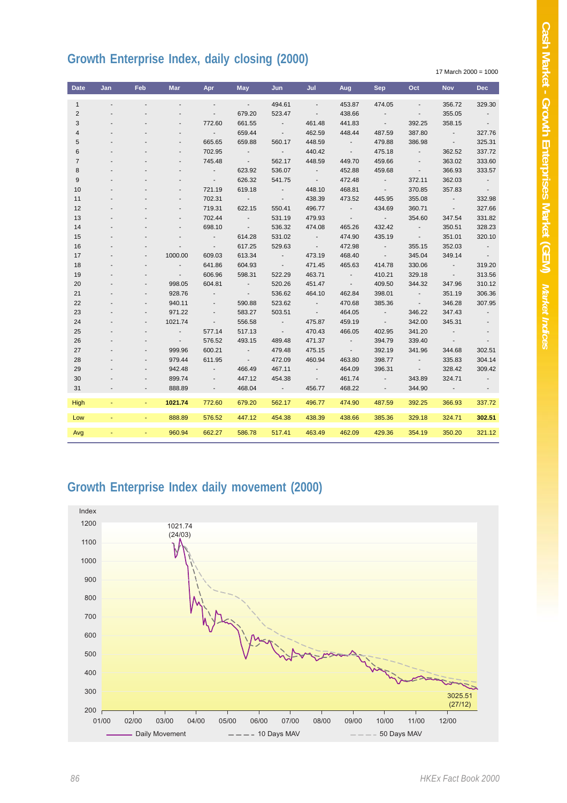### **Growth Enterprise Index, daily closing (2000)**

17 March 2000 = 1000

| <b>Date</b>    | Jan            | Feb | <b>Mar</b>               | Apr                      | May              | Jun                     | Jul                      | Aug                      | Sep.                     | Oct                      | <b>Nov</b>              | <b>Dec</b>               |
|----------------|----------------|-----|--------------------------|--------------------------|------------------|-------------------------|--------------------------|--------------------------|--------------------------|--------------------------|-------------------------|--------------------------|
| $\mathbf{1}$   | $\blacksquare$ |     | $\overline{\phantom{a}}$ | $\blacksquare$           | $\sim$ $\sim$    | 494.61                  | $\overline{\phantom{a}}$ | 453.87                   | 474.05                   | $\overline{\phantom{a}}$ | 356.72                  | 329.30                   |
| 2              |                |     |                          | $\overline{\phantom{a}}$ | 679.20           | 523.47                  | $\sim$                   | 438.66                   | $\sim 100$               | $\sim$                   | 355.05                  | $\sim 100$               |
| 3              |                |     | $\overline{a}$           | 772.60                   | 661.55           | $\sim 100$              | 461.48                   | 441.83                   | $\sim 100$               | 392.25                   | 358.15                  | $\sim$ 100 $\pm$         |
| 4              |                |     | $\overline{a}$           | $\sim$                   | 659.44           | $\sim$ $-$              | 462.59                   | 448.44                   | 487.59                   | 387.80                   | $\sim 100$ km s $^{-1}$ | 327.76                   |
| 5              |                |     | $\overline{a}$           | 665.65                   | 659.88           | 560.17                  | 448.59                   | $\sim 100$ m $^{-1}$     | 479.88                   | 386.98                   | $\sim 100$              | 325.31                   |
| 6              |                |     | $\overline{a}$           | 702.95                   | $\sim$ 100 $\pm$ | $\sim 100$ km s $^{-1}$ | 440.42                   | $\sim 100$               | 475.18                   | $\sim 100$               | 362.52                  | 337.72                   |
| $\overline{7}$ |                |     | $\overline{a}$           | 745.48                   | $\sim 100$       | 562.17                  | 448.59                   | 449.70                   | 459.66                   | $\sim$                   | 363.02                  | 333.60                   |
| 8              |                |     |                          | $\sim$ 100 $\pm$         | 623.92           | 536.07                  | $\sim 100$ km s $^{-1}$  | 452.88                   | 459.68                   | $\sim$                   | 366.93                  | 333.57                   |
| 9              |                |     | $\overline{a}$           | $\sim 100$               | 626.32           | 541.75                  | $\sim 100$               | 472.48                   | $\sim 100$ km s $^{-1}$  | 372.11                   | 362.03                  | $\sim 100$               |
| 10             |                |     | $\overline{\phantom{a}}$ | 721.19                   | 619.18           | $\sim 100$              | 448.10                   | 468.81                   | $\sim 100$ km s $^{-1}$  | 370.85                   | 357.83                  | $\sim 100$               |
| 11             |                |     | $\overline{\phantom{a}}$ | 702.31                   | <b>Contract</b>  | $\sim 100$              | 438.39                   | 473.52                   | 445.95                   | 355.08                   | $\sim 100$              | 332.98                   |
| 12             |                |     | $\overline{\phantom{a}}$ | 719.31                   | 622.15           | 550.41                  | 496.77                   | $\sim 1000$ km s $^{-1}$ | 434.69                   | 360.71                   | $\sim 100$              | 327.66                   |
| 13             |                |     | $\overline{\phantom{a}}$ | 702.44                   | $\sim 100$       | 531.19                  | 479.93                   | $\sim 100$               | <b>Contractor</b>        | 354.60                   | 347.54                  | 331.82                   |
| 14             |                |     | $\overline{\phantom{a}}$ | 698.10                   | $\sim 100$       | 536.32                  | 474.08                   | 465.26                   | 432.42                   | $\sim 100$               | 350.51                  | 328.23                   |
| 15             |                |     | $\overline{\phantom{a}}$ | $\sim 10^{-1}$           | 614.28           | 531.02                  | $\sim 100$ km s $^{-1}$  | 474.90                   | 435.19                   | <b>Contract</b>          | 351.01                  | 320.10                   |
| 16             |                |     | $\overline{\phantom{a}}$ | $\sim$                   | 617.25           | 529.63                  | $\sim 100$               | 472.98                   | <b>Contract Contract</b> | 355.15                   | 352.03                  | $\sim 100$ m $^{-1}$     |
| 17             |                |     | 1000.00                  | 609.03                   | 613.34           | $\sim 100$              | 473.19                   | 468.40                   | $\sim 100$               | 345.04                   | 349.14                  | $\sim$ 100 $\pm$         |
| 18             |                |     | $\sim$                   | 641.86                   | 604.93           | $\sim 100$              | 471.45                   | 465.63                   | 414.78                   | 330.06                   | $\sim 100$              | 319.20                   |
| 19             |                |     | $\sim$                   | 606.96                   | 598.31           | 522.29                  | 463.71                   | $\sim 100$ km s $^{-1}$  | 410.21                   | 329.18                   | $\sim 100$              | 313.56                   |
| 20             |                |     | 998.05                   | 604.81                   | $\sim 100$       | 520.26                  | 451.47                   | $\sim 100$               | 409.50                   | 344.32                   | 347.96                  | 310.12                   |
| 21             |                |     | 928.76                   | $\blacksquare$           | $\sim 100$       | 536.62                  | 464.10                   | 462.84                   | 398.01                   | $\sim 100$               | 351.19                  | 306.36                   |
| 22             |                |     | 940.11                   | $\overline{\phantom{a}}$ | 590.88           | 523.62                  | <b>Contract</b>          | 470.68                   | 385.36                   | $\sim 100$               | 346.28                  | 307.95                   |
| 23             |                |     | 971.22                   | $\overline{\phantom{a}}$ | 583.27           | 503.51                  | $\sim$ $-$               | 464.05                   | $\sim$ 100 $\pm$         | 346.22                   | 347.43                  | $\overline{\phantom{a}}$ |
| 24             |                |     | 1021.74                  | $\overline{\phantom{a}}$ | 556.58           | $\sim 100$              | 475.87                   | 459.19                   | $\sim 100$               | 342.00                   | 345.31                  |                          |
| 25             |                |     | $\sim$                   | 577.14                   | 517.13           | $\sim 100$              | 470.43                   | 466.05                   | 402.95                   | 341.20                   | $\sim$                  | $\overline{\phantom{a}}$ |
| 26             |                |     | $\sim$                   | 576.52                   | 493.15           | 489.48                  | 471.37                   | $\sim 100$               | 394.79                   | 339.40                   | $\sim$ $-$              | $\blacksquare$           |
| 27             |                |     | 999.96                   | 600.21                   | $\sim 100$       | 479.48                  | 475.15                   | $\sim$ 100 $\pm$         | 392.19                   | 341.96                   | 344.68                  | 302.51                   |
| 28             |                |     | 979.44                   | 611.95                   | $\sim$ 100 $\pm$ | 472.09                  | 460.94                   | 463.80                   | 398.77                   | $\sim 100$               | 335.83                  | 304.14                   |
| 29             |                |     | 942.48                   | $\blacksquare$           | 466.49           | 467.11                  | $\sim$ $-$               | 464.09                   | 396.31                   | $\sim 100$               | 328.42                  | 309.42                   |
| 30             |                |     | 899.74                   |                          | 447.12           | 454.38                  | $\sim$ $-$               | 461.74                   | $\sim$ 100 $\pm$         | 343.89                   | 324.71                  | $\overline{\phantom{a}}$ |
| 31             |                |     | 888.89                   |                          | 468.04           | $\sim 10$               | 456.77                   | 468.22                   |                          | 344.90                   |                         |                          |
| High           |                |     | 1021.74                  | 772.60                   | 679.20           | 562.17                  | 496.77                   | 474.90                   | 487.59                   | 392.25                   | 366.93                  | 337.72                   |
| Low            |                |     | 888.89                   | 576.52                   | 447.12           | 454.38                  | 438.39                   | 438.66                   | 385.36                   | 329.18                   | 324.71                  | 302.51                   |
| Avg            |                |     | 960.94                   | 662.27                   | 586.78           | 517.41                  | 463.49                   | 462.09                   | 429.36                   | 354.19                   | 350.20                  | 321.12                   |

#### **Growth Enterprise Index daily movement (2000)**

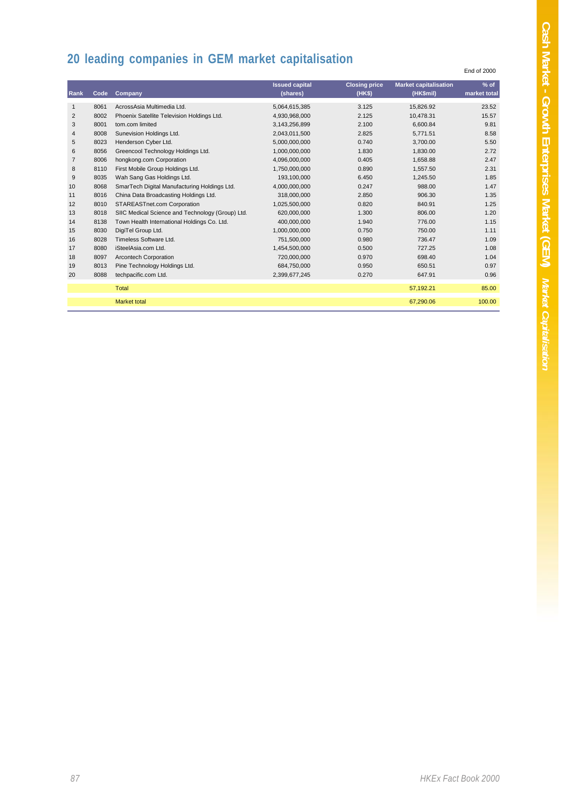End of 2000

# **20 leading companies in GEM market capitalisation**

| Rank           | Code | Company                                          | <b>Issued capital</b><br>(shares) | <b>Closing price</b><br>(HKS) | <b>Market capitalisation</b><br>(HK\$mil) | $%$ of<br>market total |
|----------------|------|--------------------------------------------------|-----------------------------------|-------------------------------|-------------------------------------------|------------------------|
| 1              | 8061 | AcrossAsia Multimedia Ltd.                       | 5,064,615,385                     | 3.125                         | 15,826.92                                 | 23.52                  |
| $\overline{2}$ | 8002 | Phoenix Satellite Television Holdings Ltd.       | 4,930,968,000                     | 2.125                         | 10.478.31                                 | 15.57                  |
| 3              | 8001 | tom.com limited                                  | 3,143,256,899                     | 2.100                         | 6.600.84                                  | 9.81                   |
| $\overline{4}$ | 8008 | Sunevision Holdings Ltd.                         | 2,043,011,500                     | 2.825                         | 5.771.51                                  | 8.58                   |
| 5              | 8023 | Henderson Cyber Ltd.                             | 5,000,000,000                     | 0.740                         | 3.700.00                                  | 5.50                   |
| 6              | 8056 | Greencool Technology Holdings Ltd.               | 1,000,000,000                     | 1.830                         | 1.830.00                                  | 2.72                   |
| $\overline{7}$ | 8006 | hongkong.com Corporation                         | 4,096,000,000                     | 0.405                         | 1,658.88                                  | 2.47                   |
| 8              | 8110 | First Mobile Group Holdings Ltd.                 | 1,750,000,000                     | 0.890                         | 1,557.50                                  | 2.31                   |
| 9              | 8035 | Wah Sang Gas Holdings Ltd.                       | 193,100,000                       | 6.450                         | 1,245.50                                  | 1.85                   |
| 10             | 8068 | SmarTech Digital Manufacturing Holdings Ltd.     | 4,000,000,000                     | 0.247                         | 988.00                                    | 1.47                   |
| 11             | 8016 | China Data Broadcasting Holdings Ltd.            | 318,000,000                       | 2.850                         | 906.30                                    | 1.35                   |
| 12             | 8010 | STAREASTnet.com Corporation                      | 1,025,500,000                     | 0.820                         | 840.91                                    | 1.25                   |
| 13             | 8018 | SIIC Medical Science and Technology (Group) Ltd. | 620,000,000                       | 1.300                         | 806.00                                    | 1.20                   |
| 14             | 8138 | Town Health International Holdings Co. Ltd.      | 400.000.000                       | 1.940                         | 776.00                                    | 1.15                   |
| 15             | 8030 | DigiTel Group Ltd.                               | 1,000,000,000                     | 0.750                         | 750.00                                    | 1.11                   |
| 16             | 8028 | Timeless Software Ltd.                           | 751.500.000                       | 0.980                         | 736.47                                    | 1.09                   |
| 17             | 8080 | iSteelAsia.com Ltd.                              | 1,454,500,000                     | 0.500                         | 727.25                                    | 1.08                   |
| 18             | 8097 | <b>Arcontech Corporation</b>                     | 720,000,000                       | 0.970                         | 698.40                                    | 1.04                   |
| 19             | 8013 | Pine Technology Holdings Ltd.                    | 684,750,000                       | 0.950                         | 650.51                                    | 0.97                   |
| 20             | 8088 | techpacific.com Ltd.                             | 2,399,677,245                     | 0.270                         | 647.91                                    | 0.96                   |
|                |      |                                                  |                                   |                               |                                           |                        |
|                |      | Total                                            |                                   |                               | 57,192.21                                 | 85.00                  |
|                |      | <b>Market total</b>                              |                                   |                               | 67.290.06                                 | 100.00                 |
|                |      |                                                  |                                   |                               |                                           |                        |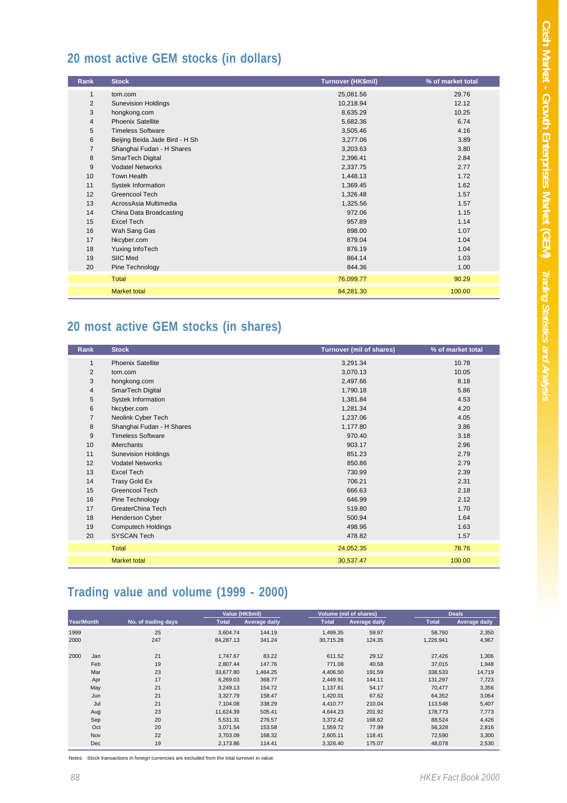### **20 most active GEM stocks (in dollars)**

| Rank           | <b>Stock</b>                   | Turnover (HK\$mil) | % of market total |
|----------------|--------------------------------|--------------------|-------------------|
| $\mathbf{1}$   | tom.com                        | 25,081.56          | 29.76             |
| 2              | <b>Sunevision Holdings</b>     | 10,218.94          | 12.12             |
| 3              | hongkong.com                   | 8,635.29           | 10.25             |
| $\overline{4}$ | <b>Phoenix Satellite</b>       | 5,682.36           | 6.74              |
| 5              | <b>Timeless Software</b>       | 3,505.46           | 4.16              |
| 6              | Beijing Beida Jade Bird - H Sh | 3,277.06           | 3.89              |
| $\overline{7}$ | Shanghai Fudan - H Shares      | 3,203.63           | 3.80              |
| 8              | SmarTech Digital               | 2,396.41           | 2.84              |
| 9              | <b>Vodatel Networks</b>        | 2,337.75           | 2.77              |
| 10             | <b>Town Health</b>             | 1,448.13           | 1.72              |
| 11             | Systek Information             | 1,369.45           | 1.62              |
| 12             | Greencool Tech                 | 1,326.48           | 1.57              |
| 13             | AcrossAsia Multimedia          | 1,325.56           | 1.57              |
| 14             | China Data Broadcasting        | 972.06             | 1.15              |
| 15             | <b>Excel Tech</b>              | 957.89             | 1.14              |
| 16             | Wah Sang Gas                   | 898.00             | 1.07              |
| 17             | hkcyber.com                    | 879.04             | 1.04              |
| 18             | Yuxing InfoTech                | 876.19             | 1.04              |
| 19             | SIIC Med                       | 864.14             | 1.03              |
| 20             | Pine Technology                | 844.36             | 1.00              |
|                | Total                          | 76,099.77          | 90.29             |
|                | <b>Market total</b>            | 84,281.30          | 100.00            |

### **20 most active GEM stocks (in shares)**

| Rank           | <b>Stock</b>               | <b>Turnover (mil of shares)</b> | % of market total |
|----------------|----------------------------|---------------------------------|-------------------|
| $\mathbf{1}$   | <b>Phoenix Satellite</b>   | 3,291.34                        | 10.78             |
| $\overline{2}$ | tom.com                    | 3,070.13                        | 10.05             |
| 3              | hongkong.com               | 2,497.66                        | 8.18              |
| $\overline{4}$ | SmarTech Digital           | 1,790.18                        | 5.86              |
| 5              | Systek Information         | 1,381.84                        | 4.53              |
| 6              | hkcyber.com                | 1,281.34                        | 4.20              |
| $\overline{7}$ | Neolink Cyber Tech         | 1,237.06                        | 4.05              |
| 8              | Shanghai Fudan - H Shares  | 1,177.80                        | 3.86              |
| 9              | <b>Timeless Software</b>   | 970.40                          | 3.18              |
| 10             | <b>iMerchants</b>          | 903.17                          | 2.96              |
| 11             | <b>Sunevision Holdings</b> | 851.23                          | 2.79              |
| 12             | <b>Vodatel Networks</b>    | 850.86                          | 2.79              |
| 13             | Excel Tech                 | 730.99                          | 2.39              |
| 14             | Trasy Gold Ex              | 706.21                          | 2.31              |
| 15             | Greencool Tech             | 666.63                          | 2.18              |
| 16             | Pine Technology            | 646.99                          | 2.12              |
| 17             | GreaterChina Tech          | 519.80                          | 1.70              |
| 18             | Henderson Cyber            | 500.94                          | 1.64              |
| 19             | <b>Computech Holdings</b>  | 498.96                          | 1.63              |
| 20             | <b>SYSCAN Tech</b>         | 478.82                          | 1.57              |
|                | Total                      | 24,052.35                       | 78.76             |
|                | <b>Market total</b>        | 30,537.47                       | 100.00            |

# **Trading value and volume (1999 - 2000)**

| <b>Year/Month</b> |            |                     | Value (HK\$mil) |                      |              | <b>Volume (mil of shares)</b> |              | <b>Deals</b>         |
|-------------------|------------|---------------------|-----------------|----------------------|--------------|-------------------------------|--------------|----------------------|
|                   |            | No. of trading days | <b>Total</b>    | <b>Average daily</b> | <b>Total</b> | <b>Average daily</b>          | <b>Total</b> | <b>Average daily</b> |
| 1999              |            | 25                  | 3.604.74        | 144.19               | 1,499.35     | 59.97                         | 58.760       | 2,350                |
| 2000              |            | 247                 | 84.287.13       | 341.24               | 30.715.28    | 124.35                        | 1,226,941    | 4,967                |
| 2000              | Jan        | 21                  | 1.747.67        | 83.22                | 611.52       | 29.12                         | 27,426       | 1,306                |
|                   | Feb        | 19                  | 2.807.44        | 147.76               | 771.08       | 40.58                         | 37.015       | 1,948                |
|                   | Mar        | 23                  | 33,677.80       | 1,464.25             | 4,406.50     | 191.59                        | 338,533      | 14,719               |
|                   | Apr        | 17                  | 6,269.03        | 368.77               | 2,449.91     | 144.11                        | 131,297      | 7,723                |
|                   | May        | 21                  | 3,249.13        | 154.72               | 1.137.61     | 54.17                         | 70,477       | 3,356                |
|                   | Jun        | 21                  | 3.327.79        | 158.47               | 1,420.01     | 67.62                         | 64,352       | 3,064                |
|                   | Jul        | 21                  | 7.104.08        | 338.29               | 4,410.77     | 210.04                        | 113,548      | 5,407                |
|                   | Aug        | 23                  | 11.624.39       | 505.41               | 4.644.23     | 201.92                        | 178,773      | 7,773                |
|                   | Sep        | 20                  | 5.531.31        | 276.57               | 3,372.42     | 168.62                        | 88,524       | 4,426                |
|                   | Oct        | 20                  | 3.071.54        | 153.58               | 1,559.72     | 77.99                         | 56,328       | 2,816                |
|                   | Nov        | 22                  | 3,703.09        | 168.32               | 2,605.11     | 118.41                        | 72,590       | 3,300                |
|                   | <b>Dec</b> | 19                  | 2,173.86        | 114.41               | 3,326.40     | 175.07                        | 48,078       | 2,530                |

Notes: Stock transactions in foreign currencies are excluded from the total turnover in value.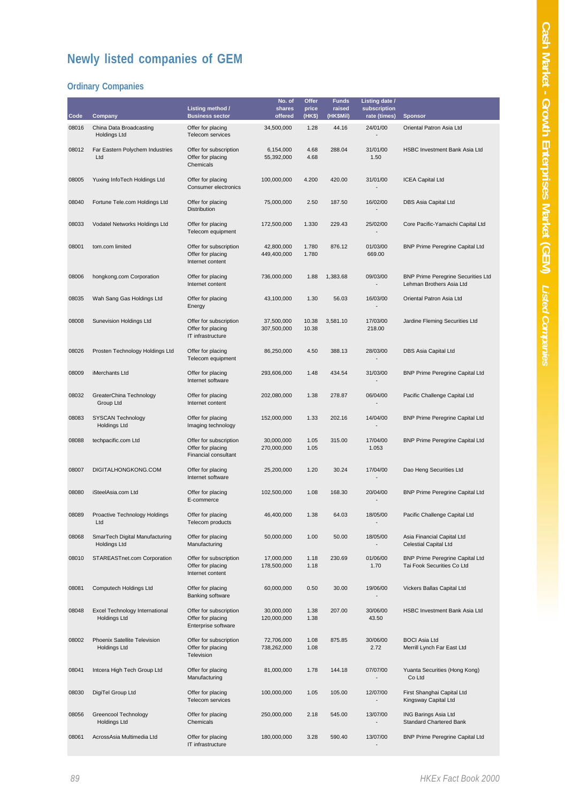# **Newly listed companies of GEM**

#### **Ordinary Companies**

| Code  | Company                                                      | Listing method /<br><b>Business sector</b>                          | No. of<br>shares<br>offered | Offer<br>price<br>(HK\$) | <b>Funds</b><br>raised<br>(HK\$Mil) | Listing date /<br>subscription<br>rate (times) |                                                                       |
|-------|--------------------------------------------------------------|---------------------------------------------------------------------|-----------------------------|--------------------------|-------------------------------------|------------------------------------------------|-----------------------------------------------------------------------|
| 08016 | China Data Broadcasting                                      | Offer for placing                                                   | 34,500,000                  | 1.28                     | 44.16                               | 24/01/00                                       | <b>Sponsor</b><br>Oriental Patron Asia Ltd                            |
|       | <b>Holdings Ltd</b>                                          | Telecom services                                                    |                             |                          |                                     |                                                |                                                                       |
| 08012 | Far Eastern Polychem Industries<br>Ltd                       | Offer for subscription<br>Offer for placing<br>Chemicals            | 6,154,000<br>55,392,000     | 4.68<br>4.68             | 288.04                              | 31/01/00<br>1.50                               | <b>HSBC Investment Bank Asia Ltd</b>                                  |
| 08005 | Yuxing InfoTech Holdings Ltd                                 | Offer for placing<br>Consumer electronics                           | 100,000,000                 | 4.200                    | 420.00                              | 31/01/00<br>۰                                  | <b>ICEA Capital Ltd</b>                                               |
| 08040 | Fortune Tele.com Holdings Ltd                                | Offer for placing<br><b>Distribution</b>                            | 75,000,000                  | 2.50                     | 187.50                              | 16/02/00                                       | DBS Asia Capital Ltd                                                  |
| 08033 | Vodatel Networks Holdings Ltd                                | Offer for placing<br>Telecom equipment                              | 172,500,000                 | 1.330                    | 229.43                              | 25/02/00                                       | Core Pacific-Yamaichi Capital Ltd                                     |
| 08001 | tom.com limited                                              | Offer for subscription<br>Offer for placing<br>Internet content     | 42,800,000<br>449,400,000   | 1.780<br>1.780           | 876.12                              | 01/03/00<br>669.00                             | <b>BNP Prime Peregrine Capital Ltd</b>                                |
| 08006 | hongkong.com Corporation                                     | Offer for placing<br>Internet content                               | 736,000,000                 | 1.88                     | 1,383.68                            | 09/03/00                                       | <b>BNP Prime Peregrine Securities Ltd</b><br>Lehman Brothers Asia Ltd |
| 08035 | Wah Sang Gas Holdings Ltd                                    | Offer for placing<br>Energy                                         | 43,100,000                  | 1.30                     | 56.03                               | 16/03/00                                       | Oriental Patron Asia Ltd                                              |
| 08008 | Sunevision Holdings Ltd                                      | Offer for subscription<br>Offer for placing<br>IT infrastructure    | 37,500,000<br>307,500,000   | 10.38<br>10.38           | 3,581.10                            | 17/03/00<br>218.00                             | Jardine Fleming Securities Ltd                                        |
| 08026 | Prosten Technology Holdings Ltd                              | Offer for placing<br>Telecom equipment                              | 86,250,000                  | 4.50                     | 388.13                              | 28/03/00                                       | DBS Asia Capital Ltd                                                  |
| 08009 | iMerchants Ltd                                               | Offer for placing<br>Internet software                              | 293,606,000                 | 1.48                     | 434.54                              | 31/03/00                                       | <b>BNP Prime Peregrine Capital Ltd</b>                                |
| 08032 | GreaterChina Technology<br>Group Ltd                         | Offer for placing<br>Internet content                               | 202,080,000                 | 1.38                     | 278.87                              | 06/04/00                                       | Pacific Challenge Capital Ltd                                         |
| 08083 | <b>SYSCAN Technology</b><br><b>Holdings Ltd</b>              | Offer for placing<br>Imaging technology                             | 152,000,000                 | 1.33                     | 202.16                              | 14/04/00                                       | <b>BNP Prime Peregrine Capital Ltd</b>                                |
| 08088 | techpacific.com Ltd                                          | Offer for subscription<br>Offer for placing<br>Financial consultant | 30,000,000<br>270,000,000   | 1.05<br>1.05             | 315.00                              | 17/04/00<br>1.053                              | <b>BNP Prime Peregrine Capital Ltd</b>                                |
| 08007 | DIGITALHONGKONG.COM                                          | Offer for placing<br>Internet software                              | 25,200,000                  | 1.20                     | 30.24                               | 17/04/00                                       | Dao Heng Securities Ltd                                               |
| 08080 | iSteelAsia.com Ltd                                           | Offer for placing<br>E-commerce                                     | 102,500,000                 | 1.08                     | 168.30                              | 20/04/00                                       | <b>BNP Prime Peregrine Capital Ltd</b>                                |
| 08089 | Proactive Technology Holdings<br>Ltd                         | Offer for placing<br>Telecom products                               | 46,400,000                  | 1.38                     | 64.03                               | 18/05/00                                       | Pacific Challenge Capital Ltd                                         |
| 08068 | SmarTech Digital Manufacturing<br><b>Holdings Ltd</b>        | Offer for placing<br>Manufacturing                                  | 50,000,000                  | 1.00                     | 50.00                               | 18/05/00                                       | Asia Financial Capital Ltd<br><b>Celestial Capital Ltd</b>            |
| 08010 | <b>STAREASTnet.com Corporation</b>                           | Offer for subscription<br>Offer for placing<br>Internet content     | 17,000,000<br>178,500,000   | 1.18<br>1.18             | 230.69                              | 01/06/00<br>1.70                               | <b>BNP Prime Peregrine Capital Ltd</b><br>Tai Fook Securities Co Ltd  |
| 08081 | Computech Holdings Ltd                                       | Offer for placing<br>Banking software                               | 60,000,000                  | 0.50                     | 30.00                               | 19/06/00                                       | Vickers Ballas Capital Ltd                                            |
| 08048 | <b>Excel Technology International</b><br><b>Holdings Ltd</b> | Offer for subscription<br>Offer for placing<br>Enterprise software  | 30,000,000<br>120,000,000   | 1.38<br>1.38             | 207.00                              | 30/06/00<br>43.50                              | <b>HSBC Investment Bank Asia Ltd</b>                                  |
| 08002 | Phoenix Satellite Television<br><b>Holdings Ltd</b>          | Offer for subscription<br>Offer for placing<br>Television           | 72,706,000<br>738,262,000   | 1.08<br>1.08             | 875.85                              | 30/06/00<br>2.72                               | <b>BOCI Asia Ltd</b><br>Merrill Lynch Far East Ltd                    |
| 08041 | Intcera High Tech Group Ltd                                  | Offer for placing<br>Manufacturing                                  | 81,000,000                  | 1.78                     | 144.18                              | 07/07/00                                       | Yuanta Securities (Hong Kong)<br>Co Ltd                               |
| 08030 | DigiTel Group Ltd                                            | Offer for placing<br>Telecom services                               | 100,000,000                 | 1.05                     | 105.00                              | 12/07/00                                       | First Shanghai Capital Ltd<br>Kingsway Capital Ltd                    |
| 08056 | Greencool Technology<br><b>Holdings Ltd</b>                  | Offer for placing<br>Chemicals                                      | 250,000,000                 | 2.18                     | 545.00                              | 13/07/00                                       | ING Barings Asia Ltd<br><b>Standard Chartered Bank</b>                |
| 08061 | AcrossAsia Multimedia Ltd                                    | Offer for placing<br>IT infrastructure                              | 180,000,000                 | 3.28                     | 590.40                              | 13/07/00<br>۰                                  | <b>BNP Prime Peregrine Capital Ltd</b>                                |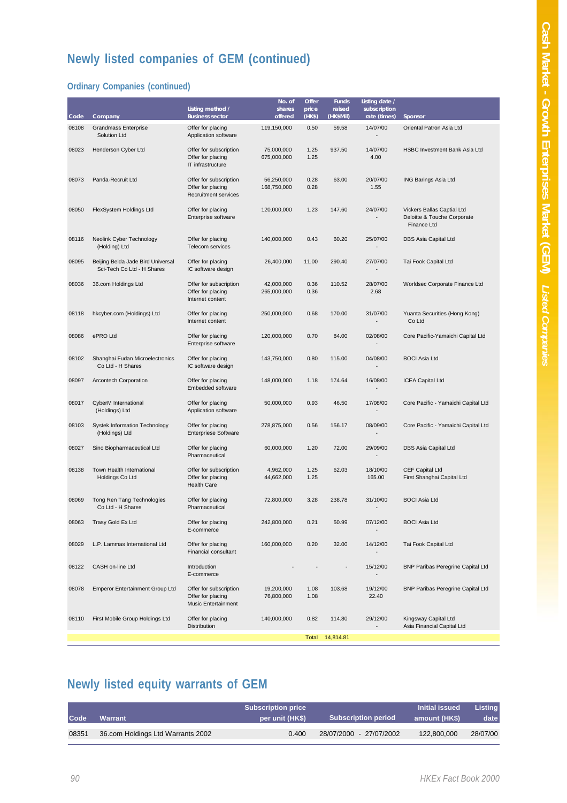# **Newly listed companies of GEM (continued)**

#### **Ordinary Companies (continued)**

|       |                                                                 |                                                                     | No. of                    | Offer          | <b>Funds</b>        | Listing date /               |                                                                          |
|-------|-----------------------------------------------------------------|---------------------------------------------------------------------|---------------------------|----------------|---------------------|------------------------------|--------------------------------------------------------------------------|
| Code  | Company                                                         | Listing method /<br><b>Business sector</b>                          | shares<br>offered         | price<br>(HKS) | raised<br>(HK\$Mil) | subscription<br>rate (times) | Sponsor                                                                  |
| 08108 | <b>Grandmass Enterprise</b><br>Solution Ltd                     | Offer for placing<br>Application software                           | 119,150,000               | 0.50           | 59.58               | 14/07/00                     | Oriental Patron Asia Ltd                                                 |
| 08023 | Henderson Cyber Ltd                                             | Offer for subscription<br>Offer for placing<br>IT infrastructure    | 75,000,000<br>675,000,000 | 1.25<br>1.25   | 937.50              | 14/07/00<br>4.00             | <b>HSBC Investment Bank Asia Ltd</b>                                     |
| 08073 | Panda-Recruit Ltd                                               | Offer for subscription<br>Offer for placing<br>Recruitment services | 56,250,000<br>168,750,000 | 0.28<br>0.28   | 63.00               | 20/07/00<br>1.55             | <b>ING Barings Asia Ltd</b>                                              |
| 08050 | FlexSystem Holdings Ltd                                         | Offer for placing<br>Enterprise software                            | 120,000,000               | 1.23           | 147.60              | 24/07/00                     | Vickers Ballas Captial Ltd<br>Deloitte & Touche Corporate<br>Finance Ltd |
| 08116 | Neolink Cyber Technology<br>(Holding) Ltd                       | Offer for placing<br>Telecom services                               | 140,000,000               | 0.43           | 60.20               | 25/07/00                     | DBS Asia Capital Ltd                                                     |
| 08095 | Beijing Beida Jade Bird Universal<br>Sci-Tech Co Ltd - H Shares | Offer for placing<br>IC software design                             | 26,400,000                | 11.00          | 290.40              | 27/07/00                     | Tai Fook Capital Ltd                                                     |
| 08036 | 36.com Holdings Ltd                                             | Offer for subscription<br>Offer for placing<br>Internet content     | 42,000,000<br>265,000,000 | 0.36<br>0.36   | 110.52              | 28/07/00<br>2.68             | Worldsec Corporate Finance Ltd                                           |
| 08118 | hkcyber.com (Holdings) Ltd                                      | Offer for placing<br>Internet content                               | 250,000,000               | 0.68           | 170.00              | 31/07/00                     | Yuanta Securities (Hong Kong)<br>Co Ltd                                  |
| 08086 | ePRO Ltd                                                        | Offer for placing<br>Enterprise software                            | 120,000,000               | 0.70           | 84.00               | 02/08/00                     | Core Pacific-Yamaichi Capital Ltd                                        |
| 08102 | Shanghai Fudan Microelectronics<br>Co Ltd - H Shares            | Offer for placing<br>IC software design                             | 143,750,000               | 0.80           | 115.00              | 04/08/00                     | <b>BOCI Asia Ltd</b>                                                     |
| 08097 | Arcontech Corporation                                           | Offer for placing<br>Embedded software                              | 148,000,000               | 1.18           | 174.64              | 16/08/00                     | <b>ICEA Capital Ltd</b>                                                  |
| 08017 | CyberM International<br>(Holdings) Ltd                          | Offer for placing<br>Application software                           | 50,000,000                | 0.93           | 46.50               | 17/08/00                     | Core Pacific - Yamaichi Capital Ltd                                      |
| 08103 | Systek Information Technology<br>(Holdings) Ltd                 | Offer for placing<br><b>Enterpriese Software</b>                    | 278,875,000               | 0.56           | 156.17              | 08/09/00                     | Core Pacific - Yamaichi Capital Ltd                                      |
| 08027 | Sino Biopharmaceutical Ltd                                      | Offer for placing<br>Pharmaceutical                                 | 60,000,000                | 1.20           | 72.00               | 29/09/00                     | DBS Asia Capital Ltd                                                     |
| 08138 | Town Health International<br>Holdings Co Ltd                    | Offer for subscription<br>Offer for placing<br><b>Health Care</b>   | 4,962,000<br>44,662,000   | 1.25<br>1.25   | 62.03               | 18/10/00<br>165.00           | <b>CEF Capital Ltd</b><br>First Shanghai Capital Ltd                     |
| 08069 | Tong Ren Tang Technologies<br>Co Ltd - H Shares                 | Offer for placing<br>Pharmaceutical                                 | 72,800,000                | 3.28           | 238.78              | 31/10/00                     | <b>BOCI Asia Ltd</b>                                                     |
| 08063 | Trasy Gold Ex Ltd                                               | Offer for placing<br>E-commerce                                     | 242,800,000               | 0.21           | 50.99               | 07/12/00                     | <b>BOCI Asia Ltd</b>                                                     |
| 08029 | L.P. Lammas International Ltd                                   | Offer for placing<br>Financial consultant                           | 160,000,000               | 0.20           | 32.00               | 14/12/00                     | Tai Fook Capital Ltd                                                     |
| 08122 | CASH on-line Ltd                                                | Introduction<br>E-commerce                                          |                           |                |                     | 15/12/00                     | <b>BNP Paribas Peregrine Capital Ltd</b>                                 |
| 08078 | <b>Emperor Entertainment Group Ltd</b>                          | Offer for subscription<br>Offer for placing<br>Music Entertainment  | 19,200,000<br>76,800,000  | 1.08<br>1.08   | 103.68              | 19/12/00<br>22.40            | <b>BNP Paribas Peregrine Capital Ltd</b>                                 |
| 08110 | First Mobile Group Holdings Ltd                                 | Offer for placing<br><b>Distribution</b>                            | 140,000,000               | 0.82           | 114.80              | 29/12/00                     | Kingsway Capital Ltd<br>Asia Financial Capital Ltd                       |
|       |                                                                 |                                                                     |                           | Total          | 14,814.81           |                              |                                                                          |

# **Newly listed equity warrants of GEM**

| Code  | Warrant                           | <b>Subscription price</b><br>per unit (HK\$) | <b>Subscription period</b> | <b>Initial issued</b><br>amount (HK\$) | <b>Listing</b><br>date |
|-------|-----------------------------------|----------------------------------------------|----------------------------|----------------------------------------|------------------------|
| 08351 | 36.com Holdings Ltd Warrants 2002 | 0.400                                        | 28/07/2000 - 27/07/2002    | 122,800,000                            | 28/07/00               |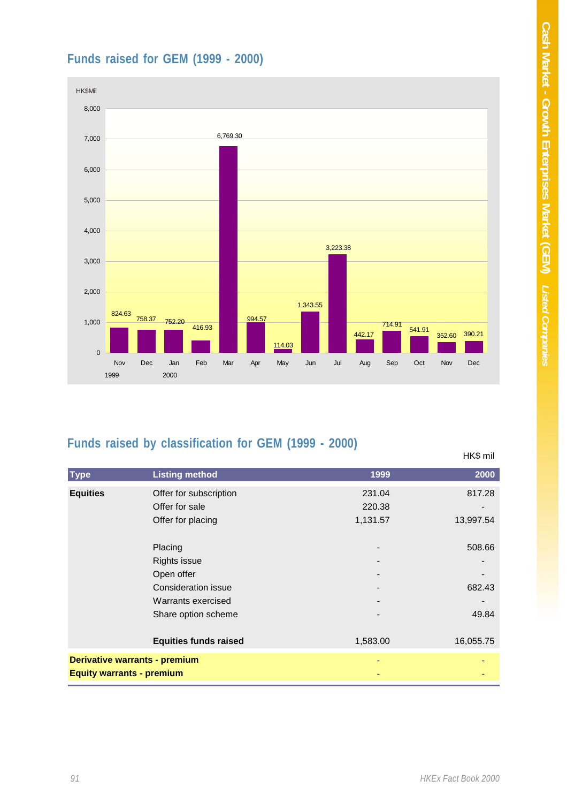### **Funds raised for GEM (1999 - 2000)**



### **Funds raised by classification for GEM (1999 - 2000)**

|                                  |                              |          | HK\$ mil  |
|----------------------------------|------------------------------|----------|-----------|
| <b>Type</b>                      | <b>Listing method</b>        | 1999     | 2000      |
| <b>Equities</b>                  | Offer for subscription       | 231.04   | 817.28    |
|                                  | Offer for sale               | 220.38   |           |
|                                  | Offer for placing            | 1,131.57 | 13,997.54 |
|                                  | Placing                      |          | 508.66    |
|                                  | <b>Rights issue</b>          |          |           |
|                                  | Open offer                   |          |           |
|                                  | Consideration issue          |          | 682.43    |
|                                  | Warrants exercised           |          |           |
|                                  | Share option scheme          |          | 49.84     |
|                                  | <b>Equities funds raised</b> | 1,583.00 | 16,055.75 |
| Derivative warrants - premium    |                              |          |           |
| <b>Equity warrants - premium</b> |                              |          |           |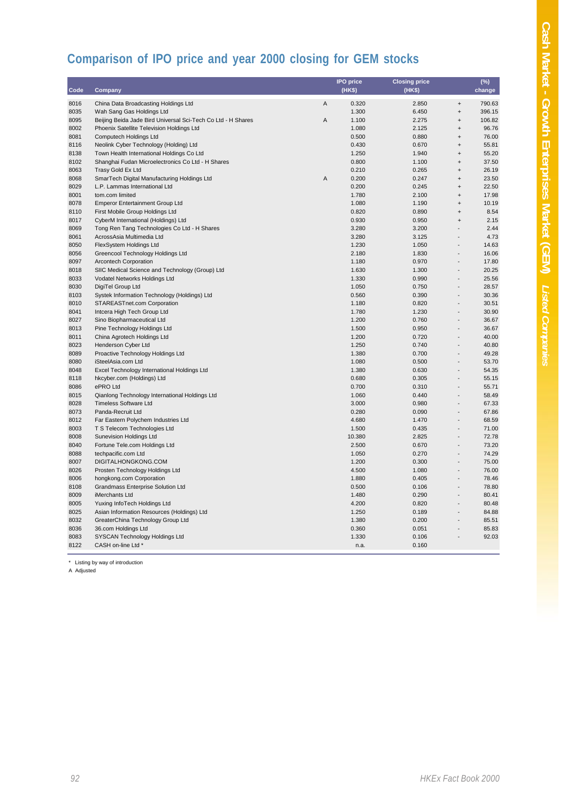# **Comparison of IPO price and year 2000 closing for GEM stocks**

|      |                                                              |                | <b>IPO</b> price | <b>Closing price</b> |                                  | $(\%)$ |
|------|--------------------------------------------------------------|----------------|------------------|----------------------|----------------------------------|--------|
| Code | Company                                                      |                | (HK\$)           | (HK\$)               |                                  | change |
| 8016 | China Data Broadcasting Holdings Ltd                         | $\overline{A}$ | 0.320            | 2.850                | $\ddot{}$                        | 790.63 |
| 8035 | Wah Sang Gas Holdings Ltd                                    |                | 1.300            | 6.450                | $\qquad \qquad +$                | 396.15 |
| 8095 | Beijing Beida Jade Bird Universal Sci-Tech Co Ltd - H Shares | Α              | 1.100            | 2.275                | $\ddot{}$                        | 106.82 |
| 8002 | Phoenix Satellite Television Holdings Ltd                    |                | 1.080            | 2.125                | $\ddot{}$                        | 96.76  |
| 8081 | Computech Holdings Ltd                                       |                | 0.500            | 0.880                | $\ddot{}$                        | 76.00  |
| 8116 | Neolink Cyber Technology (Holding) Ltd                       |                | 0.430            | 0.670                | $\ddot{}$                        | 55.81  |
| 8138 | Town Health International Holdings Co Ltd                    |                | 1.250            | 1.940                | $\ddot{}$                        | 55.20  |
| 8102 | Shanghai Fudan Microelectronics Co Ltd - H Shares            |                | 0.800            | 1.100                | $\ddot{}$                        | 37.50  |
| 8063 | Trasy Gold Ex Ltd                                            |                | 0.210            | 0.265                | $\ddot{}$                        | 26.19  |
| 8068 | SmarTech Digital Manufacturing Holdings Ltd                  | A              | 0.200            | 0.247                | $\ddot{}$                        | 23.50  |
| 8029 | L.P. Lammas International Ltd                                |                | 0.200            | 0.245                | $\ddot{}$                        | 22.50  |
| 8001 | tom.com limited                                              |                | 1.780            | 2.100                | $\ddot{}$                        | 17.98  |
| 8078 | <b>Emperor Entertainment Group Ltd</b>                       |                | 1.080            | 1.190                | $\begin{array}{c} + \end{array}$ | 10.19  |
| 8110 | First Mobile Group Holdings Ltd                              |                | 0.820            | 0.890                | $\ddot{}$                        | 8.54   |
| 8017 | CyberM International (Holdings) Ltd                          |                | 0.930            | 0.950                | $\ddot{}$                        | 2.15   |
| 8069 | Tong Ren Tang Technologies Co Ltd - H Shares                 |                | 3.280            | 3.200                |                                  | 2.44   |
| 8061 | AcrossAsia Multimedia Ltd                                    |                | 3.280            | 3.125                |                                  | 4.73   |
| 8050 | FlexSystem Holdings Ltd                                      |                | 1.230            | 1.050                | $\overline{a}$                   | 14.63  |
| 8056 | Greencool Technology Holdings Ltd                            |                | 2.180            | 1.830                | $\overline{a}$                   | 16.06  |
| 8097 | <b>Arcontech Corporation</b>                                 |                | 1.180            | 0.970                |                                  | 17.80  |
| 8018 | SIIC Medical Science and Technology (Group) Ltd              |                | 1.630            | 1.300                |                                  | 20.25  |
| 8033 | Vodatel Networks Holdings Ltd                                |                | 1.330            | 0.990                | $\overline{a}$                   | 25.56  |
| 8030 | DigiTel Group Ltd                                            |                | 1.050            | 0.750                | $\overline{a}$                   | 28.57  |
| 8103 | Systek Information Technology (Holdings) Ltd                 |                | 0.560            | 0.390                |                                  | 30.36  |
| 8010 | STAREASTnet.com Corporation                                  |                | 1.180            | 0.820                | $\overline{a}$                   | 30.51  |
| 8041 | Intcera High Tech Group Ltd                                  |                | 1.780            | 1.230                |                                  | 30.90  |
| 8027 | Sino Biopharmaceutical Ltd                                   |                | 1.200            | 0.760                | $\overline{a}$                   | 36.67  |
| 8013 | Pine Technology Holdings Ltd                                 |                | 1.500            | 0.950                |                                  | 36.67  |
| 8011 | China Agrotech Holdings Ltd                                  |                | 1.200            | 0.720                |                                  | 40.00  |
| 8023 | Henderson Cyber Ltd                                          |                | 1.250            | 0.740                |                                  | 40.80  |
| 8089 | Proactive Technology Holdings Ltd                            |                | 1.380            | 0.700                | $\overline{\phantom{0}}$         | 49.28  |
| 8080 | iSteelAsia.com Ltd                                           |                | 1.080            | 0.500                |                                  | 53.70  |
| 8048 | Excel Technology International Holdings Ltd                  |                | 1.380            | 0.630                |                                  | 54.35  |
| 8118 | hkcyber.com (Holdings) Ltd                                   |                | 0.680            | 0.305                | $\overline{\phantom{0}}$         | 55.15  |
| 8086 | ePRO Ltd                                                     |                | 0.700            | 0.310                | $\overline{a}$                   | 55.71  |
| 8015 | Qianlong Technology International Holdings Ltd               |                | 1.060            | 0.440                |                                  | 58.49  |
| 8028 | <b>Timeless Software Ltd</b>                                 |                | 3.000            | 0.980                |                                  | 67.33  |
| 8073 | Panda-Recruit Ltd                                            |                | 0.280            | 0.090                | $\overline{a}$                   | 67.86  |
| 8012 | Far Eastern Polychem Industries Ltd                          |                | 4.680            | 1.470                |                                  | 68.59  |
| 8003 | T S Telecom Technologies Ltd                                 |                | 1.500            | 0.435                | $\overline{a}$                   | 71.00  |
| 8008 | <b>Sunevision Holdings Ltd</b>                               |                | 10.380           | 2.825                | $\overline{a}$                   | 72.78  |
| 8040 | Fortune Tele.com Holdings Ltd                                |                | 2.500            | 0.670                |                                  | 73.20  |
| 8088 | techpacific.com Ltd                                          |                | 1.050            | 0.270                | $\overline{a}$                   | 74.29  |
| 8007 | DIGITALHONGKONG.COM                                          |                | 1.200            | 0.300                |                                  | 75.00  |
| 8026 | Prosten Technology Holdings Ltd                              |                | 4.500            | 1.080                |                                  | 76.00  |
| 8006 | hongkong.com Corporation                                     |                | 1.880            | 0.405                | $\overline{a}$                   | 78.46  |
| 8108 | Grandmass Enterprise Solution Ltd                            |                | 0.500            | 0.106                | $\frac{1}{2}$                    | 78.80  |
| 8009 | iMerchants Ltd                                               |                | 1.480            | 0.290                |                                  | 80.41  |
| 8005 | Yuxing InfoTech Holdings Ltd                                 |                | 4.200            | 0.820                |                                  | 80.48  |
| 8025 | Asian Information Resources (Holdings) Ltd                   |                | 1.250            | 0.189                | $\overline{\phantom{0}}$         | 84.88  |
| 8032 | GreaterChina Technology Group Ltd                            |                | 1.380            | 0.200                | $\overline{a}$                   | 85.51  |
| 8036 | 36.com Holdings Ltd                                          |                | 0.360            | 0.051                |                                  | 85.83  |
| 8083 | SYSCAN Technology Holdings Ltd                               |                | 1.330            | 0.106                |                                  | 92.03  |
| 8122 | CASH on-line Ltd *                                           |                | n.a.             | 0.160                |                                  |        |
|      |                                                              |                |                  |                      |                                  |        |

\* Listing by way of introduction

A Adjusted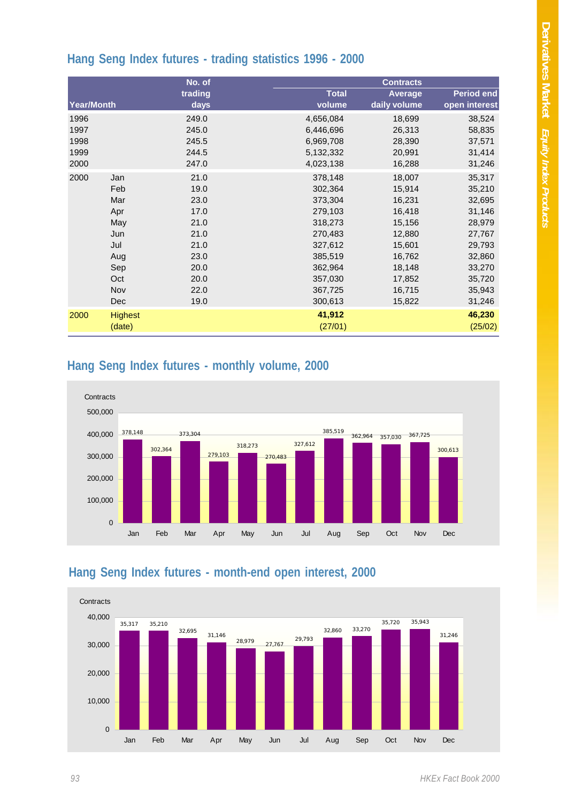### **Hang Seng Index futures - trading statistics 1996 - 2000**

|            |                | No. of  |              | <b>Contracts</b> |                   |
|------------|----------------|---------|--------------|------------------|-------------------|
|            |                | trading | <b>Total</b> | Average          | <b>Period end</b> |
| Year/Month |                | days    | volume       | daily volume     | open interest     |
| 1996       |                | 249.0   | 4,656,084    | 18,699           | 38,524            |
| 1997       |                | 245.0   | 6,446,696    | 26,313           | 58,835            |
| 1998       |                | 245.5   | 6,969,708    | 28,390           | 37,571            |
| 1999       |                | 244.5   | 5,132,332    | 20,991           | 31,414            |
| 2000       |                | 247.0   | 4,023,138    | 16,288           | 31,246            |
| 2000       | Jan            | 21.0    | 378,148      | 18,007           | 35,317            |
|            | Feb            | 19.0    | 302,364      | 15,914           | 35,210            |
|            | Mar            | 23.0    | 373,304      | 16,231           | 32,695            |
|            | Apr            | 17.0    | 279,103      | 16,418           | 31,146            |
|            | May            | 21.0    | 318,273      | 15,156           | 28,979            |
|            | Jun            | 21.0    | 270,483      | 12,880           | 27,767            |
|            | Jul            | 21.0    | 327,612      | 15,601           | 29,793            |
|            | Aug            | 23.0    | 385,519      | 16,762           | 32,860            |
|            | Sep            | 20.0    | 362,964      | 18,148           | 33,270            |
|            | Oct            | 20.0    | 357,030      | 17,852           | 35,720            |
|            | Nov            | 22.0    | 367,725      | 16,715           | 35,943            |
|            | Dec            | 19.0    | 300,613      | 15,822           | 31,246            |
| 2000       | <b>Highest</b> |         | 41,912       |                  | 46,230            |
|            | (date)         |         | (27/01)      |                  | (25/02)           |

#### **Hang Seng Index futures - monthly volume, 2000**



#### **Hang Seng Index futures - month-end open interest, 2000**

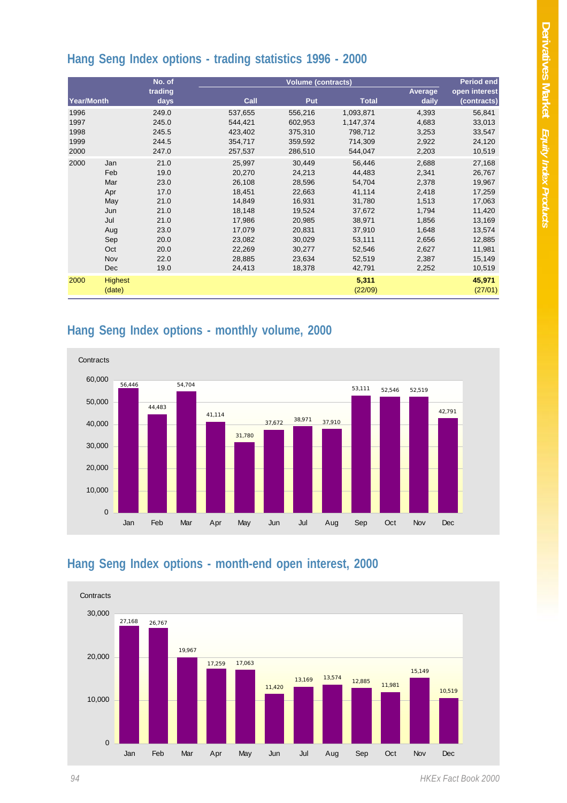# **Hang Seng Index options - trading statistics 1996 - 2000**

|                                              |                                                                           | No. of                                                                                                                            |                                                                                                                                                                   | <b>Volume (contracts)</b>                                                                                                                                         |                                                                                                                                                                       |                                                                                                                                              | <b>Period end</b>                                                                                                                                            |  |
|----------------------------------------------|---------------------------------------------------------------------------|-----------------------------------------------------------------------------------------------------------------------------------|-------------------------------------------------------------------------------------------------------------------------------------------------------------------|-------------------------------------------------------------------------------------------------------------------------------------------------------------------|-----------------------------------------------------------------------------------------------------------------------------------------------------------------------|----------------------------------------------------------------------------------------------------------------------------------------------|--------------------------------------------------------------------------------------------------------------------------------------------------------------|--|
| Year/Month                                   |                                                                           | trading<br>days                                                                                                                   | Call                                                                                                                                                              | <b>Put</b>                                                                                                                                                        | <b>Total</b>                                                                                                                                                          | Average<br>daily                                                                                                                             | open interest<br>(contracts)                                                                                                                                 |  |
| 1996<br>1997<br>1998<br>1999<br>2000<br>2000 | Jan<br>Feb<br>Mar<br>Apr<br>May<br>Jun<br>Jul<br>Aug<br>Sep<br>Oct<br>Nov | 249.0<br>245.0<br>245.5<br>244.5<br>247.0<br>21.0<br>19.0<br>23.0<br>17.0<br>21.0<br>21.0<br>21.0<br>23.0<br>20.0<br>20.0<br>22.0 | 537,655<br>544,421<br>423,402<br>354,717<br>257,537<br>25,997<br>20,270<br>26,108<br>18,451<br>14,849<br>18,148<br>17,986<br>17.079<br>23,082<br>22,269<br>28,885 | 556,216<br>602,953<br>375,310<br>359,592<br>286,510<br>30,449<br>24,213<br>28,596<br>22,663<br>16,931<br>19,524<br>20,985<br>20,831<br>30,029<br>30,277<br>23,634 | 1,093,871<br>1,147,374<br>798,712<br>714,309<br>544,047<br>56,446<br>44,483<br>54,704<br>41,114<br>31,780<br>37,672<br>38,971<br>37,910<br>53,111<br>52,546<br>52,519 | 4,393<br>4,683<br>3,253<br>2,922<br>2,203<br>2,688<br>2,341<br>2,378<br>2,418<br>1,513<br>1,794<br>1,856<br>1,648<br>2,656<br>2,627<br>2,387 | 56,841<br>33,013<br>33,547<br>24,120<br>10,519<br>27,168<br>26,767<br>19,967<br>17,259<br>17,063<br>11,420<br>13,169<br>13,574<br>12,885<br>11,981<br>15,149 |  |
|                                              | Dec                                                                       | 19.0                                                                                                                              | 24,413                                                                                                                                                            | 18,378                                                                                                                                                            | 42,791                                                                                                                                                                | 2,252                                                                                                                                        | 10,519                                                                                                                                                       |  |
| 2000                                         | <b>Highest</b><br>(date)                                                  |                                                                                                                                   |                                                                                                                                                                   |                                                                                                                                                                   | 5,311<br>(22/09)                                                                                                                                                      |                                                                                                                                              | 45,971<br>(27/01)                                                                                                                                            |  |

### **Hang Seng Index options - monthly volume, 2000**



### **Hang Seng Index options - month-end open interest, 2000**



*94 HKEx Fact Book 2000*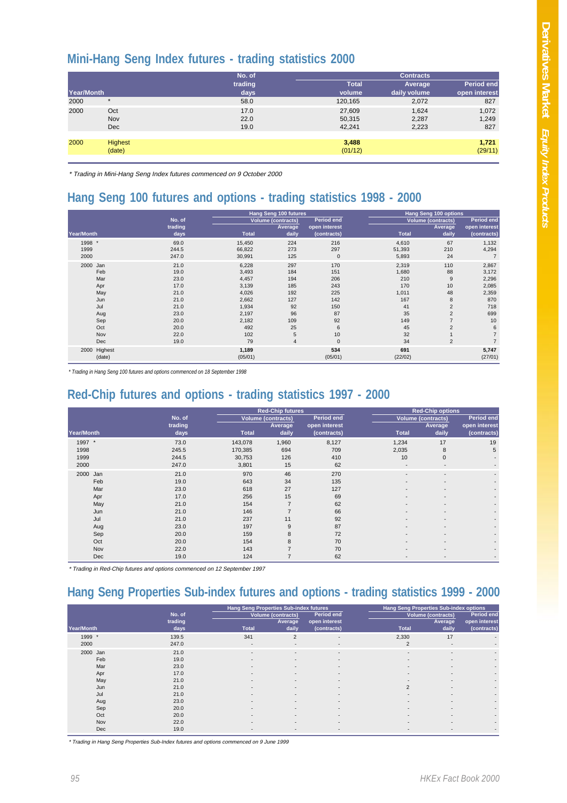#### **Mini-Hang Seng Index futures - trading statistics 2000**

|                   |                          | No. of               |                            | <b>Contracts</b>        |                       |  |
|-------------------|--------------------------|----------------------|----------------------------|-------------------------|-----------------------|--|
|                   |                          | trading              | <b>Total</b>               | Average                 | <b>Period end</b>     |  |
| <b>Year/Month</b> |                          | days                 | volume                     | daily volume            | open interest         |  |
| 2000              | $\star$                  | 58.0                 | 120,165                    | 2,072                   | 827                   |  |
| 2000              | Oct<br>Nov<br><b>Dec</b> | 17.0<br>22.0<br>19.0 | 27,609<br>50,315<br>42.241 | 1,624<br>2,287<br>2,223 | 1,072<br>1,249<br>827 |  |
| 2000              | <b>Highest</b><br>(date) |                      | 3,488<br>(01/12)           |                         | 1,721<br>(29/11)      |  |

\* Trading in Mini-Hang Seng Index futures commenced on 9 October 2000

### **Hang Seng 100 futures and options - trading statistics 1998 - 2000**

|              |         | <b>Hang Seng 100 futures</b> |                           |               | Hang Seng 100 options |                           |                   |  |
|--------------|---------|------------------------------|---------------------------|---------------|-----------------------|---------------------------|-------------------|--|
|              | No. of  |                              | <b>Volume (contracts)</b> | Period end    |                       | <b>Volume (contracts)</b> | <b>Period end</b> |  |
|              | trading |                              | Average                   | open interest |                       | <b>Average</b>            | open interest     |  |
| Year/Month   | days    | <b>Total</b>                 | daily                     | (contracts)   | <b>Total</b>          | daily                     | (contracts)       |  |
| 1998 *       | 69.0    | 15,450                       | 224                       | 216           | 4,610                 | 67                        | 1,132             |  |
| 1999         | 244.5   | 66,822                       | 273                       | 297           | 51,393                | 210                       | 4,294             |  |
| 2000         | 247.0   | 30,991                       | 125                       | $\mathbf{0}$  | 5,893                 | 24                        | $\overline{7}$    |  |
| 2000 Jan     | 21.0    | 6,228                        | 297                       | 170           | 2,319                 | 110                       | 2,867             |  |
| Feb          | 19.0    | 3,493                        | 184                       | 151           | 1,680                 | 88                        | 3,172             |  |
| Mar          | 23.0    | 4,457                        | 194                       | 206           | 210                   | 9                         | 2,296             |  |
| Apr          | 17.0    | 3,139                        | 185                       | 243           | 170                   | 10                        | 2,085             |  |
| May          | 21.0    | 4,026                        | 192                       | 225           | 1,011                 | 48                        | 2,359             |  |
| Jun          | 21.0    | 2,662                        | 127                       | 142           | 167                   | 8                         | 870               |  |
| Jul          | 21.0    | 1,934                        | 92                        | 150           | 41                    | $\overline{2}$            | 718               |  |
| Aug          | 23.0    | 2,197                        | 96                        | 87            | 35                    | $\overline{2}$            | 699               |  |
| Sep          | 20.0    | 2,182                        | 109                       | 92            | 149                   |                           | 10                |  |
| Oct          | 20.0    | 492                          | 25                        | 6             | 45                    | $\overline{2}$            | 6                 |  |
| Nov          | 22.0    | 102                          | 5                         | 10            | 32                    |                           | $\overline{7}$    |  |
| Dec          | 19.0    | 79                           | $\overline{4}$            | $\mathbf{0}$  | 34                    | $\overline{2}$            | $\overline{7}$    |  |
| 2000 Highest |         | 1,189                        |                           | 534           | 691                   |                           | 5,747             |  |
| (date)       |         | (05/01)                      |                           | (05/01)       | (22/02)               |                           | (27/01)           |  |

*\* Trading in Hang Seng 100 futures and options commenced on 18 September 1998*

## **Red-Chip futures and options - trading statistics 1997 - 2000**

|             |         |              | <b>Red-Chip futures</b> |                   |                          | <b>Red-Chip options</b>  |                          |  |
|-------------|---------|--------------|-------------------------|-------------------|--------------------------|--------------------------|--------------------------|--|
|             | No. of  |              | Volume (contracts)      | <b>Period end</b> |                          | Volume (contracts)       |                          |  |
|             | trading |              | Average                 | open interest     |                          | Average                  | open interest            |  |
| Year/Month  | days    | <b>Total</b> | daily                   | (contracts)       | <b>Total</b>             | daily                    | (contracts)              |  |
| 1997 *      | 73.0    | 143,078      | 1,960                   | 8,127             | 1,234                    | 17                       | 19                       |  |
| 1998        | 245.5   | 170,385      | 694                     | 709               | 2,035                    | 8                        | 5                        |  |
| 1999        | 244.5   | 30,753       | 126                     | 410               | 10                       | $\mathbf{0}$             |                          |  |
| 2000        | 247.0   | 3,801        | 15                      | 62                | $\overline{\phantom{a}}$ | $\overline{\phantom{a}}$ |                          |  |
| 2000<br>Jan | 21.0    | 970          | 46                      | 270               |                          | $\overline{\phantom{a}}$ | $\overline{\phantom{a}}$ |  |
| Feb         | 19.0    | 643          | 34                      | 135               |                          | $\overline{\phantom{a}}$ |                          |  |
| Mar         | 23.0    | 618          | 27                      | 127               |                          | $\overline{\phantom{a}}$ |                          |  |
| Apr         | 17.0    | 256          | 15                      | 69                |                          | $\overline{\phantom{a}}$ |                          |  |
| May         | 21.0    | 154          | $\overline{7}$          | 62                |                          | $\overline{\phantom{a}}$ |                          |  |
| Jun         | 21.0    | 146          |                         | 66                |                          | -                        |                          |  |
| Jul         | 21.0    | 237          | 11                      | 92                |                          | -                        |                          |  |
| Aug         | 23.0    | 197          | 9                       | 87                |                          | $\overline{\phantom{a}}$ |                          |  |
| Sep         | 20.0    | 159          | 8                       | 72                |                          | $\overline{\phantom{a}}$ |                          |  |
| Oct         | 20.0    | 154          | 8                       | 70                |                          | $\overline{\phantom{a}}$ |                          |  |
| Nov         | 22.0    | 143          |                         | 70                |                          |                          |                          |  |
| Dec         | 19.0    | 124          |                         | 62                |                          |                          |                          |  |

\* Trading in Red-Chip futures and options commenced on 12 September 1997

### **Hang Seng Properties Sub-index futures and options - trading statistics 1999 - 2000**

|             |                      | Hang Seng Properties Sub-index futures |                           |                          |                          | Hang Seng Properties Sub-index options |               |  |
|-------------|----------------------|----------------------------------------|---------------------------|--------------------------|--------------------------|----------------------------------------|---------------|--|
|             | No. of               |                                        | <b>Volume (contracts)</b> | <b>Period end</b>        |                          | <b>Volume (contracts)</b>              | Period end    |  |
|             | trading              |                                        | Average                   | open interest            |                          | Average                                | open interest |  |
| Year/Month  | <b>Total</b><br>days |                                        | daily                     | (contracts)              | <b>Total</b>             | daily                                  | (contracts)   |  |
| 1999 *      | 341<br>139.5         |                                        | 2                         | $\overline{\phantom{a}}$ | 2,330                    | 17                                     |               |  |
| 2000        | 247.0                | $\overline{\phantom{a}}$               | $\overline{\phantom{a}}$  |                          | 2                        | $\overline{\phantom{a}}$               |               |  |
| 2000<br>Jan | 21.0                 | $\overline{\phantom{a}}$               | $\overline{\phantom{a}}$  | ۰.                       | $\overline{\phantom{a}}$ | $\overline{\phantom{a}}$               | ۰             |  |
| Feb         | 19.0                 | $\overline{\phantom{a}}$               | $\overline{a}$            |                          | $\overline{\phantom{a}}$ | $\overline{\phantom{a}}$               |               |  |
| Mar         | 23.0                 | $\overline{\phantom{a}}$               |                           | ٠                        | $\overline{\phantom{a}}$ | ٠                                      |               |  |
| Apr         | 17.0                 | $\overline{\phantom{a}}$               | $\overline{a}$            | ۰                        | $\overline{\phantom{a}}$ | ٠                                      |               |  |
| May         | 21.0                 | ۰                                      | $\overline{a}$            |                          | $\overline{a}$           | ٠                                      |               |  |
| Jun         | 21.0                 | $\overline{\phantom{a}}$               | $\overline{\phantom{a}}$  | ٠                        | $\overline{2}$           | ٠                                      |               |  |
| Jul         | 21.0                 | ۰                                      | $\overline{a}$            | ٠                        | $\overline{\phantom{a}}$ | ٠                                      |               |  |
| Aug         | 23.0                 | $\overline{\phantom{a}}$               |                           |                          | $\overline{\phantom{a}}$ | ٠                                      |               |  |
| Sep         | 20.0                 | ۰                                      | $\overline{\phantom{a}}$  |                          | $\overline{\phantom{a}}$ | ٠                                      |               |  |
| Oct         | 20.0                 |                                        | $\overline{\phantom{a}}$  | ٠                        | $\overline{\phantom{a}}$ | ٠                                      |               |  |
| Nov         | 22.0                 | $\overline{\phantom{a}}$               | $\overline{\phantom{a}}$  | ٠                        | $\overline{\phantom{a}}$ | ٠                                      |               |  |
| Dec         | 19.0                 | $\overline{\phantom{a}}$               | $\overline{\phantom{a}}$  | $\sim$                   | $\overline{\phantom{a}}$ | $\sim$                                 | ۰             |  |

\* Trading in Hang Seng Properties Sub-Index futures and options commenced on 9 June 1999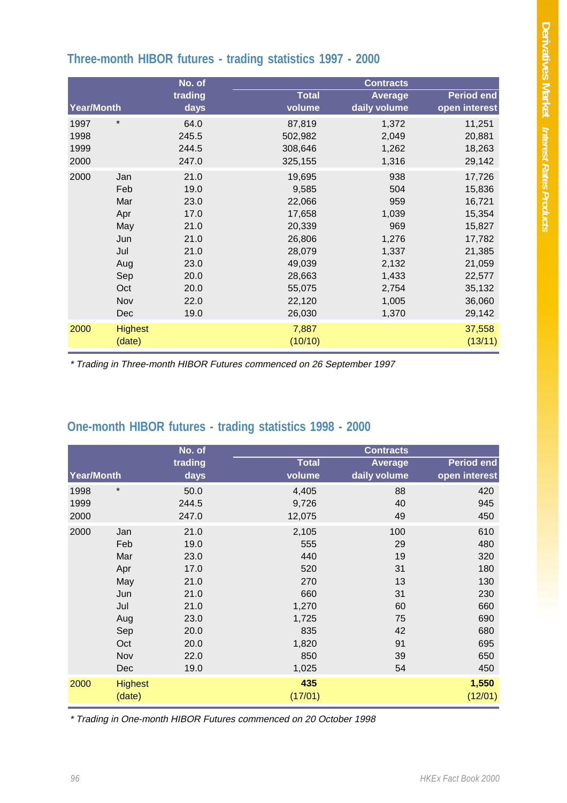# **Three-month HIBOR futures - trading statistics 1997 - 2000**

| No. of            |                |         | <b>Contracts</b> |              |                   |  |  |  |
|-------------------|----------------|---------|------------------|--------------|-------------------|--|--|--|
|                   |                | trading | <b>Total</b>     | Average      | <b>Period end</b> |  |  |  |
| <b>Year/Month</b> |                | days    | volume           | daily volume | open interest     |  |  |  |
| 1997              | $\star$        | 64.0    | 87,819           | 1,372        | 11,251            |  |  |  |
| 1998              |                | 245.5   | 502,982          | 2,049        | 20,881            |  |  |  |
| 1999              |                | 244.5   | 308,646          | 1,262        | 18,263            |  |  |  |
| 2000              |                | 247.0   | 325,155          | 1,316        | 29,142            |  |  |  |
| 2000              | Jan            | 21.0    | 19,695           | 938          | 17,726            |  |  |  |
|                   | Feb            | 19.0    | 9,585            | 504          | 15,836            |  |  |  |
|                   | Mar            | 23.0    | 22,066           | 959          | 16,721            |  |  |  |
|                   | Apr            | 17.0    | 17,658           | 1,039        | 15,354            |  |  |  |
|                   | May            | 21.0    | 20,339           | 969          | 15,827            |  |  |  |
|                   | Jun            | 21.0    | 26,806           | 1,276        | 17,782            |  |  |  |
|                   | Jul            | 21.0    | 28,079           | 1,337        | 21,385            |  |  |  |
|                   | Aug            | 23.0    | 49,039           | 2,132        | 21,059            |  |  |  |
|                   | Sep            | 20.0    | 28,663           | 1,433        | 22,577            |  |  |  |
|                   | Oct            | 20.0    | 55,075           | 2,754        | 35,132            |  |  |  |
|                   | Nov            | 22.0    | 22,120           | 1,005        | 36,060            |  |  |  |
|                   | Dec            | 19.0    | 26,030           | 1,370        | 29,142            |  |  |  |
| 2000              | <b>Highest</b> |         | 7,887            |              | 37,558            |  |  |  |
|                   | (date)         |         | (10/10)          |              | (13/11)           |  |  |  |
|                   |                |         |                  |              |                   |  |  |  |

\* Trading in Three-month HIBOR Futures commenced on 26 September 1997

# **One-month HIBOR futures - trading statistics 1998 - 2000**

| No. of     |                          |         |                | <b>Contracts</b> |                   |
|------------|--------------------------|---------|----------------|------------------|-------------------|
| Year/Month |                          | trading | <b>Total</b>   | <b>Average</b>   | <b>Period end</b> |
|            |                          | days    | volume         | daily volume     | open interest     |
| 1998       | $\star$                  | 50.0    | 4,405          | 88               | 420               |
| 1999       |                          | 244.5   | 9,726          | 40               | 945               |
| 2000       |                          | 247.0   | 12,075         | 49               | 450               |
| 2000       | Jan                      | 21.0    | 2,105          | 100              | 610               |
|            | Feb                      | 19.0    | 555            | 29               | 480               |
|            | Mar                      | 23.0    | 440            | 19               | 320               |
|            | Apr                      | 17.0    | 520            | 31               | 180               |
|            | May                      | 21.0    | 270            | 13               | 130               |
|            | Jun                      | 21.0    | 660            | 31               | 230               |
|            | Jul                      | 21.0    | 1,270          | 60               | 660               |
|            | Aug                      | 23.0    | 1,725          | 75               | 690               |
|            | Sep                      | 20.0    | 835            | 42               | 680               |
|            | Oct                      | 20.0    | 1,820          | 91               | 695               |
|            | Nov                      | 22.0    | 850            | 39               | 650               |
|            | <b>Dec</b>               | 19.0    | 1,025          | 54               | 450               |
| 2000       | <b>Highest</b><br>(date) |         | 435<br>(17/01) |                  | 1,550<br>(12/01)  |

\* Trading in One-month HIBOR Futures commenced on 20 October 1998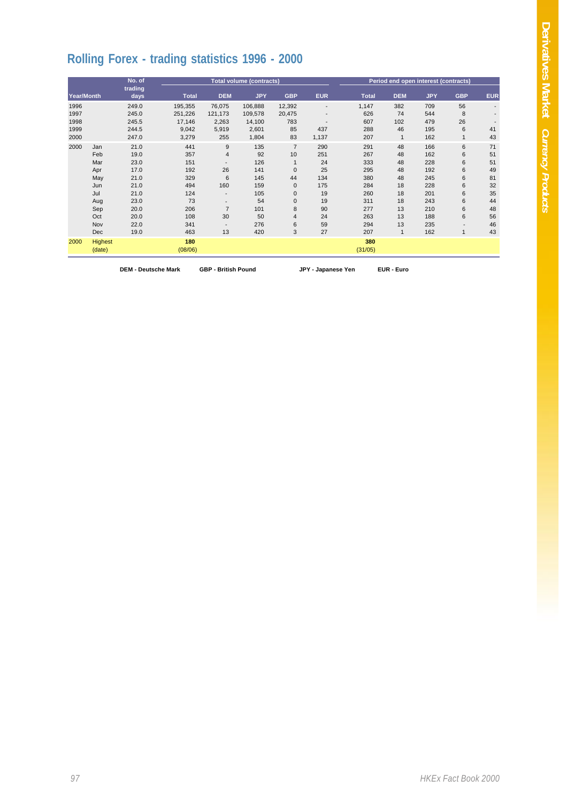# **Rolling Forex - trading statistics 1996 - 2000**

|                                      |                                                                                         | No. of                                                                                       |                                                                                 |                                                                                                                             | <b>Total volume (contracts)</b>                                               |                                                                                                                             | Period end open interest (contracts)                                     |                                                                                  |                                                                |                                                                                  |                                                                                 |                                                                      |
|--------------------------------------|-----------------------------------------------------------------------------------------|----------------------------------------------------------------------------------------------|---------------------------------------------------------------------------------|-----------------------------------------------------------------------------------------------------------------------------|-------------------------------------------------------------------------------|-----------------------------------------------------------------------------------------------------------------------------|--------------------------------------------------------------------------|----------------------------------------------------------------------------------|----------------------------------------------------------------|----------------------------------------------------------------------------------|---------------------------------------------------------------------------------|----------------------------------------------------------------------|
| Year/Month                           |                                                                                         | trading<br>days                                                                              | <b>Total</b>                                                                    | <b>DEM</b>                                                                                                                  | <b>JPY</b>                                                                    | <b>GBP</b>                                                                                                                  | <b>EUR</b>                                                               | <b>Total</b>                                                                     | <b>DEM</b>                                                     | <b>JPY</b>                                                                       | <b>GBP</b>                                                                      | <b>EUR</b>                                                           |
| 1996<br>1997<br>1998<br>1999<br>2000 |                                                                                         | 249.0<br>245.0<br>245.5<br>244.5<br>247.0                                                    | 195,355<br>251,226<br>17,146<br>9,042<br>3,279                                  | 76,075<br>121,173<br>2,263<br>5,919<br>255                                                                                  | 106,888<br>109,578<br>14,100<br>2,601<br>1,804                                | 12,392<br>20,475<br>783<br>85<br>83                                                                                         | $\overline{\phantom{a}}$<br>437<br>1,137                                 | 1,147<br>626<br>607<br>288<br>207                                                | 382<br>74<br>102<br>46                                         | 709<br>544<br>479<br>195<br>162                                                  | 56<br>8<br>26<br>6<br>$\mathbf{1}$                                              | $\overline{\phantom{a}}$<br>41<br>43                                 |
| 2000                                 | Jan<br>Feb<br>Mar<br>Apr<br>May<br>Jun<br>Jul<br>Aug<br>Sep<br>Oct<br>Nov<br><b>Dec</b> | 21.0<br>19.0<br>23.0<br>17.0<br>21.0<br>21.0<br>21.0<br>23.0<br>20.0<br>20.0<br>22.0<br>19.0 | 441<br>357<br>151<br>192<br>329<br>494<br>124<br>73<br>206<br>108<br>341<br>463 | 9<br>$\overline{4}$<br>26<br>6<br>160<br>$\overline{\phantom{a}}$<br>$\overline{7}$<br>30<br>$\overline{\phantom{a}}$<br>13 | 135<br>92<br>126<br>141<br>145<br>159<br>105<br>54<br>101<br>50<br>276<br>420 | $\overline{7}$<br>10<br>$\mathbf{0}$<br>44<br>$\mathbf{0}$<br>$\mathbf{0}$<br>$\mathbf{0}$<br>8<br>$\overline{4}$<br>6<br>3 | 290<br>251<br>24<br>25<br>134<br>175<br>19<br>19<br>90<br>24<br>59<br>27 | 291<br>267<br>333<br>295<br>380<br>284<br>260<br>311<br>277<br>263<br>294<br>207 | 48<br>48<br>48<br>48<br>48<br>18<br>18<br>18<br>13<br>13<br>13 | 166<br>162<br>228<br>192<br>245<br>228<br>201<br>243<br>210<br>188<br>235<br>162 | 6<br>6<br>6<br>6<br>6<br>6<br>6<br>6<br>6<br>6<br>$\overline{\phantom{a}}$<br>1 | 71<br>51<br>51<br>49<br>81<br>32<br>35<br>44<br>48<br>56<br>46<br>43 |
| 2000                                 | Highest<br>(date)                                                                       |                                                                                              | 180<br>(08/06)                                                                  |                                                                                                                             |                                                                               |                                                                                                                             |                                                                          | 380<br>(31/05)                                                                   |                                                                |                                                                                  |                                                                                 |                                                                      |

**DEM - Deutsche Mark GBP - British Pound JPY - Japanese Yen EUR - Euro**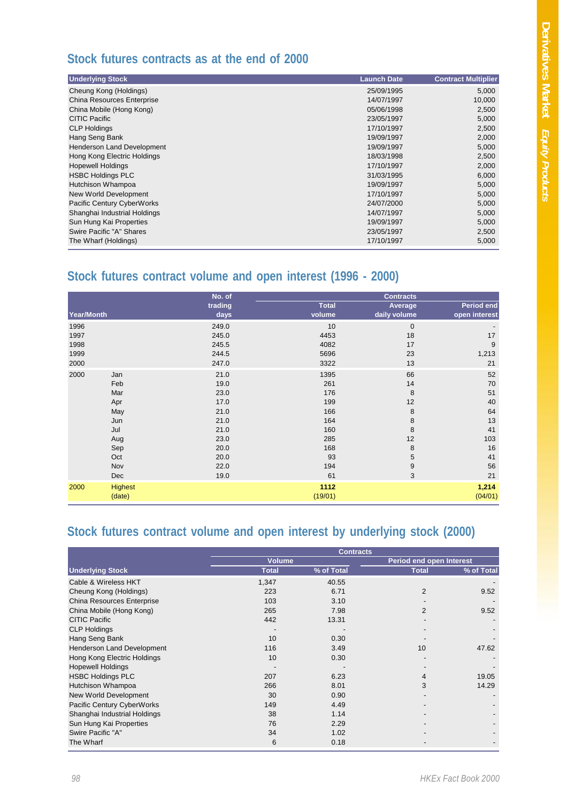### **Stock futures contracts as at the end of 2000**

| <b>Underlying Stock</b>      | <b>Launch Date</b> | <b>Contract Multiplier</b> |
|------------------------------|--------------------|----------------------------|
| Cheung Kong (Holdings)       | 25/09/1995         | 5,000                      |
| China Resources Enterprise   | 14/07/1997         | 10,000                     |
| China Mobile (Hong Kong)     | 05/06/1998         | 2,500                      |
| <b>CITIC Pacific</b>         | 23/05/1997         | 5,000                      |
| <b>CLP Holdings</b>          | 17/10/1997         | 2,500                      |
| Hang Seng Bank               | 19/09/1997         | 2,000                      |
| Henderson Land Development   | 19/09/1997         | 5,000                      |
| Hong Kong Electric Holdings  | 18/03/1998         | 2,500                      |
| <b>Hopewell Holdings</b>     | 17/10/1997         | 2,000                      |
| <b>HSBC Holdings PLC</b>     | 31/03/1995         | 6,000                      |
| Hutchison Whampoa            | 19/09/1997         | 5,000                      |
| New World Development        | 17/10/1997         | 5,000                      |
| Pacific Century CyberWorks   | 24/07/2000         | 5,000                      |
| Shanghai Industrial Holdings | 14/07/1997         | 5,000                      |
| Sun Hung Kai Properties      | 19/09/1997         | 5,000                      |
| Swire Pacific "A" Shares     | 23/05/1997         | 2,500                      |
| The Wharf (Holdings)         | 17/10/1997         | 5,000                      |

# **Stock futures contract volume and open interest (1996 - 2000)**

|            |                | No. of  |              | <b>Contracts</b> |                   |
|------------|----------------|---------|--------------|------------------|-------------------|
|            |                | trading | <b>Total</b> | Average          | <b>Period end</b> |
| Year/Month |                | days    | volume       | daily volume     | open interest     |
| 1996       |                | 249.0   | 10           | $\mathbf 0$      |                   |
| 1997       |                | 245.0   | 4453         | 18               | 17                |
| 1998       |                | 245.5   | 4082         | 17               | 9                 |
| 1999       |                | 244.5   | 5696         | 23               | 1,213             |
| 2000       |                | 247.0   | 3322         | 13               | 21                |
| 2000       | Jan            | 21.0    | 1395         | 66               | 52                |
|            | Feb            | 19.0    | 261          | 14               | 70                |
|            | Mar            | 23.0    | 176          | 8                | 51                |
|            | Apr            | 17.0    | 199          | 12               | 40                |
|            | May            | 21.0    | 166          | 8                | 64                |
|            | Jun            | 21.0    | 164          | 8                | 13                |
|            | Jul            | 21.0    | 160          | 8                | 41                |
|            | Aug            | 23.0    | 285          | 12               | 103               |
|            | Sep            | 20.0    | 168          | 8                | 16                |
|            | Oct            | 20.0    | 93           | 5                | 41                |
|            | Nov            | 22.0    | 194          | $\boldsymbol{9}$ | 56                |
|            | Dec            | 19.0    | 61           | 3                | 21                |
| 2000       | <b>Highest</b> |         | 1112         |                  | 1,214             |
|            | (date)         |         | (19/01)      |                  | (04/01)           |

# **Stock futures contract volume and open interest by underlying stock (2000)**

|                              | <b>Contracts</b> |            |                                 |            |  |  |  |  |
|------------------------------|------------------|------------|---------------------------------|------------|--|--|--|--|
|                              | <b>Volume</b>    |            | <b>Period end open Interest</b> |            |  |  |  |  |
| <b>Underlying Stock</b>      | <b>Total</b>     | % of Total | <b>Total</b>                    | % of Total |  |  |  |  |
| Cable & Wireless HKT         | 1,347            | 40.55      |                                 |            |  |  |  |  |
| Cheung Kong (Holdings)       | 223              | 6.71       | 2                               | 9.52       |  |  |  |  |
| China Resources Enterprise   | 103              | 3.10       |                                 |            |  |  |  |  |
| China Mobile (Hong Kong)     | 265              | 7.98       | $\overline{2}$                  | 9.52       |  |  |  |  |
| <b>CITIC Pacific</b>         | 442              | 13.31      |                                 |            |  |  |  |  |
| <b>CLP Holdings</b>          |                  |            |                                 |            |  |  |  |  |
| Hang Seng Bank               | 10               | 0.30       |                                 |            |  |  |  |  |
| Henderson Land Development   | 116              | 3.49       | 10                              | 47.62      |  |  |  |  |
| Hong Kong Electric Holdings  | 10               | 0.30       |                                 |            |  |  |  |  |
| <b>Hopewell Holdings</b>     |                  |            |                                 |            |  |  |  |  |
| <b>HSBC Holdings PLC</b>     | 207              | 6.23       | 4                               | 19.05      |  |  |  |  |
| Hutchison Whampoa            | 266              | 8.01       | 3                               | 14.29      |  |  |  |  |
| New World Development        | 30               | 0.90       |                                 |            |  |  |  |  |
| Pacific Century CyberWorks   | 149              | 4.49       |                                 |            |  |  |  |  |
| Shanghai Industrial Holdings | 38               | 1.14       |                                 |            |  |  |  |  |
| Sun Hung Kai Properties      | 76               | 2.29       |                                 |            |  |  |  |  |
| Swire Pacific "A"            | 34               | 1.02       |                                 |            |  |  |  |  |
| The Wharf                    | 6                | 0.18       |                                 |            |  |  |  |  |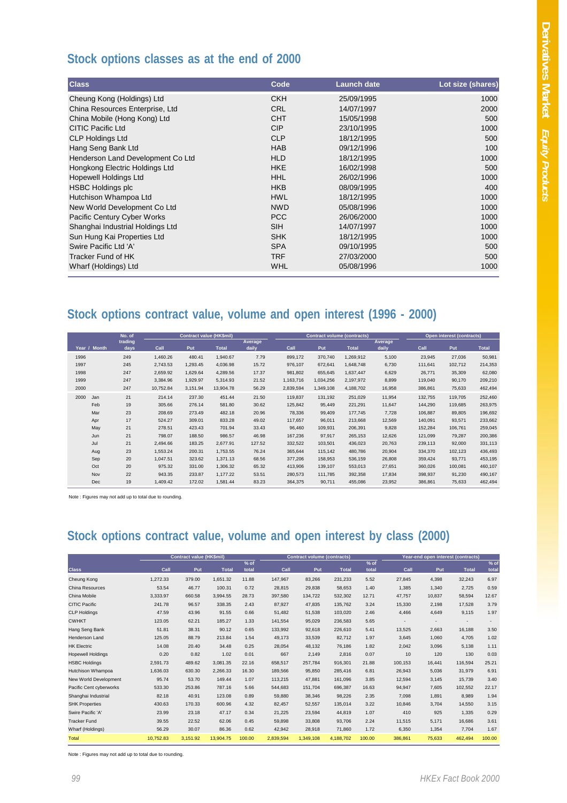### **Stock options classes as at the end of 2000**

| <b>Class</b>                      | Code       | <b>Launch date</b> | Lot size (shares) |
|-----------------------------------|------------|--------------------|-------------------|
| Cheung Kong (Holdings) Ltd        | <b>CKH</b> | 25/09/1995         | 1000              |
| China Resources Enterprise, Ltd   | <b>CRL</b> | 14/07/1997         | 2000              |
| China Mobile (Hong Kong) Ltd      | <b>CHT</b> | 15/05/1998         | 500               |
| CITIC Pacific Ltd                 | <b>CIP</b> | 23/10/1995         | 1000              |
| <b>CLP Holdings Ltd</b>           | <b>CLP</b> | 18/12/1995         | 500               |
| Hang Seng Bank Ltd                | <b>HAB</b> | 09/12/1996         | 100               |
| Henderson Land Development Co Ltd | <b>HLD</b> | 18/12/1995         | 1000              |
| Hongkong Electric Holdings Ltd    | <b>HKE</b> | 16/02/1998         | 500               |
| <b>Hopewell Holdings Ltd</b>      | <b>HHL</b> | 26/02/1996         | 1000              |
| <b>HSBC Holdings plc</b>          | <b>HKB</b> | 08/09/1995         | 400               |
| Hutchison Whampoa Ltd             | <b>HWL</b> | 18/12/1995         | 1000              |
| New World Development Co Ltd      | <b>NWD</b> | 05/08/1996         | 1000              |
| Pacific Century Cyber Works       | <b>PCC</b> | 26/06/2000         | 1000              |
| Shanghai Industrial Holdings Ltd  | <b>SIH</b> | 14/07/1997         | 1000              |
| Sun Hung Kai Properties Ltd       | <b>SHK</b> | 18/12/1995         | 1000              |
| Swire Pacific Ltd 'A'             | <b>SPA</b> | 09/10/1995         | 500               |
| Tracker Fund of HK                | <b>TRF</b> | 27/03/2000         | 500               |
| Wharf (Holdings) Ltd              | <b>WHL</b> | 05/08/1996         | 1000              |

## **Stock options contract value, volume and open interest (1996 - 2000)**

|      |              | No. of  | <b>Contract value (HK\$mil)</b> |          |              |         | <b>Contract volume (contracts)</b> |           |              | Open interest (contracts) |         |         |              |
|------|--------------|---------|---------------------------------|----------|--------------|---------|------------------------------------|-----------|--------------|---------------------------|---------|---------|--------------|
|      |              | trading |                                 |          |              | Average |                                    |           |              | Average                   |         |         |              |
|      | Year / Month | days    | Call                            | Put      | <b>Total</b> | daily   | Call                               | Put       | <b>Total</b> | daily                     | Call    | Put     | <b>Total</b> |
| 1996 |              | 249     | 1,460.26                        | 480.41   | 1,940.67     | 7.79    | 899,172                            | 370,740   | 1,269,912    | 5,100                     | 23,945  | 27,036  | 50,981       |
| 1997 |              | 245     | 2,743.53                        | 1,293.45 | 4,036.98     | 15.72   | 976,107                            | 672,641   | 1,648,748    | 6,730                     | 111,641 | 102,712 | 214,353      |
| 1998 |              | 247     | 2,659.92                        | 1,629.64 | 4,289.56     | 17.37   | 981,802                            | 655,645   | 1,637,447    | 6,629                     | 26,771  | 35,309  | 62,080       |
| 1999 |              | 247     | 3,384.96                        | 1,929.97 | 5,314.93     | 21.52   | 1,163,716                          | 1,034,256 | 2,197,972    | 8,899                     | 119,040 | 90,170  | 209,210      |
| 2000 |              | 247     | 10,752.84                       | 3,151.94 | 13,904.78    | 56.29   | 2,839,594                          | 1,349,108 | 4,188,702    | 16,958                    | 386,861 | 75,633  | 462,494      |
| 2000 | Jan          | 21      | 214.14                          | 237.30   | 451.44       | 21.50   | 119,837                            | 131,192   | 251,029      | 11,954                    | 132,755 | 119,705 | 252,460      |
|      | Feb          | 19      | 305.66                          | 276.14   | 581.80       | 30.62   | 125,842                            | 95,449    | 221,291      | 11,647                    | 144,290 | 119,685 | 263,975      |
|      | Mar          | 23      | 208.69                          | 273.49   | 482.18       | 20.96   | 78,336                             | 99,409    | 177,745      | 7,728                     | 106,887 | 89,805  | 196,692      |
|      | Apr          | 17      | 524.27                          | 309.01   | 833.28       | 49.02   | 117,657                            | 96,011    | 213,668      | 12,569                    | 140,091 | 93,571  | 233,662      |
|      | May          | 21      | 278.51                          | 423.43   | 701.94       | 33.43   | 96,460                             | 109,931   | 206,391      | 9,828                     | 152,284 | 106,761 | 259,045      |
|      | Jun          | 21      | 798.07                          | 188.50   | 986.57       | 46.98   | 167,236                            | 97,917    | 265,153      | 12,626                    | 121,099 | 79,287  | 200,386      |
|      | Jul          | 21      | 2,494.66                        | 183.25   | 2,677.91     | 127.52  | 332,522                            | 103,501   | 436,023      | 20,763                    | 239,113 | 92,000  | 331,113      |
|      | Aug          | 23      | 1,553.24                        | 200.31   | 1,753.55     | 76.24   | 365,644                            | 115,142   | 480,786      | 20,904                    | 334,370 | 102,123 | 436,493      |
|      | Sep          | 20      | 1,047.51                        | 323.62   | 1,371.13     | 68.56   | 377,206                            | 158,953   | 536,159      | 26,808                    | 359,424 | 93,771  | 453,195      |
|      | Oct          | 20      | 975.32                          | 331.00   | 1,306.32     | 65.32   | 413,906                            | 139,107   | 553,013      | 27,651                    | 360,026 | 100,081 | 460,107      |
|      | Nov          | 22      | 943.35                          | 233.87   | 1,177.22     | 53.51   | 280,573                            | 111,785   | 392,358      | 17,834                    | 398,937 | 91,230  | 490,167      |
|      | Dec          | 19      | 1,409.42                        | 172.02   | 1,581.44     | 83.23   | 364,375                            | 90,711    | 455,086      | 23,952                    | 386,861 | 75,633  | 462,494      |

Note : Figures may not add up to total due to rounding.

# **Stock options contract value, volume and open interest by class (2000)**

|                          |           | <b>Contract value (HK\$mil)</b> |              |        |           | <b>Contract volume (contracts)</b> |              |        |         | Year-end open interest (contracts) |              |        |
|--------------------------|-----------|---------------------------------|--------------|--------|-----------|------------------------------------|--------------|--------|---------|------------------------------------|--------------|--------|
|                          |           |                                 |              | $%$ of |           |                                    |              | $%$ of |         |                                    |              | $%$ of |
| <b>Class</b>             | Call      | Put                             | <b>Total</b> | total  | Call      | <b>Put</b>                         | <b>Total</b> | total  | Call    | Put                                | <b>Total</b> | total  |
| Cheung Kong              | 1.272.33  | 379.00                          | 1.651.32     | 11.88  | 147.967   | 83.266                             | 231.233      | 5.52   | 27.845  | 4.398                              | 32.243       | 6.97   |
| China Resources          | 53.54     | 46.77                           | 100.31       | 0.72   | 28,815    | 29,838                             | 58,653       | 1.40   | 1,385   | 1,340                              | 2,725        | 0.59   |
| China Mobile             | 3.333.97  | 660.58                          | 3.994.55     | 28.73  | 397,580   | 134,722                            | 532,302      | 12.71  | 47.757  | 10,837                             | 58.594       | 12.67  |
| <b>CITIC Pacific</b>     | 241.78    | 96.57                           | 338.35       | 2.43   | 87,927    | 47,835                             | 135.762      | 3.24   | 15,330  | 2,198                              | 17.528       | 3.79   |
| <b>CLP Holdings</b>      | 47.59     | 43.96                           | 91.55        | 0.66   | 51,482    | 51,538                             | 103.020      | 2.46   | 4.466   | 4,649                              | 9.115        | 1.97   |
| <b>CWHKT</b>             | 123.05    | 62.21                           | 185.27       | 1.33   | 141,554   | 95,029                             | 236,583      | 5.65   |         |                                    |              |        |
| Hang Seng Bank           | 51.81     | 38.31                           | 90.12        | 0.65   | 133,992   | 92,618                             | 226,610      | 5.41   | 13,525  | 2,663                              | 16.188       | 3.50   |
| Henderson Land           | 125.05    | 88.79                           | 213.84       | 1.54   | 49,173    | 33,539                             | 82,712       | 1.97   | 3,645   | 1.060                              | 4.705        | 1.02   |
| <b>HK Electric</b>       | 14.08     | 20.40                           | 34.48        | 0.25   | 28,054    | 48,132                             | 76.186       | 1.82   | 2,042   | 3.096                              | 5.138        | 1.11   |
| <b>Hopewell Holdings</b> | 0.20      | 0.82                            | 1.02         | 0.01   | 667       | 2,149                              | 2,816        | 0.07   | 10      | 120                                | 130          | 0.03   |
| <b>HSBC Holdings</b>     | 2.591.73  | 489.62                          | 3.081.35     | 22.16  | 658.517   | 257.784                            | 916.301      | 21.88  | 100.153 | 16.441                             | 116.594      | 25.21  |
| Hutchison Whampoa        | 1,636.03  | 630.30                          | 2,266.33     | 16.30  | 189,566   | 95,850                             | 285,416      | 6.81   | 26,943  | 5,036                              | 31,979       | 6.91   |
| New World Development    | 95.74     | 53.70                           | 149.44       | 1.07   | 113,215   | 47,881                             | 161,096      | 3.85   | 12,594  | 3,145                              | 15.739       | 3.40   |
| Pacific Cent cyberworks  | 533.30    | 253.86                          | 787.16       | 5.66   | 544,683   | 151.704                            | 696,387      | 16.63  | 94.947  | 7.605                              | 102,552      | 22.17  |
| Shanghai Industrial      | 82.18     | 40.91                           | 123.08       | 0.89   | 59,880    | 38,346                             | 98,226       | 2.35   | 7,098   | 1.891                              | 8.989        | 1.94   |
| <b>SHK Properties</b>    | 430.63    | 170.33                          | 600.96       | 4.32   | 82,457    | 52,557                             | 135,014      | 3.22   | 10,846  | 3,704                              | 14.550       | 3.15   |
| Swire Pacific 'A'        | 23.99     | 23.18                           | 47.17        | 0.34   | 21,225    | 23,594                             | 44,819       | 1.07   | 410     | 925                                | 1.335        | 0.29   |
| <b>Tracker Fund</b>      | 39.55     | 22.52                           | 62.06        | 0.45   | 59,898    | 33,808                             | 93.706       | 2.24   | 11,515  | 5.171                              | 16,686       | 3.61   |
| Wharf (Holdings)         | 56.29     | 30.07                           | 86.36        | 0.62   | 42,942    | 28,918                             | 71,860       | 1.72   | 6,350   | 1,354                              | 7.704        | 1.67   |
| Total                    | 10.752.83 | 3,151.92                        | 13.904.75    | 100.00 | 2,839,594 | 1.349.108                          | 4,188,702    | 100.00 | 386.861 | 75,633                             | 462.494      | 100.00 |

Note : Figures may not add up to total due to rounding.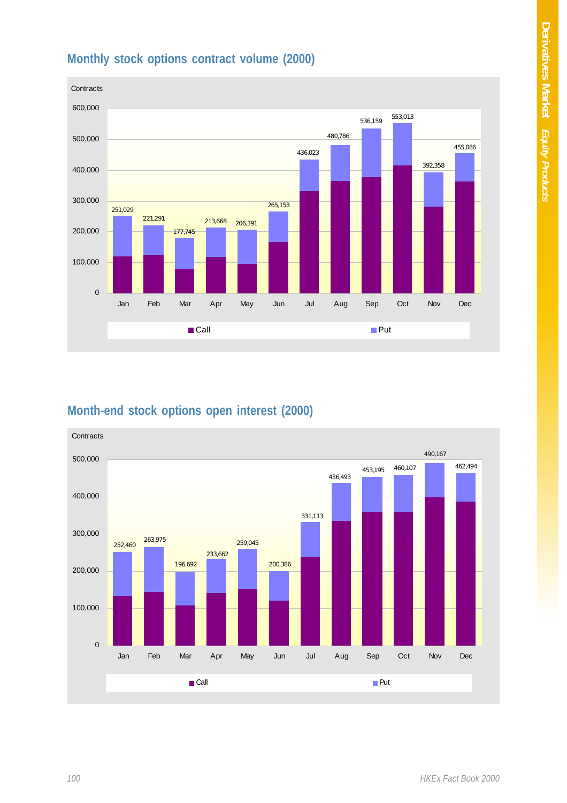



### **Month-end stock options open interest (2000)**

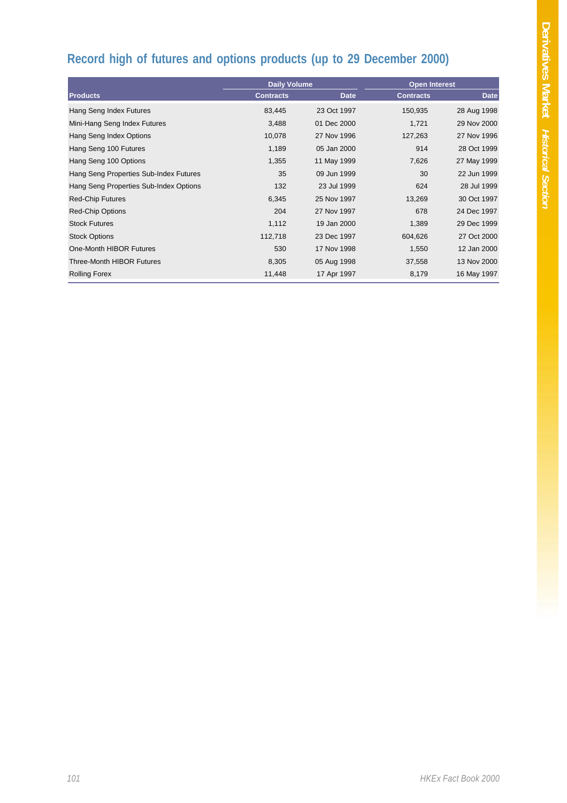# **Record high of futures and options products (up to 29 December 2000)**

|                                        | <b>Daily Volume</b> |             |                  | <b>Open Interest</b> |
|----------------------------------------|---------------------|-------------|------------------|----------------------|
| <b>Products</b>                        | <b>Contracts</b>    | <b>Date</b> | <b>Contracts</b> | <b>Date</b>          |
| Hang Seng Index Futures                | 83,445              | 23 Oct 1997 | 150,935          | 28 Aug 1998          |
| Mini-Hang Seng Index Futures           | 3,488               | 01 Dec 2000 | 1,721            | 29 Nov 2000          |
| Hang Seng Index Options                | 10,078              | 27 Nov 1996 | 127,263          | 27 Nov 1996          |
| Hang Seng 100 Futures                  | 1,189               | 05 Jan 2000 | 914              | 28 Oct 1999          |
| Hang Seng 100 Options                  | 1,355               | 11 May 1999 | 7,626            | 27 May 1999          |
| Hang Seng Properties Sub-Index Futures | 35                  | 09 Jun 1999 | 30               | 22 Jun 1999          |
| Hang Seng Properties Sub-Index Options | 132                 | 23 Jul 1999 | 624              | 28 Jul 1999          |
| <b>Red-Chip Futures</b>                | 6,345               | 25 Nov 1997 | 13,269           | 30 Oct 1997          |
| <b>Red-Chip Options</b>                | 204                 | 27 Nov 1997 | 678              | 24 Dec 1997          |
| <b>Stock Futures</b>                   | 1,112               | 19 Jan 2000 | 1,389            | 29 Dec 1999          |
| <b>Stock Options</b>                   | 112,718             | 23 Dec 1997 | 604,626          | 27 Oct 2000          |
| One-Month HIBOR Futures                | 530                 | 17 Nov 1998 | 1,550            | 12 Jan 2000          |
| Three-Month HIBOR Futures              | 8,305               | 05 Aug 1998 | 37,558           | 13 Nov 2000          |
| <b>Rolling Forex</b>                   | 11,448              | 17 Apr 1997 | 8,179            | 16 May 1997          |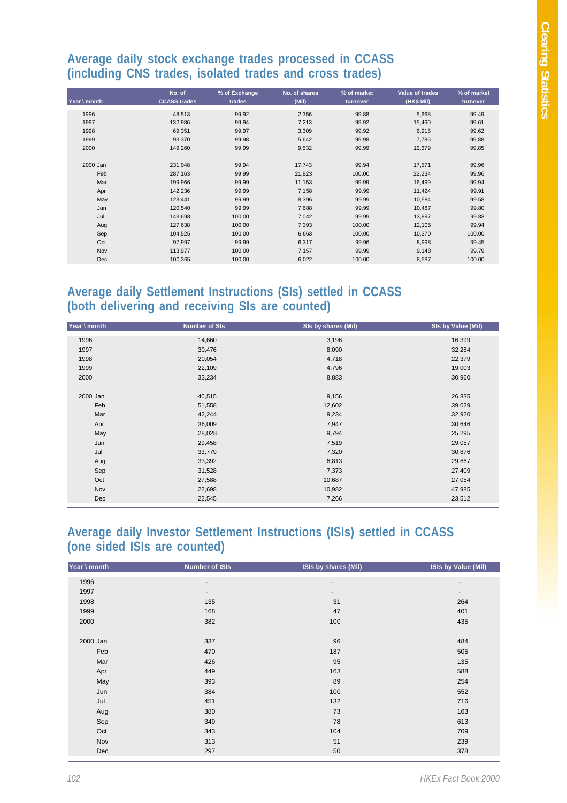#### **Average daily stock exchange trades processed in CCASS (including CNS trades, isolated trades and cross trades)**

| Year \ month | No. of<br><b>CCASS trades</b> | % of Exchange<br>trades | No. of shares<br>(Mil) | % of market<br>turnover | Value of trades<br>(HK\$ Mil) | % of market<br>turnover |
|--------------|-------------------------------|-------------------------|------------------------|-------------------------|-------------------------------|-------------------------|
| 1996         | 48,513                        | 99.92                   | 2,356                  | 99.88                   | 5,668                         | 99.49                   |
| 1997         | 132,986                       | 99.94                   | 7,213                  | 99.92                   | 15,460                        | 99.61                   |
| 1998         | 69,351                        | 99.97                   | 3,309                  | 99.92                   | 6,915                         | 99.62                   |
| 1999         | 93,370                        | 99.98                   | 5,642                  | 99.98                   | 7,786                         | 99.88                   |
| 2000         | 149,260                       | 99.99                   | 9,532                  | 99.99                   | 12,679                        | 99.85                   |
|              |                               |                         |                        |                         |                               |                         |
| 2000 Jan     | 231,048                       | 99.94                   | 17,743                 | 99.94                   | 17,571                        | 99.96                   |
| Feb          | 287,163                       | 99.99                   | 21,923                 | 100.00                  | 22,234                        | 99.96                   |
| Mar          | 199,966                       | 99.99                   | 11,153                 | 99.99                   | 16,499                        | 99.94                   |
| Apr          | 142,236                       | 99.99                   | 7,158                  | 99.99                   | 11,424                        | 99.91                   |
| May          | 123,441                       | 99.99                   | 8,396                  | 99.99                   | 10,584                        | 99.58                   |
| Jun          | 120,540                       | 99.99                   | 7,688                  | 99.99                   | 10,487                        | 99.80                   |
| Jul          | 143,698                       | 100.00                  | 7,042                  | 99.99                   | 13,997                        | 99.83                   |
| Aug          | 127,638                       | 100.00                  | 7,393                  | 100.00                  | 12,105                        | 99.94                   |
| Sep          | 104,525                       | 100.00                  | 6,663                  | 100.00                  | 10,370                        | 100.00                  |
| Oct          | 97,997                        | 99.99                   | 6,317                  | 99.96                   | 8,998                         | 99.45                   |
| Nov          | 113,977                       | 100.00                  | 7,157                  | 99.99                   | 9,148                         | 99.79                   |
| Dec          | 100,365                       | 100.00                  | 6,022                  | 100.00                  | 8,587                         | 100.00                  |

### **Average daily Settlement Instructions (SIs) settled in CCASS (both delivering and receiving SIs are counted)**

| 14,660<br>3,196<br>1996<br>16,399<br>30,476<br>8,090<br>32,284<br>1997<br>4,718<br>1998<br>20,054<br>22,379<br>22,109<br>4,796<br>1999<br>19,003<br>33,234<br>8,883<br>30,960<br>2000<br>2000 Jan<br>40,515<br>9,156<br>26,835<br>Feb<br>12,602<br>51,558<br>39,029<br>Mar<br>42,244<br>9,234<br>32,920<br>36,009<br>7,947<br>30,646<br>Apr<br>May<br>9,794<br>25,295<br>28,028<br>29,458<br>7,519<br>Jun<br>29,057<br>Jul<br>33,779<br>7,320<br>30,876<br>33,392<br>6,813<br>29,667<br>Aug<br>Sep<br>31,528<br>7,373<br>27,409<br>Oct<br>27,588<br>10,687<br>27,054<br>Nov<br>10,982<br>22,698<br>47,985 | Year \ month | <b>Number of SIs</b> | SIs by shares (Mil) | SIs by Value (Mil) |
|-----------------------------------------------------------------------------------------------------------------------------------------------------------------------------------------------------------------------------------------------------------------------------------------------------------------------------------------------------------------------------------------------------------------------------------------------------------------------------------------------------------------------------------------------------------------------------------------------------------|--------------|----------------------|---------------------|--------------------|
|                                                                                                                                                                                                                                                                                                                                                                                                                                                                                                                                                                                                           |              |                      |                     |                    |
|                                                                                                                                                                                                                                                                                                                                                                                                                                                                                                                                                                                                           |              |                      |                     |                    |
|                                                                                                                                                                                                                                                                                                                                                                                                                                                                                                                                                                                                           |              |                      |                     |                    |
|                                                                                                                                                                                                                                                                                                                                                                                                                                                                                                                                                                                                           |              |                      |                     |                    |
|                                                                                                                                                                                                                                                                                                                                                                                                                                                                                                                                                                                                           |              |                      |                     |                    |
|                                                                                                                                                                                                                                                                                                                                                                                                                                                                                                                                                                                                           |              |                      |                     |                    |
|                                                                                                                                                                                                                                                                                                                                                                                                                                                                                                                                                                                                           |              |                      |                     |                    |
|                                                                                                                                                                                                                                                                                                                                                                                                                                                                                                                                                                                                           |              |                      |                     |                    |
|                                                                                                                                                                                                                                                                                                                                                                                                                                                                                                                                                                                                           |              |                      |                     |                    |
|                                                                                                                                                                                                                                                                                                                                                                                                                                                                                                                                                                                                           |              |                      |                     |                    |
|                                                                                                                                                                                                                                                                                                                                                                                                                                                                                                                                                                                                           |              |                      |                     |                    |
|                                                                                                                                                                                                                                                                                                                                                                                                                                                                                                                                                                                                           |              |                      |                     |                    |
|                                                                                                                                                                                                                                                                                                                                                                                                                                                                                                                                                                                                           |              |                      |                     |                    |
|                                                                                                                                                                                                                                                                                                                                                                                                                                                                                                                                                                                                           |              |                      |                     |                    |
|                                                                                                                                                                                                                                                                                                                                                                                                                                                                                                                                                                                                           |              |                      |                     |                    |
|                                                                                                                                                                                                                                                                                                                                                                                                                                                                                                                                                                                                           |              |                      |                     |                    |
|                                                                                                                                                                                                                                                                                                                                                                                                                                                                                                                                                                                                           |              |                      |                     |                    |
|                                                                                                                                                                                                                                                                                                                                                                                                                                                                                                                                                                                                           | Dec          | 22,545               | 7,266               | 23,512             |

#### **Average daily Investor Settlement Instructions (ISIs) settled in CCASS (one sided ISIs are counted)**

| Year \ month | <b>Number of ISIs</b>    | ISIs by shares (Mil) | <b>ISIs by Value (Mil)</b> |
|--------------|--------------------------|----------------------|----------------------------|
| 1996         | ٠                        | -                    | ٠                          |
| 1997         | $\overline{\phantom{a}}$ | ۰.                   | ۰                          |
| 1998         | 135                      | 31                   | 264                        |
| 1999         | 168                      | 47                   | 401                        |
| 2000         | 382                      | 100                  | 435                        |
|              |                          |                      |                            |
| 2000 Jan     | 337                      | 96                   | 484                        |
| Feb          | 470                      | 187                  | 505                        |
| Mar          | 426                      | 95                   | 135                        |
| Apr          | 449                      | 163                  | 588                        |
| May          | 393                      | 89                   | 254                        |
| Jun          | 384                      | 100                  | 552                        |
| Jul          | 451                      | 132                  | 716                        |
| Aug          | 380                      | 73                   | 163                        |
| Sep          | 349                      | 78                   | 613                        |
| Oct          | 343                      | 104                  | 709                        |
| Nov          | 313                      | 51                   | 239                        |
| Dec          | 297                      | 50                   | 378                        |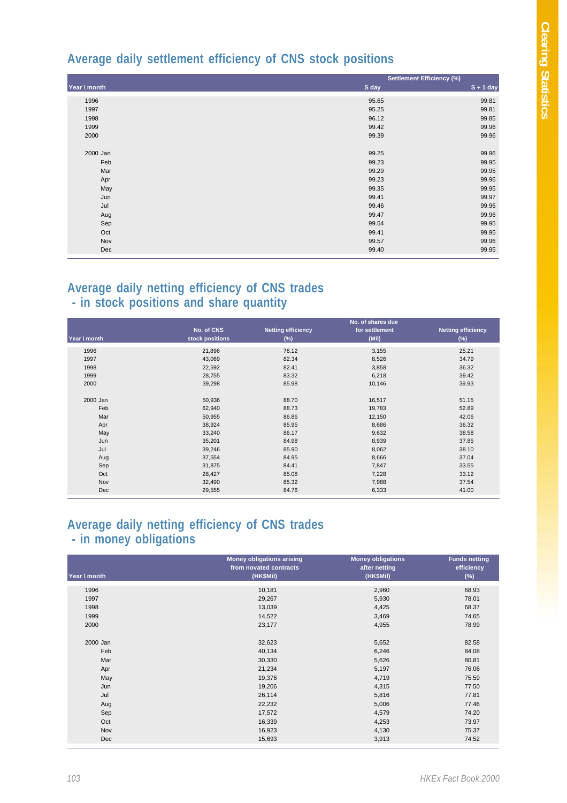### **Average daily settlement efficiency of CNS stock positions**

|              | <b>Settlement Efficiency (%)</b> |             |  |  |
|--------------|----------------------------------|-------------|--|--|
| Year \ month | S day                            | $S + 1$ day |  |  |
| 1996         | 95.65                            | 99.81       |  |  |
| 1997         | 95.25                            | 99.81       |  |  |
| 1998         | 96.12                            | 99.85       |  |  |
| 1999         | 99.42                            | 99.96       |  |  |
| 2000         | 99.39                            | 99.96       |  |  |
| 2000 Jan     | 99.25                            | 99.96       |  |  |
| Feb          | 99.23                            | 99.95       |  |  |
| Mar          | 99.29                            | 99.95       |  |  |
| Apr          | 99.23                            | 99.96       |  |  |
| May          | 99.35                            | 99.95       |  |  |
| Jun          | 99.41                            | 99.97       |  |  |
| Jul          | 99.46                            | 99.96       |  |  |
| Aug          | 99.47                            | 99.96       |  |  |
| Sep          | 99.54                            | 99.95       |  |  |
| Oct          | 99.41                            | 99.95       |  |  |
| Nov          | 99.57                            | 99.96       |  |  |
| Dec          | 99.40                            | 99.95       |  |  |

#### **Average daily netting efficiency of CNS trades - in stock positions and share quantity**

| Year \ month | No. of CNS<br>stock positions | <b>Netting efficiency</b><br>$(\%)$ | No. of shares due<br>for settlement<br>(Mil) | <b>Netting efficiency</b><br>$(\%)$ |
|--------------|-------------------------------|-------------------------------------|----------------------------------------------|-------------------------------------|
|              |                               |                                     |                                              |                                     |
| 1996         | 21,896                        | 76.12                               | 3,155                                        | 25.21                               |
| 1997         | 43,069                        | 82.34                               | 8,526                                        | 34.79                               |
| 1998         | 22,592                        | 82.41                               | 3,858                                        | 36.32                               |
| 1999         | 28,755                        | 83.32                               | 6,218                                        | 39.42                               |
| 2000         | 39,298                        | 85.98                               | 10,146                                       | 39.93                               |
|              |                               |                                     |                                              |                                     |
| 2000 Jan     | 50,936                        | 88.70                               | 16,517                                       | 51.15                               |
| Feb          | 62,940                        | 88.73                               | 19,783                                       | 52.89                               |
| Mar          | 50,955                        | 86.86                               | 12,150                                       | 42.06                               |
| Apr          | 38,924                        | 85.95                               | 8,686                                        | 36.32                               |
| May          | 33,240                        | 86.17                               | 9,632                                        | 38.58                               |
| Jun          | 35,201                        | 84.98                               | 8,939                                        | 37.85                               |
| Jul          | 39,246                        | 85.90                               | 8,062                                        | 38.10                               |
| Aug          | 37,554                        | 84.95                               | 8,666                                        | 37.04                               |
| Sep          | 31,875                        | 84.41                               | 7,847                                        | 33.55                               |
| Oct          | 28,427                        | 85.08                               | 7,228                                        | 33.12                               |
| Nov          | 32,490                        | 85.32                               | 7,988                                        | 37.54                               |
| <b>Dec</b>   | 29,555                        | 84.76                               | 6,333                                        | 41.00                               |

#### **Average daily netting efficiency of CNS trades - in money obligations**

| Year \ month | <b>Money obligations arising</b><br>from novated contracts<br>(HK\$Mil) | <b>Money obligations</b><br>after netting<br>(HK\$Mil) | <b>Funds netting</b><br>efficiency<br>$(\%)$ |
|--------------|-------------------------------------------------------------------------|--------------------------------------------------------|----------------------------------------------|
|              |                                                                         |                                                        |                                              |
| 1996         | 10,181                                                                  | 2,960                                                  | 68.93                                        |
| 1997         | 29,267                                                                  | 5,930                                                  | 78.01                                        |
| 1998         | 13,039                                                                  | 4,425                                                  | 68.37                                        |
| 1999         | 14,522                                                                  | 3,469                                                  | 74.65                                        |
| 2000         | 23,177                                                                  | 4,955                                                  | 78.99                                        |
|              |                                                                         |                                                        |                                              |
| 2000 Jan     | 32,623                                                                  | 5,652                                                  | 82.58                                        |
| Feb          | 40,134                                                                  | 6,246                                                  | 84.08                                        |
| Mar          | 30,330                                                                  | 5,626                                                  | 80.81                                        |
| Apr          | 21,234                                                                  | 5,197                                                  | 76.06                                        |
| May          | 19,376                                                                  | 4,719                                                  | 75.59                                        |
| Jun          | 19,206                                                                  | 4,315                                                  | 77.50                                        |
| Jul          | 26,114                                                                  | 5,816                                                  | 77.81                                        |
| Aug          | 22,232                                                                  | 5,006                                                  | 77.46                                        |
| Sep          | 17,572                                                                  | 4,579                                                  | 74.20                                        |
| Oct          | 16,339                                                                  | 4,253                                                  | 73.97                                        |
| Nov          | 16,923                                                                  | 4,130                                                  | 75.37                                        |
| Dec          | 15,693                                                                  | 3,913                                                  | 74.52                                        |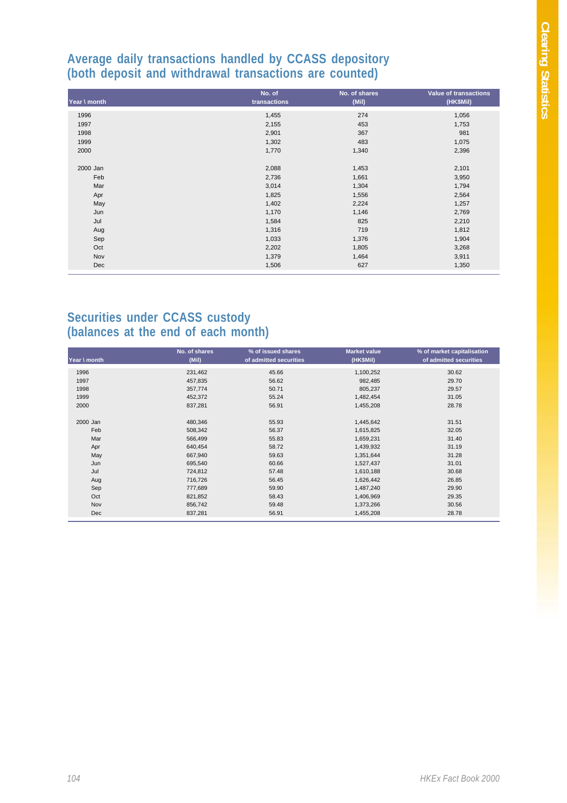#### **Average daily transactions handled by CCASS depository (both deposit and withdrawal transactions are counted)**

|              | No. of       | No. of shares | <b>Value of transactions</b> |
|--------------|--------------|---------------|------------------------------|
| Year \ month | transactions | (Mil)         | (HK\$Mil)                    |
| 1996         | 1,455        | 274           | 1,056                        |
| 1997         | 2,155        | 453           | 1,753                        |
| 1998         | 2,901        | 367           | 981                          |
| 1999         | 1,302        | 483           | 1,075                        |
| 2000         | 1,770        | 1,340         | 2,396                        |
| 2000 Jan     | 2,088        | 1,453         | 2,101                        |
| Feb          | 2,736        | 1,661         | 3,950                        |
| Mar          | 3,014        | 1,304         | 1,794                        |
| Apr          | 1,825        | 1,556         | 2,564                        |
| May          | 1,402        | 2,224         | 1,257                        |
| Jun          | 1,170        | 1,146         | 2,769                        |
| Jul          | 1,584        | 825           | 2,210                        |
| Aug          | 1,316        | 719           | 1,812                        |
| Sep          | 1,033        | 1,376         | 1,904                        |
| Oct          | 2,202        | 1,805         | 3,268                        |
| Nov          | 1,379        | 1,464         | 3,911                        |
| Dec          | 1,506        | 627           | 1,350                        |

#### **Securities under CCASS custody (balances at the end of each month)**

| Year \ month | No. of shares<br>(Mii) | % of issued shares<br>of admitted securities | <b>Market value</b><br>(HK\$Mil) | % of market capitalisation<br>of admitted securities |
|--------------|------------------------|----------------------------------------------|----------------------------------|------------------------------------------------------|
| 1996         | 231,462                | 45.66                                        | 1,100,252                        | 30.62                                                |
| 1997         | 457,835                | 56.62                                        | 982,485                          | 29.70                                                |
| 1998         | 357,774                | 50.71                                        | 805,237                          | 29.57                                                |
| 1999         | 452,372                | 55.24                                        | 1,482,454                        | 31.05                                                |
| 2000         | 837,281                | 56.91                                        | 1,455,208                        | 28.78                                                |
| 2000 Jan     | 480,346                | 55.93                                        | 1,445,642                        | 31.51                                                |
| Feb          | 508,342                | 56.37                                        | 1,615,825                        | 32.05                                                |
| Mar          | 566,499                | 55.83                                        | 1,659,231                        | 31.40                                                |
| Apr          | 640,454                | 58.72                                        | 1,439,932                        | 31.19                                                |
| May          | 667,940                | 59.63                                        | 1,351,644                        | 31.28                                                |
| Jun          | 695,540                | 60.66                                        | 1,527,437                        | 31.01                                                |
| Jul          | 724,812                | 57.48                                        | 1,610,188                        | 30.68                                                |
| Aug          | 716,726                | 56.45                                        | 1,626,442                        | 26.85                                                |
| Sep          | 777,689                | 59.90                                        | 1,487,240                        | 29.90                                                |
| Oct          | 821,852                | 58.43                                        | 1,406,969                        | 29.35                                                |
| Nov          | 856,742                | 59.48                                        | 1,373,266                        | 30.56                                                |
| Dec          | 837,281                | 56.91                                        | 1,455,208                        | 28.78                                                |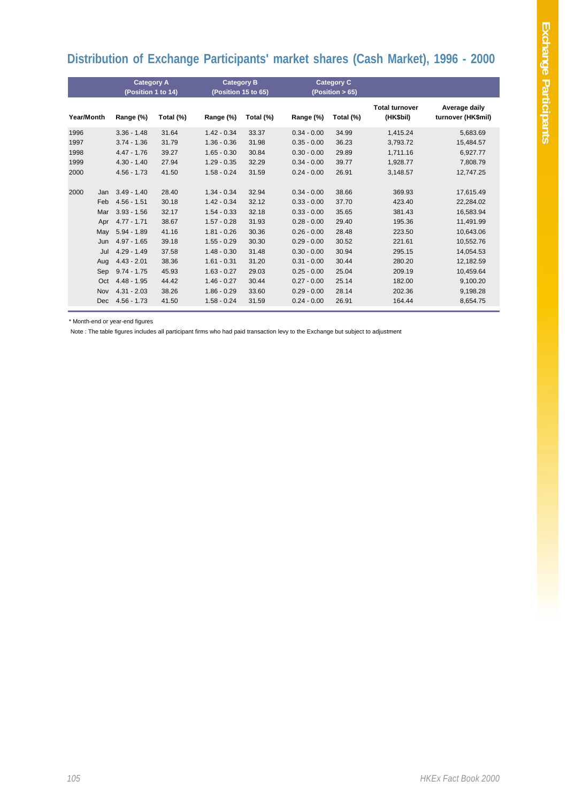# **Distribution of Exchange Participants' market shares (Cash Market), 1996 - 2000**

|            |            | <b>Category A</b>  |           | <b>Category B</b>   |           | <b>Category C</b> |           |                                    |                                     |
|------------|------------|--------------------|-----------|---------------------|-----------|-------------------|-----------|------------------------------------|-------------------------------------|
|            |            | (Position 1 to 14) |           | (Position 15 to 65) |           | (Position > 65)   |           |                                    |                                     |
| Year/Month |            | Range (%)          | Total (%) | Range (%)           | Total (%) | Range (%)         | Total (%) | <b>Total turnover</b><br>(HK\$bil) | Average daily<br>turnover (HK\$mil) |
| 1996       |            | $3.36 - 1.48$      | 31.64     | $1.42 - 0.34$       | 33.37     | $0.34 - 0.00$     | 34.99     | 1,415.24                           | 5,683.69                            |
| 1997       |            | $3.74 - 1.36$      | 31.79     | $1.36 - 0.36$       | 31.98     | $0.35 - 0.00$     | 36.23     | 3,793.72                           | 15,484.57                           |
| 1998       |            | $4.47 - 1.76$      | 39.27     | $1.65 - 0.30$       | 30.84     | $0.30 - 0.00$     | 29.89     | 1,711.16                           | 6,927.77                            |
| 1999       |            | $4.30 - 1.40$      | 27.94     | $1.29 - 0.35$       | 32.29     | $0.34 - 0.00$     | 39.77     | 1,928.77                           | 7,808.79                            |
| 2000       |            | $4.56 - 1.73$      | 41.50     | $1.58 - 0.24$       | 31.59     | $0.24 - 0.00$     | 26.91     | 3,148.57                           | 12,747.25                           |
| 2000       | Jan        | $3.49 - 1.40$      | 28.40     | $1.34 - 0.34$       | 32.94     | $0.34 - 0.00$     | 38.66     | 369.93                             | 17,615.49                           |
|            | Feb        | $4.56 - 1.51$      | 30.18     | $1.42 - 0.34$       | 32.12     | $0.33 - 0.00$     | 37.70     | 423.40                             | 22,284.02                           |
|            | Mar        | $3.93 - 1.56$      | 32.17     | $1.54 - 0.33$       | 32.18     | $0.33 - 0.00$     | 35.65     | 381.43                             | 16,583.94                           |
|            | Apr        | $4.77 - 1.71$      | 38.67     | $1.57 - 0.28$       | 31.93     | $0.28 - 0.00$     | 29.40     | 195.36                             | 11,491.99                           |
|            | May        | $5.94 - 1.89$      | 41.16     | $1.81 - 0.26$       | 30.36     | $0.26 - 0.00$     | 28.48     | 223.50                             | 10.643.06                           |
|            | Jun        | $4.97 - 1.65$      | 39.18     | $1.55 - 0.29$       | 30.30     | $0.29 - 0.00$     | 30.52     | 221.61                             | 10,552.76                           |
|            | Jul        | $4.29 - 1.49$      | 37.58     | $1.48 - 0.30$       | 31.48     | $0.30 - 0.00$     | 30.94     | 295.15                             | 14,054.53                           |
|            | Aug        | $4.43 - 2.01$      | 38.36     | $1.61 - 0.31$       | 31.20     | $0.31 - 0.00$     | 30.44     | 280.20                             | 12,182.59                           |
|            | Sep        | $9.74 - 1.75$      | 45.93     | $1.63 - 0.27$       | 29.03     | $0.25 - 0.00$     | 25.04     | 209.19                             | 10.459.64                           |
|            | Oct        | $4.48 - 1.95$      | 44.42     | $1.46 - 0.27$       | 30.44     | $0.27 - 0.00$     | 25.14     | 182.00                             | 9,100.20                            |
|            | <b>Nov</b> | $4.31 - 2.03$      | 38.26     | $1.86 - 0.29$       | 33.60     | $0.29 - 0.00$     | 28.14     | 202.36                             | 9,198.28                            |
|            | Dec        | $4.56 - 1.73$      | 41.50     | $1.58 - 0.24$       | 31.59     | $0.24 - 0.00$     | 26.91     | 164.44                             | 8,654.75                            |

\* Month-end or year-end figures

Note : The table figures includes all participant firms who had paid transaction levy to the Exchange but subject to adjustment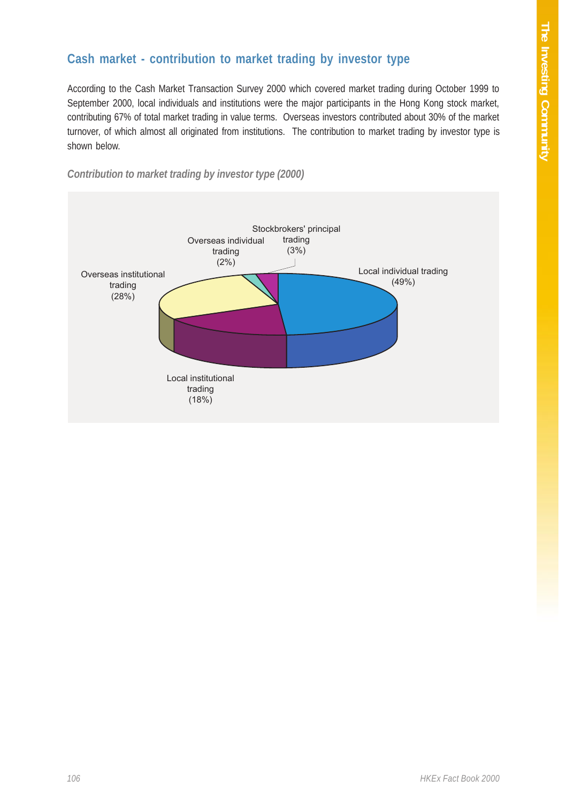# **Cash market - contribution to market trading by investor type**

According to the Cash Market Transaction Survey 2000 which covered market trading during October 1999 to September 2000, local individuals and institutions were the major participants in the Hong Kong stock market, contributing 67% of total market trading in value terms. Overseas investors contributed about 30% of the market turnover, of which almost all originated from institutions. The contribution to market trading by investor type is shown below.



*Contribution to market trading by investor type (2000)*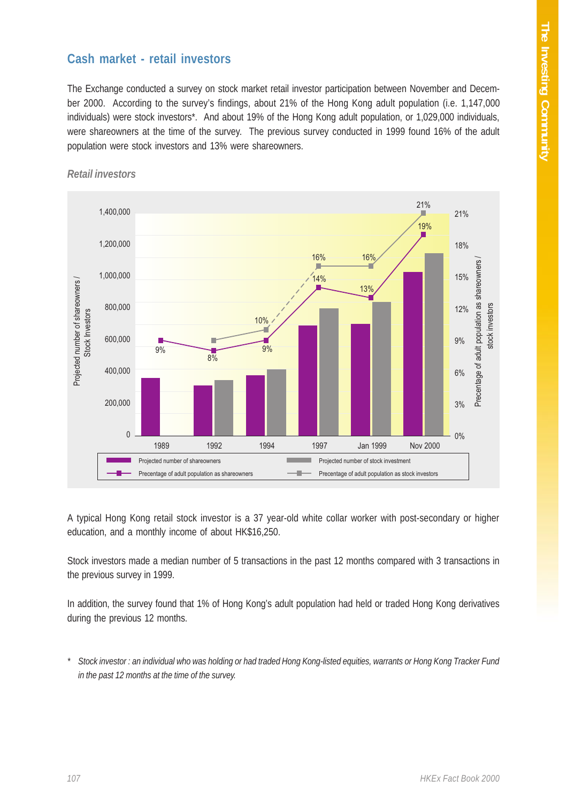### **Cash market - retail investors**

The Exchange conducted a survey on stock market retail investor participation between November and December 2000. According to the survey's findings, about 21% of the Hong Kong adult population (i.e. 1,147,000 individuals) were stock investors\*. And about 19% of the Hong Kong adult population, or 1,029,000 individuals, were shareowners at the time of the survey. The previous survey conducted in 1999 found 16% of the adult population were stock investors and 13% were shareowners.



#### *Retail investors*

A typical Hong Kong retail stock investor is a 37 year-old white collar worker with post-secondary or higher education, and a monthly income of about HK\$16,250.

Stock investors made a median number of 5 transactions in the past 12 months compared with 3 transactions in the previous survey in 1999.

In addition, the survey found that 1% of Hong Kong's adult population had held or traded Hong Kong derivatives during the previous 12 months.

*\* Stock investor : an individual who was holding or had traded Hong Kong-listed equities, warrants or Hong Kong Tracker Fund in the past 12 months at the time of the survey.*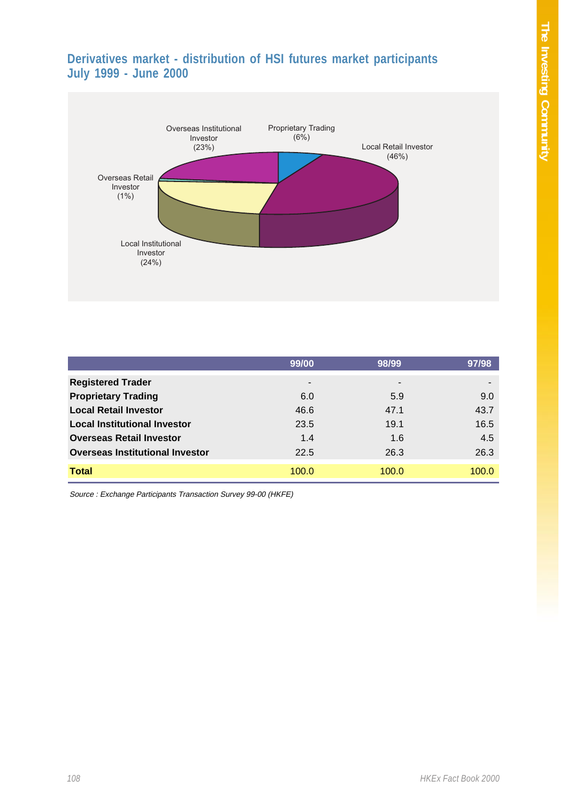# **Derivatives market - distribution of HSI futures market participants July 1999 - June 2000**



|                                        | 99/00 | 98/99 | 97/98 |
|----------------------------------------|-------|-------|-------|
| <b>Registered Trader</b>               |       | ۰     |       |
| <b>Proprietary Trading</b>             | 6.0   | 5.9   | 9.0   |
| <b>Local Retail Investor</b>           | 46.6  | 47.1  | 43.7  |
| <b>Local Institutional Investor</b>    | 23.5  | 19.1  | 16.5  |
| <b>Overseas Retail Investor</b>        | 1.4   | 1.6   | 4.5   |
| <b>Overseas Institutional Investor</b> | 22.5  | 26.3  | 26.3  |
| <b>Total</b>                           | 100.0 | 100.0 | 100.0 |

Source : Exchange Participants Transaction Survey 99-00 (HKFE)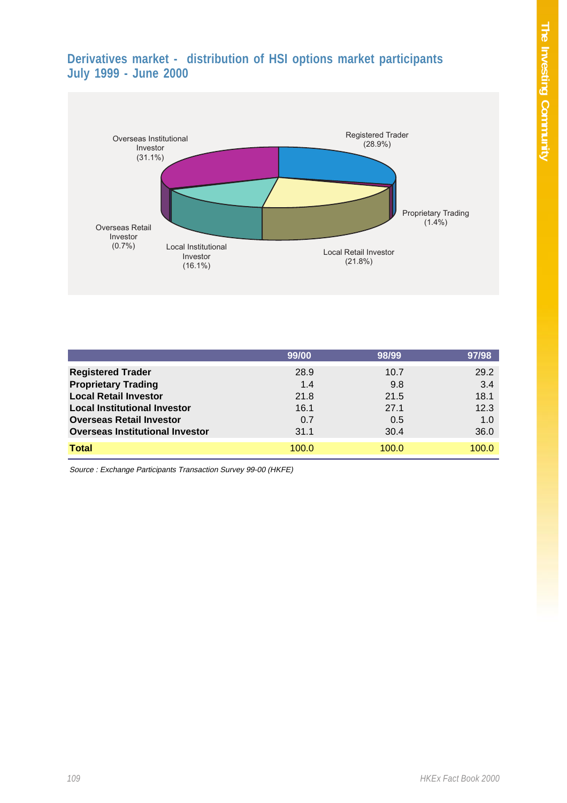# **Derivatives market - distribution of HSI options market participants July 1999 - June 2000**



|                                        | 99/00 | 98/99 | 97/98 |
|----------------------------------------|-------|-------|-------|
| <b>Registered Trader</b>               | 28.9  | 10.7  | 29.2  |
| <b>Proprietary Trading</b>             | 1.4   | 9.8   | 3.4   |
| <b>Local Retail Investor</b>           | 21.8  | 21.5  | 18.1  |
| <b>Local Institutional Investor</b>    | 16.1  | 27.1  | 12.3  |
| <b>Overseas Retail Investor</b>        | 0.7   | 0.5   | 1.0   |
| <b>Overseas Institutional Investor</b> | 31.1  | 30.4  | 36.0  |
| <b>Total</b>                           | 100.0 | 100.0 | 100.0 |

Source : Exchange Participants Transaction Survey 99-00 (HKFE)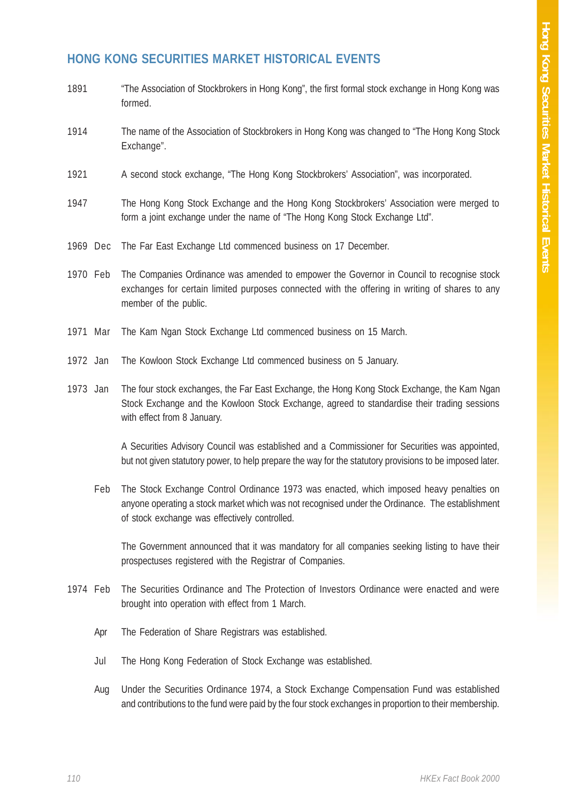# **HONG KONG SECURITIES MARKET HISTORICAL EVENTS**

- 1891 "The Association of Stockbrokers in Hong Kong", the first formal stock exchange in Hong Kong was formed.
- 1914 The name of the Association of Stockbrokers in Hong Kong was changed to "The Hong Kong Stock Exchange".
- 1921 A second stock exchange, "The Hong Kong Stockbrokers' Association", was incorporated.
- 1947 The Hong Kong Stock Exchange and the Hong Kong Stockbrokers' Association were merged to form a joint exchange under the name of "The Hong Kong Stock Exchange Ltd".
- 1969 Dec The Far East Exchange Ltd commenced business on 17 December.
- 1970 Feb The Companies Ordinance was amended to empower the Governor in Council to recognise stock exchanges for certain limited purposes connected with the offering in writing of shares to any member of the public.
- 1971 Mar The Kam Ngan Stock Exchange Ltd commenced business on 15 March.
- 1972 Jan The Kowloon Stock Exchange Ltd commenced business on 5 January.
- 1973 Jan The four stock exchanges, the Far East Exchange, the Hong Kong Stock Exchange, the Kam Ngan Stock Exchange and the Kowloon Stock Exchange, agreed to standardise their trading sessions with effect from 8 January.

A Securities Advisory Council was established and a Commissioner for Securities was appointed, but not given statutory power, to help prepare the way for the statutory provisions to be imposed later.

Feb The Stock Exchange Control Ordinance 1973 was enacted, which imposed heavy penalties on anyone operating a stock market which was not recognised under the Ordinance. The establishment of stock exchange was effectively controlled.

The Government announced that it was mandatory for all companies seeking listing to have their prospectuses registered with the Registrar of Companies.

- 1974 Feb The Securities Ordinance and The Protection of Investors Ordinance were enacted and were brought into operation with effect from 1 March.
	- Apr The Federation of Share Registrars was established.
	- Jul The Hong Kong Federation of Stock Exchange was established.
	- Aug Under the Securities Ordinance 1974, a Stock Exchange Compensation Fund was established and contributions to the fund were paid by the four stock exchanges in proportion to their membership.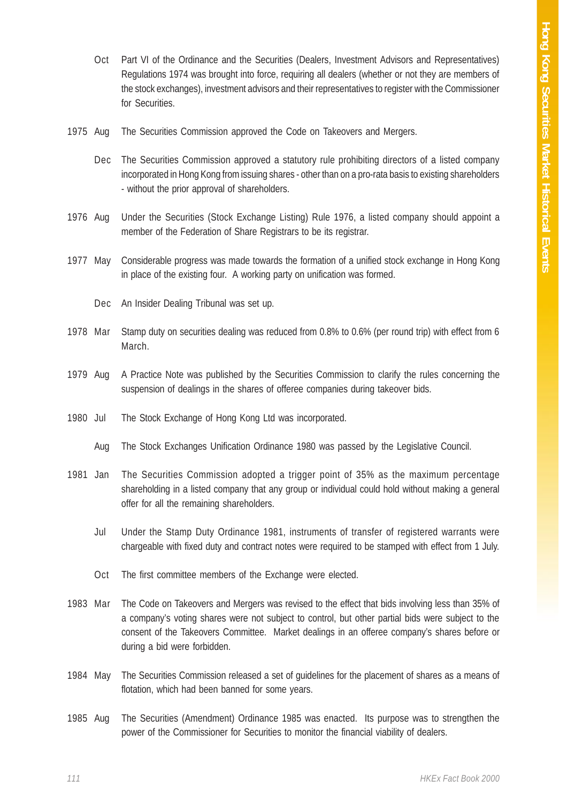- Oct Part VI of the Ordinance and the Securities (Dealers, Investment Advisors and Representatives) Regulations 1974 was brought into force, requiring all dealers (whether or not they are members of the stock exchanges), investment advisors and their representatives to register with the Commissioner for Securities.
- 1975 Aug The Securities Commission approved the Code on Takeovers and Mergers.
	- Dec The Securities Commission approved a statutory rule prohibiting directors of a listed company incorporated in Hong Kong from issuing shares - other than on a pro-rata basis to existing shareholders - without the prior approval of shareholders.
- 1976 Aug Under the Securities (Stock Exchange Listing) Rule 1976, a listed company should appoint a member of the Federation of Share Registrars to be its registrar.
- 1977 May Considerable progress was made towards the formation of a unified stock exchange in Hong Kong in place of the existing four. A working party on unification was formed.
	- Dec An Insider Dealing Tribunal was set up.
- 1978 Mar Stamp duty on securities dealing was reduced from 0.8% to 0.6% (per round trip) with effect from 6 March.
- 1979 Aug A Practice Note was published by the Securities Commission to clarify the rules concerning the suspension of dealings in the shares of offeree companies during takeover bids.
- 1980 Jul The Stock Exchange of Hong Kong Ltd was incorporated.
	- Aug The Stock Exchanges Unification Ordinance 1980 was passed by the Legislative Council.
- 1981 Jan The Securities Commission adopted a trigger point of 35% as the maximum percentage shareholding in a listed company that any group or individual could hold without making a general offer for all the remaining shareholders.
	- Jul Under the Stamp Duty Ordinance 1981, instruments of transfer of registered warrants were chargeable with fixed duty and contract notes were required to be stamped with effect from 1 July.
	- Oct The first committee members of the Exchange were elected.
- 1983 Mar The Code on Takeovers and Mergers was revised to the effect that bids involving less than 35% of a company's voting shares were not subject to control, but other partial bids were subject to the consent of the Takeovers Committee. Market dealings in an offeree company's shares before or during a bid were forbidden.
- 1984 May The Securities Commission released a set of guidelines for the placement of shares as a means of flotation, which had been banned for some years.
- 1985 Aug The Securities (Amendment) Ordinance 1985 was enacted. Its purpose was to strengthen the power of the Commissioner for Securities to monitor the financial viability of dealers.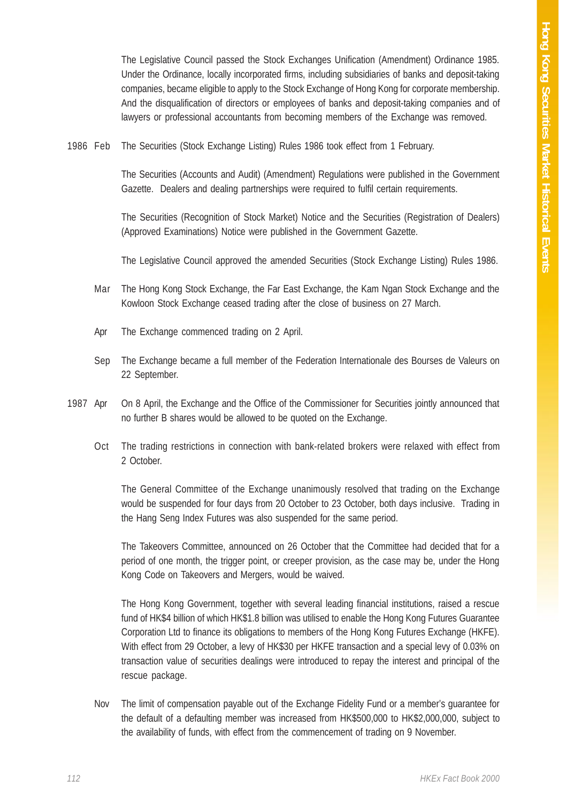The Legislative Council passed the Stock Exchanges Unification (Amendment) Ordinance 1985. Under the Ordinance, locally incorporated firms, including subsidiaries of banks and deposit-taking companies, became eligible to apply to the Stock Exchange of Hong Kong for corporate membership. And the disqualification of directors or employees of banks and deposit-taking companies and of lawyers or professional accountants from becoming members of the Exchange was removed.

1986 Feb The Securities (Stock Exchange Listing) Rules 1986 took effect from 1 February.

The Securities (Accounts and Audit) (Amendment) Regulations were published in the Government Gazette. Dealers and dealing partnerships were required to fulfil certain requirements.

The Securities (Recognition of Stock Market) Notice and the Securities (Registration of Dealers) (Approved Examinations) Notice were published in the Government Gazette.

The Legislative Council approved the amended Securities (Stock Exchange Listing) Rules 1986.

- Mar The Hong Kong Stock Exchange, the Far East Exchange, the Kam Ngan Stock Exchange and the Kowloon Stock Exchange ceased trading after the close of business on 27 March.
- Apr The Exchange commenced trading on 2 April.
- Sep The Exchange became a full member of the Federation Internationale des Bourses de Valeurs on 22 September.
- 1987 Apr On 8 April, the Exchange and the Office of the Commissioner for Securities jointly announced that no further B shares would be allowed to be quoted on the Exchange.
	- Oct The trading restrictions in connection with bank-related brokers were relaxed with effect from 2 October.

The General Committee of the Exchange unanimously resolved that trading on the Exchange would be suspended for four days from 20 October to 23 October, both days inclusive. Trading in the Hang Seng Index Futures was also suspended for the same period.

The Takeovers Committee, announced on 26 October that the Committee had decided that for a period of one month, the trigger point, or creeper provision, as the case may be, under the Hong Kong Code on Takeovers and Mergers, would be waived.

The Hong Kong Government, together with several leading financial institutions, raised a rescue fund of HK\$4 billion of which HK\$1.8 billion was utilised to enable the Hong Kong Futures Guarantee Corporation Ltd to finance its obligations to members of the Hong Kong Futures Exchange (HKFE). With effect from 29 October, a levy of HK\$30 per HKFE transaction and a special levy of 0.03% on transaction value of securities dealings were introduced to repay the interest and principal of the rescue package.

Nov The limit of compensation payable out of the Exchange Fidelity Fund or a member's guarantee for the default of a defaulting member was increased from HK\$500,000 to HK\$2,000,000, subject to the availability of funds, with effect from the commencement of trading on 9 November.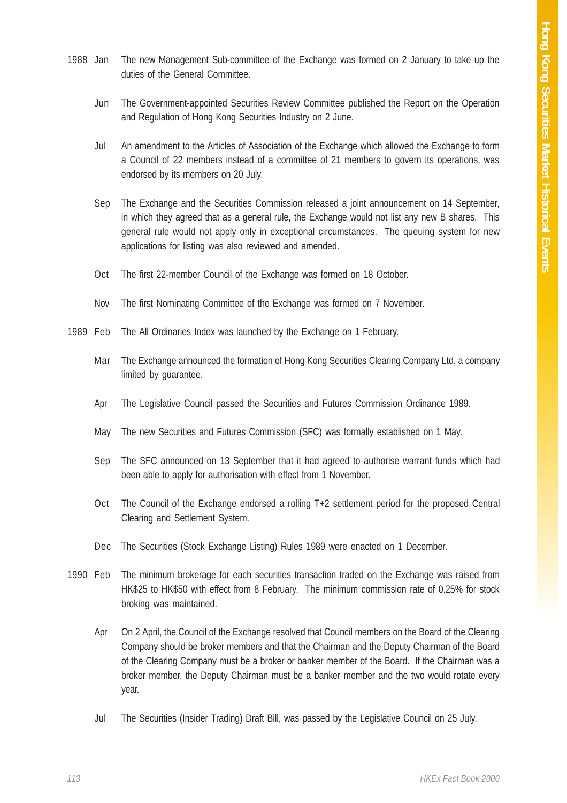- 1988 Jan The new Management Sub-committee of the Exchange was formed on 2 January to take up the duties of the General Committee.
	- Jun The Government-appointed Securities Review Committee published the Report on the Operation and Regulation of Hong Kong Securities Industry on 2 June.
	- Jul An amendment to the Articles of Association of the Exchange which allowed the Exchange to form a Council of 22 members instead of a committee of 21 members to govern its operations, was endorsed by its members on 20 July.
	- Sep The Exchange and the Securities Commission released a joint announcement on 14 September, in which they agreed that as a general rule, the Exchange would not list any new B shares. This general rule would not apply only in exceptional circumstances. The queuing system for new applications for listing was also reviewed and amended.
	- Oct The first 22-member Council of the Exchange was formed on 18 October.
	- Nov The first Nominating Committee of the Exchange was formed on 7 November.
- 1989 Feb The All Ordinaries Index was launched by the Exchange on 1 February.
	- Mar The Exchange announced the formation of Hong Kong Securities Clearing Company Ltd, a company limited by guarantee.
	- Apr The Legislative Council passed the Securities and Futures Commission Ordinance 1989.
	- May The new Securities and Futures Commission (SFC) was formally established on 1 May.
	- Sep The SFC announced on 13 September that it had agreed to authorise warrant funds which had been able to apply for authorisation with effect from 1 November.
	- Oct The Council of the Exchange endorsed a rolling T+2 settlement period for the proposed Central Clearing and Settlement System.
	- Dec The Securities (Stock Exchange Listing) Rules 1989 were enacted on 1 December.
- 1990 Feb The minimum brokerage for each securities transaction traded on the Exchange was raised from HK\$25 to HK\$50 with effect from 8 February. The minimum commission rate of 0.25% for stock broking was maintained.
	- Apr On 2 April, the Council of the Exchange resolved that Council members on the Board of the Clearing Company should be broker members and that the Chairman and the Deputy Chairman of the Board of the Clearing Company must be a broker or banker member of the Board. If the Chairman was a broker member, the Deputy Chairman must be a banker member and the two would rotate every year.
	- Jul The Securities (Insider Trading) Draft Bill, was passed by the Legislative Council on 25 July.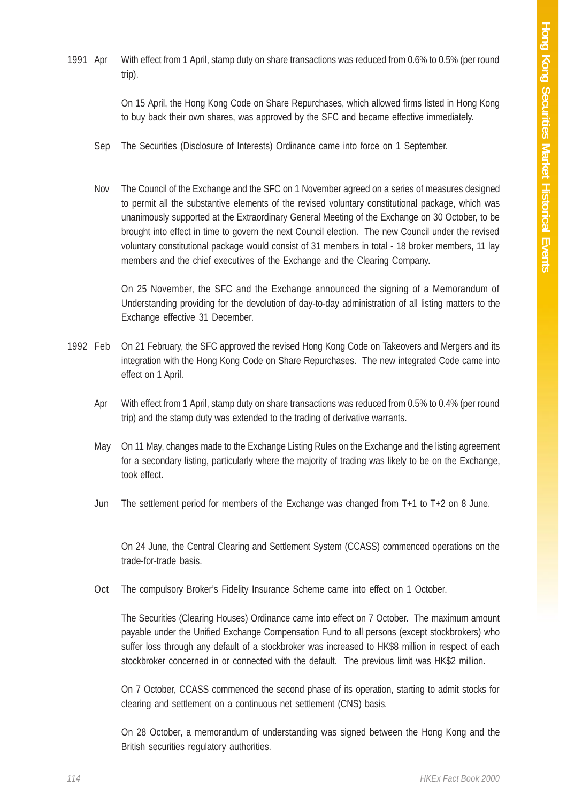1991 Apr With effect from 1 April, stamp duty on share transactions was reduced from 0.6% to 0.5% (per round trip).

> On 15 April, the Hong Kong Code on Share Repurchases, which allowed firms listed in Hong Kong to buy back their own shares, was approved by the SFC and became effective immediately.

- Sep The Securities (Disclosure of Interests) Ordinance came into force on 1 September.
- Nov The Council of the Exchange and the SFC on 1 November agreed on a series of measures designed to permit all the substantive elements of the revised voluntary constitutional package, which was unanimously supported at the Extraordinary General Meeting of the Exchange on 30 October, to be brought into effect in time to govern the next Council election. The new Council under the revised voluntary constitutional package would consist of 31 members in total - 18 broker members, 11 lay members and the chief executives of the Exchange and the Clearing Company.

On 25 November, the SFC and the Exchange announced the signing of a Memorandum of Understanding providing for the devolution of day-to-day administration of all listing matters to the Exchange effective 31 December.

- 1992 Feb On 21 February, the SFC approved the revised Hong Kong Code on Takeovers and Mergers and its integration with the Hong Kong Code on Share Repurchases. The new integrated Code came into effect on 1 April.
	- Apr With effect from 1 April, stamp duty on share transactions was reduced from 0.5% to 0.4% (per round trip) and the stamp duty was extended to the trading of derivative warrants.
	- May On 11 May, changes made to the Exchange Listing Rules on the Exchange and the listing agreement for a secondary listing, particularly where the majority of trading was likely to be on the Exchange, took effect.
	- Jun The settlement period for members of the Exchange was changed from T+1 to T+2 on 8 June.

On 24 June, the Central Clearing and Settlement System (CCASS) commenced operations on the trade-for-trade basis.

Oct The compulsory Broker's Fidelity Insurance Scheme came into effect on 1 October.

The Securities (Clearing Houses) Ordinance came into effect on 7 October. The maximum amount payable under the Unified Exchange Compensation Fund to all persons (except stockbrokers) who suffer loss through any default of a stockbroker was increased to HK\$8 million in respect of each stockbroker concerned in or connected with the default. The previous limit was HK\$2 million.

On 7 October, CCASS commenced the second phase of its operation, starting to admit stocks for clearing and settlement on a continuous net settlement (CNS) basis.

On 28 October, a memorandum of understanding was signed between the Hong Kong and the British securities regulatory authorities.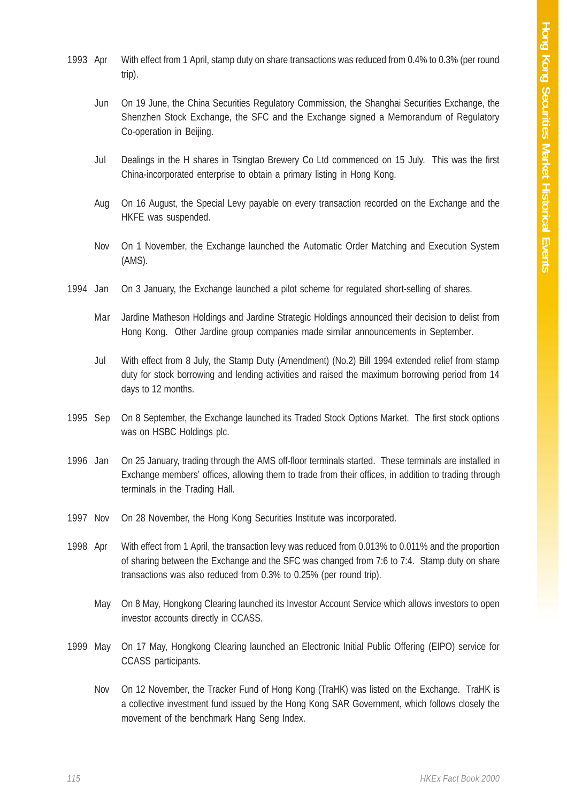- 1993 Apr With effect from 1 April, stamp duty on share transactions was reduced from 0.4% to 0.3% (per round trip).
	- Jun On 19 June, the China Securities Regulatory Commission, the Shanghai Securities Exchange, the Shenzhen Stock Exchange, the SFC and the Exchange signed a Memorandum of Regulatory Co-operation in Beijing.
	- Jul Dealings in the H shares in Tsingtao Brewery Co Ltd commenced on 15 July. This was the first China-incorporated enterprise to obtain a primary listing in Hong Kong.
	- Aug On 16 August, the Special Levy payable on every transaction recorded on the Exchange and the HKFE was suspended.
	- Nov On 1 November, the Exchange launched the Automatic Order Matching and Execution System (AMS).
- 1994 Jan On 3 January, the Exchange launched a pilot scheme for regulated short-selling of shares.
	- Mar Jardine Matheson Holdings and Jardine Strategic Holdings announced their decision to delist from Hong Kong. Other Jardine group companies made similar announcements in September.
	- Jul With effect from 8 July, the Stamp Duty (Amendment) (No.2) Bill 1994 extended relief from stamp duty for stock borrowing and lending activities and raised the maximum borrowing period from 14 days to 12 months.
- 1995 Sep On 8 September, the Exchange launched its Traded Stock Options Market. The first stock options was on HSBC Holdings plc.
- 1996 Jan On 25 January, trading through the AMS off-floor terminals started. These terminals are installed in Exchange members' offices, allowing them to trade from their offices, in addition to trading through terminals in the Trading Hall.
- 1997 Nov On 28 November, the Hong Kong Securities Institute was incorporated.
- 1998 Apr With effect from 1 April, the transaction levy was reduced from 0.013% to 0.011% and the proportion of sharing between the Exchange and the SFC was changed from 7:6 to 7:4. Stamp duty on share transactions was also reduced from 0.3% to 0.25% (per round trip).
	- May On 8 May, Hongkong Clearing launched its Investor Account Service which allows investors to open investor accounts directly in CCASS.
- 1999 May On 17 May, Hongkong Clearing launched an Electronic Initial Public Offering (EIPO) service for CCASS participants.
	- Nov On 12 November, the Tracker Fund of Hong Kong (TraHK) was listed on the Exchange. TraHK is a collective investment fund issued by the Hong Kong SAR Government, which follows closely the movement of the benchmark Hang Seng Index.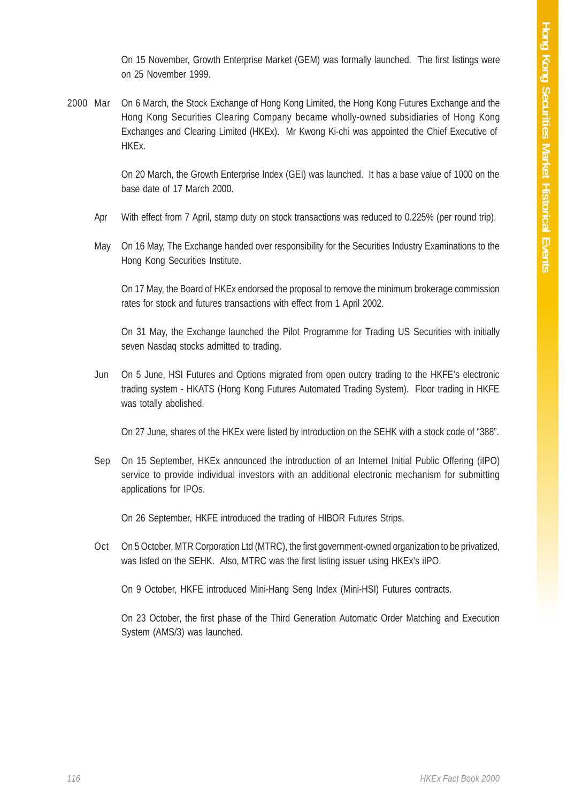On 15 November, Growth Enterprise Market (GEM) was formally launched. The first listings were on 25 November 1999.

2000 Mar On 6 March, the Stock Exchange of Hong Kong Limited, the Hong Kong Futures Exchange and the Hong Kong Securities Clearing Company became wholly-owned subsidiaries of Hong Kong Exchanges and Clearing Limited (HKEx). Mr Kwong Ki-chi was appointed the Chief Executive of HKEx.

> On 20 March, the Growth Enterprise Index (GEI) was launched. It has a base value of 1000 on the base date of 17 March 2000.

- Apr With effect from 7 April, stamp duty on stock transactions was reduced to 0.225% (per round trip).
- May On 16 May, The Exchange handed over responsibility for the Securities Industry Examinations to the Hong Kong Securities Institute.

On 17 May, the Board of HKEx endorsed the proposal to remove the minimum brokerage commission rates for stock and futures transactions with effect from 1 April 2002.

On 31 May, the Exchange launched the Pilot Programme for Trading US Securities with initially seven Nasdaq stocks admitted to trading.

Jun On 5 June, HSI Futures and Options migrated from open outcry trading to the HKFE's electronic trading system - HKATS (Hong Kong Futures Automated Trading System). Floor trading in HKFE was totally abolished.

On 27 June, shares of the HKEx were listed by introduction on the SEHK with a stock code of "388".

Sep On 15 September, HKEx announced the introduction of an Internet Initial Public Offering (iIPO) service to provide individual investors with an additional electronic mechanism for submitting applications for IPOs.

On 26 September, HKFE introduced the trading of HIBOR Futures Strips.

Oct On 5 October, MTR Corporation Ltd (MTRC), the first government-owned organization to be privatized, was listed on the SEHK. Also, MTRC was the first listing issuer using HKEx's iIPO.

On 9 October, HKFE introduced Mini-Hang Seng Index (Mini-HSI) Futures contracts.

On 23 October, the first phase of the Third Generation Automatic Order Matching and Execution System (AMS/3) was launched.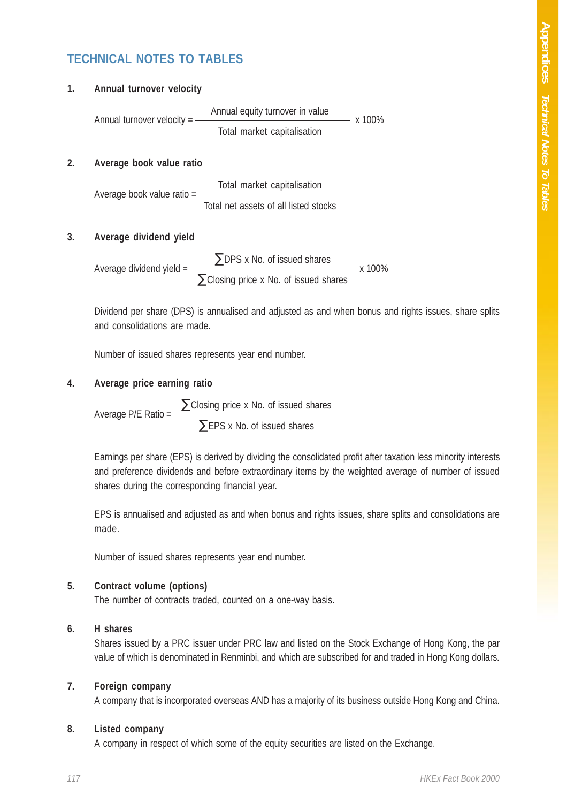# **TECHNICAL NOTES TO TABLES**

| Annual turnover velocity = | Annual equity turnover in value | x 100% |
|----------------------------|---------------------------------|--------|
|                            | Total market capitalisation     |        |

### **2. Average book value ratio**

**1. Annual turnover velocity**

Total market capitalisation Average book value ratio = Total net assets of all listed stocks

#### **3. Average dividend yield**

 $\Sigma$ DPS x No. of issued shares Average dividend yield =  $\frac{2}{x}$   $\frac{3}{x}$   $\frac{3}{x}$   $\frac{100\%}{x}$  $\Sigma$ Closing price x No. of issued shares

Dividend per share (DPS) is annualised and adjusted as and when bonus and rights issues, share splits and consolidations are made.

Number of issued shares represents year end number.

### **4. Average price earning ratio**

Average P/E Ratio =  $\frac{\sum \text{Closing price x No. of issued shares}}{\sum}$  $\Sigma$ EPS x No. of issued shares

Earnings per share (EPS) is derived by dividing the consolidated profit after taxation less minority interests and preference dividends and before extraordinary items by the weighted average of number of issued shares during the corresponding financial year.

EPS is annualised and adjusted as and when bonus and rights issues, share splits and consolidations are made.

Number of issued shares represents year end number.

#### **5. Contract volume (options)**

The number of contracts traded, counted on a one-way basis.

#### **6. H shares**

Shares issued by a PRC issuer under PRC law and listed on the Stock Exchange of Hong Kong, the par value of which is denominated in Renminbi, and which are subscribed for and traded in Hong Kong dollars.

#### **7. Foreign company**

A company that is incorporated overseas AND has a majority of its business outside Hong Kong and China.

#### **8. Listed company**

A company in respect of which some of the equity securities are listed on the Exchange.